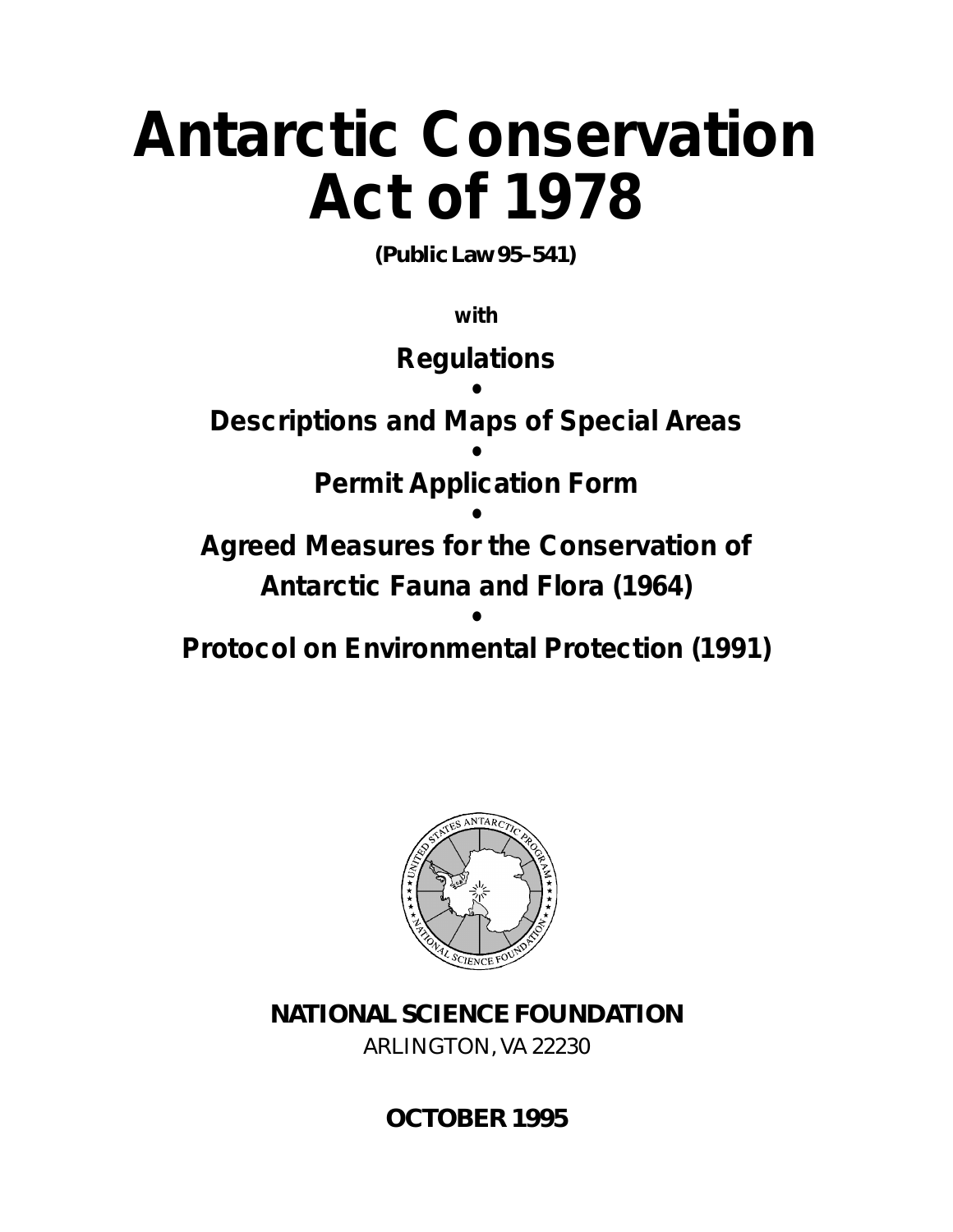# **Antarctic Conservation Act of 1978**

**(Public Law 95–541)**

**with**

**Regulations • Descriptions and Maps of Special Areas • Permit Application Form • Agreed Measures for the Conservation of Antarctic Fauna and Flora (1964) • Protocol on Environmental Protection (1991)**



**NATIONAL SCIENCE FOUNDATION** ARLINGTON, VA 22230

**OCTOBER 1995**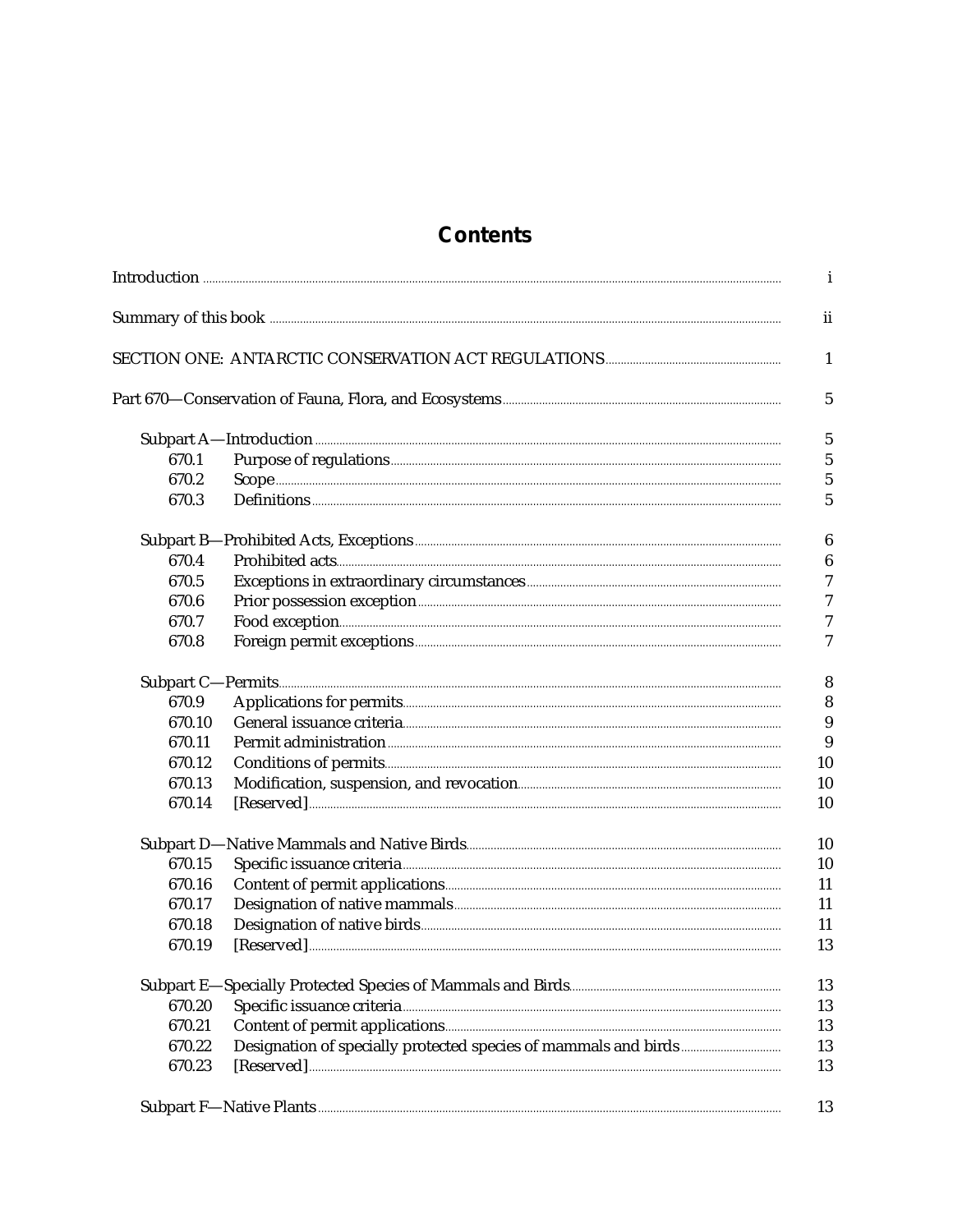# **Contents**

|        | Subpart A—Introduction <b>Manual According to the Contract Official</b> According Contract According to the Contract Office According Contract According to the Contract Office According to the Contract Office According to the C                                                                                                                                                                                 |  |
|--------|---------------------------------------------------------------------------------------------------------------------------------------------------------------------------------------------------------------------------------------------------------------------------------------------------------------------------------------------------------------------------------------------------------------------|--|
| 670.1  |                                                                                                                                                                                                                                                                                                                                                                                                                     |  |
| 670.2  |                                                                                                                                                                                                                                                                                                                                                                                                                     |  |
| 670.3  | Definitions <b>Support of the Contract of the Contract of the Contract of the Contract of the Contract of the Contract of the Contract of the Contract of the Contract of the Contract of the Contract of the Contract of the Co</b>                                                                                                                                                                                |  |
|        |                                                                                                                                                                                                                                                                                                                                                                                                                     |  |
| 670.4  |                                                                                                                                                                                                                                                                                                                                                                                                                     |  |
| 670.5  |                                                                                                                                                                                                                                                                                                                                                                                                                     |  |
| 670.6  | Prior possession exception <b>Exception Exception</b>                                                                                                                                                                                                                                                                                                                                                               |  |
| 670.7  |                                                                                                                                                                                                                                                                                                                                                                                                                     |  |
| 670.8  |                                                                                                                                                                                                                                                                                                                                                                                                                     |  |
|        | Subpart C-Permits                                                                                                                                                                                                                                                                                                                                                                                                   |  |
| 670.9  |                                                                                                                                                                                                                                                                                                                                                                                                                     |  |
| 670.10 |                                                                                                                                                                                                                                                                                                                                                                                                                     |  |
| 670.11 | Permit administration <b>Manual Properties</b>                                                                                                                                                                                                                                                                                                                                                                      |  |
| 670.12 |                                                                                                                                                                                                                                                                                                                                                                                                                     |  |
| 670.13 |                                                                                                                                                                                                                                                                                                                                                                                                                     |  |
| 670.14 | $[Reserved]\label{def:res} \vspace{-0.1in} \vspace{-0.1in} \vspace{-0.1in} \vspace{-0.1in} \vspace{-0.1in} \vspace{-0.1in} \vspace{-0.1in} \vspace{-0.1in} \vspace{-0.1in} \vspace{-0.1in} \vspace{-0.1in} \vspace{-0.1in} \vspace{-0.1in} \vspace{-0.1in} \vspace{-0.1in} \vspace{-0.1in} \vspace{-0.1in} \vspace{-0.1in} \vspace{-0.1in} \vspace{-0.1in} \vspace{-0.1in} \vspace{-0.1in} \vspace{-0.1in} \vspace$ |  |
|        |                                                                                                                                                                                                                                                                                                                                                                                                                     |  |
| 670.15 |                                                                                                                                                                                                                                                                                                                                                                                                                     |  |
| 670.16 |                                                                                                                                                                                                                                                                                                                                                                                                                     |  |
| 670.17 | Designation of native mammals                                                                                                                                                                                                                                                                                                                                                                                       |  |
| 670.18 |                                                                                                                                                                                                                                                                                                                                                                                                                     |  |
| 670.19 |                                                                                                                                                                                                                                                                                                                                                                                                                     |  |
|        |                                                                                                                                                                                                                                                                                                                                                                                                                     |  |
| 670.20 |                                                                                                                                                                                                                                                                                                                                                                                                                     |  |
| 670.21 | Content of permit applications                                                                                                                                                                                                                                                                                                                                                                                      |  |
| 670.22 |                                                                                                                                                                                                                                                                                                                                                                                                                     |  |
| 670.23 |                                                                                                                                                                                                                                                                                                                                                                                                                     |  |
|        |                                                                                                                                                                                                                                                                                                                                                                                                                     |  |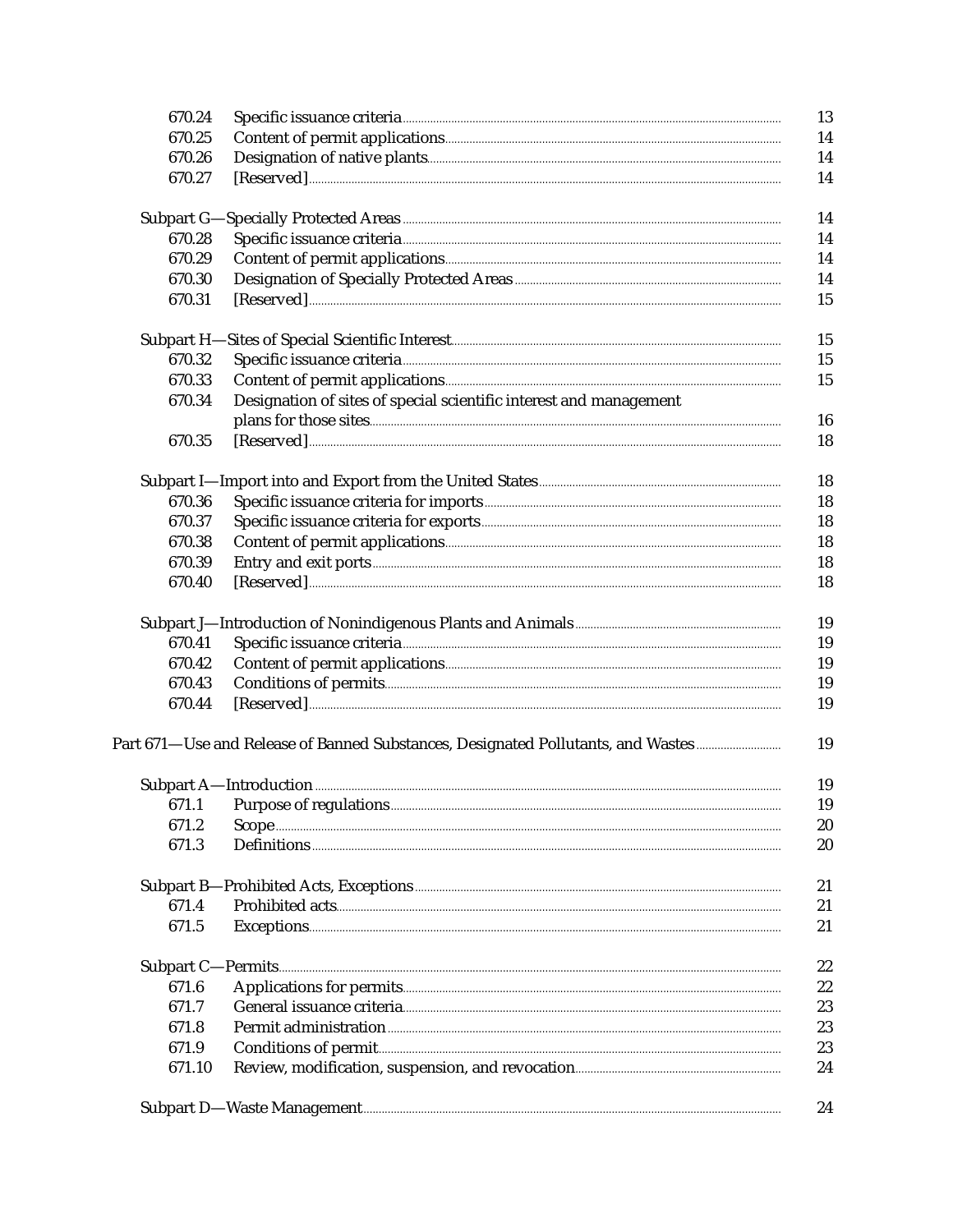| 670.24 |                                                                                                                                                                                                                                                                              | 13 |  |  |
|--------|------------------------------------------------------------------------------------------------------------------------------------------------------------------------------------------------------------------------------------------------------------------------------|----|--|--|
| 670.25 |                                                                                                                                                                                                                                                                              |    |  |  |
| 670.26 |                                                                                                                                                                                                                                                                              | 14 |  |  |
| 670.27 |                                                                                                                                                                                                                                                                              |    |  |  |
|        |                                                                                                                                                                                                                                                                              | 14 |  |  |
|        |                                                                                                                                                                                                                                                                              |    |  |  |
| 670.28 |                                                                                                                                                                                                                                                                              | 14 |  |  |
| 670.29 | Content of permit applications                                                                                                                                                                                                                                               | 14 |  |  |
| 670.30 |                                                                                                                                                                                                                                                                              | 14 |  |  |
| 670.31 |                                                                                                                                                                                                                                                                              | 15 |  |  |
|        |                                                                                                                                                                                                                                                                              | 15 |  |  |
| 670.32 |                                                                                                                                                                                                                                                                              | 15 |  |  |
| 670.33 | Content of permit applications <b>Content of permit applications</b>                                                                                                                                                                                                         | 15 |  |  |
| 670.34 | Designation of sites of special scientific interest and management                                                                                                                                                                                                           |    |  |  |
|        |                                                                                                                                                                                                                                                                              | 16 |  |  |
| 670.35 |                                                                                                                                                                                                                                                                              | 18 |  |  |
|        |                                                                                                                                                                                                                                                                              |    |  |  |
|        |                                                                                                                                                                                                                                                                              | 18 |  |  |
| 670.36 |                                                                                                                                                                                                                                                                              | 18 |  |  |
| 670.37 |                                                                                                                                                                                                                                                                              | 18 |  |  |
| 670.38 |                                                                                                                                                                                                                                                                              | 18 |  |  |
| 670.39 |                                                                                                                                                                                                                                                                              | 18 |  |  |
| 670.40 |                                                                                                                                                                                                                                                                              | 18 |  |  |
|        |                                                                                                                                                                                                                                                                              | 19 |  |  |
| 670.41 |                                                                                                                                                                                                                                                                              | 19 |  |  |
| 670.42 |                                                                                                                                                                                                                                                                              |    |  |  |
|        |                                                                                                                                                                                                                                                                              | 19 |  |  |
| 670.43 | Conditions of permits <b>conditions</b> of permits <b>conditions</b> of permits <b>conditions</b> of permits <b>conditions</b> of permits <b>conditions</b> of permits <b>conditions</b> of permits <b>conditions</b> of permits <b>conditions</b> of permits <b>conditi</b> | 19 |  |  |
| 670.44 |                                                                                                                                                                                                                                                                              | 19 |  |  |
|        | Part 671-Use and Release of Banned Substances, Designated Pollutants, and Wastes                                                                                                                                                                                             | 19 |  |  |
|        |                                                                                                                                                                                                                                                                              |    |  |  |
|        |                                                                                                                                                                                                                                                                              | 19 |  |  |
|        | 671.1 Purpose of regulations <b>CONSUMER SET AND REGISTER</b>                                                                                                                                                                                                                | 19 |  |  |
| 671.2  |                                                                                                                                                                                                                                                                              | 20 |  |  |
| 671.3  | Definitions <b>Executive Constructs</b> and the construction of the construction of the construction of the construction of the construction of the construction of the construction of the construction of the construction of the                                          | 20 |  |  |
|        |                                                                                                                                                                                                                                                                              | 21 |  |  |
| 671.4  |                                                                                                                                                                                                                                                                              | 21 |  |  |
| 671.5  | Exceptions <b>Exceptions</b>                                                                                                                                                                                                                                                 | 21 |  |  |
|        | Subpart C-Permits                                                                                                                                                                                                                                                            | 22 |  |  |
| 671.6  |                                                                                                                                                                                                                                                                              | 22 |  |  |
| 671.7  |                                                                                                                                                                                                                                                                              | 23 |  |  |
|        |                                                                                                                                                                                                                                                                              |    |  |  |
| 671.8  |                                                                                                                                                                                                                                                                              | 23 |  |  |
| 671.9  |                                                                                                                                                                                                                                                                              | 23 |  |  |
| 671.10 |                                                                                                                                                                                                                                                                              | 24 |  |  |
|        | Subpart D-Waste Management [100] Maria Communication and Subpart D-Waste Management [100] Maria Communication                                                                                                                                                                | 24 |  |  |
|        |                                                                                                                                                                                                                                                                              |    |  |  |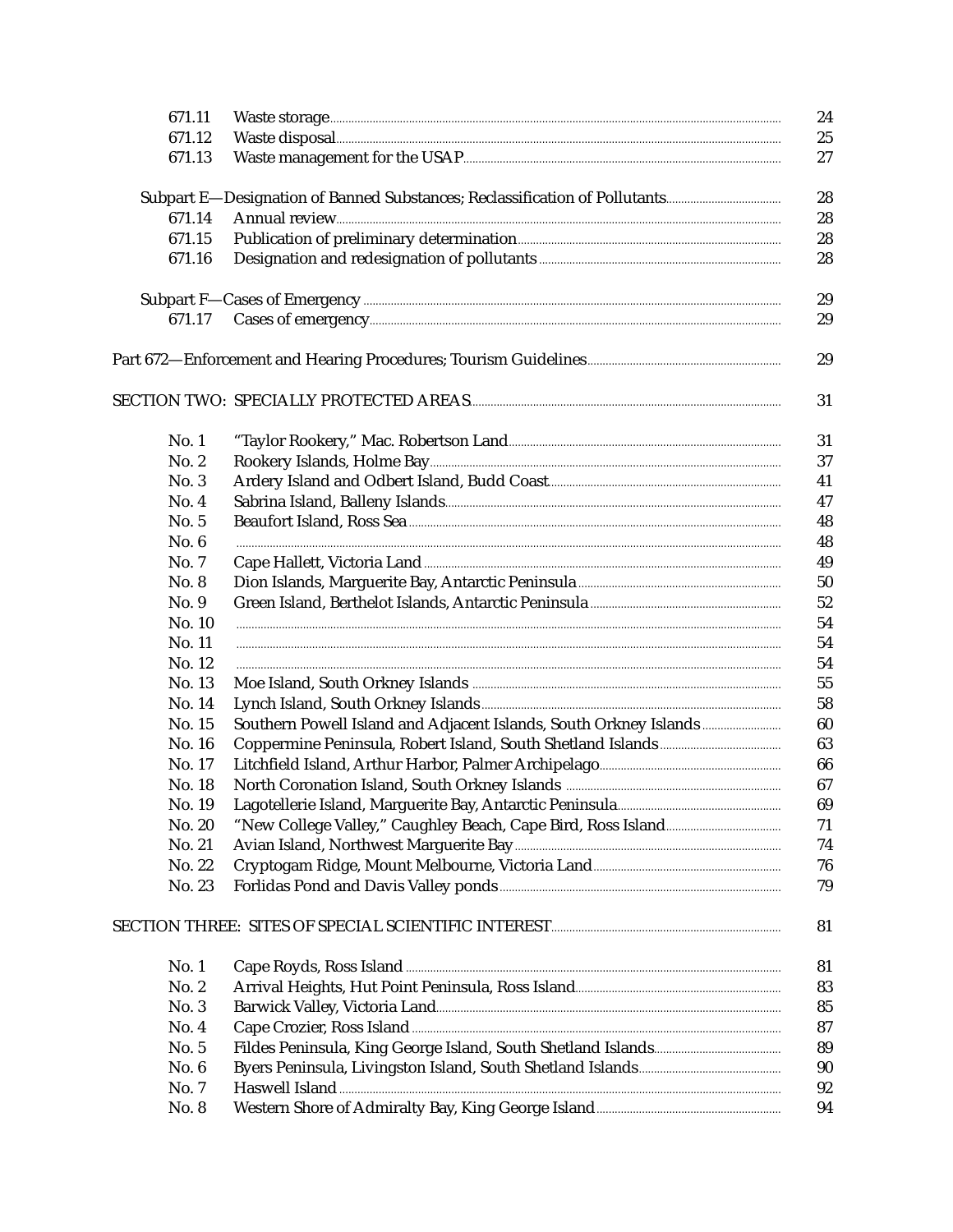| 671.11 |                                                                                                                                                                                                                                      | 24 |  |
|--------|--------------------------------------------------------------------------------------------------------------------------------------------------------------------------------------------------------------------------------------|----|--|
| 671.12 | Waste disposal <b>contract to the contract of the contract of the contract of the contract of the contract of the contract of the contract of the contract of the contract of the contract of the contract of the contract of th</b> |    |  |
| 671.13 |                                                                                                                                                                                                                                      |    |  |
|        |                                                                                                                                                                                                                                      | 28 |  |
| 671.14 |                                                                                                                                                                                                                                      | 28 |  |
| 671.15 |                                                                                                                                                                                                                                      | 28 |  |
| 671.16 |                                                                                                                                                                                                                                      | 28 |  |
|        |                                                                                                                                                                                                                                      | 29 |  |
| 671.17 |                                                                                                                                                                                                                                      | 29 |  |
|        |                                                                                                                                                                                                                                      | 29 |  |
|        |                                                                                                                                                                                                                                      | 31 |  |
| No. 1  |                                                                                                                                                                                                                                      | 31 |  |
| No. 2  |                                                                                                                                                                                                                                      | 37 |  |
| No.3   |                                                                                                                                                                                                                                      | 41 |  |
| No. 4  |                                                                                                                                                                                                                                      | 47 |  |
| No. 5  |                                                                                                                                                                                                                                      | 48 |  |
| No. 6  |                                                                                                                                                                                                                                      | 48 |  |
| No. 7  |                                                                                                                                                                                                                                      | 49 |  |
| No. 8  |                                                                                                                                                                                                                                      | 50 |  |
| No. 9  |                                                                                                                                                                                                                                      | 52 |  |
| No. 10 |                                                                                                                                                                                                                                      | 54 |  |
| No. 11 |                                                                                                                                                                                                                                      | 54 |  |
| No. 12 |                                                                                                                                                                                                                                      | 54 |  |
| No. 13 |                                                                                                                                                                                                                                      | 55 |  |
| No. 14 |                                                                                                                                                                                                                                      | 58 |  |
| No. 15 | Southern Powell Island and Adjacent Islands, South Orkney Islands                                                                                                                                                                    | 60 |  |
| No. 16 |                                                                                                                                                                                                                                      | 63 |  |
| No. 17 |                                                                                                                                                                                                                                      | 66 |  |
| No. 18 |                                                                                                                                                                                                                                      | 67 |  |
| No. 19 |                                                                                                                                                                                                                                      | 69 |  |
| No. 20 |                                                                                                                                                                                                                                      | 71 |  |
| No. 21 |                                                                                                                                                                                                                                      | 74 |  |
| No. 22 |                                                                                                                                                                                                                                      | 76 |  |
| No. 23 |                                                                                                                                                                                                                                      | 79 |  |
|        |                                                                                                                                                                                                                                      | 81 |  |
| No.1   |                                                                                                                                                                                                                                      | 81 |  |
| No. 2  |                                                                                                                                                                                                                                      | 83 |  |
| No. 3  |                                                                                                                                                                                                                                      | 85 |  |
| No. 4  |                                                                                                                                                                                                                                      | 87 |  |
| No. 5  |                                                                                                                                                                                                                                      | 89 |  |
| No. 6  |                                                                                                                                                                                                                                      | 90 |  |
| No. 7  |                                                                                                                                                                                                                                      | 92 |  |
| No. 8  |                                                                                                                                                                                                                                      | 94 |  |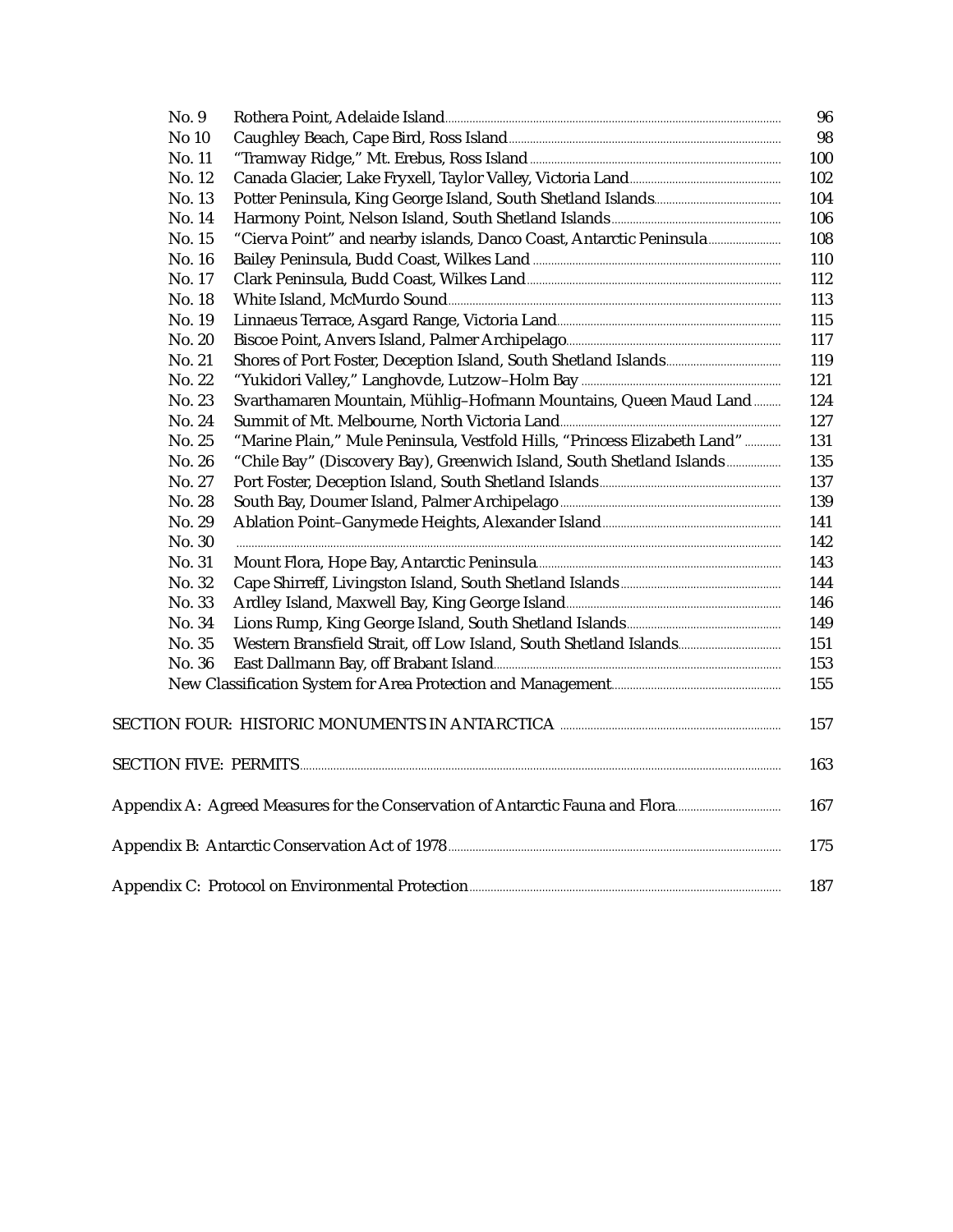| No. 9  |                                                                               | 96  |
|--------|-------------------------------------------------------------------------------|-----|
| No 10  |                                                                               |     |
| No. 11 |                                                                               | 100 |
| No. 12 |                                                                               | 102 |
| No. 13 |                                                                               | 104 |
| No. 14 |                                                                               | 106 |
| No. 15 |                                                                               | 108 |
| No. 16 |                                                                               | 110 |
| No. 17 |                                                                               | 112 |
| No. 18 |                                                                               | 113 |
| No. 19 |                                                                               | 115 |
| No. 20 |                                                                               | 117 |
| No. 21 |                                                                               | 119 |
| No. 22 |                                                                               | 121 |
| No. 23 | Svarthamaren Mountain, Mühlig-Hofmann Mountains, Queen Maud Land              | 124 |
| No. 24 |                                                                               | 127 |
| No. 25 | "Marine Plain," Mule Peninsula, Vestfold Hills, "Princess Elizabeth Land"     | 131 |
| No. 26 |                                                                               | 135 |
| No. 27 |                                                                               | 137 |
| No. 28 |                                                                               | 139 |
| No. 29 |                                                                               | 141 |
| No. 30 |                                                                               | 142 |
| No. 31 |                                                                               | 143 |
| No. 32 |                                                                               | 144 |
| No. 33 |                                                                               | 146 |
| No. 34 |                                                                               | 149 |
| No. 35 | Western Bransfield Strait, off Low Island, South Shetland Islands             | 151 |
| No. 36 |                                                                               | 153 |
|        |                                                                               | 155 |
|        |                                                                               | 157 |
|        |                                                                               | 163 |
|        | Appendix A: Agreed Measures for the Conservation of Antarctic Fauna and Flora | 167 |
|        |                                                                               | 175 |
|        |                                                                               | 187 |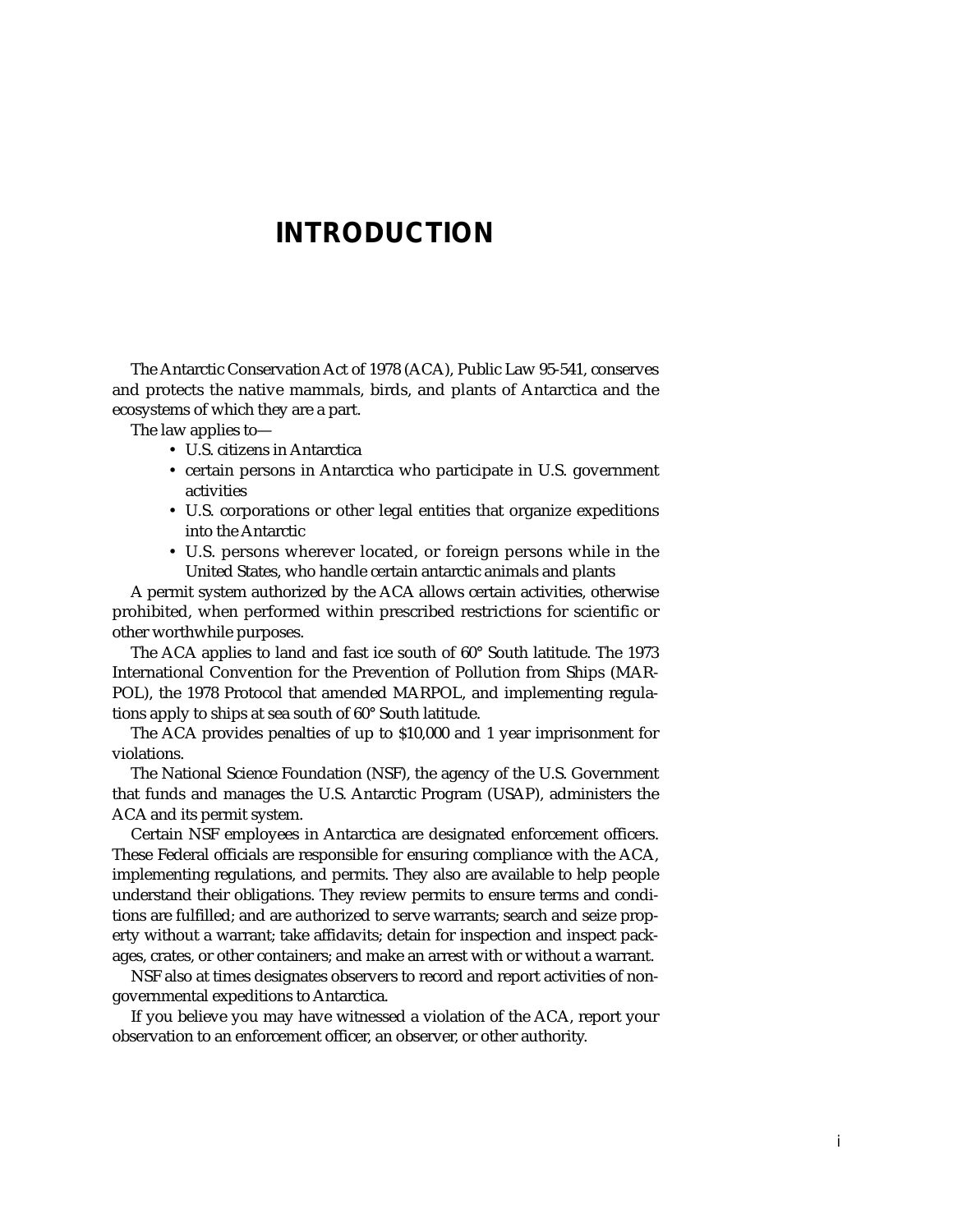# **INTRODUCTION**

The Antarctic Conservation Act of 1978 (ACA), Public Law 95-541, conserves and protects the native mammals, birds, and plants of Antarctica and the ecosystems of which they are a part.

The law applies to—

- U.S. citizens in Antarctica
- certain persons in Antarctica who participate in U.S. government activities
- U.S. corporations or other legal entities that organize expeditions into the Antarctic
- U.S. persons wherever located, or foreign persons while in the United States, who handle certain antarctic animals and plants

A permit system authorized by the ACA allows certain activities, otherwise prohibited, when performed within prescribed restrictions for scientific or other worthwhile purposes.

The ACA applies to land and fast ice south of 60° South latitude. The 1973 International Convention for the Prevention of Pollution from Ships (MAR-POL), the 1978 Protocol that amended MARPOL, and implementing regulations apply to ships at sea south of 60° South latitude.

The ACA provides penalties of up to \$10,000 and 1 year imprisonment for violations.

The National Science Foundation (NSF), the agency of the U.S. Government that funds and manages the U.S. Antarctic Program (USAP), administers the ACA and its permit system.

Certain NSF employees in Antarctica are designated enforcement officers. These Federal officials are responsible for ensuring compliance with the ACA, implementing regulations, and permits. They also are available to help people understand their obligations. They review permits to ensure terms and conditions are fulfilled; and are authorized to serve warrants; search and seize property without a warrant; take affidavits; detain for inspection and inspect packages, crates, or other containers; and make an arrest with or without a warrant.

NSF also at times designates observers to record and report activities of nongovernmental expeditions to Antarctica.

If you believe you may have witnessed a violation of the ACA, report your observation to an enforcement officer, an observer, or other authority.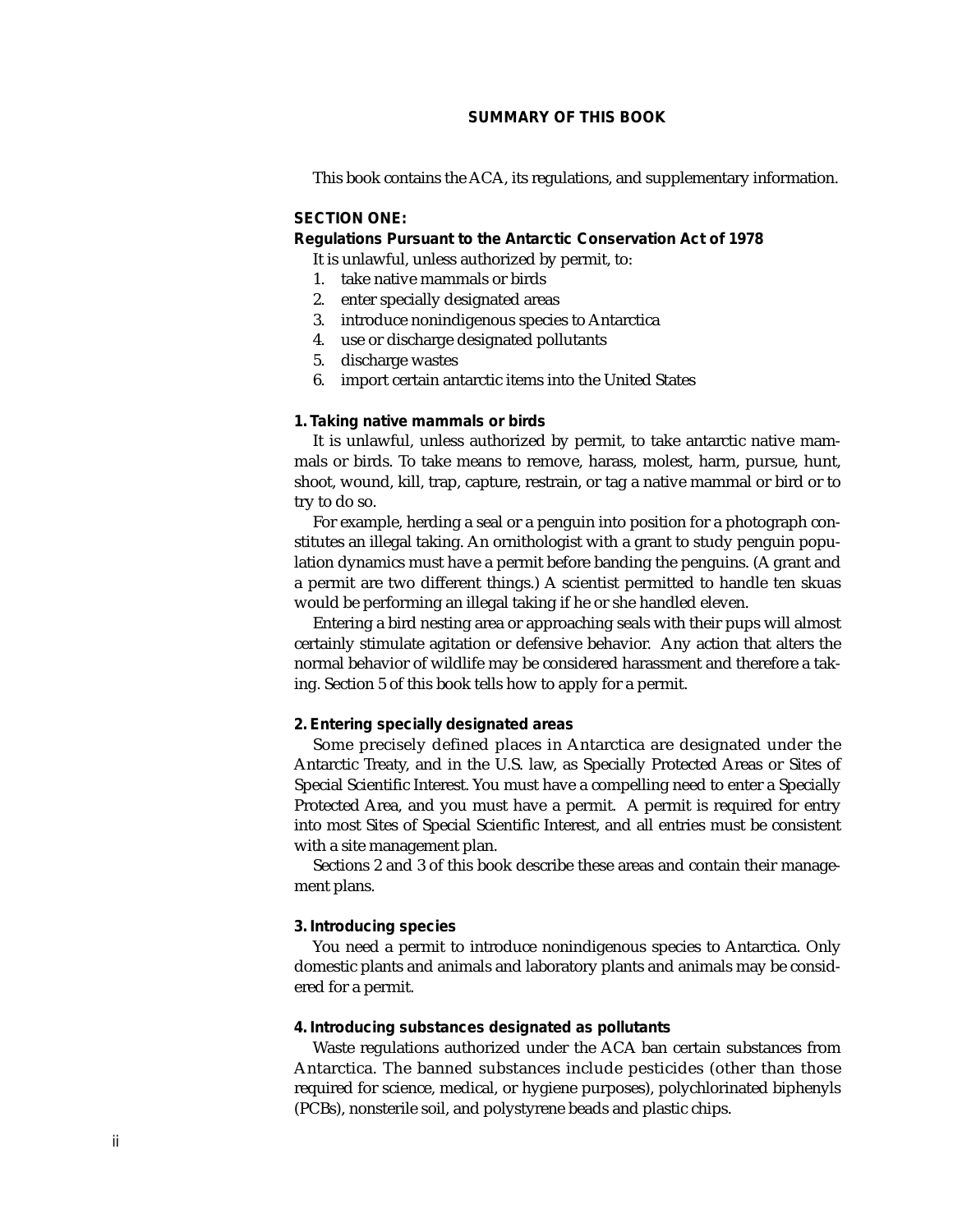## **SUMMARY OF THIS BOOK**

This book contains the ACA, its regulations, and supplementary information.

# **SECTION ONE:**

**Regulations Pursuant to the Antarctic Conservation Act of 1978**

It is unlawful, unless authorized by permit, to:

- 1. take native mammals or birds
- 2. enter specially designated areas
- 3. introduce nonindigenous species to Antarctica
- 4. use or discharge designated pollutants
- 5. discharge wastes
- 6. import certain antarctic items into the United States

#### **1. Taking native mammals or birds**

It is unlawful, unless authorized by permit, to take antarctic native mammals or birds. To take means to remove, harass, molest, harm, pursue, hunt, shoot, wound, kill, trap, capture, restrain, or tag a native mammal or bird or to try to do so.

For example, herding a seal or a penguin into position for a photograph constitutes an illegal taking. An ornithologist with a grant to study penguin population dynamics must have a permit before banding the penguins. (A grant and a permit are two different things.) A scientist permitted to handle ten skuas would be performing an illegal taking if he or she handled eleven.

Entering a bird nesting area or approaching seals with their pups will almost certainly stimulate agitation or defensive behavior. Any action that alters the normal behavior of wildlife may be considered harassment and therefore a taking. Section 5 of this book tells how to apply for a permit.

## **2. Entering specially designated areas**

Some precisely defined places in Antarctica are designated under the Antarctic Treaty, and in the U.S. law, as Specially Protected Areas or Sites of Special Scientific Interest. You must have a compelling need to enter a Specially Protected Area, and you must have a permit. A permit is required for entry into most Sites of Special Scientific Interest, and all entries must be consistent with a site management plan.

Sections 2 and 3 of this book describe these areas and contain their management plans.

#### **3. Introducing species**

You need a permit to introduce nonindigenous species to Antarctica. Only domestic plants and animals and laboratory plants and animals may be considered for a permit.

#### **4. Introducing substances designated as pollutants**

Waste regulations authorized under the ACA ban certain substances from Antarctica. The banned substances include pesticides (other than those required for science, medical, or hygiene purposes), polychlorinated biphenyls (PCBs), nonsterile soil, and polystyrene beads and plastic chips.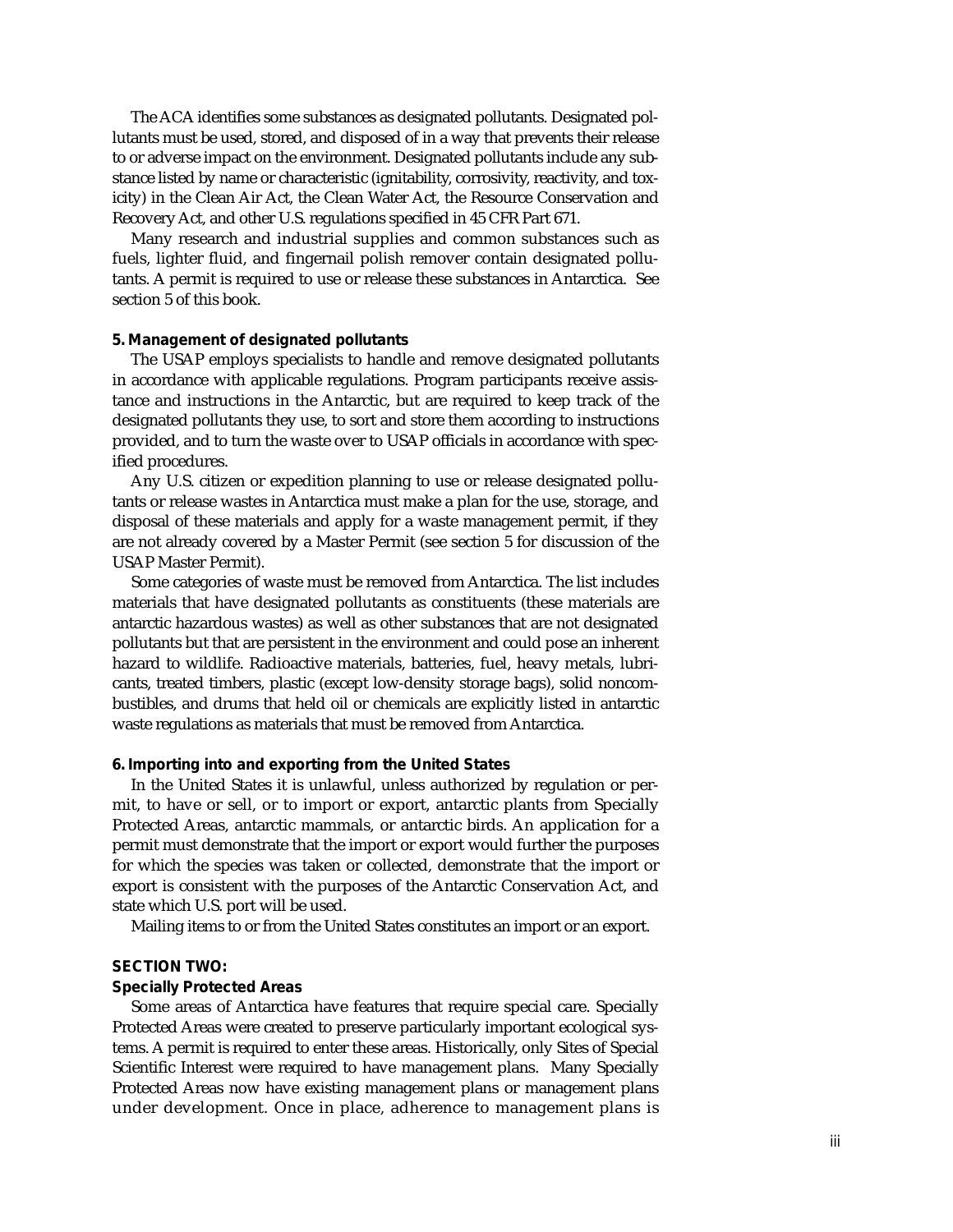The ACA identifies some substances as designated pollutants. Designated pollutants must be used, stored, and disposed of in a way that prevents their release to or adverse impact on the environment. Designated pollutants include any substance listed by name or characteristic (ignitability, corrosivity, reactivity, and toxicity) in the Clean Air Act, the Clean Water Act, the Resource Conservation and Recovery Act, and other U.S. regulations specified in 45 CFR Part 671.

Many research and industrial supplies and common substances such as fuels, lighter fluid, and fingernail polish remover contain designated pollutants. A permit is required to use or release these substances in Antarctica. See section 5 of this book.

#### **5. Management of designated pollutants**

The USAP employs specialists to handle and remove designated pollutants in accordance with applicable regulations. Program participants receive assistance and instructions in the Antarctic, but are required to keep track of the designated pollutants they use, to sort and store them according to instructions provided, and to turn the waste over to USAP officials in accordance with specified procedures.

Any U.S. citizen or expedition planning to use or release designated pollutants or release wastes in Antarctica must make a plan for the use, storage, and disposal of these materials and apply for a waste management permit, if they are not already covered by a Master Permit (see section 5 for discussion of the USAP Master Permit).

Some categories of waste must be removed from Antarctica. The list includes materials that have designated pollutants as constituents (these materials are antarctic hazardous wastes) as well as other substances that are not designated pollutants but that are persistent in the environment and could pose an inherent hazard to wildlife. Radioactive materials, batteries, fuel, heavy metals, lubricants, treated timbers, plastic (except low-density storage bags), solid noncombustibles, and drums that held oil or chemicals are explicitly listed in antarctic waste regulations as materials that must be removed from Antarctica.

#### **6. Importing into and exporting from the United States**

In the United States it is unlawful, unless authorized by regulation or permit, to have or sell, or to import or export, antarctic plants from Specially Protected Areas, antarctic mammals, or antarctic birds. An application for a permit must demonstrate that the import or export would further the purposes for which the species was taken or collected, demonstrate that the import or export is consistent with the purposes of the Antarctic Conservation Act, and state which U.S. port will be used.

Mailing items to or from the United States constitutes an import or an export.

# **SECTION TWO:**

#### **Specially Protected Areas**

Some areas of Antarctica have features that require special care. Specially Protected Areas were created to preserve particularly important ecological systems. A permit is required to enter these areas. Historically, only Sites of Special Scientific Interest were required to have management plans. Many Specially Protected Areas now have existing management plans or management plans under development. Once in place, adherence to management plans is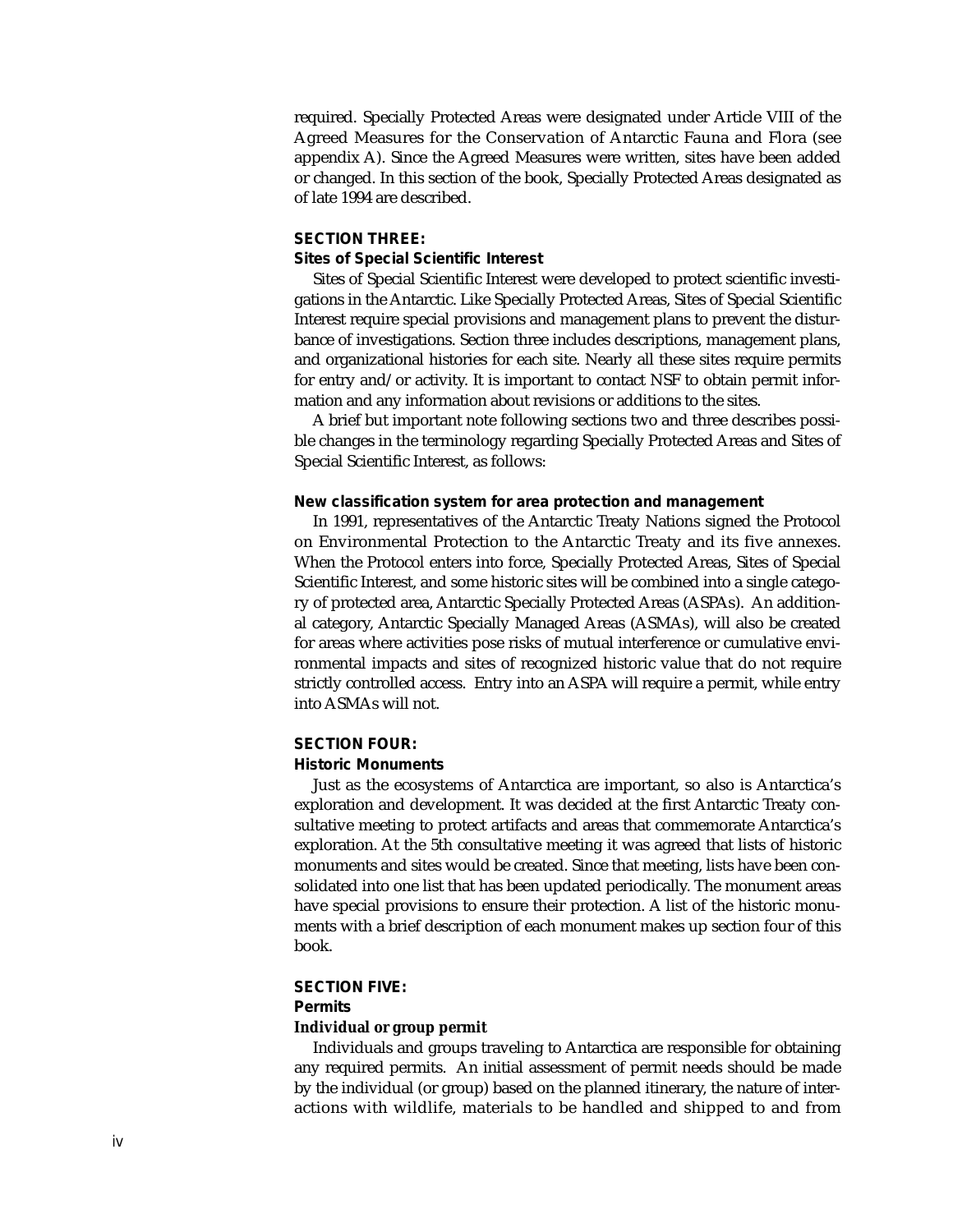required. Specially Protected Areas were designated under Article VIII of the Agreed Measures for the Conservation of Antarctic Fauna and Flora (see appendix A). Since the Agreed Measures were written, sites have been added or changed. In this section of the book, Specially Protected Areas designated as of late 1994 are described.

## **SECTION THREE:**

#### **Sites of Special Scientific Interest**

Sites of Special Scientific Interest were developed to protect scientific investigations in the Antarctic. Like Specially Protected Areas, Sites of Special Scientific Interest require special provisions and management plans to prevent the disturbance of investigations. Section three includes descriptions, management plans, and organizational histories for each site. Nearly all these sites require permits for entry and/or activity. It is important to contact NSF to obtain permit information and any information about revisions or additions to the sites.

A brief but important note following sections two and three describes possible changes in the terminology regarding Specially Protected Areas and Sites of Special Scientific Interest, as follows:

#### **New classification system for area protection and management**

In 1991, representatives of the Antarctic Treaty Nations signed the Protocol on Environmental Protection to the Antarctic Treaty and its five annexes. When the Protocol enters into force, Specially Protected Areas, Sites of Special Scientific Interest, and some historic sites will be combined into a single category of protected area, Antarctic Specially Protected Areas (ASPAs). An additional category, Antarctic Specially Managed Areas (ASMAs), will also be created for areas where activities pose risks of mutual interference or cumulative environmental impacts and sites of recognized historic value that do not require strictly controlled access. Entry into an ASPA will require a permit, while entry into ASMAs will not.

#### **SECTION FOUR:**

#### **Historic Monuments**

Just as the ecosystems of Antarctica are important, so also is Antarctica's exploration and development. It was decided at the first Antarctic Treaty consultative meeting to protect artifacts and areas that commemorate Antarctica's exploration. At the 5th consultative meeting it was agreed that lists of historic monuments and sites would be created. Since that meeting, lists have been consolidated into one list that has been updated periodically. The monument areas have special provisions to ensure their protection. A list of the historic monuments with a brief description of each monument makes up section four of this book.

#### **SECTION FIVE:**

#### **Permits**

#### **Individual or group permit**

Individuals and groups traveling to Antarctica are responsible for obtaining any required permits. An initial assessment of permit needs should be made by the individual (or group) based on the planned itinerary, the nature of interactions with wildlife, materials to be handled and shipped to and from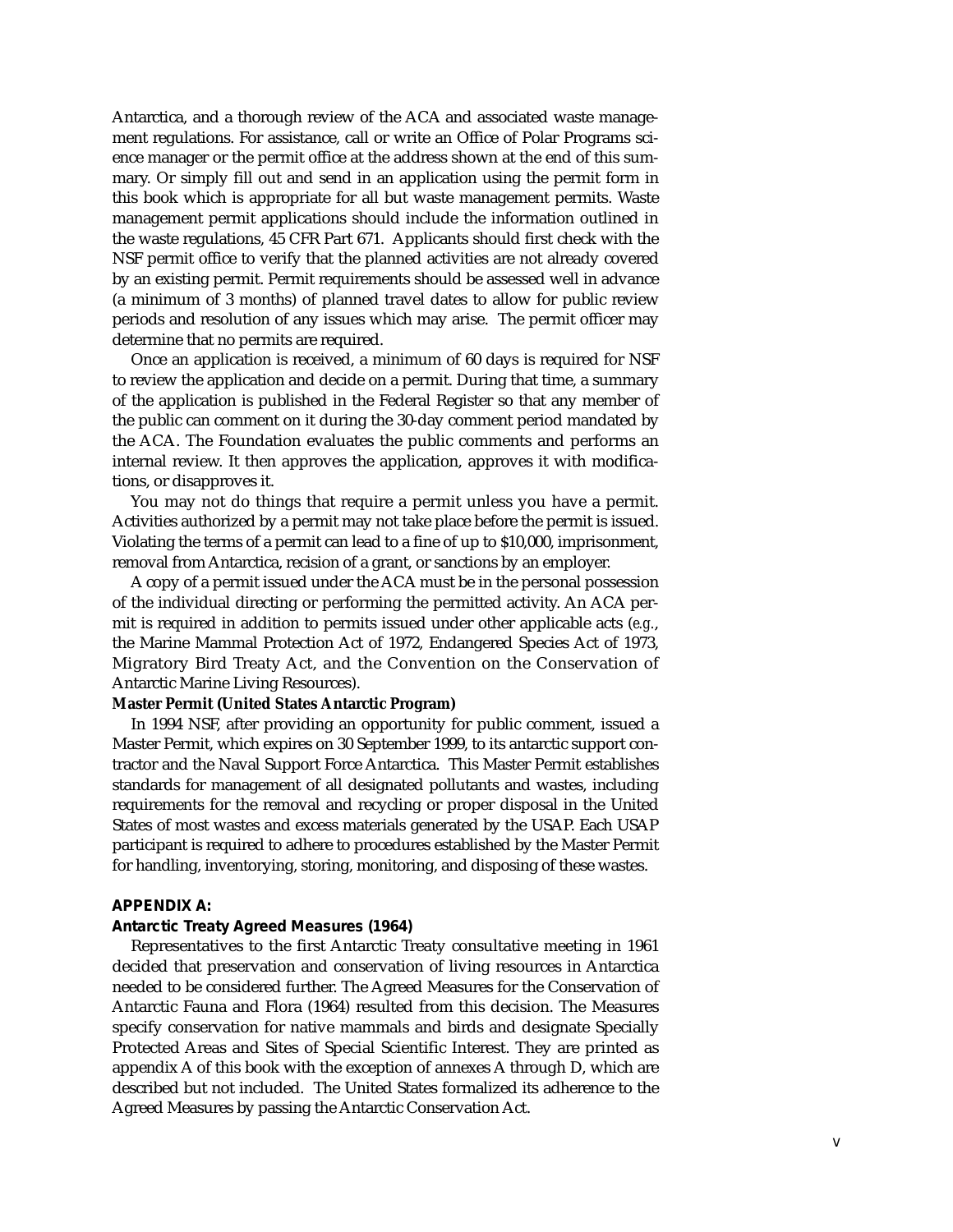Antarctica, and a thorough review of the ACA and associated waste management regulations. For assistance, call or write an Office of Polar Programs science manager or the permit office at the address shown at the end of this summary. Or simply fill out and send in an application using the permit form in this book which is appropriate for all but waste management permits. Waste management permit applications should include the information outlined in the waste regulations, 45 CFR Part 671. Applicants should first check with the NSF permit office to verify that the planned activities are not already covered by an existing permit. Permit requirements should be assessed well in advance (a minimum of 3 months) of planned travel dates to allow for public review periods and resolution of any issues which may arise. The permit officer may determine that no permits are required.

Once an application is received, a minimum of 60 days is required for NSF to review the application and decide on a permit. During that time, a summary of the application is published in the Federal Register so that any member of the public can comment on it during the 30-day comment period mandated by the ACA. The Foundation evaluates the public comments and performs an internal review. It then approves the application, approves it with modifications, or disapproves it.

You may not do things that require a permit unless you have a permit. Activities authorized by a permit may not take place before the permit is issued. Violating the terms of a permit can lead to a fine of up to \$10,000, imprisonment, removal from Antarctica, recision of a grant, or sanctions by an employer.

A copy of a permit issued under the ACA must be in the personal possession of the individual directing or performing the permitted activity. An ACA permit is required in addition to permits issued under other applicable acts (*e.g.*, the Marine Mammal Protection Act of 1972, Endangered Species Act of 1973, Migratory Bird Treaty Act, and the Convention on the Conservation of Antarctic Marine Living Resources).

# **Master Permit (United States Antarctic Program)**

In 1994 NSF, after providing an opportunity for public comment, issued a Master Permit, which expires on 30 September 1999, to its antarctic support contractor and the Naval Support Force Antarctica. This Master Permit establishes standards for management of all designated pollutants and wastes, including requirements for the removal and recycling or proper disposal in the United States of most wastes and excess materials generated by the USAP. Each USAP participant is required to adhere to procedures established by the Master Permit for handling, inventorying, storing, monitoring, and disposing of these wastes.

#### **APPENDIX A:**

#### **Antarctic Treaty Agreed Measures (1964)**

Representatives to the first Antarctic Treaty consultative meeting in 1961 decided that preservation and conservation of living resources in Antarctica needed to be considered further. The Agreed Measures for the Conservation of Antarctic Fauna and Flora (1964) resulted from this decision. The Measures specify conservation for native mammals and birds and designate Specially Protected Areas and Sites of Special Scientific Interest. They are printed as appendix A of this book with the exception of annexes A through D, which are described but not included. The United States formalized its adherence to the Agreed Measures by passing the Antarctic Conservation Act.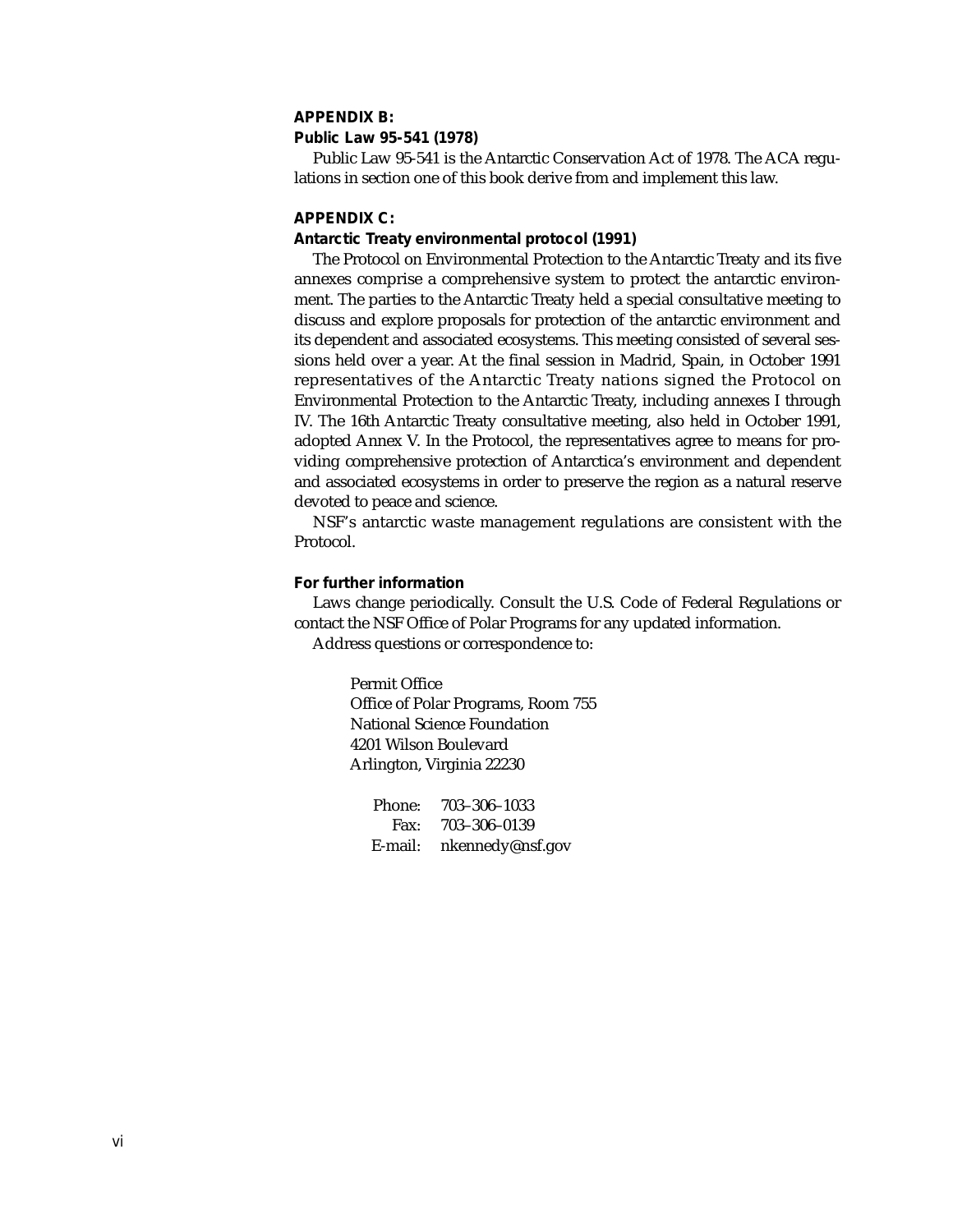#### **APPENDIX B:**

#### **Public Law 95-541 (1978)**

Public Law 95-541 is the Antarctic Conservation Act of 1978. The ACA regulations in section one of this book derive from and implement this law.

### **APPENDIX C:**

# **Antarctic Treaty environmental protocol (1991)**

The Protocol on Environmental Protection to the Antarctic Treaty and its five annexes comprise a comprehensive system to protect the antarctic environment. The parties to the Antarctic Treaty held a special consultative meeting to discuss and explore proposals for protection of the antarctic environment and its dependent and associated ecosystems. This meeting consisted of several sessions held over a year. At the final session in Madrid, Spain, in October 1991 representatives of the Antarctic Treaty nations signed the Protocol on Environmental Protection to the Antarctic Treaty, including annexes I through IV. The 16th Antarctic Treaty consultative meeting, also held in October 1991, adopted Annex V. In the Protocol, the representatives agree to means for providing comprehensive protection of Antarctica's environment and dependent and associated ecosystems in order to preserve the region as a natural reserve devoted to peace and science.

NSF's antarctic waste management regulations are consistent with the Protocol.

#### *For further information*

Laws change periodically. Consult the U.S. Code of Federal Regulations or contact the NSF Office of Polar Programs for any updated information. Address questions or correspondence to:

> Permit Office Office of Polar Programs, Room 755 National Science Foundation 4201 Wilson Boulevard Arlington, Virginia 22230

| Phone: 703-306-1033      |
|--------------------------|
| Fax: 703-306-0139        |
| E-mail: nkennedy@nsf.gov |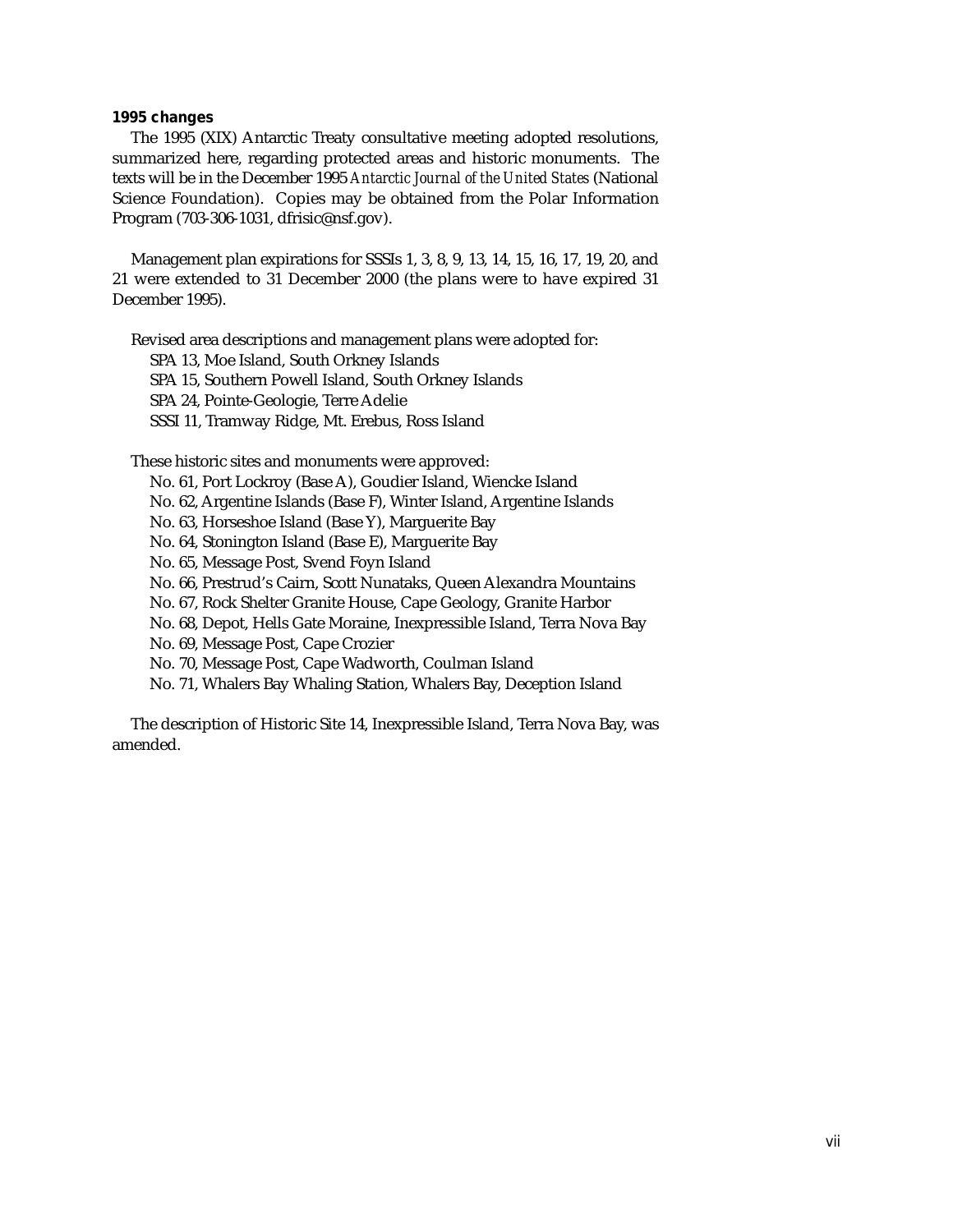## **1995 changes**

The 1995 (XIX) Antarctic Treaty consultative meeting adopted resolutions, summarized here, regarding protected areas and historic monuments. The texts will be in the December 1995 *Antarctic Journal of the United States* (National Science Foundation). Copies may be obtained from the Polar Information Program (703-306-1031, dfrisic@nsf.gov).

Management plan expirations for SSSIs 1, 3, 8, 9, 13, 14, 15, 16, 17, 19, 20, and 21 were extended to 31 December 2000 (the plans were to have expired 31 December 1995).

Revised area descriptions and management plans were adopted for: SPA 13, Moe Island, South Orkney Islands SPA 15, Southern Powell Island, South Orkney Islands SPA 24, Pointe-Geologie, Terre Adelie SSSI 11, Tramway Ridge, Mt. Erebus, Ross Island

These historic sites and monuments were approved:

No. 61, Port Lockroy (Base A), Goudier Island, Wiencke Island

No. 62, Argentine Islands (Base F), Winter Island, Argentine Islands

No. 63, Horseshoe Island (Base Y), Marguerite Bay

No. 64, Stonington Island (Base E), Marguerite Bay

No. 65, Message Post, Svend Foyn Island

No. 66, Prestrud's Cairn, Scott Nunataks, Queen Alexandra Mountains

No. 67, Rock Shelter Granite House, Cape Geology, Granite Harbor

No. 68, Depot, Hells Gate Moraine, Inexpressible Island, Terra Nova Bay

No. 69, Message Post, Cape Crozier

No. 70, Message Post, Cape Wadworth, Coulman Island

No. 71, Whalers Bay Whaling Station, Whalers Bay, Deception Island

The description of Historic Site 14, Inexpressible Island, Terra Nova Bay, was amended.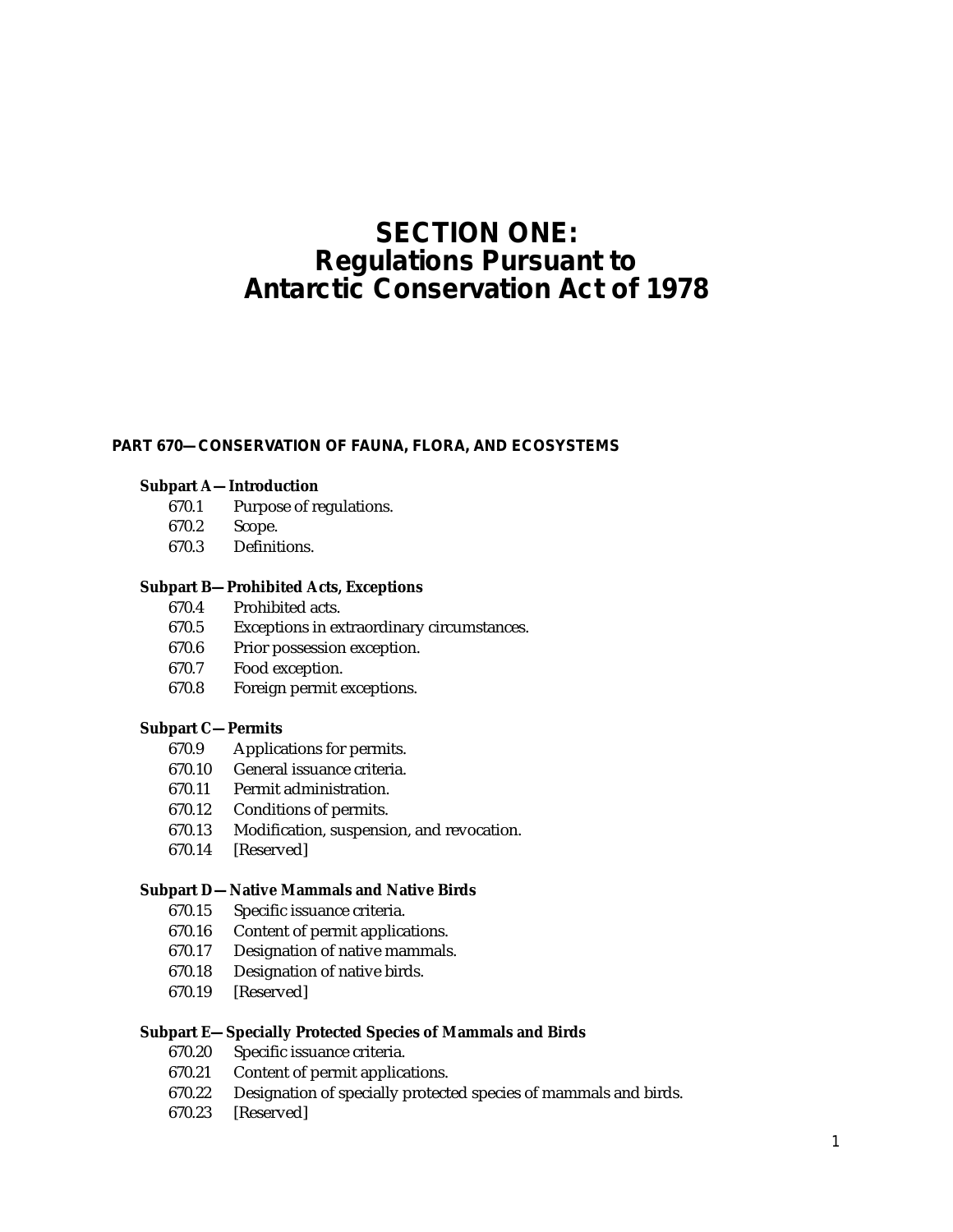# **SECTION ONE: Regulations Pursuant to Antarctic Conservation Act of 1978**

# **PART 670—CONSERVATION OF FAUNA, FLORA, AND ECOSYSTEMS**

#### **Subpart A—Introduction**

- 670.1 Purpose of regulations.
- 670.2 Scope.
- 670.3 Definitions.

#### **Subpart B—Prohibited Acts, Exceptions**

- 670.4 Prohibited acts.
- 670.5 Exceptions in extraordinary circumstances.
- 670.6 Prior possession exception.
- 670.7 Food exception.
- 670.8 Foreign permit exceptions.

#### **Subpart C—Permits**

- 670.9 Applications for permits.
- 670.10 General issuance criteria.
- 670.11 Permit administration.
- 670.12 Conditions of permits.
- 670.13 Modification, suspension, and revocation.
- 670.14 [Reserved]

# **Subpart D—Native Mammals and Native Birds**

- 670.15 Specific issuance criteria.
- 670.16 Content of permit applications.
- 670.17 Designation of native mammals.
- 670.18 Designation of native birds.
- 670.19 [Reserved]

### **Subpart E—Specially Protected Species of Mammals and Birds**

- 670.20 Specific issuance criteria.
- 670.21 Content of permit applications.
- 670.22 Designation of specially protected species of mammals and birds.
- 670.23 [Reserved]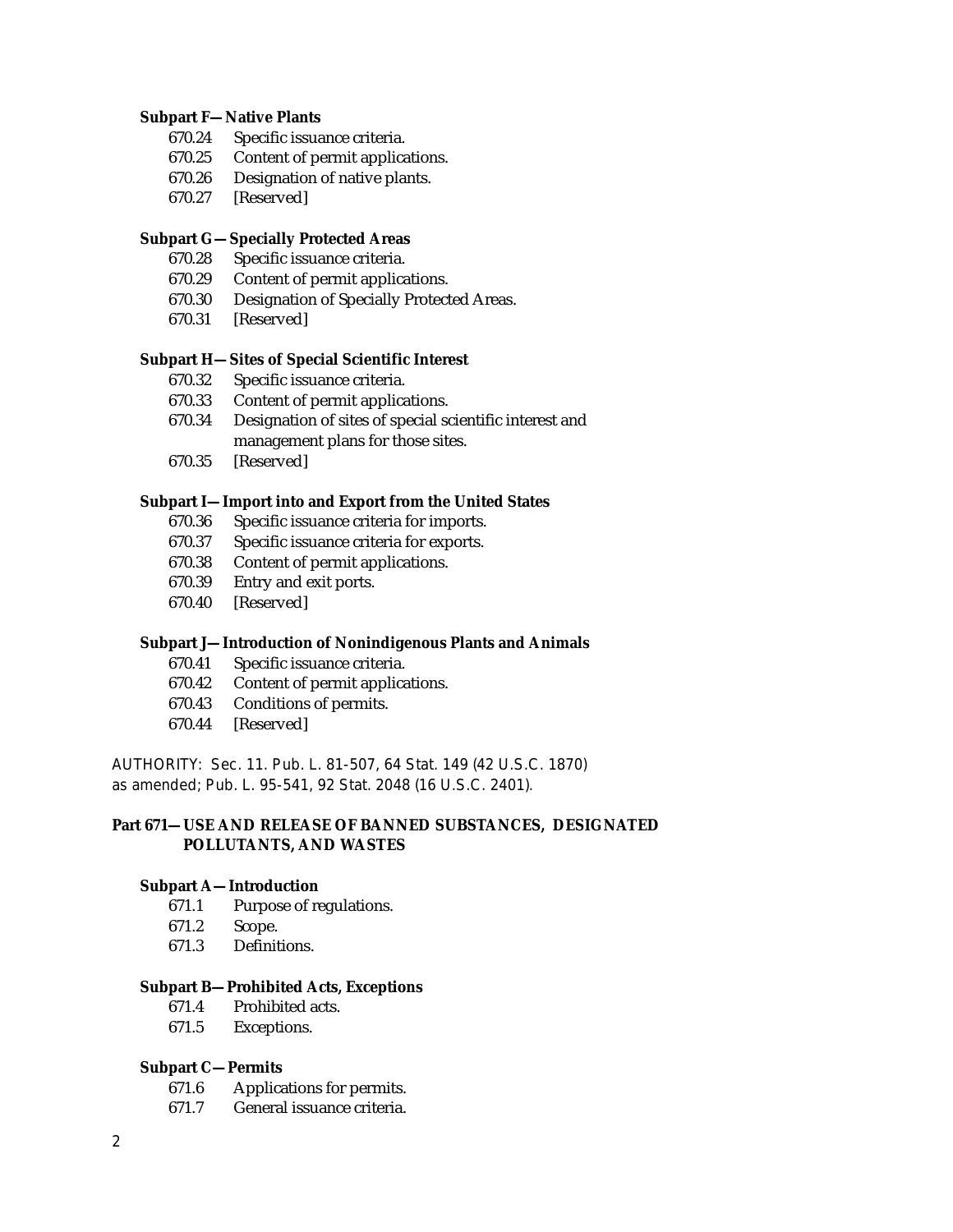#### **Subpart F—Native Plants**

- 670.24 Specific issuance criteria.
- 670.25 Content of permit applications.
- 670.26 Designation of native plants.
- 670.27 [Reserved]

## **Subpart G—Specially Protected Areas**

- 670.28 Specific issuance criteria.
- 670.29 Content of permit applications.
- 670.30 Designation of Specially Protected Areas.
- 670.31 [Reserved]

#### **Subpart H—Sites of Special Scientific Interest**

- 670.32 Specific issuance criteria.
- 670.33 Content of permit applications.
- 670.34 Designation of sites of special scientific interest and management plans for those sites.
- 670.35 [Reserved]

### **Subpart I—Import into and Export from the United States**

- 670.36 Specific issuance criteria for imports.
- 670.37 Specific issuance criteria for exports.
- 670.38 Content of permit applications.
- 670.39 Entry and exit ports.
- 670.40 [Reserved]

#### **Subpart J—Introduction of Nonindigenous Plants and Animals**

- 670.41 Specific issuance criteria.
- 670.42 Content of permit applications.
- 670.43 Conditions of permits.
- 670.44 [Reserved]

*AUTHORITY: Sec. 11. Pub. L. 81-507, 64 Stat. 149 (42 U.S.C. 1870) as amended; Pub. L. 95-541, 92 Stat. 2048 (16 U.S.C. 2401).*

# **Part 671—USE AND RELEASE OF BANNED SUBSTANCES, DESIGNATED POLLUTANTS, AND WASTES**

#### **Subpart A—Introduction**

- 671.1 Purpose of regulations.
- 671.2 Scope.
- 671.3 Definitions.

#### **Subpart B—Prohibited Acts, Exceptions**

- 671.4 Prohibited acts.
- 671.5 Exceptions.

#### **Subpart C—Permits**

- 671.6 Applications for permits.
- 671.7 General issuance criteria.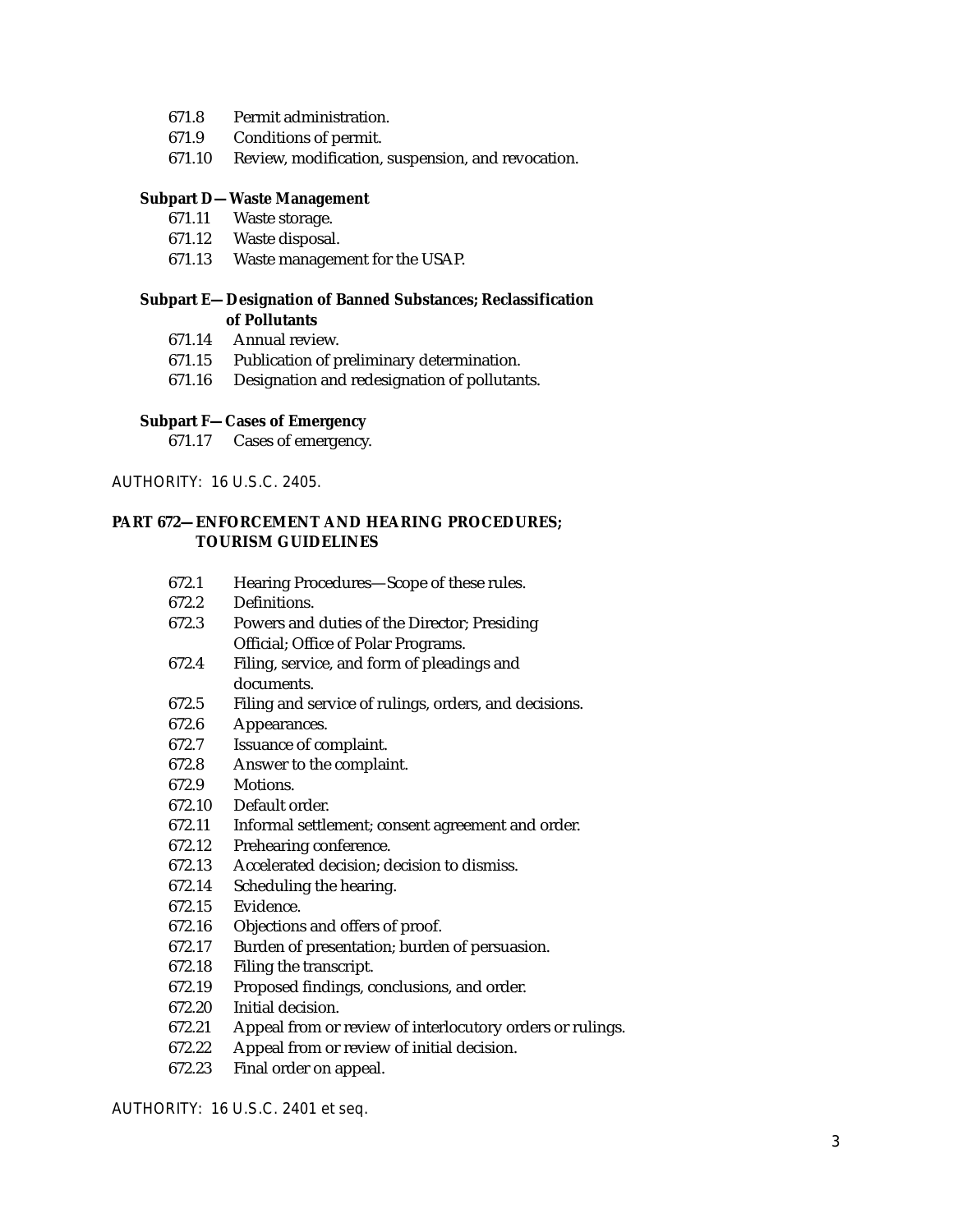- 671.8 Permit administration.
- 671.9 Conditions of permit.
- 671.10 Review, modification, suspension, and revocation.

# **Subpart D—Waste Management**

- 671.11 Waste storage.
- 671.12 Waste disposal.
- 671.13 Waste management for the USAP.

#### **Subpart E—Designation of Banned Substances; Reclassification of Pollutants**

- 671.14 Annual review.
- 671.15 Publication of preliminary determination.
- 671.16 Designation and redesignation of pollutants.

# **Subpart F—Cases of Emergency**

671.17 Cases of emergency.

*AUTHORITY: 16 U.S.C. 2405.*

# **PART 672—ENFORCEMENT AND HEARING PROCEDURES; TOURISM GUIDELINES**

- 672.1 Hearing Procedures—Scope of these rules.
- 672.2 Definitions.
- 672.3 Powers and duties of the Director; Presiding Official; Office of Polar Programs.
- 672.4 Filing, service, and form of pleadings and documents.
- 672.5 Filing and service of rulings, orders, and decisions.
- 672.6 Appearances.
- 672.7 Issuance of complaint.
- 672.8 Answer to the complaint.
- 672.9 Motions.
- 672.10 Default order.
- 672.11 Informal settlement; consent agreement and order.
- 672.12 Prehearing conference.
- 672.13 Accelerated decision; decision to dismiss.
- 672.14 Scheduling the hearing.
- 672.15 Evidence.
- 672.16 Objections and offers of proof.
- 672.17 Burden of presentation; burden of persuasion.
- 672.18 Filing the transcript.
- 672.19 Proposed findings, conclusions, and order.
- 672.20 Initial decision.
- 672.21 Appeal from or review of interlocutory orders or rulings.
- 672.22 Appeal from or review of initial decision.
- 672.23 Final order on appeal.

*AUTHORITY: 16 U.S.C. 2401 et seq.*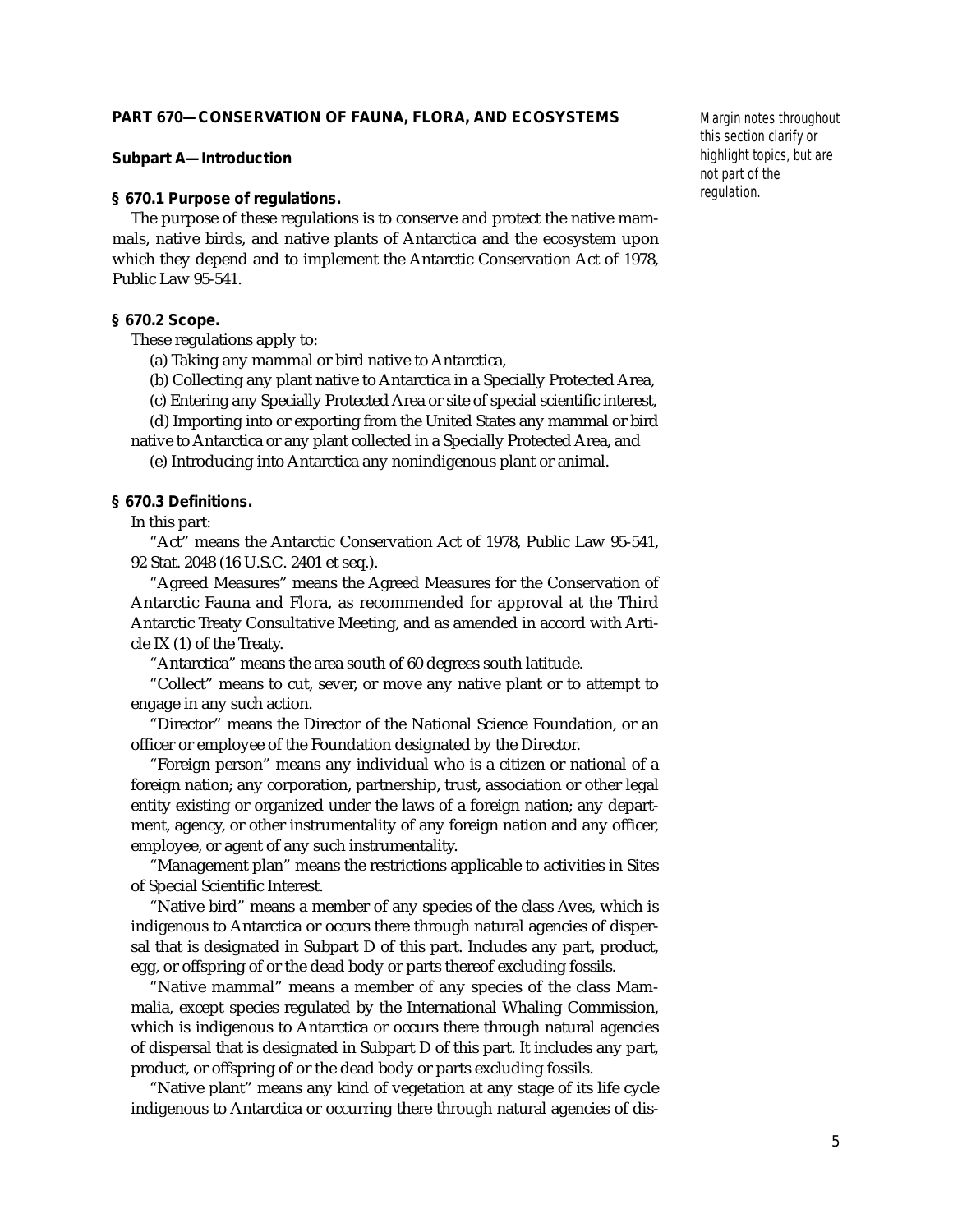## **Subpart A—Introduction**

# **§ 670.1 Purpose of regulations.**

The purpose of these regulations is to conserve and protect the native mammals, native birds, and native plants of Antarctica and the ecosystem upon which they depend and to implement the Antarctic Conservation Act of 1978, Public Law 95-541.

#### **§ 670.2 Scope.**

These regulations apply to:

(a) Taking any mammal or bird native to Antarctica,

(b) Collecting any plant native to Antarctica in a Specially Protected Area,

(c) Entering any Specially Protected Area or site of special scientific interest,

(d) Importing into or exporting from the United States any mammal or bird

native to Antarctica or any plant collected in a Specially Protected Area, and (e) Introducing into Antarctica any nonindigenous plant or animal.

#### **§ 670.3 Definitions.**

In this part:

"Act" means the Antarctic Conservation Act of 1978, Public Law 95-541, 92 Stat. 2048 (16 U.S.C. 2401 et seq.).

"Agreed Measures" means the Agreed Measures for the Conservation of Antarctic Fauna and Flora, as recommended for approval at the Third Antarctic Treaty Consultative Meeting, and as amended in accord with Article IX (1) of the Treaty.

"Antarctica" means the area south of 60 degrees south latitude.

"Collect" means to cut, sever, or move any native plant or to attempt to engage in any such action.

"Director" means the Director of the National Science Foundation, or an officer or employee of the Foundation designated by the Director.

"Foreign person" means any individual who is a citizen or national of a foreign nation; any corporation, partnership, trust, association or other legal entity existing or organized under the laws of a foreign nation; any department, agency, or other instrumentality of any foreign nation and any officer, employee, or agent of any such instrumentality.

"Management plan" means the restrictions applicable to activities in Sites of Special Scientific Interest.

"Native bird" means a member of any species of the class Aves, which is indigenous to Antarctica or occurs there through natural agencies of dispersal that is designated in Subpart D of this part. Includes any part, product, egg, or offspring of or the dead body or parts thereof excluding fossils.

"Native mammal" means a member of any species of the class Mammalia, except species regulated by the International Whaling Commission, which is indigenous to Antarctica or occurs there through natural agencies of dispersal that is designated in Subpart D of this part. It includes any part, product, or offspring of or the dead body or parts excluding fossils.

"Native plant" means any kind of vegetation at any stage of its life cycle indigenous to Antarctica or occurring there through natural agencies of dis-

Margin notes throughout this section clarify or highlight topics, but are not part of the regulation.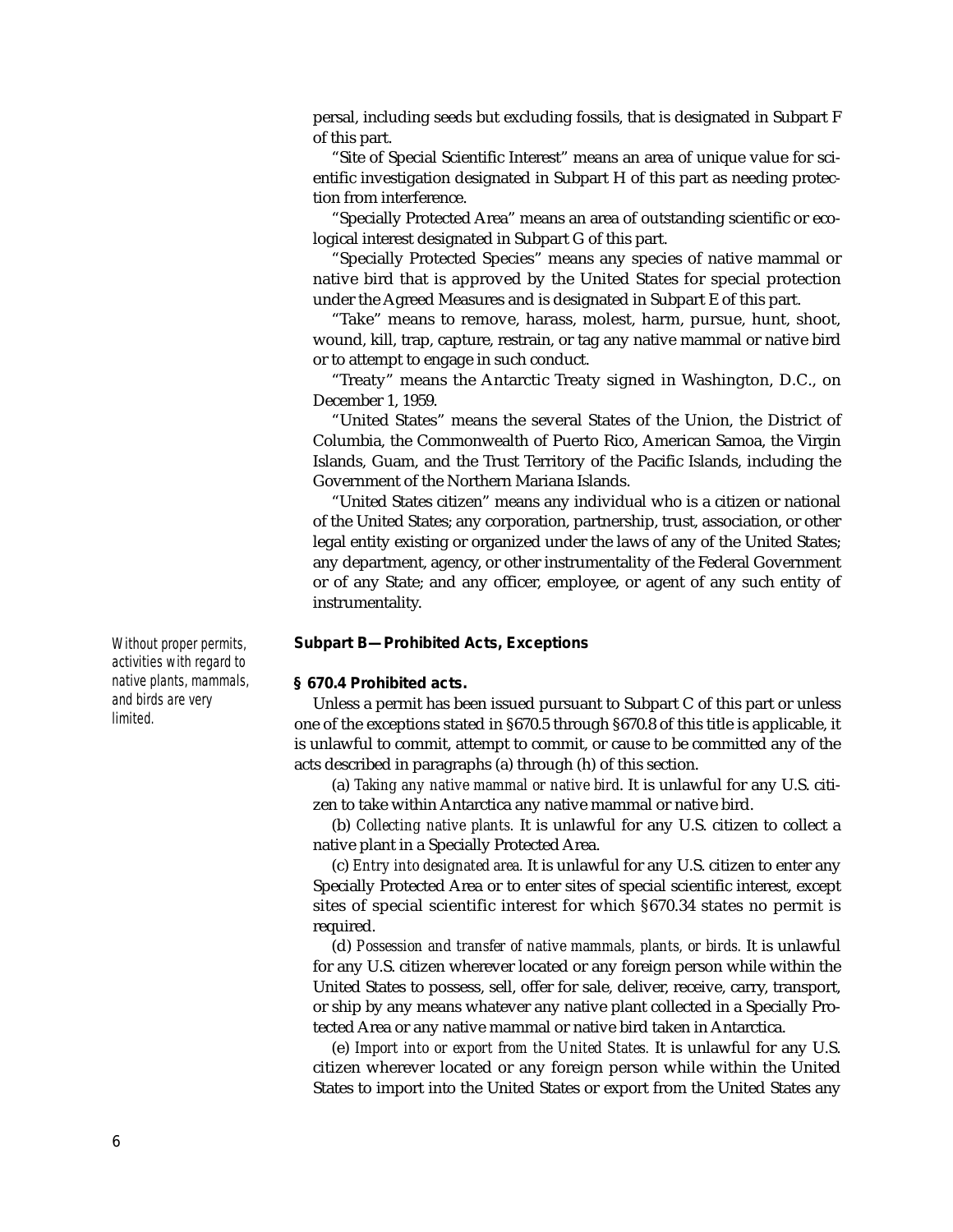persal, including seeds but excluding fossils, that is designated in Subpart F of this part.

"Site of Special Scientific Interest" means an area of unique value for scientific investigation designated in Subpart H of this part as needing protection from interference.

"Specially Protected Area" means an area of outstanding scientific or ecological interest designated in Subpart G of this part.

"Specially Protected Species" means any species of native mammal or native bird that is approved by the United States for special protection under the Agreed Measures and is designated in Subpart E of this part.

"Take" means to remove, harass, molest, harm, pursue, hunt, shoot, wound, kill, trap, capture, restrain, or tag any native mammal or native bird or to attempt to engage in such conduct.

"Treaty" means the Antarctic Treaty signed in Washington, D.C., on December 1, 1959.

"United States" means the several States of the Union, the District of Columbia, the Commonwealth of Puerto Rico, American Samoa, the Virgin Islands, Guam, and the Trust Territory of the Pacific Islands, including the Government of the Northern Mariana Islands.

"United States citizen" means any individual who is a citizen or national of the United States; any corporation, partnership, trust, association, or other legal entity existing or organized under the laws of any of the United States; any department, agency, or other instrumentality of the Federal Government or of any State; and any officer, employee, or agent of any such entity of instrumentality.

#### **Subpart B—Prohibited Acts, Exceptions**

#### **§ 670.4 Prohibited acts.**

Unless a permit has been issued pursuant to Subpart C of this part or unless one of the exceptions stated in §670.5 through §670.8 of this title is applicable, it is unlawful to commit, attempt to commit, or cause to be committed any of the acts described in paragraphs (a) through (h) of this section.

(a) *Taking any native mammal or native bird*. It is unlawful for any U.S. citizen to take within Antarctica any native mammal or native bird.

(b) *Collecting native plants.* It is unlawful for any U.S. citizen to collect a native plant in a Specially Protected Area.

(c) *Entry into designated area.* It is unlawful for any U.S. citizen to enter any Specially Protected Area or to enter sites of special scientific interest, except sites of special scientific interest for which §670.34 states no permit is required.

(d) *Possession and transfer of native mammals, plants, or birds.* It is unlawful for any U.S. citizen wherever located or any foreign person while within the United States to possess, sell, offer for sale, deliver, receive, carry, transport, or ship by any means whatever any native plant collected in a Specially Protected Area or any native mammal or native bird taken in Antarctica.

(e) *Import into or export from the United States.* It is unlawful for any U.S. citizen wherever located or any foreign person while within the United States to import into the United States or export from the United States any

Without proper permits, activities with regard to native plants, mammals, and birds are very limited.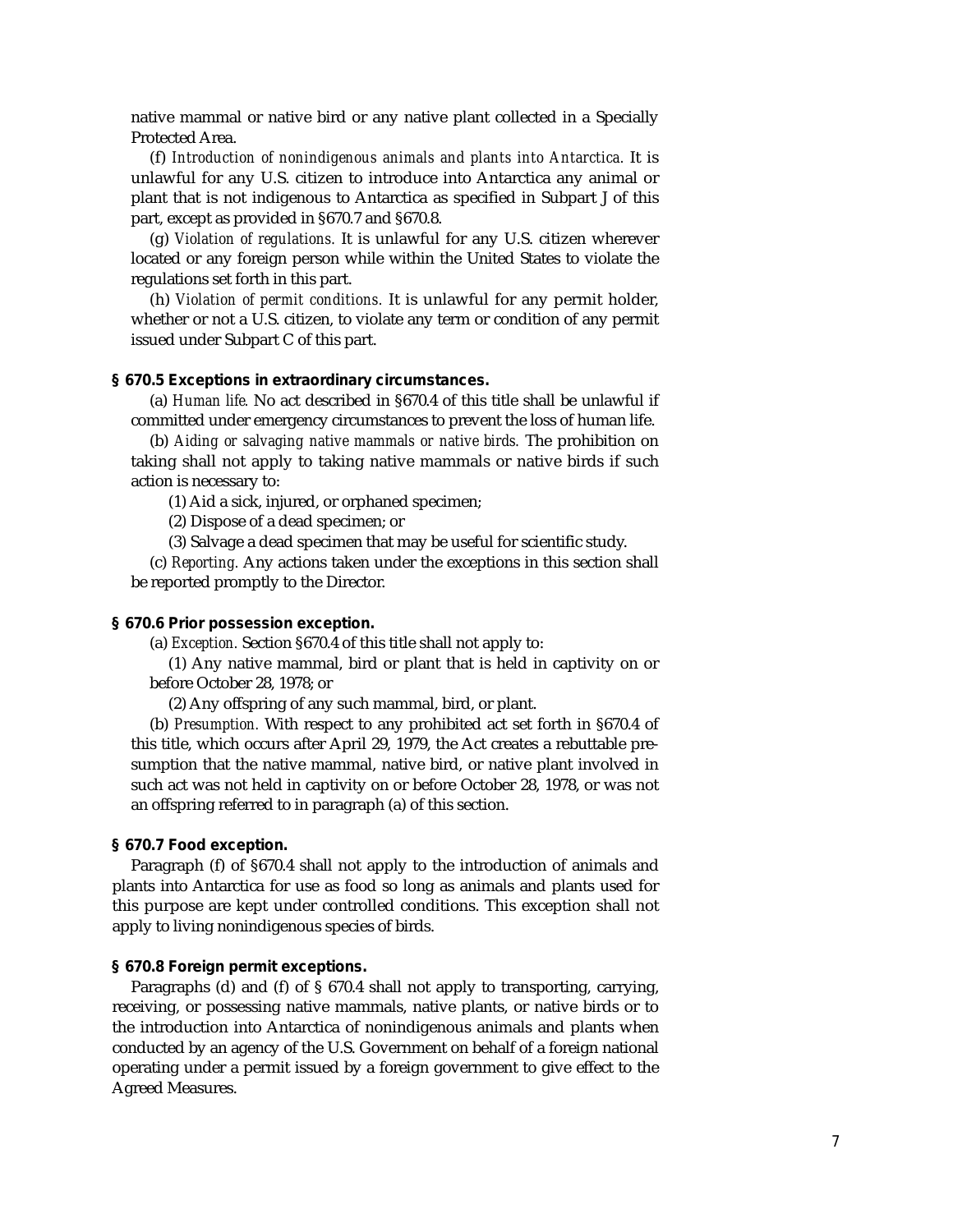native mammal or native bird or any native plant collected in a Specially Protected Area.

(f) *Introduction of nonindigenous animals and plants into Antarctica.* It is unlawful for any U.S. citizen to introduce into Antarctica any animal or plant that is not indigenous to Antarctica as specified in Subpart J of this part, except as provided in §670.7 and §670.8.

(g) *Violation of regulations.* It is unlawful for any U.S. citizen wherever located or any foreign person while within the United States to violate the regulations set forth in this part.

(h) *Violation of permit conditions.* It is unlawful for any permit holder, whether or not a U.S. citizen, to violate any term or condition of any permit issued under Subpart C of this part.

#### **§ 670.5 Exceptions in extraordinary circumstances.**

(a) *Human life.* No act described in §670.4 of this title shall be unlawful if committed under emergency circumstances to prevent the loss of human life.

(b) *Aiding or salvaging native mammals or native birds.* The prohibition on taking shall not apply to taking native mammals or native birds if such action is necessary to:

(1) Aid a sick, injured, or orphaned specimen;

(2) Dispose of a dead specimen; or

(3) Salvage a dead specimen that may be useful for scientific study.

(c) *Reporting.* Any actions taken under the exceptions in this section shall be reported promptly to the Director.

#### **§ 670.6 Prior possession exception.**

(a) *Exception.* Section §670.4 of this title shall not apply to:

(1) Any native mammal, bird or plant that is held in captivity on or before October 28, 1978; or

(2) Any offspring of any such mammal, bird, or plant.

(b) *Presumption.* With respect to any prohibited act set forth in §670.4 of this title, which occurs after April 29, 1979, the Act creates a rebuttable presumption that the native mammal, native bird, or native plant involved in such act was not held in captivity on or before October 28, 1978, or was not an offspring referred to in paragraph (a) of this section.

# **§ 670.7 Food exception.**

Paragraph (f) of §670.4 shall not apply to the introduction of animals and plants into Antarctica for use as food so long as animals and plants used for this purpose are kept under controlled conditions. This exception shall not apply to living nonindigenous species of birds.

# **§ 670.8 Foreign permit exceptions.**

Paragraphs (d) and (f) of § 670.4 shall not apply to transporting, carrying, receiving, or possessing native mammals, native plants, or native birds or to the introduction into Antarctica of nonindigenous animals and plants when conducted by an agency of the U.S. Government on behalf of a foreign national operating under a permit issued by a foreign government to give effect to the Agreed Measures.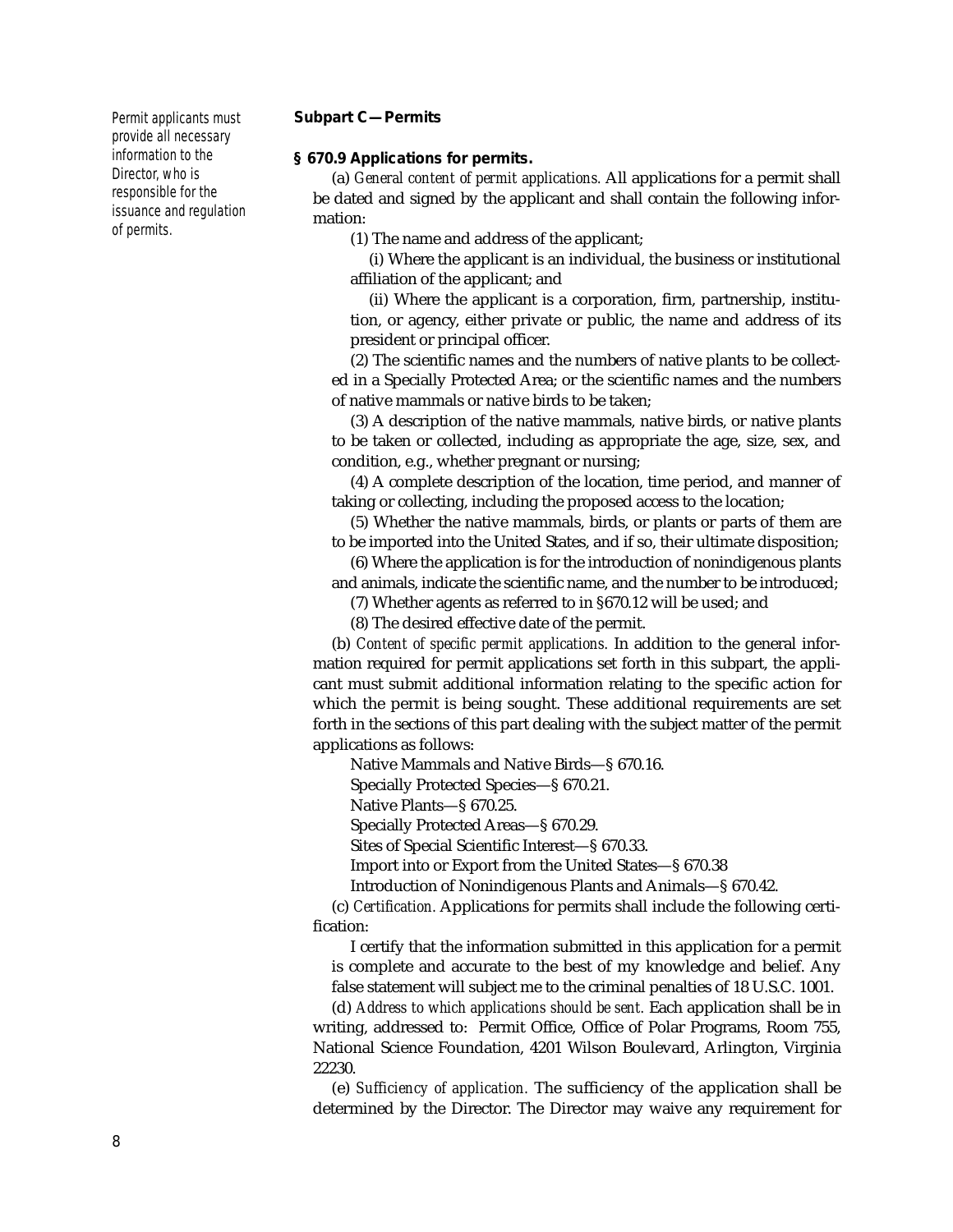Permit applicants must provide all necessary information to the Director, who is responsible for the issuance and regulation of permits.

#### **Subpart C—Permits**

## **§ 670.9 Applications for permits.**

(a) *General content of permit applications.* All applications for a permit shall be dated and signed by the applicant and shall contain the following information:

(1) The name and address of the applicant;

(i) Where the applicant is an individual, the business or institutional affiliation of the applicant; and

(ii) Where the applicant is a corporation, firm, partnership, institution, or agency, either private or public, the name and address of its president or principal officer.

(2) The scientific names and the numbers of native plants to be collected in a Specially Protected Area; or the scientific names and the numbers of native mammals or native birds to be taken;

(3) A description of the native mammals, native birds, or native plants to be taken or collected, including as appropriate the age, size, sex, and condition, e.g., whether pregnant or nursing;

(4) A complete description of the location, time period, and manner of taking or collecting, including the proposed access to the location;

(5) Whether the native mammals, birds, or plants or parts of them are to be imported into the United States, and if so, their ultimate disposition;

(6) Where the application is for the introduction of nonindigenous plants and animals, indicate the scientific name, and the number to be introduced;

(7) Whether agents as referred to in §670.12 will be used; and

(8) The desired effective date of the permit.

(b) *Content of specific permit applications.* In addition to the general information required for permit applications set forth in this subpart, the applicant must submit additional information relating to the specific action for which the permit is being sought. These additional requirements are set forth in the sections of this part dealing with the subject matter of the permit applications as follows:

Native Mammals and Native Birds—§ 670.16.

Specially Protected Species—§ 670.21.

Native Plants—§ 670.25.

Specially Protected Areas—§ 670.29.

Sites of Special Scientific Interest—§ 670.33.

Import into or Export from the United States—§ 670.38

Introduction of Nonindigenous Plants and Animals—§ 670.42.

(c) *Certification.* Applications for permits shall include the following certification:

I certify that the information submitted in this application for a permit is complete and accurate to the best of my knowledge and belief. Any false statement will subject me to the criminal penalties of 18 U.S.C. 1001.

(d) *Address to which applications should be sent.* Each application shall be in writing, addressed to: Permit Office, Office of Polar Programs, Room 755, National Science Foundation, 4201 Wilson Boulevard, Arlington, Virginia 22230.

(e) *Sufficiency of application.* The sufficiency of the application shall be determined by the Director. The Director may waive any requirement for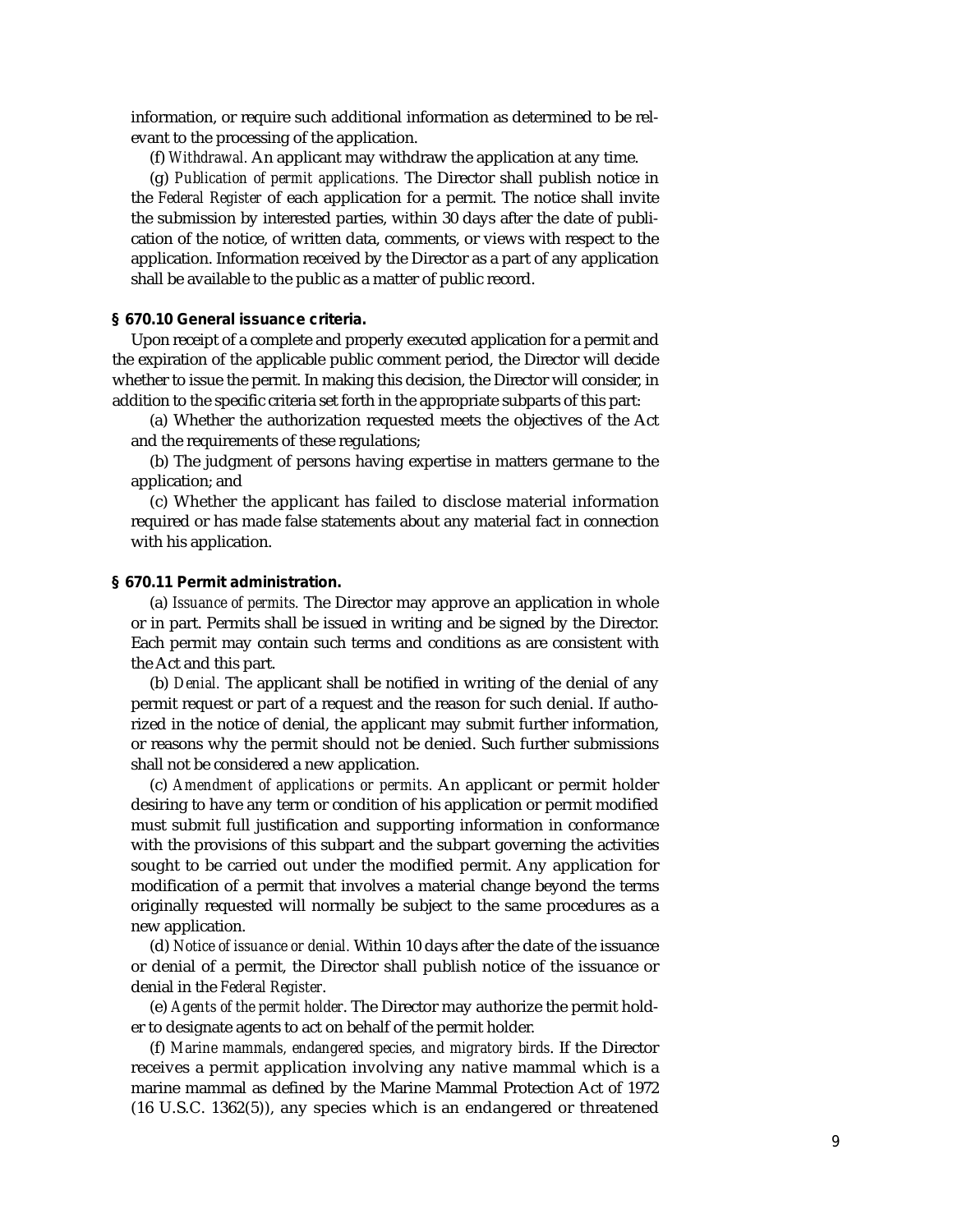information, or require such additional information as determined to be relevant to the processing of the application.

(f) *Withdrawal.* An applicant may withdraw the application at any time.

(g) *Publication of permit applications.* The Director shall publish notice in the *Federal Register* of each application for a permit. The notice shall invite the submission by interested parties, within 30 days after the date of publication of the notice, of written data, comments, or views with respect to the application. Information received by the Director as a part of any application shall be available to the public as a matter of public record.

#### **§ 670.10 General issuance criteria.**

Upon receipt of a complete and properly executed application for a permit and the expiration of the applicable public comment period, the Director will decide whether to issue the permit. In making this decision, the Director will consider, in addition to the specific criteria set forth in the appropriate subparts of this part:

(a) Whether the authorization requested meets the objectives of the Act and the requirements of these regulations;

(b) The judgment of persons having expertise in matters germane to the application; and

(c) Whether the applicant has failed to disclose material information required or has made false statements about any material fact in connection with his application.

## **§ 670.11 Permit administration.**

(a) *Issuance of permits.* The Director may approve an application in whole or in part. Permits shall be issued in writing and be signed by the Director. Each permit may contain such terms and conditions as are consistent with the Act and this part.

(b) *Denial.* The applicant shall be notified in writing of the denial of any permit request or part of a request and the reason for such denial. If authorized in the notice of denial, the applicant may submit further information, or reasons why the permit should not be denied. Such further submissions shall not be considered a new application.

(c) *Amendment of applications or permits.* An applicant or permit holder desiring to have any term or condition of his application or permit modified must submit full justification and supporting information in conformance with the provisions of this subpart and the subpart governing the activities sought to be carried out under the modified permit. Any application for modification of a permit that involves a material change beyond the terms originally requested will normally be subject to the same procedures as a new application.

(d) *Notice of issuance or denial.* Within 10 days after the date of the issuance or denial of a permit, the Director shall publish notice of the issuance or denial in the *Federal Register*.

(e) *Agents of the permit holder*. The Director may authorize the permit holder to designate agents to act on behalf of the permit holder.

(f) *Marine mammals, endangered species, and migratory birds*. If the Director receives a permit application involving any native mammal which is a marine mammal as defined by the Marine Mammal Protection Act of 1972 (16 U.S.C. 1362(5)), any species which is an endangered or threatened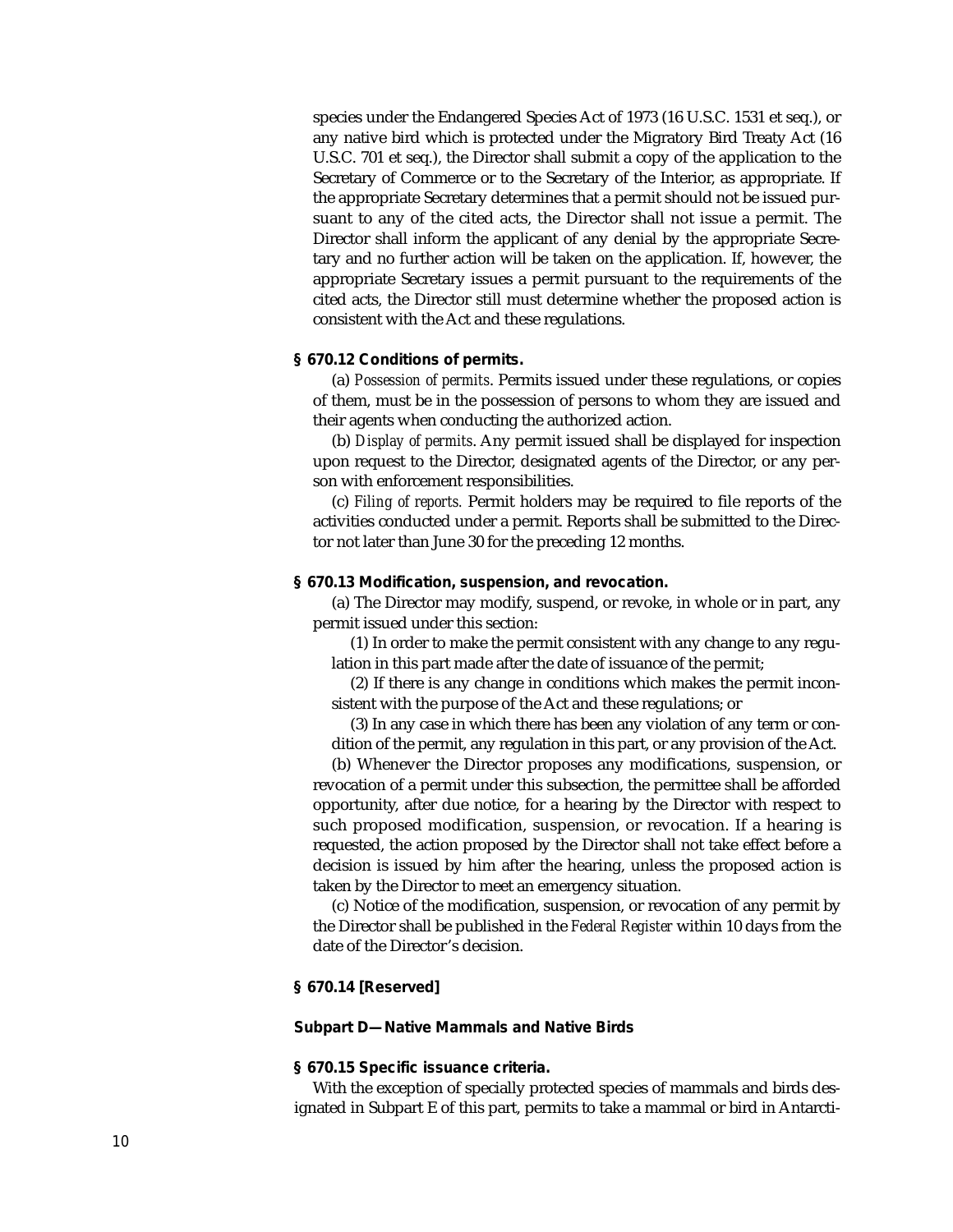species under the Endangered Species Act of 1973 (16 U.S.C. 1531 et seq.), or any native bird which is protected under the Migratory Bird Treaty Act (16 U.S.C. 701 et seq.), the Director shall submit a copy of the application to the Secretary of Commerce or to the Secretary of the Interior, as appropriate. If the appropriate Secretary determines that a permit should not be issued pursuant to any of the cited acts, the Director shall not issue a permit. The Director shall inform the applicant of any denial by the appropriate Secretary and no further action will be taken on the application. If, however, the appropriate Secretary issues a permit pursuant to the requirements of the cited acts, the Director still must determine whether the proposed action is consistent with the Act and these regulations.

#### **§ 670.12 Conditions of permits.**

(a) *Possession of permits*. Permits issued under these regulations, or copies of them, must be in the possession of persons to whom they are issued and their agents when conducting the authorized action.

(b) *Display of permits*. Any permit issued shall be displayed for inspection upon request to the Director, designated agents of the Director, or any person with enforcement responsibilities.

(c) *Filing of reports.* Permit holders may be required to file reports of the activities conducted under a permit. Reports shall be submitted to the Director not later than June 30 for the preceding 12 months.

#### **§ 670.13 Modification, suspension, and revocation.**

(a) The Director may modify, suspend, or revoke, in whole or in part, any permit issued under this section:

(1) In order to make the permit consistent with any change to any regulation in this part made after the date of issuance of the permit;

(2) If there is any change in conditions which makes the permit inconsistent with the purpose of the Act and these regulations; or

(3) In any case in which there has been any violation of any term or condition of the permit, any regulation in this part, or any provision of the Act.

(b) Whenever the Director proposes any modifications, suspension, or revocation of a permit under this subsection, the permittee shall be afforded opportunity, after due notice, for a hearing by the Director with respect to such proposed modification, suspension, or revocation. If a hearing is requested, the action proposed by the Director shall not take effect before a decision is issued by him after the hearing, unless the proposed action is taken by the Director to meet an emergency situation.

(c) Notice of the modification, suspension, or revocation of any permit by the Director shall be published in the *Federal Register* within 10 days from the date of the Director's decision.

# **§ 670.14 [Reserved]**

#### **Subpart D—Native Mammals and Native Birds**

#### **§ 670.15 Specific issuance criteria.**

With the exception of specially protected species of mammals and birds designated in Subpart E of this part, permits to take a mammal or bird in Antarcti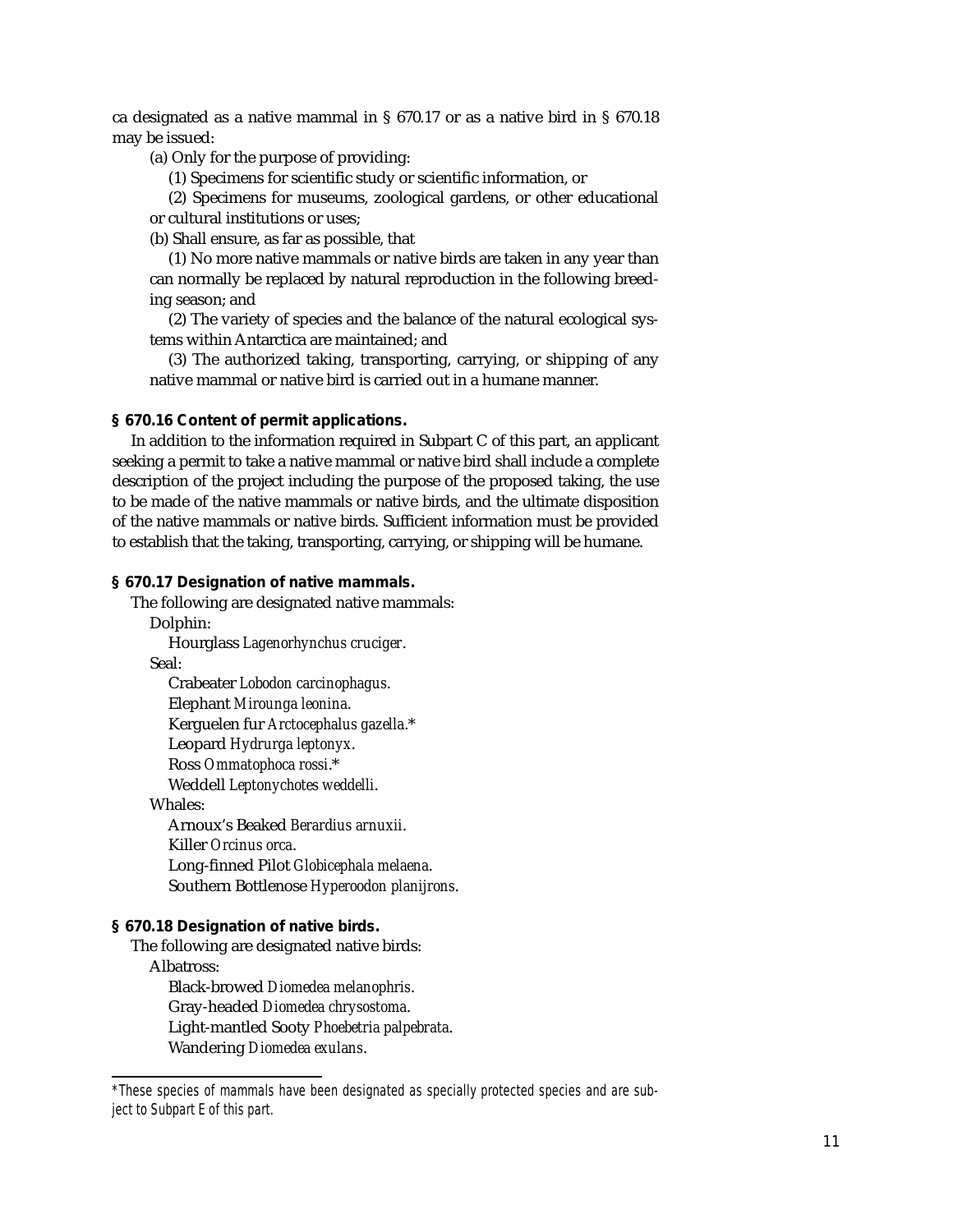ca designated as a native mammal in § 670.17 or as a native bird in § 670.18 may be issued:

(a) Only for the purpose of providing:

(1) Specimens for scientific study or scientific information, or

(2) Specimens for museums, zoological gardens, or other educational or cultural institutions or uses;

(b) Shall ensure, as far as possible, that

(1) No more native mammals or native birds are taken in any year than can normally be replaced by natural reproduction in the following breeding season; and

(2) The variety of species and the balance of the natural ecological systems within Antarctica are maintained; and

(3) The authorized taking, transporting, carrying, or shipping of any native mammal or native bird is carried out in a humane manner.

# **§ 670.16 Content of permit applications.**

In addition to the information required in Subpart C of this part, an applicant seeking a permit to take a native mammal or native bird shall include a complete description of the project including the purpose of the proposed taking, the use to be made of the native mammals or native birds, and the ultimate disposition of the native mammals or native birds. Sufficient information must be provided to establish that the taking, transporting, carrying, or shipping will be humane.

#### **§ 670.17 Designation of native mammals.**

The following are designated native mammals:

Dolphin:

Hourglass *Lagenorhynchus cruciger*.

Seal:

Crabeater *Lobodon carcinophagus*. Elephant *Mirounga leonina*. Kerguelen fur *Arctocephalus gazella*.\* Leopard *Hydrurga leptonyx*. Ross *Ommatophoca rossi*.\* Weddell *Leptonychotes weddelli*.

Whales:

Arnoux's Beaked *Berardius arnuxii*. Killer *Orcinus orca*. Long-finned Pilot *Globicephala melaena*. Southern Bottlenose *Hyperoodon planijrons*.

# **§ 670.18 Designation of native birds.**

The following are designated native birds: Albatross: Black-browed *Diomedea melanophris*. Gray-headed *Diomedea chrysostoma*. Light-mantled Sooty *Phoebetria palpebrata*.

Wandering *Diomedea exulans*.

<sup>\*</sup>These species of mammals have been designated as specially protected species and are subject to Subpart E of this part.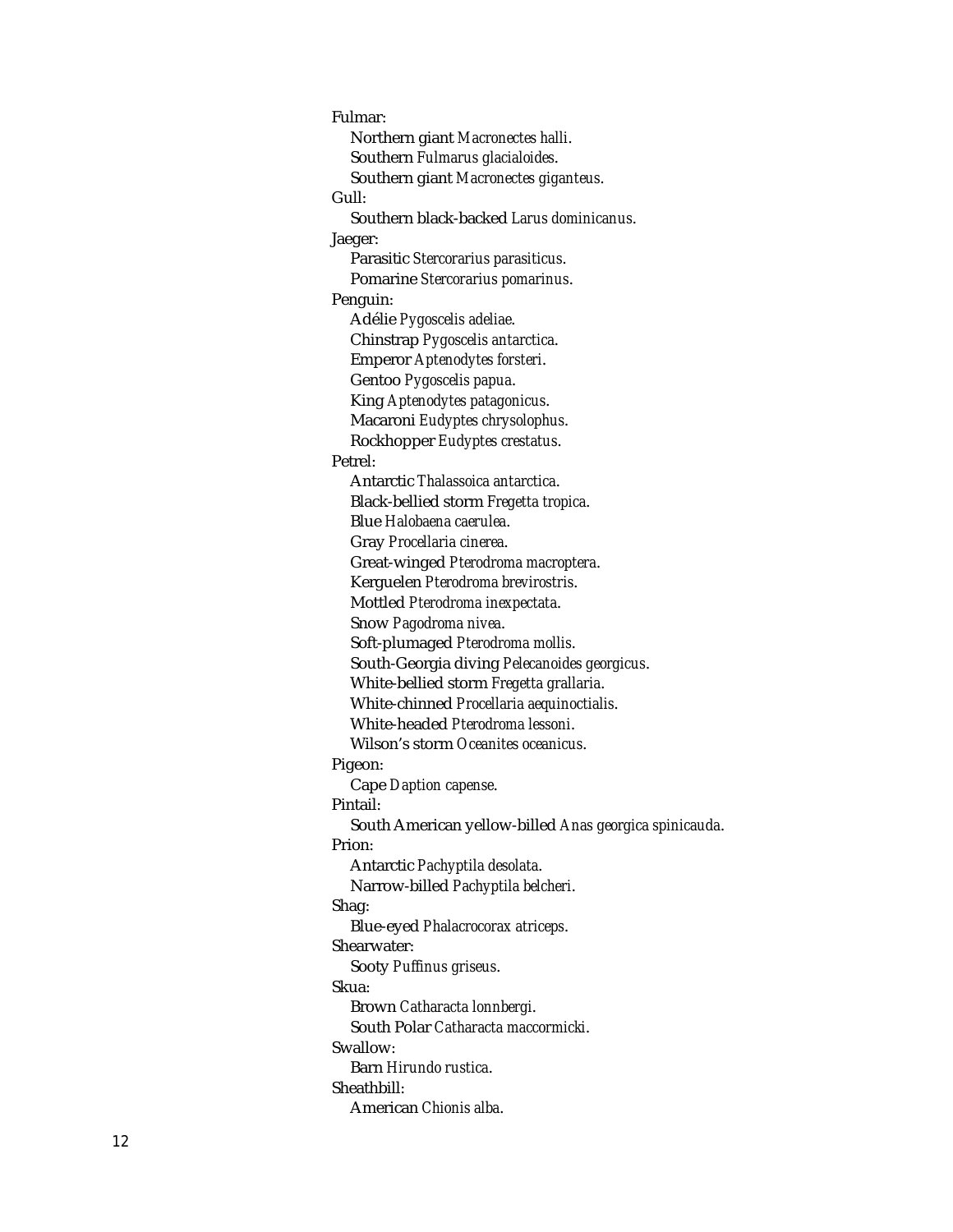Fulmar: Northern giant *Macronectes halli*. Southern *Fulmarus glacialoides*. Southern giant *Macronectes giganteus* . Gull: Southern black-backed *Larus dominicanus* . Jaeger: Parasitic *Stercorarius parasiticus*. Pomarine *Stercorarius pomarinus* . Penguin: Adélie *Pygoscelis adeliae*. Chinstrap *Pygoscelis antarctica*. Emperor *Aptenodytes forsteri*. Gentoo *Pygoscelis papua*. King *Aptenodytes patagonicus*. Macaroni *Eudyptes chrysolophus*. Rockhopper *Eudyptes crestatus* . Petrel: Antarctic *Thalassoica antarctica*. Black-bellied storm *Fregetta tropica*. Blue *Halobaena caerulea*. Gray *Procellaria cinerea*. Great-winged *Pterodroma macroptera*. Kerguelen *Pterodroma brevirostris*. Mottled *Pterodroma inexpectata*. Snow *Pagodroma nivea*. Soft-plumaged *Pterodroma mollis*. South-Georgia diving *Pelecanoides georgicus*. White-bellied storm *Fregetta grallaria*. White-chinned *Procellaria aequinoctialis*. White-headed *Pterodroma lessoni*. Wilson's storm *Oceanites oceanicus* . Pigeon: Cape *Daption capense*. Pintail: South American yellow-billed *Anas georgica spinicauda*. Prion: Antarctic *Pachyptila desolata*. Narrow-billed *Pachyptila belcheri* . Shag: Blue-eyed *Phalacrocorax atriceps* . Shearwater: Sooty *Puffinus griseus*. Skua: Brown *Catharacta lonnbergi*. South Polar *Catharacta maccormicki* . Swallow: Barn *Hirundo rustica*. Sheathbill: American *Chionis alba*.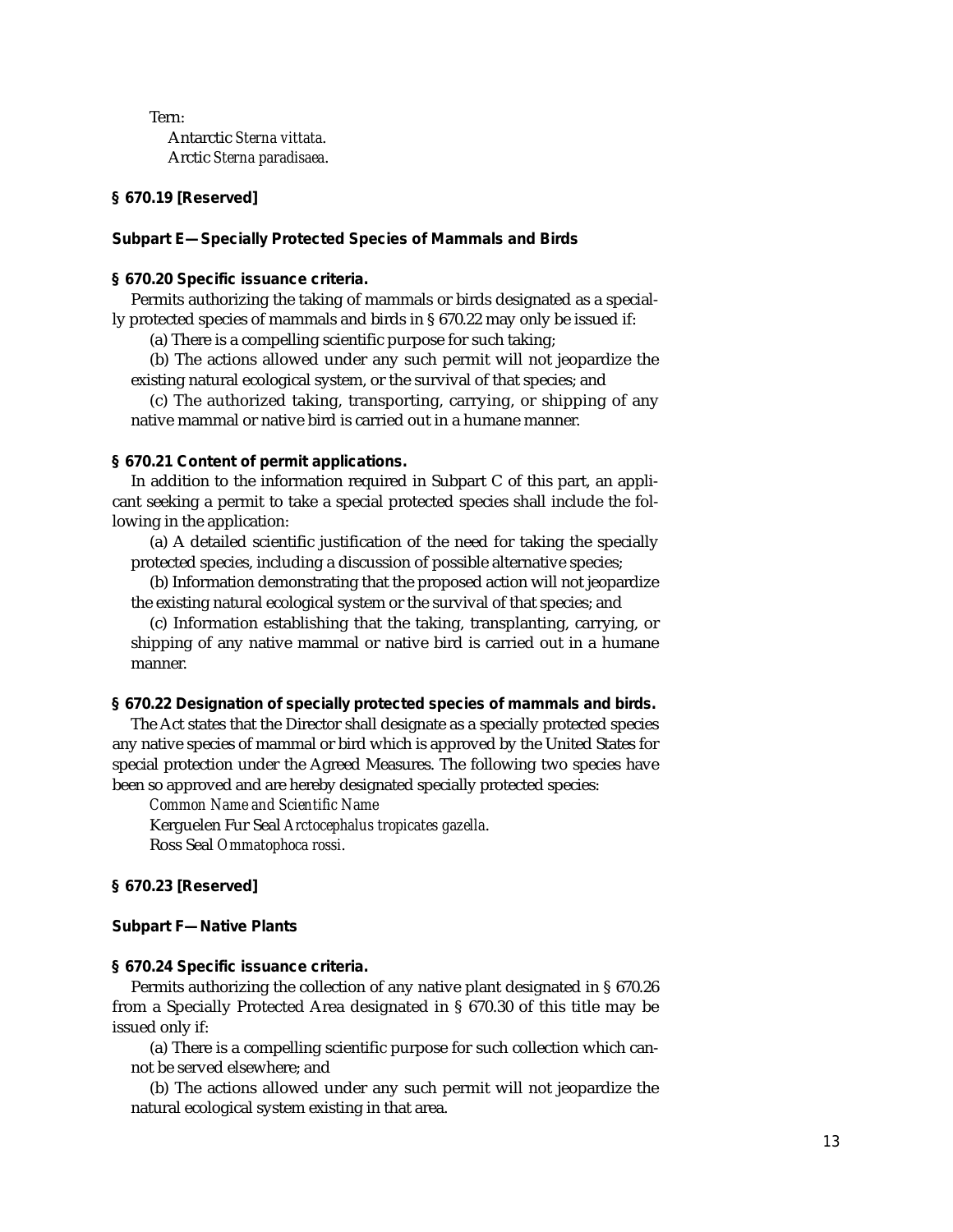Tern: Antarctic *Sterna vittata*. Arctic *Sterna paradisaea*.

#### **§ 670.19 [Reserved]**

#### **Subpart E—Specially Protected Species of Mammals and Birds**

# **§ 670.20 Specific issuance criteria.**

Permits authorizing the taking of mammals or birds designated as a specially protected species of mammals and birds in § 670.22 may only be issued if:

(a) There is a compelling scientific purpose for such taking;

(b) The actions allowed under any such permit will not jeopardize the existing natural ecological system, or the survival of that species; and

(c) The authorized taking, transporting, carrying, or shipping of any native mammal or native bird is carried out in a humane manner.

# **§ 670.21 Content of permit applications.**

In addition to the information required in Subpart C of this part, an applicant seeking a permit to take a special protected species shall include the following in the application:

(a) A detailed scientific justification of the need for taking the specially protected species, including a discussion of possible alternative species;

(b) Information demonstrating that the proposed action will not jeopardize the existing natural ecological system or the survival of that species; and

(c) Information establishing that the taking, transplanting, carrying, or shipping of any native mammal or native bird is carried out in a humane manner.

#### **§ 670.22 Designation of specially protected species of mammals and birds.**

The Act states that the Director shall designate as a specially protected species any native species of mammal or bird which is approved by the United States for special protection under the Agreed Measures. The following two species have been so approved and are hereby designated specially protected species:

*Common Name and Scientific Name*  Kerguelen Fur Seal *Arctocephalus tropicates gazella*. Ross Seal *Ommatophoca rossi*.

#### **§ 670.23 [Reserved]**

#### **Subpart F—Native Plants**

#### **§ 670.24 Specific issuance criteria.**

Permits authorizing the collection of any native plant designated in § 670.26 from a Specially Protected Area designated in § 670.30 of this title may be issued only if:

(a) There is a compelling scientific purpose for such collection which cannot be served elsewhere; and

(b) The actions allowed under any such permit will not jeopardize the natural ecological system existing in that area.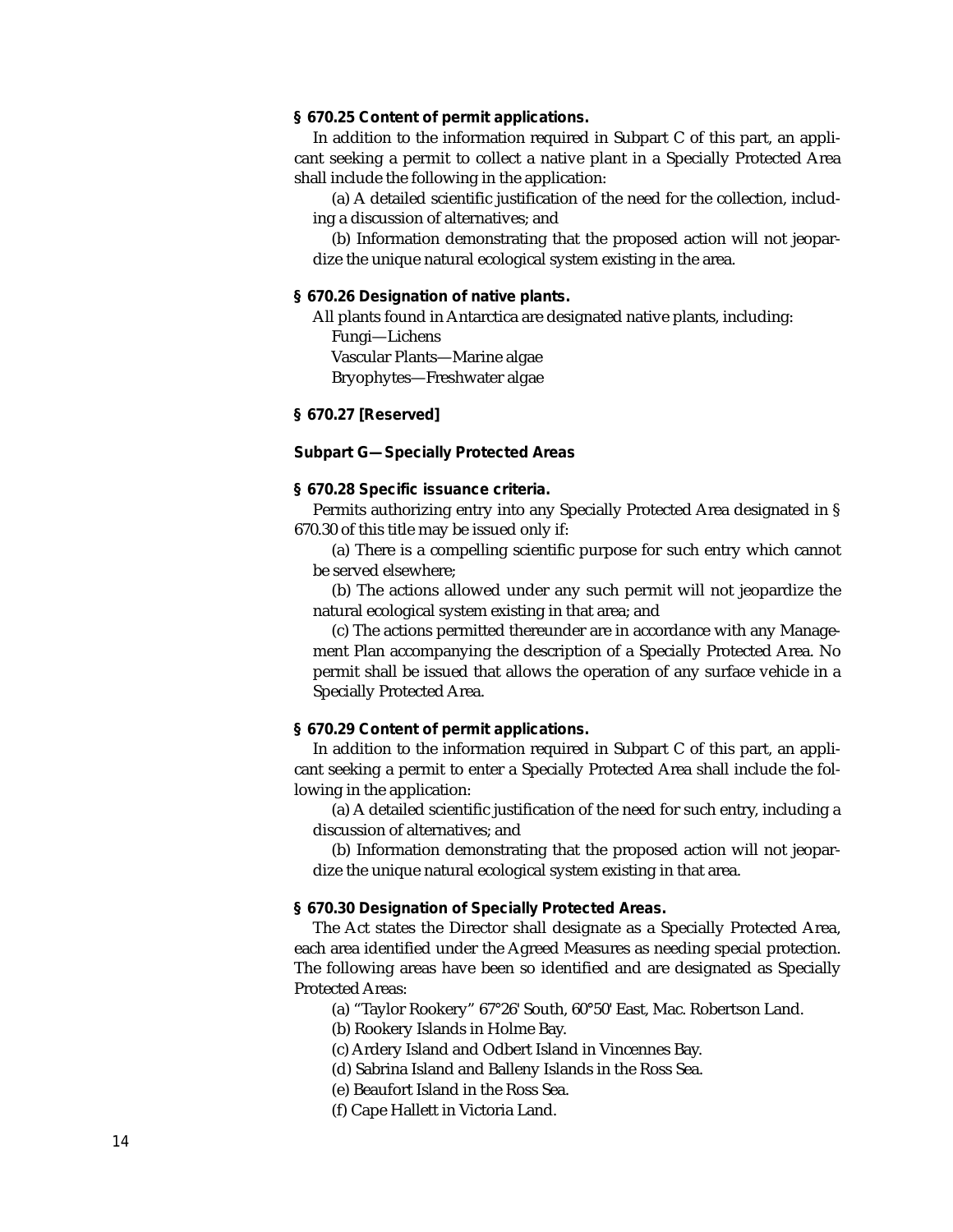# **§ 670.25 Content of permit applications.**

In addition to the information required in Subpart C of this part, an applicant seeking a permit to collect a native plant in a Specially Protected Area shall include the following in the application:

(a) A detailed scientific justification of the need for the collection, including a discussion of alternatives; and

(b) Information demonstrating that the proposed action will not jeopardize the unique natural ecological system existing in the area.

# **§ 670.26 Designation of native plants.**

All plants found in Antarctica are designated native plants, including: Fungi—Lichens

Vascular Plants—Marine algae Bryophytes—Freshwater algae

# **§ 670.27 [Reserved]**

#### **Subpart G—Specially Protected Areas**

# **§ 670.28 Specific issuance criteria.**

Permits authorizing entry into any Specially Protected Area designated in § 670.30 of this title may be issued only if:

(a) There is a compelling scientific purpose for such entry which cannot be served elsewhere;

(b) The actions allowed under any such permit will not jeopardize the natural ecological system existing in that area; and

(c) The actions permitted thereunder are in accordance with any Management Plan accompanying the description of a Specially Protected Area. No permit shall be issued that allows the operation of any surface vehicle in a Specially Protected Area.

#### **§ 670.29 Content of permit applications.**

In addition to the information required in Subpart C of this part, an applicant seeking a permit to enter a Specially Protected Area shall include the following in the application:

(a) A detailed scientific justification of the need for such entry, including a discussion of alternatives; and

(b) Information demonstrating that the proposed action will not jeopardize the unique natural ecological system existing in that area.

# **§ 670.30 Designation of Specially Protected Areas.**

The Act states the Director shall designate as a Specially Protected Area, each area identified under the Agreed Measures as needing special protection. The following areas have been so identified and are designated as Specially Protected Areas:

(a) "Taylor Rookery" 67°26' South, 60°50' East, Mac. Robertson Land.

(b) Rookery Islands in Holme Bay.

- (c) Ardery Island and Odbert Island in Vincennes Bay.
- (d) Sabrina Island and Balleny Islands in the Ross Sea.

(e) Beaufort Island in the Ross Sea.

(f) Cape Hallett in Victoria Land.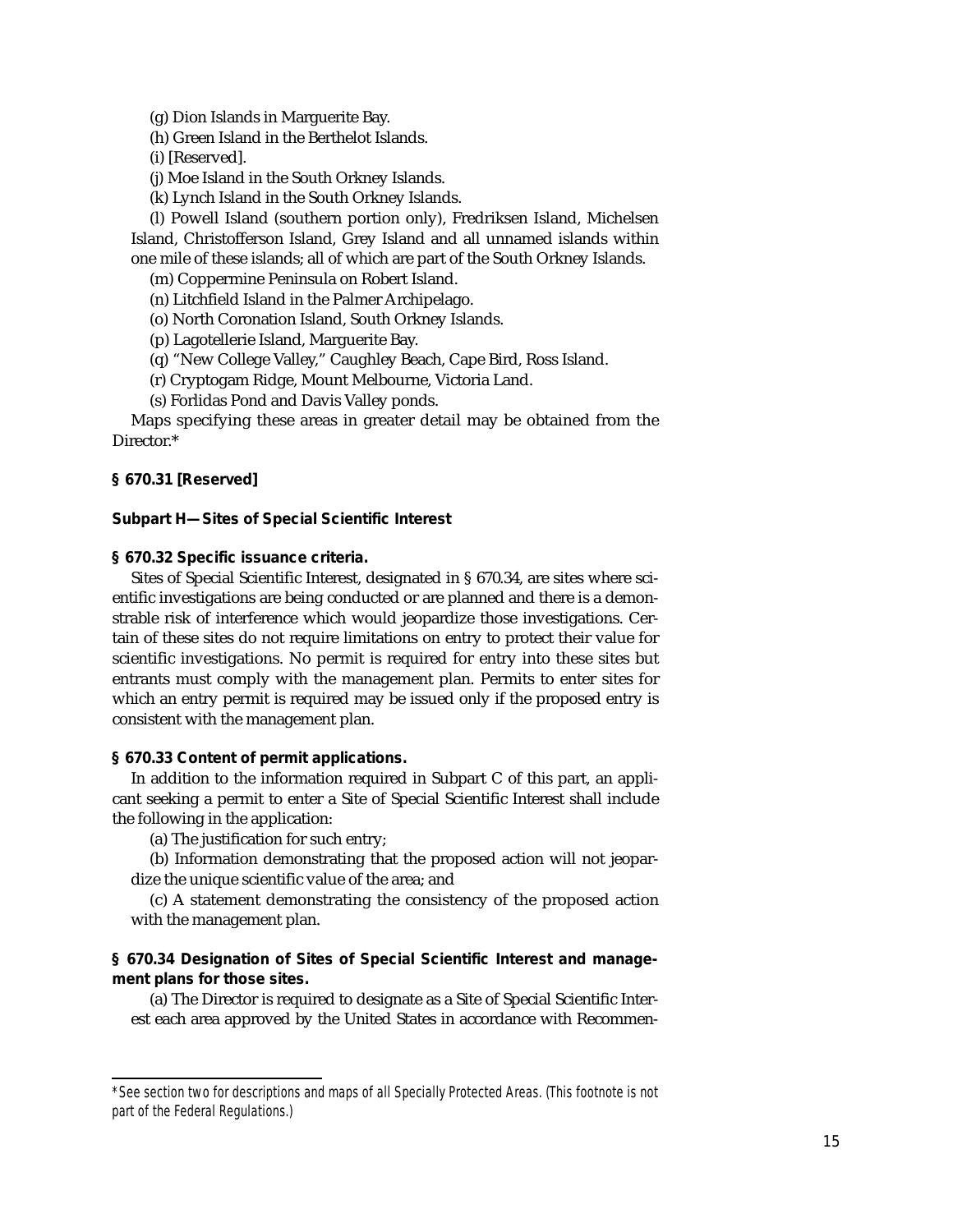(g) Dion Islands in Marguerite Bay.

(h) Green Island in the Berthelot Islands.

(i) [Reserved].

(j) Moe Island in the South Orkney Islands.

(k) Lynch Island in the South Orkney Islands.

(l) Powell Island (southern portion only), Fredriksen Island, Michelsen Island, Christofferson Island, Grey Island and all unnamed islands within one mile of these islands; all of which are part of the South Orkney Islands.

(m) Coppermine Peninsula on Robert Island.

(n) Litchfield Island in the Palmer Archipelago.

(o) North Coronation Island, South Orkney Islands.

(p) Lagotellerie Island, Marguerite Bay.

(q) "New College Valley," Caughley Beach, Cape Bird, Ross Island.

(r) Cryptogam Ridge, Mount Melbourne, Victoria Land.

(s) Forlidas Pond and Davis Valley ponds.

Maps specifying these areas in greater detail may be obtained from the Director.\*

**§ 670.31 [Reserved]**

#### **Subpart H—Sites of Special Scientific Interest**

#### **§ 670.32 Specific issuance criteria.**

Sites of Special Scientific Interest, designated in § 670.34, are sites where scientific investigations are being conducted or are planned and there is a demonstrable risk of interference which would jeopardize those investigations. Certain of these sites do not require limitations on entry to protect their value for scientific investigations. No permit is required for entry into these sites but entrants must comply with the management plan. Permits to enter sites for which an entry permit is required may be issued only if the proposed entry is consistent with the management plan.

#### **§ 670.33 Content of permit applications.**

In addition to the information required in Subpart C of this part, an applicant seeking a permit to enter a Site of Special Scientific Interest shall include the following in the application:

(a) The justification for such entry;

(b) Information demonstrating that the proposed action will not jeopardize the unique scientific value of the area; and

(c) A statement demonstrating the consistency of the proposed action with the management plan.

# **§ 670.34 Designation of Sites of Special Scientific Interest and management plans for those sites.**

(a) The Director is required to designate as a Site of Special Scientific Interest each area approved by the United States in accordance with Recommen-

<sup>\*</sup>See section two for descriptions and maps of all Specially Protected Areas. (This footnote is not part of the Federal Regulations.)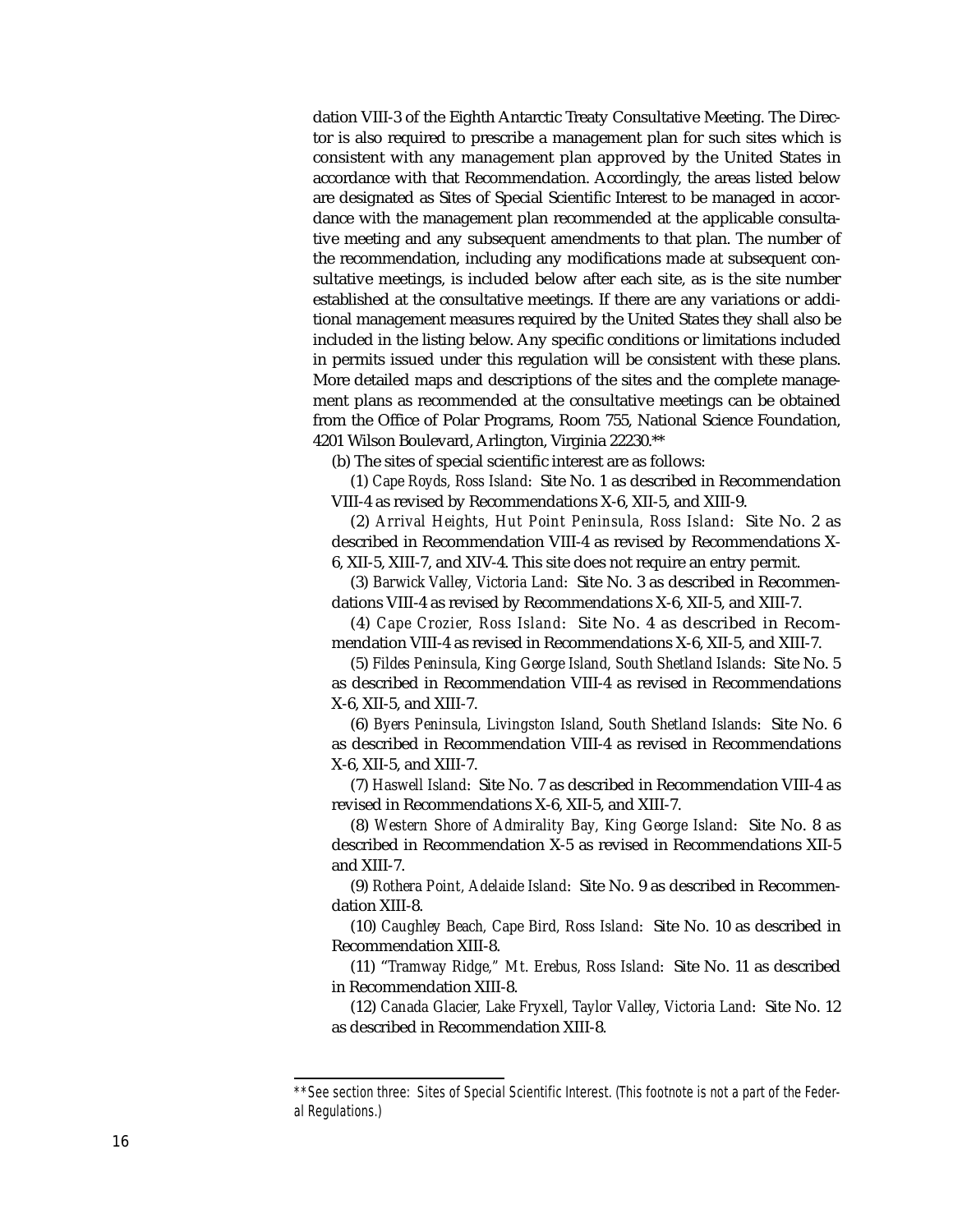dation VIII-3 of the Eighth Antarctic Treaty Consultative Meeting. The Director is also required to prescribe a management plan for such sites which is consistent with any management plan approved by the United States in accordance with that Recommendation. Accordingly, the areas listed below are designated as Sites of Special Scientific Interest to be managed in accordance with the management plan recommended at the applicable consultative meeting and any subsequent amendments to that plan. The number of the recommendation, including any modifications made at subsequent consultative meetings, is included below after each site, as is the site number established at the consultative meetings. If there are any variations or additional management measures required by the United States they shall also be included in the listing below. Any specific conditions or limitations included in permits issued under this regulation will be consistent with these plans. More detailed maps and descriptions of the sites and the complete management plans as recommended at the consultative meetings can be obtained from the Office of Polar Programs, Room 755, National Science Foundation, 4201 Wilson Boulevard, Arlington, Virginia 22230.\*\*

(b) The sites of special scientific interest are as follows:

(1) *Cape Royds, Ross Island*: Site No. 1 as described in Recommendation VIII-4 as revised by Recommendations X-6, XII-5, and XIII-9.

(2) *Arrival Heights, Hut Point Peninsula, Ross Island*: Site No. 2 as described in Recommendation VIII-4 as revised by Recommendations X-6, XII-5, XIII-7, and XIV-4. This site does not require an entry permit.

(3) *Barwick Valley, Victoria Land*: Site No. 3 as described in Recommendations VIII-4 as revised by Recommendations X-6, XII-5, and XIII-7.

(4) *Cape Crozier, Ross Island*: Site No. 4 as described in Recommendation VIII-4 as revised in Recommendations X-6, XII-5, and XIII-7.

(5) *Fildes Peninsula, King George Island, South Shetland Islands*: Site No. 5 as described in Recommendation VIII-4 as revised in Recommendations X-6, XII-5, and XIII-7.

(6) *Byers Peninsula, Livingston Island*, *South Shetland Islands*: Site No. 6 as described in Recommendation VIII-4 as revised in Recommendations X-6, XII-5, and XIII-7.

(7) *Haswell Island*: Site No. 7 as described in Recommendation VIII-4 as revised in Recommendations X-6, XII-5, and XIII-7.

(8) *Western Shore of Admirality Bay, King George Island*: Site No. 8 as described in Recommendation X-5 as revised in Recommendations XII-5 and XIII-7.

(9) *Rothera Point, Adelaide Island*: Site No. 9 as described in Recommendation XIII-8.

(10) *Caughley Beach, Cape Bird, Ross Island*: Site No. 10 as described in Recommendation XIII-8.

(11) "*Tramway Ridge," Mt. Erebus, Ross Island*: Site No. 11 as described in Recommendation XIII-8.

(12) *Canada Glacier, Lake Fryxell, Taylor Valley, Victoria Land*: Site No. 12 as described in Recommendation XIII-8.

<sup>\*\*</sup> See section three: Sites of Special Scientific Interest. (This footnote is not a part of the Federal Regulations.)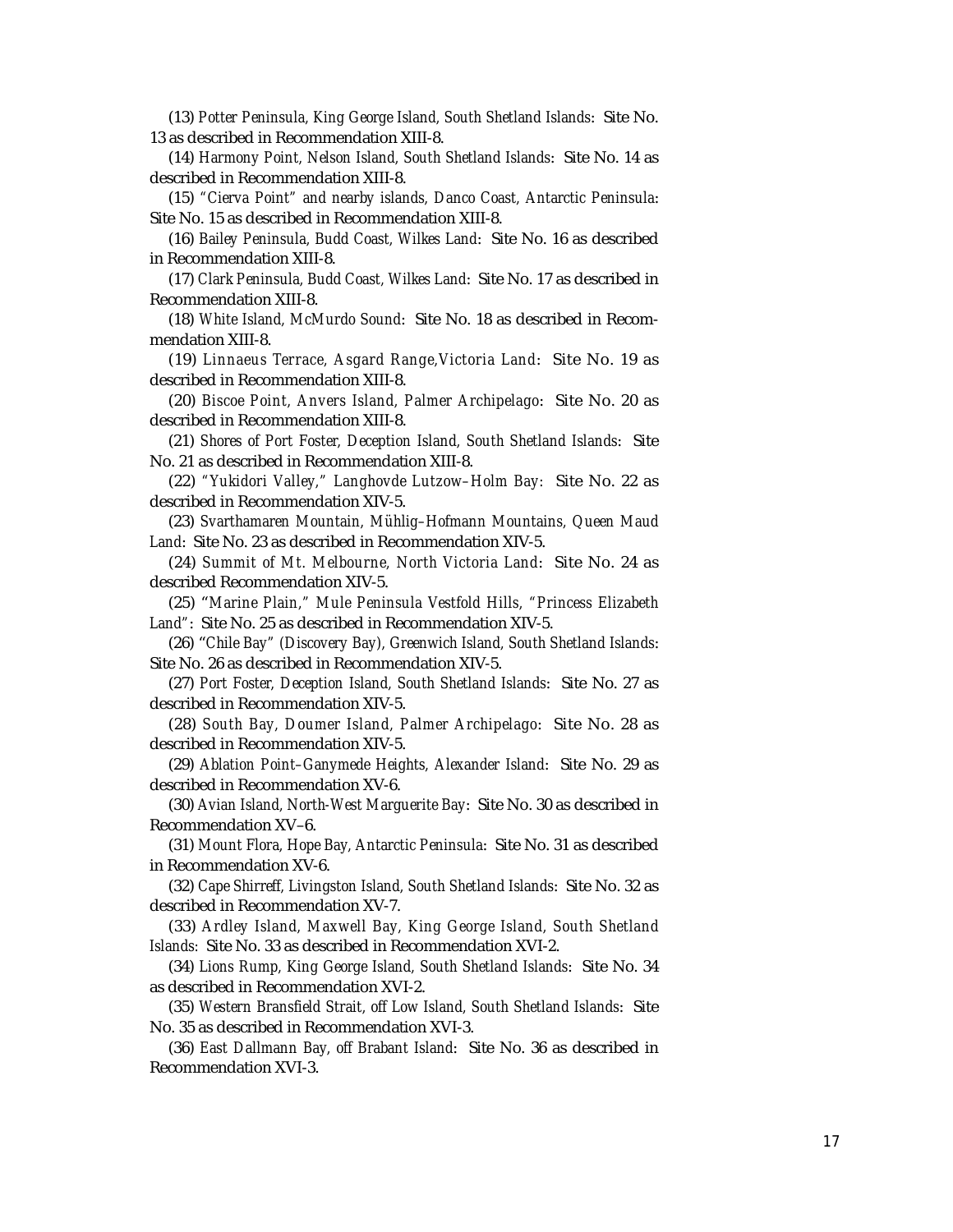(13) *Potter Peninsula, King George Island, South Shetland Islands*: Site No. 13 as described in Recommendation XIII-8.

(14) *Harmony Point, Nelson Island, South Shetland Islands*: Site No. 14 as described in Recommendation XIII-8.

(15) *"Cierva Point" and nearby islands, Danco Coast, Antarctic Peninsula*: Site No. 15 as described in Recommendation XIII-8.

(16) *Bailey Peninsula, Budd Coast, Wilkes Land*: Site No. 16 as described in Recommendation XIII-8.

(17) *Clark Peninsula, Budd Coast, Wilkes Land*: Site No. 17 as described in Recommendation XIII-8.

(18) *White Island, McMurdo Sound*: Site No. 18 as described in Recommendation XIII-8.

(19) *Linnaeus Terrace, Asgard Range,Victoria Land*: Site No. 19 as described in Recommendation XIII-8.

(20) *Biscoe Point, Anvers Island, Palmer Archipelago*: Site No. 20 as described in Recommendation XIII-8.

(21) *Shores of Port Foster, Deception Island, South Shetland Islands*: Site No. 21 as described in Recommendation XIII-8.

(22) *"Yukidori Valley," Langhovde Lutzow–Holm Bay:* Site No. 22 as described in Recommendation XIV-5.

(23) *Svarthamaren Mountain, Mühlig–Hofmann Mountains, Queen Maud Land*: Site No. 23 as described in Recommendation XIV-5.

(24) *Summit of Mt. Melbourne, North Victoria Land*: Site No. 24 as described Recommendation XIV-5.

(25) "*Marine Plain," Mule Peninsula Vestfold Hills, "Princess Elizabeth Land"*: Site No. 25 as described in Recommendation XIV-5.

(26) "*Chile Bay" (Discovery Bay), Greenwich Island, South Shetland Islands*: Site No. 26 as described in Recommendation XIV-5.

(27) *Port Foster, Deception Island, South Shetland Islands*: Site No. 27 as described in Recommendation XIV-5.

(28) *South Bay, Doumer Island, Palmer Archipelago*: Site No. 28 as described in Recommendation XIV-5.

(29) *Ablation Point–Ganymede Heights, Alexander Island*: Site No. 29 as described in Recommendation XV-6.

(30) *Avian Island, North-West Marguerite Bay*: Site No. 30 as described in Recommendation XV–6.

(31) *Mount Flora, Hope Bay, Antarctic Peninsula*: Site No. 31 as described in Recommendation XV-6.

(32) *Cape Shirreff, Livingston Island, South Shetland Islands*: Site No. 32 as described in Recommendation XV-7.

(33) *Ardley Island, Maxwell Bay, King George Island, South Shetland Islands:* Site No. 33 as described in Recommendation XVI-2.

(34) *Lions Rump, King George Island, South Shetland Islands*: Site No. 34 as described in Recommendation XVI-2.

(35) *Western Bransfield Strait, off Low Island, South Shetland Islands*: Site No. 35 as described in Recommendation XVI-3.

(36) *East Dallmann Bay, off Brabant Island*: Site No. 36 as described in Recommendation XVI-3.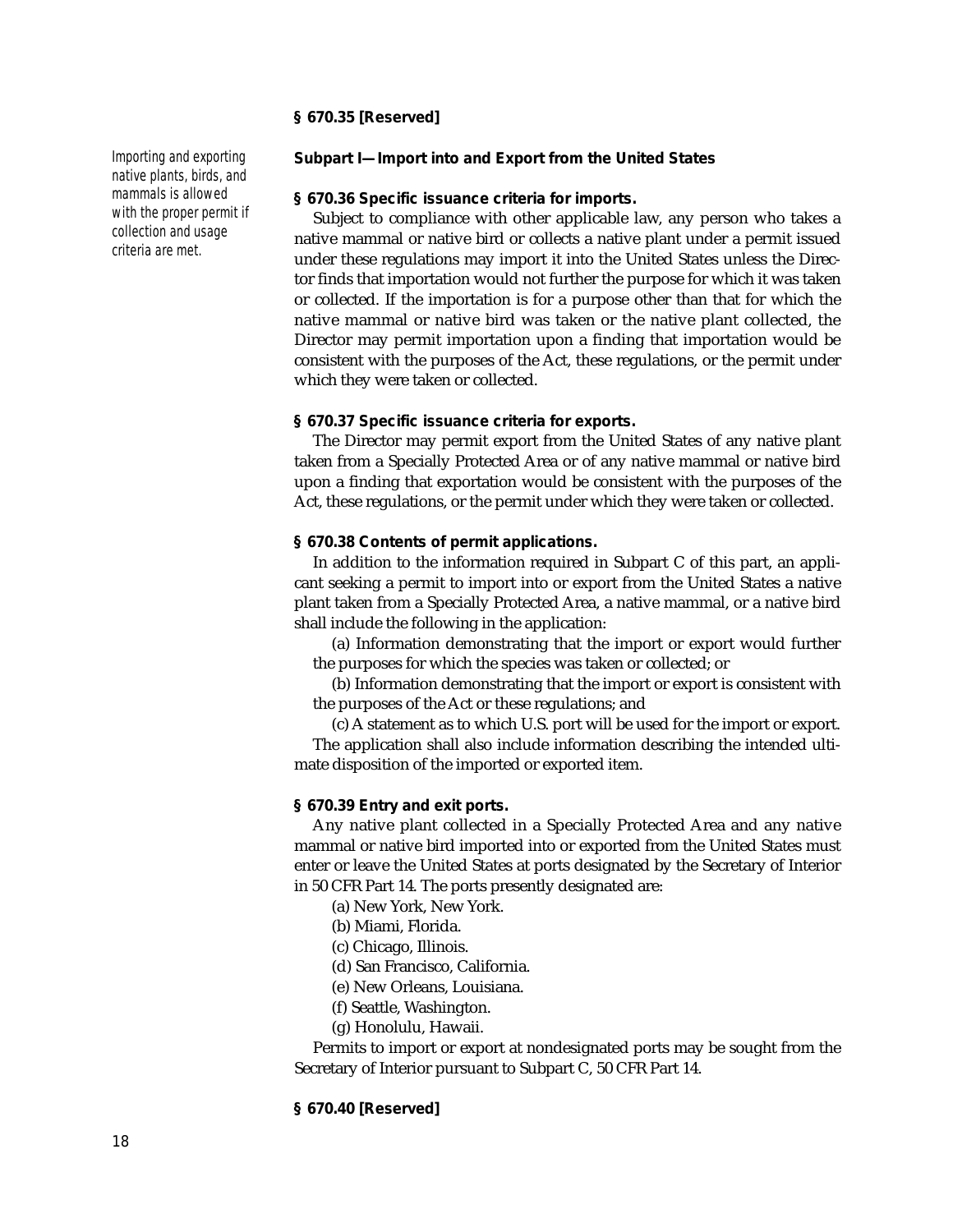# **§ 670.35 [Reserved]**

#### **Subpart I—Import into and Export from the United States**

#### **§ 670.36 Specific issuance criteria for imports.**

Subject to compliance with other applicable law, any person who takes a native mammal or native bird or collects a native plant under a permit issued under these regulations may import it into the United States unless the Director finds that importation would not further the purpose for which it was taken or collected. If the importation is for a purpose other than that for which the native mammal or native bird was taken or the native plant collected, the Director may permit importation upon a finding that importation would be consistent with the purposes of the Act, these regulations, or the permit under which they were taken or collected.

#### **§ 670.37 Specific issuance criteria for exports.**

The Director may permit export from the United States of any native plant taken from a Specially Protected Area or of any native mammal or native bird upon a finding that exportation would be consistent with the purposes of the Act, these regulations, or the permit under which they were taken or collected.

#### **§ 670.38 Contents of permit applications.**

In addition to the information required in Subpart C of this part, an applicant seeking a permit to import into or export from the United States a native plant taken from a Specially Protected Area, a native mammal, or a native bird shall include the following in the application:

(a) Information demonstrating that the import or export would further the purposes for which the species was taken or collected; or

(b) Information demonstrating that the import or export is consistent with the purposes of the Act or these regulations; and

(c) A statement as to which U.S. port will be used for the import or export. The application shall also include information describing the intended ultimate disposition of the imported or exported item.

#### **§ 670.39 Entry and exit ports.**

Any native plant collected in a Specially Protected Area and any native mammal or native bird imported into or exported from the United States must enter or leave the United States at ports designated by the Secretary of Interior in 50 CFR Part 14. The ports presently designated are:

(a) New York, New York.

(b) Miami, Florida.

(c) Chicago, Illinois.

(d) San Francisco, California.

(e) New Orleans, Louisiana.

(f) Seattle, Washington.

(g) Honolulu, Hawaii.

Permits to import or export at nondesignated ports may be sought from the Secretary of Interior pursuant to Subpart C, 50 CFR Part 14.

**§ 670.40 [Reserved]**

Importing and exporting native plants, birds, and mammals is allowed with the proper permit if collection and usage criteria are met.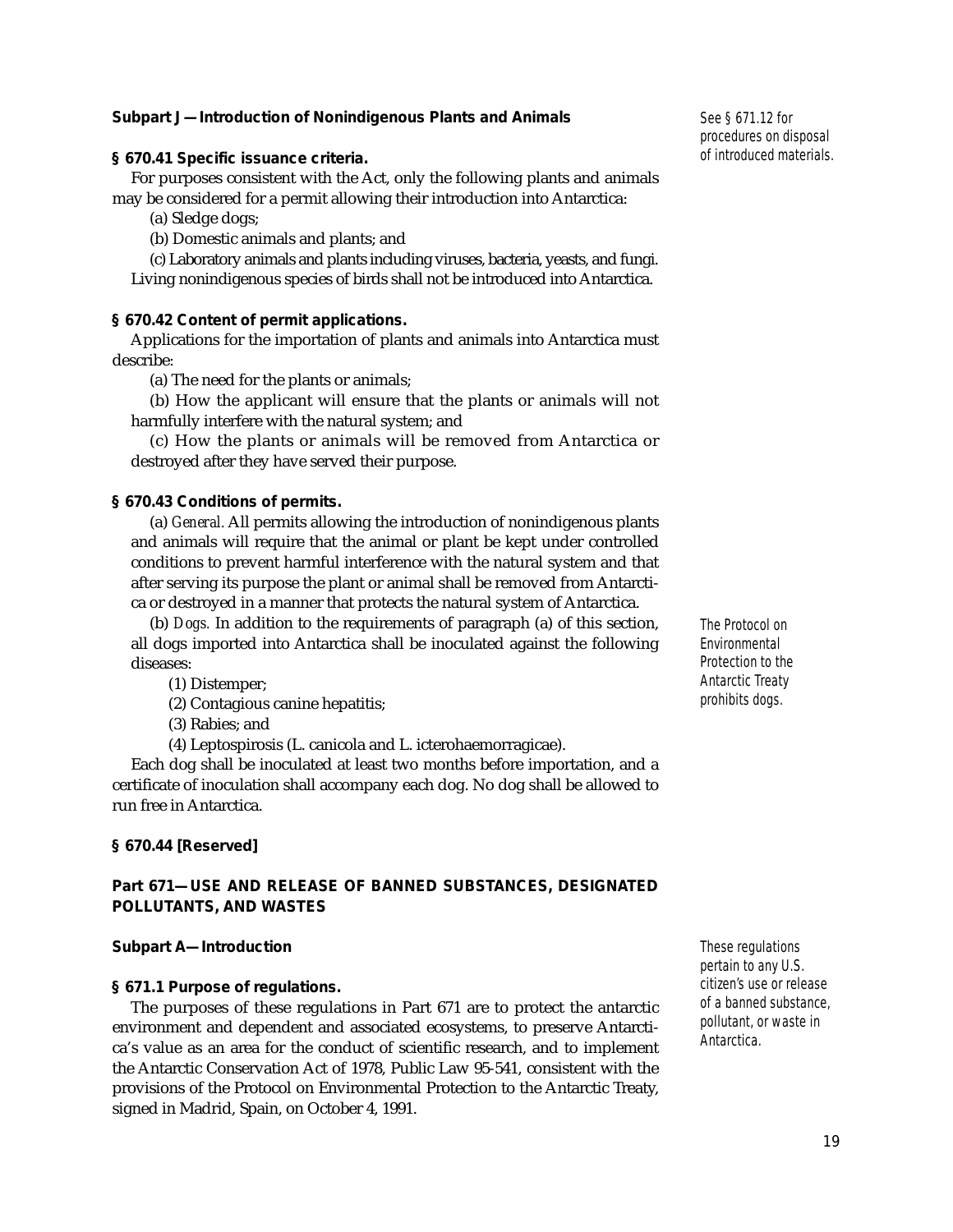#### **Subpart J—Introduction of Nonindigenous Plants and Animals**

#### **§ 670.41 Specific issuance criteria.**

For purposes consistent with the Act, only the following plants and animals may be considered for a permit allowing their introduction into Antarctica:

(a) Sledge dogs;

(b) Domestic animals and plants; and

(c) Laboratory animals and plants including viruses, bacteria, yeasts, and fungi. Living nonindigenous species of birds shall not be introduced into Antarctica.

#### **§ 670.42 Content of permit applications.**

Applications for the importation of plants and animals into Antarctica must describe:

(a) The need for the plants or animals;

(b) How the applicant will ensure that the plants or animals will not harmfully interfere with the natural system; and

(c) How the plants or animals will be removed from Antarctica or destroyed after they have served their purpose.

#### **§ 670.43 Conditions of permits.**

(a) *General.* All permits allowing the introduction of nonindigenous plants and animals will require that the animal or plant be kept under controlled conditions to prevent harmful interference with the natural system and that after serving its purpose the plant or animal shall be removed from Antarctica or destroyed in a manner that protects the natural system of Antarctica.

(b) *Dogs.* In addition to the requirements of paragraph (a) of this section, all dogs imported into Antarctica shall be inoculated against the following diseases:

(1) Distemper;

(2) Contagious canine hepatitis;

(3) Rabies; and

(4) Leptospirosis (L. canicola and L. icterohaemorragicae).

Each dog shall be inoculated at least two months before importation, and a certificate of inoculation shall accompany each dog. No dog shall be allowed to run free in Antarctica.

# **§ 670.44 [Reserved]**

# **Part 671—USE AND RELEASE OF BANNED SUBSTANCES, DESIGNATED POLLUTANTS, AND WASTES**

#### **Subpart A—Introduction**

#### **§ 671.1 Purpose of regulations.**

The purposes of these regulations in Part 671 are to protect the antarctic environment and dependent and associated ecosystems, to preserve Antarctica's value as an area for the conduct of scientific research, and to implement the Antarctic Conservation Act of 1978, Public Law 95-541, consistent with the provisions of the Protocol on Environmental Protection to the Antarctic Treaty, signed in Madrid, Spain, on October 4, 1991.

See § 671.12 for procedures on disposal of introduced materials.

The Protocol on Environmental Protection to the Antarctic Treaty prohibits dogs.

These regulations pertain to any U.S. citizen's use or release of a banned substance, pollutant, or waste in **Antarctica**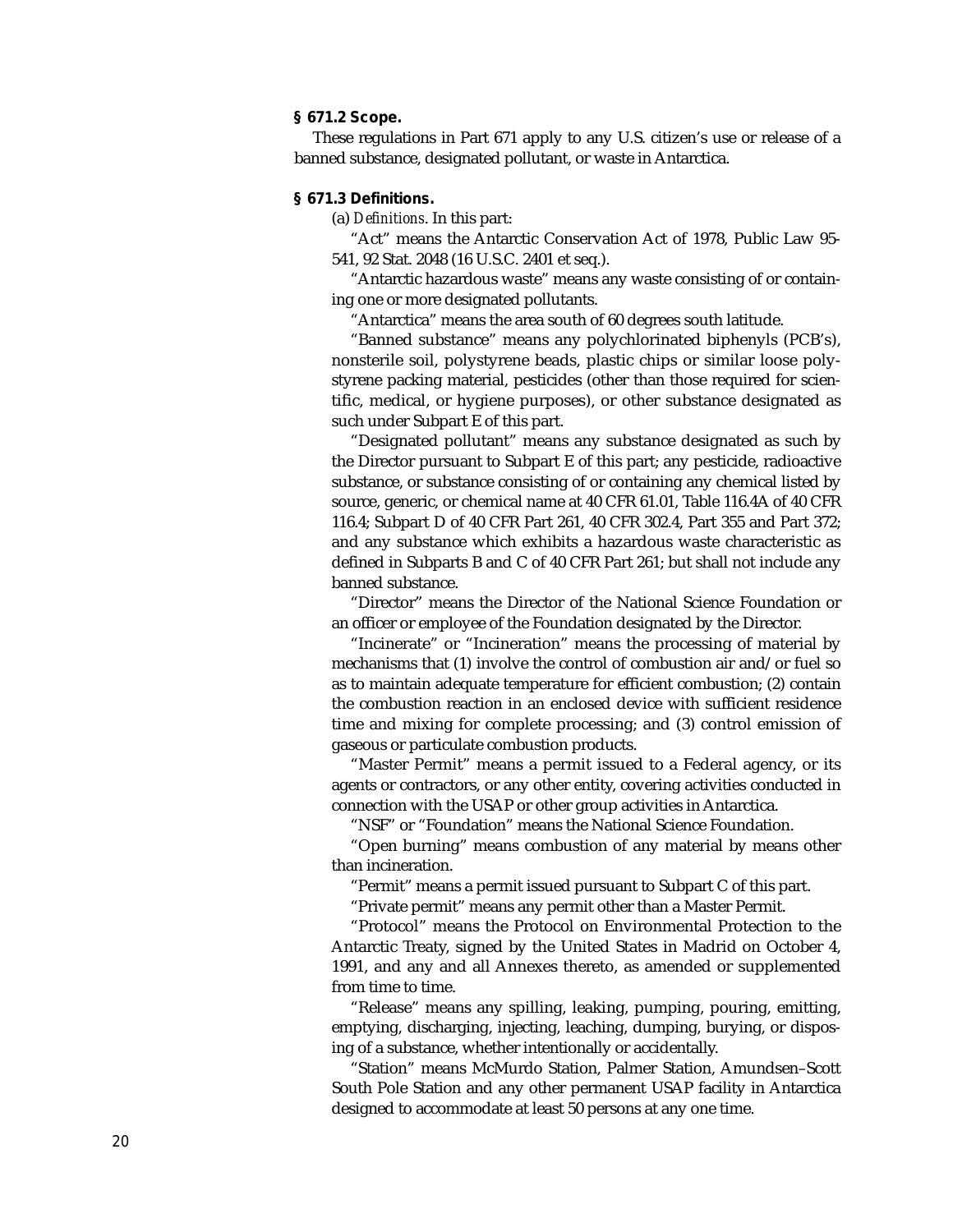# **§ 671.2 Scope.**

These regulations in Part 671 apply to any U.S. citizen's use or release of a banned substance, designated pollutant, or waste in Antarctica.

# **§ 671.3 Definitions.**

(a) *Definitions*. In this part:

"Act" means the Antarctic Conservation Act of 1978, Public Law 95- 541, 92 Stat. 2048 (16 U.S.C. 2401 et seq.).

"Antarctic hazardous waste" means any waste consisting of or containing one or more designated pollutants.

"Antarctica" means the area south of 60 degrees south latitude.

"Banned substance" means any polychlorinated biphenyls (PCB's), nonsterile soil, polystyrene beads, plastic chips or similar loose polystyrene packing material, pesticides (other than those required for scientific, medical, or hygiene purposes), or other substance designated as such under Subpart E of this part.

"Designated pollutant" means any substance designated as such by the Director pursuant to Subpart E of this part; any pesticide, radioactive substance, or substance consisting of or containing any chemical listed by source, generic, or chemical name at 40 CFR 61.01, Table 116.4A of 40 CFR 116.4; Subpart D of 40 CFR Part 261, 40 CFR 302.4, Part 355 and Part 372; and any substance which exhibits a hazardous waste characteristic as defined in Subparts B and C of 40 CFR Part 261; but shall not include any banned substance.

"Director" means the Director of the National Science Foundation or an officer or employee of the Foundation designated by the Director.

"Incinerate" or "Incineration" means the processing of material by mechanisms that (1) involve the control of combustion air and/or fuel so as to maintain adequate temperature for efficient combustion; (2) contain the combustion reaction in an enclosed device with sufficient residence time and mixing for complete processing; and (3) control emission of gaseous or particulate combustion products.

"Master Permit" means a permit issued to a Federal agency, or its agents or contractors, or any other entity, covering activities conducted in connection with the USAP or other group activities in Antarctica.

"NSF" or "Foundation" means the National Science Foundation.

"Open burning" means combustion of any material by means other than incineration.

"Permit" means a permit issued pursuant to Subpart C of this part.

"Private permit" means any permit other than a Master Permit.

"Protocol" means the Protocol on Environmental Protection to the Antarctic Treaty, signed by the United States in Madrid on October 4, 1991, and any and all Annexes thereto, as amended or supplemented from time to time.

"Release" means any spilling, leaking, pumping, pouring, emitting, emptying, discharging, injecting, leaching, dumping, burying, or disposing of a substance, whether intentionally or accidentally.

"Station" means McMurdo Station, Palmer Station, Amundsen–Scott South Pole Station and any other permanent USAP facility in Antarctica designed to accommodate at least 50 persons at any one time.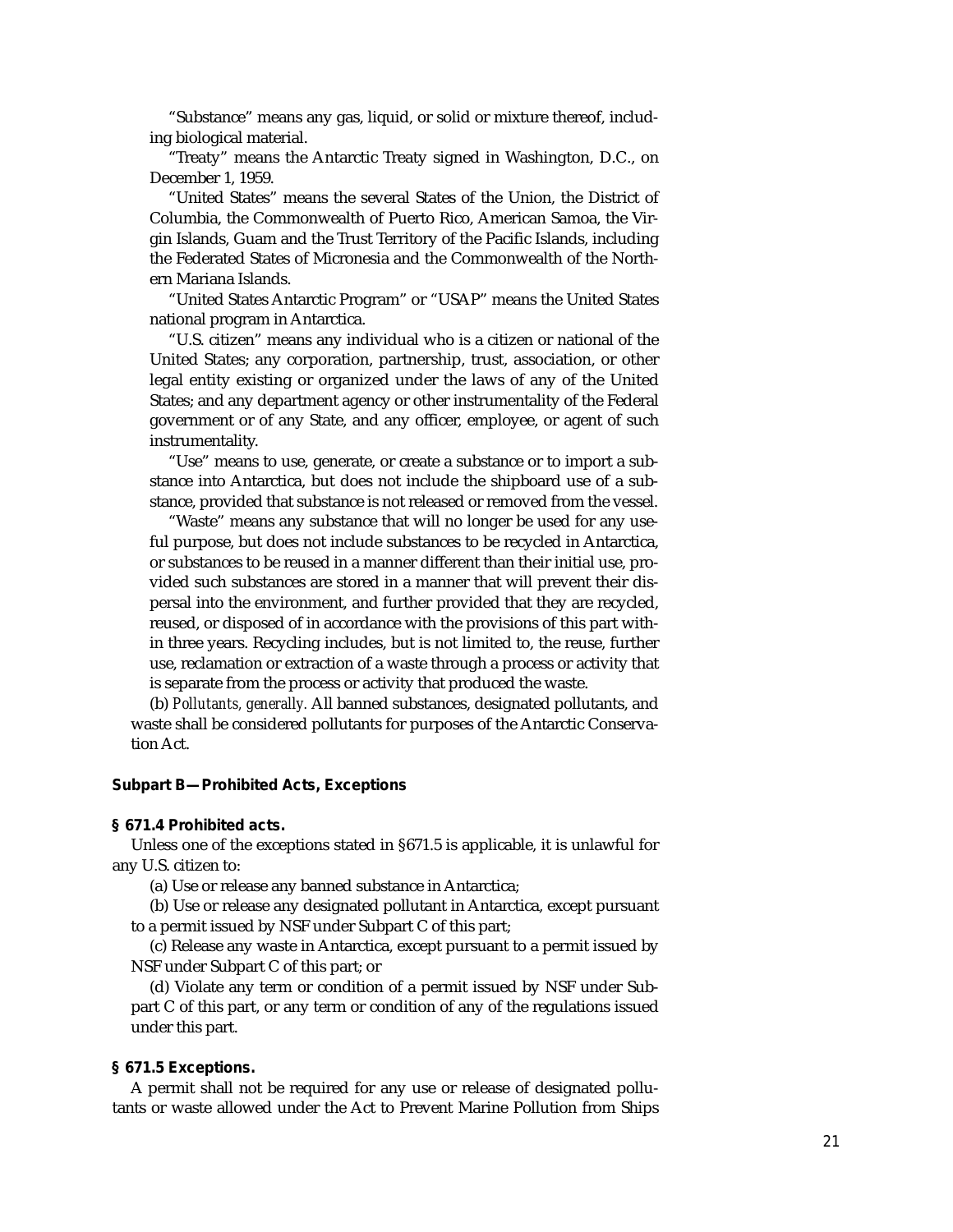"Substance" means any gas, liquid, or solid or mixture thereof, including biological material.

"Treaty" means the Antarctic Treaty signed in Washington, D.C., on December 1, 1959.

"United States" means the several States of the Union, the District of Columbia, the Commonwealth of Puerto Rico, American Samoa, the Virgin Islands, Guam and the Trust Territory of the Pacific Islands, including the Federated States of Micronesia and the Commonwealth of the Northern Mariana Islands.

"United States Antarctic Program" or "USAP" means the United States national program in Antarctica.

"U.S. citizen" means any individual who is a citizen or national of the United States; any corporation, partnership, trust, association, or other legal entity existing or organized under the laws of any of the United States; and any department agency or other instrumentality of the Federal government or of any State, and any officer, employee, or agent of such instrumentality.

"Use" means to use, generate, or create a substance or to import a substance into Antarctica, but does not include the shipboard use of a substance, provided that substance is not released or removed from the vessel.

"Waste" means any substance that will no longer be used for any useful purpose, but does not include substances to be recycled in Antarctica, or substances to be reused in a manner different than their initial use, provided such substances are stored in a manner that will prevent their dispersal into the environment, and further provided that they are recycled, reused, or disposed of in accordance with the provisions of this part within three years. Recycling includes, but is not limited to, the reuse, further use, reclamation or extraction of a waste through a process or activity that is separate from the process or activity that produced the waste.

(b) *Pollutants, generally.* All banned substances, designated pollutants, and waste shall be considered pollutants for purposes of the Antarctic Conservation Act.

#### **Subpart B—Prohibited Acts, Exceptions**

#### **§ 671.4 Prohibited acts.**

Unless one of the exceptions stated in §671.5 is applicable, it is unlawful for any U.S. citizen to:

(a) Use or release any banned substance in Antarctica;

(b) Use or release any designated pollutant in Antarctica, except pursuant to a permit issued by NSF under Subpart C of this part;

(c) Release any waste in Antarctica, except pursuant to a permit issued by NSF under Subpart C of this part; or

(d) Violate any term or condition of a permit issued by NSF under Subpart C of this part, or any term or condition of any of the regulations issued under this part.

#### **§ 671.5 Exceptions.**

A permit shall not be required for any use or release of designated pollutants or waste allowed under the Act to Prevent Marine Pollution from Ships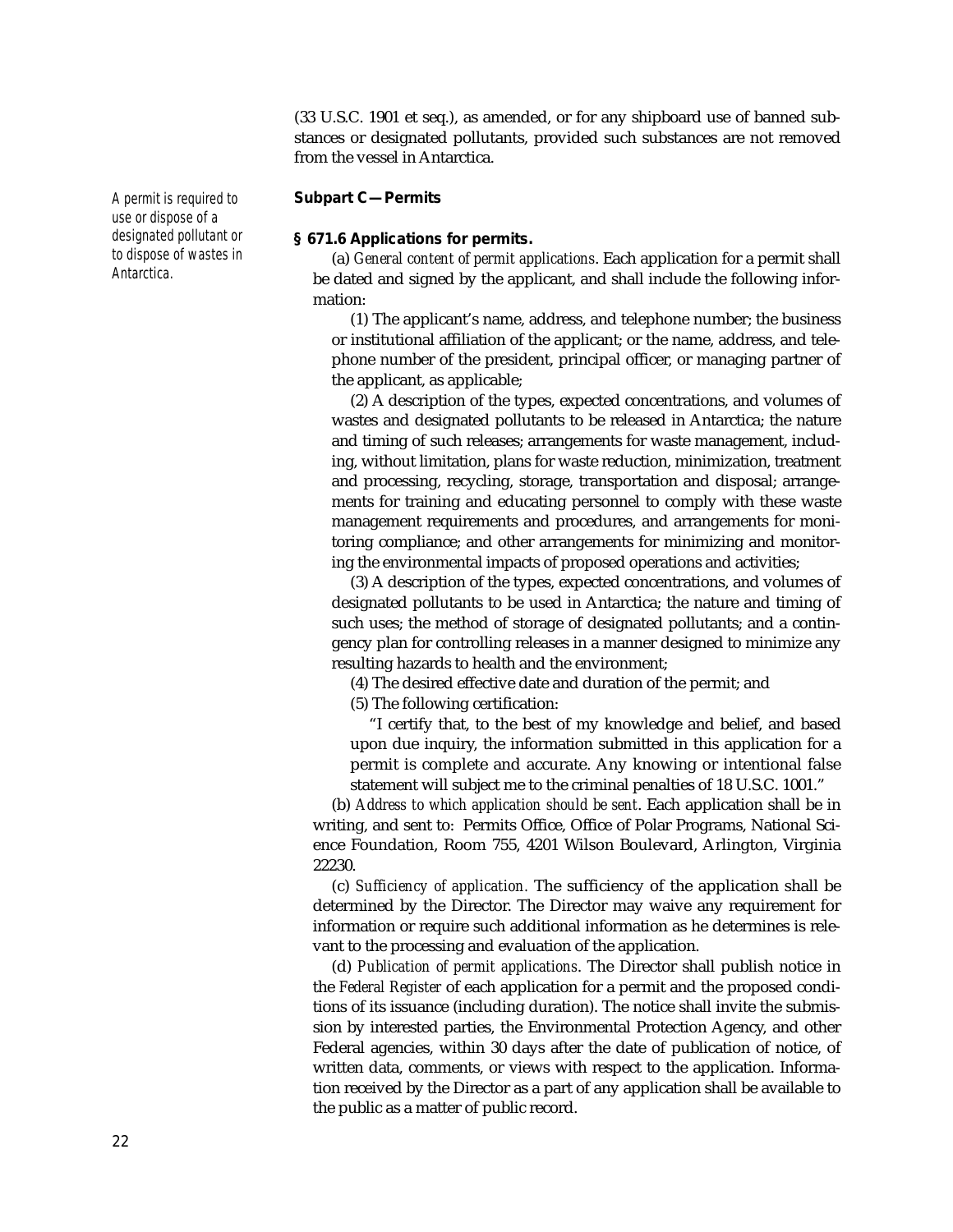(33 U.S.C. 1901 et seq.), as amended, or for any shipboard use of banned substances or designated pollutants, provided such substances are not removed from the vessel in Antarctica.

# **Subpart C—Permits**

# **§ 671.6 Applications for permits.**

(a) *General content of permit applications*. Each application for a permit shall be dated and signed by the applicant, and shall include the following information:

(1) The applicant's name, address, and telephone number; the business or institutional affiliation of the applicant; or the name, address, and telephone number of the president, principal officer, or managing partner of the applicant, as applicable;

(2) A description of the types, expected concentrations, and volumes of wastes and designated pollutants to be released in Antarctica; the nature and timing of such releases; arrangements for waste management, including, without limitation, plans for waste reduction, minimization, treatment and processing, recycling, storage, transportation and disposal; arrangements for training and educating personnel to comply with these waste management requirements and procedures, and arrangements for monitoring compliance; and other arrangements for minimizing and monitoring the environmental impacts of proposed operations and activities;

(3) A description of the types, expected concentrations, and volumes of designated pollutants to be used in Antarctica; the nature and timing of such uses; the method of storage of designated pollutants; and a contingency plan for controlling releases in a manner designed to minimize any resulting hazards to health and the environment;

(4) The desired effective date and duration of the permit; and

(5) The following certification:

"I certify that, to the best of my knowledge and belief, and based upon due inquiry, the information submitted in this application for a permit is complete and accurate. Any knowing or intentional false statement will subject me to the criminal penalties of 18 U.S.C. 1001."

(b) *Address to which application should be sent*. Each application shall be in writing, and sent to: Permits Office, Office of Polar Programs, National Science Foundation, Room 755, 4201 Wilson Boulevard, Arlington, Virginia 22230.

(c) *Sufficiency of application.* The sufficiency of the application shall be determined by the Director. The Director may waive any requirement for information or require such additional information as he determines is relevant to the processing and evaluation of the application.

(d) *Publication of permit applications*. The Director shall publish notice in the *Federal Register* of each application for a permit and the proposed conditions of its issuance (including duration). The notice shall invite the submission by interested parties, the Environmental Protection Agency, and other Federal agencies, within 30 days after the date of publication of notice, of written data, comments, or views with respect to the application. Information received by the Director as a part of any application shall be available to the public as a matter of public record.

A permit is required to use or dispose of a designated pollutant or to dispose of wastes in Antarctica.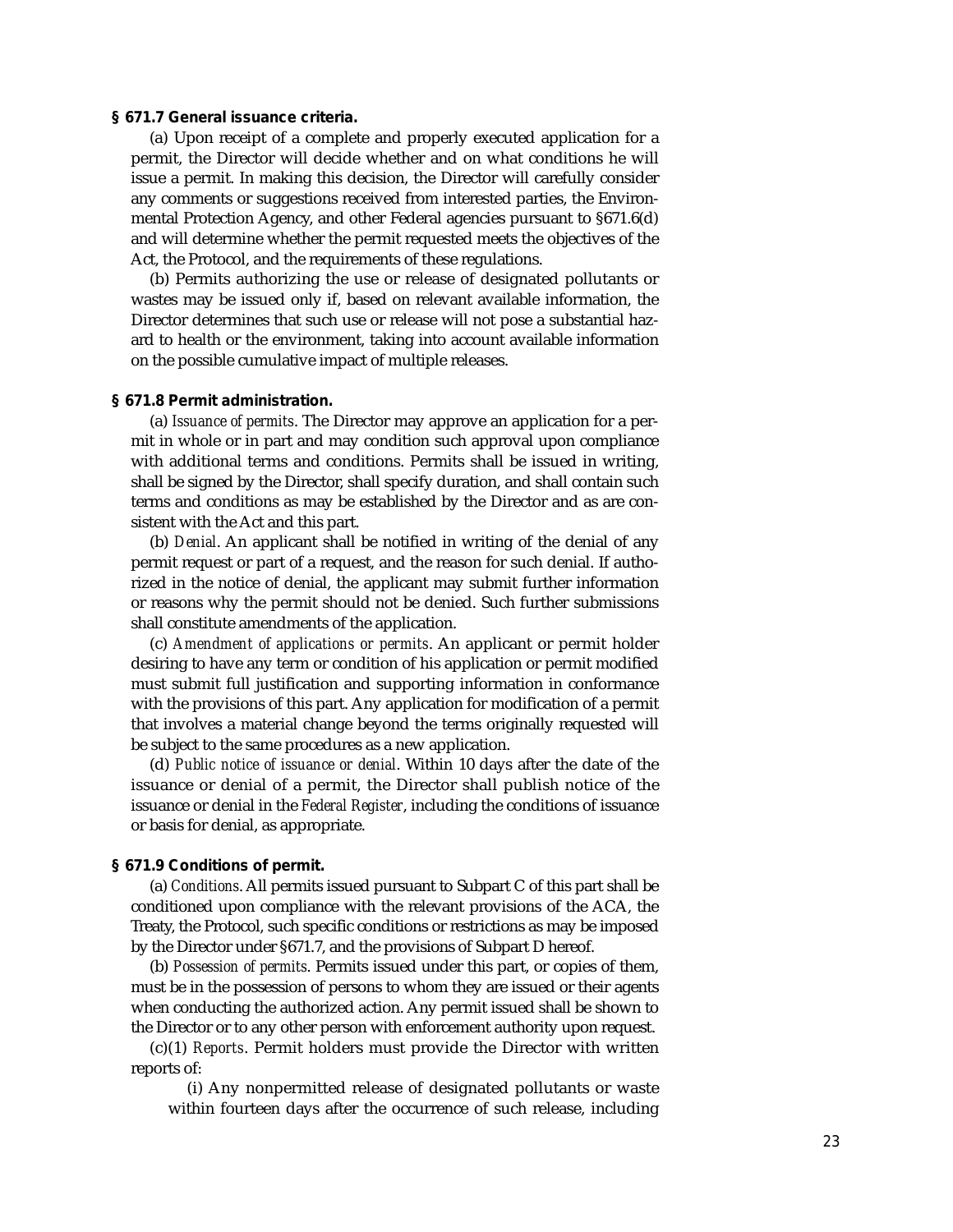#### **§ 671.7 General issuance criteria.**

(a) Upon receipt of a complete and properly executed application for a permit, the Director will decide whether and on what conditions he will issue a permit. In making this decision, the Director will carefully consider any comments or suggestions received from interested parties, the Environmental Protection Agency, and other Federal agencies pursuant to §671.6(d) and will determine whether the permit requested meets the objectives of the Act, the Protocol, and the requirements of these regulations.

(b) Permits authorizing the use or release of designated pollutants or wastes may be issued only if, based on relevant available information, the Director determines that such use or release will not pose a substantial hazard to health or the environment, taking into account available information on the possible cumulative impact of multiple releases.

#### **§ 671.8 Permit administration.**

(a) *Issuance of permits*. The Director may approve an application for a permit in whole or in part and may condition such approval upon compliance with additional terms and conditions. Permits shall be issued in writing, shall be signed by the Director, shall specify duration, and shall contain such terms and conditions as may be established by the Director and as are consistent with the Act and this part.

(b) *Denial*. An applicant shall be notified in writing of the denial of any permit request or part of a request, and the reason for such denial. If authorized in the notice of denial, the applicant may submit further information or reasons why the permit should not be denied. Such further submissions shall constitute amendments of the application.

(c) *Amendment of applications or permits*. An applicant or permit holder desiring to have any term or condition of his application or permit modified must submit full justification and supporting information in conformance with the provisions of this part. Any application for modification of a permit that involves a material change beyond the terms originally requested will be subject to the same procedures as a new application.

(d) *Public notice of issuance or denial*. Within 10 days after the date of the issuance or denial of a permit, the Director shall publish notice of the issuance or denial in the *Federal Register*, including the conditions of issuance or basis for denial, as appropriate.

#### **§ 671.9 Conditions of permit.**

(a) *Conditions*. All permits issued pursuant to Subpart C of this part shall be conditioned upon compliance with the relevant provisions of the ACA, the Treaty, the Protocol, such specific conditions or restrictions as may be imposed by the Director under §671.7, and the provisions of Subpart D hereof.

(b) *Possession of permits*. Permits issued under this part, or copies of them, must be in the possession of persons to whom they are issued or their agents when conducting the authorized action. Any permit issued shall be shown to the Director or to any other person with enforcement authority upon request.

(c)(1) *Reports*. Permit holders must provide the Director with written reports of:

(i) Any nonpermitted release of designated pollutants or waste within fourteen days after the occurrence of such release, including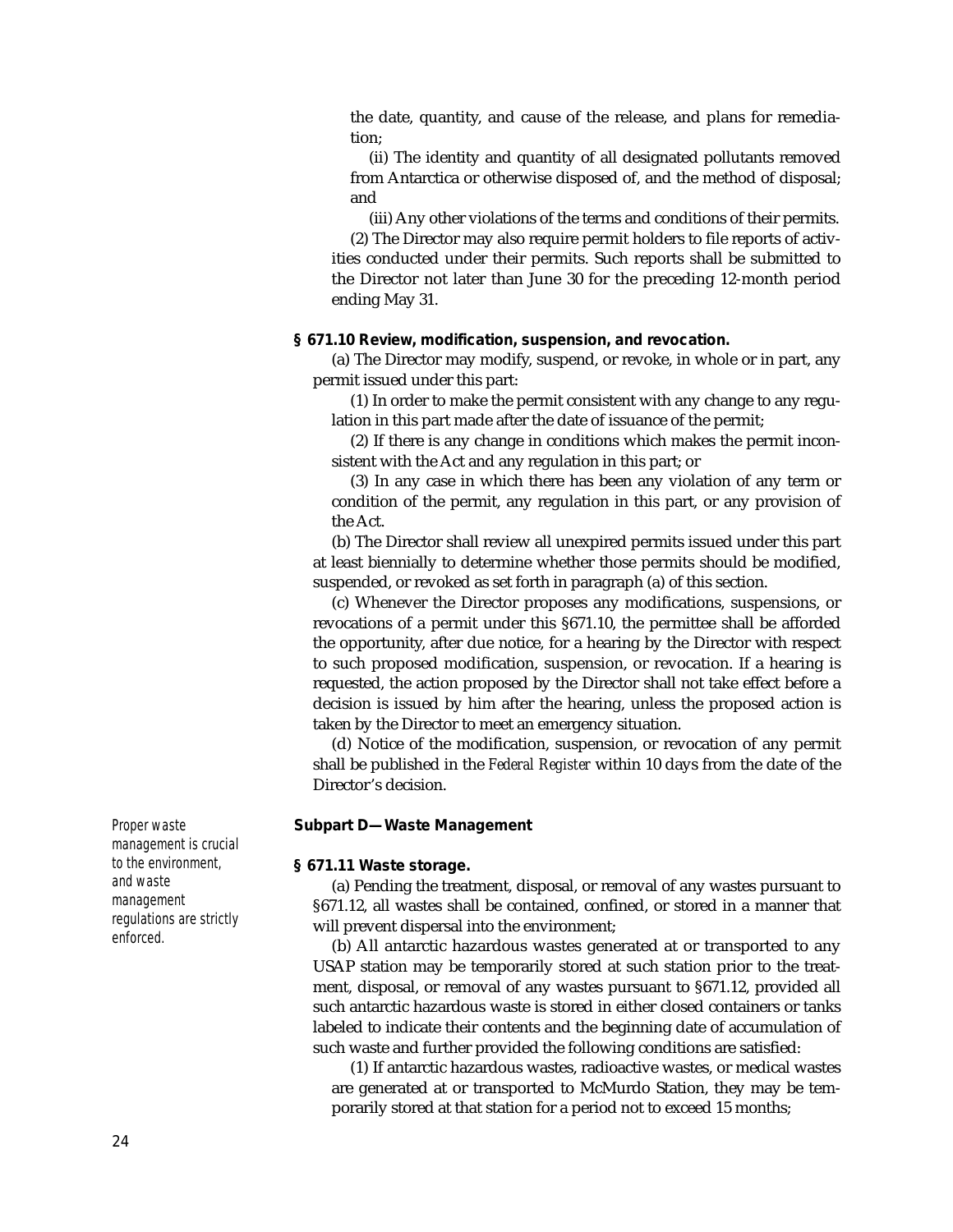the date, quantity, and cause of the release, and plans for remediation;

(ii) The identity and quantity of all designated pollutants removed from Antarctica or otherwise disposed of, and the method of disposal; and

(iii) Any other violations of the terms and conditions of their permits.

(2) The Director may also require permit holders to file reports of activities conducted under their permits. Such reports shall be submitted to the Director not later than June 30 for the preceding 12-month period ending May 31.

#### **§ 671.10 Review, modification, suspension, and revocation.**

(a) The Director may modify, suspend, or revoke, in whole or in part, any permit issued under this part:

(1) In order to make the permit consistent with any change to any regulation in this part made after the date of issuance of the permit;

(2) If there is any change in conditions which makes the permit inconsistent with the Act and any regulation in this part; or

(3) In any case in which there has been any violation of any term or condition of the permit, any regulation in this part, or any provision of the Act.

(b) The Director shall review all unexpired permits issued under this part at least biennially to determine whether those permits should be modified, suspended, or revoked as set forth in paragraph (a) of this section.

(c) Whenever the Director proposes any modifications, suspensions, or revocations of a permit under this §671.10, the permittee shall be afforded the opportunity, after due notice, for a hearing by the Director with respect to such proposed modification, suspension, or revocation. If a hearing is requested, the action proposed by the Director shall not take effect before a decision is issued by him after the hearing, unless the proposed action is taken by the Director to meet an emergency situation.

(d) Notice of the modification, suspension, or revocation of any permit shall be published in the *Federal Register* within 10 days from the date of the Director's decision.

#### **Subpart D—Waste Management**

### **§ 671.11 Waste storage.**

(a) Pending the treatment, disposal, or removal of any wastes pursuant to §671.12, all wastes shall be contained, confined, or stored in a manner that will prevent dispersal into the environment;

(b) All antarctic hazardous wastes generated at or transported to any USAP station may be temporarily stored at such station prior to the treatment, disposal, or removal of any wastes pursuant to §671.12, provided all such antarctic hazardous waste is stored in either closed containers or tanks labeled to indicate their contents and the beginning date of accumulation of such waste and further provided the following conditions are satisfied:

(1) If antarctic hazardous wastes, radioactive wastes, or medical wastes are generated at or transported to McMurdo Station, they may be temporarily stored at that station for a period not to exceed 15 months;

Proper waste management is crucial to the environment, and waste management regulations are strictly enforced.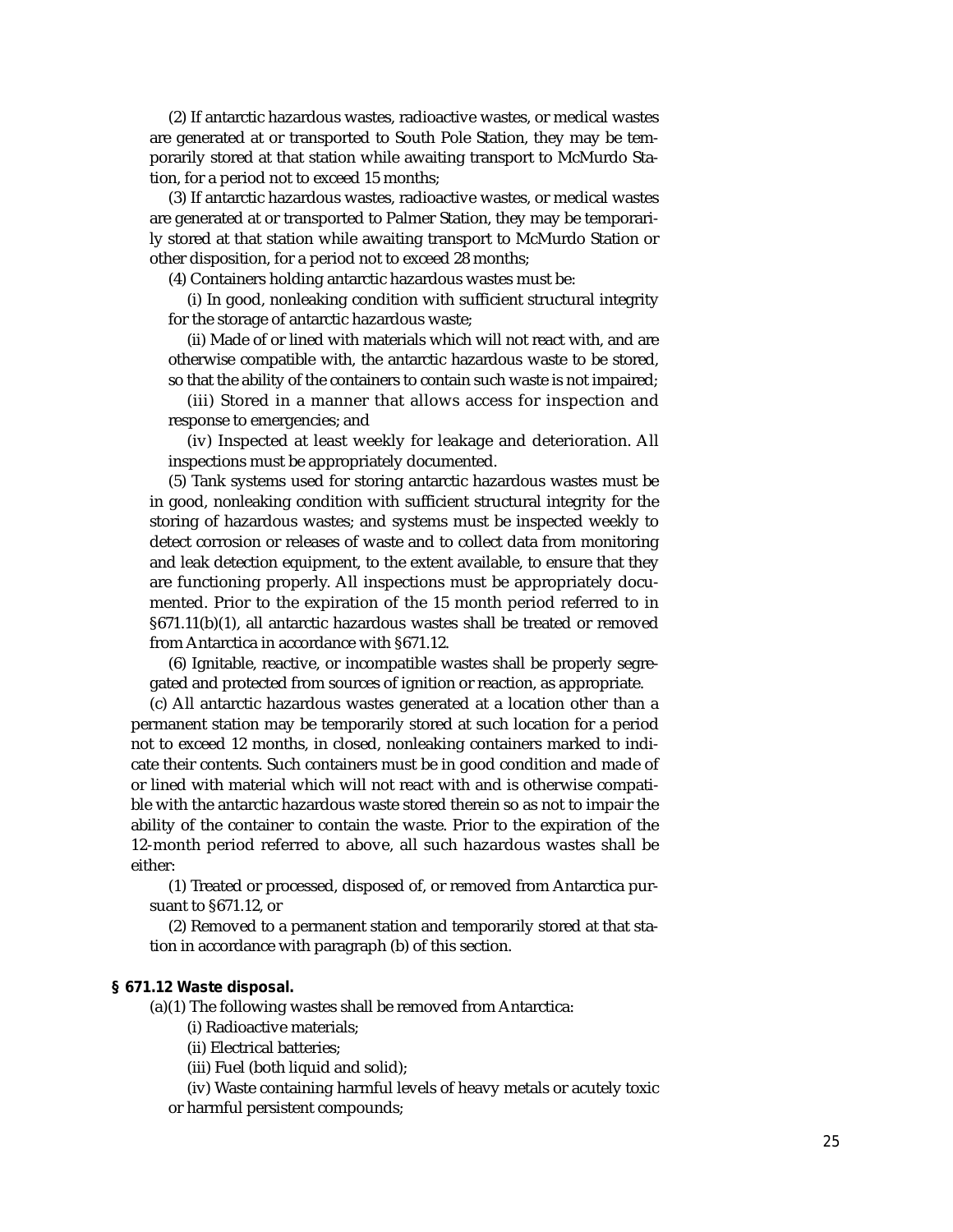(2) If antarctic hazardous wastes, radioactive wastes, or medical wastes are generated at or transported to South Pole Station, they may be temporarily stored at that station while awaiting transport to McMurdo Station, for a period not to exceed 15 months;

(3) If antarctic hazardous wastes, radioactive wastes, or medical wastes are generated at or transported to Palmer Station, they may be temporarily stored at that station while awaiting transport to McMurdo Station or other disposition, for a period not to exceed 28 months;

(4) Containers holding antarctic hazardous wastes must be:

(i) In good, nonleaking condition with sufficient structural integrity for the storage of antarctic hazardous waste;

(ii) Made of or lined with materials which will not react with, and are otherwise compatible with, the antarctic hazardous waste to be stored, so that the ability of the containers to contain such waste is not impaired;

(iii) Stored in a manner that allows access for inspection and response to emergencies; and

(iv) Inspected at least weekly for leakage and deterioration. All inspections must be appropriately documented.

(5) Tank systems used for storing antarctic hazardous wastes must be in good, nonleaking condition with sufficient structural integrity for the storing of hazardous wastes; and systems must be inspected weekly to detect corrosion or releases of waste and to collect data from monitoring and leak detection equipment, to the extent available, to ensure that they are functioning properly. All inspections must be appropriately documented. Prior to the expiration of the 15 month period referred to in §671.11(b)(1), all antarctic hazardous wastes shall be treated or removed from Antarctica in accordance with §671.12.

(6) Ignitable, reactive, or incompatible wastes shall be properly segregated and protected from sources of ignition or reaction, as appropriate.

(c) All antarctic hazardous wastes generated at a location other than a permanent station may be temporarily stored at such location for a period not to exceed 12 months, in closed, nonleaking containers marked to indicate their contents. Such containers must be in good condition and made of or lined with material which will not react with and is otherwise compatible with the antarctic hazardous waste stored therein so as not to impair the ability of the container to contain the waste. Prior to the expiration of the 12-month period referred to above, all such hazardous wastes shall be either:

(1) Treated or processed, disposed of, or removed from Antarctica pursuant to §671.12, or

(2) Removed to a permanent station and temporarily stored at that station in accordance with paragraph (b) of this section.

# **§ 671.12 Waste disposal.**

(a)(1) The following wastes shall be removed from Antarctica:

(i) Radioactive materials;

(ii) Electrical batteries;

(iii) Fuel (both liquid and solid);

(iv) Waste containing harmful levels of heavy metals or acutely toxic

or harmful persistent compounds;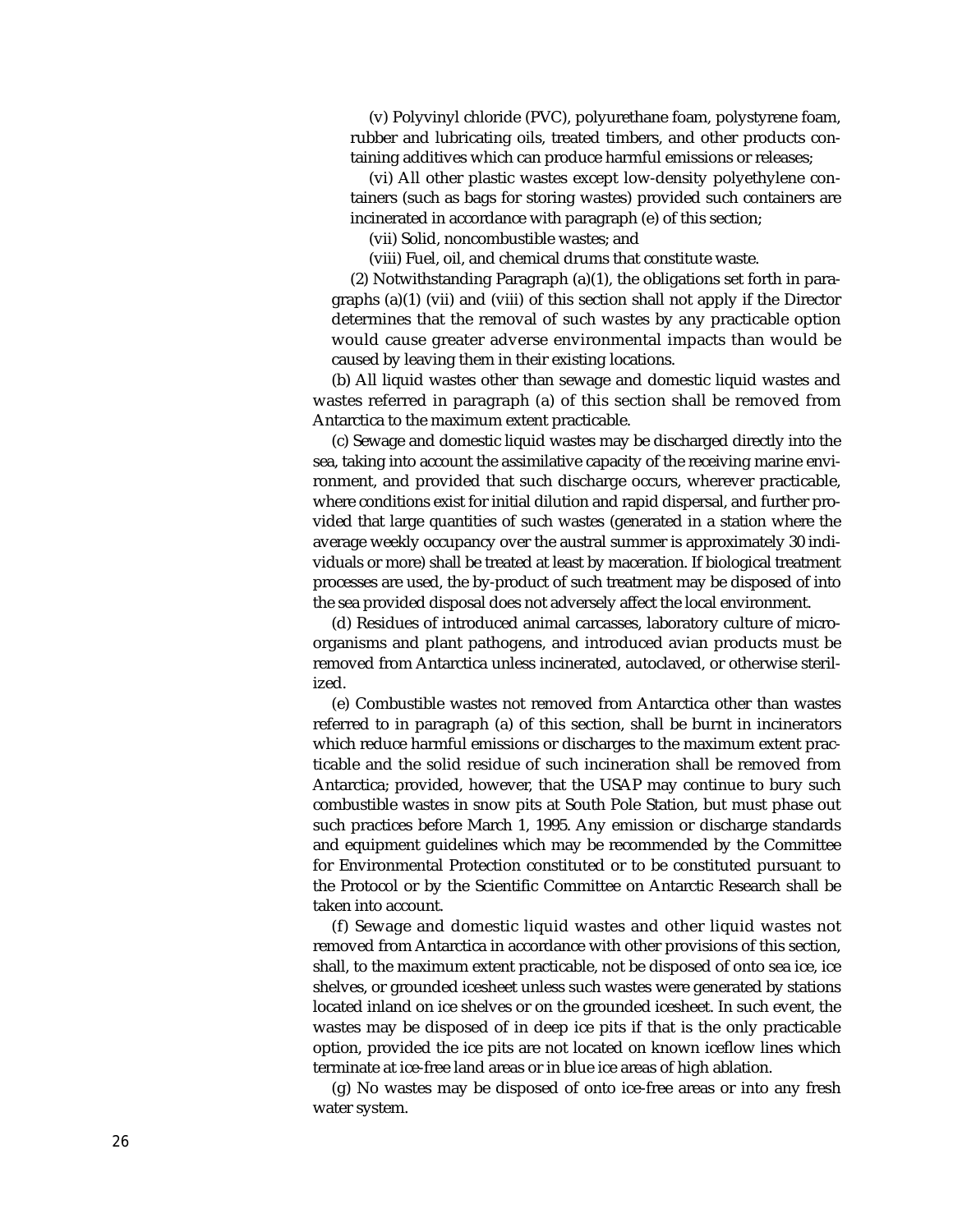(v) Polyvinyl chloride (PVC), polyurethane foam, polystyrene foam, rubber and lubricating oils, treated timbers, and other products containing additives which can produce harmful emissions or releases;

(vi) All other plastic wastes except low-density polyethylene containers (such as bags for storing wastes) provided such containers are incinerated in accordance with paragraph (e) of this section;

(vii) Solid, noncombustible wastes; and

(viii) Fuel, oil, and chemical drums that constitute waste.

(2) Notwithstanding Paragraph  $(a)(1)$ , the obligations set forth in paragraphs (a)(1) (vii) and (viii) of this section shall not apply if the Director determines that the removal of such wastes by any practicable option would cause greater adverse environmental impacts than would be caused by leaving them in their existing locations.

(b) All liquid wastes other than sewage and domestic liquid wastes and wastes referred in paragraph (a) of this section shall be removed from Antarctica to the maximum extent practicable.

(c) Sewage and domestic liquid wastes may be discharged directly into the sea, taking into account the assimilative capacity of the receiving marine environment, and provided that such discharge occurs, wherever practicable, where conditions exist for initial dilution and rapid dispersal, and further provided that large quantities of such wastes (generated in a station where the average weekly occupancy over the austral summer is approximately 30 individuals or more) shall be treated at least by maceration. If biological treatment processes are used, the by-product of such treatment may be disposed of into the sea provided disposal does not adversely affect the local environment.

(d) Residues of introduced animal carcasses, laboratory culture of microorganisms and plant pathogens, and introduced avian products must be removed from Antarctica unless incinerated, autoclaved, or otherwise sterilized.

(e) Combustible wastes not removed from Antarctica other than wastes referred to in paragraph (a) of this section, shall be burnt in incinerators which reduce harmful emissions or discharges to the maximum extent practicable and the solid residue of such incineration shall be removed from Antarctica; provided, however, that the USAP may continue to bury such combustible wastes in snow pits at South Pole Station, but must phase out such practices before March 1, 1995. Any emission or discharge standards and equipment guidelines which may be recommended by the Committee for Environmental Protection constituted or to be constituted pursuant to the Protocol or by the Scientific Committee on Antarctic Research shall be taken into account.

(f) Sewage and domestic liquid wastes and other liquid wastes not removed from Antarctica in accordance with other provisions of this section, shall, to the maximum extent practicable, not be disposed of onto sea ice, ice shelves, or grounded icesheet unless such wastes were generated by stations located inland on ice shelves or on the grounded icesheet. In such event, the wastes may be disposed of in deep ice pits if that is the only practicable option, provided the ice pits are not located on known iceflow lines which terminate at ice-free land areas or in blue ice areas of high ablation.

(g) No wastes may be disposed of onto ice-free areas or into any fresh water system.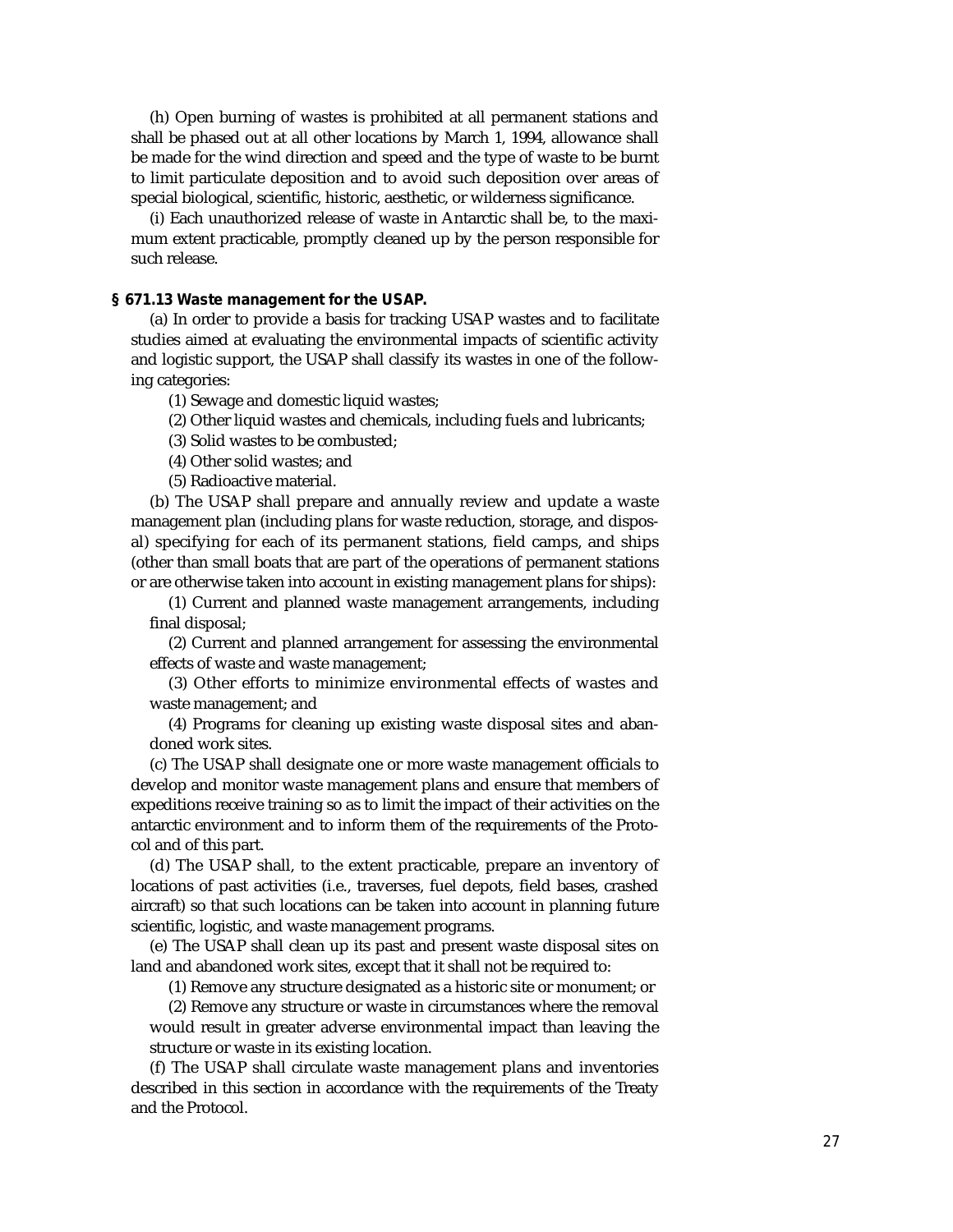(h) Open burning of wastes is prohibited at all permanent stations and shall be phased out at all other locations by March 1, 1994, allowance shall be made for the wind direction and speed and the type of waste to be burnt to limit particulate deposition and to avoid such deposition over areas of special biological, scientific, historic, aesthetic, or wilderness significance.

(i) Each unauthorized release of waste in Antarctic shall be, to the maximum extent practicable, promptly cleaned up by the person responsible for such release.

#### **§ 671.13 Waste management for the USAP.**

(a) In order to provide a basis for tracking USAP wastes and to facilitate studies aimed at evaluating the environmental impacts of scientific activity and logistic support, the USAP shall classify its wastes in one of the following categories:

(1) Sewage and domestic liquid wastes;

(2) Other liquid wastes and chemicals, including fuels and lubricants;

(3) Solid wastes to be combusted;

(4) Other solid wastes; and

(5) Radioactive material.

(b) The USAP shall prepare and annually review and update a waste management plan (including plans for waste reduction, storage, and disposal) specifying for each of its permanent stations, field camps, and ships (other than small boats that are part of the operations of permanent stations or are otherwise taken into account in existing management plans for ships):

(1) Current and planned waste management arrangements, including final disposal;

(2) Current and planned arrangement for assessing the environmental effects of waste and waste management;

(3) Other efforts to minimize environmental effects of wastes and waste management; and

(4) Programs for cleaning up existing waste disposal sites and abandoned work sites.

(c) The USAP shall designate one or more waste management officials to develop and monitor waste management plans and ensure that members of expeditions receive training so as to limit the impact of their activities on the antarctic environment and to inform them of the requirements of the Protocol and of this part.

(d) The USAP shall, to the extent practicable, prepare an inventory of locations of past activities (i.e., traverses, fuel depots, field bases, crashed aircraft) so that such locations can be taken into account in planning future scientific, logistic, and waste management programs.

(e) The USAP shall clean up its past and present waste disposal sites on land and abandoned work sites, except that it shall not be required to:

(1) Remove any structure designated as a historic site or monument; or

(2) Remove any structure or waste in circumstances where the removal would result in greater adverse environmental impact than leaving the structure or waste in its existing location.

(f) The USAP shall circulate waste management plans and inventories described in this section in accordance with the requirements of the Treaty and the Protocol.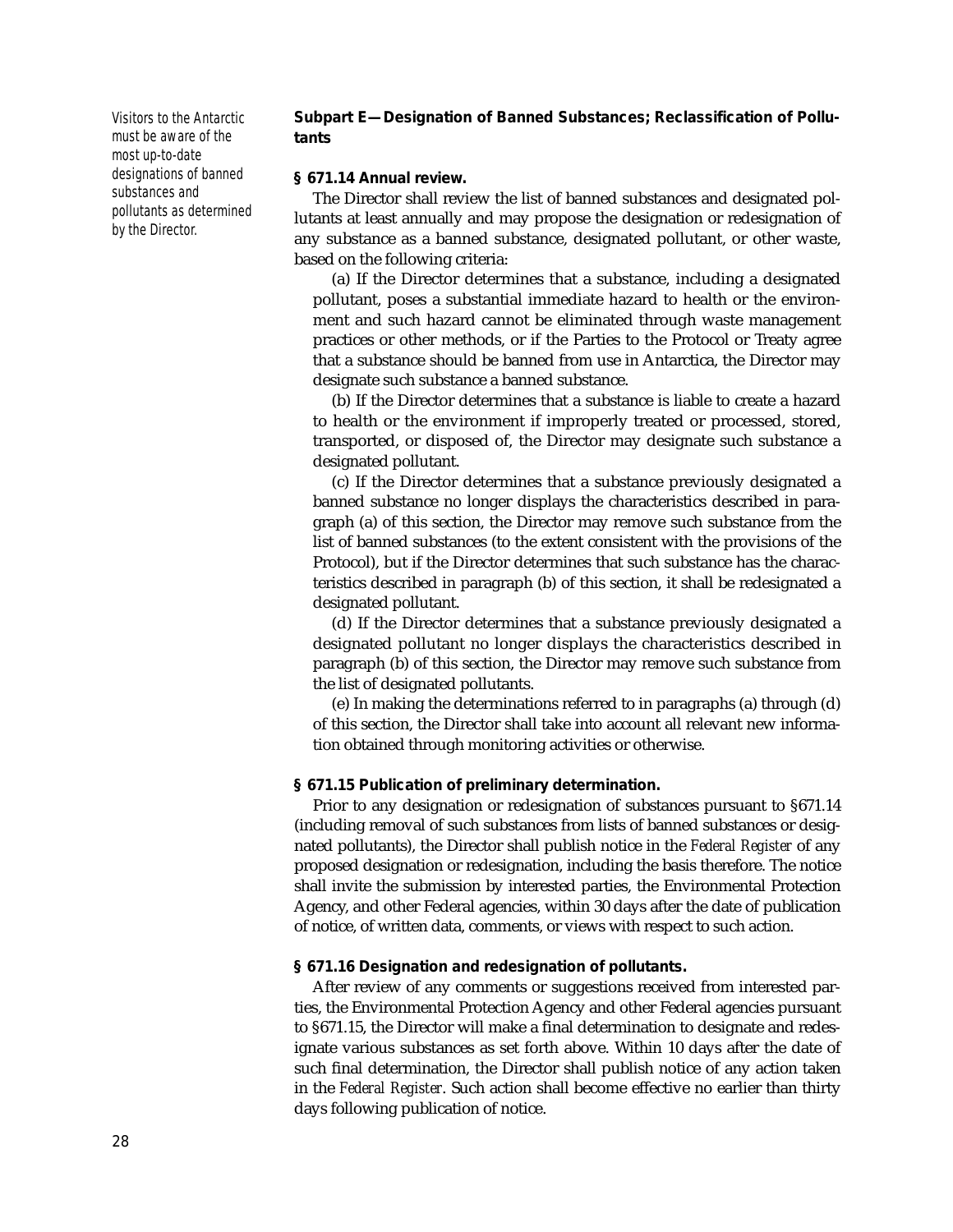Visitors to the Antarctic must be aware of the most up-to-date designations of banned substances and pollutants as determined by the Director.

## **Subpart E—Designation of Banned Substances; Reclassification of Pollutants**

## **§ 671.14 Annual review.**

The Director shall review the list of banned substances and designated pollutants at least annually and may propose the designation or redesignation of any substance as a banned substance, designated pollutant, or other waste, based on the following criteria:

(a) If the Director determines that a substance, including a designated pollutant, poses a substantial immediate hazard to health or the environment and such hazard cannot be eliminated through waste management practices or other methods, or if the Parties to the Protocol or Treaty agree that a substance should be banned from use in Antarctica, the Director may designate such substance a banned substance.

(b) If the Director determines that a substance is liable to create a hazard to health or the environment if improperly treated or processed, stored, transported, or disposed of, the Director may designate such substance a designated pollutant.

(c) If the Director determines that a substance previously designated a banned substance no longer displays the characteristics described in paragraph (a) of this section, the Director may remove such substance from the list of banned substances (to the extent consistent with the provisions of the Protocol), but if the Director determines that such substance has the characteristics described in paragraph (b) of this section, it shall be redesignated a designated pollutant.

(d) If the Director determines that a substance previously designated a designated pollutant no longer displays the characteristics described in paragraph (b) of this section, the Director may remove such substance from the list of designated pollutants.

(e) In making the determinations referred to in paragraphs (a) through (d) of this section, the Director shall take into account all relevant new information obtained through monitoring activities or otherwise.

#### **§ 671.15 Publication of preliminary determination.**

Prior to any designation or redesignation of substances pursuant to §671.14 (including removal of such substances from lists of banned substances or designated pollutants), the Director shall publish notice in the *Federal Register* of any proposed designation or redesignation, including the basis therefore. The notice shall invite the submission by interested parties, the Environmental Protection Agency, and other Federal agencies, within 30 days after the date of publication of notice, of written data, comments, or views with respect to such action.

#### **§ 671.16 Designation and redesignation of pollutants.**

After review of any comments or suggestions received from interested parties, the Environmental Protection Agency and other Federal agencies pursuant to §671.15, the Director will make a final determination to designate and redesignate various substances as set forth above. Within 10 days after the date of such final determination, the Director shall publish notice of any action taken in the *Federal Register*. Such action shall become effective no earlier than thirty days following publication of notice.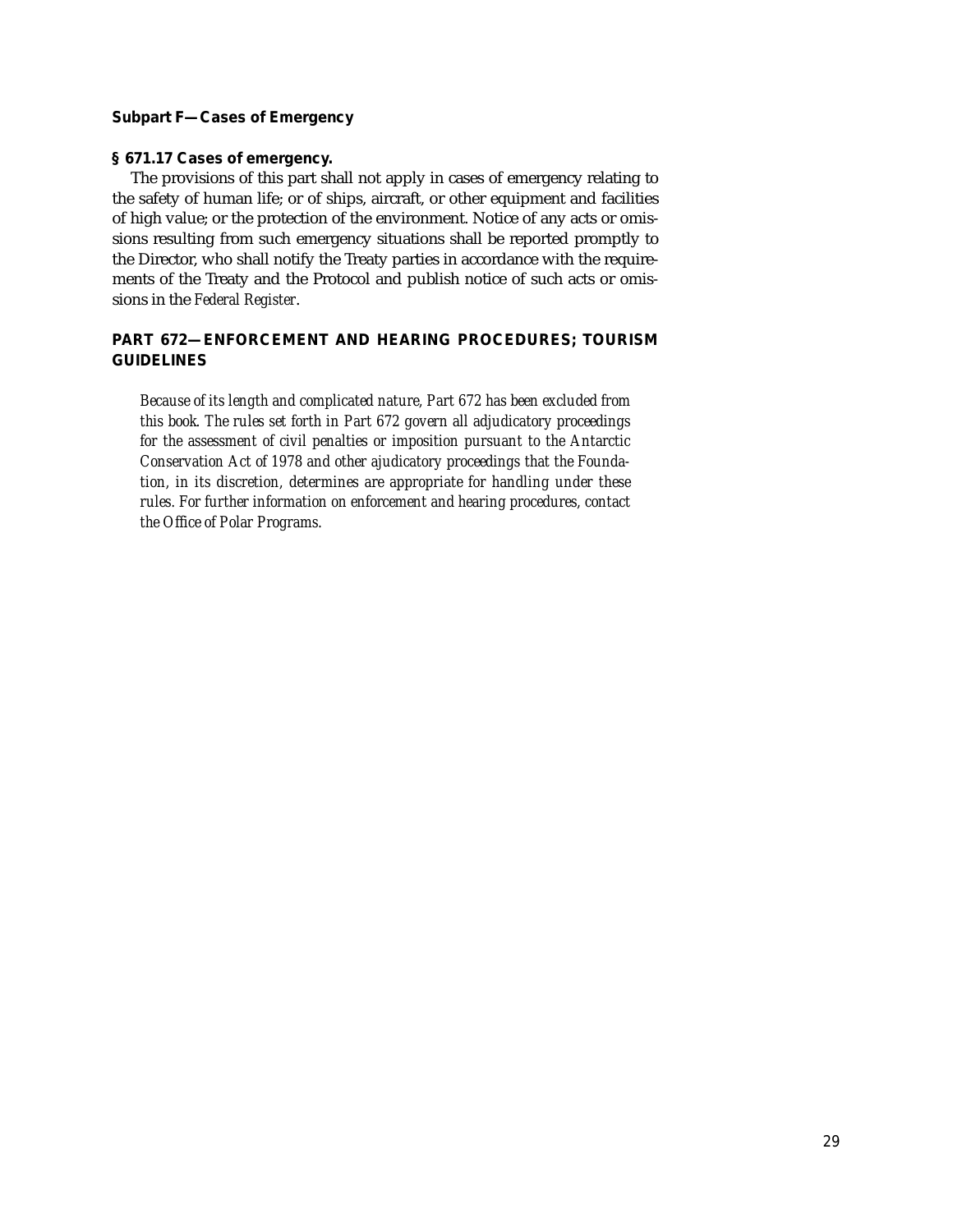## **Subpart F—Cases of Emergency**

## **§ 671.17 Cases of emergency.**

The provisions of this part shall not apply in cases of emergency relating to the safety of human life; or of ships, aircraft, or other equipment and facilities of high value; or the protection of the environment. Notice of any acts or omissions resulting from such emergency situations shall be reported promptly to the Director, who shall notify the Treaty parties in accordance with the requirements of the Treaty and the Protocol and publish notice of such acts or omissions in the *Federal Register*.

## **PART 672—ENFORCEMENT AND HEARING PROCEDURES; TOURISM GUIDELINES**

*Because of its length and complicated nature, Part 672 has been excluded from this book. The rules set forth in Part 672 govern all adjudicatory proceedings for the assessment of civil penalties or imposition pursuant to the Antarctic Conservation Act of 1978 and other ajudicatory proceedings that the Foundation, in its discretion, determines are appropriate for handling under these rules. For further information on enforcement and hearing procedures, contact the Office of Polar Programs.*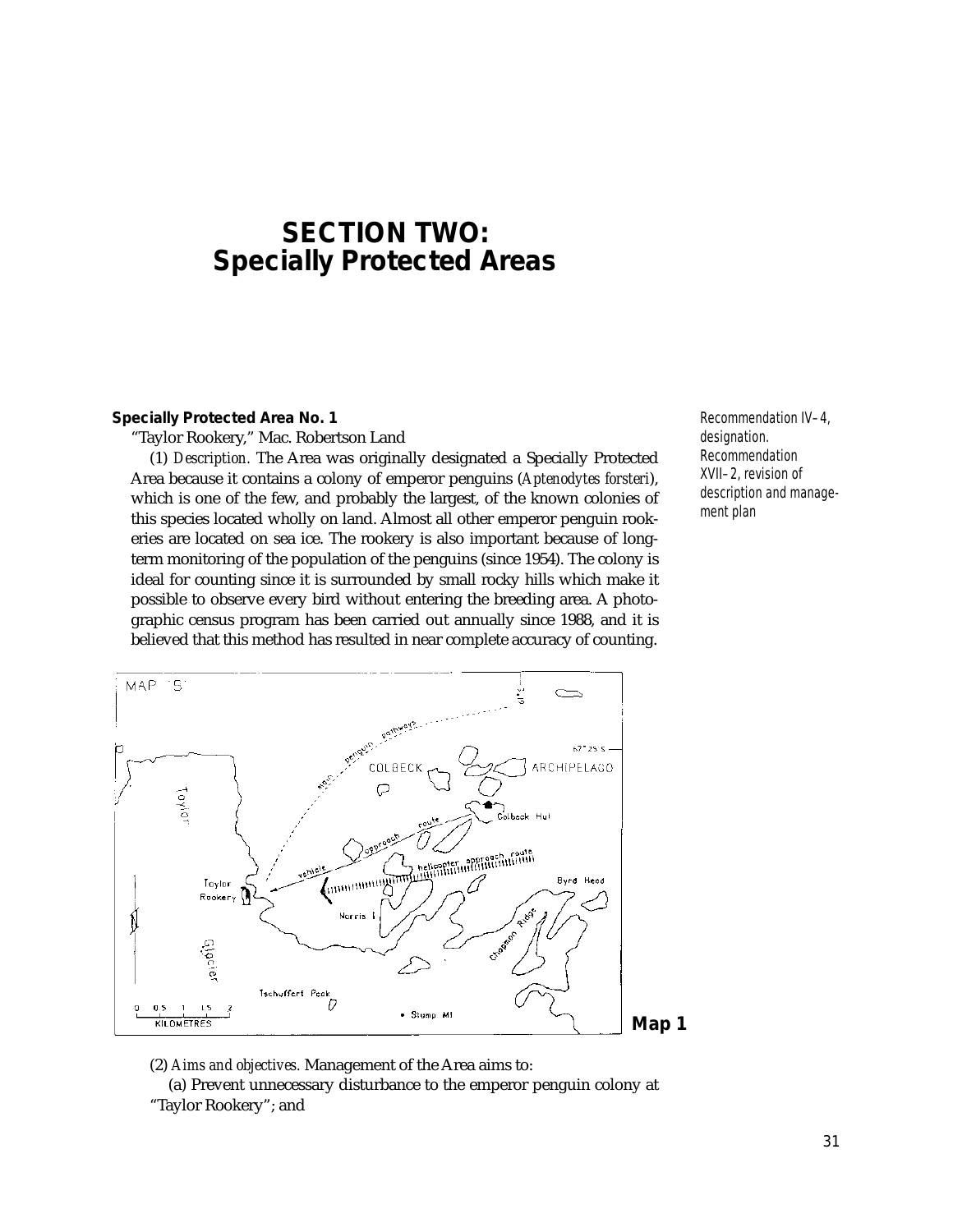# **SECTION TWO: Specially Protected Areas**

#### **Specially Protected Area No. 1**

"Taylor Rookery," Mac. Robertson Land

(1) *Description.* The Area was originally designated a Specially Protected Area because it contains a colony of emperor penguins (*Aptenodytes forsteri*), which is one of the few, and probably the largest, of the known colonies of this species located wholly on land. Almost all other emperor penguin rookeries are located on sea ice. The rookery is also important because of longterm monitoring of the population of the penguins (since 1954). The colony is ideal for counting since it is surrounded by small rocky hills which make it possible to observe every bird without entering the breeding area. A photographic census program has been carried out annually since 1988, and it is believed that this method has resulted in near complete accuracy of counting.

Recommendation IV–4, designation. Recommendation XVII–2, revision of description and management plan



(2) *Aims and objectives.* Management of the Area aims to:

(a) Prevent unnecessary disturbance to the emperor penguin colony at "Taylor Rookery"; and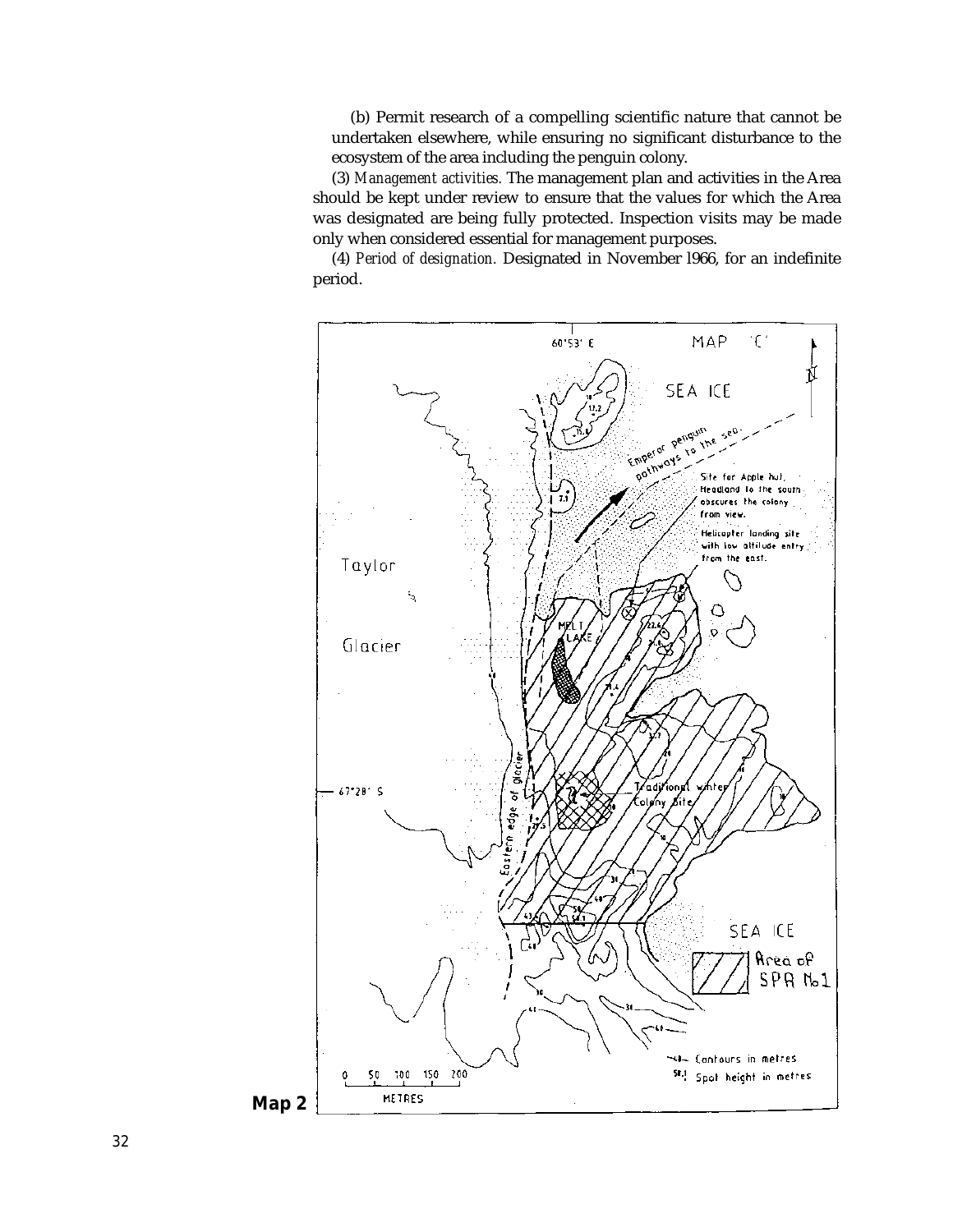(b) Permit research of a compelling scientific nature that cannot be undertaken elsewhere, while ensuring no significant disturbance to the ecosystem of the area including the penguin colony.

(3) *Management activities.* The management plan and activities in the Area should be kept under review to ensure that the values for which the Area was designated are being fully protected. Inspection visits may be made only when considered essential for management purposes.

(4) *Period of designation.* Designated in November l966, for an indefinite period.

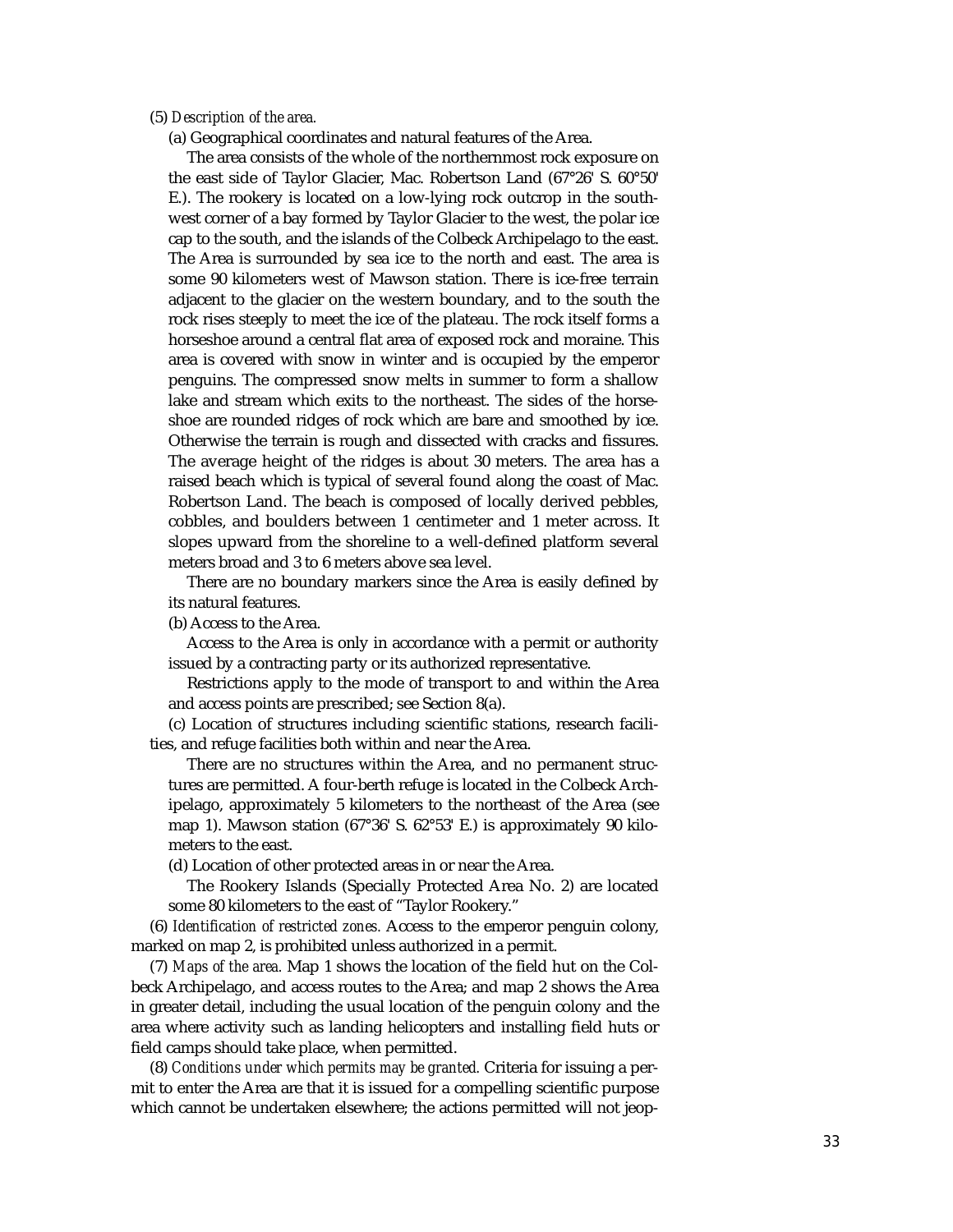(5) *Description of the area.* 

(a) Geographical coordinates and natural features of the Area.

The area consists of the whole of the northernmost rock exposure on the east side of Taylor Glacier, Mac. Robertson Land (67°26' S. 60°50' E.). The rookery is located on a low-lying rock outcrop in the southwest corner of a bay formed by Taylor Glacier to the west, the polar ice cap to the south, and the islands of the Colbeck Archipelago to the east. The Area is surrounded by sea ice to the north and east. The area is some 90 kilometers west of Mawson station. There is ice-free terrain adjacent to the glacier on the western boundary, and to the south the rock rises steeply to meet the ice of the plateau. The rock itself forms a horseshoe around a central flat area of exposed rock and moraine. This area is covered with snow in winter and is occupied by the emperor penguins. The compressed snow melts in summer to form a shallow lake and stream which exits to the northeast. The sides of the horseshoe are rounded ridges of rock which are bare and smoothed by ice. Otherwise the terrain is rough and dissected with cracks and fissures. The average height of the ridges is about 30 meters. The area has a raised beach which is typical of several found along the coast of Mac. Robertson Land. The beach is composed of locally derived pebbles, cobbles, and boulders between 1 centimeter and 1 meter across. It slopes upward from the shoreline to a well-defined platform several meters broad and 3 to 6 meters above sea level.

There are no boundary markers since the Area is easily defined by its natural features.

(b) Access to the Area.

Access to the Area is only in accordance with a permit or authority issued by a contracting party or its authorized representative.

Restrictions apply to the mode of transport to and within the Area and access points are prescribed; see Section 8(a).

(c) Location of structures including scientific stations, research facilities, and refuge facilities both within and near the Area.

There are no structures within the Area, and no permanent structures are permitted. A four-berth refuge is located in the Colbeck Archipelago, approximately 5 kilometers to the northeast of the Area (see map 1). Mawson station (67°36' S. 62°53' E.) is approximately 90 kilometers to the east.

(d) Location of other protected areas in or near the Area.

The Rookery Islands (Specially Protected Area No. 2) are located some 80 kilometers to the east of "Taylor Rookery."

(6) *Identification of restricted zones.* Access to the emperor penguin colony, marked on map 2, is prohibited unless authorized in a permit.

(7) *Maps of the area.* Map 1 shows the location of the field hut on the Colbeck Archipelago, and access routes to the Area; and map 2 shows the Area in greater detail, including the usual location of the penguin colony and the area where activity such as landing helicopters and installing field huts or field camps should take place, when permitted.

(8) *Conditions under which permits may be granted.* Criteria for issuing a permit to enter the Area are that it is issued for a compelling scientific purpose which cannot be undertaken elsewhere; the actions permitted will not jeop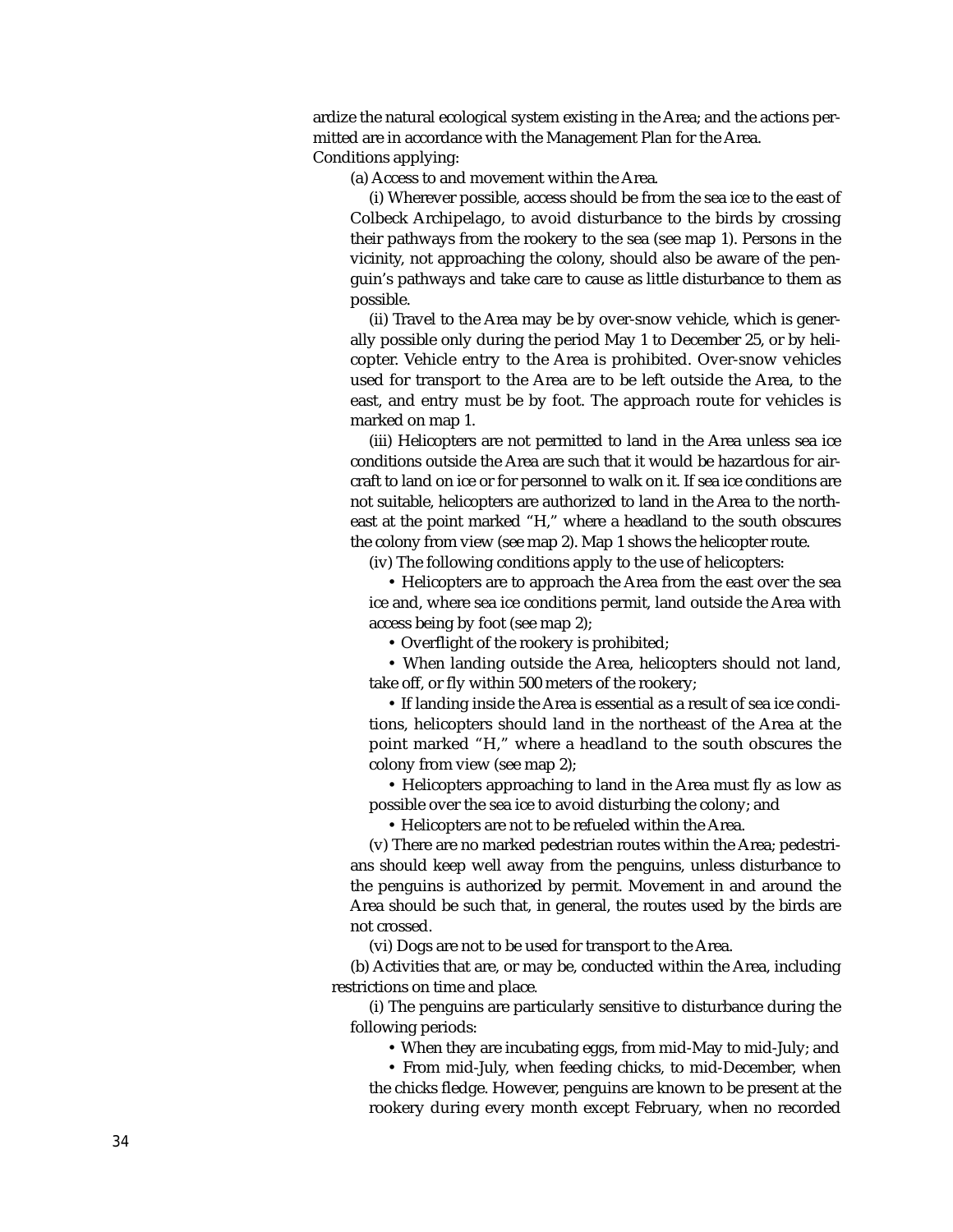ardize the natural ecological system existing in the Area; and the actions permitted are in accordance with the Management Plan for the Area. Conditions applying:

(a) Access to and movement within the Area*.* 

(i) Wherever possible, access should be from the sea ice to the east of Colbeck Archipelago, to avoid disturbance to the birds by crossing their pathways from the rookery to the sea (see map 1). Persons in the vicinity, not approaching the colony, should also be aware of the penguin's pathways and take care to cause as little disturbance to them as possible.

(ii) Travel to the Area may be by over-snow vehicle, which is generally possible only during the period May 1 to December 25, or by helicopter. Vehicle entry to the Area is prohibited. Over-snow vehicles used for transport to the Area are to be left outside the Area, to the east, and entry must be by foot. The approach route for vehicles is marked on map 1.

(iii) Helicopters are not permitted to land in the Area unless sea ice conditions outside the Area are such that it would be hazardous for aircraft to land on ice or for personnel to walk on it. If sea ice conditions are not suitable, helicopters are authorized to land in the Area to the northeast at the point marked "H," where a headland to the south obscures the colony from view (see map 2). Map 1 shows the helicopter route.

(iv) The following conditions apply to the use of helicopters:

• Helicopters are to approach the Area from the east over the sea ice and, where sea ice conditions permit, land outside the Area with access being by foot (see map 2);

• Overflight of the rookery is prohibited;

• When landing outside the Area, helicopters should not land, take off, or fly within 500 meters of the rookery;

• If landing inside the Area is essential as a result of sea ice conditions, helicopters should land in the northeast of the Area at the point marked "H," where a headland to the south obscures the colony from view (see map 2);

• Helicopters approaching to land in the Area must fly as low as possible over the sea ice to avoid disturbing the colony; and

• Helicopters are not to be refueled within the Area.

(v) There are no marked pedestrian routes within the Area; pedestrians should keep well away from the penguins, unless disturbance to the penguins is authorized by permit. Movement in and around the Area should be such that, in general, the routes used by the birds are not crossed.

(vi) Dogs are not to be used for transport to the Area.

(b) Activities that are, or may be, conducted within the Area, including restrictions on time and place*.* 

(i) The penguins are particularly sensitive to disturbance during the following periods:

• When they are incubating eggs, from mid-May to mid-July; and

• From mid-July, when feeding chicks, to mid-December, when the chicks fledge. However, penguins are known to be present at the rookery during every month except February, when no recorded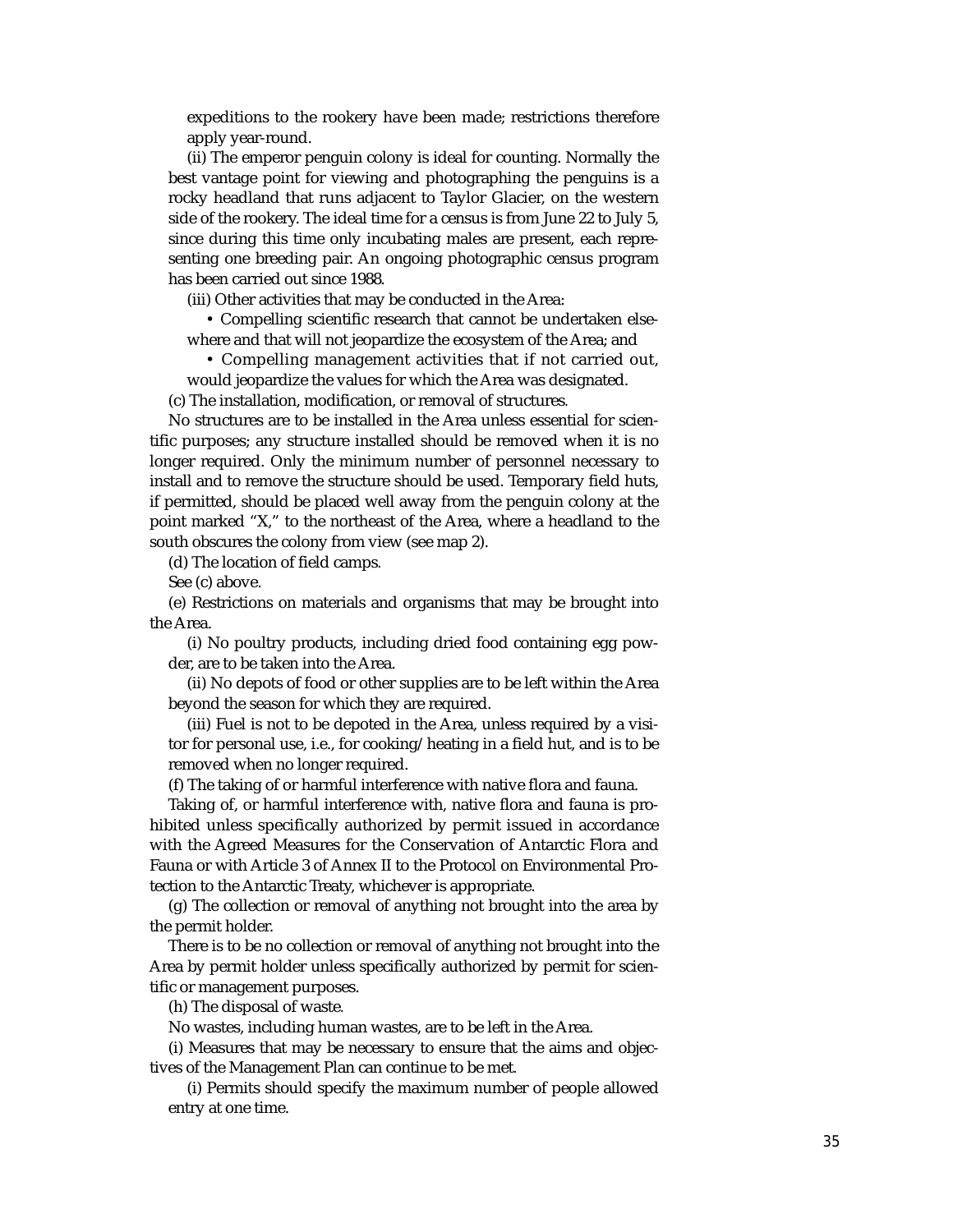expeditions to the rookery have been made; restrictions therefore apply year-round.

(ii) The emperor penguin colony is ideal for counting. Normally the best vantage point for viewing and photographing the penguins is a rocky headland that runs adjacent to Taylor Glacier, on the western side of the rookery. The ideal time for a census is from June 22 to July 5, since during this time only incubating males are present, each representing one breeding pair. An ongoing photographic census program has been carried out since 1988.

(iii) Other activities that may be conducted in the Area:

• Compelling scientific research that cannot be undertaken elsewhere and that will not jeopardize the ecosystem of the Area; and

• Compelling management activities that if not carried out,

would jeopardize the values for which the Area was designated. (c) The installation, modification, or removal of structures*.* 

No structures are to be installed in the Area unless essential for scientific purposes; any structure installed should be removed when it is no longer required. Only the minimum number of personnel necessary to install and to remove the structure should be used. Temporary field huts, if permitted, should be placed well away from the penguin colony at the point marked "X," to the northeast of the Area, where a headland to the south obscures the colony from view (see map 2).

(d) The location of field camps*.* 

See (c) above.

(e) Restrictions on materials and organisms that may be brought into the Area.

(i) No poultry products, including dried food containing egg powder, are to be taken into the Area.

(ii) No depots of food or other supplies are to be left within the Area beyond the season for which they are required.

(iii) Fuel is not to be depoted in the Area, unless required by a visitor for personal use, i.e., for cooking/heating in a field hut, and is to be removed when no longer required.

(f) The taking of or harmful interference with native flora and fauna.

Taking of, or harmful interference with, native flora and fauna is prohibited unless specifically authorized by permit issued in accordance with the Agreed Measures for the Conservation of Antarctic Flora and Fauna or with Article 3 of Annex II to the Protocol on Environmental Protection to the Antarctic Treaty, whichever is appropriate.

(g) The collection or removal of anything not brought into the area by the permit holder.

There is to be no collection or removal of anything not brought into the Area by permit holder unless specifically authorized by permit for scientific or management purposes.

(h) The disposal of waste*.* 

No wastes, including human wastes, are to be left in the Area.

(i) Measures that may be necessary to ensure that the aims and objectives of the Management Plan can continue to be met*.* 

(i) Permits should specify the maximum number of people allowed entry at one time.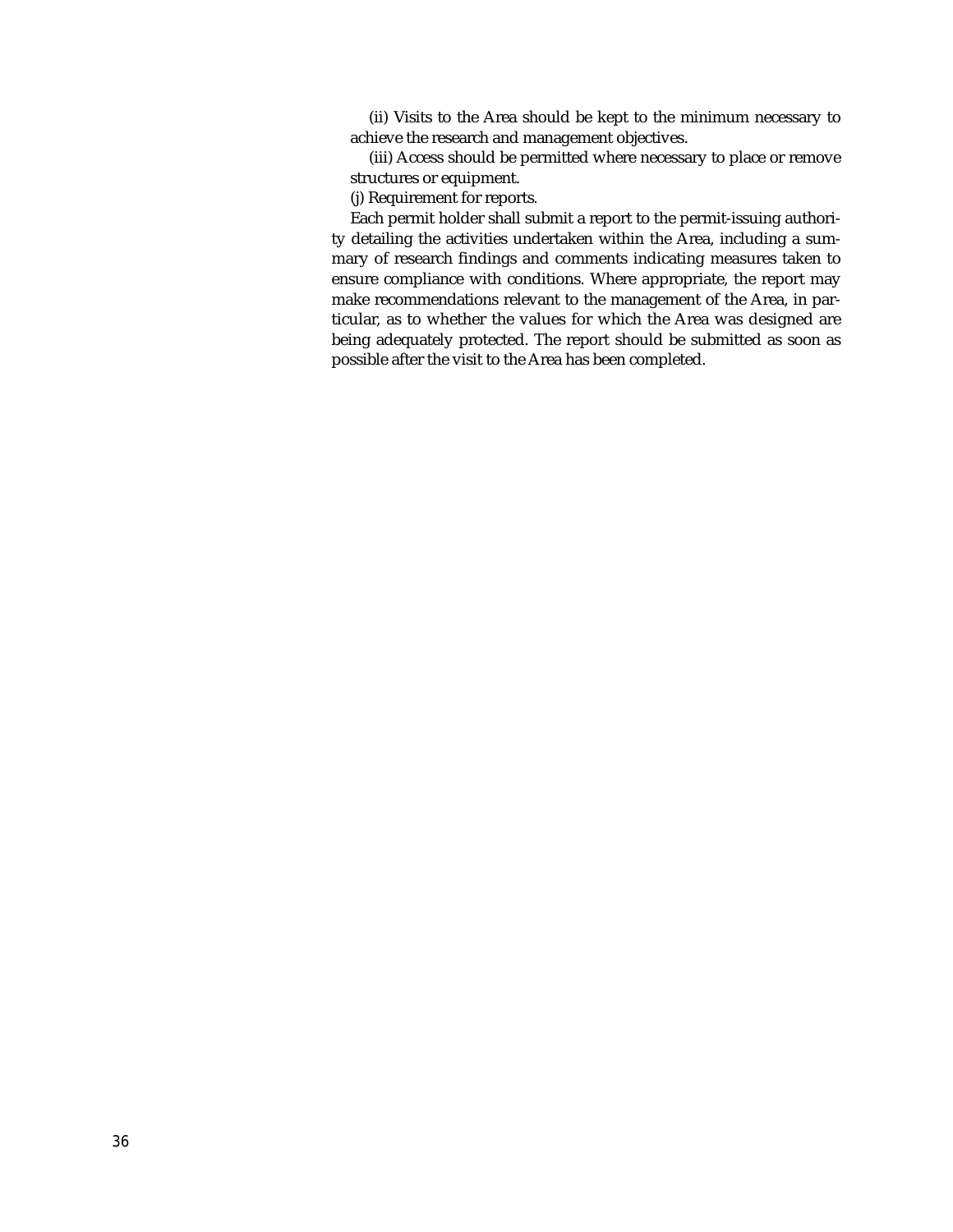(ii) Visits to the Area should be kept to the minimum necessary to achieve the research and management objectives.

(iii) Access should be permitted where necessary to place or remove structures or equipment.

(j) Requirement for reports*.* 

Each permit holder shall submit a report to the permit-issuing authority detailing the activities undertaken within the Area, including a summary of research findings and comments indicating measures taken to ensure compliance with conditions. Where appropriate, the report may make recommendations relevant to the management of the Area, in particular, as to whether the values for which the Area was designed are being adequately protected. The report should be submitted as soon as possible after the visit to the Area has been completed.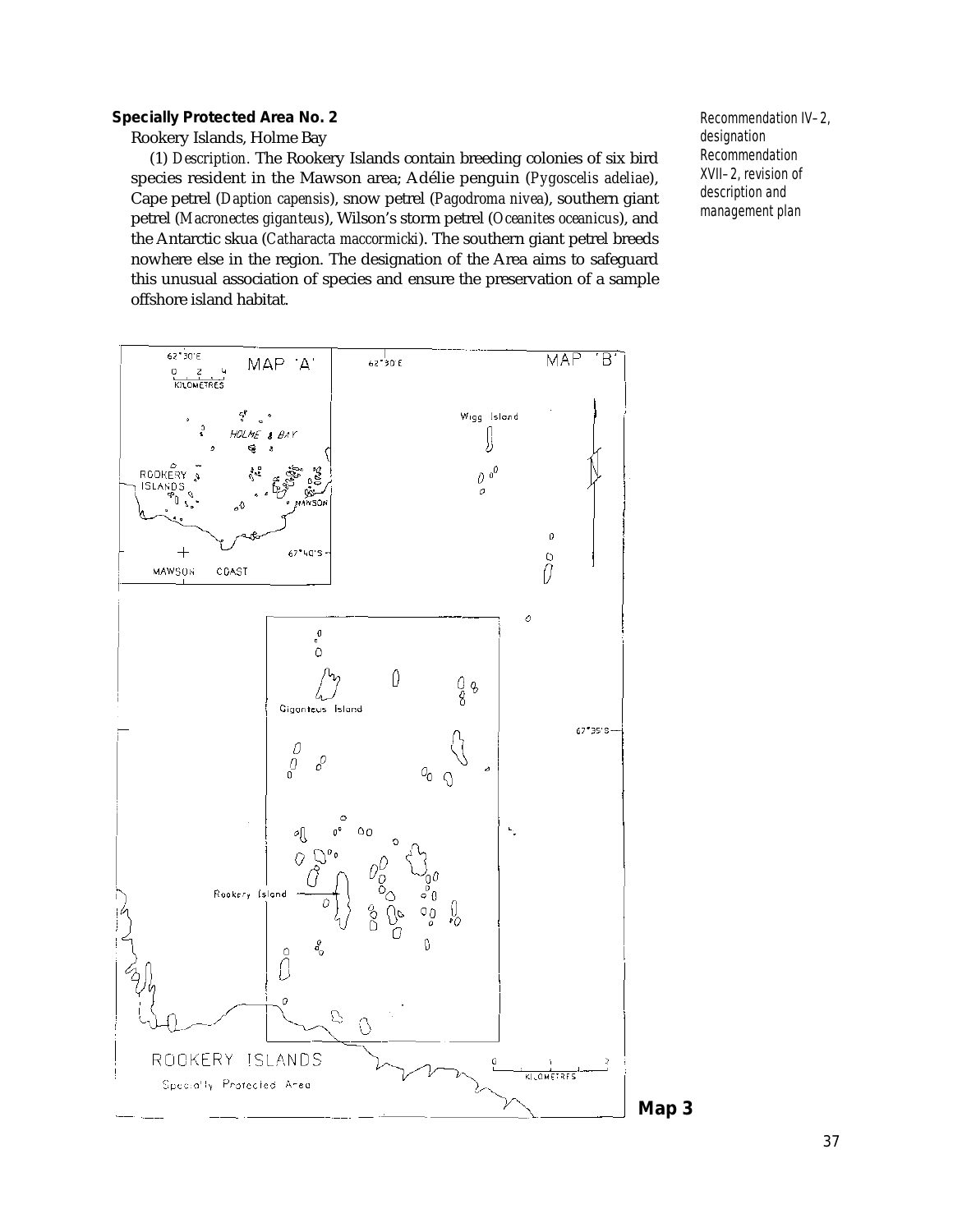Rookery Islands, Holme Bay

(1) *Description.* The Rookery Islands contain breeding colonies of six bird species resident in the Mawson area; Adélie penguin (*Pygoscelis adeliae*), Cape petrel (*Daption capensis*), snow petrel (*Pagodroma nivea*), southern giant petrel (*Macronectes giganteus*), Wilson's storm petrel (*Oceanites oceanicus*), and the Antarctic skua (*Catharacta maccormicki*). The southern giant petrel breeds nowhere else in the region. The designation of the Area aims to safeguard this unusual association of species and ensure the preservation of a sample offshore island habitat.

Recommendation IV–2, designation Recommendation XVII–2, revision of description and management plan

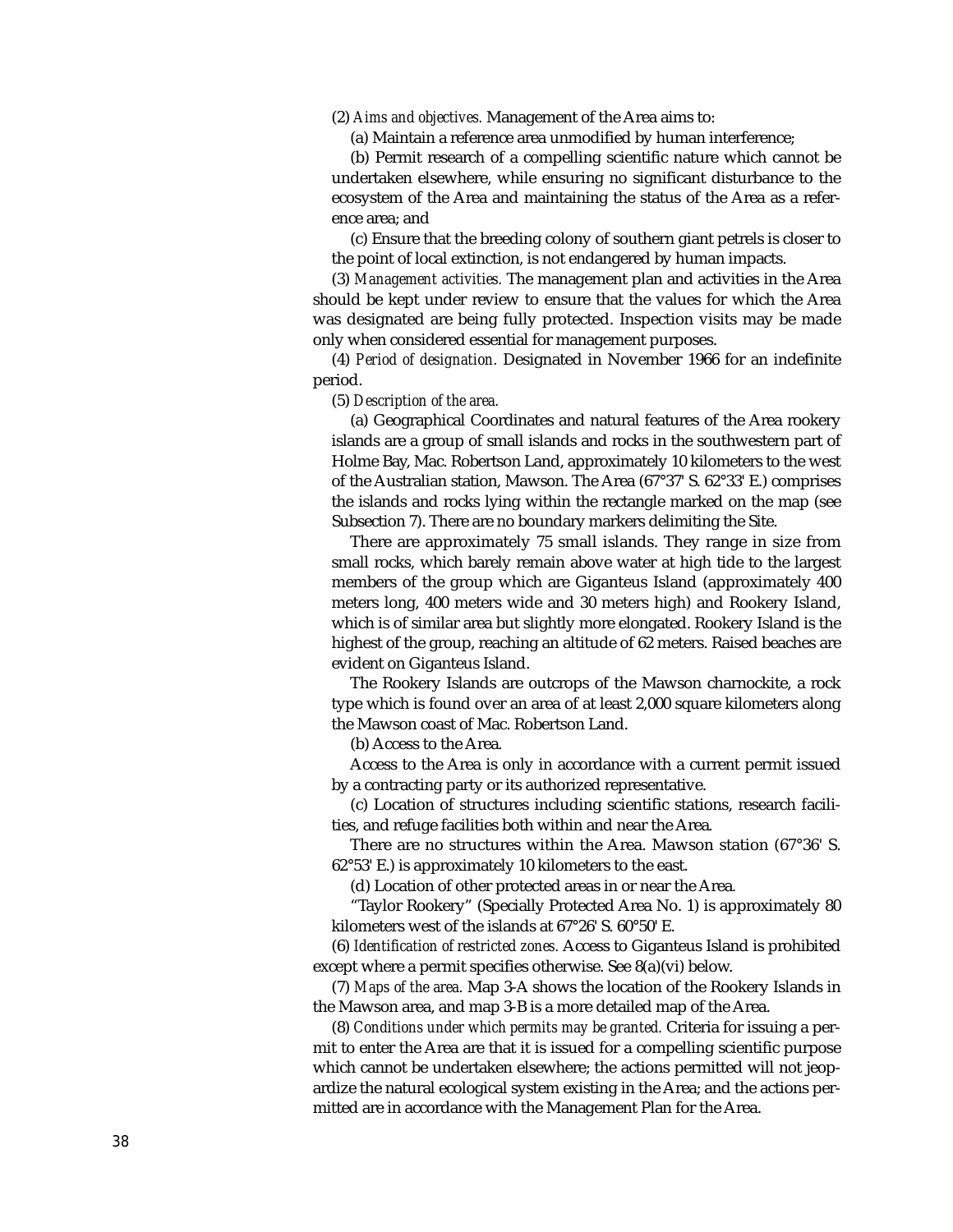(2) *Aims and objectives.* Management of the Area aims to:

(a) Maintain a reference area unmodified by human interference;

(b) Permit research of a compelling scientific nature which cannot be undertaken elsewhere, while ensuring no significant disturbance to the ecosystem of the Area and maintaining the status of the Area as a reference area; and

(c) Ensure that the breeding colony of southern giant petrels is closer to the point of local extinction, is not endangered by human impacts.

(3) *Management activities.* The management plan and activities in the Area should be kept under review to ensure that the values for which the Area was designated are being fully protected. Inspection visits may be made only when considered essential for management purposes.

(4) *Period of designation.* Designated in November 1966 for an indefinite period.

(5) *Description of the area.* 

(a) Geographical Coordinates and natural features of the Area rookery islands are a group of small islands and rocks in the southwestern part of Holme Bay, Mac. Robertson Land, approximately 10 kilometers to the west of the Australian station, Mawson. The Area (67°37' S. 62°33' E.) comprises the islands and rocks lying within the rectangle marked on the map (see Subsection 7). There are no boundary markers delimiting the Site.

There are approximately 75 small islands. They range in size from small rocks, which barely remain above water at high tide to the largest members of the group which are Giganteus Island (approximately 400 meters long, 400 meters wide and 30 meters high) and Rookery Island, which is of similar area but slightly more elongated. Rookery Island is the highest of the group, reaching an altitude of 62 meters. Raised beaches are evident on Giganteus Island.

The Rookery Islands are outcrops of the Mawson charnockite, a rock type which is found over an area of at least 2,000 square kilometers along the Mawson coast of Mac. Robertson Land.

(b) Access to the Area*.* 

Access to the Area is only in accordance with a current permit issued by a contracting party or its authorized representative.

(c) Location of structures including scientific stations, research facilities, and refuge facilities both within and near the Area*.* 

There are no structures within the Area. Mawson station (67°36' S. 62°53' E.) is approximately 10 kilometers to the east.

(d) Location of other protected areas in or near the Area*.* 

"Taylor Rookery" (Specially Protected Area No. 1) is approximately 80 kilometers west of the islands at 67°26' S. 60°50' E.

(6) *Identification of restricted zones.* Access to Giganteus Island is prohibited except where a permit specifies otherwise. See 8(a)(vi) below.

(7) *Maps of the area.* Map 3-A shows the location of the Rookery Islands in the Mawson area, and map 3-B is a more detailed map of the Area.

(8) *Conditions under which permits may be granted.* Criteria for issuing a permit to enter the Area are that it is issued for a compelling scientific purpose which cannot be undertaken elsewhere; the actions permitted will not jeopardize the natural ecological system existing in the Area; and the actions permitted are in accordance with the Management Plan for the Area.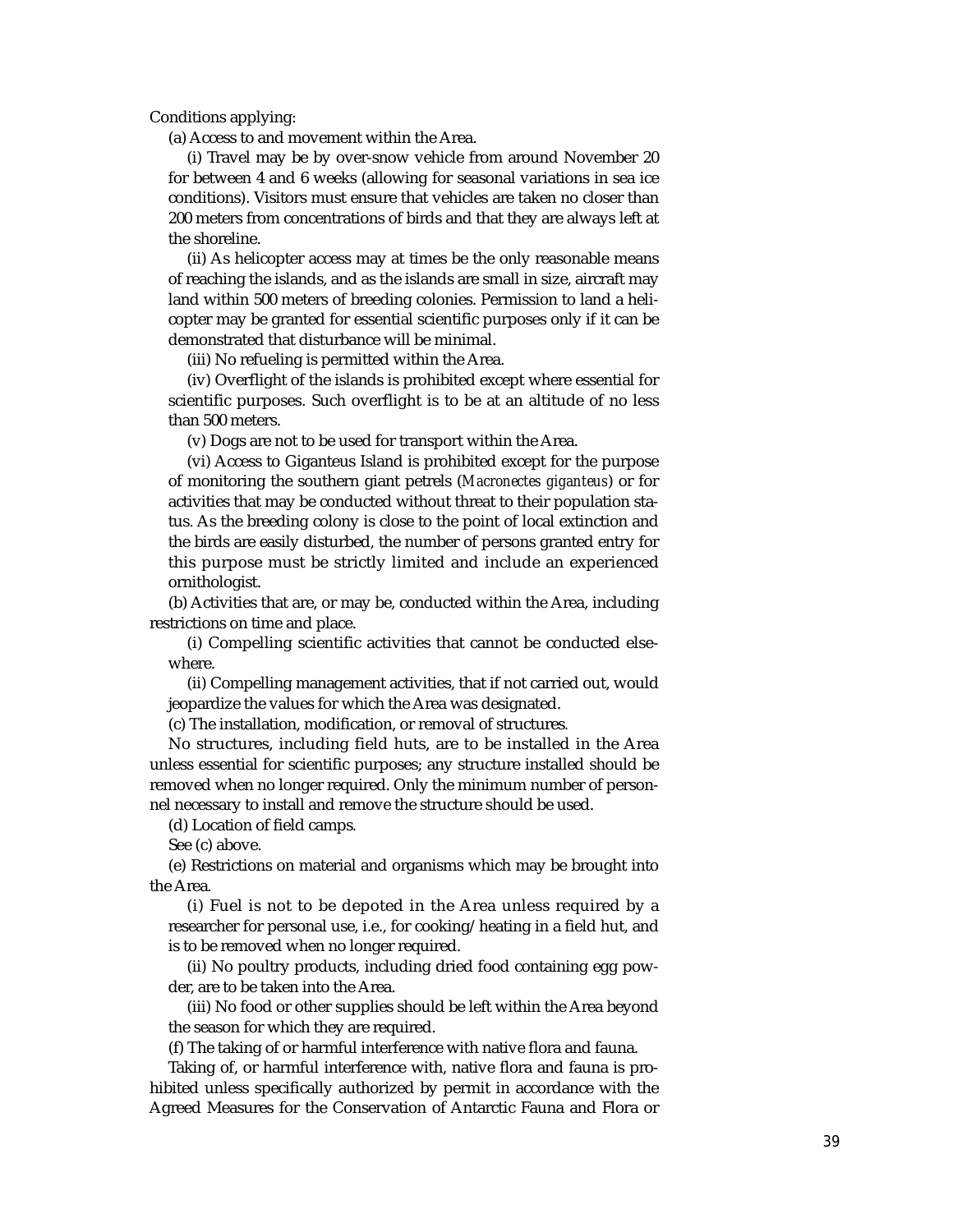Conditions applying:

(a) Access to and movement within the Area.

(i) Travel may be by over-snow vehicle from around November 20 for between 4 and 6 weeks (allowing for seasonal variations in sea ice conditions). Visitors must ensure that vehicles are taken no closer than 200 meters from concentrations of birds and that they are always left at the shoreline.

(ii) As helicopter access may at times be the only reasonable means of reaching the islands, and as the islands are small in size, aircraft may land within 500 meters of breeding colonies. Permission to land a helicopter may be granted for essential scientific purposes only if it can be demonstrated that disturbance will be minimal.

(iii) No refueling is permitted within the Area.

(iv) Overflight of the islands is prohibited except where essential for scientific purposes. Such overflight is to be at an altitude of no less than 500 meters.

(v) Dogs are not to be used for transport within the Area.

(vi) Access to Giganteus Island is prohibited except for the purpose of monitoring the southern giant petrels (*Macronectes giganteus*) or for activities that may be conducted without threat to their population status. As the breeding colony is close to the point of local extinction and the birds are easily disturbed, the number of persons granted entry for this purpose must be strictly limited and include an experienced ornithologist.

(b) Activities that are, or may be, conducted within the Area, including restrictions on time and place.

(i) Compelling scientific activities that cannot be conducted elsewhere.

(ii) Compelling management activities, that if not carried out, would jeopardize the values for which the Area was designated.

(c) The installation, modification, or removal of structures*.* 

No structures, including field huts, are to be installed in the Area unless essential for scientific purposes; any structure installed should be removed when no longer required. Only the minimum number of personnel necessary to install and remove the structure should be used.

(d) Location of field camps*.* 

See (c) above.

(e) Restrictions on material and organisms which may be brought into the Area*.* 

(i) Fuel is not to be depoted in the Area unless required by a researcher for personal use, i.e., for cooking/heating in a field hut, and is to be removed when no longer required.

(ii) No poultry products, including dried food containing egg powder, are to be taken into the Area.

(iii) No food or other supplies should be left within the Area beyond the season for which they are required.

(f) The taking of or harmful interference with native flora and fauna.

Taking of, or harmful interference with, native flora and fauna is prohibited unless specifically authorized by permit in accordance with the Agreed Measures for the Conservation of Antarctic Fauna and Flora or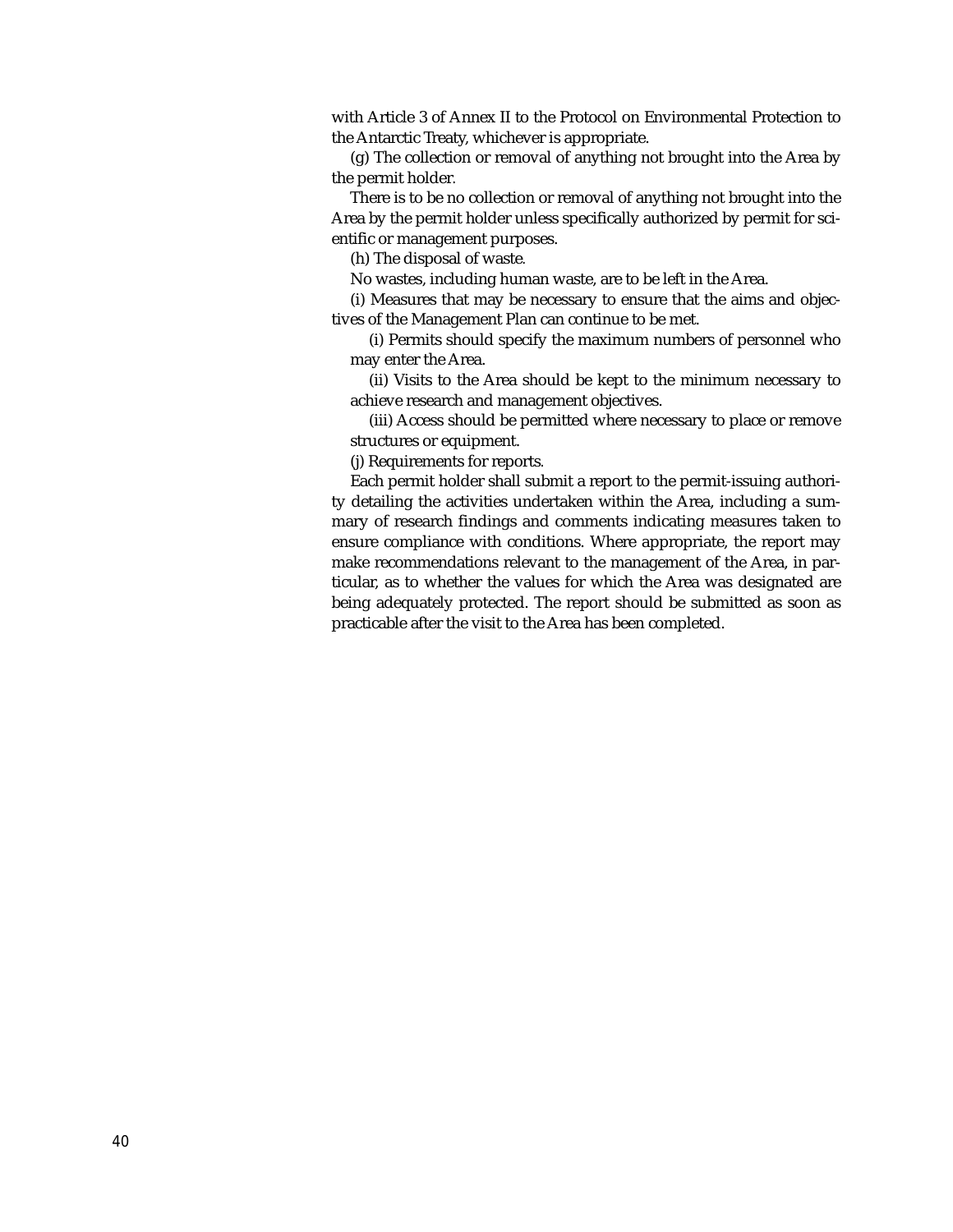with Article 3 of Annex II to the Protocol on Environmental Protection to the Antarctic Treaty, whichever is appropriate.

(g) The collection or removal of anything not brought into the Area by the permit holder*.* 

There is to be no collection or removal of anything not brought into the Area by the permit holder unless specifically authorized by permit for scientific or management purposes.

(h) The disposal of waste*.* 

No wastes, including human waste, are to be left in the Area.

(i) Measures that may be necessary to ensure that the aims and objectives of the Management Plan can continue to be met.

(i) Permits should specify the maximum numbers of personnel who may enter the Area.

(ii) Visits to the Area should be kept to the minimum necessary to achieve research and management objectives.

(iii) Access should be permitted where necessary to place or remove structures or equipment.

(j) Requirements for reports*.* 

Each permit holder shall submit a report to the permit-issuing authority detailing the activities undertaken within the Area, including a summary of research findings and comments indicating measures taken to ensure compliance with conditions. Where appropriate, the report may make recommendations relevant to the management of the Area, in particular, as to whether the values for which the Area was designated are being adequately protected. The report should be submitted as soon as practicable after the visit to the Area has been completed.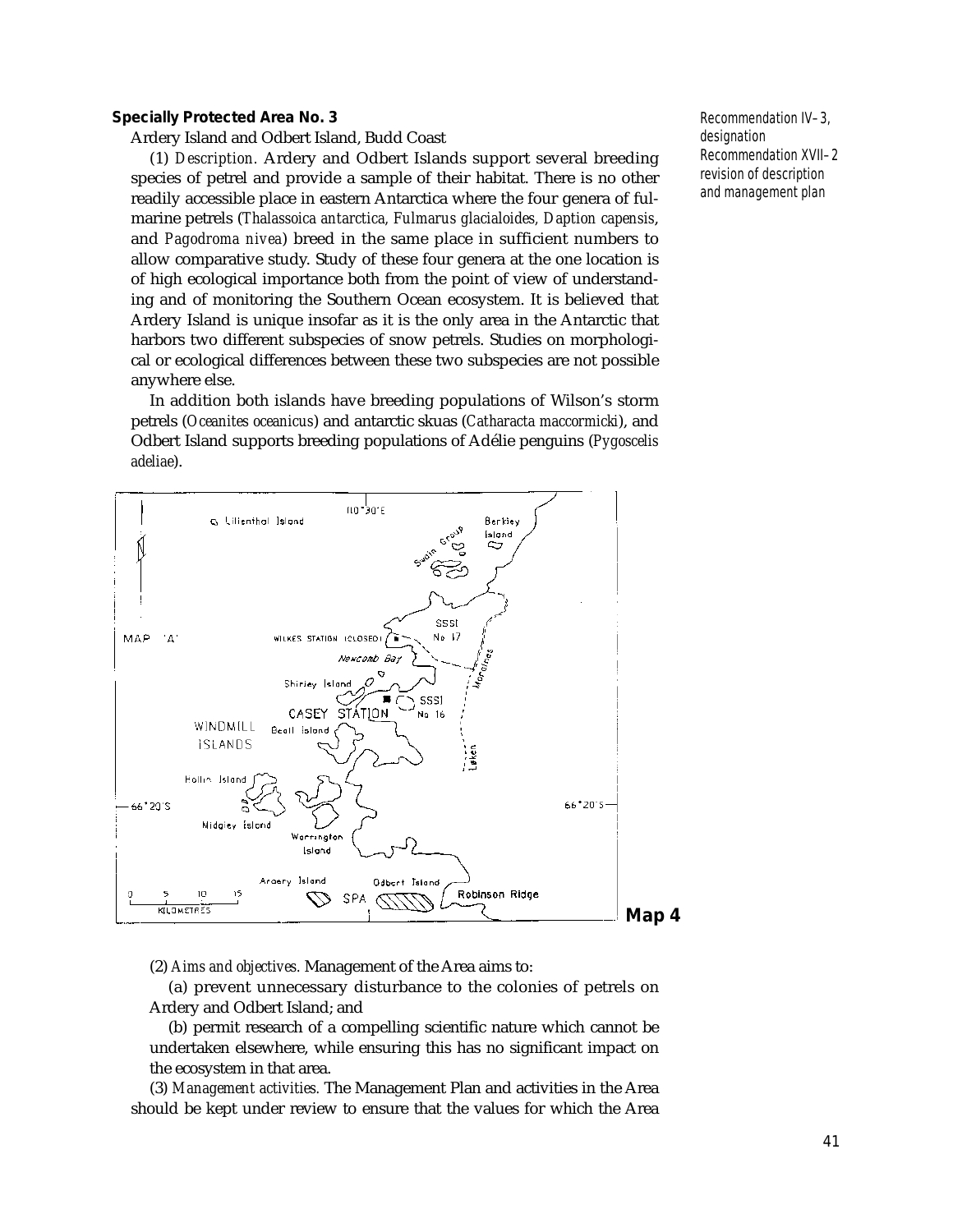Ardery Island and Odbert Island, Budd Coast

(1) *Description.* Ardery and Odbert Islands support several breeding species of petrel and provide a sample of their habitat. There is no other readily accessible place in eastern Antarctica where the four genera of fulmarine petrels (*Thalassoica antarctica, Fulmarus glacialoides, Daption capensis*, and *Pagodroma nivea*) breed in the same place in sufficient numbers to allow comparative study. Study of these four genera at the one location is of high ecological importance both from the point of view of understanding and of monitoring the Southern Ocean ecosystem. It is believed that Ardery Island is unique insofar as it is the only area in the Antarctic that harbors two different subspecies of snow petrels. Studies on morphological or ecological differences between these two subspecies are not possible anywhere else.

In addition both islands have breeding populations of Wilson's storm petrels (*Oceanites oceanicus*) and antarctic skuas (*Catharacta maccormicki*), and Odbert Island supports breeding populations of Adélie penguins (*Pygoscelis adeliae*).



Recommendation XVII–2 revision of description and management plan

designation

Recommendation IV–3,

(2) *Aims and objectives.* Management of the Area aims to:

(a) prevent unnecessary disturbance to the colonies of petrels on Ardery and Odbert Island; and

(b) permit research of a compelling scientific nature which cannot be undertaken elsewhere, while ensuring this has no significant impact on the ecosystem in that area.

(3) *Management activities.* The Management Plan and activities in the Area should be kept under review to ensure that the values for which the Area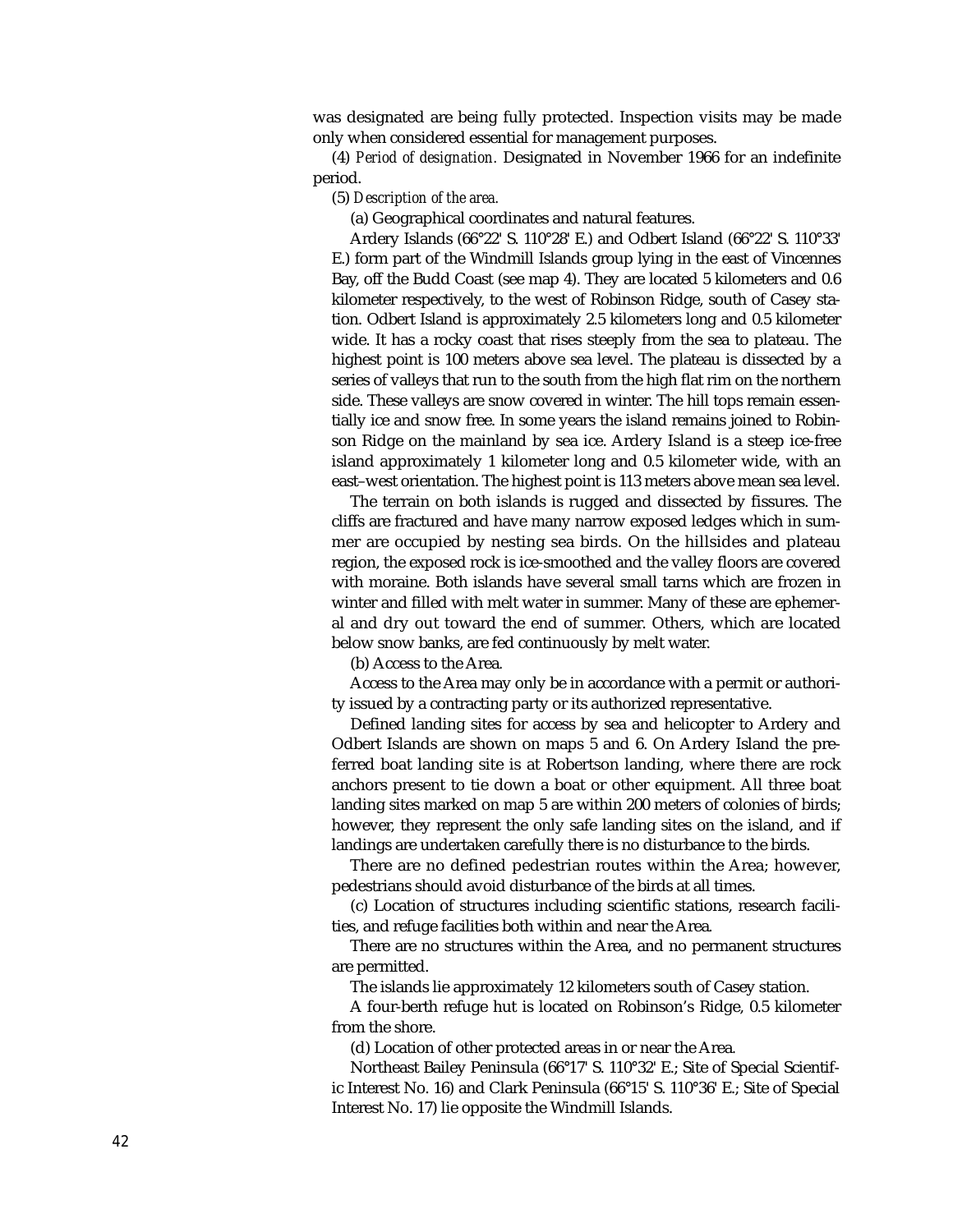was designated are being fully protected. Inspection visits may be made only when considered essential for management purposes.

(4) *Period of designation.* Designated in November 1966 for an indefinite period.

(5) *Description of the area.* 

(a) Geographical coordinates and natural features.

Ardery Islands (66°22' S. 110°28' E.) and Odbert Island (66°22' S. 110°33' E.) form part of the Windmill Islands group lying in the east of Vincennes Bay, off the Budd Coast (see map 4). They are located 5 kilometers and 0.6 kilometer respectively, to the west of Robinson Ridge, south of Casey station. Odbert Island is approximately 2.5 kilometers long and 0.5 kilometer wide. It has a rocky coast that rises steeply from the sea to plateau. The highest point is 100 meters above sea level. The plateau is dissected by a series of valleys that run to the south from the high flat rim on the northern side. These valleys are snow covered in winter. The hill tops remain essentially ice and snow free. In some years the island remains joined to Robinson Ridge on the mainland by sea ice. Ardery Island is a steep ice-free island approximately 1 kilometer long and 0.5 kilometer wide, with an east–west orientation. The highest point is 113 meters above mean sea level.

The terrain on both islands is rugged and dissected by fissures. The cliffs are fractured and have many narrow exposed ledges which in summer are occupied by nesting sea birds. On the hillsides and plateau region, the exposed rock is ice-smoothed and the valley floors are covered with moraine. Both islands have several small tarns which are frozen in winter and filled with melt water in summer. Many of these are ephemeral and dry out toward the end of summer. Others, which are located below snow banks, are fed continuously by melt water.

(b) Access to the Area*.* 

Access to the Area may only be in accordance with a permit or authority issued by a contracting party or its authorized representative.

Defined landing sites for access by sea and helicopter to Ardery and Odbert Islands are shown on maps 5 and 6. On Ardery Island the preferred boat landing site is at Robertson landing, where there are rock anchors present to tie down a boat or other equipment. All three boat landing sites marked on map 5 are within 200 meters of colonies of birds; however, they represent the only safe landing sites on the island, and if landings are undertaken carefully there is no disturbance to the birds.

There are no defined pedestrian routes within the Area; however, pedestrians should avoid disturbance of the birds at all times.

(c) Location of structures including scientific stations, research facilities, and refuge facilities both within and near the Area*.*

There are no structures within the Area, and no permanent structures are permitted.

The islands lie approximately 12 kilometers south of Casey station.

A four-berth refuge hut is located on Robinson's Ridge, 0.5 kilometer from the shore.

(d) Location of other protected areas in or near the Area*.* 

Northeast Bailey Peninsula (66°17' S. 110°32' E.; Site of Special Scientific Interest No. 16) and Clark Peninsula (66°15' S. 110°36' E.; Site of Special Interest No. 17) lie opposite the Windmill Islands.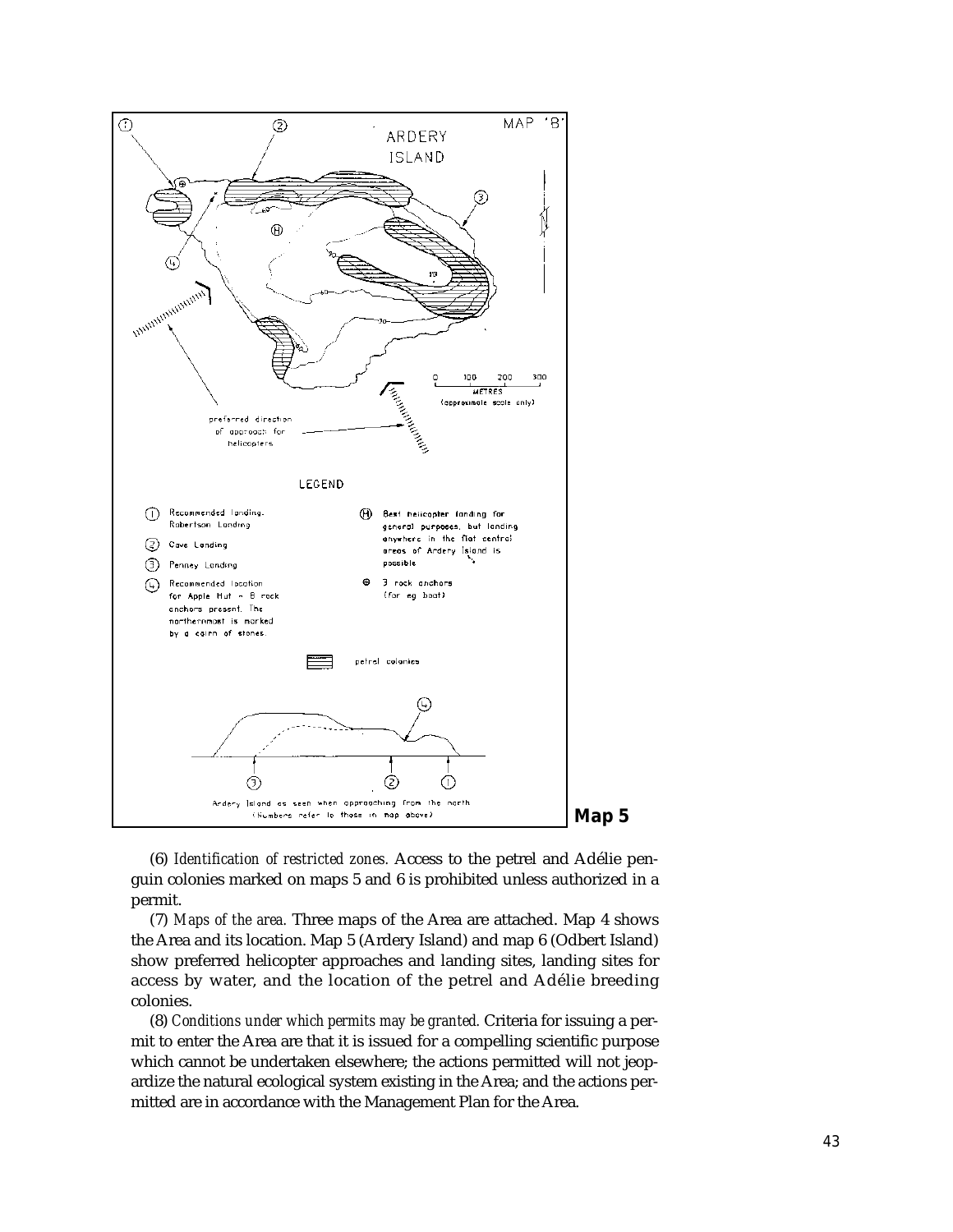

(6) *Identification of restricted zones.* Access to the petrel and Adélie penguin colonies marked on maps 5 and 6 is prohibited unless authorized in a permit.

(7) *Maps of the area.* Three maps of the Area are attached. Map 4 shows the Area and its location. Map 5 (Ardery Island) and map 6 (Odbert Island) show preferred helicopter approaches and landing sites, landing sites for access by water, and the location of the petrel and Adélie breeding colonies.

(8) *Conditions under which permits may be granted.* Criteria for issuing a permit to enter the Area are that it is issued for a compelling scientific purpose which cannot be undertaken elsewhere; the actions permitted will not jeopardize the natural ecological system existing in the Area; and the actions permitted are in accordance with the Management Plan for the Area.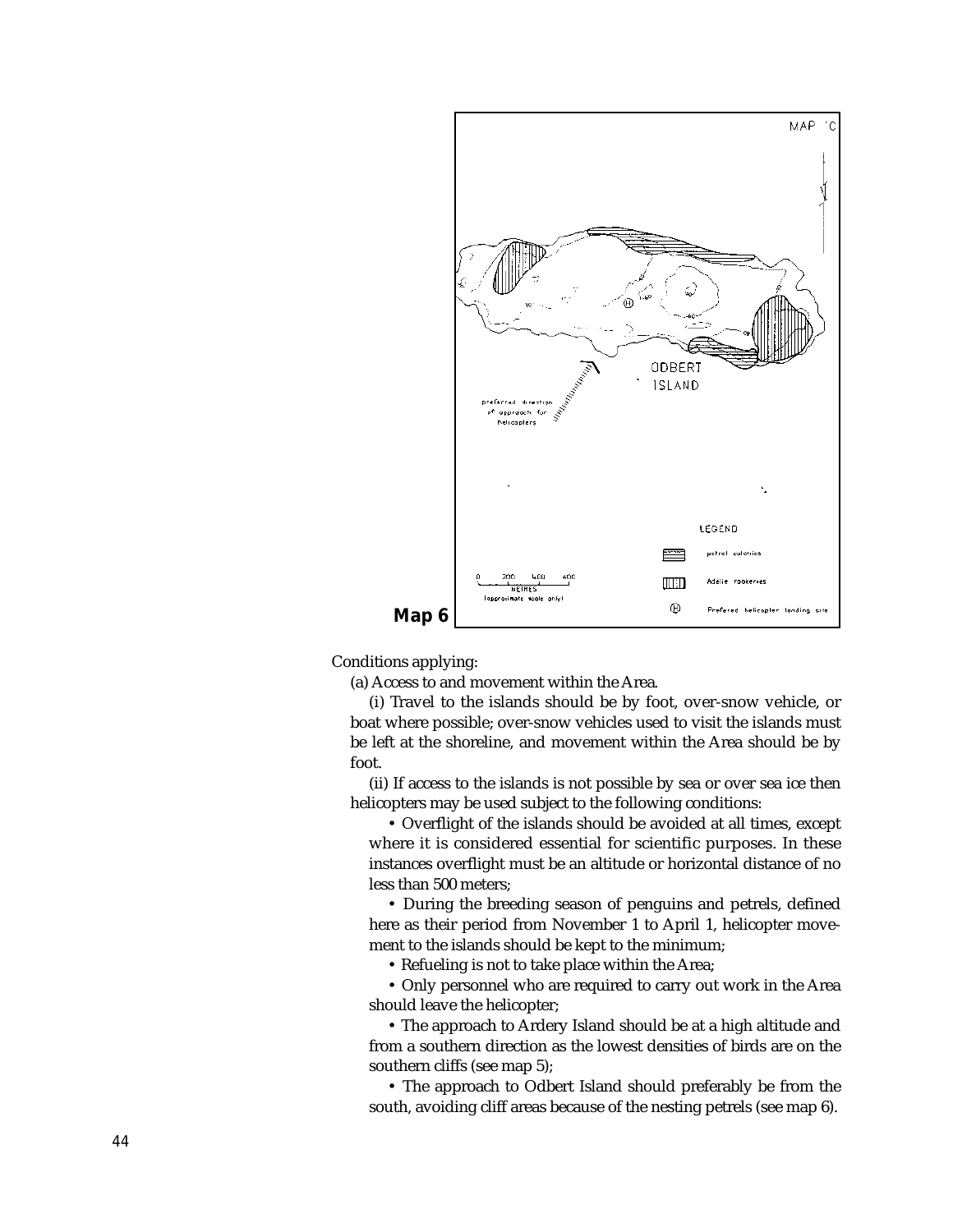

Conditions applying:

(a) Access to and movement within the Area*.* 

(i) Travel to the islands should be by foot, over-snow vehicle, or boat where possible; over-snow vehicles used to visit the islands must be left at the shoreline, and movement within the Area should be by foot.

(ii) If access to the islands is not possible by sea or over sea ice then helicopters may be used subject to the following conditions:

• Overflight of the islands should be avoided at all times, except where it is considered essential for scientific purposes. In these instances overflight must be an altitude or horizontal distance of no less than 500 meters;

• During the breeding season of penguins and petrels, defined here as their period from November 1 to April 1, helicopter movement to the islands should be kept to the minimum;

• Refueling is not to take place within the Area;

• Only personnel who are required to carry out work in the Area should leave the helicopter;

• The approach to Ardery Island should be at a high altitude and from a southern direction as the lowest densities of birds are on the southern cliffs (see map 5);

• The approach to Odbert Island should preferably be from the south, avoiding cliff areas because of the nesting petrels (see map 6).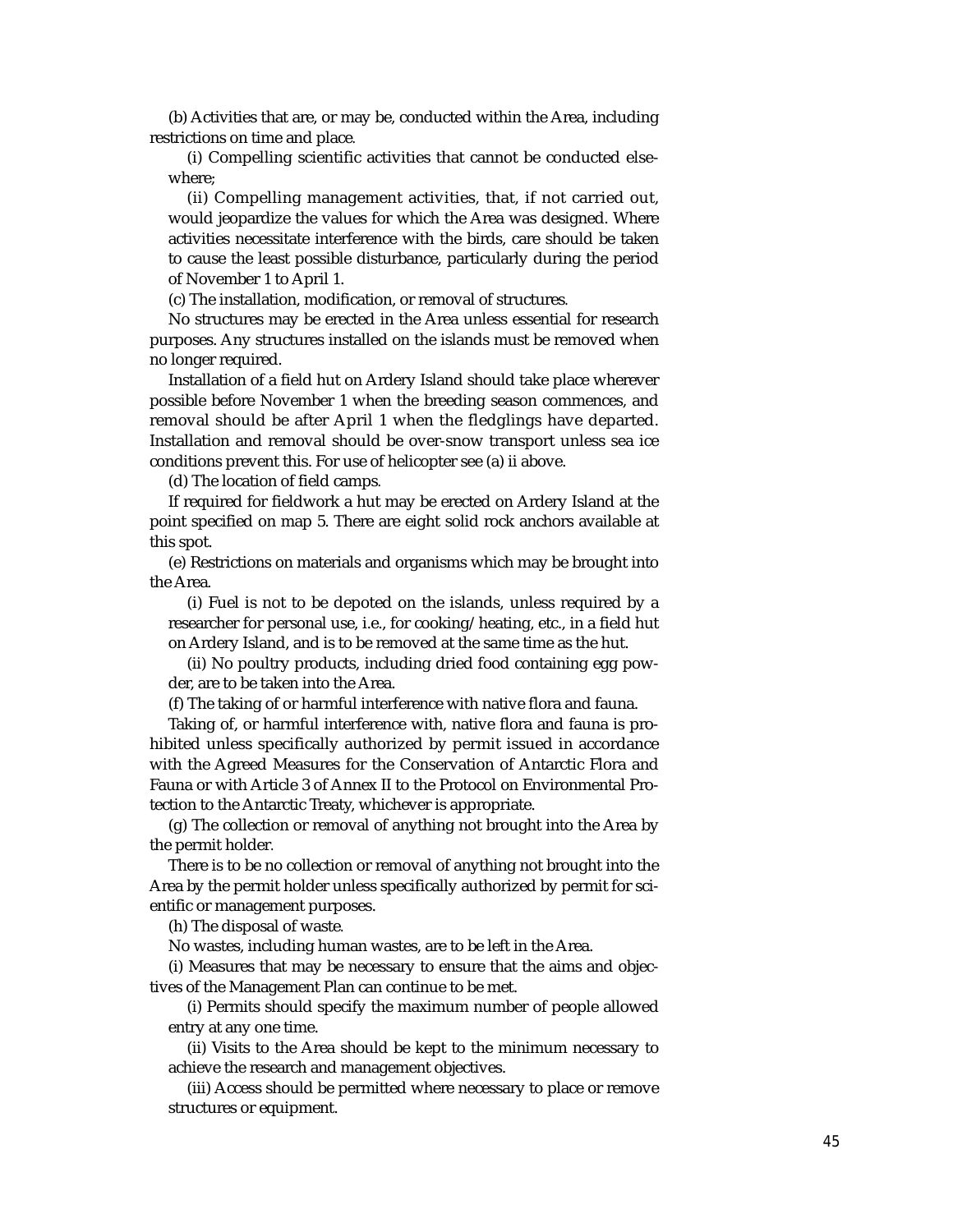(b) Activities that are, or may be, conducted within the Area, including restrictions on time and place*.* 

(i) Compelling scientific activities that cannot be conducted elsewhere;

(ii) Compelling management activities, that, if not carried out, would jeopardize the values for which the Area was designed. Where activities necessitate interference with the birds, care should be taken to cause the least possible disturbance, particularly during the period of November 1 to April 1.

(c) The installation, modification, or removal of structures*.* 

No structures may be erected in the Area unless essential for research purposes. Any structures installed on the islands must be removed when no longer required.

Installation of a field hut on Ardery Island should take place wherever possible before November 1 when the breeding season commences, and removal should be after April 1 when the fledglings have departed. Installation and removal should be over-snow transport unless sea ice conditions prevent this. For use of helicopter see (a) ii above.

(d) The location of field camps*.* 

If required for fieldwork a hut may be erected on Ardery Island at the point specified on map 5. There are eight solid rock anchors available at this spot.

(e) Restrictions on materials and organisms which may be brought into the Area*.* 

(i) Fuel is not to be depoted on the islands, unless required by a researcher for personal use, i.e., for cooking/heating, etc., in a field hut on Ardery Island, and is to be removed at the same time as the hut.

(ii) No poultry products, including dried food containing egg powder, are to be taken into the Area.

(f) The taking of or harmful interference with native flora and fauna.

Taking of, or harmful interference with, native flora and fauna is prohibited unless specifically authorized by permit issued in accordance with the Agreed Measures for the Conservation of Antarctic Flora and Fauna or with Article 3 of Annex II to the Protocol on Environmental Protection to the Antarctic Treaty, whichever is appropriate.

(g) The collection or removal of anything not brought into the Area by the permit holder*.* 

There is to be no collection or removal of anything not brought into the Area by the permit holder unless specifically authorized by permit for scientific or management purposes.

(h) The disposal of waste*.* 

No wastes, including human wastes, are to be left in the Area.

(i) Measures that may be necessary to ensure that the aims and objectives of the Management Plan can continue to be met.

(i) Permits should specify the maximum number of people allowed entry at any one time.

(ii) Visits to the Area should be kept to the minimum necessary to achieve the research and management objectives.

(iii) Access should be permitted where necessary to place or remove structures or equipment.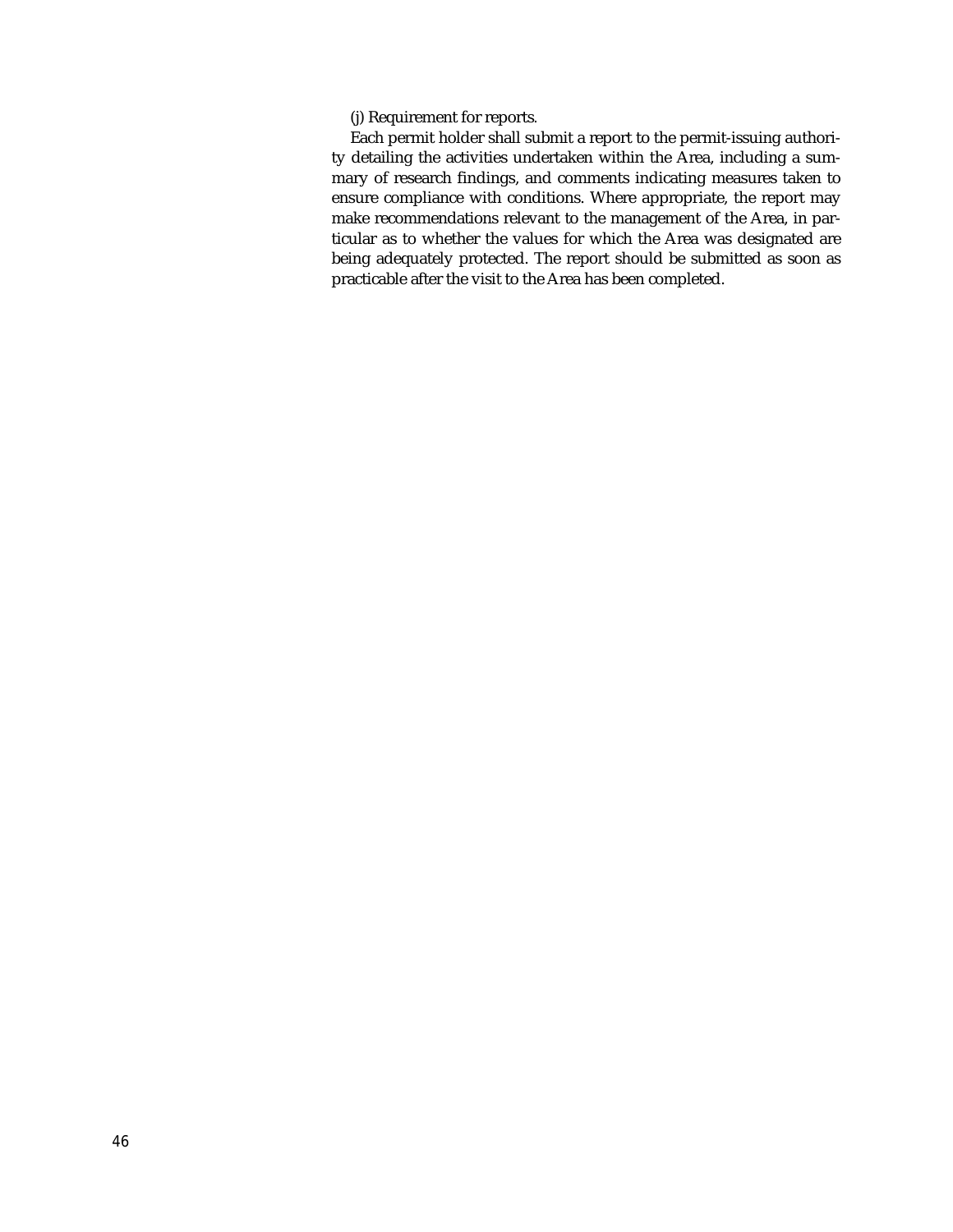(j) Requirement for reports*.* 

Each permit holder shall submit a report to the permit-issuing authority detailing the activities undertaken within the Area, including a summary of research findings, and comments indicating measures taken to ensure compliance with conditions. Where appropriate, the report may make recommendations relevant to the management of the Area, in particular as to whether the values for which the Area was designated are being adequately protected. The report should be submitted as soon as practicable after the visit to the Area has been completed.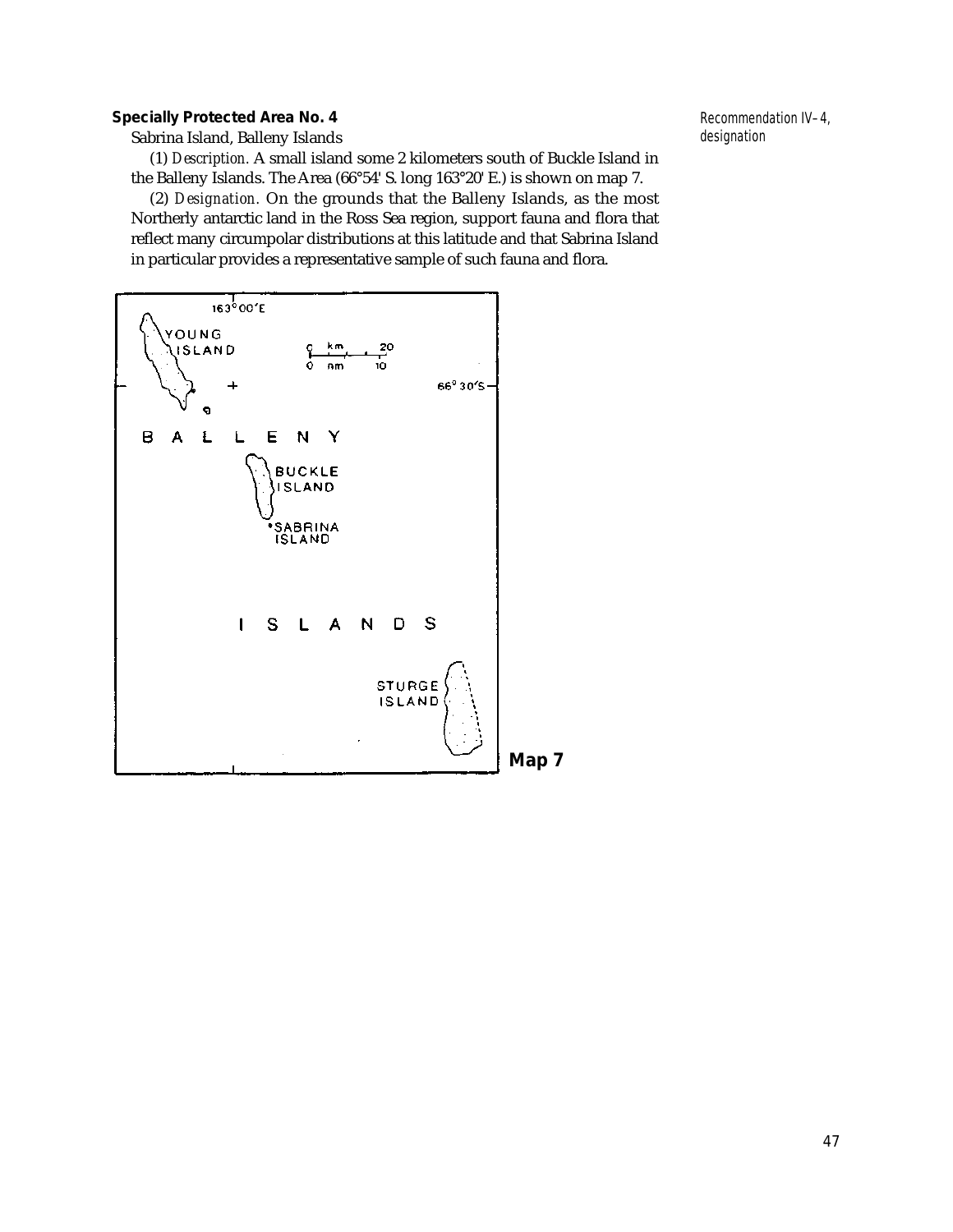Sabrina Island, Balleny Islands

(1) *Description.* A small island some 2 kilometers south of Buckle Island in the Balleny Islands. The Area (66°54' S. long 163°20' E.) is shown on map 7.

(2) *Designation.* On the grounds that the Balleny Islands, as the most Northerly antarctic land in the Ross Sea region, support fauna and flora that reflect many circumpolar distributions at this latitude and that Sabrina Island in particular provides a representative sample of such fauna and flora.



Recommendation IV–4, designation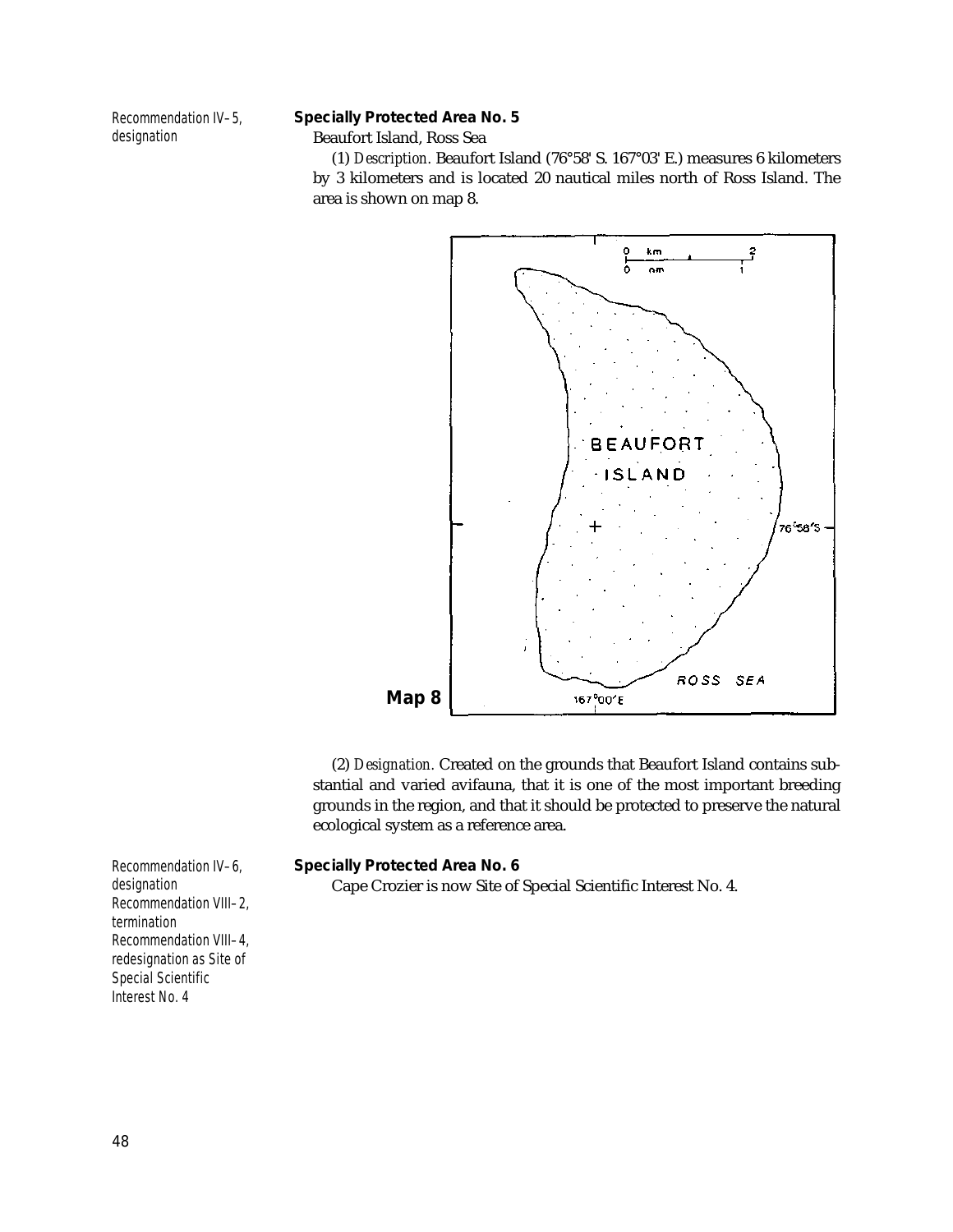Recommendation IV–5, designation

## Beaufort Island, Ross Sea

(1) *Description.* Beaufort Island (76°58' S. 167°03' E.) measures 6 kilometers by 3 kilometers and is located 20 nautical miles north of Ross Island. The area is shown on map 8.



(2) *Designation.* Created on the grounds that Beaufort Island contains substantial and varied avifauna, that it is one of the most important breeding grounds in the region, and that it should be protected to preserve the natural ecological system as a reference area.

## **Specially Protected Area No. 6**

Cape Crozier is now Site of Special Scientific Interest No. 4.

Recommendation IV–6, designation Recommendation VIII–2, termination Recommendation VIII–4, redesignation as Site of Special Scientific Interest No. 4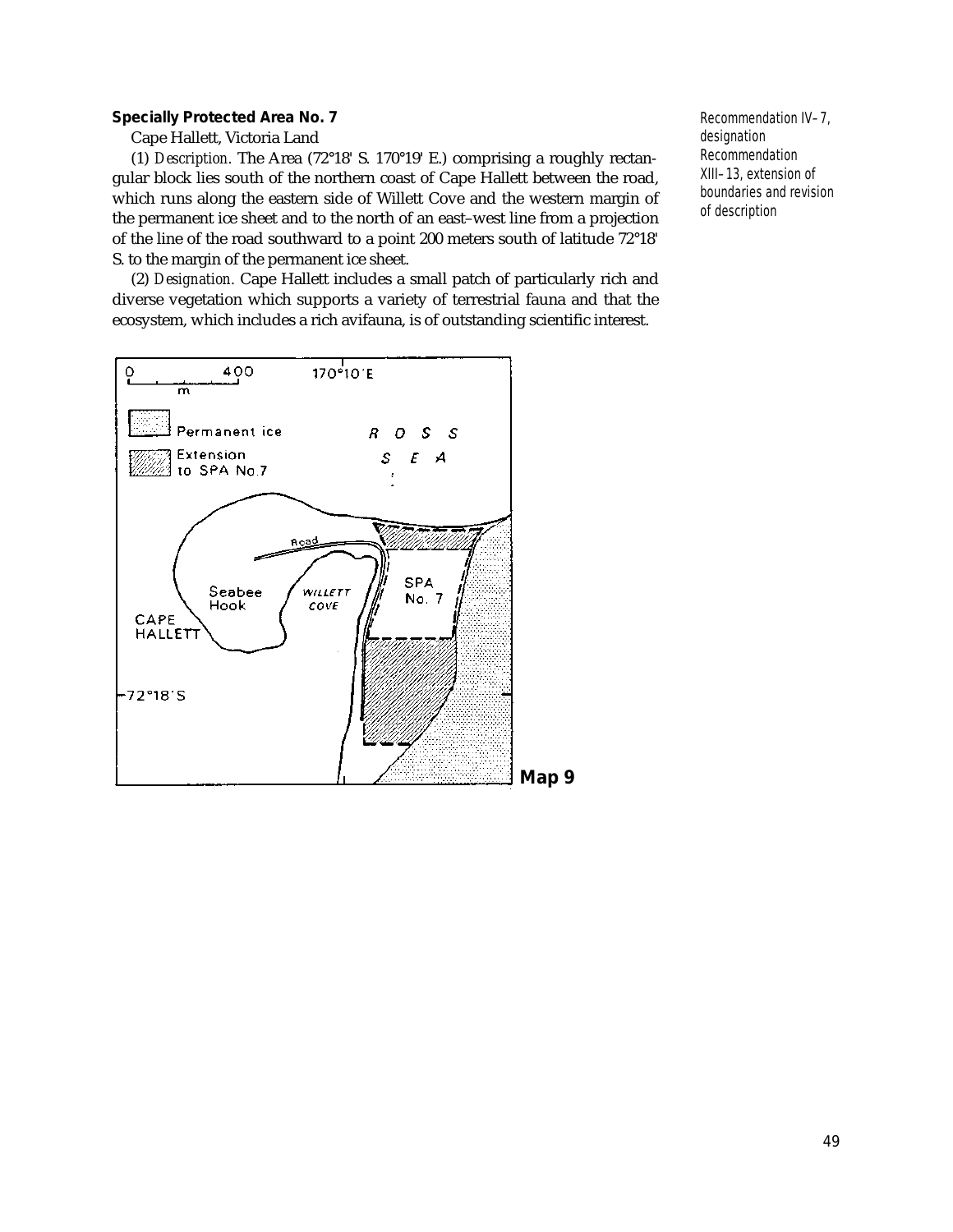Cape Hallett, Victoria Land

(1) *Description.* The Area (72°18' S. 170°19' E.) comprising a roughly rectangular block lies south of the northern coast of Cape Hallett between the road, which runs along the eastern side of Willett Cove and the western margin of the permanent ice sheet and to the north of an east–west line from a projection of the line of the road southward to a point 200 meters south of latitude 72°18' S. to the margin of the permanent ice sheet.

(2) *Designation.* Cape Hallett includes a small patch of particularly rich and diverse vegetation which supports a variety of terrestrial fauna and that the ecosystem, which includes a rich avifauna, is of outstanding scientific interest.



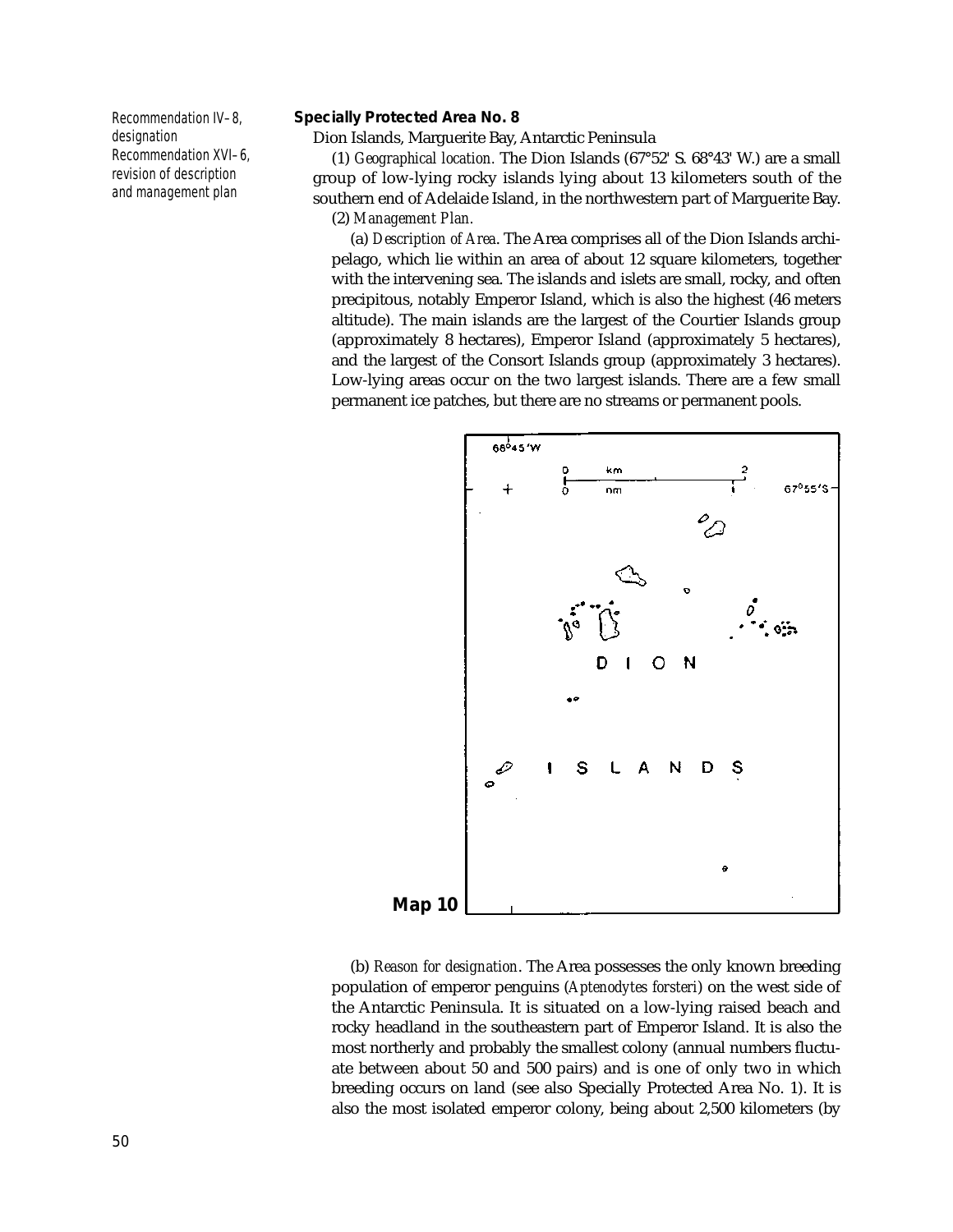Recommendation IV–8, designation Recommendation XVI–6, revision of description and management plan

## **Specially Protected Area No. 8**

Dion Islands, Marguerite Bay, Antarctic Peninsula

(1) *Geographical location.* The Dion Islands (67°52' S. 68°43' W.) are a small group of low-lying rocky islands lying about 13 kilometers south of the southern end of Adelaide Island, in the northwestern part of Marguerite Bay. (2) *Management Plan.* 

(a) *Description of Area*. The Area comprises all of the Dion Islands archipelago, which lie within an area of about 12 square kilometers, together with the intervening sea. The islands and islets are small, rocky, and often precipitous, notably Emperor Island, which is also the highest (46 meters altitude). The main islands are the largest of the Courtier Islands group (approximately 8 hectares), Emperor Island (approximately 5 hectares), and the largest of the Consort Islands group (approximately 3 hectares). Low-lying areas occur on the two largest islands. There are a few small permanent ice patches, but there are no streams or permanent pools.



(b) *Reason for designation*. The Area possesses the only known breeding population of emperor penguins (*Aptenodytes forsteri*) on the west side of the Antarctic Peninsula. It is situated on a low-lying raised beach and rocky headland in the southeastern part of Emperor Island. It is also the most northerly and probably the smallest colony (annual numbers fluctuate between about 50 and 500 pairs) and is one of only two in which breeding occurs on land (see also Specially Protected Area No. 1). It is also the most isolated emperor colony, being about 2,500 kilometers (by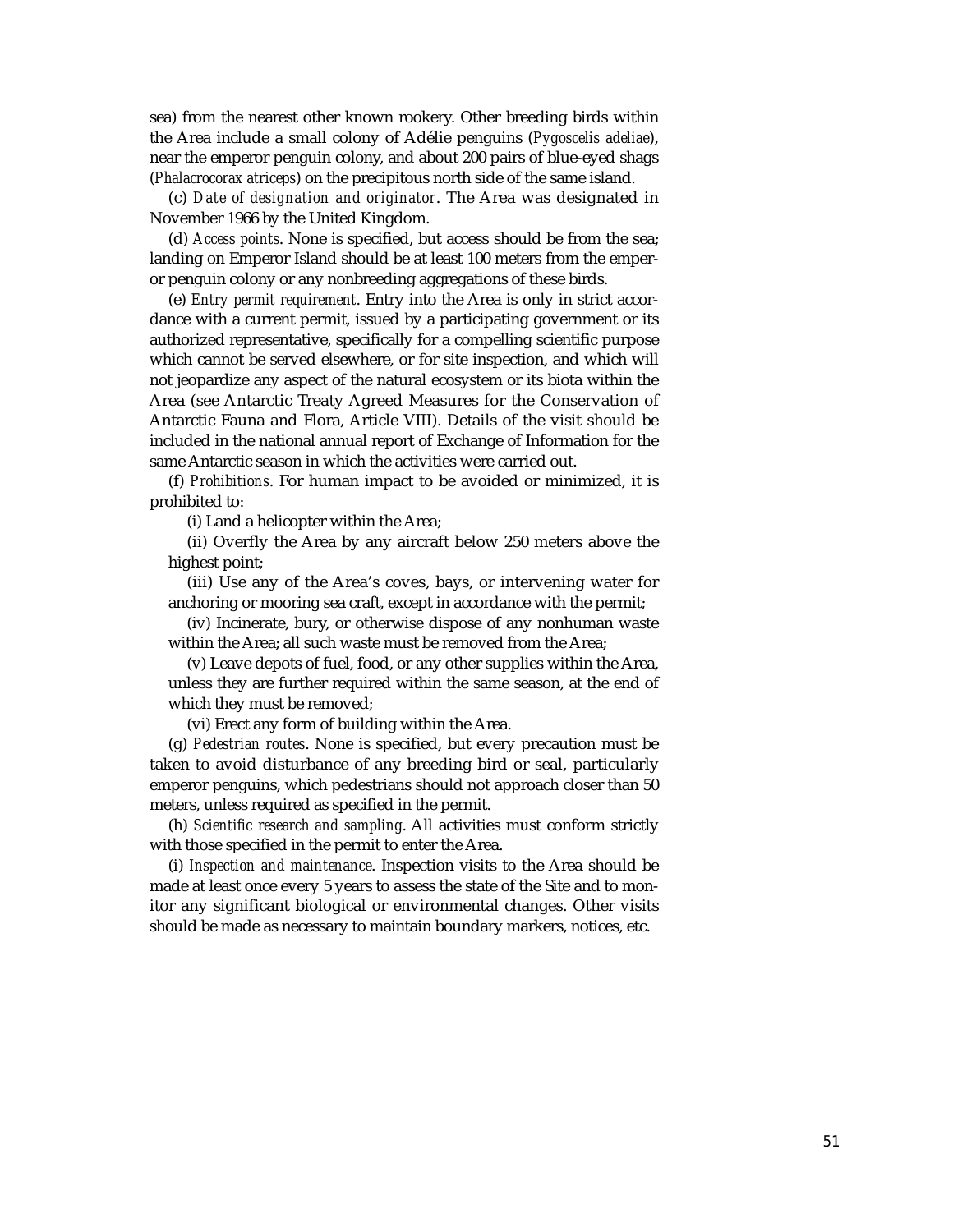sea) from the nearest other known rookery. Other breeding birds within the Area include a small colony of Adélie penguins (*Pygoscelis adeliae*), near the emperor penguin colony, and about 200 pairs of blue-eyed shags (*Phalacrocorax atriceps*) on the precipitous north side of the same island.

(c) *Date of designation and originator*. The Area was designated in November 1966 by the United Kingdom.

(d) *Access points*. None is specified, but access should be from the sea; landing on Emperor Island should be at least 100 meters from the emperor penguin colony or any nonbreeding aggregations of these birds.

(e) *Entry permit requirement*. Entry into the Area is only in strict accordance with a current permit, issued by a participating government or its authorized representative, specifically for a compelling scientific purpose which cannot be served elsewhere, or for site inspection, and which will not jeopardize any aspect of the natural ecosystem or its biota within the Area (see Antarctic Treaty Agreed Measures for the Conservation of Antarctic Fauna and Flora, Article VIII). Details of the visit should be included in the national annual report of Exchange of Information for the same Antarctic season in which the activities were carried out.

(f) *Prohibitions*. For human impact to be avoided or minimized, it is prohibited to:

(i) Land a helicopter within the Area;

(ii) Overfly the Area by any aircraft below 250 meters above the highest point;

(iii) Use any of the Area's coves, bays, or intervening water for anchoring or mooring sea craft, except in accordance with the permit;

(iv) Incinerate, bury, or otherwise dispose of any nonhuman waste within the Area; all such waste must be removed from the Area;

(v) Leave depots of fuel, food, or any other supplies within the Area, unless they are further required within the same season, at the end of which they must be removed;

(vi) Erect any form of building within the Area.

(g) *Pedestrian routes*. None is specified, but every precaution must be taken to avoid disturbance of any breeding bird or seal, particularly emperor penguins, which pedestrians should not approach closer than 50 meters, unless required as specified in the permit.

(h) *Scientific research and sampling*. All activities must conform strictly with those specified in the permit to enter the Area.

(i) *Inspection and maintenance*. Inspection visits to the Area should be made at least once every 5 years to assess the state of the Site and to monitor any significant biological or environmental changes. Other visits should be made as necessary to maintain boundary markers, notices, etc.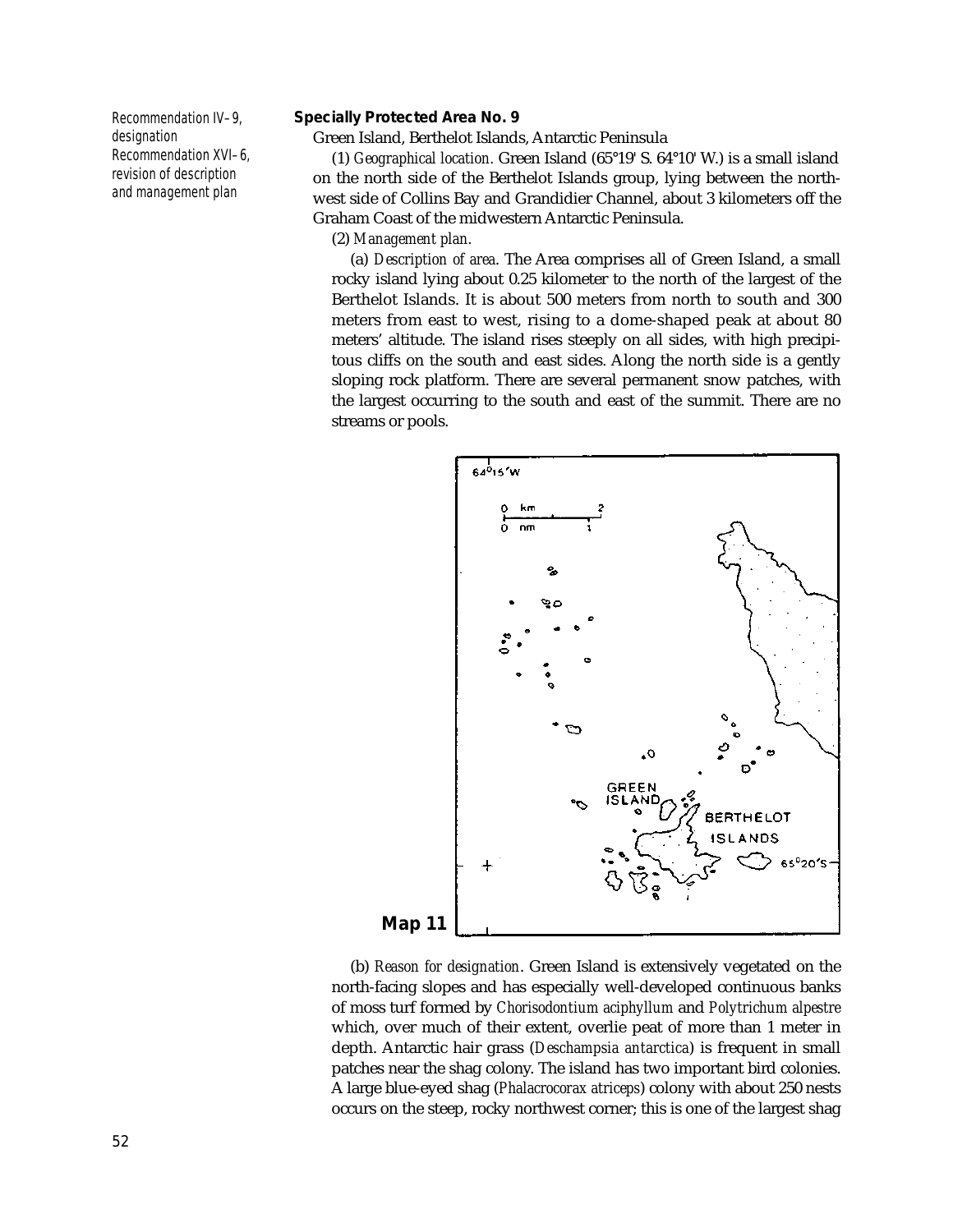Recommendation IV–9, designation Recommendation XVI–6, revision of description and management plan

## **Specially Protected Area No. 9**

Green Island, Berthelot Islands, Antarctic Peninsula

(1) *Geographical location.* Green Island (65°19' S. 64°10' W.) is a small island on the north side of the Berthelot Islands group, lying between the northwest side of Collins Bay and Grandidier Channel, about 3 kilometers off the Graham Coast of the midwestern Antarctic Peninsula.

(2) *Management plan.*

(a) *Description of area*. The Area comprises all of Green Island, a small rocky island lying about 0.25 kilometer to the north of the largest of the Berthelot Islands. It is about 500 meters from north to south and 300 meters from east to west, rising to a dome-shaped peak at about 80 meters' altitude. The island rises steeply on all sides, with high precipitous cliffs on the south and east sides. Along the north side is a gently sloping rock platform. There are several permanent snow patches, with the largest occurring to the south and east of the summit. There are no streams or pools.



(b) *Reason for designation*. Green Island is extensively vegetated on the north-facing slopes and has especially well-developed continuous banks of moss turf formed by *Chorisodontium aciphyllum* and *Polytrichum alpestre* which, over much of their extent, overlie peat of more than 1 meter in depth. Antarctic hair grass (*Deschampsia antarctica*) is frequent in small patches near the shag colony. The island has two important bird colonies. A large blue-eyed shag (*Phalacrocorax atriceps*) colony with about 250 nests occurs on the steep, rocky northwest corner; this is one of the largest shag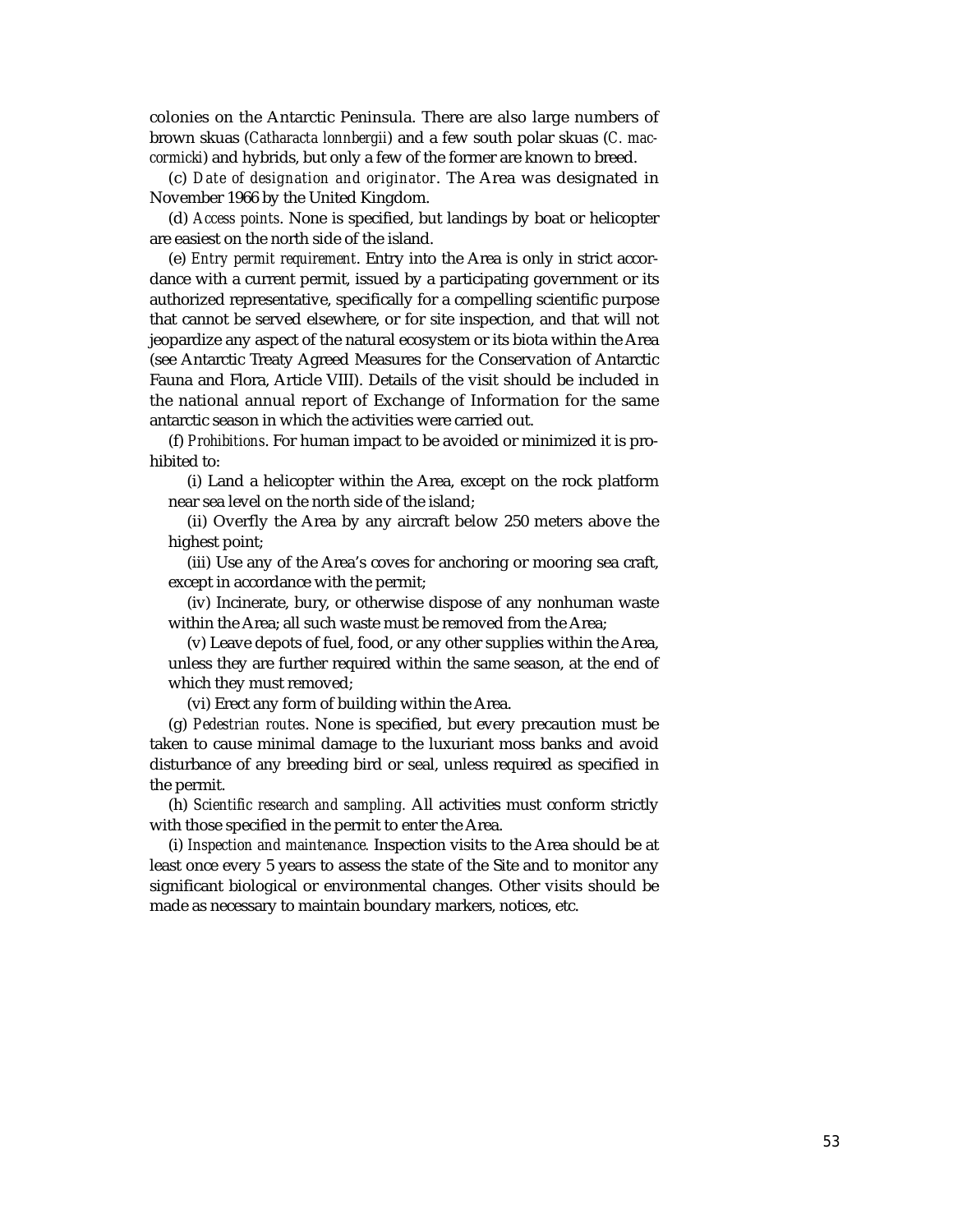colonies on the Antarctic Peninsula. There are also large numbers of brown skuas (*Catharacta lonnbergii*) and a few south polar skuas (*C. maccormicki*) and hybrids, but only a few of the former are known to breed.

(c) *Date of designation and originator*. The Area was designated in November 1966 by the United Kingdom.

(d) *Access points*. None is specified, but landings by boat or helicopter are easiest on the north side of the island.

(e) *Entry permit requirement*. Entry into the Area is only in strict accordance with a current permit, issued by a participating government or its authorized representative, specifically for a compelling scientific purpose that cannot be served elsewhere, or for site inspection, and that will not jeopardize any aspect of the natural ecosystem or its biota within the Area (see Antarctic Treaty Agreed Measures for the Conservation of Antarctic Fauna and Flora, Article VIII). Details of the visit should be included in the national annual report of Exchange of Information for the same antarctic season in which the activities were carried out.

(f) *Prohibitions*. For human impact to be avoided or minimized it is prohibited to:

(i) Land a helicopter within the Area, except on the rock platform near sea level on the north side of the island;

(ii) Overfly the Area by any aircraft below 250 meters above the highest point;

(iii) Use any of the Area's coves for anchoring or mooring sea craft, except in accordance with the permit;

(iv) Incinerate, bury, or otherwise dispose of any nonhuman waste within the Area; all such waste must be removed from the Area;

(v) Leave depots of fuel, food, or any other supplies within the Area, unless they are further required within the same season, at the end of which they must removed;

(vi) Erect any form of building within the Area.

(g) *Pedestrian routes*. None is specified, but every precaution must be taken to cause minimal damage to the luxuriant moss banks and avoid disturbance of any breeding bird or seal, unless required as specified in the permit.

(h) *Scientific research and sampling.* All activities must conform strictly with those specified in the permit to enter the Area.

(i) *Inspection and maintenance.* Inspection visits to the Area should be at least once every 5 years to assess the state of the Site and to monitor any significant biological or environmental changes. Other visits should be made as necessary to maintain boundary markers, notices, etc.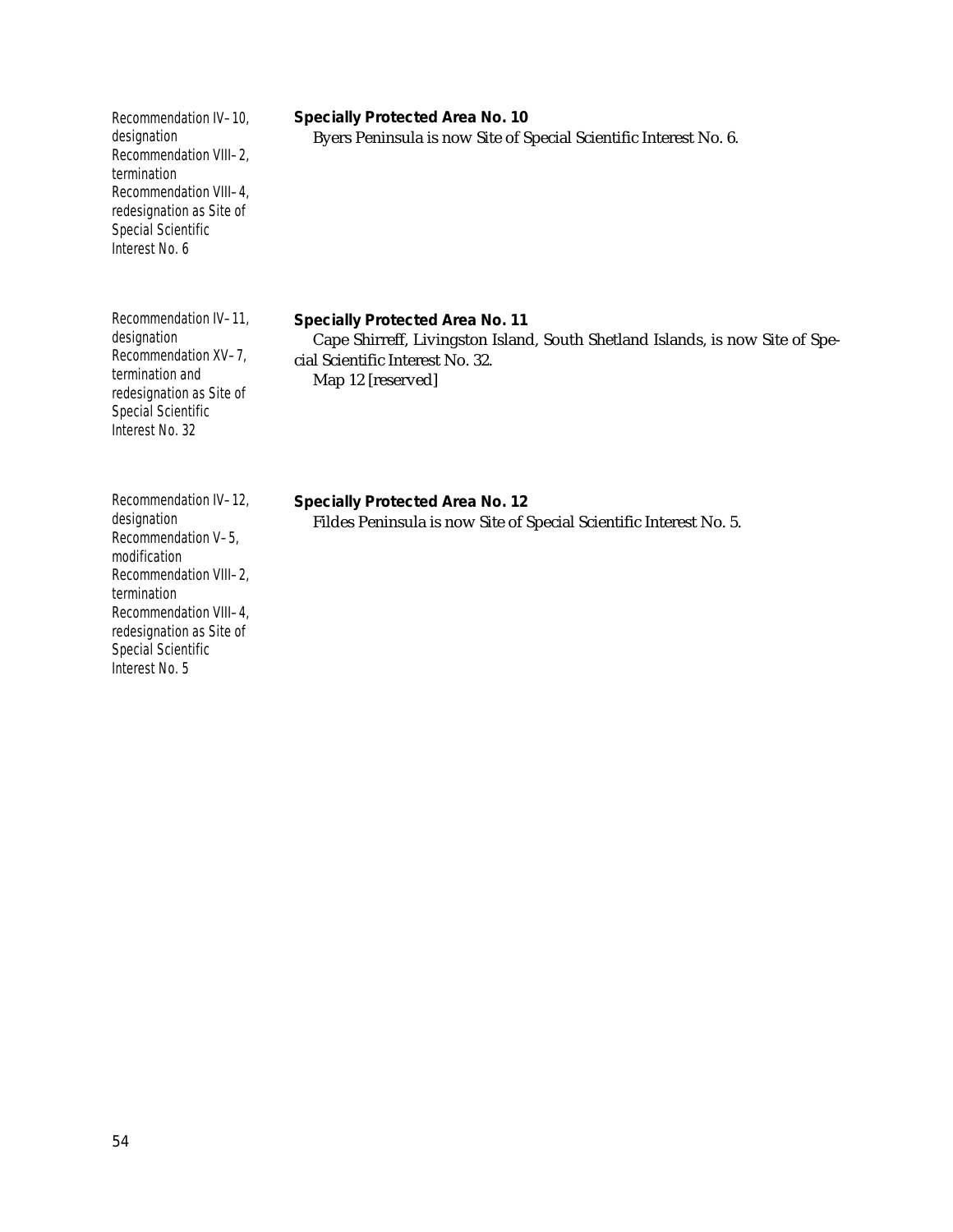Recommendation IV–10, designation Recommendation VIII–2, termination Recommendation VIII–4, redesignation as Site of Special Scientific Interest No. 6

## **Specially Protected Area No. 10**

Byers Peninsula is now Site of Special Scientific Interest No. 6.

## **Specially Protected Area No. 11**

Cape Shirreff, Livingston Island, South Shetland Islands, is now Site of Special Scientific Interest No. 32. Map 12 [reserved]

Recommendation IV–11, designation Recommendation XV–7, termination and redesignation as Site of Special Scientific Interest No. 32

#### **Specially Protected Area No. 12**

Fildes Peninsula is now Site of Special Scientific Interest No. 5.

Recommendation IV–12, designation Recommendation V–5, modification Recommendation VIII–2, termination Recommendation VIII–4, redesignation as Site of Special Scientific Interest No. 5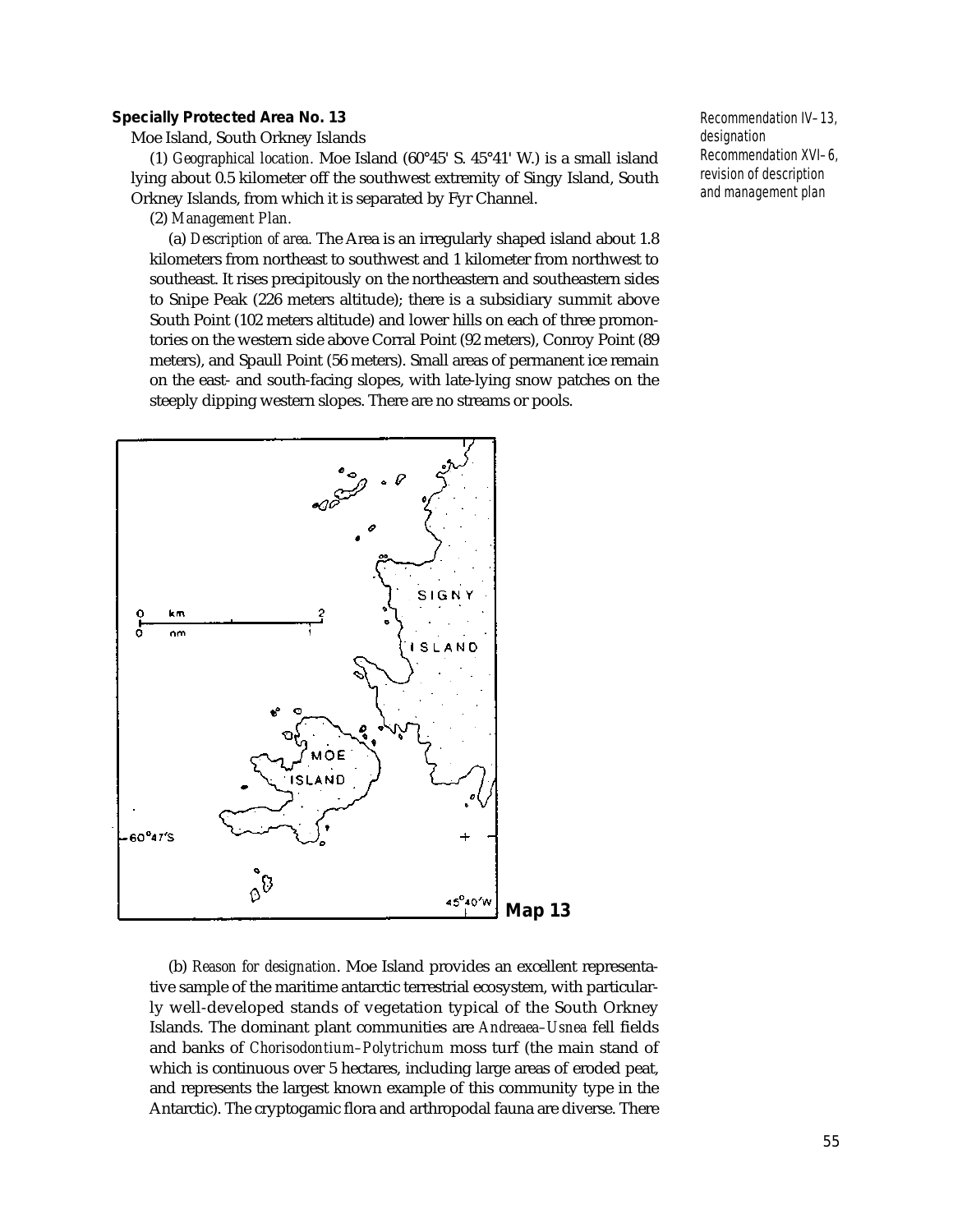Moe Island, South Orkney Islands

(1) *Geographical location.* Moe Island (60°45' S. 45°41' W.) is a small island lying about 0.5 kilometer off the southwest extremity of Singy Island, South Orkney Islands, from which it is separated by Fyr Channel.

(2) *Management Plan.*

(a) *Description of area.* The Area is an irregularly shaped island about 1.8 kilometers from northeast to southwest and 1 kilometer from northwest to southeast. It rises precipitously on the northeastern and southeastern sides to Snipe Peak (226 meters altitude); there is a subsidiary summit above South Point (102 meters altitude) and lower hills on each of three promontories on the western side above Corral Point (92 meters), Conroy Point (89 meters), and Spaull Point (56 meters). Small areas of permanent ice remain on the east- and south-facing slopes, with late-lying snow patches on the steeply dipping western slopes. There are no streams or pools.



(b) *Reason for designation*. Moe Island provides an excellent representative sample of the maritime antarctic terrestrial ecosystem, with particularly well-developed stands of vegetation typical of the South Orkney Islands. The dominant plant communities are *Andreaea–Usnea* fell fields and banks of *Chorisodontium–Polytrichum* moss turf (the main stand of which is continuous over 5 hectares, including large areas of eroded peat, and represents the largest known example of this community type in the Antarctic). The cryptogamic flora and arthropodal fauna are diverse. There

Recommendation IV–13, designation Recommendation XVI–6, revision of description and management plan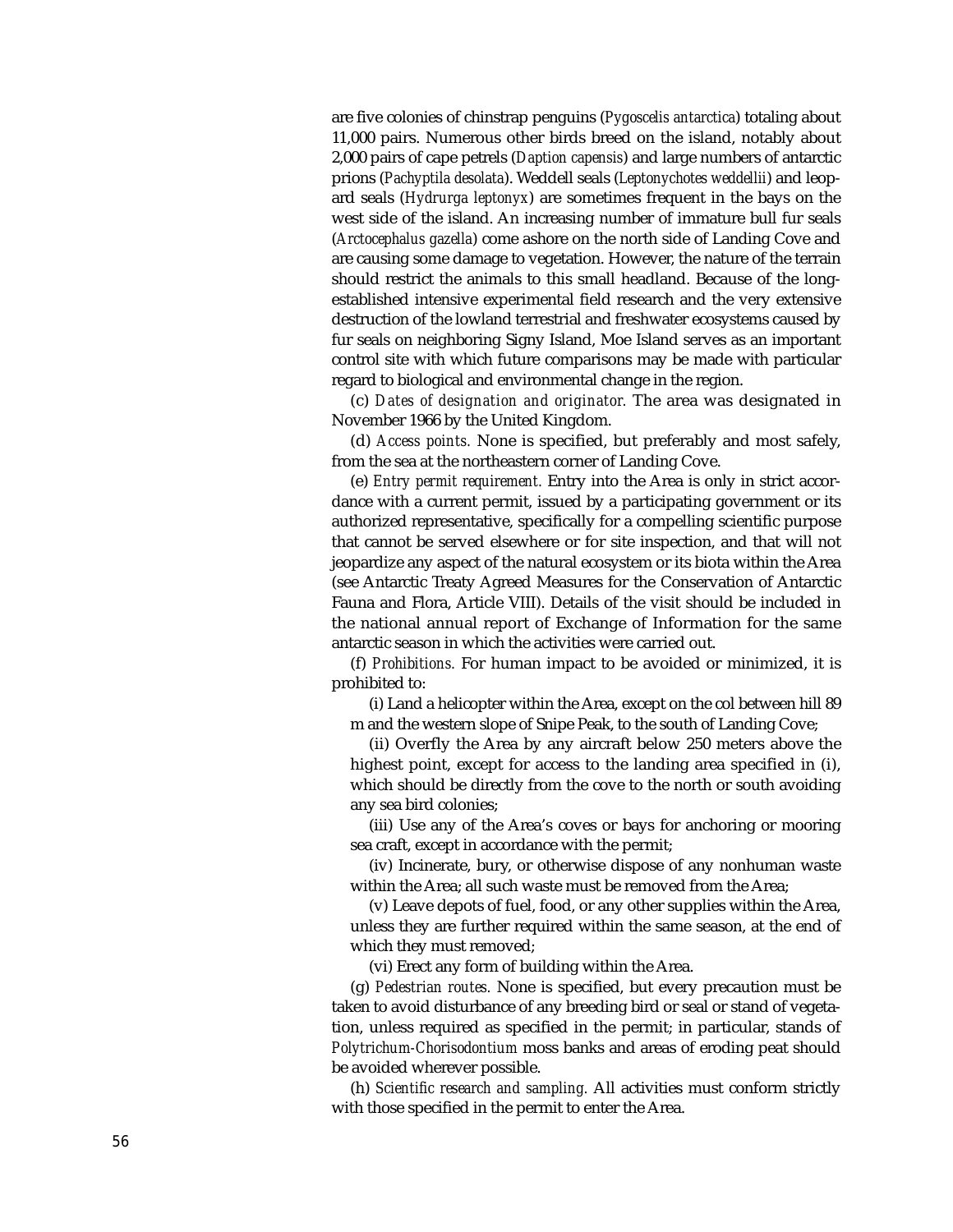are five colonies of chinstrap penguins (*Pygoscelis antarctica*) totaling about 11,000 pairs. Numerous other birds breed on the island, notably about 2,000 pairs of cape petrels (*Daption capensis*) and large numbers of antarctic prions (*Pachyptila desolata*). Weddell seals (*Leptonychotes weddellii*) and leopard seals (*Hydrurga leptonyx*) are sometimes frequent in the bays on the west side of the island. An increasing number of immature bull fur seals (*Arctocephalus gazella*) come ashore on the north side of Landing Cove and are causing some damage to vegetation. However, the nature of the terrain should restrict the animals to this small headland. Because of the longestablished intensive experimental field research and the very extensive destruction of the lowland terrestrial and freshwater ecosystems caused by fur seals on neighboring Signy Island, Moe Island serves as an important control site with which future comparisons may be made with particular regard to biological and environmental change in the region.

(c) *Dates of designation and originator.* The area was designated in November 1966 by the United Kingdom.

(d) *Access points.* None is specified, but preferably and most safely, from the sea at the northeastern corner of Landing Cove.

(e) *Entry permit requirement.* Entry into the Area is only in strict accordance with a current permit, issued by a participating government or its authorized representative, specifically for a compelling scientific purpose that cannot be served elsewhere or for site inspection, and that will not jeopardize any aspect of the natural ecosystem or its biota within the Area (see Antarctic Treaty Agreed Measures for the Conservation of Antarctic Fauna and Flora, Article VIII). Details of the visit should be included in the national annual report of Exchange of Information for the same antarctic season in which the activities were carried out.

(f) *Prohibitions.* For human impact to be avoided or minimized, it is prohibited to:

(i) Land a helicopter within the Area, except on the col between hill 89 m and the western slope of Snipe Peak, to the south of Landing Cove;

(ii) Overfly the Area by any aircraft below 250 meters above the highest point, except for access to the landing area specified in (i), which should be directly from the cove to the north or south avoiding any sea bird colonies;

(iii) Use any of the Area's coves or bays for anchoring or mooring sea craft, except in accordance with the permit;

(iv) Incinerate, bury, or otherwise dispose of any nonhuman waste within the Area; all such waste must be removed from the Area;

(v) Leave depots of fuel, food, or any other supplies within the Area, unless they are further required within the same season, at the end of which they must removed;

(vi) Erect any form of building within the Area.

(g) *Pedestrian routes.* None is specified, but every precaution must be taken to avoid disturbance of any breeding bird or seal or stand of vegetation, unless required as specified in the permit; in particular, stands of *Polytrichum-Chorisodontium* moss banks and areas of eroding peat should be avoided wherever possible.

(h) *Scientific research and sampling.* All activities must conform strictly with those specified in the permit to enter the Area.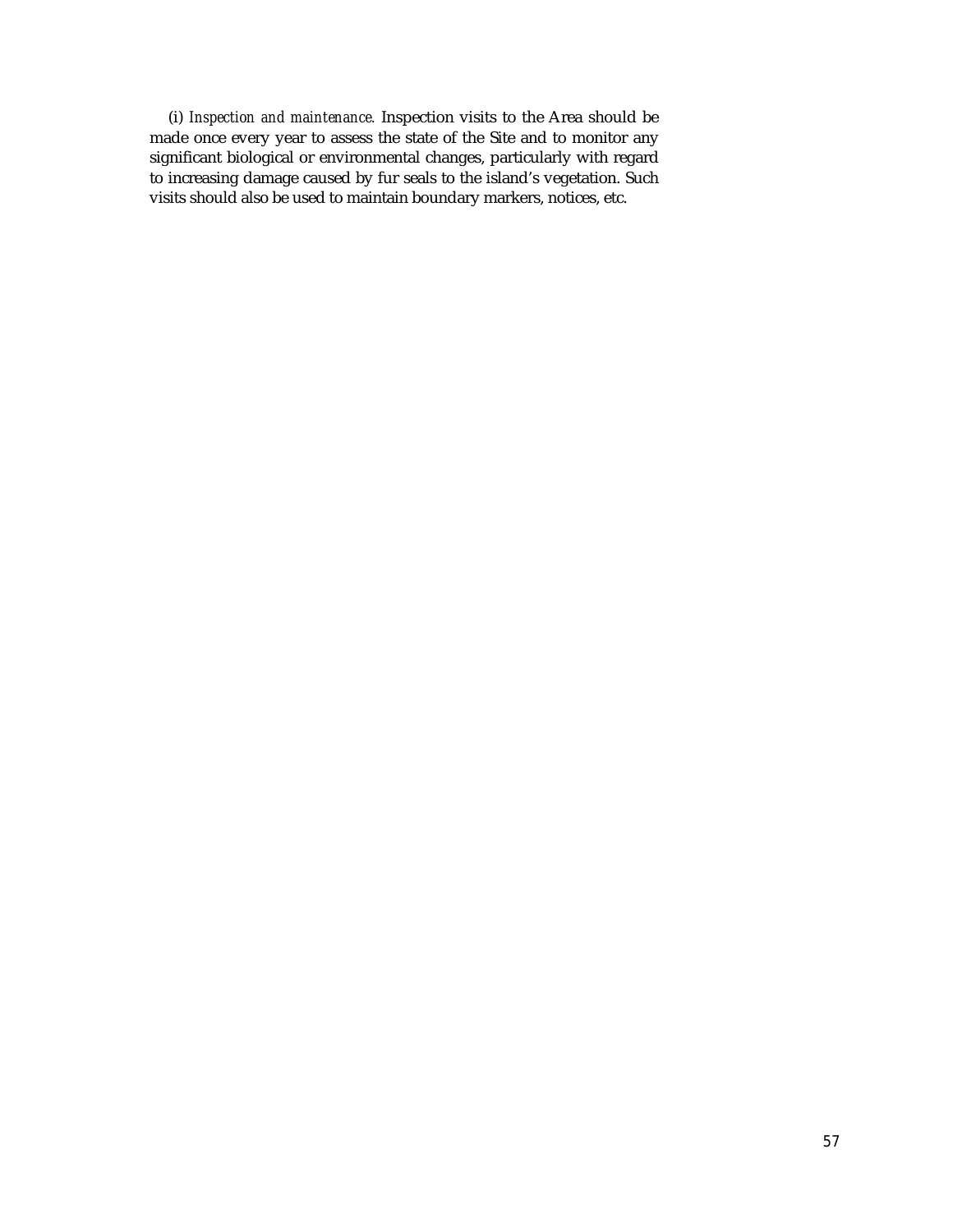(i) *Inspection and maintenance.* Inspection visits to the Area should be made once every year to assess the state of the Site and to monitor any significant biological or environmental changes, particularly with regard to increasing damage caused by fur seals to the island's vegetation. Such visits should also be used to maintain boundary markers, notices, etc.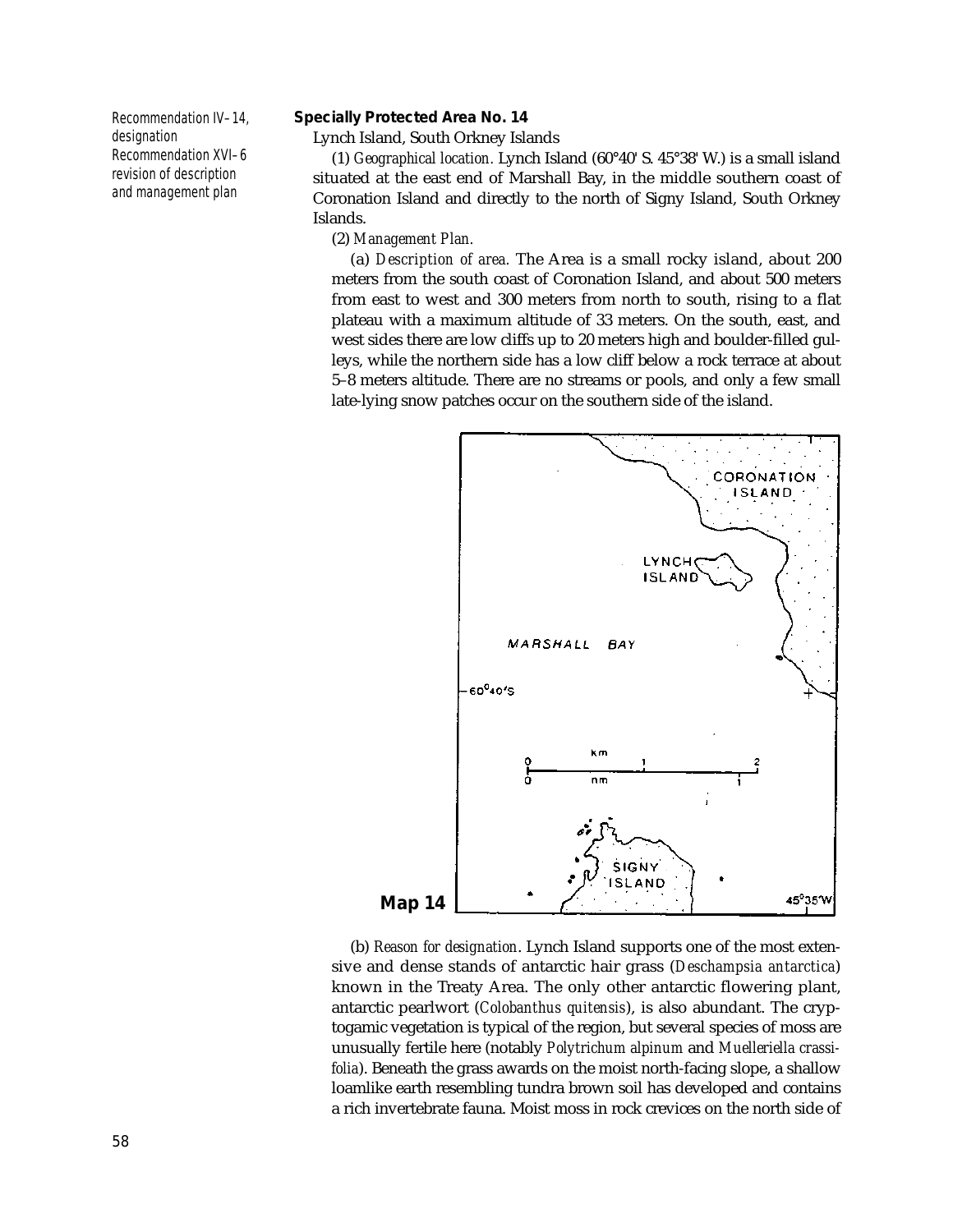Recommendation IV–14, designation Recommendation XVI–6 revision of description and management plan

## **Specially Protected Area No. 14**

Lynch Island, South Orkney Islands

(1) *Geographical location.* Lynch Island (60°40' S. 45°38' W.) is a small island situated at the east end of Marshall Bay, in the middle southern coast of Coronation Island and directly to the north of Signy Island, South Orkney Islands.

(2) *Management Plan.*

(a) *Description of area.* The Area is a small rocky island, about 200 meters from the south coast of Coronation Island, and about 500 meters from east to west and 300 meters from north to south, rising to a flat plateau with a maximum altitude of 33 meters. On the south, east, and west sides there are low cliffs up to 20 meters high and boulder-filled gulleys, while the northern side has a low cliff below a rock terrace at about 5–8 meters altitude. There are no streams or pools, and only a few small late-lying snow patches occur on the southern side of the island.



(b) *Reason for designation*. Lynch Island supports one of the most extensive and dense stands of antarctic hair grass (*Deschampsia antarctica*) known in the Treaty Area. The only other antarctic flowering plant, antarctic pearlwort (*Colobanthus quitensis*), is also abundant. The cryptogamic vegetation is typical of the region, but several species of moss are unusually fertile here (notably *Polytrichum alpinum* and *Muelleriella crassifolia*). Beneath the grass awards on the moist north-facing slope, a shallow loamlike earth resembling tundra brown soil has developed and contains a rich invertebrate fauna. Moist moss in rock crevices on the north side of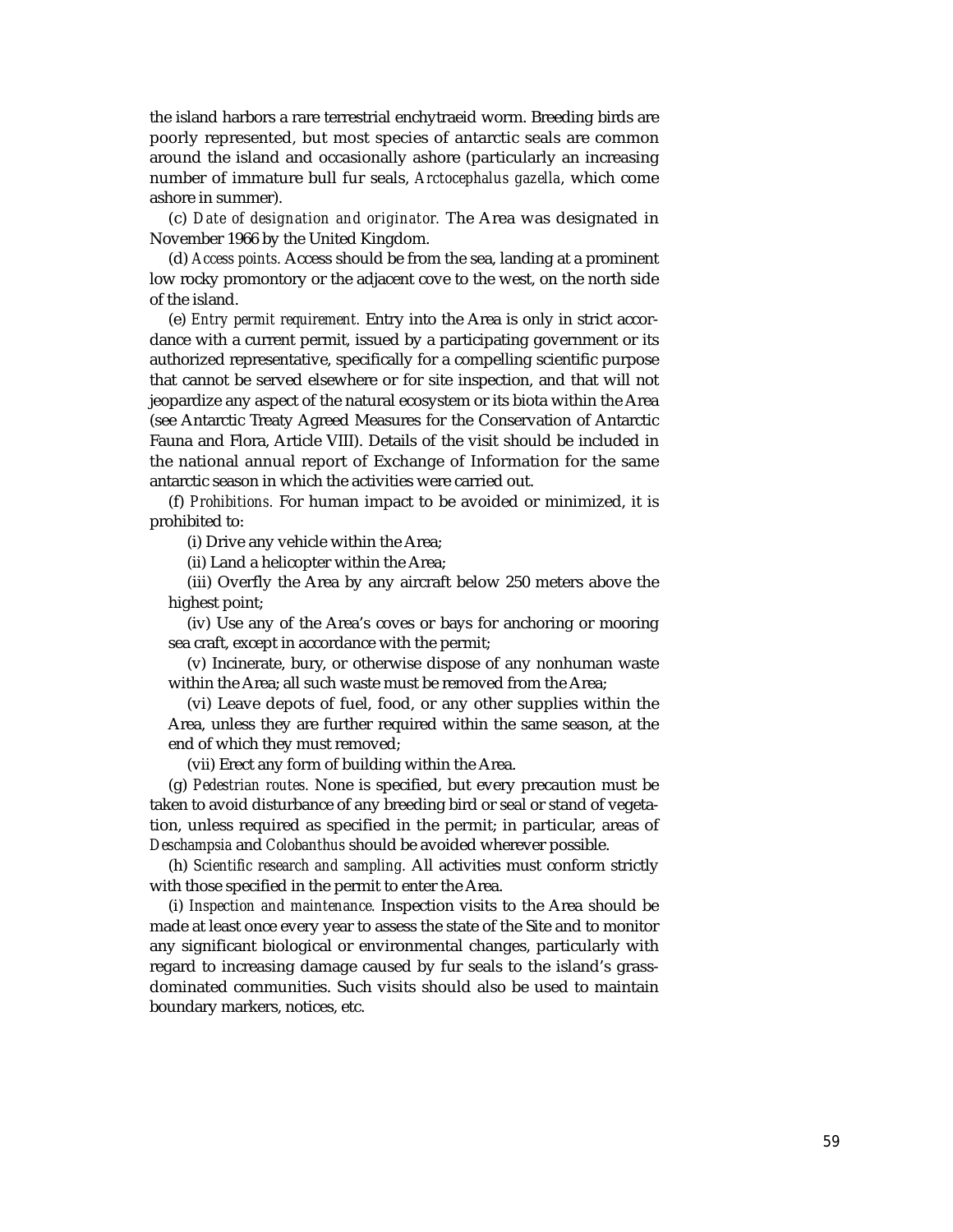the island harbors a rare terrestrial enchytraeid worm. Breeding birds are poorly represented, but most species of antarctic seals are common around the island and occasionally ashore (particularly an increasing number of immature bull fur seals, *Arctocephalus gazella*, which come ashore in summer).

(c) *Date of designation and originator.* The Area was designated in November 1966 by the United Kingdom.

(d) *Access points.* Access should be from the sea, landing at a prominent low rocky promontory or the adjacent cove to the west, on the north side of the island.

(e) *Entry permit requirement.* Entry into the Area is only in strict accordance with a current permit, issued by a participating government or its authorized representative, specifically for a compelling scientific purpose that cannot be served elsewhere or for site inspection, and that will not jeopardize any aspect of the natural ecosystem or its biota within the Area (see Antarctic Treaty Agreed Measures for the Conservation of Antarctic Fauna and Flora, Article VIII). Details of the visit should be included in the national annual report of Exchange of Information for the same antarctic season in which the activities were carried out.

(f) *Prohibitions.* For human impact to be avoided or minimized, it is prohibited to:

(i) Drive any vehicle within the Area;

(ii) Land a helicopter within the Area;

(iii) Overfly the Area by any aircraft below 250 meters above the highest point;

(iv) Use any of the Area's coves or bays for anchoring or mooring sea craft, except in accordance with the permit;

(v) Incinerate, bury, or otherwise dispose of any nonhuman waste within the Area; all such waste must be removed from the Area;

(vi) Leave depots of fuel, food, or any other supplies within the Area, unless they are further required within the same season, at the end of which they must removed;

(vii) Erect any form of building within the Area.

(g) *Pedestrian routes.* None is specified, but every precaution must be taken to avoid disturbance of any breeding bird or seal or stand of vegetation, unless required as specified in the permit; in particular, areas of *Deschampsia* and *Colobanthus* should be avoided wherever possible.

(h) *Scientific research and sampling.* All activities must conform strictly with those specified in the permit to enter the Area.

(i) *Inspection and maintenance.* Inspection visits to the Area should be made at least once every year to assess the state of the Site and to monitor any significant biological or environmental changes, particularly with regard to increasing damage caused by fur seals to the island's grassdominated communities. Such visits should also be used to maintain boundary markers, notices, etc.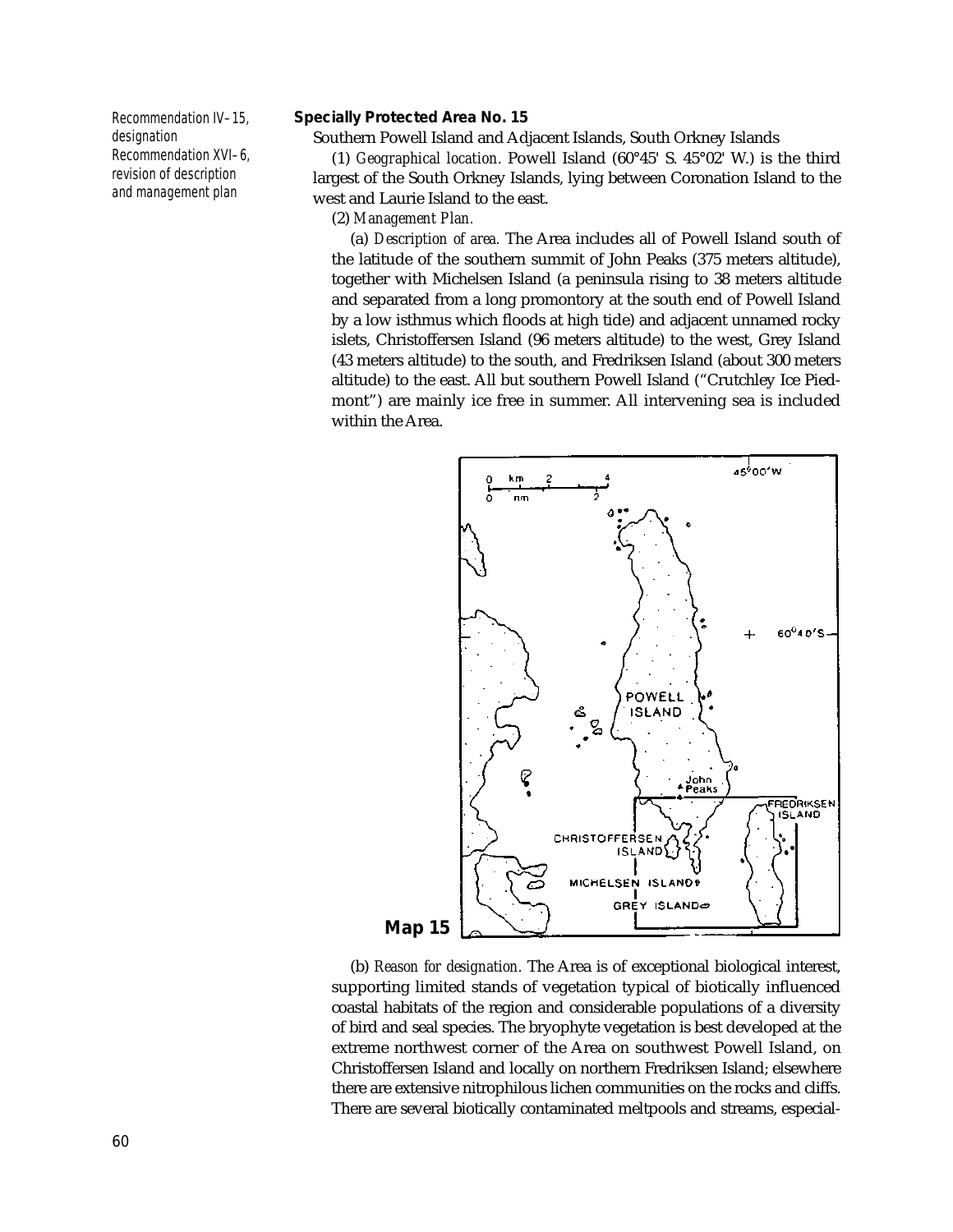Recommendation IV–15, designation Recommendation XVI–6, revision of description and management plan

## **Specially Protected Area No. 15**

Southern Powell Island and Adjacent Islands, South Orkney Islands

(1) *Geographical location.* Powell Island (60°45' S. 45°02' W.) is the third largest of the South Orkney Islands, lying between Coronation Island to the west and Laurie Island to the east.

(2) *Management Plan.*

(a) *Description of area.* The Area includes all of Powell Island south of the latitude of the southern summit of John Peaks (375 meters altitude), together with Michelsen Island (a peninsula rising to 38 meters altitude and separated from a long promontory at the south end of Powell Island by a low isthmus which floods at high tide) and adjacent unnamed rocky islets, Christoffersen Island (96 meters altitude) to the west, Grey Island (43 meters altitude) to the south, and Fredriksen Island (about 300 meters altitude) to the east. All but southern Powell Island ("Crutchley Ice Piedmont") are mainly ice free in summer. All intervening sea is included within the Area.



(b) *Reason for designation.* The Area is of exceptional biological interest, supporting limited stands of vegetation typical of biotically influenced coastal habitats of the region and considerable populations of a diversity of bird and seal species. The bryophyte vegetation is best developed at the extreme northwest corner of the Area on southwest Powell Island, on Christoffersen Island and locally on northern Fredriksen Island; elsewhere there are extensive nitrophilous lichen communities on the rocks and cliffs. There are several biotically contaminated meltpools and streams, especial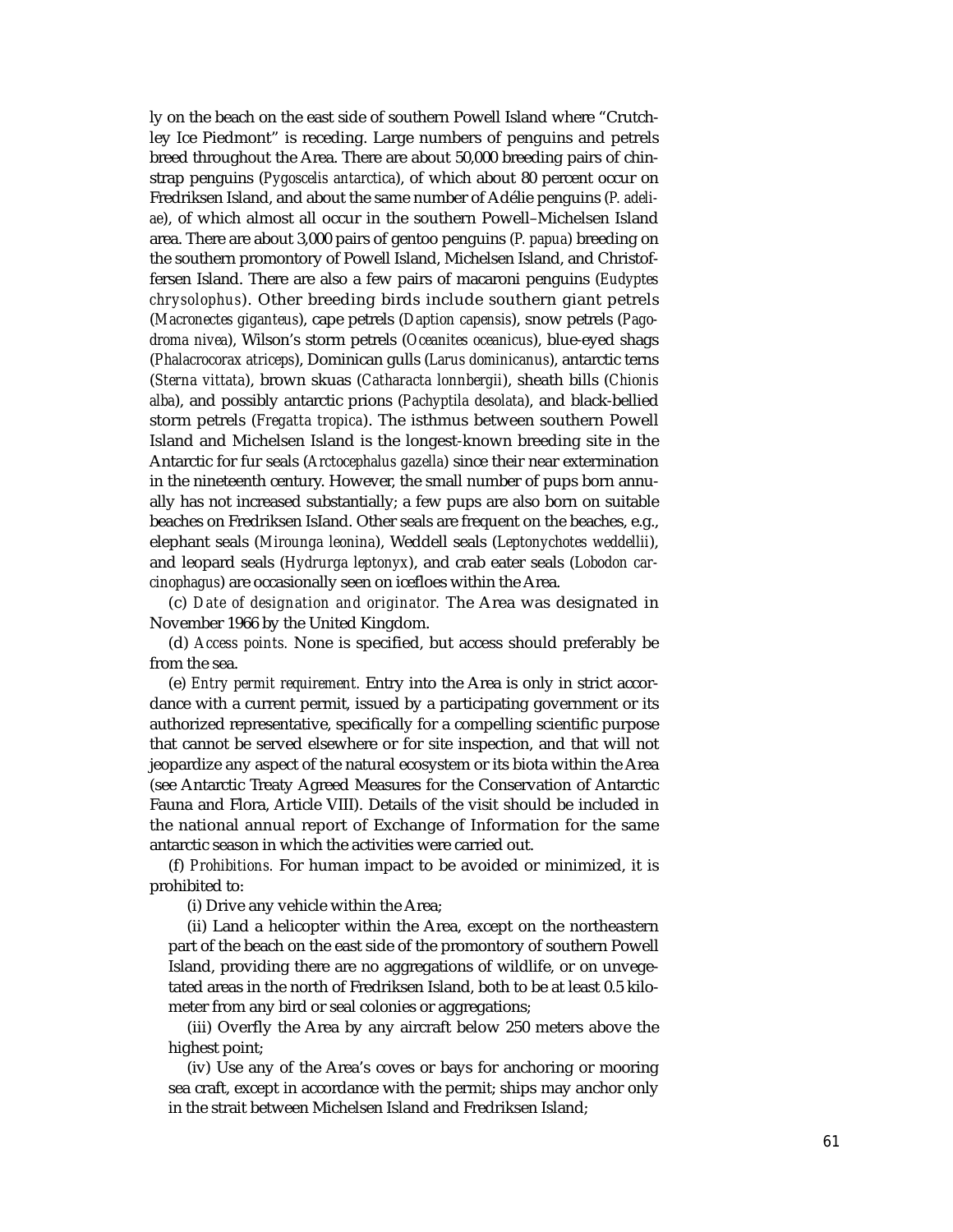ly on the beach on the east side of southern Powell Island where "Crutchley Ice Piedmont" is receding. Large numbers of penguins and petrels breed throughout the Area. There are about 50,000 breeding pairs of chinstrap penguins (*Pygoscelis antarctica*), of which about 80 percent occur on Fredriksen Island, and about the same number of Adélie penguins (*P. adeliae*), of which almost all occur in the southern Powell–Michelsen Island area. There are about 3,000 pairs of gentoo penguins (*P. papua*) breeding on the southern promontory of Powell Island, Michelsen Island, and Christoffersen Island. There are also a few pairs of macaroni penguins (*Eudyptes chrysolophus*). Other breeding birds include southern giant petrels (*Macronectes giganteus*), cape petrels (*Daption capensis*), snow petrels (*Pagodroma nivea*), Wilson's storm petrels (*Oceanites oceanicus*), blue-eyed shags (*Phalacrocorax atriceps*), Dominican gulls (*Larus dominicanus*), antarctic terns (*Sterna vittata*), brown skuas (*Catharacta lonnbergii*), sheath bills (*Chionis alba*), and possibly antarctic prions (*Pachyptila desolata*), and black-bellied storm petrels (*Fregatta tropica*). The isthmus between southern Powell Island and Michelsen Island is the longest-known breeding site in the Antarctic for fur seals (*Arctocephalus gazella*) since their near extermination in the nineteenth century. However, the small number of pups born annually has not increased substantially; a few pups are also born on suitable beaches on Fredriksen IsIand. Other seals are frequent on the beaches, e.g., elephant seals (*Mirounga leonina*), Weddell seals (*Leptonychotes weddellii*), and leopard seals (*Hydrurga leptonyx*), and crab eater seals (*Lobodon carcinophagus*) are occasionally seen on icefloes within the Area.

(c) *Date of designation and originator.* The Area was designated in November 1966 by the United Kingdom.

(d) *Access points.* None is specified, but access should preferably be from the sea.

(e) *Entry permit requirement.* Entry into the Area is only in strict accordance with a current permit, issued by a participating government or its authorized representative, specifically for a compelling scientific purpose that cannot be served elsewhere or for site inspection, and that will not jeopardize any aspect of the natural ecosystem or its biota within the Area (see Antarctic Treaty Agreed Measures for the Conservation of Antarctic Fauna and Flora, Article VIII). Details of the visit should be included in the national annual report of Exchange of Information for the same antarctic season in which the activities were carried out.

(f) *Prohibitions.* For human impact to be avoided or minimized, it is prohibited to:

(i) Drive any vehicle within the Area;

(ii) Land a helicopter within the Area, except on the northeastern part of the beach on the east side of the promontory of southern Powell Island, providing there are no aggregations of wildlife, or on unvegetated areas in the north of Fredriksen Island, both to be at least 0.5 kilometer from any bird or seal colonies or aggregations;

(iii) Overfly the Area by any aircraft below 250 meters above the highest point;

(iv) Use any of the Area's coves or bays for anchoring or mooring sea craft, except in accordance with the permit; ships may anchor only in the strait between Michelsen Island and Fredriksen Island;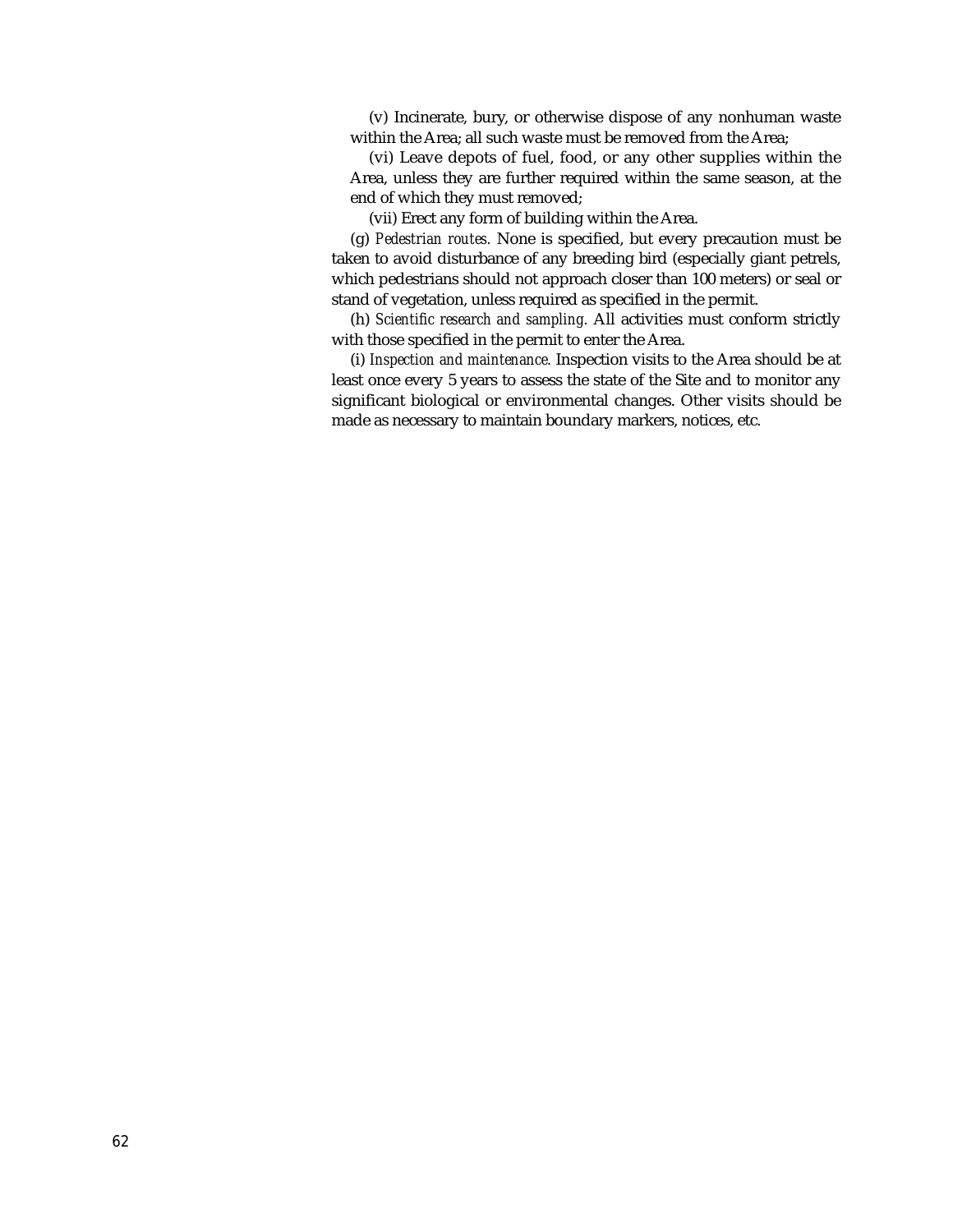(v) Incinerate, bury, or otherwise dispose of any nonhuman waste within the Area; all such waste must be removed from the Area;

(vi) Leave depots of fuel, food, or any other supplies within the Area, unless they are further required within the same season, at the end of which they must removed;

(vii) Erect any form of building within the Area.

(g) *Pedestrian routes.* None is specified, but every precaution must be taken to avoid disturbance of any breeding bird (especially giant petrels, which pedestrians should not approach closer than 100 meters) or seal or stand of vegetation, unless required as specified in the permit.

(h) *Scientific research and sampling.* All activities must conform strictly with those specified in the permit to enter the Area.

(i) *Inspection and maintenance.* Inspection visits to the Area should be at least once every 5 years to assess the state of the Site and to monitor any significant biological or environmental changes. Other visits should be made as necessary to maintain boundary markers, notices, etc.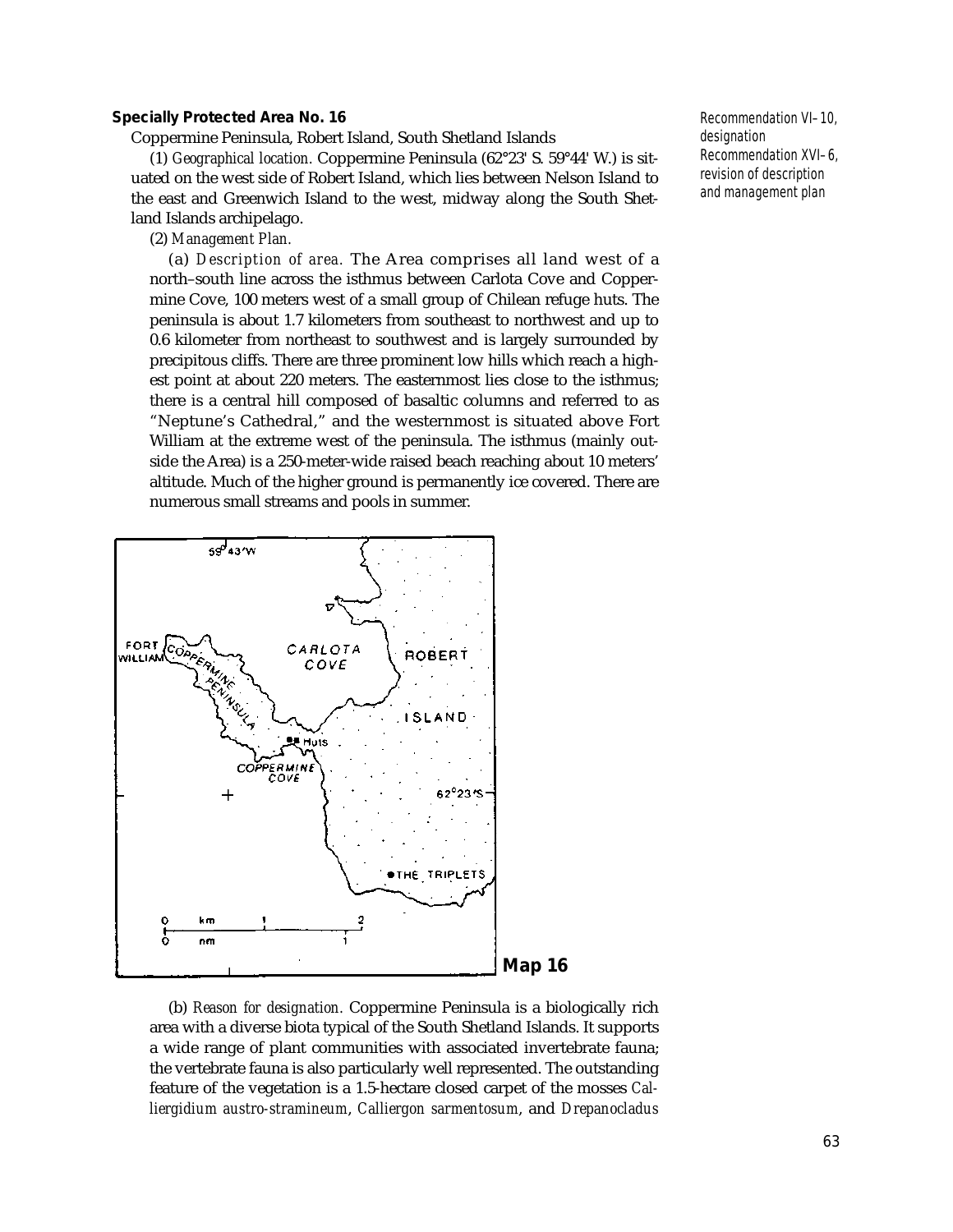#### **Specially Protected Area No. 16**

Coppermine Peninsula, Robert Island, South Shetland Islands

(1) *Geographical location.* Coppermine Peninsula (62°23' S. 59°44' W.) is situated on the west side of Robert Island, which lies between Nelson Island to the east and Greenwich Island to the west, midway along the South Shetland Islands archipelago.

(2) *Management Plan.*

(a) *Description of area.* The Area comprises all land west of a north–south line across the isthmus between Carlota Cove and Coppermine Cove, 100 meters west of a small group of Chilean refuge huts. The peninsula is about 1.7 kilometers from southeast to northwest and up to 0.6 kilometer from northeast to southwest and is largely surrounded by precipitous cliffs. There are three prominent low hills which reach a highest point at about 220 meters. The easternmost lies close to the isthmus; there is a central hill composed of basaltic columns and referred to as "Neptune's Cathedral," and the westernmost is situated above Fort William at the extreme west of the peninsula. The isthmus (mainly outside the Area) is a 250-meter-wide raised beach reaching about 10 meters' altitude. Much of the higher ground is permanently ice covered. There are numerous small streams and pools in summer.



(b) *Reason for designation.* Coppermine Peninsula is a biologically rich area with a diverse biota typical of the South Shetland Islands. It supports a wide range of plant communities with associated invertebrate fauna; the vertebrate fauna is also particularly well represented. The outstanding feature of the vegetation is a 1.5-hectare closed carpet of the mosses *Calliergidium austro-stramineum*, *Calliergon sarmentosum*, and *Drepanocladus*

Recommendation VI–10, designation Recommendation XVI–6, revision of description and management plan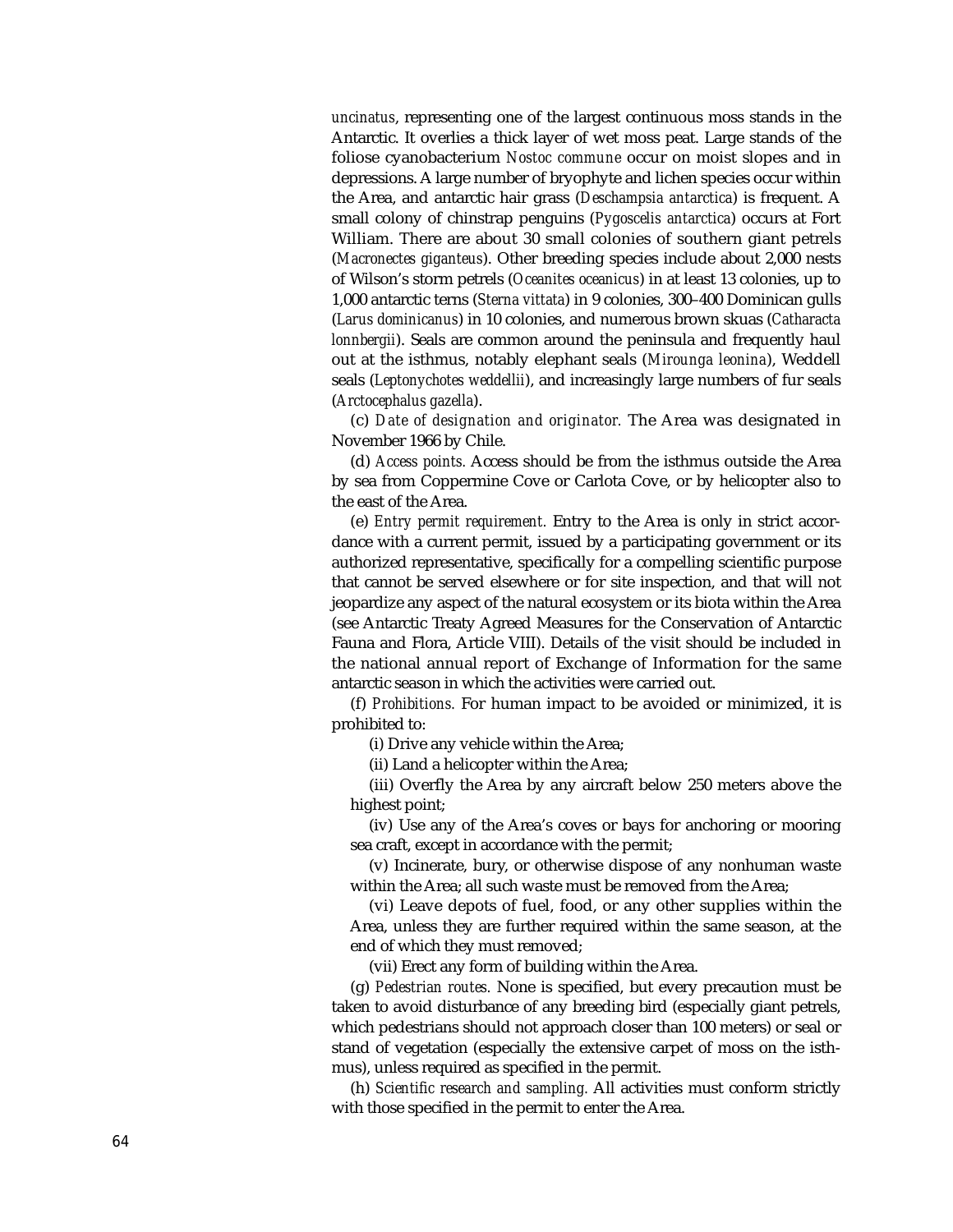*uncinatus*, representing one of the largest continuous moss stands in the Antarctic. It overlies a thick layer of wet moss peat. Large stands of the foliose cyanobacterium *Nostoc commune* occur on moist slopes and in depressions. A large number of bryophyte and lichen species occur within the Area, and antarctic hair grass (*Deschampsia antarctica*) is frequent. A small colony of chinstrap penguins (*Pygoscelis antarctica*) occurs at Fort William. There are about 30 small colonies of southern giant petrels (*Macronectes giganteus*). Other breeding species include about 2,000 nests of Wilson's storm petrels (*Oceanites oceanicus*) in at least 13 colonies, up to 1,000 antarctic terns (*Sterna vittata*) in 9 colonies, 300–400 Dominican gulls (*Larus dominicanus*) in 10 colonies, and numerous brown skuas (*Catharacta lonnbergii*). Seals are common around the peninsula and frequently haul out at the isthmus, notably elephant seals (*Mirounga leonina*), Weddell seals (*Leptonychotes weddellii*), and increasingly large numbers of fur seals (*Arctocephalus gazella*).

(c) *Date of designation and originator.* The Area was designated in November 1966 by Chile.

(d) *Access points.* Access should be from the isthmus outside the Area by sea from Coppermine Cove or Carlota Cove, or by helicopter also to the east of the Area.

(e) *Entry permit requirement.* Entry to the Area is only in strict accordance with a current permit, issued by a participating government or its authorized representative, specifically for a compelling scientific purpose that cannot be served elsewhere or for site inspection, and that will not jeopardize any aspect of the natural ecosystem or its biota within the Area (see Antarctic Treaty Agreed Measures for the Conservation of Antarctic Fauna and Flora, Article VIII). Details of the visit should be included in the national annual report of Exchange of Information for the same antarctic season in which the activities were carried out.

(f) *Prohibitions.* For human impact to be avoided or minimized, it is prohibited to:

(i) Drive any vehicle within the Area;

(ii) Land a helicopter within the Area;

(iii) Overfly the Area by any aircraft below 250 meters above the highest point;

(iv) Use any of the Area's coves or bays for anchoring or mooring sea craft, except in accordance with the permit;

(v) Incinerate, bury, or otherwise dispose of any nonhuman waste within the Area; all such waste must be removed from the Area;

(vi) Leave depots of fuel, food, or any other supplies within the Area, unless they are further required within the same season, at the end of which they must removed;

(vii) Erect any form of building within the Area.

(g) *Pedestrian routes.* None is specified, but every precaution must be taken to avoid disturbance of any breeding bird (especially giant petrels, which pedestrians should not approach closer than 100 meters) or seal or stand of vegetation (especially the extensive carpet of moss on the isthmus), unless required as specified in the permit.

(h) *Scientific research and sampling.* All activities must conform strictly with those specified in the permit to enter the Area.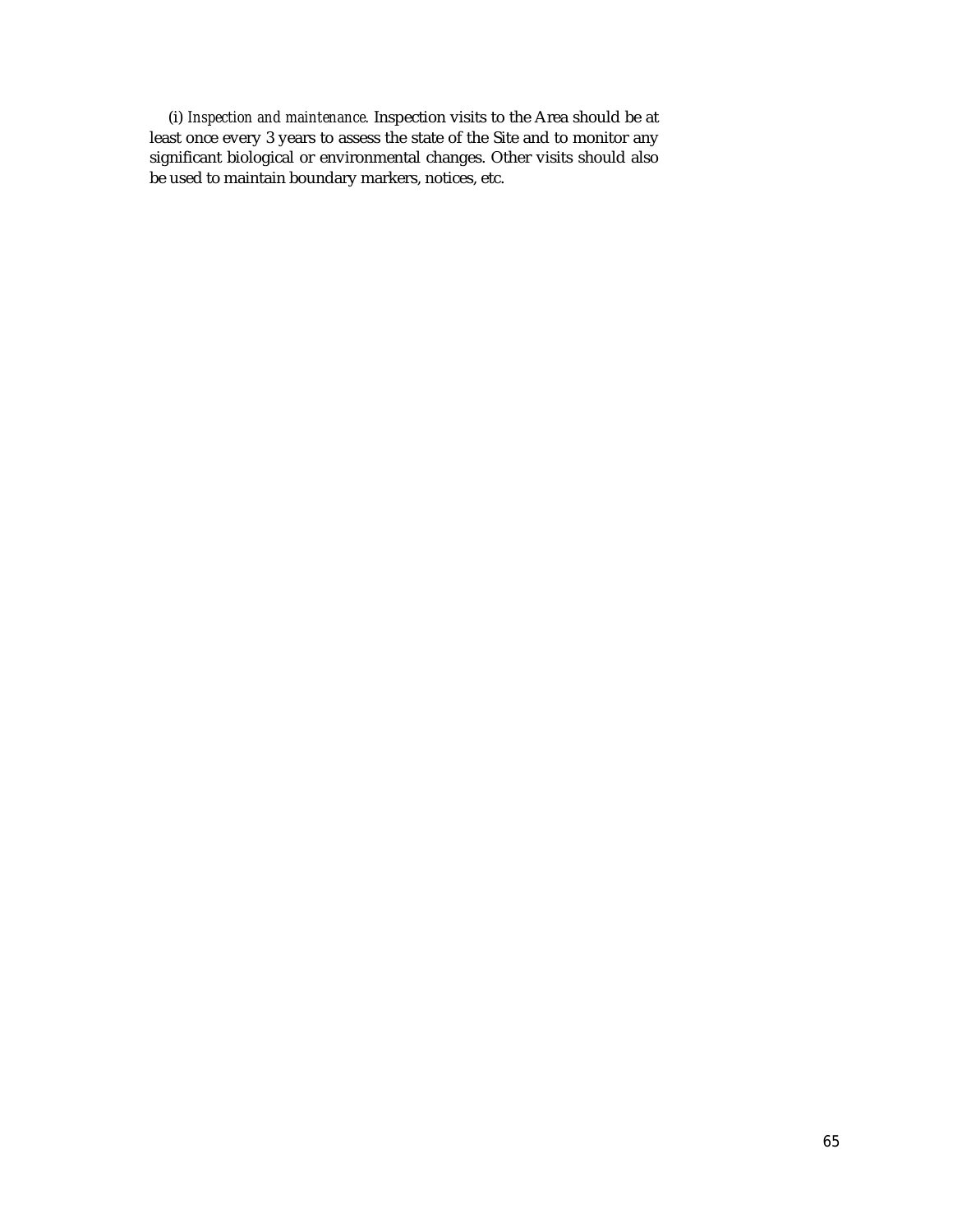(i) *Inspection and maintenance.* Inspection visits to the Area should be at least once every 3 years to assess the state of the Site and to monitor any significant biological or environmental changes. Other visits should also be used to maintain boundary markers, notices, etc.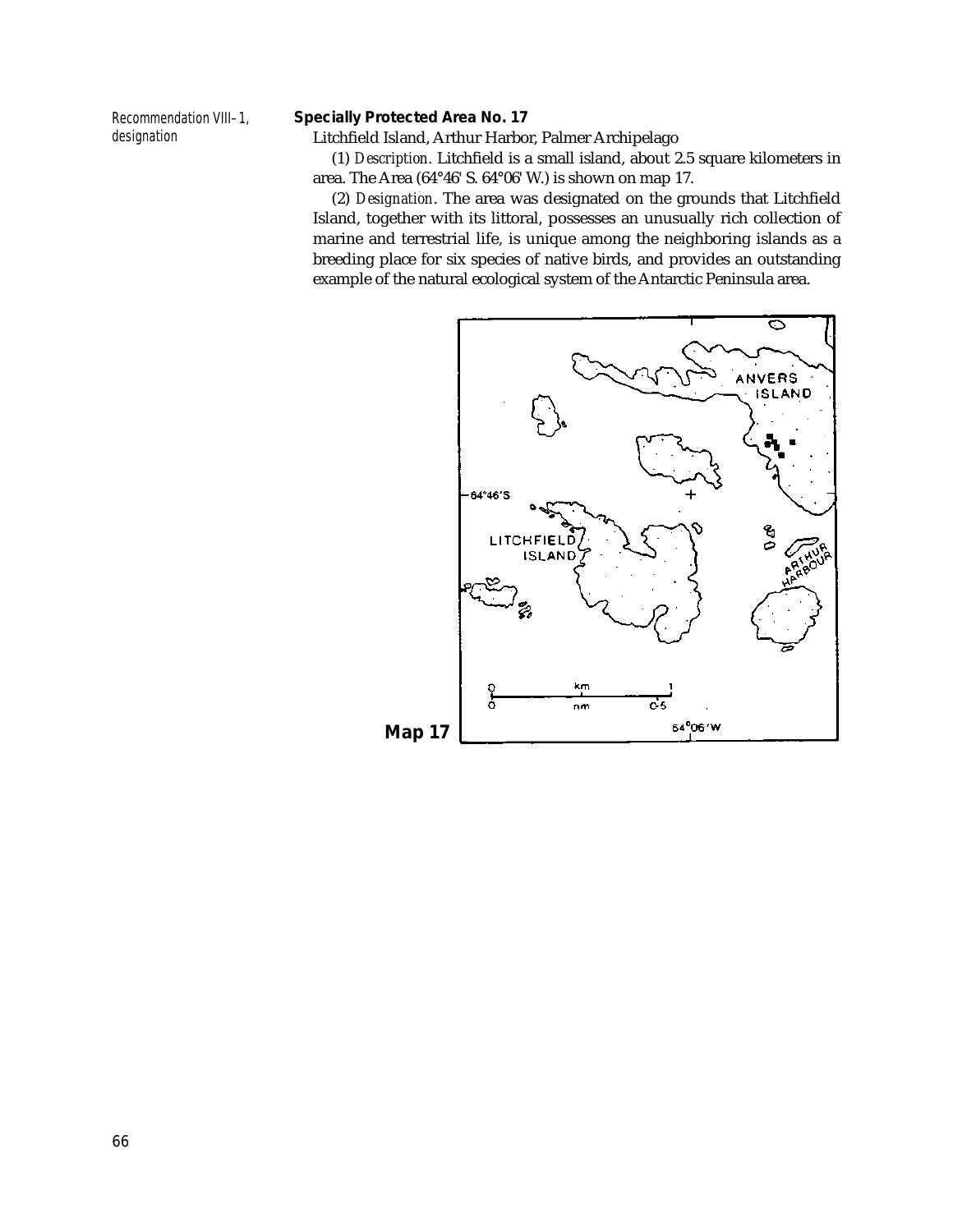Recommendation VIII–1, designation

# **Specially Protected Area No. 17**

Litchfield Island, Arthur Harbor, Palmer Archipelago

(1) *Description.* Litchfield is a small island, about 2.5 square kilometers in area. The Area (64°46' S. 64°06' W.) is shown on map 17.

(2) *Designation*. The area was designated on the grounds that Litchfield Island, together with its littoral, possesses an unusually rich collection of marine and terrestrial life, is unique among the neighboring islands as a breeding place for six species of native birds, and provides an outstanding example of the natural ecological system of the Antarctic Peninsula area.

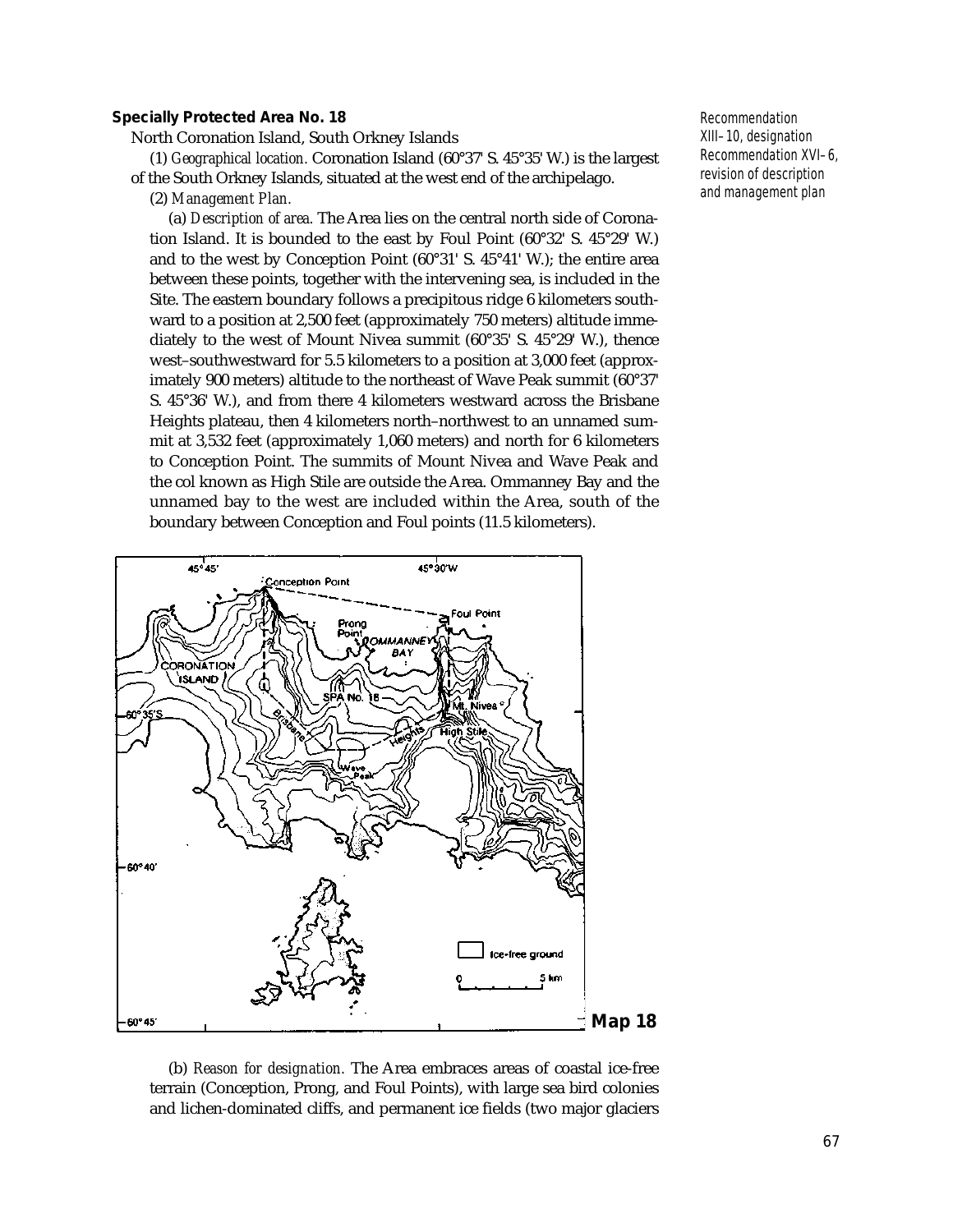#### **Specially Protected Area No. 18**

North Coronation Island, South Orkney Islands

(1) *Geographical location.* Coronation Island (60°37' S. 45°35' W.) is the largest of the South Orkney Islands, situated at the west end of the archipelago.

# (2) *Management Plan.*

(a) *Description of area.* The Area lies on the central north side of Coronation Island. It is bounded to the east by Foul Point (60°32' S. 45°29' W.) and to the west by Conception Point (60°31' S. 45°41' W.); the entire area between these points, together with the intervening sea, is included in the Site. The eastern boundary follows a precipitous ridge 6 kilometers southward to a position at 2,500 feet (approximately 750 meters) altitude immediately to the west of Mount Nivea summit (60°35' S. 45°29' W.), thence west–southwestward for 5.5 kilometers to a position at 3,000 feet (approximately 900 meters) altitude to the northeast of Wave Peak summit (60°37' S. 45°36' W.), and from there 4 kilometers westward across the Brisbane Heights plateau, then 4 kilometers north–northwest to an unnamed summit at 3,532 feet (approximately 1,060 meters) and north for 6 kilometers to Conception Point. The summits of Mount Nivea and Wave Peak and the col known as High Stile are outside the Area. Ommanney Bay and the unnamed bay to the west are included within the Area, south of the boundary between Conception and Foul points (11.5 kilometers).



(b) *Reason for designation.* The Area embraces areas of coastal ice-free terrain (Conception, Prong, and Foul Points), with large sea bird colonies and lichen-dominated cliffs, and permanent ice fields (two major glaciers

Recommendation XIII–10, designation Recommendation XVI–6, revision of description and management plan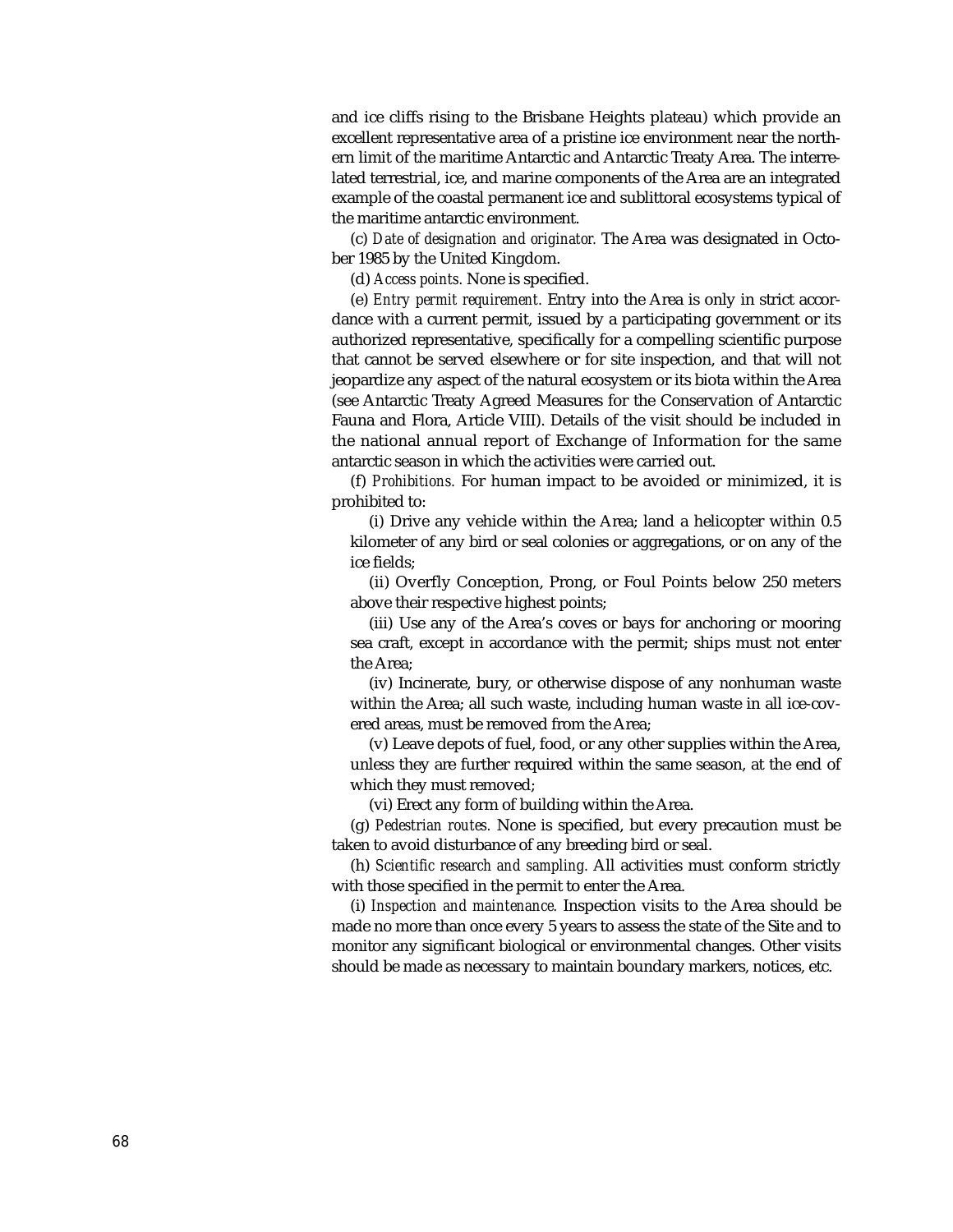and ice cliffs rising to the Brisbane Heights plateau) which provide an excellent representative area of a pristine ice environment near the northern limit of the maritime Antarctic and Antarctic Treaty Area. The interrelated terrestrial, ice, and marine components of the Area are an integrated example of the coastal permanent ice and sublittoral ecosystems typical of the maritime antarctic environment.

(c) *Date of designation and originator.* The Area was designated in October 1985 by the United Kingdom.

(d) *Access points.* None is specified.

(e) *Entry permit requirement.* Entry into the Area is only in strict accordance with a current permit, issued by a participating government or its authorized representative, specifically for a compelling scientific purpose that cannot be served elsewhere or for site inspection, and that will not jeopardize any aspect of the natural ecosystem or its biota within the Area (see Antarctic Treaty Agreed Measures for the Conservation of Antarctic Fauna and Flora, Article VIII). Details of the visit should be included in the national annual report of Exchange of Information for the same antarctic season in which the activities were carried out.

(f) *Prohibitions.* For human impact to be avoided or minimized, it is prohibited to:

(i) Drive any vehicle within the Area; land a helicopter within 0.5 kilometer of any bird or seal colonies or aggregations, or on any of the ice fields;

(ii) Overfly Conception, Prong, or Foul Points below 250 meters above their respective highest points;

(iii) Use any of the Area's coves or bays for anchoring or mooring sea craft, except in accordance with the permit; ships must not enter the Area;

(iv) Incinerate, bury, or otherwise dispose of any nonhuman waste within the Area; all such waste, including human waste in all ice-covered areas, must be removed from the Area;

(v) Leave depots of fuel, food, or any other supplies within the Area, unless they are further required within the same season, at the end of which they must removed;

(vi) Erect any form of building within the Area.

(g) *Pedestrian routes.* None is specified, but every precaution must be taken to avoid disturbance of any breeding bird or seal.

(h) *Scientific research and sampling.* All activities must conform strictly with those specified in the permit to enter the Area.

(i) *Inspection and maintenance.* Inspection visits to the Area should be made no more than once every 5 years to assess the state of the Site and to monitor any significant biological or environmental changes. Other visits should be made as necessary to maintain boundary markers, notices, etc.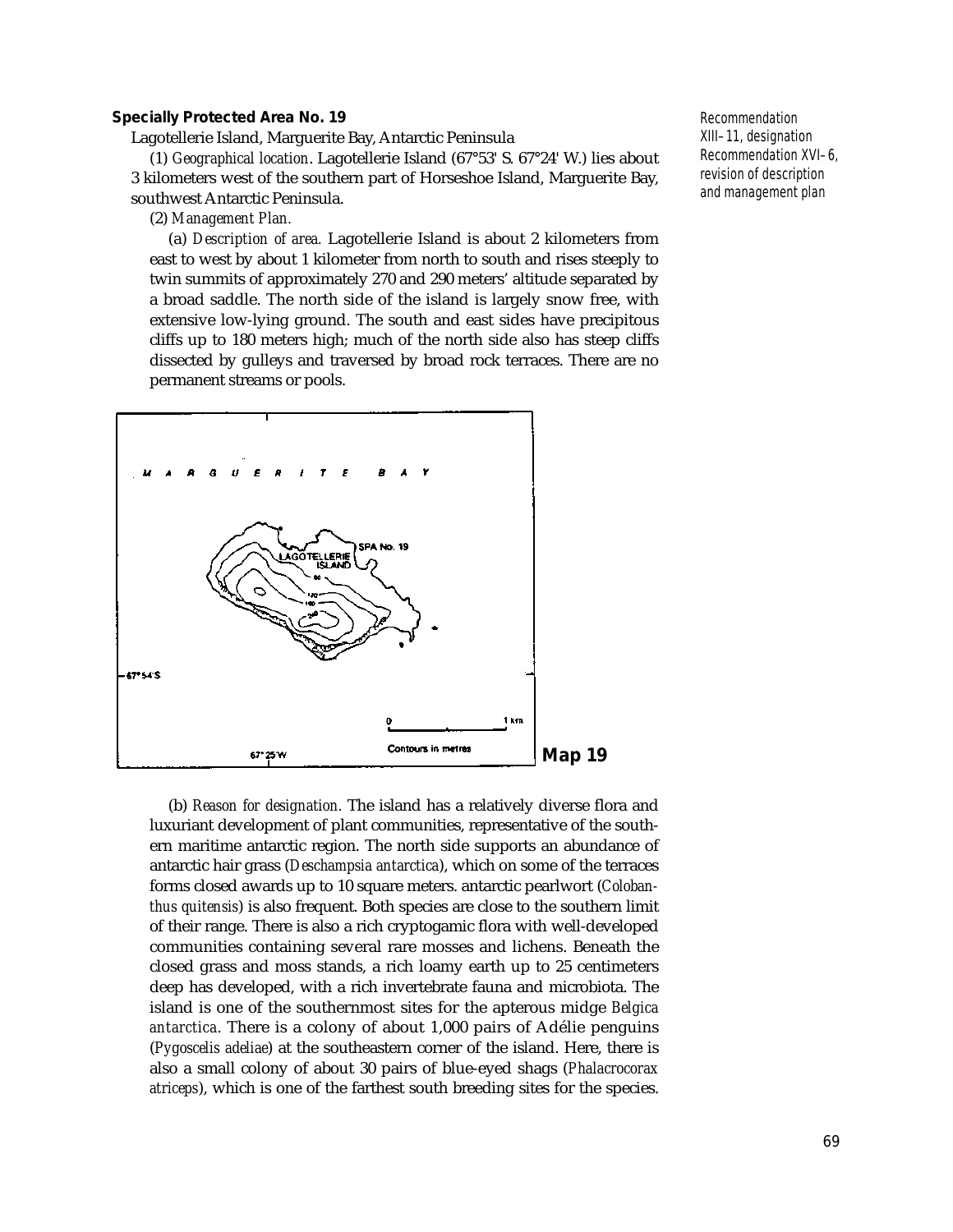#### **Specially Protected Area No. 19**

Lagotellerie Island, Marguerite Bay, Antarctic Peninsula

(1) *Geographical location*. Lagotellerie Island (67°53' S. 67°24' W.) lies about 3 kilometers west of the southern part of Horseshoe Island, Marguerite Bay, southwest Antarctic Peninsula.

(2) *Management Plan.*

(a) *Description of area.* Lagotellerie Island is about 2 kilometers from east to west by about 1 kilometer from north to south and rises steeply to twin summits of approximately 270 and 290 meters' altitude separated by a broad saddle. The north side of the island is largely snow free, with extensive low-lying ground. The south and east sides have precipitous cliffs up to 180 meters high; much of the north side also has steep cliffs dissected by gulleys and traversed by broad rock terraces. There are no permanent streams or pools.



(b) *Reason for designation.* The island has a relatively diverse flora and luxuriant development of plant communities, representative of the southern maritime antarctic region. The north side supports an abundance of antarctic hair grass (*Deschampsia antarctica*), which on some of the terraces forms closed awards up to 10 square meters. antarctic pearlwort (*Colobanthus quitensis*) is also frequent. Both species are close to the southern limit of their range. There is also a rich cryptogamic flora with well-developed communities containing several rare mosses and lichens. Beneath the closed grass and moss stands, a rich loamy earth up to 25 centimeters deep has developed, with a rich invertebrate fauna and microbiota. The island is one of the southernmost sites for the apterous midge *Belgica antarctica*. There is a colony of about 1,000 pairs of Adélie penguins (*Pygoscelis adeliae*) at the southeastern corner of the island. Here, there is also a small colony of about 30 pairs of blue-eyed shags (*Phalacrocorax atriceps*), which is one of the farthest south breeding sites for the species.

Recommendation XIII–11, designation Recommendation XVI–6, revision of description and management plan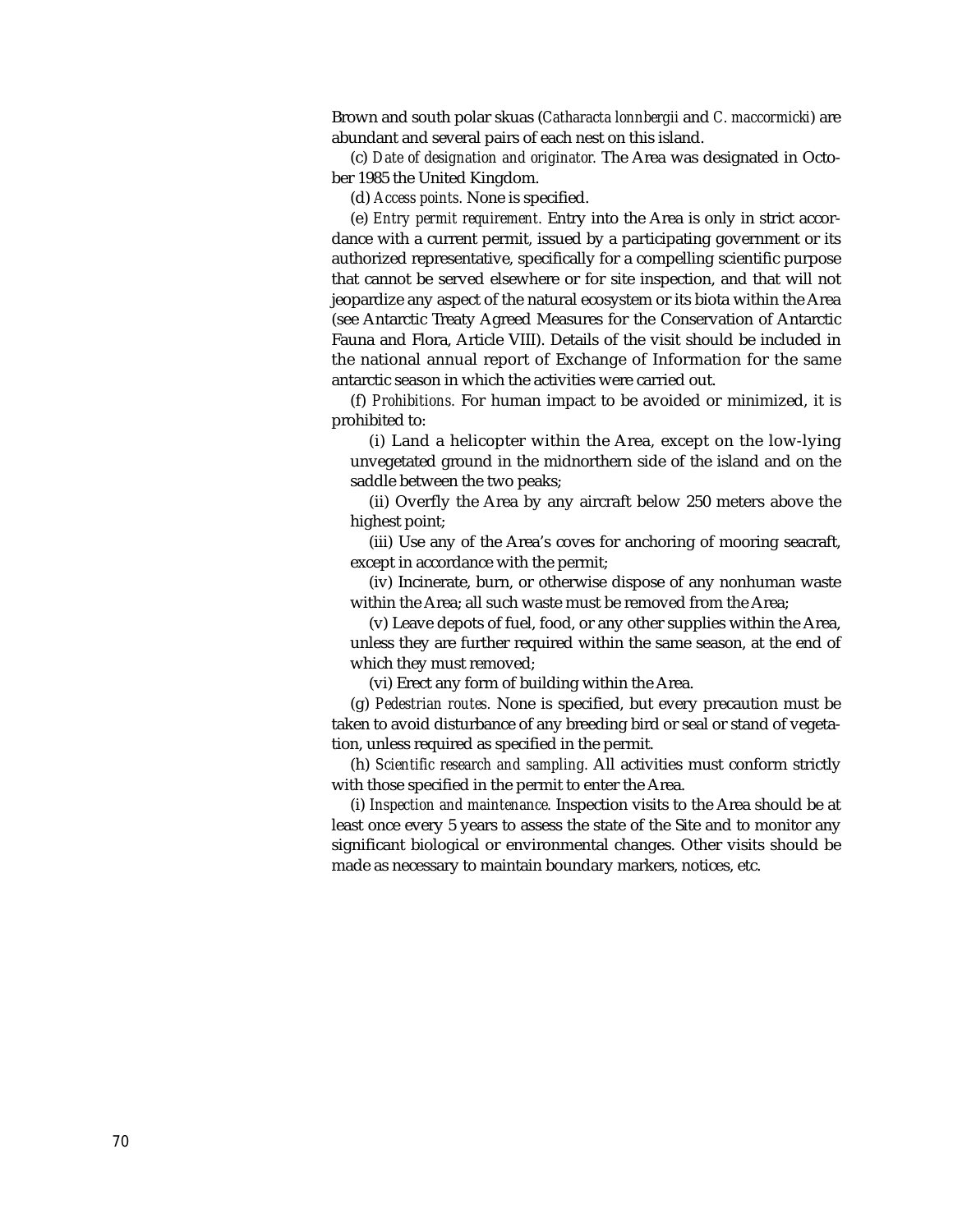Brown and south polar skuas (*Catharacta lonnbergii* and *C. maccormicki*) are abundant and several pairs of each nest on this island.

(c) *Date of designation and originator.* The Area was designated in October 1985 the United Kingdom.

(d) *Access points.* None is specified.

(e) *Entry permit requirement.* Entry into the Area is only in strict accordance with a current permit, issued by a participating government or its authorized representative, specifically for a compelling scientific purpose that cannot be served elsewhere or for site inspection, and that will not jeopardize any aspect of the natural ecosystem or its biota within the Area (see Antarctic Treaty Agreed Measures for the Conservation of Antarctic Fauna and Flora, Article VIII). Details of the visit should be included in the national annual report of Exchange of Information for the same antarctic season in which the activities were carried out.

(f) *Prohibitions.* For human impact to be avoided or minimized, it is prohibited to:

(i) Land a helicopter within the Area, except on the low-lying unvegetated ground in the midnorthern side of the island and on the saddle between the two peaks;

(ii) Overfly the Area by any aircraft below 250 meters above the highest point;

(iii) Use any of the Area's coves for anchoring of mooring seacraft, except in accordance with the permit;

(iv) Incinerate, burn, or otherwise dispose of any nonhuman waste within the Area; all such waste must be removed from the Area;

(v) Leave depots of fuel, food, or any other supplies within the Area, unless they are further required within the same season, at the end of which they must removed;

(vi) Erect any form of building within the Area.

(g) *Pedestrian routes.* None is specified, but every precaution must be taken to avoid disturbance of any breeding bird or seal or stand of vegetation, unless required as specified in the permit.

(h) *Scientific research and sampling.* All activities must conform strictly with those specified in the permit to enter the Area.

(i) *Inspection and maintenance.* Inspection visits to the Area should be at least once every 5 years to assess the state of the Site and to monitor any significant biological or environmental changes. Other visits should be made as necessary to maintain boundary markers, notices, etc.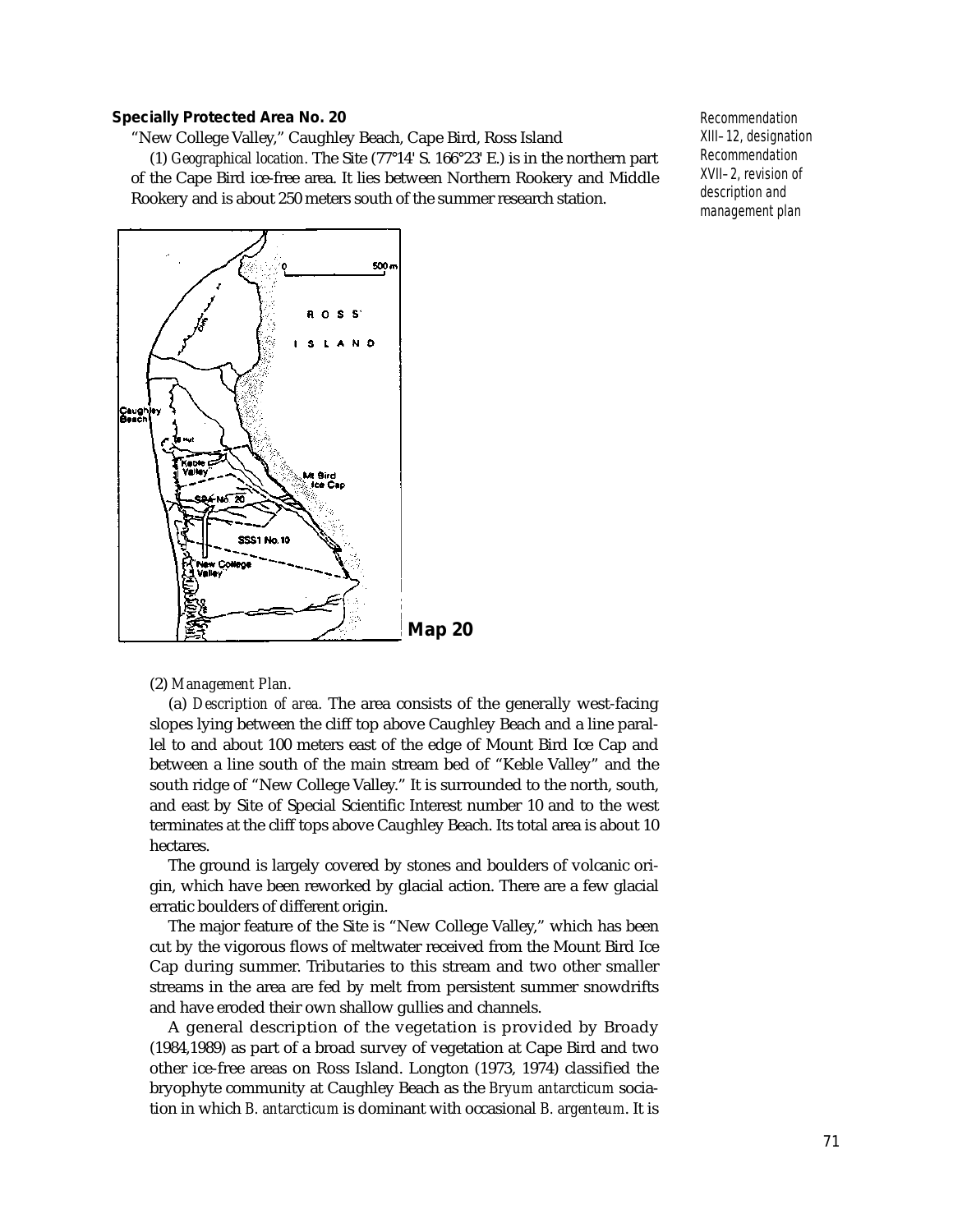#### **Specially Protected Area No. 20**

"New College Valley," Caughley Beach, Cape Bird, Ross Island

(1) *Geographical location.* The Site (77°14' S. 166°23' E.) is in the northern part of the Cape Bird ice-free area. It lies between Northern Rookery and Middle Rookery and is about 250 meters south of the summer research station.

Recommendation XIII–12, designation Recommendation XVII–2, revision of description and management plan



#### (2) *Management Plan.*

(a) *Description of area.* The area consists of the generally west-facing slopes lying between the cliff top above Caughley Beach and a line parallel to and about 100 meters east of the edge of Mount Bird Ice Cap and between a line south of the main stream bed of "Keble Valley" and the south ridge of "New College Valley." It is surrounded to the north, south, and east by Site of Special Scientific Interest number 10 and to the west terminates at the cliff tops above Caughley Beach. Its total area is about 10 hectares.

The ground is largely covered by stones and boulders of volcanic origin, which have been reworked by glacial action. There are a few glacial erratic boulders of different origin.

The major feature of the Site is "New College Valley," which has been cut by the vigorous flows of meltwater received from the Mount Bird Ice Cap during summer. Tributaries to this stream and two other smaller streams in the area are fed by melt from persistent summer snowdrifts and have eroded their own shallow gullies and channels.

A general description of the vegetation is provided by Broady (1984,1989) as part of a broad survey of vegetation at Cape Bird and two other ice-free areas on Ross Island. Longton (1973, 1974) classified the bryophyte community at Caughley Beach as the *Bryum antarcticum* sociation in which *B. antarcticum* is dominant with occasional *B. argenteum*. It is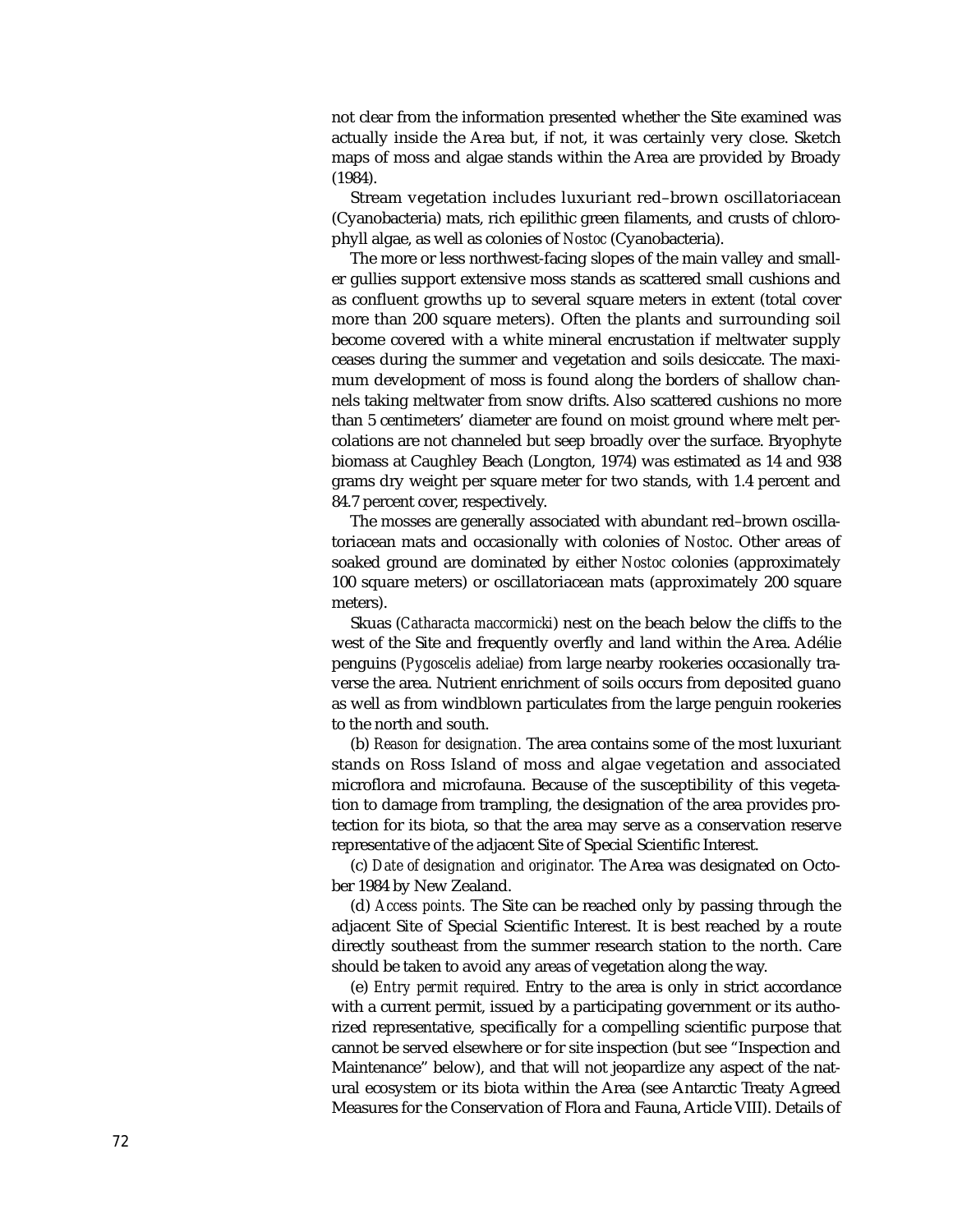not clear from the information presented whether the Site examined was actually inside the Area but, if not, it was certainly very close. Sketch maps of moss and algae stands within the Area are provided by Broady (1984).

Stream vegetation includes luxuriant red–brown oscillatoriacean (Cyanobacteria) mats, rich epilithic green filaments, and crusts of chlorophyll algae, as well as colonies of *Nostoc* (Cyanobacteria).

The more or less northwest-facing slopes of the main valley and smaller gullies support extensive moss stands as scattered small cushions and as confluent growths up to several square meters in extent (total cover more than 200 square meters). Often the plants and surrounding soil become covered with a white mineral encrustation if meltwater supply ceases during the summer and vegetation and soils desiccate. The maximum development of moss is found along the borders of shallow channels taking meltwater from snow drifts. Also scattered cushions no more than 5 centimeters' diameter are found on moist ground where melt percolations are not channeled but seep broadly over the surface. Bryophyte biomass at Caughley Beach (Longton, 1974) was estimated as 14 and 938 grams dry weight per square meter for two stands, with 1.4 percent and 84.7 percent cover, respectively.

The mosses are generally associated with abundant red–brown oscillatoriacean mats and occasionally with colonies of *Nostoc*. Other areas of soaked ground are dominated by either *Nostoc* colonies (approximately 100 square meters) or oscillatoriacean mats (approximately 200 square meters).

Skuas (*Catharacta maccormicki*) nest on the beach below the cliffs to the west of the Site and frequently overfly and land within the Area. Adélie penguins (*Pygoscelis adeliae*) from large nearby rookeries occasionally traverse the area. Nutrient enrichment of soils occurs from deposited guano as well as from windblown particulates from the large penguin rookeries to the north and south.

(b) *Reason for designation.* The area contains some of the most luxuriant stands on Ross Island of moss and algae vegetation and associated microflora and microfauna. Because of the susceptibility of this vegetation to damage from trampling, the designation of the area provides protection for its biota, so that the area may serve as a conservation reserve representative of the adjacent Site of Special Scientific Interest.

(c) *Date of designation and originator.* The Area was designated on October 1984 by New Zealand.

(d) *Access points.* The Site can be reached only by passing through the adjacent Site of Special Scientific Interest. It is best reached by a route directly southeast from the summer research station to the north. Care should be taken to avoid any areas of vegetation along the way.

(e) *Entry permit required.* Entry to the area is only in strict accordance with a current permit, issued by a participating government or its authorized representative, specifically for a compelling scientific purpose that cannot be served elsewhere or for site inspection (but see "Inspection and Maintenance" below), and that will not jeopardize any aspect of the natural ecosystem or its biota within the Area (see Antarctic Treaty Agreed Measures for the Conservation of Flora and Fauna, Article VIII). Details of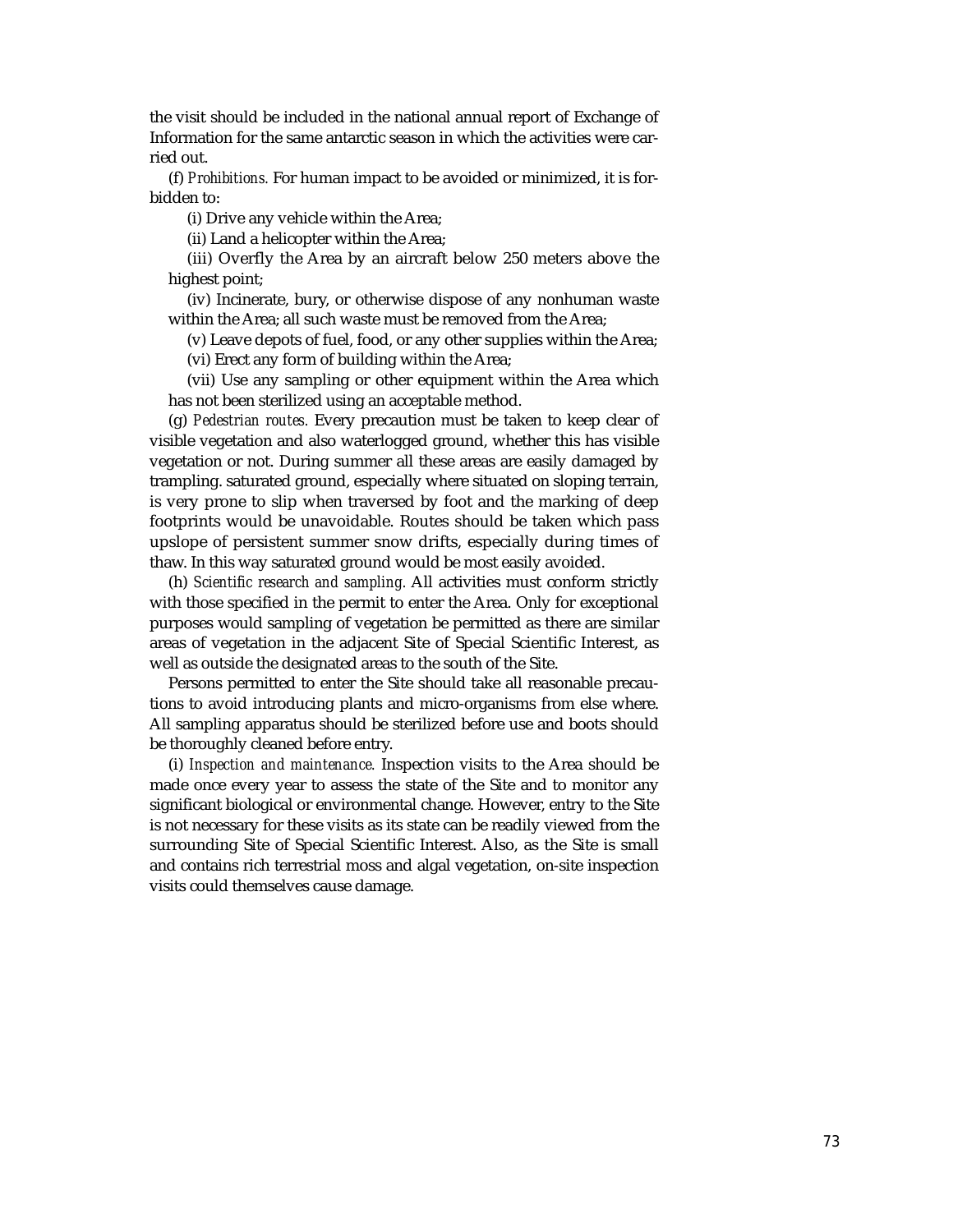the visit should be included in the national annual report of Exchange of Information for the same antarctic season in which the activities were carried out.

(f) *Prohibitions.* For human impact to be avoided or minimized, it is forbidden to:

(i) Drive any vehicle within the Area;

(ii) Land a helicopter within the Area;

(iii) Overfly the Area by an aircraft below 250 meters above the highest point;

(iv) Incinerate, bury, or otherwise dispose of any nonhuman waste within the Area; all such waste must be removed from the Area;

(v) Leave depots of fuel, food, or any other supplies within the Area;

(vi) Erect any form of building within the Area;

(vii) Use any sampling or other equipment within the Area which has not been sterilized using an acceptable method.

(g) *Pedestrian routes.* Every precaution must be taken to keep clear of visible vegetation and also waterlogged ground, whether this has visible vegetation or not. During summer all these areas are easily damaged by trampling. saturated ground, especially where situated on sloping terrain, is very prone to slip when traversed by foot and the marking of deep footprints would be unavoidable. Routes should be taken which pass upslope of persistent summer snow drifts, especially during times of thaw. In this way saturated ground would be most easily avoided.

(h) *Scientific research and sampling.* All activities must conform strictly with those specified in the permit to enter the Area. Only for exceptional purposes would sampling of vegetation be permitted as there are similar areas of vegetation in the adjacent Site of Special Scientific Interest, as well as outside the designated areas to the south of the Site.

Persons permitted to enter the Site should take all reasonable precautions to avoid introducing plants and micro-organisms from else where. All sampling apparatus should be sterilized before use and boots should be thoroughly cleaned before entry.

(i) *Inspection and maintenance.* Inspection visits to the Area should be made once every year to assess the state of the Site and to monitor any significant biological or environmental change. However, entry to the Site is not necessary for these visits as its state can be readily viewed from the surrounding Site of Special Scientific Interest. Also, as the Site is small and contains rich terrestrial moss and algal vegetation, on-site inspection visits could themselves cause damage.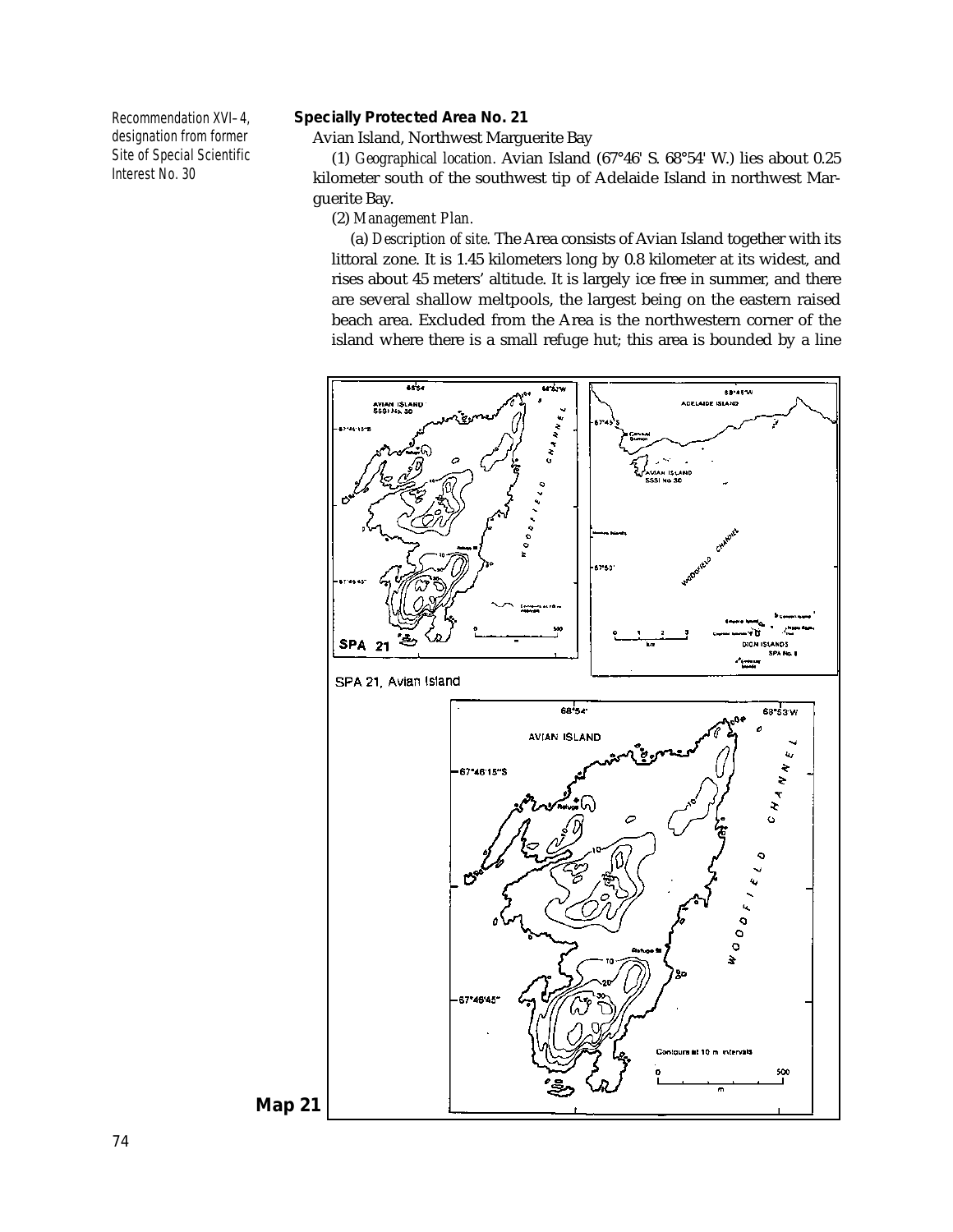Recommendation XVI–4, designation from former Site of Special Scientific Interest No. 30

# **Specially Protected Area No. 21**

Avian Island, Northwest Marguerite Bay

(1) *Geographical location.* Avian Island (67°46' S. 68°54' W.) lies about 0.25 kilometer south of the southwest tip of Adelaide Island in northwest Marguerite Bay.

(2) *Management Plan.*

(a) *Description of site.* The Area consists of Avian Island together with its littoral zone. It is 1.45 kilometers long by 0.8 kilometer at its widest, and rises about 45 meters' altitude. It is largely ice free in summer, and there are several shallow meltpools, the largest being on the eastern raised beach area. Excluded from the Area is the northwestern corner of the island where there is a small refuge hut; this area is bounded by a line



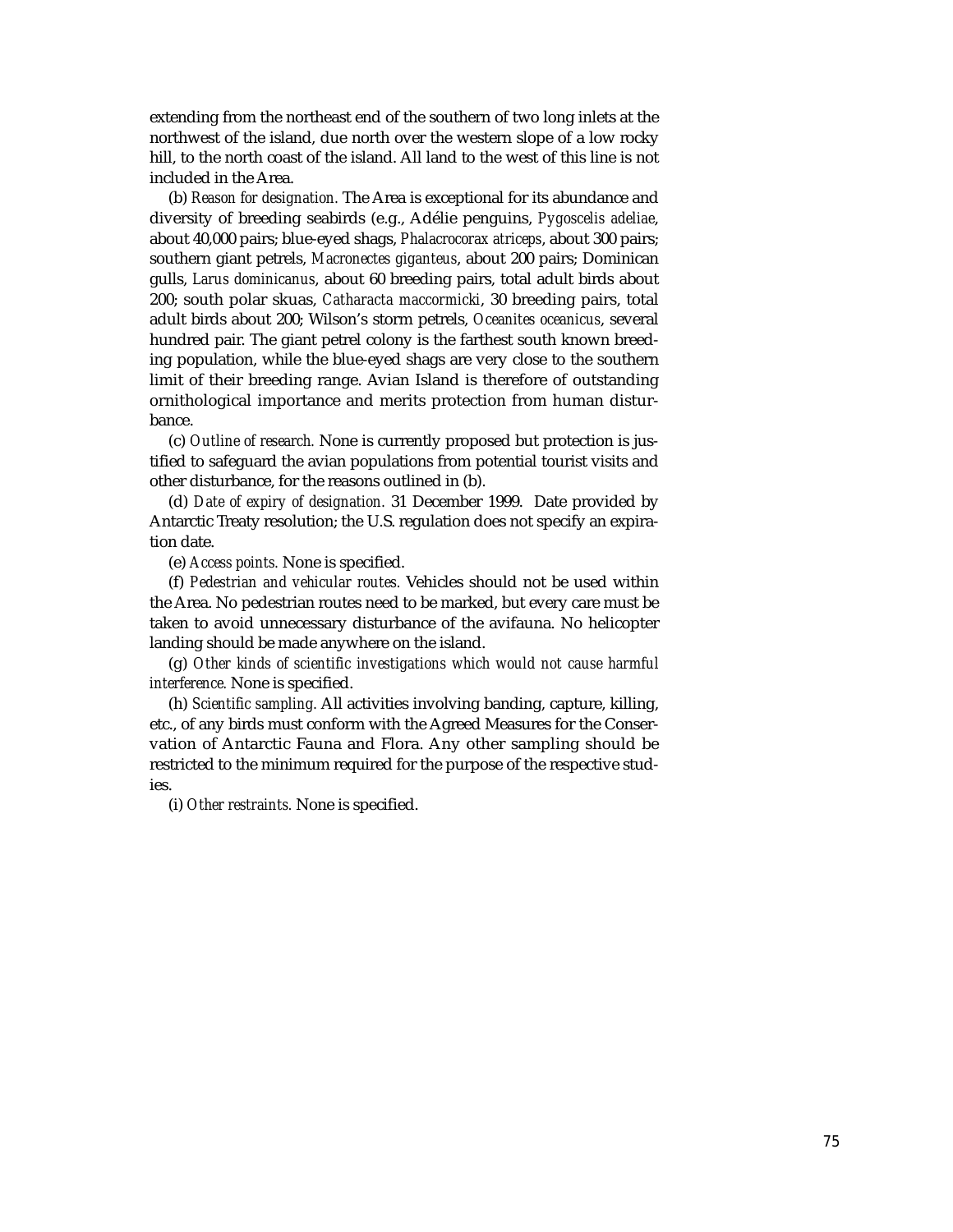extending from the northeast end of the southern of two long inlets at the northwest of the island, due north over the western slope of a low rocky hill, to the north coast of the island. All land to the west of this line is not included in the Area.

(b) *Reason for designation.* The Area is exceptional for its abundance and diversity of breeding seabirds (e.g., Adélie penguins, *Pygoscelis adeliae*, about 40,000 pairs; blue-eyed shags, *Phalacrocorax atriceps*, about 300 pairs; southern giant petrels, *Macronectes giganteus*, about 200 pairs; Dominican gulls, *Larus dominicanus*, about 60 breeding pairs, total adult birds about 200; south polar skuas, *Catharacta maccormicki*, 30 breeding pairs, total adult birds about 200; Wilson's storm petrels, *Oceanites oceanicus*, several hundred pair. The giant petrel colony is the farthest south known breeding population, while the blue-eyed shags are very close to the southern limit of their breeding range. Avian Island is therefore of outstanding ornithological importance and merits protection from human disturbance.

(c) *Outline of research.* None is currently proposed but protection is justified to safeguard the avian populations from potential tourist visits and other disturbance, for the reasons outlined in (b).

(d) *Date of expiry of designation.* 31 December 1999. Date provided by Antarctic Treaty resolution; the U.S. regulation does not specify an expiration date.

(e) *Access points.* None is specified.

(f) *Pedestrian and vehicular routes.* Vehicles should not be used within the Area. No pedestrian routes need to be marked, but every care must be taken to avoid unnecessary disturbance of the avifauna. No helicopter landing should be made anywhere on the island.

(g) *Other kinds of scientific investigations which would not cause harmful interference.* None is specified.

(h) *Scientific sampling.* All activities involving banding, capture, killing, etc., of any birds must conform with the Agreed Measures for the Conservation of Antarctic Fauna and Flora. Any other sampling should be restricted to the minimum required for the purpose of the respective studies.

(i) *Other restraints.* None is specified.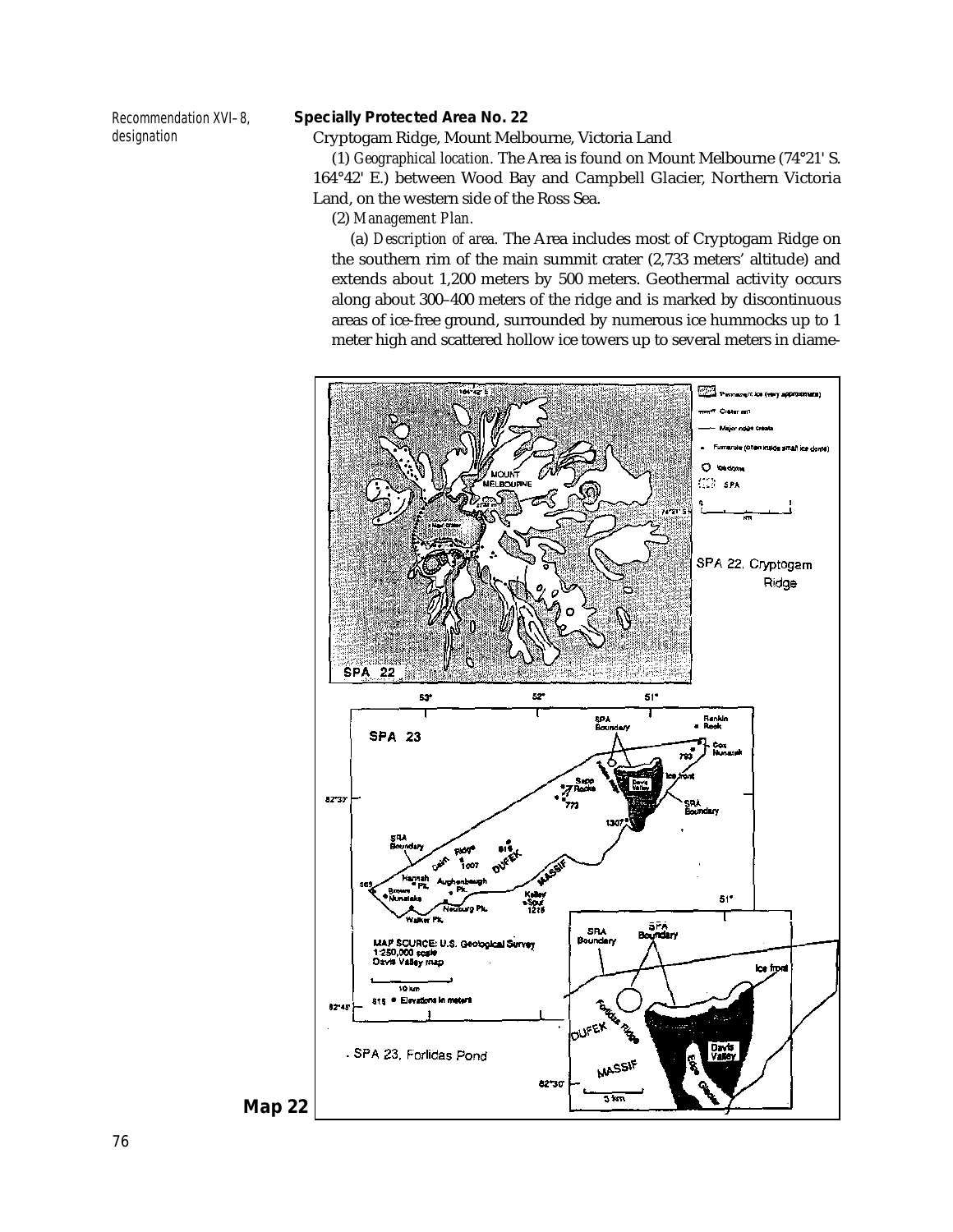Recommendation XVI–8, designation

# **Specially Protected Area No. 22**

Cryptogam Ridge, Mount Melbourne, Victoria Land

(1) *Geographical location.* The Area is found on Mount Melbourne (74°21' S. 164°42' E.) between Wood Bay and Campbell Glacier, Northern Victoria Land, on the western side of the Ross Sea.

(2) *Management Plan.*

(a) *Description of area.* The Area includes most of Cryptogam Ridge on the southern rim of the main summit crater (2,733 meters' altitude) and extends about 1,200 meters by 500 meters. Geothermal activity occurs along about 300–400 meters of the ridge and is marked by discontinuous areas of ice-free ground, surrounded by numerous ice hummocks up to 1 meter high and scattered hollow ice towers up to several meters in diame-

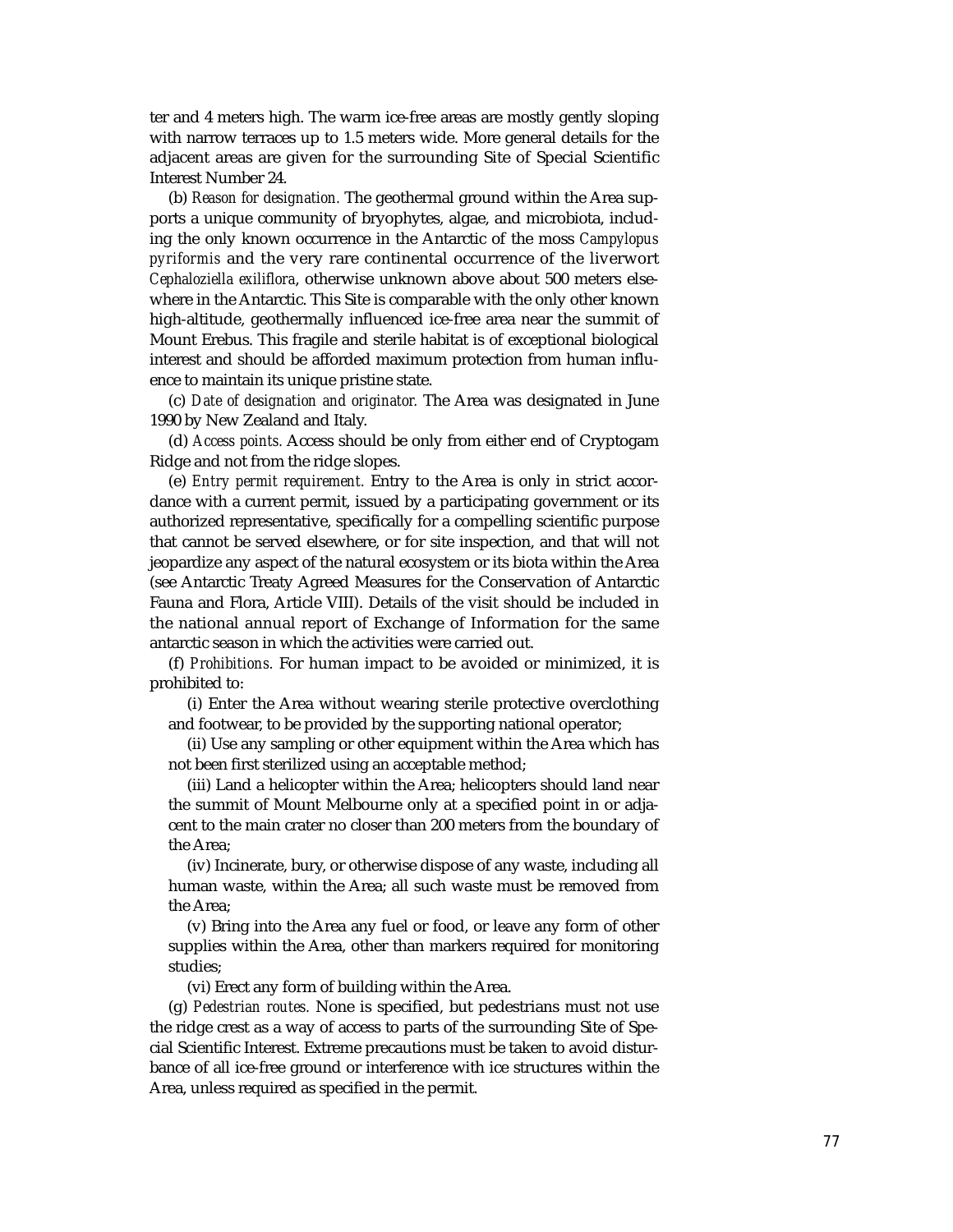ter and 4 meters high. The warm ice-free areas are mostly gently sloping with narrow terraces up to 1.5 meters wide. More general details for the adjacent areas are given for the surrounding Site of Special Scientific Interest Number 24.

(b) *Reason for designation.* The geothermal ground within the Area supports a unique community of bryophytes, algae, and microbiota, including the only known occurrence in the Antarctic of the moss *Campylopus pyriformis* and the very rare continental occurrence of the liverwort *Cephaloziella exiliflora*, otherwise unknown above about 500 meters elsewhere in the Antarctic. This Site is comparable with the only other known high-altitude, geothermally influenced ice-free area near the summit of Mount Erebus. This fragile and sterile habitat is of exceptional biological interest and should be afforded maximum protection from human influence to maintain its unique pristine state.

(c) *Date of designation and originator.* The Area was designated in June 1990 by New Zealand and Italy.

(d) *Access points.* Access should be only from either end of Cryptogam Ridge and not from the ridge slopes.

(e) *Entry permit requirement.* Entry to the Area is only in strict accordance with a current permit, issued by a participating government or its authorized representative, specifically for a compelling scientific purpose that cannot be served elsewhere, or for site inspection, and that will not jeopardize any aspect of the natural ecosystem or its biota within the Area (see Antarctic Treaty Agreed Measures for the Conservation of Antarctic Fauna and Flora, Article VIII). Details of the visit should be included in the national annual report of Exchange of Information for the same antarctic season in which the activities were carried out.

(f) *Prohibitions.* For human impact to be avoided or minimized, it is prohibited to:

(i) Enter the Area without wearing sterile protective overclothing and footwear, to be provided by the supporting national operator;

(ii) Use any sampling or other equipment within the Area which has not been first sterilized using an acceptable method;

(iii) Land a helicopter within the Area; helicopters should land near the summit of Mount Melbourne only at a specified point in or adjacent to the main crater no closer than 200 meters from the boundary of the Area;

(iv) Incinerate, bury, or otherwise dispose of any waste, including all human waste, within the Area; all such waste must be removed from the Area;

(v) Bring into the Area any fuel or food, or leave any form of other supplies within the Area, other than markers required for monitoring studies;

(vi) Erect any form of building within the Area.

(g) *Pedestrian routes.* None is specified, but pedestrians must not use the ridge crest as a way of access to parts of the surrounding Site of Special Scientific Interest. Extreme precautions must be taken to avoid disturbance of all ice-free ground or interference with ice structures within the Area, unless required as specified in the permit.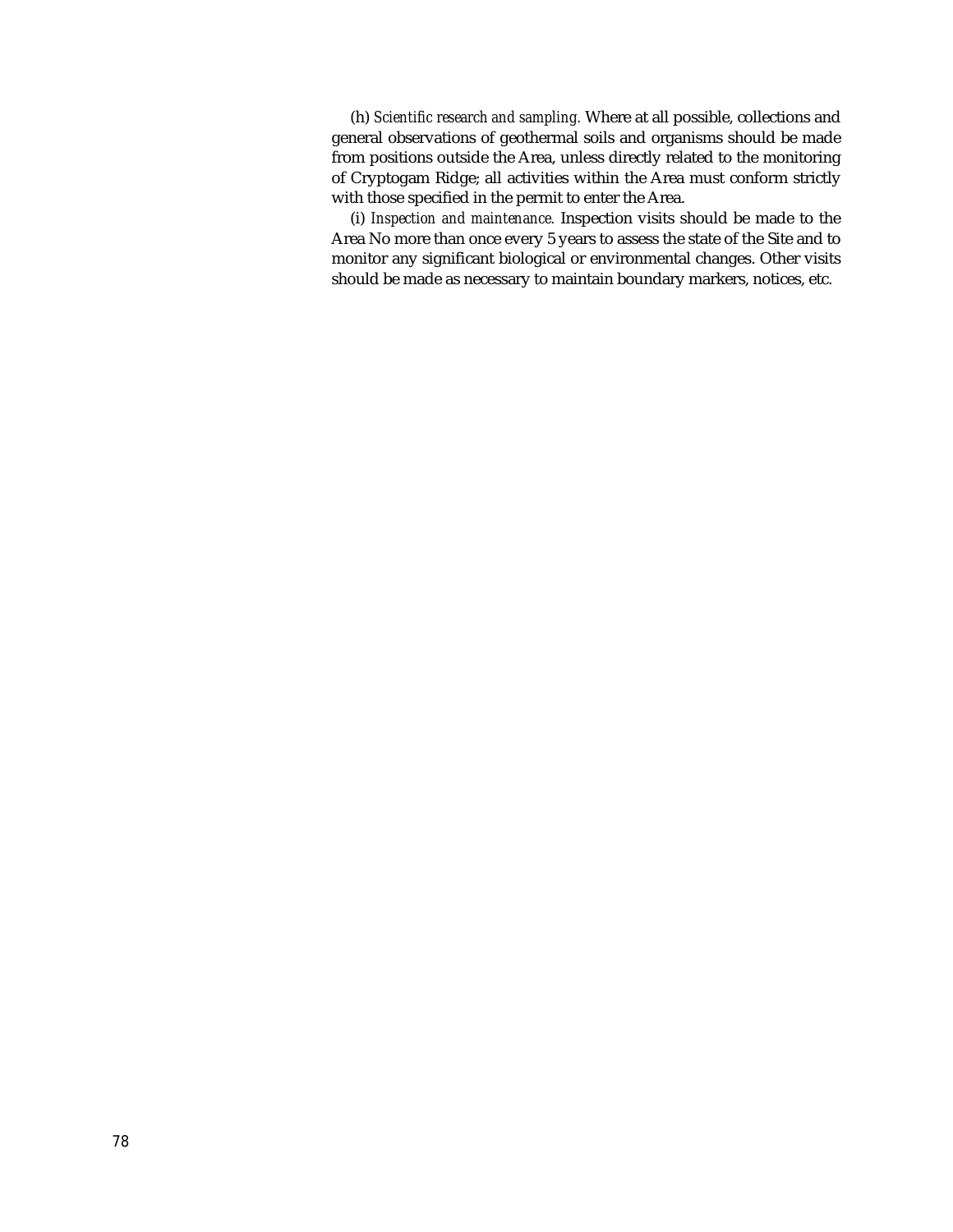(h) *Scientific research and sampling.* Where at all possible, collections and general observations of geothermal soils and organisms should be made from positions outside the Area, unless directly related to the monitoring of Cryptogam Ridge; all activities within the Area must conform strictly with those specified in the permit to enter the Area.

(i) *Inspection and maintenance.* Inspection visits should be made to the Area No more than once every 5 years to assess the state of the Site and to monitor any significant biological or environmental changes. Other visits should be made as necessary to maintain boundary markers, notices, etc.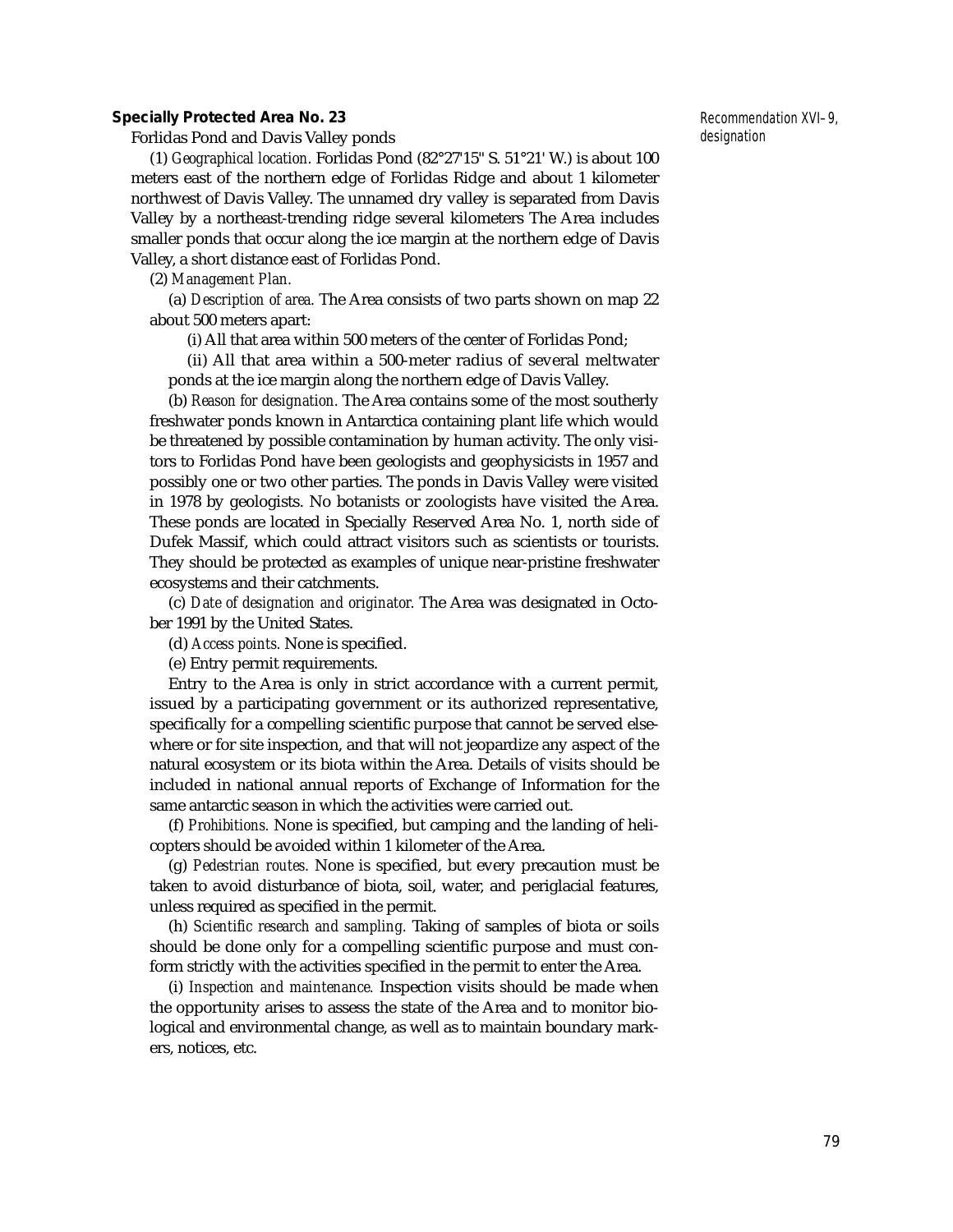#### **Specially Protected Area No. 23**

Forlidas Pond and Davis Valley ponds

(1) *Geographical location.* Forlidas Pond (82°27'15" S. 51°21' W.) is about 100 meters east of the northern edge of Forlidas Ridge and about 1 kilometer northwest of Davis Valley. The unnamed dry valley is separated from Davis Valley by a northeast-trending ridge several kilometers The Area includes smaller ponds that occur along the ice margin at the northern edge of Davis Valley, a short distance east of Forlidas Pond.

(2) *Management Plan.*

(a) *Description of area.* The Area consists of two parts shown on map 22 about 500 meters apart:

(i) All that area within 500 meters of the center of Forlidas Pond;

(ii) All that area within a 500-meter radius of several meltwater ponds at the ice margin along the northern edge of Davis Valley.

(b) *Reason for designation.* The Area contains some of the most southerly freshwater ponds known in Antarctica containing plant life which would be threatened by possible contamination by human activity. The only visitors to Forlidas Pond have been geologists and geophysicists in 1957 and possibly one or two other parties. The ponds in Davis Valley were visited in 1978 by geologists. No botanists or zoologists have visited the Area. These ponds are located in Specially Reserved Area No. 1, north side of Dufek Massif, which could attract visitors such as scientists or tourists. They should be protected as examples of unique near-pristine freshwater ecosystems and their catchments.

(c) *Date of designation and originator.* The Area was designated in October 1991 by the United States.

(d) *Access points.* None is specified.

(e) Entry permit requirements.

Entry to the Area is only in strict accordance with a current permit, issued by a participating government or its authorized representative, specifically for a compelling scientific purpose that cannot be served elsewhere or for site inspection, and that will not jeopardize any aspect of the natural ecosystem or its biota within the Area. Details of visits should be included in national annual reports of Exchange of Information for the same antarctic season in which the activities were carried out.

(f) *Prohibitions.* None is specified, but camping and the landing of helicopters should be avoided within 1 kilometer of the Area.

(g) *Pedestrian routes.* None is specified, but every precaution must be taken to avoid disturbance of biota, soil, water, and periglacial features, unless required as specified in the permit.

(h) *Scientific research and sampling.* Taking of samples of biota or soils should be done only for a compelling scientific purpose and must conform strictly with the activities specified in the permit to enter the Area.

(i) *Inspection and maintenance.* Inspection visits should be made when the opportunity arises to assess the state of the Area and to monitor biological and environmental change, as well as to maintain boundary markers, notices, etc.

Recommendation XVI–9, designation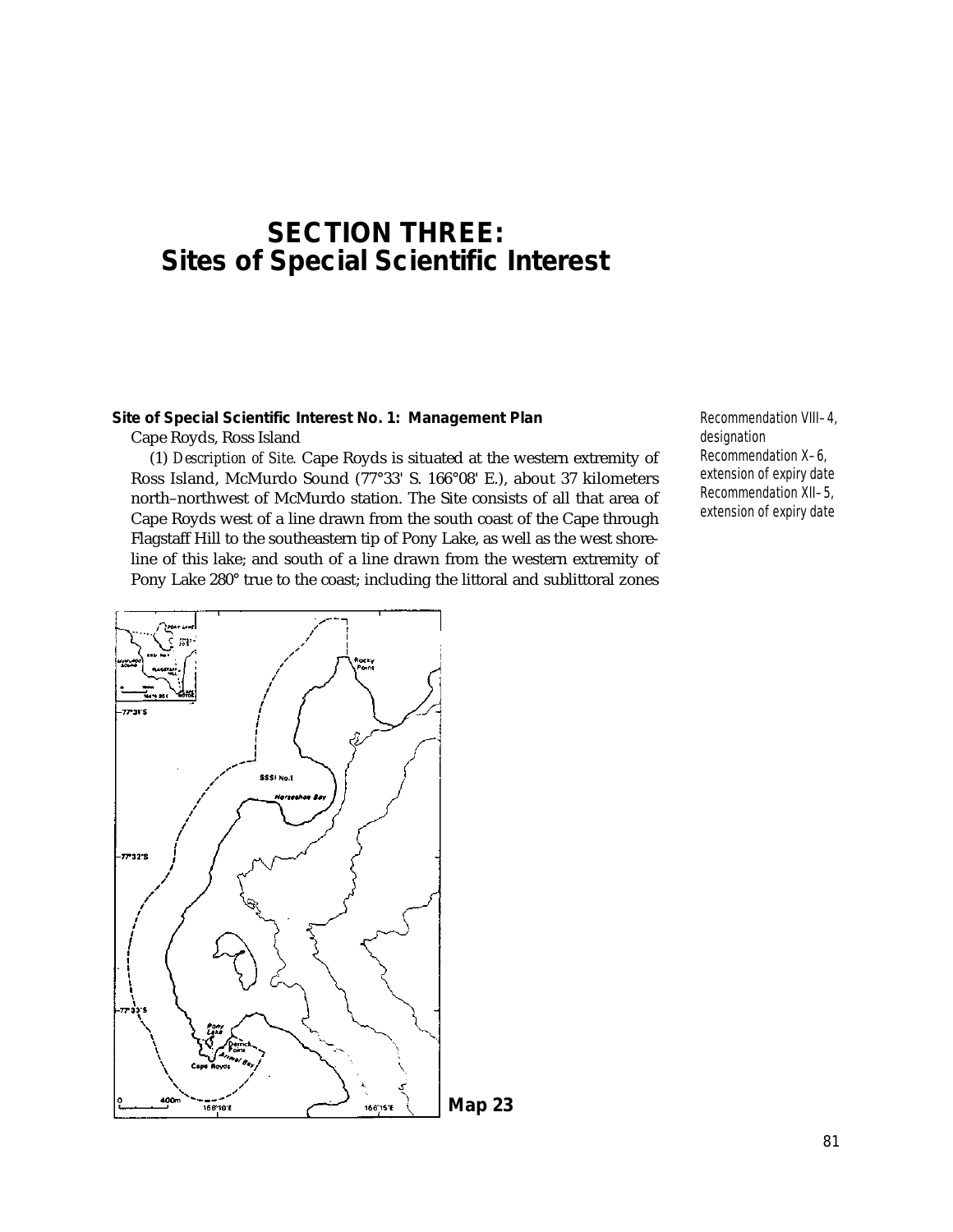# **SECTION THREE: Sites of Special Scientific Interest**

# **Site of Special Scientific Interest No. 1: Management Plan**

Cape Royds, Ross Island

(1) *Description of Site.* Cape Royds is situated at the western extremity of Ross Island, McMurdo Sound (77°33' S. 166°08' E.), about 37 kilometers north–northwest of McMurdo station. The Site consists of all that area of Cape Royds west of a line drawn from the south coast of the Cape through Flagstaff Hill to the southeastern tip of Pony Lake, as well as the west shoreline of this lake; and south of a line drawn from the western extremity of Pony Lake 280° true to the coast; including the littoral and sublittoral zones

Recommendation VIII–4, designation Recommendation X–6, extension of expiry date Recommendation XII–5, extension of expiry date

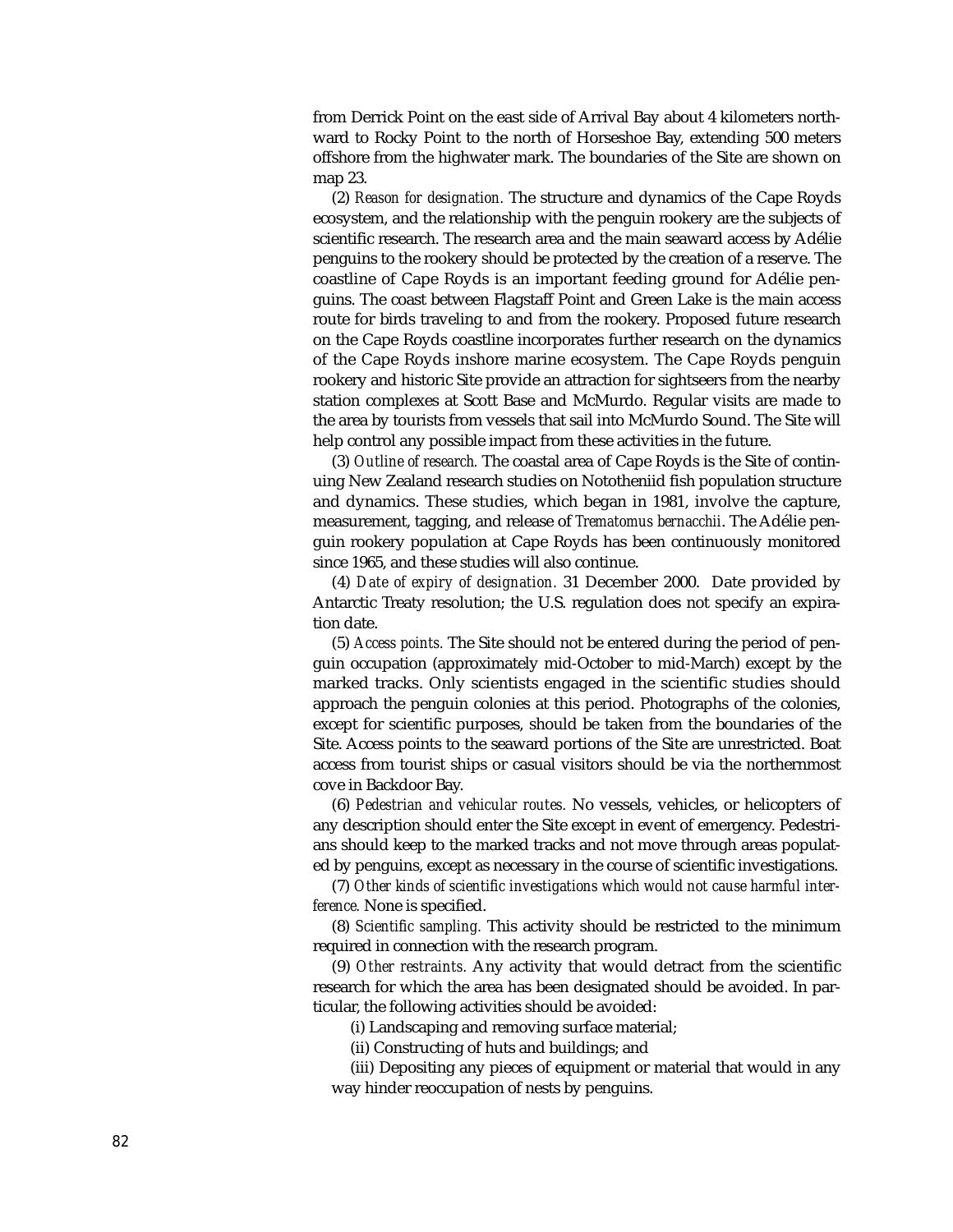from Derrick Point on the east side of Arrival Bay about 4 kilometers northward to Rocky Point to the north of Horseshoe Bay, extending 500 meters offshore from the highwater mark. The boundaries of the Site are shown on map 23.

(2) *Reason for designation.* The structure and dynamics of the Cape Royds ecosystem, and the relationship with the penguin rookery are the subjects of scientific research. The research area and the main seaward access by Adélie penguins to the rookery should be protected by the creation of a reserve. The coastline of Cape Royds is an important feeding ground for Adélie penguins. The coast between Flagstaff Point and Green Lake is the main access route for birds traveling to and from the rookery. Proposed future research on the Cape Royds coastline incorporates further research on the dynamics of the Cape Royds inshore marine ecosystem. The Cape Royds penguin rookery and historic Site provide an attraction for sightseers from the nearby station complexes at Scott Base and McMurdo. Regular visits are made to the area by tourists from vessels that sail into McMurdo Sound. The Site will help control any possible impact from these activities in the future.

(3) *Outline of research.* The coastal area of Cape Royds is the Site of continuing New Zealand research studies on Nototheniid fish population structure and dynamics. These studies, which began in 1981, involve the capture, measurement, tagging, and release of *Trematomus bernacchii*. The Adélie penguin rookery population at Cape Royds has been continuously monitored since 1965, and these studies will also continue.

(4) *Date of expiry of designation.* 31 December 2000. Date provided by Antarctic Treaty resolution; the U.S. regulation does not specify an expiration date.

(5) *Access points.* The Site should not be entered during the period of penguin occupation (approximately mid-October to mid-March) except by the marked tracks. Only scientists engaged in the scientific studies should approach the penguin colonies at this period. Photographs of the colonies, except for scientific purposes, should be taken from the boundaries of the Site. Access points to the seaward portions of the Site are unrestricted. Boat access from tourist ships or casual visitors should be via the northernmost cove in Backdoor Bay.

(6) *Pedestrian and vehicular routes.* No vessels, vehicles, or helicopters of any description should enter the Site except in event of emergency. Pedestrians should keep to the marked tracks and not move through areas populated by penguins, except as necessary in the course of scientific investigations.

(7) *Other kinds of scientific investigations which would not cause harmful interference.* None is specified.

(8) *Scientific sampling.* This activity should be restricted to the minimum required in connection with the research program.

(9) *Other restraints.* Any activity that would detract from the scientific research for which the area has been designated should be avoided. In particular, the following activities should be avoided:

(i) Landscaping and removing surface material;

(ii) Constructing of huts and buildings; and

(iii) Depositing any pieces of equipment or material that would in any way hinder reoccupation of nests by penguins.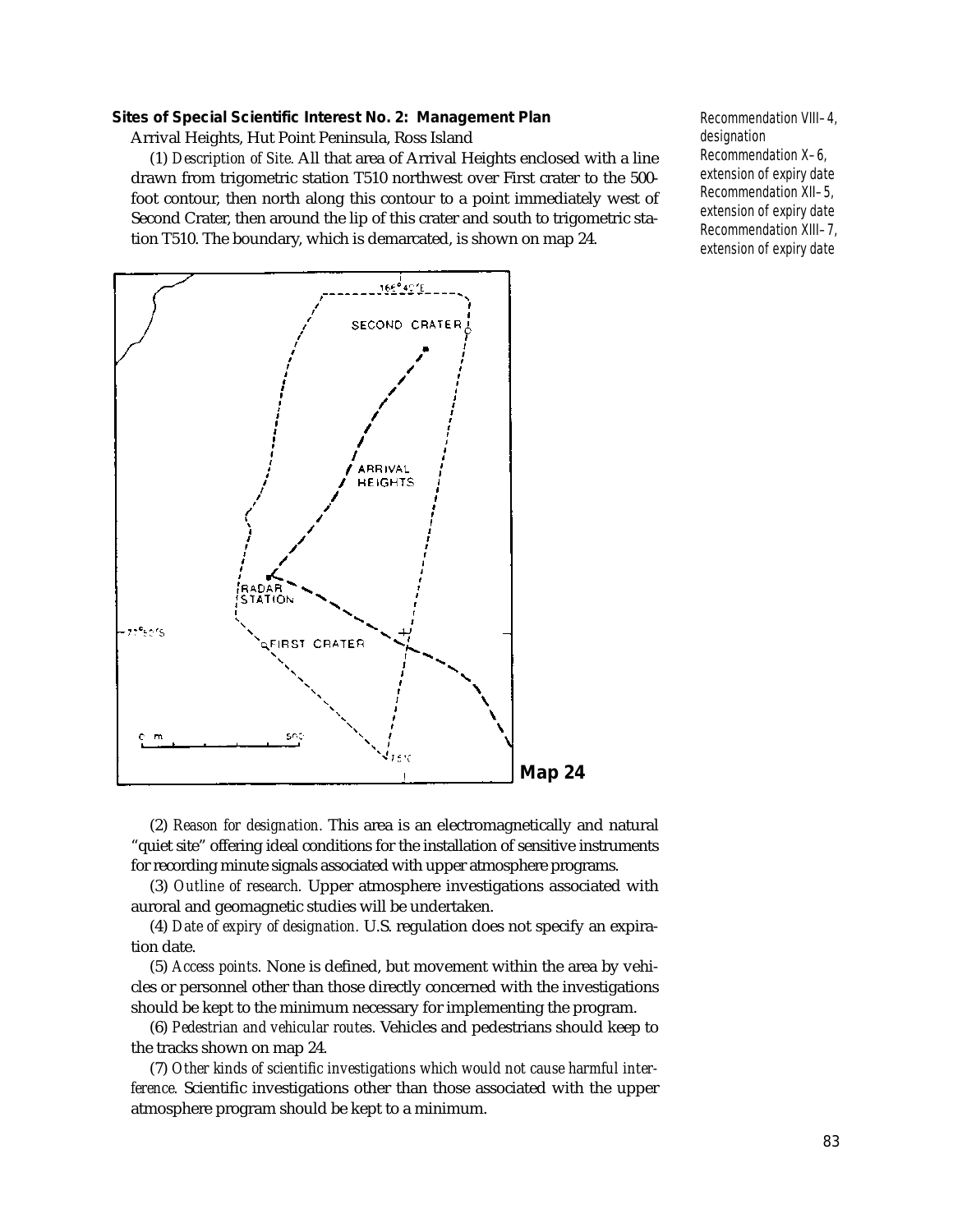#### **Sites of Special Scientific Interest No. 2: Management Plan**

Arrival Heights, Hut Point Peninsula, Ross Island

(1) *Description of Site.* All that area of Arrival Heights enclosed with a line drawn from trigometric station T510 northwest over First crater to the 500 foot contour, then north along this contour to a point immediately west of Second Crater, then around the lip of this crater and south to trigometric station T510. The boundary, which is demarcated, is shown on map 24.

Recommendation X–6, extension of expiry date Recommendation XII–5, extension of expiry date Recommendation XIII–7, extension of expiry date

Recommendation VIII–4,

designation



(2) *Reason for designation.* This area is an electromagnetically and natural "quiet site" offering ideal conditions for the installation of sensitive instruments for recording minute signals associated with upper atmosphere programs.

(3) *Outline of research.* Upper atmosphere investigations associated with auroral and geomagnetic studies will be undertaken.

(4) *Date of expiry of designation.* U.S. regulation does not specify an expiration date.

(5) *Access points.* None is defined, but movement within the area by vehicles or personnel other than those directly concerned with the investigations should be kept to the minimum necessary for implementing the program.

(6) *Pedestrian and vehicular routes.* Vehicles and pedestrians should keep to the tracks shown on map 24.

(7) *Other kinds of scientific investigations which would not cause harmful interference.* Scientific investigations other than those associated with the upper atmosphere program should be kept to a minimum.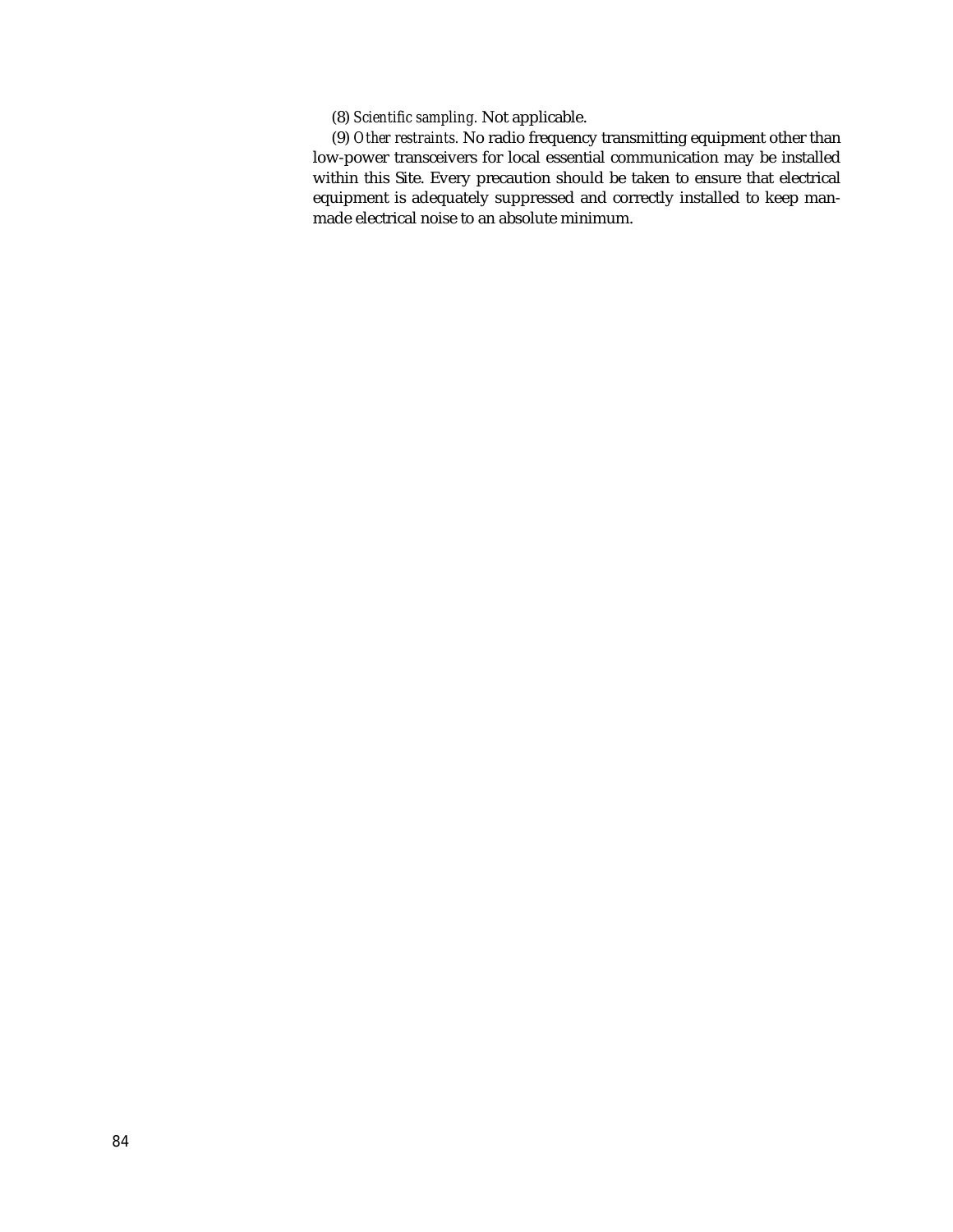# (8) *Scientific sampling.* Not applicable.

(9) *Other restraints.* No radio frequency transmitting equipment other than low-power transceivers for local essential communication may be installed within this Site. Every precaution should be taken to ensure that electrical equipment is adequately suppressed and correctly installed to keep manmade electrical noise to an absolute minimum.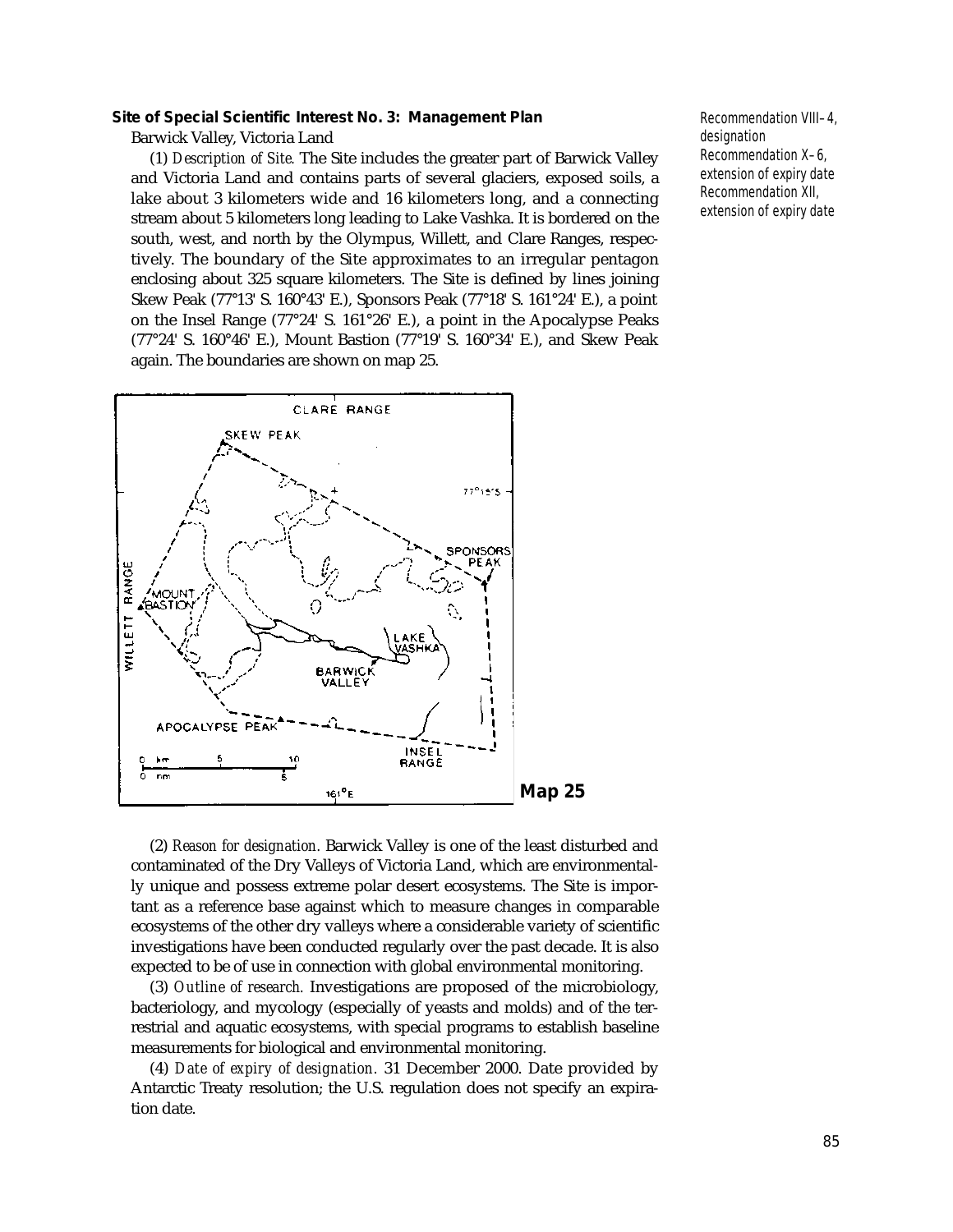# **Site of Special Scientific Interest No. 3: Management Plan**

Barwick Valley, Victoria Land

(1) *Description of Site.* The Site includes the greater part of Barwick Valley and Victoria Land and contains parts of several glaciers, exposed soils, a lake about 3 kilometers wide and 16 kilometers long, and a connecting stream about 5 kilometers long leading to Lake Vashka. It is bordered on the south, west, and north by the Olympus, Willett, and Clare Ranges, respectively. The boundary of the Site approximates to an irregular pentagon enclosing about 325 square kilometers. The Site is defined by lines joining Skew Peak (77°13' S. 160°43' E.), Sponsors Peak (77°18' S. 161°24' E.), a point on the Insel Range (77°24' S. 161°26' E.), a point in the Apocalypse Peaks (77°24' S. 160°46' E.), Mount Bastion (77°19' S. 160°34' E.), and Skew Peak again. The boundaries are shown on map 25.



(2) *Reason for designation.* Barwick Valley is one of the least disturbed and contaminated of the Dry Valleys of Victoria Land, which are environmentally unique and possess extreme polar desert ecosystems. The Site is important as a reference base against which to measure changes in comparable ecosystems of the other dry valleys where a considerable variety of scientific investigations have been conducted regularly over the past decade. It is also expected to be of use in connection with global environmental monitoring.

(3) *Outline of research.* Investigations are proposed of the microbiology, bacteriology, and mycology (especially of yeasts and molds) and of the terrestrial and aquatic ecosystems, with special programs to establish baseline measurements for biological and environmental monitoring.

(4) *Date of expiry of designation.* 31 December 2000. Date provided by Antarctic Treaty resolution; the U.S. regulation does not specify an expiration date.

Recommendation VIII–4, designation Recommendation X–6, extension of expiry date Recommendation XII, extension of expiry date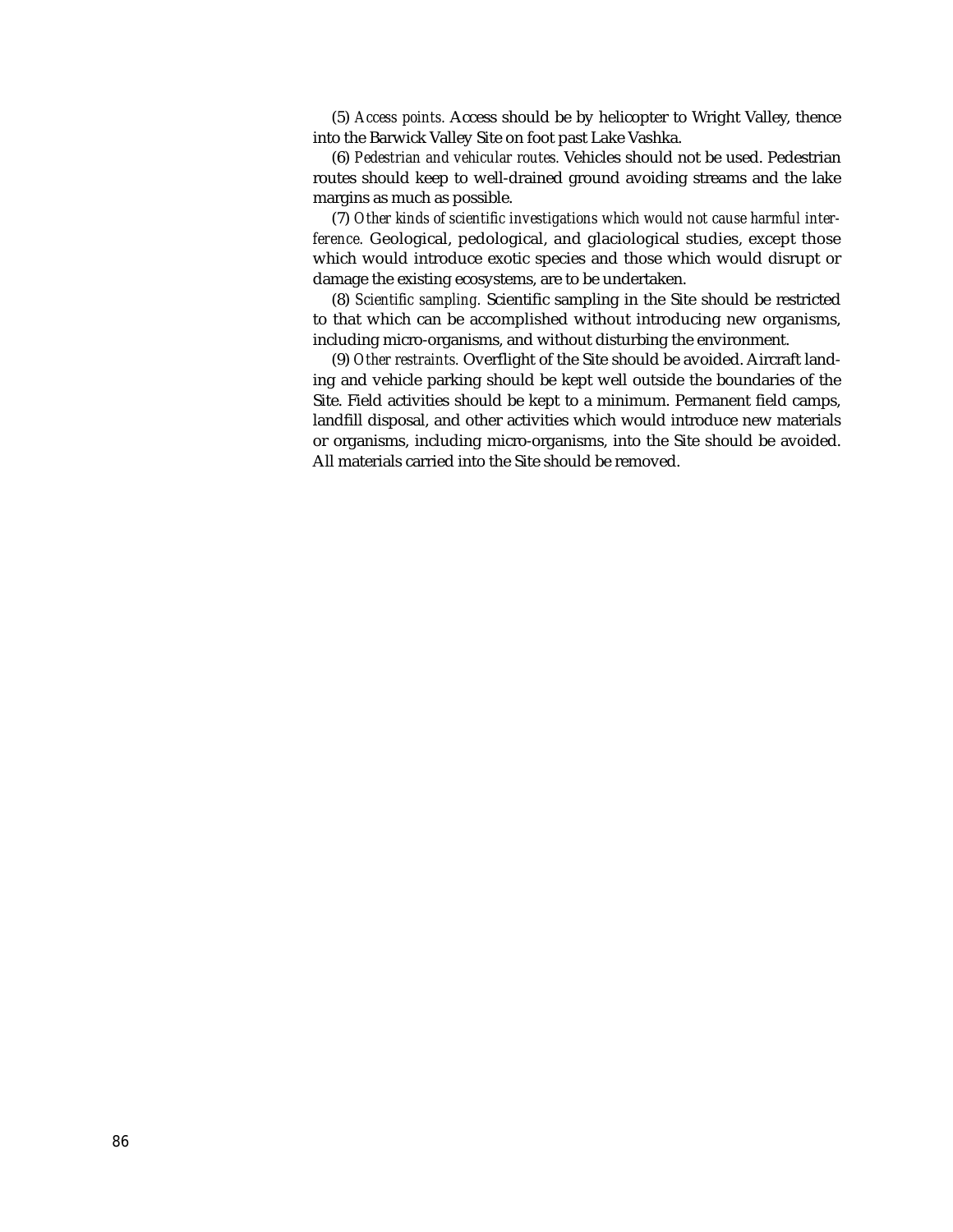(5) *Access points.* Access should be by helicopter to Wright Valley, thence into the Barwick Valley Site on foot past Lake Vashka.

(6) *Pedestrian and vehicular routes.* Vehicles should not be used. Pedestrian routes should keep to well-drained ground avoiding streams and the lake margins as much as possible.

(7) *Other kinds of scientific investigations which would not cause harmful interference.* Geological, pedological, and glaciological studies, except those which would introduce exotic species and those which would disrupt or damage the existing ecosystems, are to be undertaken.

(8) *Scientific sampling.* Scientific sampling in the Site should be restricted to that which can be accomplished without introducing new organisms, including micro-organisms, and without disturbing the environment.

(9) *Other restraints.* Overflight of the Site should be avoided. Aircraft landing and vehicle parking should be kept well outside the boundaries of the Site. Field activities should be kept to a minimum. Permanent field camps, landfill disposal, and other activities which would introduce new materials or organisms, including micro-organisms, into the Site should be avoided. All materials carried into the Site should be removed.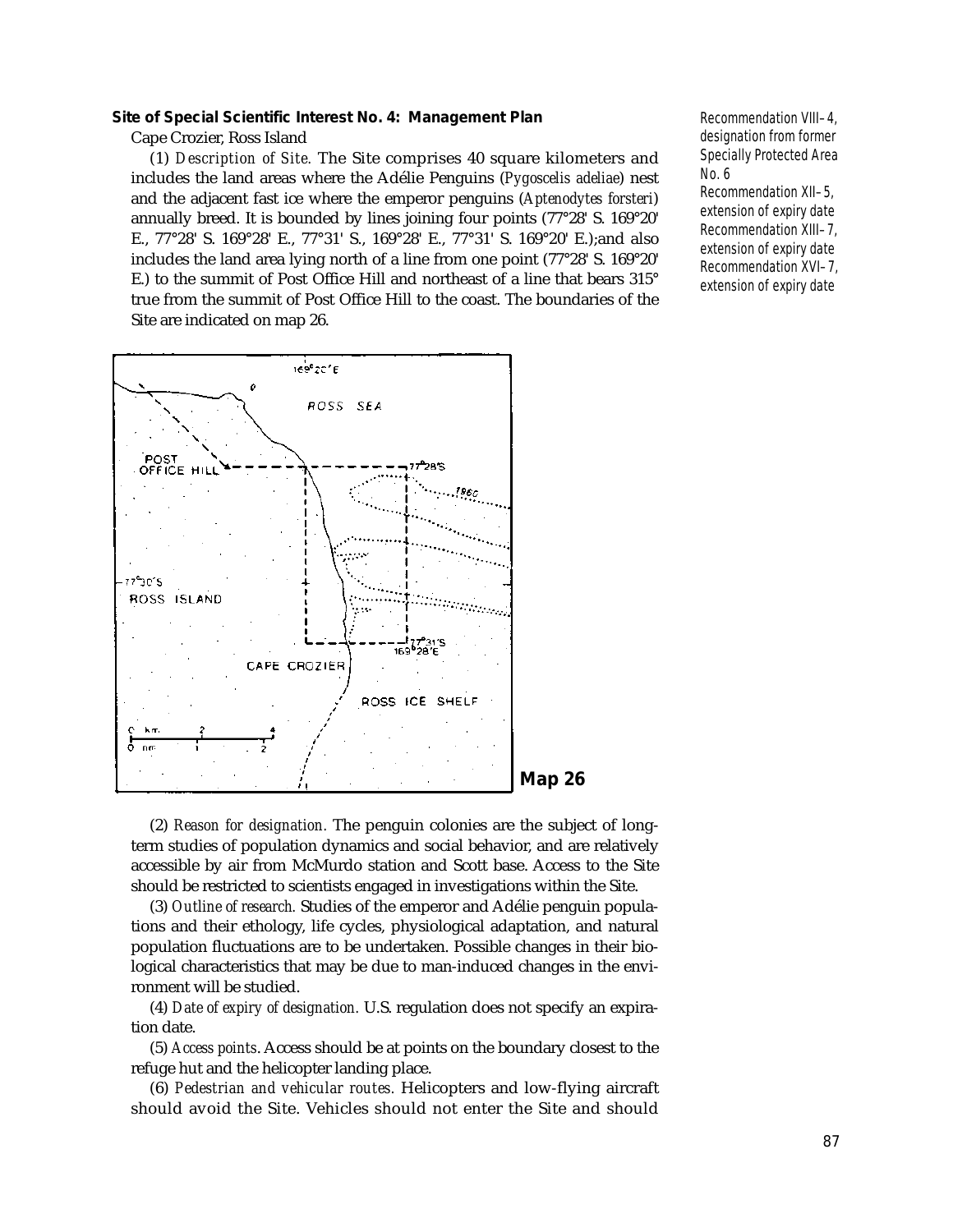# **Site of Special Scientific Interest No. 4: Management Plan**

Cape Crozier, Ross Island

(1) *Description of Site.* The Site comprises 40 square kilometers and includes the land areas where the Adélie Penguins (*Pygoscelis adeliae*) nest and the adjacent fast ice where the emperor penguins (*Aptenodytes forsteri*) annually breed. It is bounded by lines joining four points (77°28' S. 169°20' E., 77°28' S. 169°28' E., 77°31' S., 169°28' E., 77°31' S. 169°20' E.);and also includes the land area lying north of a line from one point (77°28' S. 169°20' E.) to the summit of Post Office Hill and northeast of a line that bears 315° true from the summit of Post Office Hill to the coast. The boundaries of the Site are indicated on map 26.



(2) *Reason for designation.* The penguin colonies are the subject of longterm studies of population dynamics and social behavior, and are relatively accessible by air from McMurdo station and Scott base. Access to the Site should be restricted to scientists engaged in investigations within the Site.

(3) *Outline of research.* Studies of the emperor and Adélie penguin populations and their ethology, life cycles, physiological adaptation, and natural population fluctuations are to be undertaken. Possible changes in their biological characteristics that may be due to man-induced changes in the environment will be studied.

(4) *Date of expiry of designation.* U.S. regulation does not specify an expiration date.

(5) *Access points*. Access should be at points on the boundary closest to the refuge hut and the helicopter landing place.

(6) *Pedestrian and vehicular routes.* Helicopters and low-flying aircraft should avoid the Site. Vehicles should not enter the Site and should

Recommendation VIII–4, designation from former Specially Protected Area No. 6

Recommendation XII–5, extension of expiry date Recommendation XIII–7, extension of expiry date Recommendation XVI–7, extension of expiry date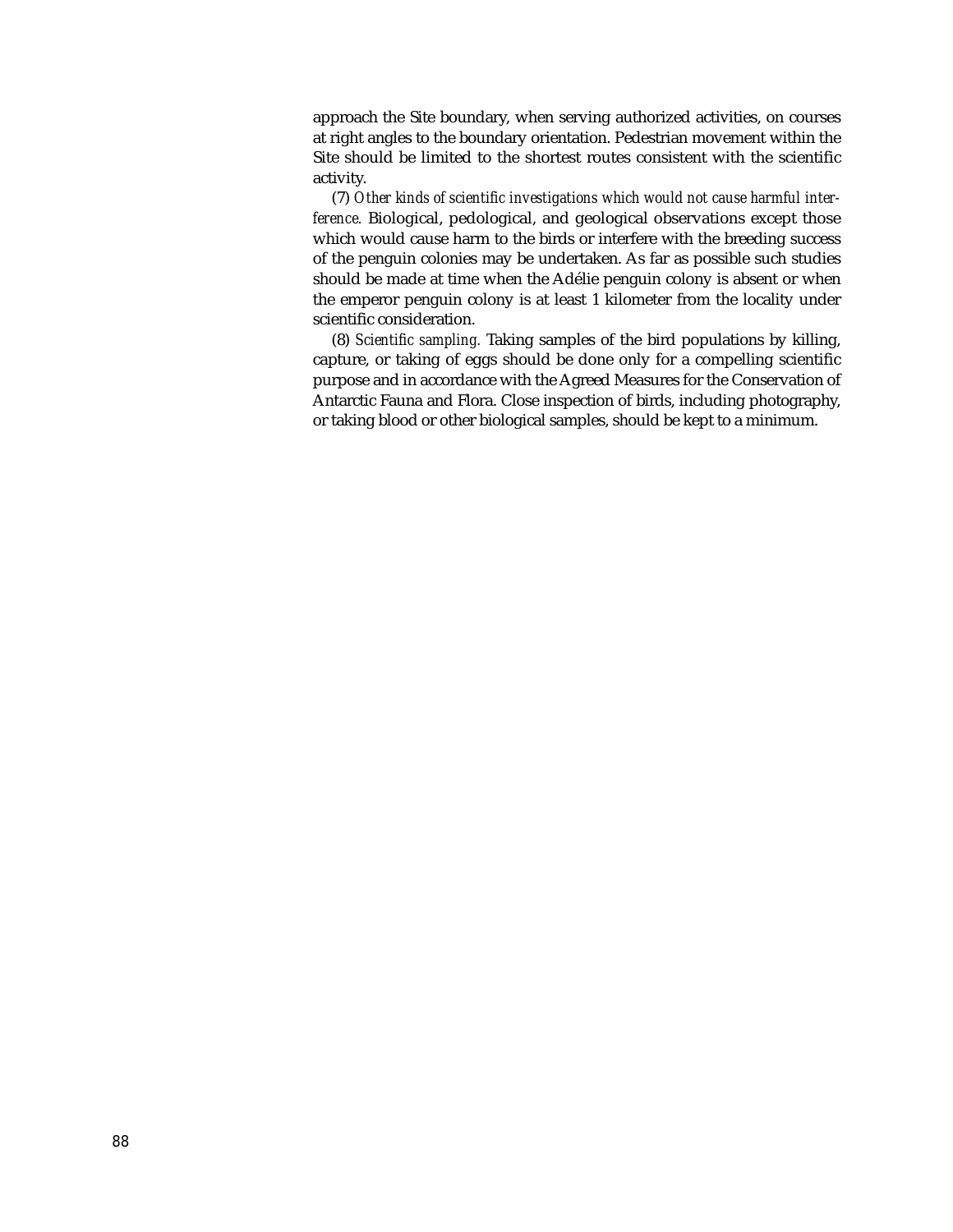approach the Site boundary, when serving authorized activities, on courses at right angles to the boundary orientation. Pedestrian movement within the Site should be limited to the shortest routes consistent with the scientific activity.

(7) *Other kinds of scientific investigations which would not cause harmful interference.* Biological, pedological, and geological observations except those which would cause harm to the birds or interfere with the breeding success of the penguin colonies may be undertaken. As far as possible such studies should be made at time when the Adélie penguin colony is absent or when the emperor penguin colony is at least 1 kilometer from the locality under scientific consideration.

(8) *Scientific sampling.* Taking samples of the bird populations by killing, capture, or taking of eggs should be done only for a compelling scientific purpose and in accordance with the Agreed Measures for the Conservation of Antarctic Fauna and Flora. Close inspection of birds, including photography, or taking blood or other biological samples, should be kept to a minimum.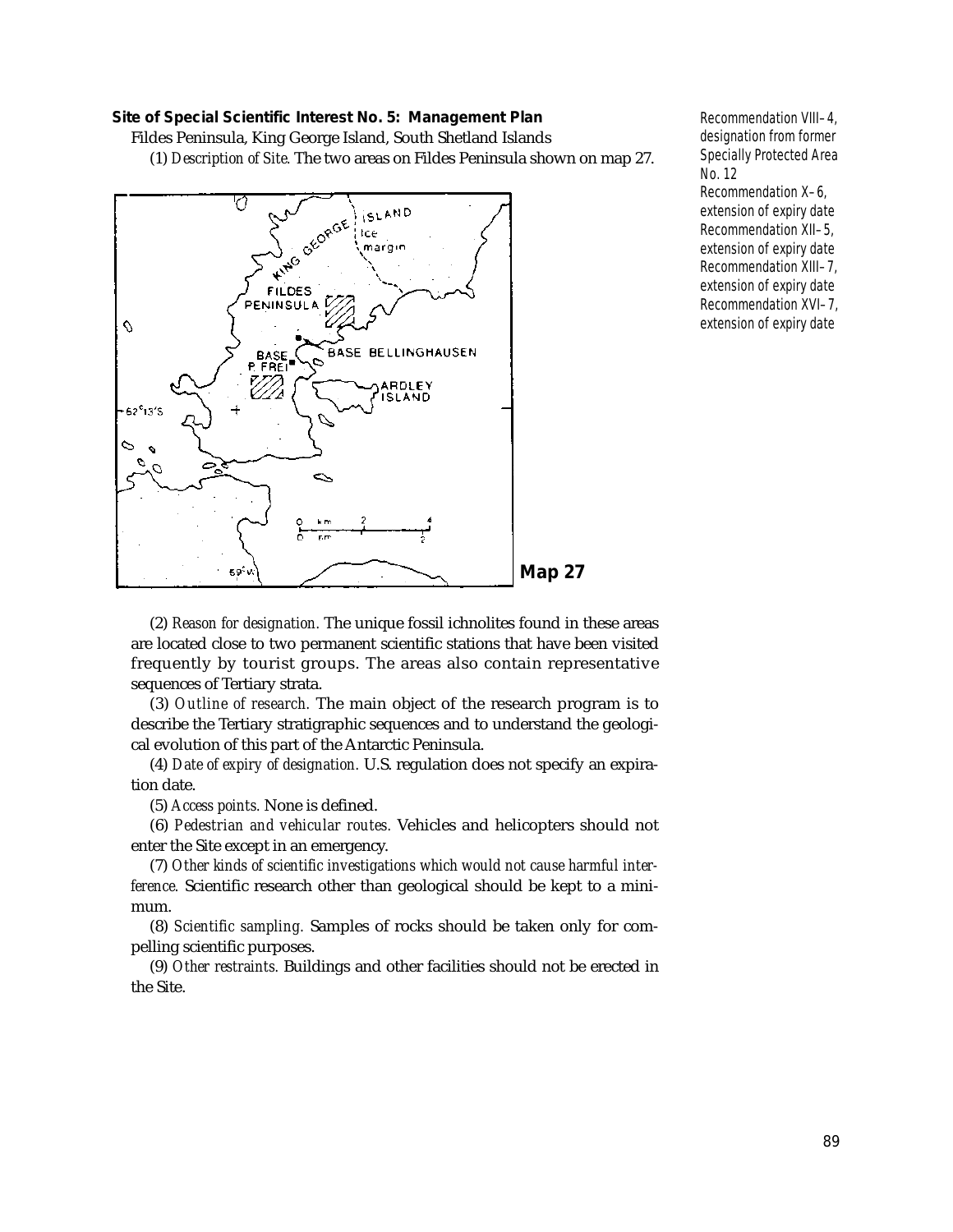#### **Site of Special Scientific Interest No. 5: Management Plan**

Fildes Peninsula, King George Island, South Shetland Islands (1) *Description of Site.* The two areas on Fildes Peninsula shown on map 27.



Recommendation VIII–4, designation from former Specially Protected Area No. 12

Recommendation X–6, extension of expiry date Recommendation XII–5, extension of expiry date Recommendation XIII–7, extension of expiry date Recommendation XVI–7, extension of expiry date

(2) *Reason for designation.* The unique fossil ichnolites found in these areas are located close to two permanent scientific stations that have been visited frequently by tourist groups. The areas also contain representative sequences of Tertiary strata.

(3) *Outline of research.* The main object of the research program is to describe the Tertiary stratigraphic sequences and to understand the geological evolution of this part of the Antarctic Peninsula.

(4) *Date of expiry of designation.* U.S. regulation does not specify an expiration date.

(5) *Access points.* None is defined.

(6) *Pedestrian and vehicular routes.* Vehicles and helicopters should not enter the Site except in an emergency.

(7) *Other kinds of scientific investigations which would not cause harmful interference.* Scientific research other than geological should be kept to a minimum.

(8) *Scientific sampling.* Samples of rocks should be taken only for compelling scientific purposes.

(9) *Other restraints.* Buildings and other facilities should not be erected in the Site.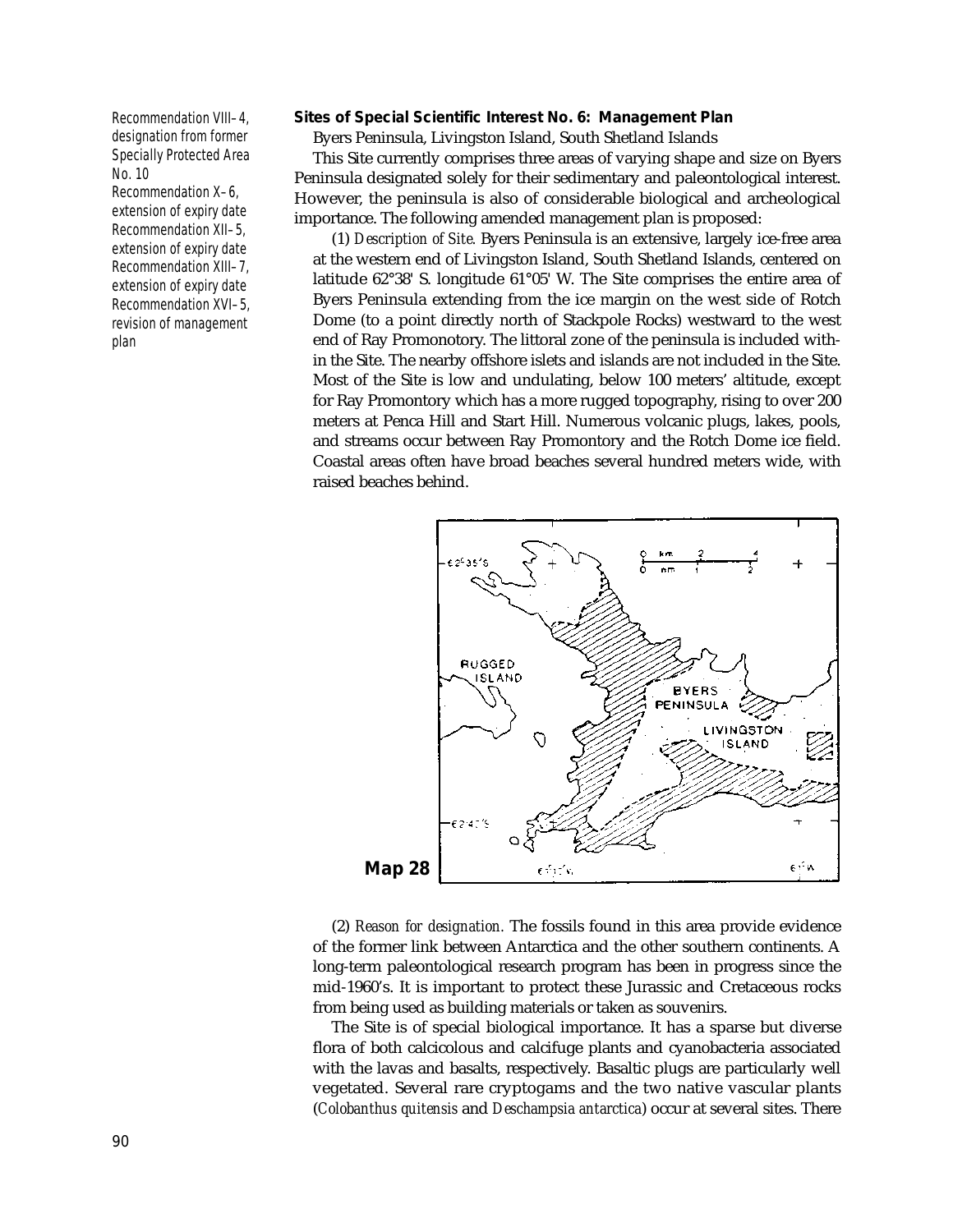Recommendation VIII–4, designation from former Specially Protected Area No. 10

Recommendation X–6, extension of expiry date Recommendation XII–5, extension of expiry date Recommendation XIII–7, extension of expiry date Recommendation XVI–5, revision of management plan

#### **Sites of Special Scientific Interest No. 6: Management Plan**

Byers Peninsula, Livingston Island, South Shetland Islands

This Site currently comprises three areas of varying shape and size on Byers Peninsula designated solely for their sedimentary and paleontological interest. However, the peninsula is also of considerable biological and archeological importance. The following amended management plan is proposed:

(1) *Description of Site.* Byers Peninsula is an extensive, largely ice-free area at the western end of Livingston Island, South Shetland Islands, centered on latitude 62°38' S. longitude 61°05' W. The Site comprises the entire area of Byers Peninsula extending from the ice margin on the west side of Rotch Dome (to a point directly north of Stackpole Rocks) westward to the west end of Ray Promonotory. The littoral zone of the peninsula is included within the Site. The nearby offshore islets and islands are not included in the Site. Most of the Site is low and undulating, below 100 meters' altitude, except for Ray Promontory which has a more rugged topography, rising to over 200 meters at Penca Hill and Start Hill. Numerous volcanic plugs, lakes, pools, and streams occur between Ray Promontory and the Rotch Dome ice field. Coastal areas often have broad beaches several hundred meters wide, with raised beaches behind.



(2) *Reason for designation.* The fossils found in this area provide evidence of the former link between Antarctica and the other southern continents. A long-term paleontological research program has been in progress since the mid-1960's. It is important to protect these Jurassic and Cretaceous rocks from being used as building materials or taken as souvenirs.

The Site is of special biological importance. It has a sparse but diverse flora of both calcicolous and calcifuge plants and cyanobacteria associated with the lavas and basalts, respectively. Basaltic plugs are particularly well vegetated. Several rare cryptogams and the two native vascular plants (*Colobanthus quitensis* and *Deschampsia antarctica*) occur at several sites. There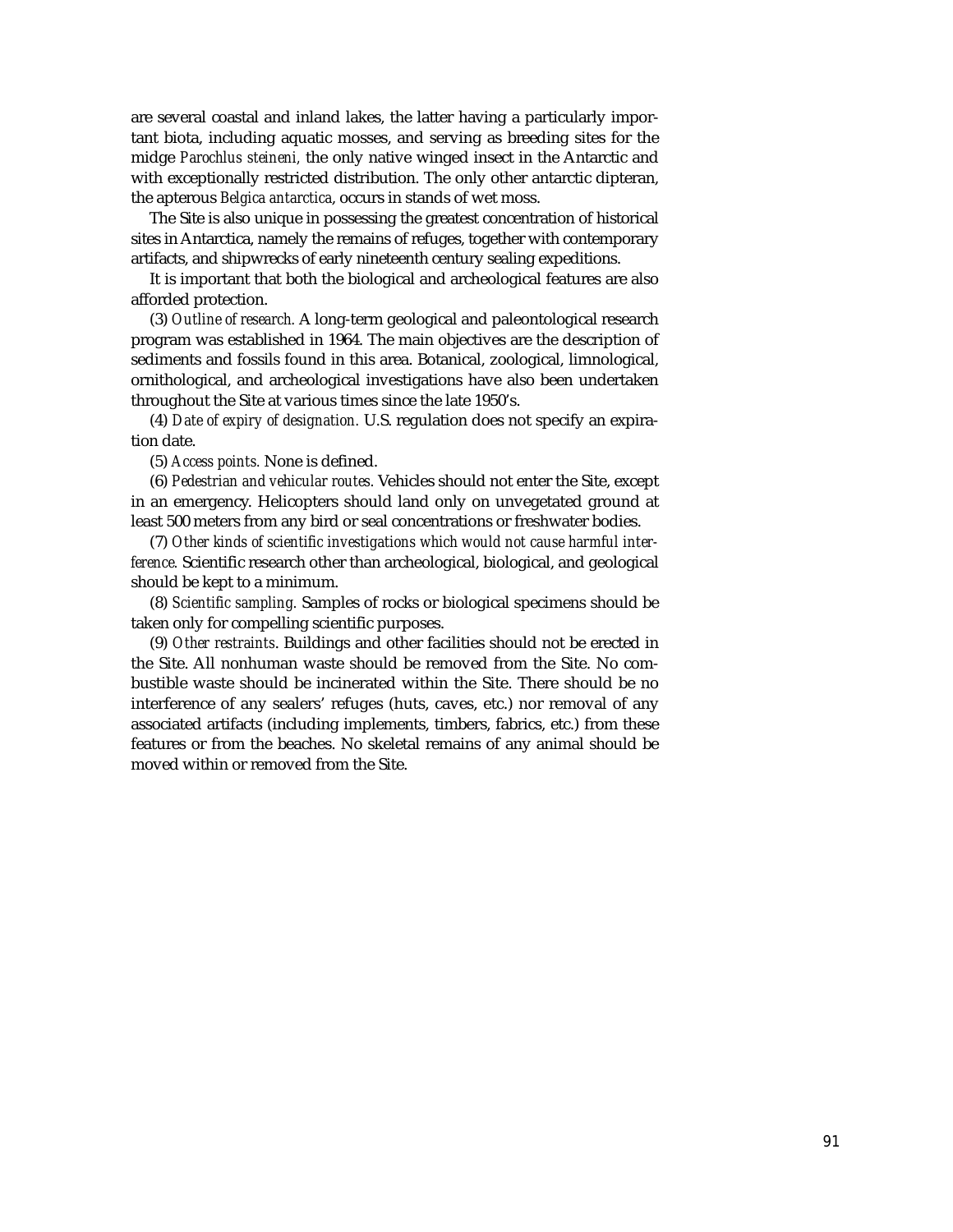are several coastal and inland lakes, the latter having a particularly important biota, including aquatic mosses, and serving as breeding sites for the midge *Parochlus steineni,* the only native winged insect in the Antarctic and with exceptionally restricted distribution. The only other antarctic dipteran, the apterous *Belgica antarctica*, occurs in stands of wet moss.

The Site is also unique in possessing the greatest concentration of historical sites in Antarctica, namely the remains of refuges, together with contemporary artifacts, and shipwrecks of early nineteenth century sealing expeditions.

It is important that both the biological and archeological features are also afforded protection.

(3) *Outline of research.* A long-term geological and paleontological research program was established in 1964. The main objectives are the description of sediments and fossils found in this area. Botanical, zoological, limnological, ornithological, and archeological investigations have also been undertaken throughout the Site at various times since the late 1950's.

(4) *Date of expiry of designation.* U.S. regulation does not specify an expiration date.

(5) *Access points.* None is defined.

(6) *Pedestrian and vehicular routes.* Vehicles should not enter the Site, except in an emergency. Helicopters should land only on unvegetated ground at least 500 meters from any bird or seal concentrations or freshwater bodies.

(7) *Other kinds of scientific investigations which would not cause harmful interference.* Scientific research other than archeological, biological, and geological should be kept to a minimum.

(8) *Scientific sampling.* Samples of rocks or biological specimens should be taken only for compelling scientific purposes.

(9) *Other restraints*. Buildings and other facilities should not be erected in the Site. All nonhuman waste should be removed from the Site. No combustible waste should be incinerated within the Site. There should be no interference of any sealers' refuges (huts, caves, etc.) nor removal of any associated artifacts (including implements, timbers, fabrics, etc.) from these features or from the beaches. No skeletal remains of any animal should be moved within or removed from the Site.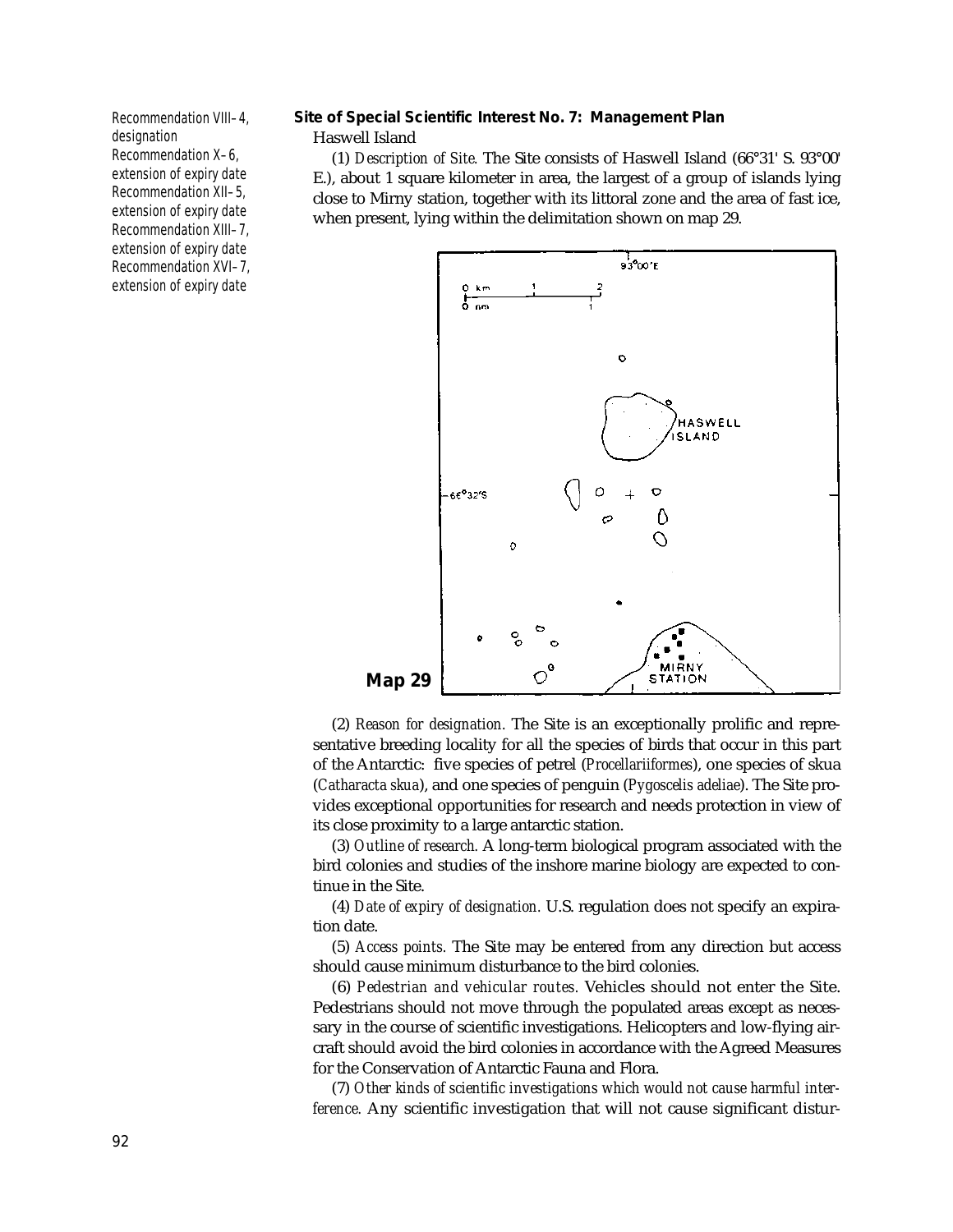Recommendation VIII–4, designation Recommendation X–6, extension of expiry date Recommendation XII–5, extension of expiry date Recommendation XIII–7, extension of expiry date Recommendation XVI–7, extension of expiry date

# **Site of Special Scientific Interest No. 7: Management Plan**

Haswell Island

(1) *Description of Site.* The Site consists of Haswell Island (66°31' S. 93°00' E.), about 1 square kilometer in area, the largest of a group of islands lying close to Mirny station, together with its littoral zone and the area of fast ice, when present, lying within the delimitation shown on map 29.



(2) *Reason for designation.* The Site is an exceptionally prolific and representative breeding locality for all the species of birds that occur in this part of the Antarctic: five species of petrel (*Procellariiformes*), one species of skua (*Catharacta skua*), and one species of penguin (*Pygoscelis adeliae*). The Site provides exceptional opportunities for research and needs protection in view of its close proximity to a large antarctic station.

(3) *Outline of research.* A long-term biological program associated with the bird colonies and studies of the inshore marine biology are expected to continue in the Site.

(4) *Date of expiry of designation.* U.S. regulation does not specify an expiration date.

(5) *Access points.* The Site may be entered from any direction but access should cause minimum disturbance to the bird colonies.

(6) *Pedestrian and vehicular routes.* Vehicles should not enter the Site. Pedestrians should not move through the populated areas except as necessary in the course of scientific investigations. Helicopters and low-flying aircraft should avoid the bird colonies in accordance with the Agreed Measures for the Conservation of Antarctic Fauna and Flora.

(7) *Other kinds of scientific investigations which would not cause harmful interference.* Any scientific investigation that will not cause significant distur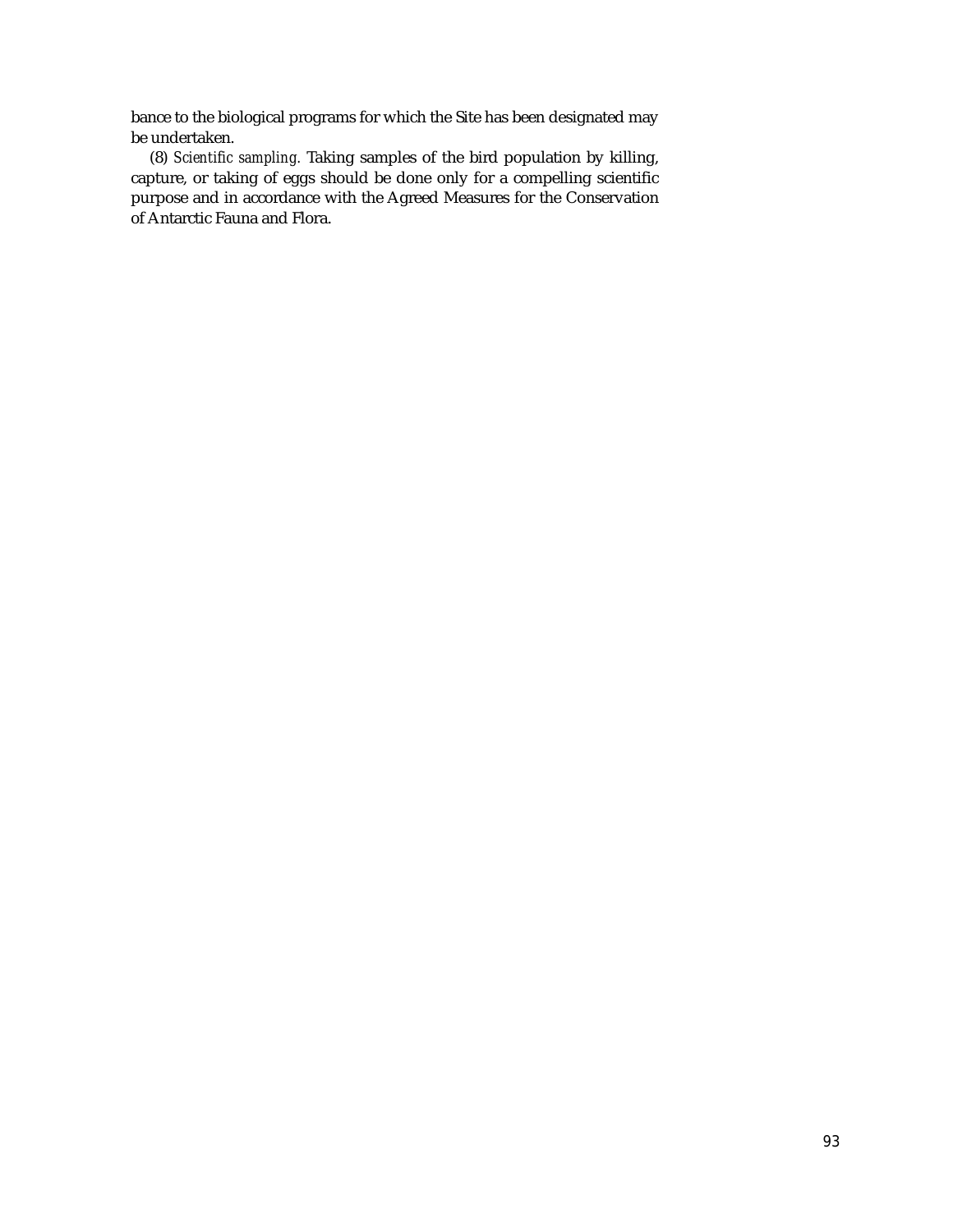bance to the biological programs for which the Site has been designated may be undertaken.

(8) *Scientific sampling.* Taking samples of the bird population by killing, capture, or taking of eggs should be done only for a compelling scientific purpose and in accordance with the Agreed Measures for the Conservation of Antarctic Fauna and Flora.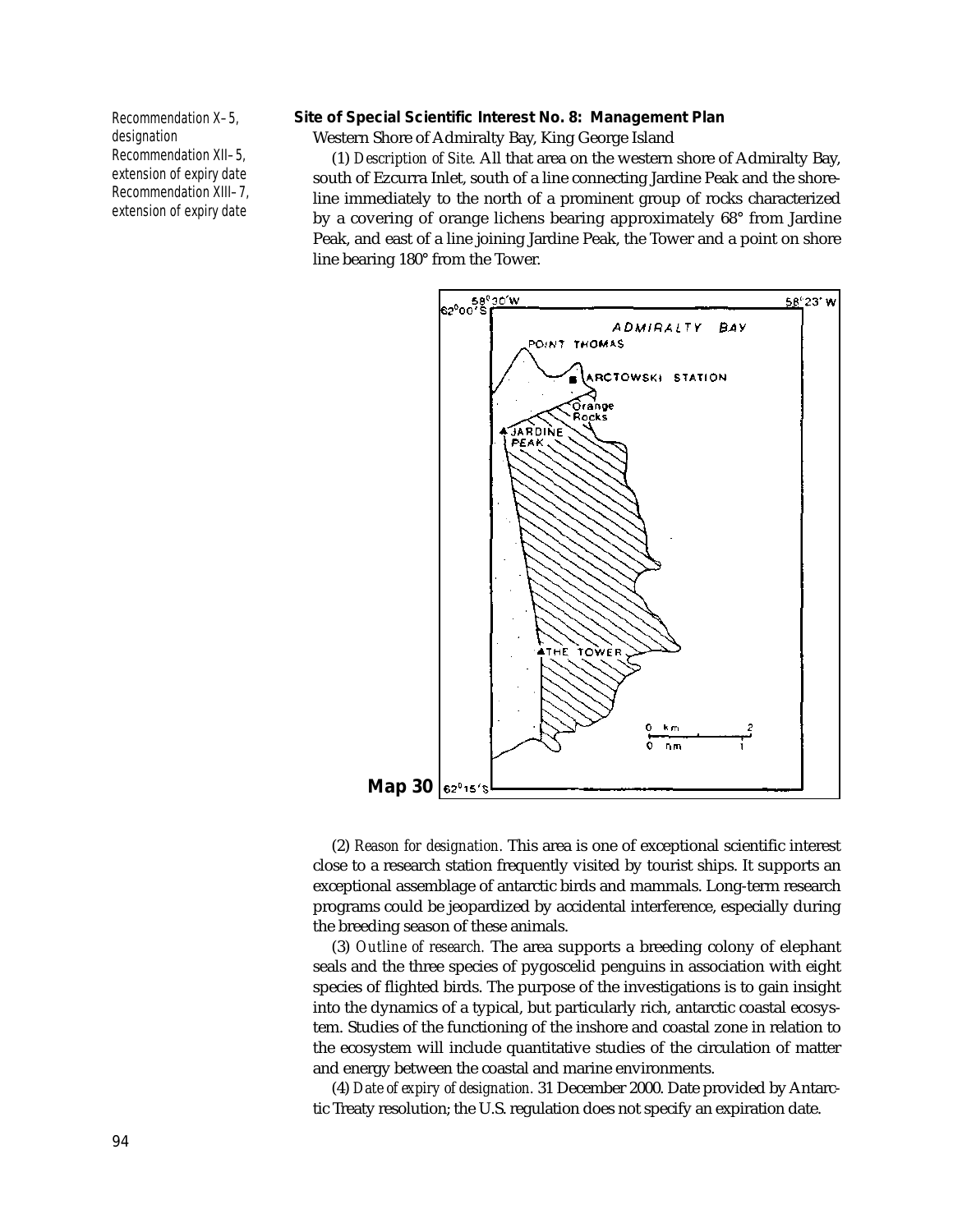Recommendation X–5, designation Recommendation XII–5, extension of expiry date Recommendation XIII–7, extension of expiry date

#### **Site of Special Scientific Interest No. 8: Management Plan**

Western Shore of Admiralty Bay, King George Island

(1) *Description of Site.* All that area on the western shore of Admiralty Bay, south of Ezcurra Inlet, south of a line connecting Jardine Peak and the shoreline immediately to the north of a prominent group of rocks characterized by a covering of orange lichens bearing approximately 68° from Jardine Peak, and east of a line joining Jardine Peak, the Tower and a point on shore line bearing 180° from the Tower.



(2) *Reason for designation.* This area is one of exceptional scientific interest close to a research station frequently visited by tourist ships. It supports an exceptional assemblage of antarctic birds and mammals. Long-term research programs could be jeopardized by accidental interference, especially during the breeding season of these animals.

(3) *Outline of research.* The area supports a breeding colony of elephant seals and the three species of pygoscelid penguins in association with eight species of flighted birds. The purpose of the investigations is to gain insight into the dynamics of a typical, but particularly rich, antarctic coastal ecosystem. Studies of the functioning of the inshore and coastal zone in relation to the ecosystem will include quantitative studies of the circulation of matter and energy between the coastal and marine environments.

(4) *Date of expiry of designation.* 31 December 2000. Date provided by Antarctic Treaty resolution; the U.S. regulation does not specify an expiration date.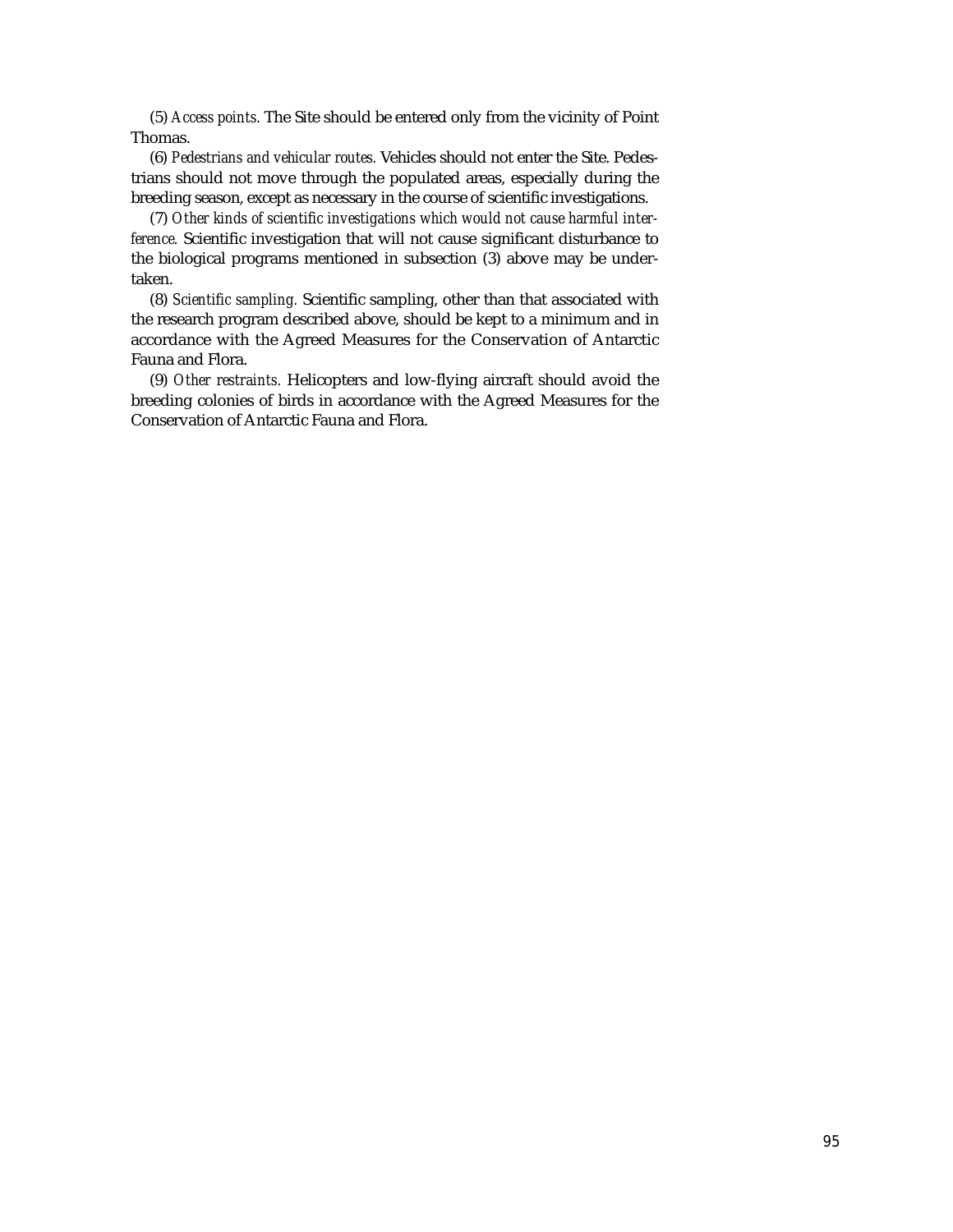(5) *Access points.* The Site should be entered only from the vicinity of Point Thomas.

(6) *Pedestrians and vehicular routes.* Vehicles should not enter the Site. Pedestrians should not move through the populated areas, especially during the breeding season, except as necessary in the course of scientific investigations.

(7) *Other kinds of scientific investigations which would not cause harmful interference.* Scientific investigation that will not cause significant disturbance to the biological programs mentioned in subsection (3) above may be undertaken.

(8) *Scientific sampling.* Scientific sampling, other than that associated with the research program described above, should be kept to a minimum and in accordance with the Agreed Measures for the Conservation of Antarctic Fauna and Flora.

(9) *Other restraints.* Helicopters and low-flying aircraft should avoid the breeding colonies of birds in accordance with the Agreed Measures for the Conservation of Antarctic Fauna and Flora.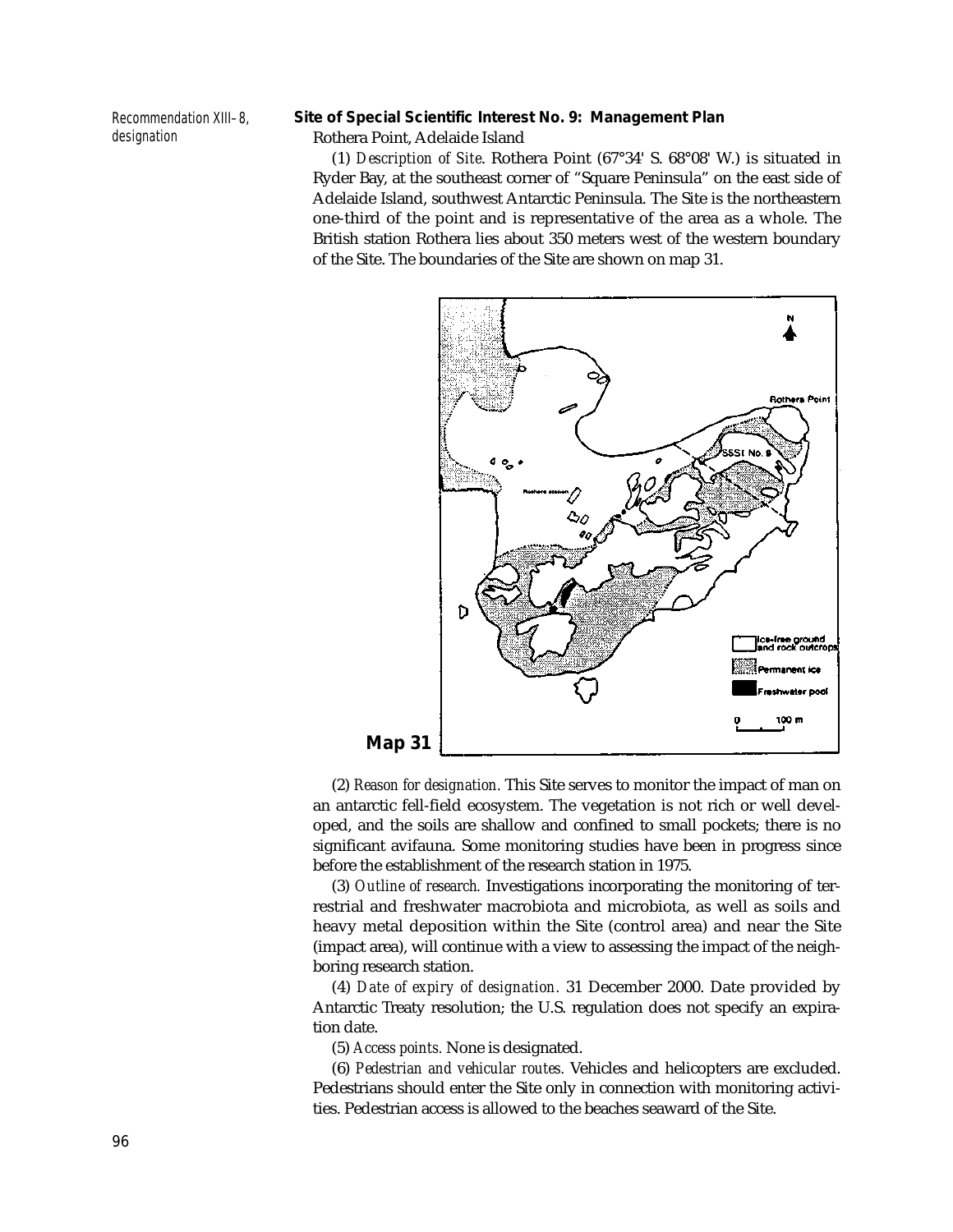Recommendation XIII–8, designation

# **Site of Special Scientific Interest No. 9: Management Plan**

Rothera Point, Adelaide Island

(1) *Description of Site*. Rothera Point (67°34' S. 68°08' W.) is situated in Ryder Bay, at the southeast corner of "Square Peninsula" on the east side of Adelaide Island, southwest Antarctic Peninsula. The Site is the northeastern one-third of the point and is representative of the area as a whole. The British station Rothera lies about 350 meters west of the western boundary of the Site. The boundaries of the Site are shown on map 31.



(2) *Reason for designation.* This Site serves to monitor the impact of man on an antarctic fell-field ecosystem. The vegetation is not rich or well developed, and the soils are shallow and confined to small pockets; there is no significant avifauna. Some monitoring studies have been in progress since before the establishment of the research station in 1975.

(3) *Outline of research.* Investigations incorporating the monitoring of terrestrial and freshwater macrobiota and microbiota, as well as soils and heavy metal deposition within the Site (control area) and near the Site (impact area), will continue with a view to assessing the impact of the neighboring research station.

(4) *Date of expiry of designation.* 31 December 2000. Date provided by Antarctic Treaty resolution; the U.S. regulation does not specify an expiration date.

(5) *Access points.* None is designated.

(6) *Pedestrian and vehicular routes.* Vehicles and helicopters are excluded. Pedestrians should enter the Site only in connection with monitoring activities. Pedestrian access is allowed to the beaches seaward of the Site.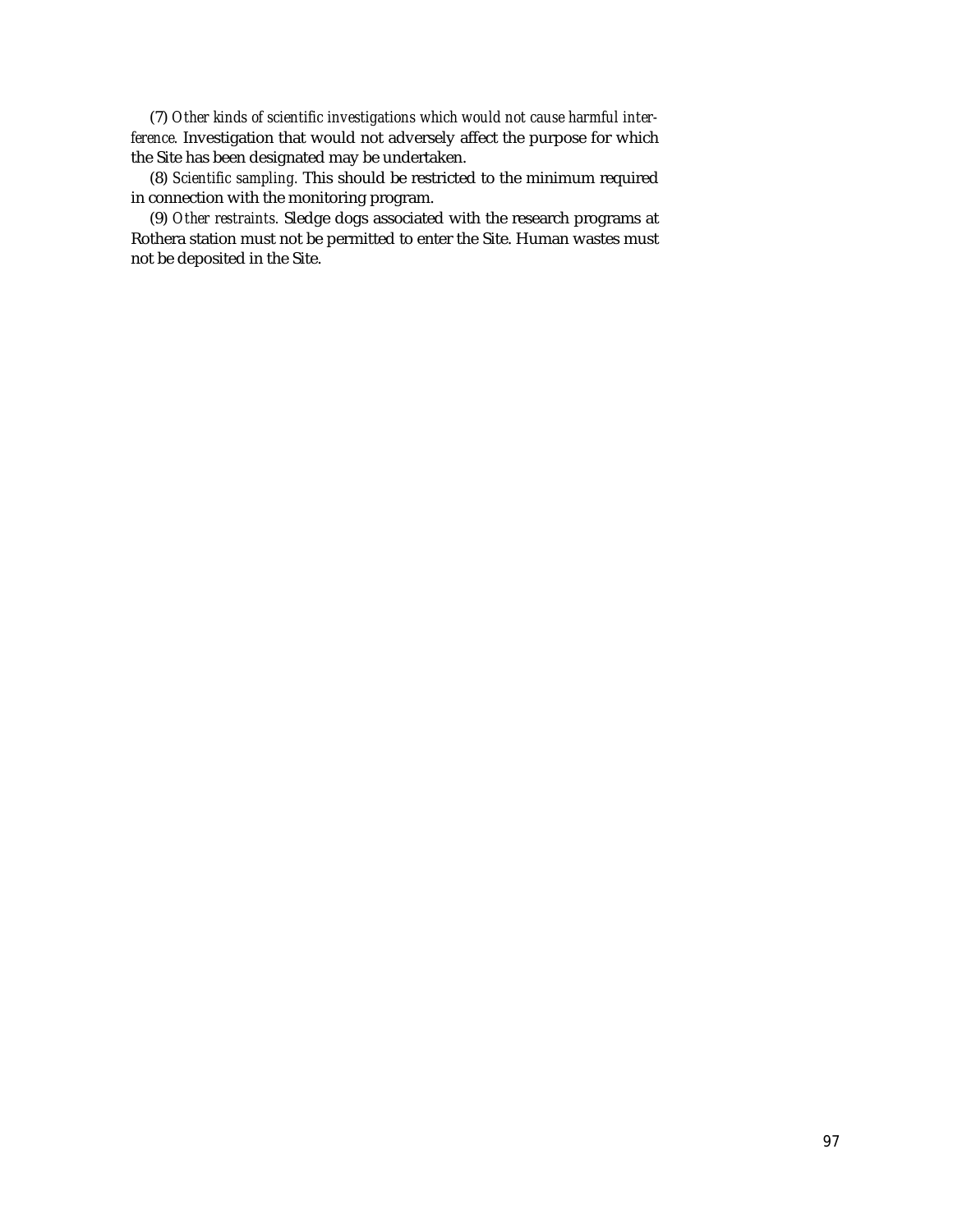(7) *Other kinds of scientific investigations which would not cause harmful interference.* Investigation that would not adversely affect the purpose for which the Site has been designated may be undertaken.

(8) *Scientific sampling.* This should be restricted to the minimum required in connection with the monitoring program.

(9) *Other restraints.* Sledge dogs associated with the research programs at Rothera station must not be permitted to enter the Site. Human wastes must not be deposited in the Site.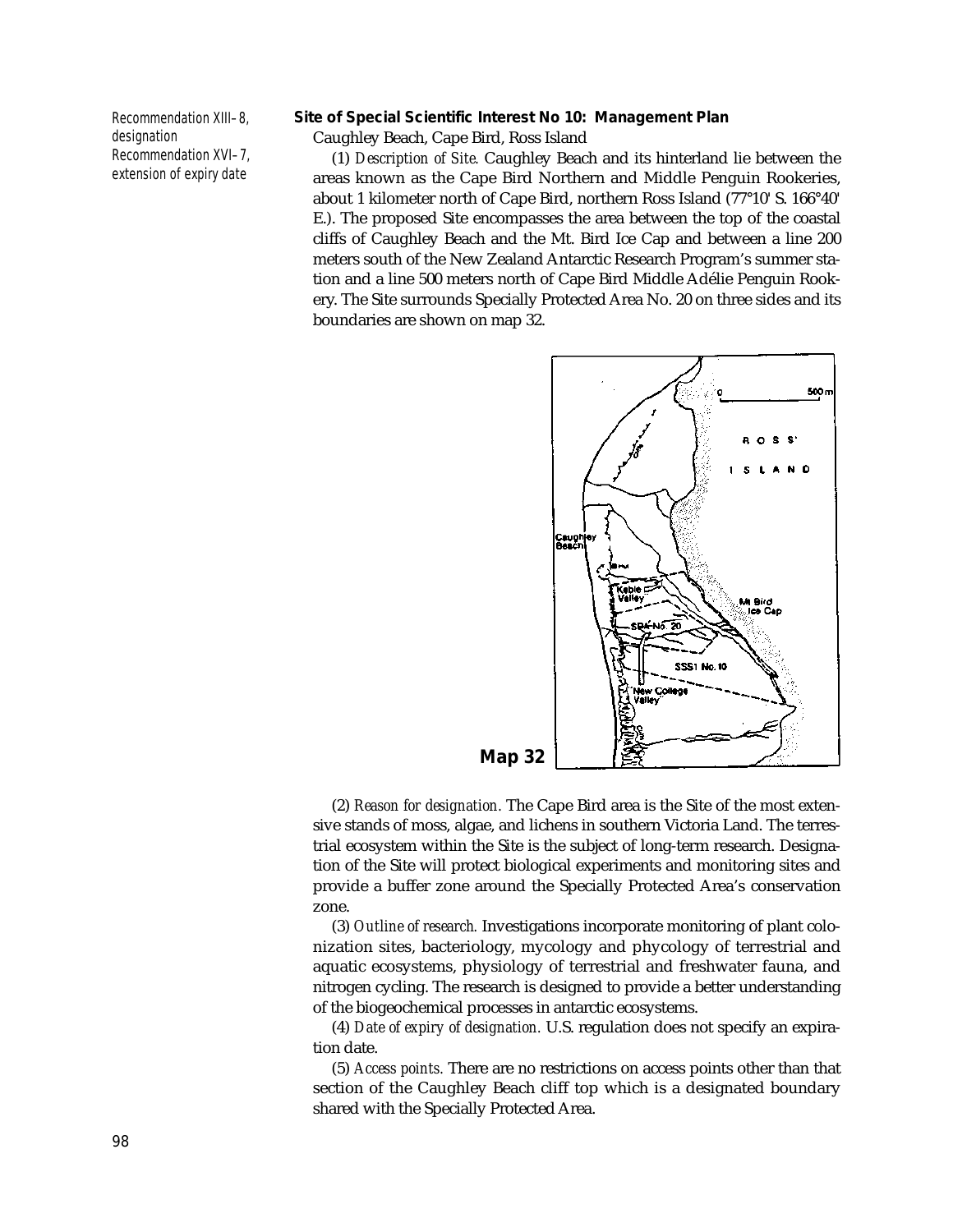Recommendation XIII–8, designation Recommendation XVI–7, extension of expiry date

# **Site of Special Scientific Interest No 10: Management Plan**

Caughley Beach, Cape Bird, Ross Island

(1) *Description of Site.* Caughley Beach and its hinterland lie between the areas known as the Cape Bird Northern and Middle Penguin Rookeries, about 1 kilometer north of Cape Bird, northern Ross Island (77°10' S. 166°40' E.). The proposed Site encompasses the area between the top of the coastal cliffs of Caughley Beach and the Mt. Bird Ice Cap and between a line 200 meters south of the New Zealand Antarctic Research Program's summer station and a line 500 meters north of Cape Bird Middle Adélie Penguin Rookery. The Site surrounds Specially Protected Area No. 20 on three sides and its boundaries are shown on map 32.



(2) *Reason for designation.* The Cape Bird area is the Site of the most extensive stands of moss, algae, and lichens in southern Victoria Land. The terrestrial ecosystem within the Site is the subject of long-term research. Designation of the Site will protect biological experiments and monitoring sites and provide a buffer zone around the Specially Protected Area's conservation zone.

(3) *Outline of research.* Investigations incorporate monitoring of plant colonization sites, bacteriology, mycology and phycology of terrestrial and aquatic ecosystems, physiology of terrestrial and freshwater fauna, and nitrogen cycling. The research is designed to provide a better understanding of the biogeochemical processes in antarctic ecosystems.

(4) *Date of expiry of designation.* U.S. regulation does not specify an expiration date.

(5) *Access points.* There are no restrictions on access points other than that section of the Caughley Beach cliff top which is a designated boundary shared with the Specially Protected Area.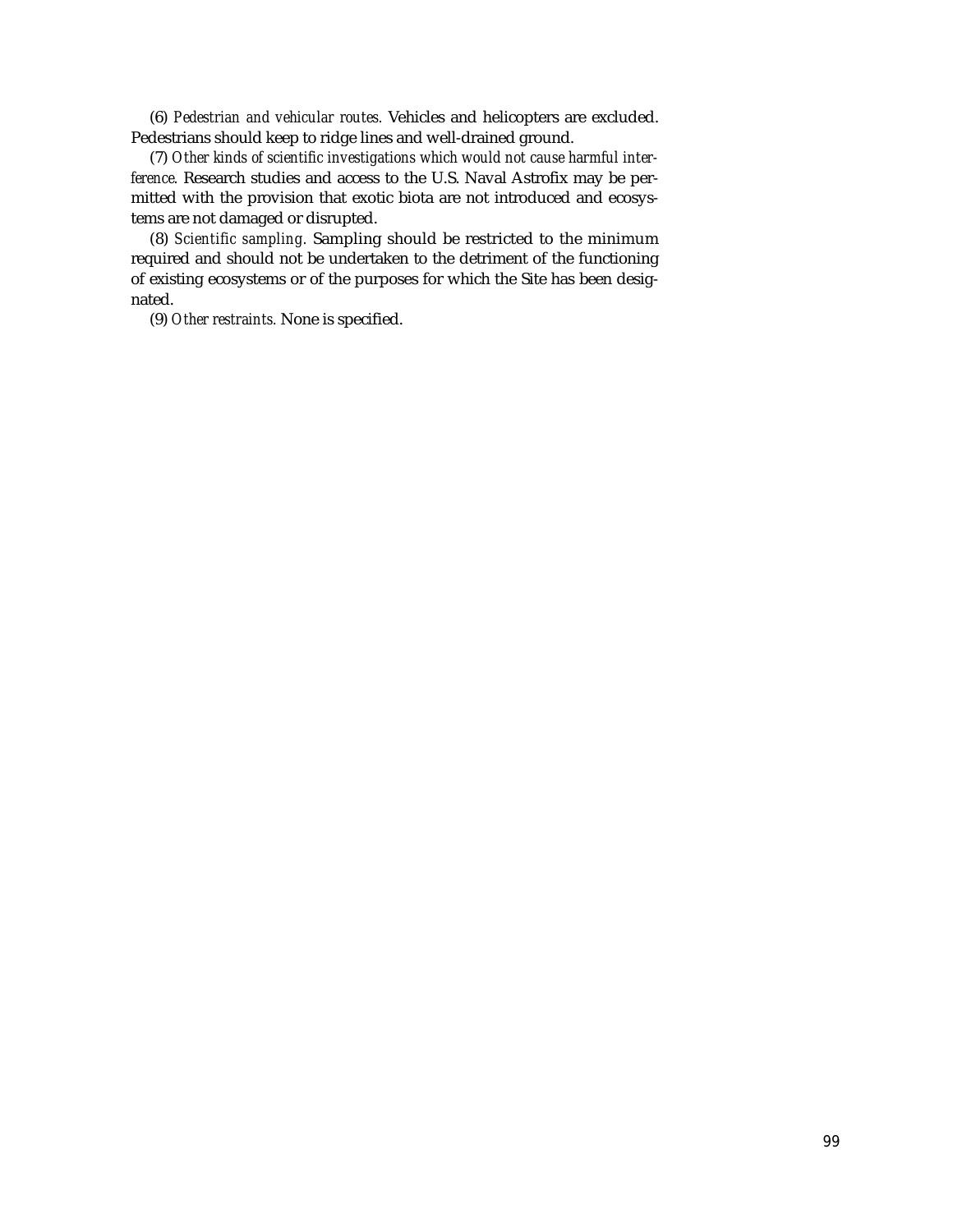(6) *Pedestrian and vehicular routes.* Vehicles and helicopters are excluded. Pedestrians should keep to ridge lines and well-drained ground.

(7) *Other kinds of scientific investigations which would not cause harmful interference.* Research studies and access to the U.S. Naval Astrofix may be permitted with the provision that exotic biota are not introduced and ecosystems are not damaged or disrupted.

(8) *Scientific sampling.* Sampling should be restricted to the minimum required and should not be undertaken to the detriment of the functioning of existing ecosystems or of the purposes for which the Site has been designated.

(9) *Other restraints.* None is specified.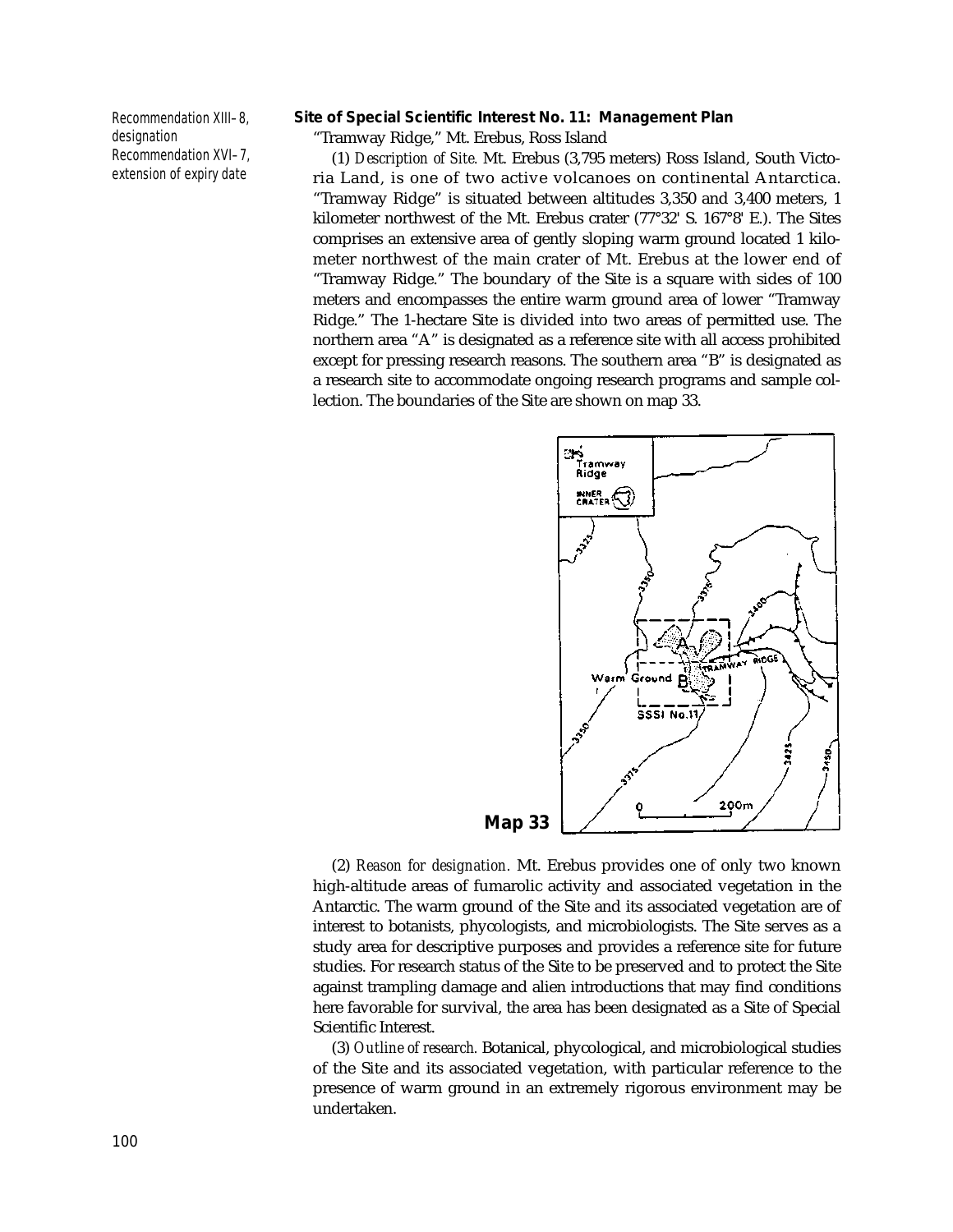Recommendation XIII–8, designation Recommendation XVI–7, extension of expiry date

## **Site of Special Scientific Interest No. 11: Management Plan**

"Tramway Ridge," Mt. Erebus, Ross Island

(1) *Description of Site.* Mt. Erebus (3,795 meters) Ross Island, South Victoria Land, is one of two active volcanoes on continental Antarctica. "Tramway Ridge" is situated between altitudes 3,350 and 3,400 meters, 1 kilometer northwest of the Mt. Erebus crater (77°32' S. 167°8' E.). The Sites comprises an extensive area of gently sloping warm ground located 1 kilometer northwest of the main crater of Mt. Erebus at the lower end of "Tramway Ridge." The boundary of the Site is a square with sides of 100 meters and encompasses the entire warm ground area of lower "Tramway Ridge." The 1-hectare Site is divided into two areas of permitted use. The northern area "A" is designated as a reference site with all access prohibited except for pressing research reasons. The southern area "B" is designated as a research site to accommodate ongoing research programs and sample collection. The boundaries of the Site are shown on map 33.



(2) *Reason for designation.* Mt. Erebus provides one of only two known high-altitude areas of fumarolic activity and associated vegetation in the Antarctic. The warm ground of the Site and its associated vegetation are of interest to botanists, phycologists, and microbiologists. The Site serves as a study area for descriptive purposes and provides a reference site for future studies. For research status of the Site to be preserved and to protect the Site against trampling damage and alien introductions that may find conditions here favorable for survival, the area has been designated as a Site of Special Scientific Interest.

(3) *Outline of research.* Botanical, phycological, and microbiological studies of the Site and its associated vegetation, with particular reference to the presence of warm ground in an extremely rigorous environment may be undertaken.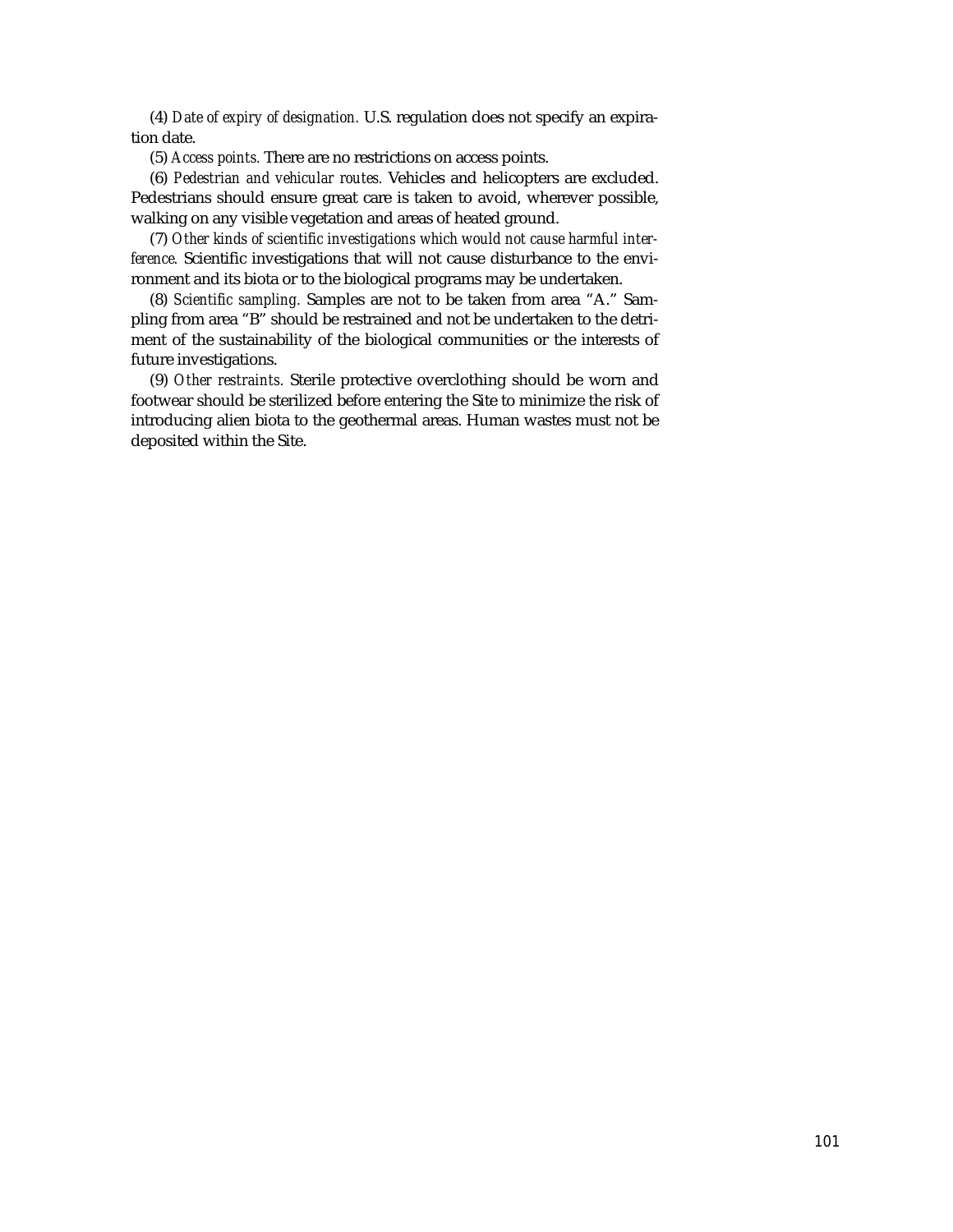(4) *Date of expiry of designation.* U.S. regulation does not specify an expiration date.

(5) *Access points.* There are no restrictions on access points.

(6) *Pedestrian and vehicular routes.* Vehicles and helicopters are excluded. Pedestrians should ensure great care is taken to avoid, wherever possible, walking on any visible vegetation and areas of heated ground.

(7) *Other kinds of scientific investigations which would not cause harmful interference.* Scientific investigations that will not cause disturbance to the environment and its biota or to the biological programs may be undertaken.

(8) *Scientific sampling.* Samples are not to be taken from area "A." Sampling from area "B" should be restrained and not be undertaken to the detriment of the sustainability of the biological communities or the interests of future investigations.

(9) *Other restraints.* Sterile protective overclothing should be worn and footwear should be sterilized before entering the Site to minimize the risk of introducing alien biota to the geothermal areas. Human wastes must not be deposited within the Site.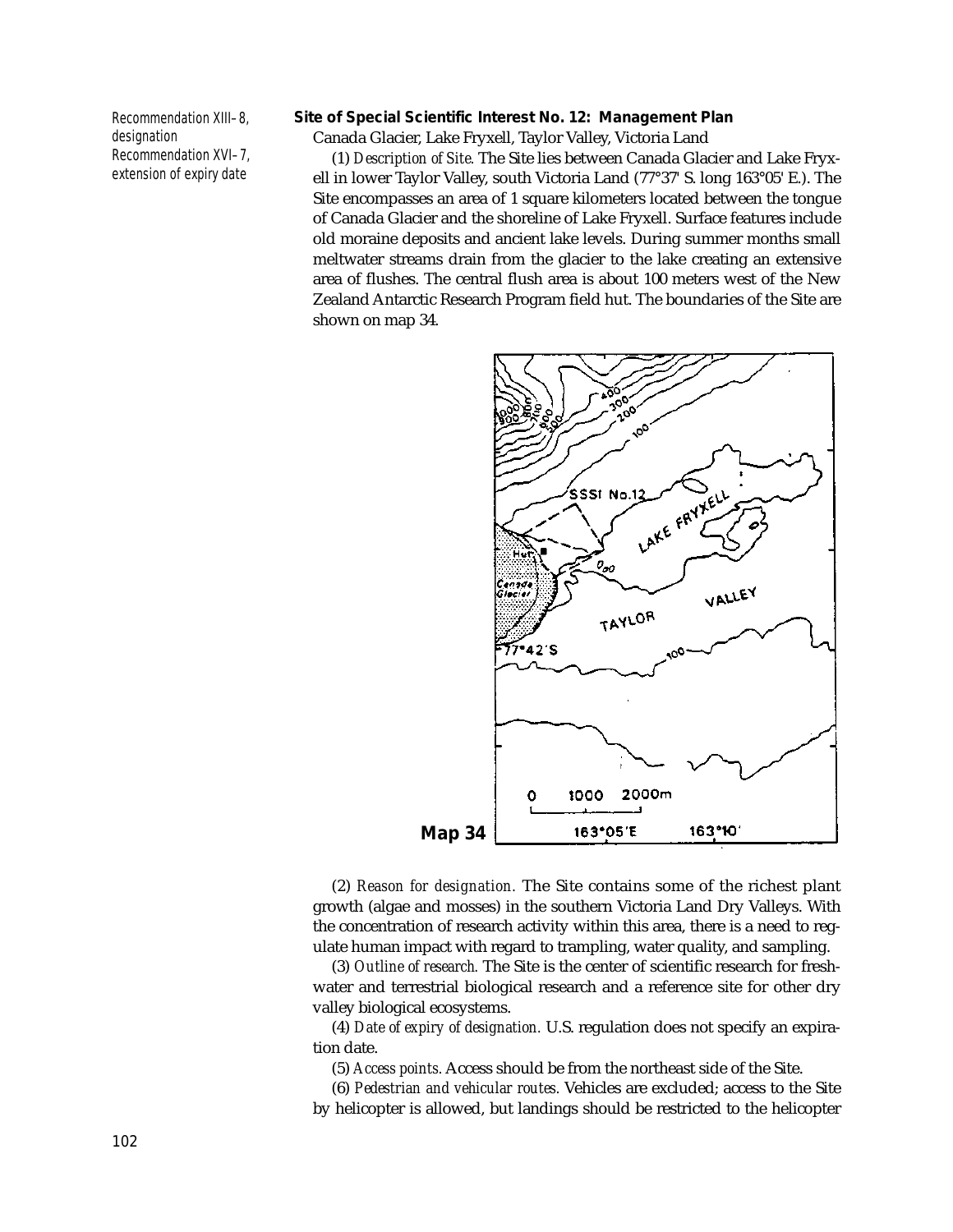Recommendation XIII–8, designation Recommendation XVI–7, extension of expiry date

## **Site of Special Scientific Interest No. 12: Management Plan**

Canada Glacier, Lake Fryxell, Taylor Valley, Victoria Land

(1) *Description of Site.* The Site lies between Canada Glacier and Lake Fryxell in lower Taylor Valley, south Victoria Land (77°37' S. long 163°05' E.). The Site encompasses an area of 1 square kilometers located between the tongue of Canada Glacier and the shoreline of Lake Fryxell. Surface features include old moraine deposits and ancient lake levels. During summer months small meltwater streams drain from the glacier to the lake creating an extensive area of flushes. The central flush area is about 100 meters west of the New Zealand Antarctic Research Program field hut. The boundaries of the Site are shown on map 34.



(2) *Reason for designation.* The Site contains some of the richest plant growth (algae and mosses) in the southern Victoria Land Dry Valleys. With the concentration of research activity within this area, there is a need to regulate human impact with regard to trampling, water quality, and sampling.

(3) *Outline of research.* The Site is the center of scientific research for freshwater and terrestrial biological research and a reference site for other dry valley biological ecosystems.

(4) *Date of expiry of designation.* U.S. regulation does not specify an expiration date.

(5) *Access points.* Access should be from the northeast side of the Site.

(6) *Pedestrian and vehicular routes.* Vehicles are excluded; access to the Site by helicopter is allowed, but landings should be restricted to the helicopter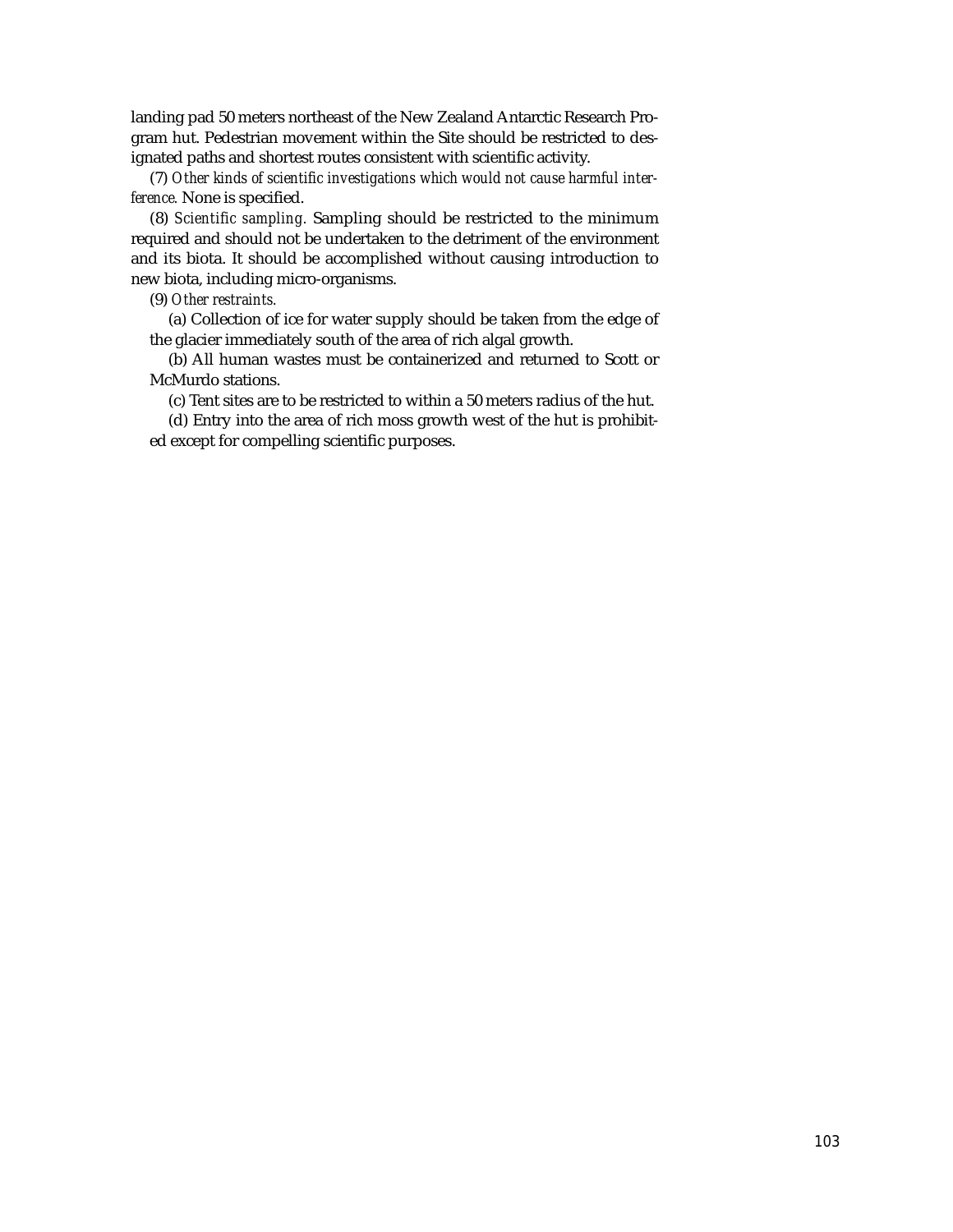landing pad 50 meters northeast of the New Zealand Antarctic Research Program hut. Pedestrian movement within the Site should be restricted to designated paths and shortest routes consistent with scientific activity.

(7) *Other kinds of scientific investigations which would not cause harmful interference.* None is specified.

(8) *Scientific sampling.* Sampling should be restricted to the minimum required and should not be undertaken to the detriment of the environment and its biota. It should be accomplished without causing introduction to new biota, including micro-organisms.

(9) *Other restraints.*

(a) Collection of ice for water supply should be taken from the edge of the glacier immediately south of the area of rich algal growth.

(b) All human wastes must be containerized and returned to Scott or McMurdo stations.

(c) Tent sites are to be restricted to within a 50 meters radius of the hut.

(d) Entry into the area of rich moss growth west of the hut is prohibited except for compelling scientific purposes.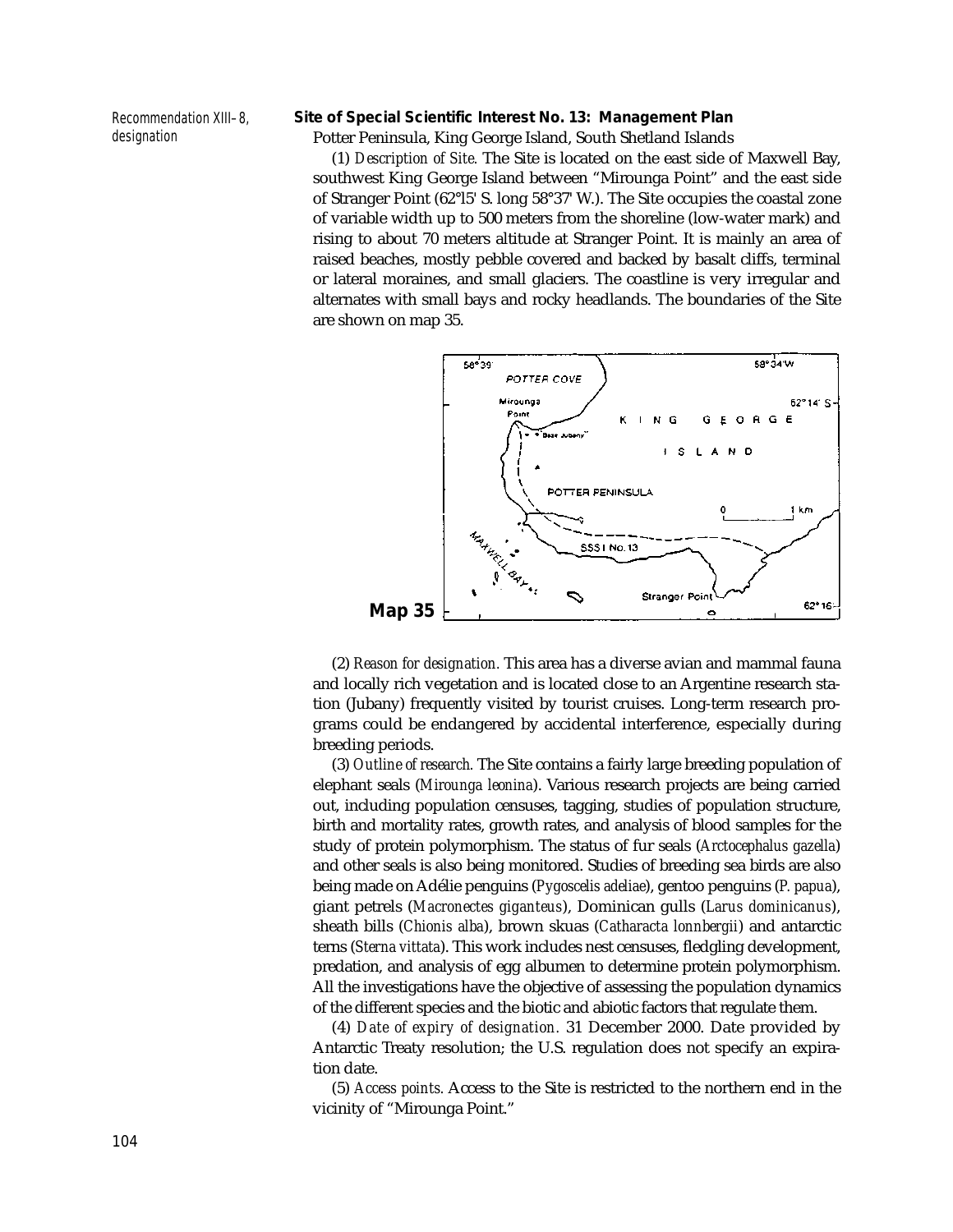Recommendation XIII–8, designation

## **Site of Special Scientific Interest No. 13: Management Plan**

Potter Peninsula, King George Island, South Shetland Islands

(1) *Description of Site.* The Site is located on the east side of Maxwell Bay, southwest King George Island between "Mirounga Point" and the east side of Stranger Point (62°l5' S. long 58°37' W.). The Site occupies the coastal zone of variable width up to 500 meters from the shoreline (low-water mark) and rising to about 70 meters altitude at Stranger Point. It is mainly an area of raised beaches, mostly pebble covered and backed by basalt cliffs, terminal or lateral moraines, and small glaciers. The coastline is very irregular and alternates with small bays and rocky headlands. The boundaries of the Site are shown on map 35.



(2) *Reason for designation.* This area has a diverse avian and mammal fauna and locally rich vegetation and is located close to an Argentine research station (Jubany) frequently visited by tourist cruises. Long-term research programs could be endangered by accidental interference, especially during breeding periods.

(3) *Outline of research.* The Site contains a fairly large breeding population of elephant seals (*Mirounga leonina*). Various research projects are being carried out, including population censuses, tagging, studies of population structure, birth and mortality rates, growth rates, and analysis of blood samples for the study of protein polymorphism. The status of fur seals (*Arctocephalus gazella*) and other seals is also being monitored. Studies of breeding sea birds are also being made on Adélie penguins (*Pygoscelis adeliae*), gentoo penguins (*P. papua*), giant petrels (*Macronectes giganteus*), Dominican gulls (*Larus dominicanus*), sheath bills (*Chionis alba*), brown skuas (*Catharacta lonnbergii*) and antarctic terns (*Sterna vittata*). This work includes nest censuses, fledgling development, predation, and analysis of egg albumen to determine protein polymorphism. All the investigations have the objective of assessing the population dynamics of the different species and the biotic and abiotic factors that regulate them.

(4) *Date of expiry of designation.* 31 December 2000. Date provided by Antarctic Treaty resolution; the U.S. regulation does not specify an expiration date.

(5) *Access points.* Access to the Site is restricted to the northern end in the vicinity of "Mirounga Point."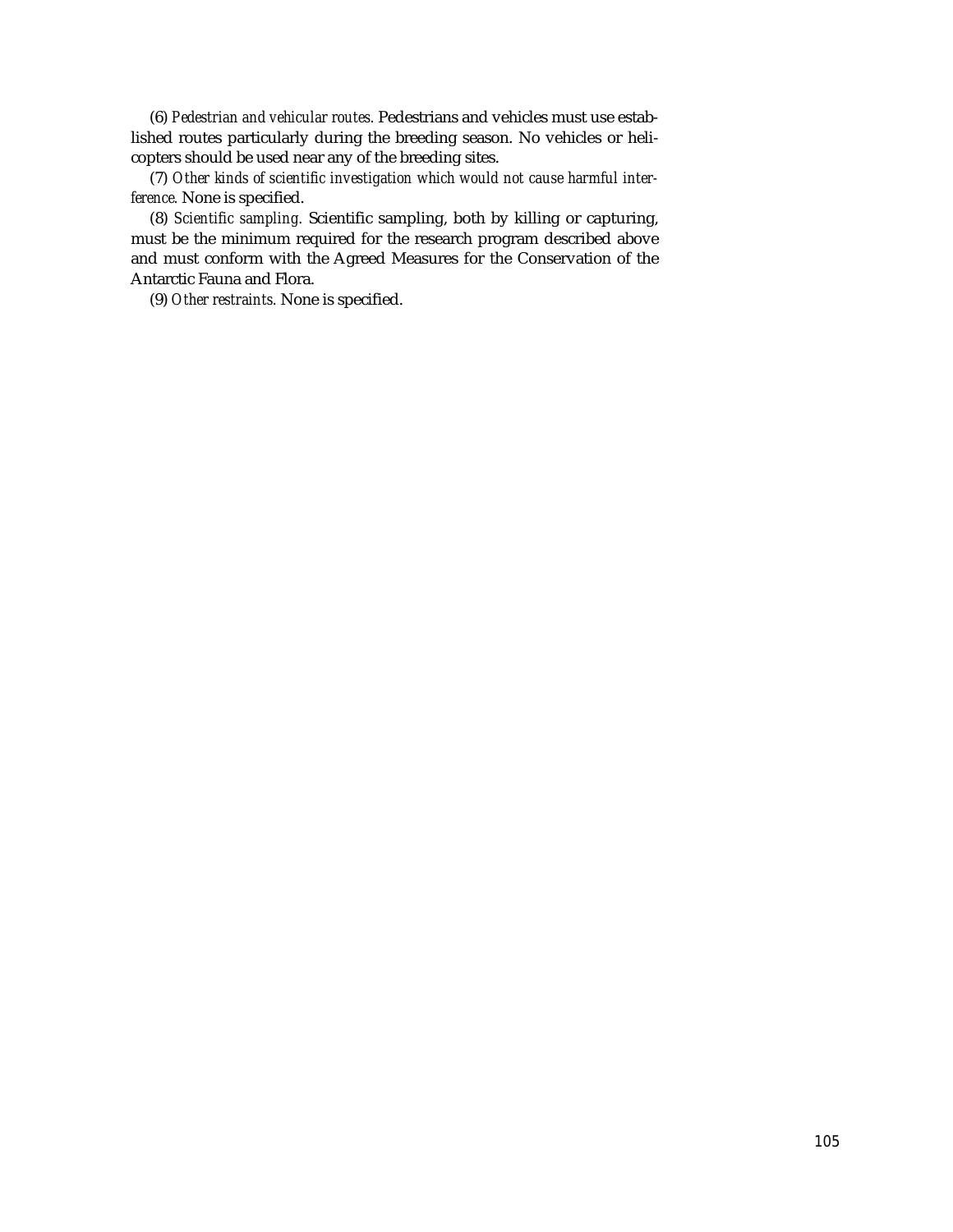(6) *Pedestrian and vehicular routes.* Pedestrians and vehicles must use established routes particularly during the breeding season. No vehicles or helicopters should be used near any of the breeding sites.

(7) *Other kinds of scientific investigation which would not cause harmful interference.* None is specified.

(8) *Scientific sampling.* Scientific sampling, both by killing or capturing, must be the minimum required for the research program described above and must conform with the Agreed Measures for the Conservation of the Antarctic Fauna and Flora.

(9) *Other restraints.* None is specified.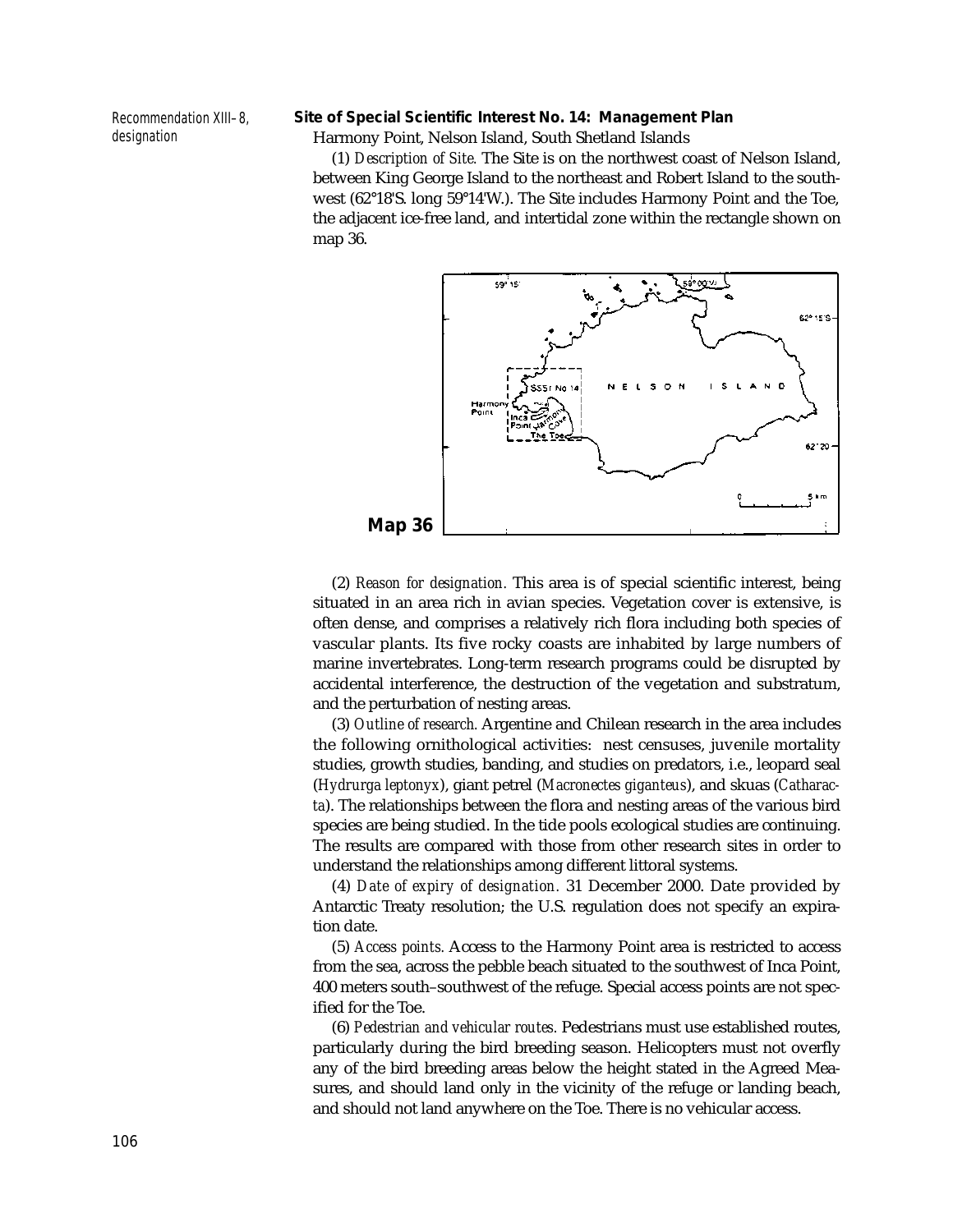Recommendation XIII–8, designation

## **Site of Special Scientific Interest No. 14: Management Plan**

Harmony Point, Nelson Island, South Shetland Islands

(1) *Description of Site.* The Site is on the northwest coast of Nelson Island, between King George Island to the northeast and Robert Island to the southwest (62°18'S. long 59°14'W.). The Site includes Harmony Point and the Toe, the adjacent ice-free land, and intertidal zone within the rectangle shown on map 36.



(2) *Reason for designation.* This area is of special scientific interest, being situated in an area rich in avian species. Vegetation cover is extensive, is often dense, and comprises a relatively rich flora including both species of vascular plants. Its five rocky coasts are inhabited by large numbers of marine invertebrates. Long-term research programs could be disrupted by accidental interference, the destruction of the vegetation and substratum, and the perturbation of nesting areas.

(3) *Outline of research.* Argentine and Chilean research in the area includes the following ornithological activities: nest censuses, juvenile mortality studies, growth studies, banding, and studies on predators, i.e., leopard seal (*Hydrurga leptonyx*), giant petrel (*Macronectes giganteus*), and skuas (*Catharacta*). The relationships between the flora and nesting areas of the various bird species are being studied. In the tide pools ecological studies are continuing. The results are compared with those from other research sites in order to understand the relationships among different littoral systems.

(4) *Date of expiry of designation.* 31 December 2000. Date provided by Antarctic Treaty resolution; the U.S. regulation does not specify an expiration date.

(5) *Access points.* Access to the Harmony Point area is restricted to access from the sea, across the pebble beach situated to the southwest of Inca Point, 400 meters south–southwest of the refuge. Special access points are not specified for the Toe.

(6) *Pedestrian and vehicular routes.* Pedestrians must use established routes, particularly during the bird breeding season. Helicopters must not overfly any of the bird breeding areas below the height stated in the Agreed Measures, and should land only in the vicinity of the refuge or landing beach, and should not land anywhere on the Toe. There is no vehicular access.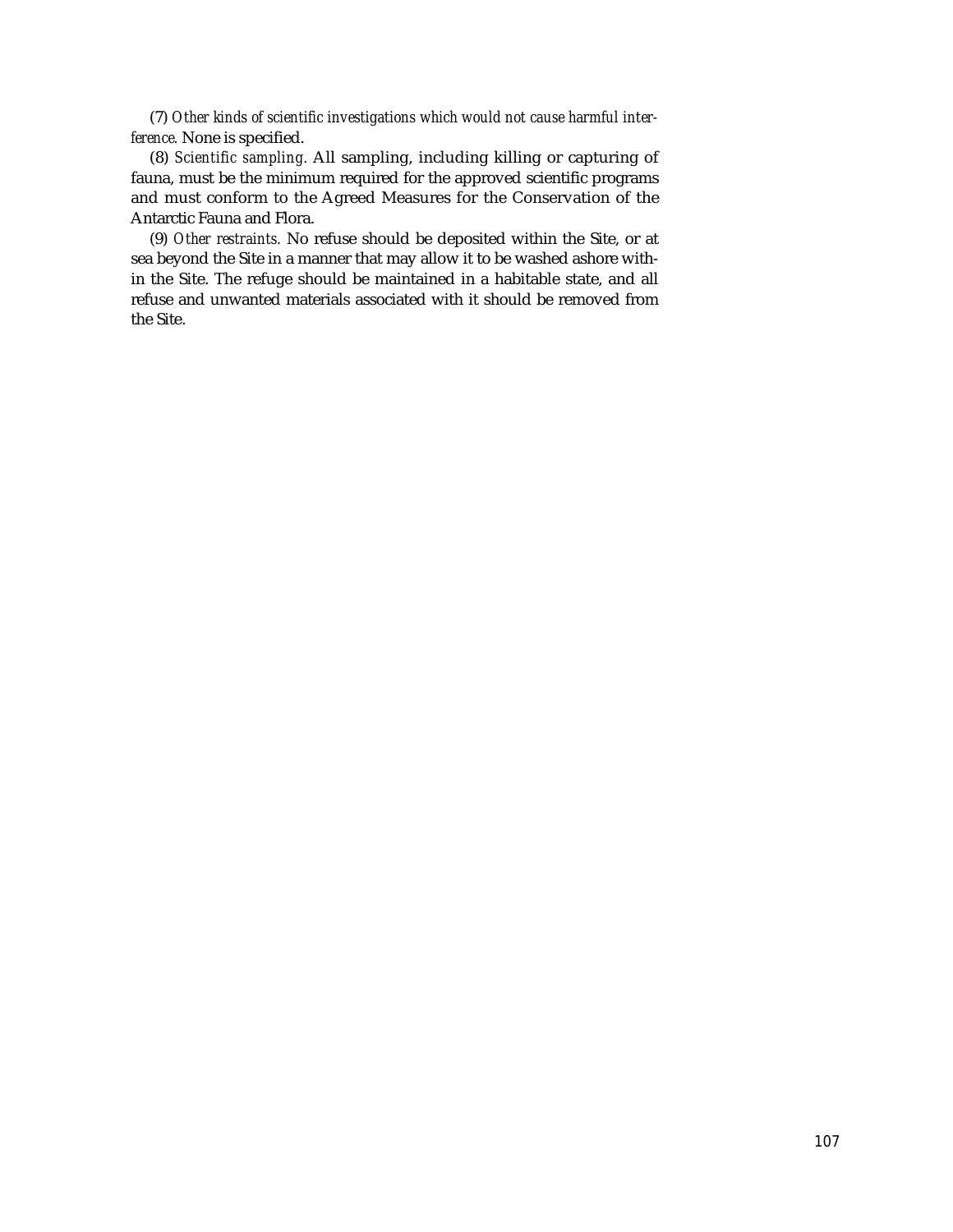(7) *Other kinds of scientific investigations which would not cause harmful interference.* None is specified.

(8) *Scientific sampling.* All sampling, including killing or capturing of fauna, must be the minimum required for the approved scientific programs and must conform to the Agreed Measures for the Conservation of the Antarctic Fauna and Flora.

(9) *Other restraints.* No refuse should be deposited within the Site, or at sea beyond the Site in a manner that may allow it to be washed ashore within the Site. The refuge should be maintained in a habitable state, and all refuse and unwanted materials associated with it should be removed from the Site.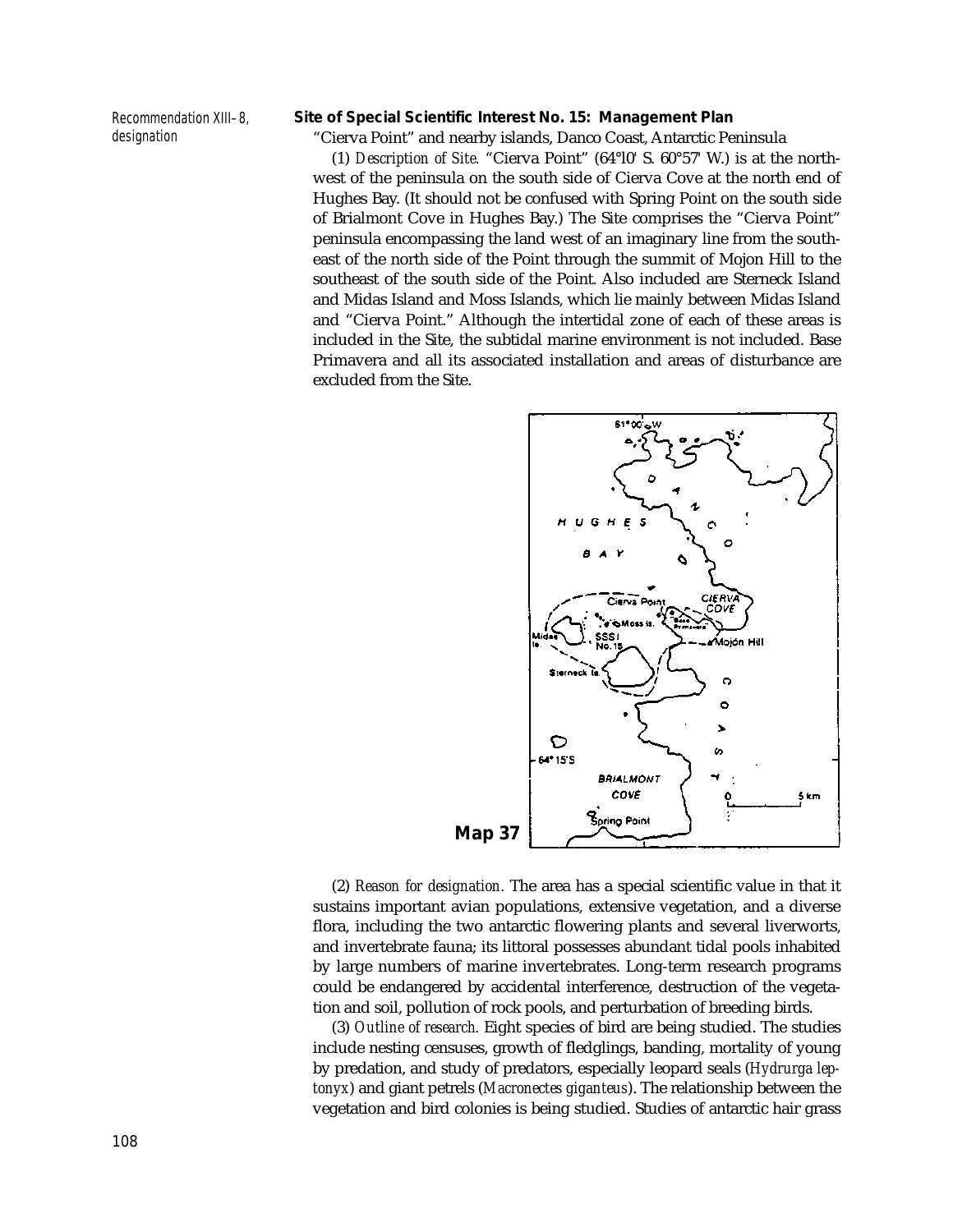Recommendation XIII–8, designation

## **Site of Special Scientific Interest No. 15: Management Plan**

"Cierva Point" and nearby islands, Danco Coast, Antarctic Peninsula

(1) *Description of Site.* "Cierva Point" (64°l0' S. 60°57' W.) is at the northwest of the peninsula on the south side of Cierva Cove at the north end of Hughes Bay. (It should not be confused with Spring Point on the south side of Brialmont Cove in Hughes Bay.) The Site comprises the "Cierva Point" peninsula encompassing the land west of an imaginary line from the southeast of the north side of the Point through the summit of Mojon Hill to the southeast of the south side of the Point. Also included are Sterneck Island and Midas Island and Moss Islands, which lie mainly between Midas Island and "Cierva Point." Although the intertidal zone of each of these areas is included in the Site, the subtidal marine environment is not included. Base Primavera and all its associated installation and areas of disturbance are excluded from the Site.



(2) *Reason for designation.* The area has a special scientific value in that it sustains important avian populations, extensive vegetation, and a diverse flora, including the two antarctic flowering plants and several liverworts, and invertebrate fauna; its littoral possesses abundant tidal pools inhabited by large numbers of marine invertebrates. Long-term research programs could be endangered by accidental interference, destruction of the vegetation and soil, pollution of rock pools, and perturbation of breeding birds.

(3) *Outline of research.* Eight species of bird are being studied. The studies include nesting censuses, growth of fledglings, banding, mortality of young by predation, and study of predators, especially leopard seals (*Hydrurga leptonyx*) and giant petrels (*Macronectes giganteus*). The relationship between the vegetation and bird colonies is being studied. Studies of antarctic hair grass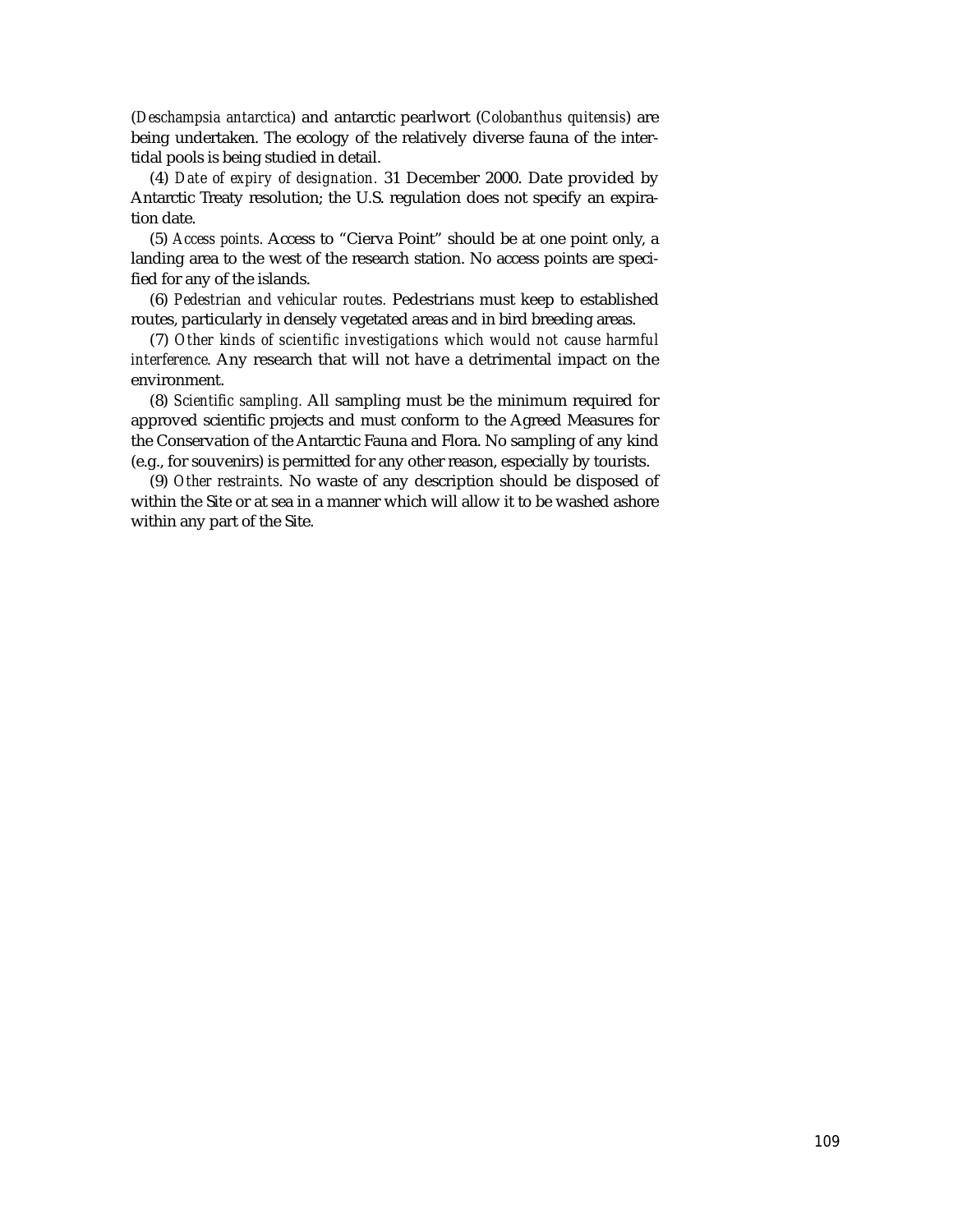(*Deschampsia antarctica*) and antarctic pearlwort (*Colobanthus quitensis*) are being undertaken. The ecology of the relatively diverse fauna of the intertidal pools is being studied in detail.

(4) *Date of expiry of designation.* 31 December 2000. Date provided by Antarctic Treaty resolution; the U.S. regulation does not specify an expiration date.

(5) *Access points.* Access to "Cierva Point" should be at one point only, a landing area to the west of the research station. No access points are specified for any of the islands.

(6) *Pedestrian and vehicular routes.* Pedestrians must keep to established routes, particularly in densely vegetated areas and in bird breeding areas.

(7) *Other kinds of scientific investigations which would not cause harmful interference.* Any research that will not have a detrimental impact on the environment.

(8) *Scientific sampling.* All sampling must be the minimum required for approved scientific projects and must conform to the Agreed Measures for the Conservation of the Antarctic Fauna and Flora. No sampling of any kind (e.g., for souvenirs) is permitted for any other reason, especially by tourists.

(9) *Other restraints.* No waste of any description should be disposed of within the Site or at sea in a manner which will allow it to be washed ashore within any part of the Site.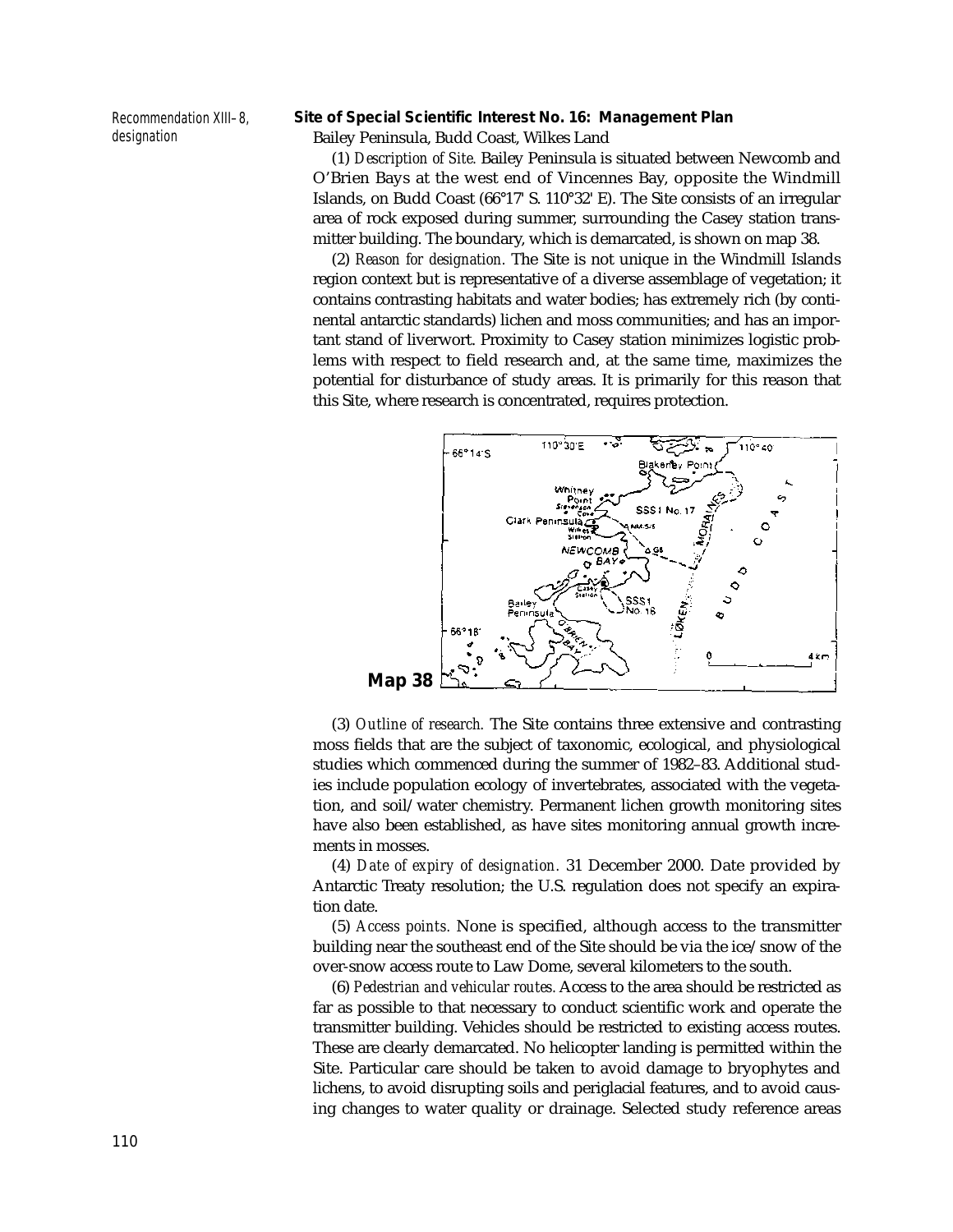Recommendation XIII–8, designation

# **Site of Special Scientific Interest No. 16: Management Plan**

Bailey Peninsula, Budd Coast, Wilkes Land

(1) *Description of Site.* Bailey Peninsula is situated between Newcomb and O'Brien Bays at the west end of Vincennes Bay, opposite the Windmill Islands, on Budd Coast (66°17' S. 110°32' E). The Site consists of an irregular area of rock exposed during summer, surrounding the Casey station transmitter building. The boundary, which is demarcated, is shown on map 38.

(2) *Reason for designation.* The Site is not unique in the Windmill Islands region context but is representative of a diverse assemblage of vegetation; it contains contrasting habitats and water bodies; has extremely rich (by continental antarctic standards) lichen and moss communities; and has an important stand of liverwort. Proximity to Casey station minimizes logistic problems with respect to field research and, at the same time, maximizes the potential for disturbance of study areas. It is primarily for this reason that this Site, where research is concentrated, requires protection.



(3) *Outline of research.* The Site contains three extensive and contrasting moss fields that are the subject of taxonomic, ecological, and physiological studies which commenced during the summer of 1982–83. Additional studies include population ecology of invertebrates, associated with the vegetation, and soil/water chemistry. Permanent lichen growth monitoring sites have also been established, as have sites monitoring annual growth increments in mosses.

(4) *Date of expiry of designation.* 31 December 2000. Date provided by Antarctic Treaty resolution; the U.S. regulation does not specify an expiration date.

(5) *Access points.* None is specified, although access to the transmitter building near the southeast end of the Site should be via the ice/snow of the over-snow access route to Law Dome, several kilometers to the south.

(6) *Pedestrian and vehicular routes.* Access to the area should be restricted as far as possible to that necessary to conduct scientific work and operate the transmitter building. Vehicles should be restricted to existing access routes. These are clearly demarcated. No helicopter landing is permitted within the Site. Particular care should be taken to avoid damage to bryophytes and lichens, to avoid disrupting soils and periglacial features, and to avoid causing changes to water quality or drainage. Selected study reference areas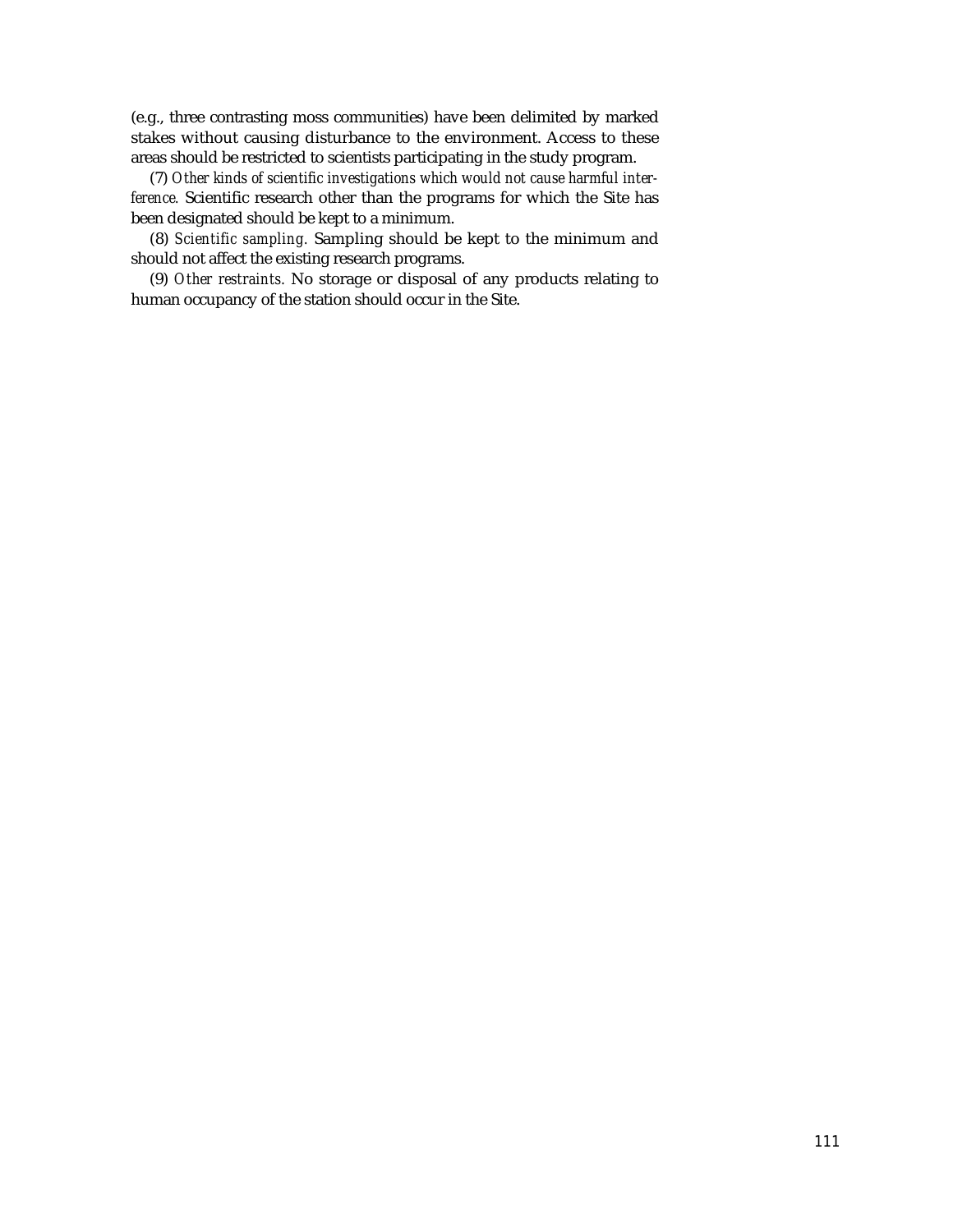(e.g., three contrasting moss communities) have been delimited by marked stakes without causing disturbance to the environment. Access to these areas should be restricted to scientists participating in the study program.

(7) *Other kinds of scientific investigations which would not cause harmful interference.* Scientific research other than the programs for which the Site has been designated should be kept to a minimum.

(8) *Scientific sampling.* Sampling should be kept to the minimum and should not affect the existing research programs.

(9) *Other restraints.* No storage or disposal of any products relating to human occupancy of the station should occur in the Site.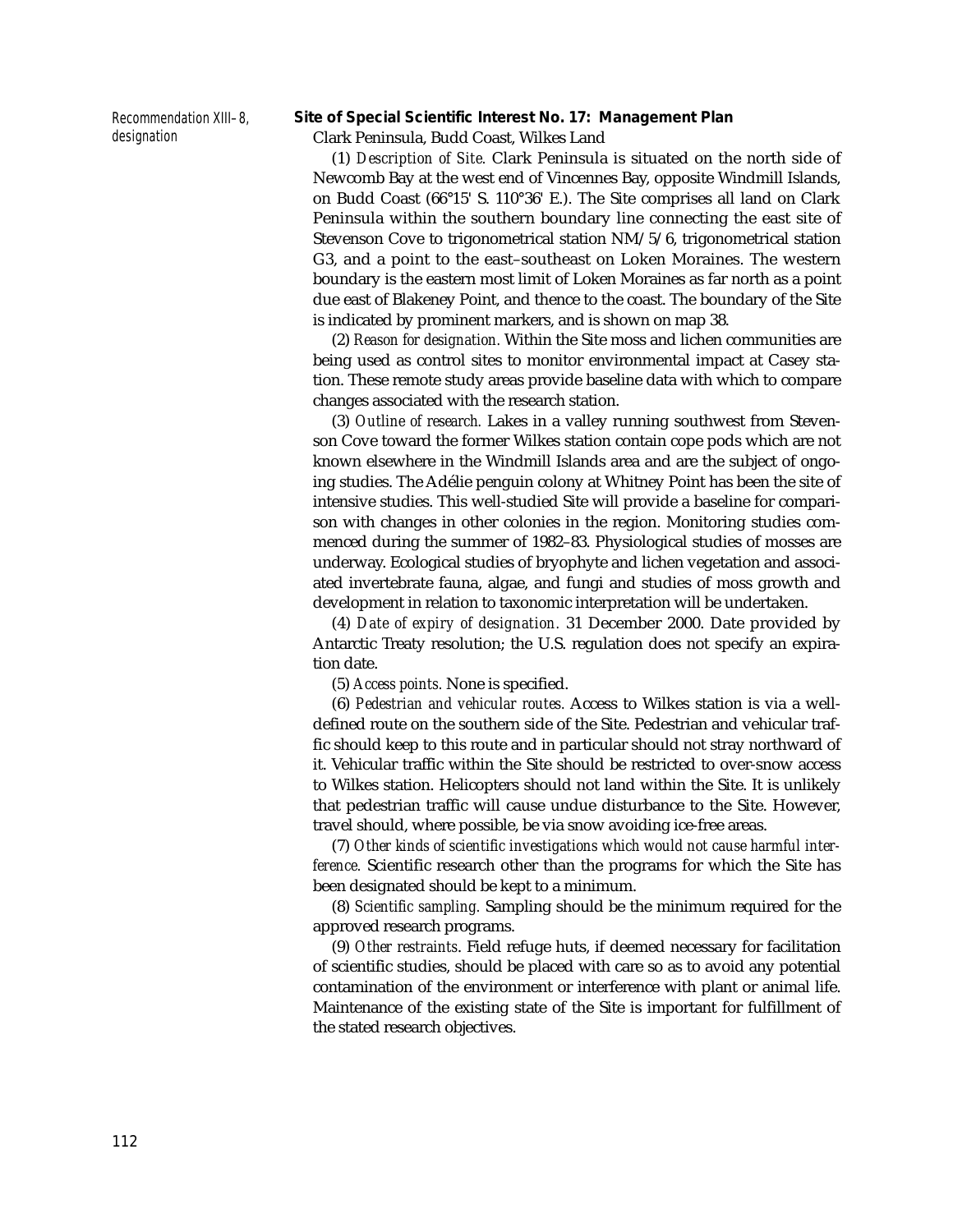Recommendation XIII–8, designation

## **Site of Special Scientific Interest No. 17: Management Plan**

Clark Peninsula, Budd Coast, Wilkes Land

(1) *Description of Site.* Clark Peninsula is situated on the north side of Newcomb Bay at the west end of Vincennes Bay, opposite Windmill Islands, on Budd Coast (66°15' S. 110°36' E.). The Site comprises all land on Clark Peninsula within the southern boundary line connecting the east site of Stevenson Cove to trigonometrical station NM/5/6, trigonometrical station G3, and a point to the east–southeast on Loken Moraines. The western boundary is the eastern most limit of Loken Moraines as far north as a point due east of Blakeney Point, and thence to the coast. The boundary of the Site is indicated by prominent markers, and is shown on map 38.

(2) *Reason for designation.* Within the Site moss and lichen communities are being used as control sites to monitor environmental impact at Casey station. These remote study areas provide baseline data with which to compare changes associated with the research station.

(3) *Outline of research.* Lakes in a valley running southwest from Stevenson Cove toward the former Wilkes station contain cope pods which are not known elsewhere in the Windmill Islands area and are the subject of ongoing studies. The Adélie penguin colony at Whitney Point has been the site of intensive studies. This well-studied Site will provide a baseline for comparison with changes in other colonies in the region. Monitoring studies commenced during the summer of 1982–83. Physiological studies of mosses are underway. Ecological studies of bryophyte and lichen vegetation and associated invertebrate fauna, algae, and fungi and studies of moss growth and development in relation to taxonomic interpretation will be undertaken.

(4) *Date of expiry of designation.* 31 December 2000. Date provided by Antarctic Treaty resolution; the U.S. regulation does not specify an expiration date.

(5) *Access points.* None is specified.

(6) *Pedestrian and vehicular routes.* Access to Wilkes station is via a welldefined route on the southern side of the Site. Pedestrian and vehicular traffic should keep to this route and in particular should not stray northward of it. Vehicular traffic within the Site should be restricted to over-snow access to Wilkes station. Helicopters should not land within the Site. It is unlikely that pedestrian traffic will cause undue disturbance to the Site. However, travel should, where possible, be via snow avoiding ice-free areas.

(7) *Other kinds of scientific investigations which would not cause harmful interference.* Scientific research other than the programs for which the Site has been designated should be kept to a minimum.

(8) *Scientific sampling.* Sampling should be the minimum required for the approved research programs.

(9) *Other restraints*. Field refuge huts, if deemed necessary for facilitation of scientific studies, should be placed with care so as to avoid any potential contamination of the environment or interference with plant or animal life. Maintenance of the existing state of the Site is important for fulfillment of the stated research objectives.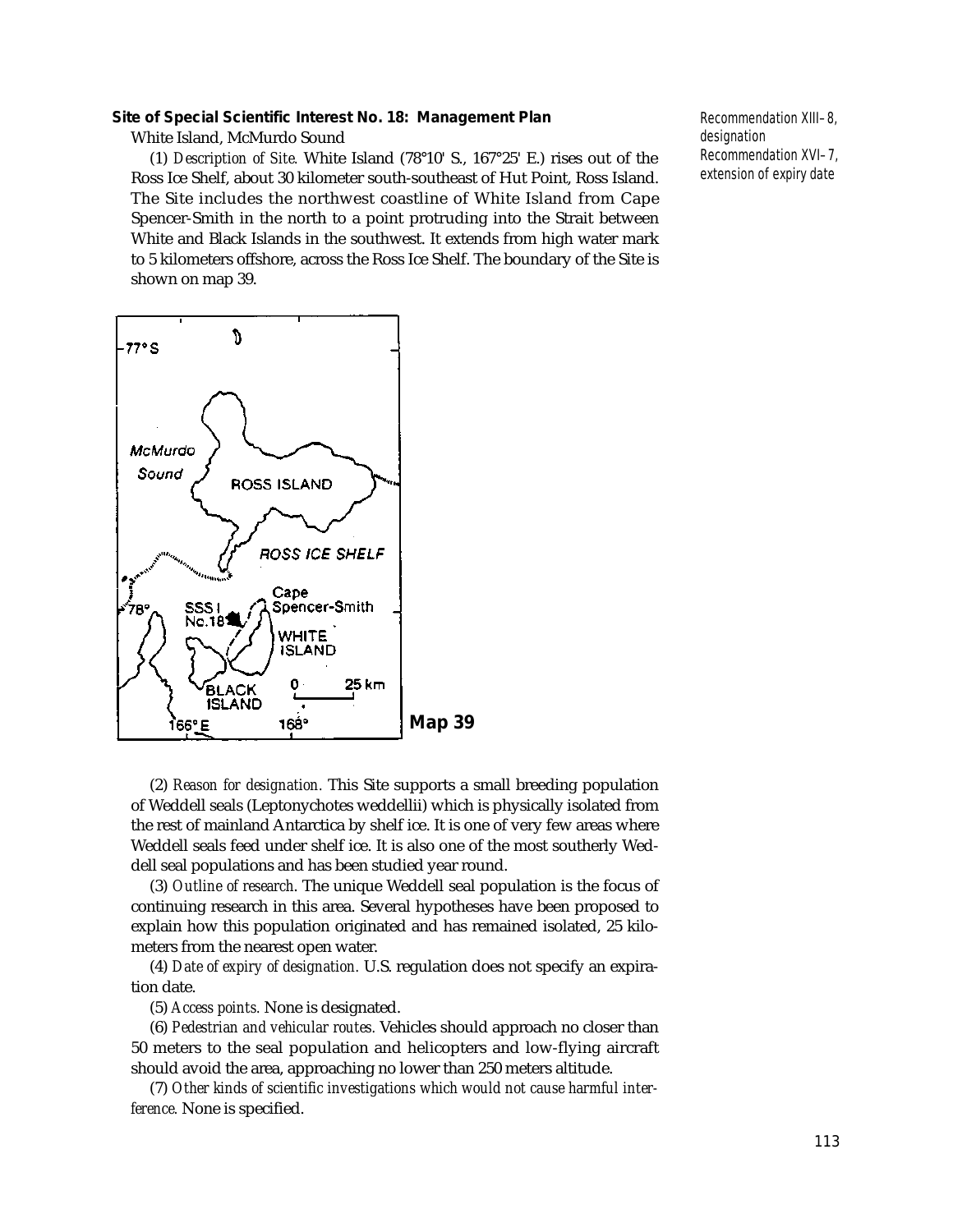## **Site of Special Scientific Interest No. 18: Management Plan**

White Island, McMurdo Sound

(1) *Description of Site.* White Island (78°10' S., 167°25' E.) rises out of the Ross Ice Shelf, about 30 kilometer south-southeast of Hut Point, Ross Island. The Site includes the northwest coastline of White Island from Cape Spencer-Smith in the north to a point protruding into the Strait between White and Black Islands in the southwest. It extends from high water mark to 5 kilometers offshore, across the Ross Ice Shelf. The boundary of the Site is shown on map 39.

Recommendation XIII–8, designation Recommendation XVI–7, extension of expiry date



(2) *Reason for designation.* This Site supports a small breeding population of Weddell seals (Leptonychotes weddellii) which is physically isolated from the rest of mainland Antarctica by shelf ice. It is one of very few areas where Weddell seals feed under shelf ice. It is also one of the most southerly Weddell seal populations and has been studied year round.

(3) *Outline of research*. The unique Weddell seal population is the focus of continuing research in this area. Several hypotheses have been proposed to explain how this population originated and has remained isolated, 25 kilometers from the nearest open water.

(4) *Date of expiry of designation.* U.S. regulation does not specify an expiration date.

(5) *Access points.* None is designated.

(6) *Pedestrian and vehicular routes.* Vehicles should approach no closer than 50 meters to the seal population and helicopters and low-flying aircraft should avoid the area, approaching no lower than 250 meters altitude.

(7) *Other kinds of scientific investigations which would not cause harmful interference.* None is specified.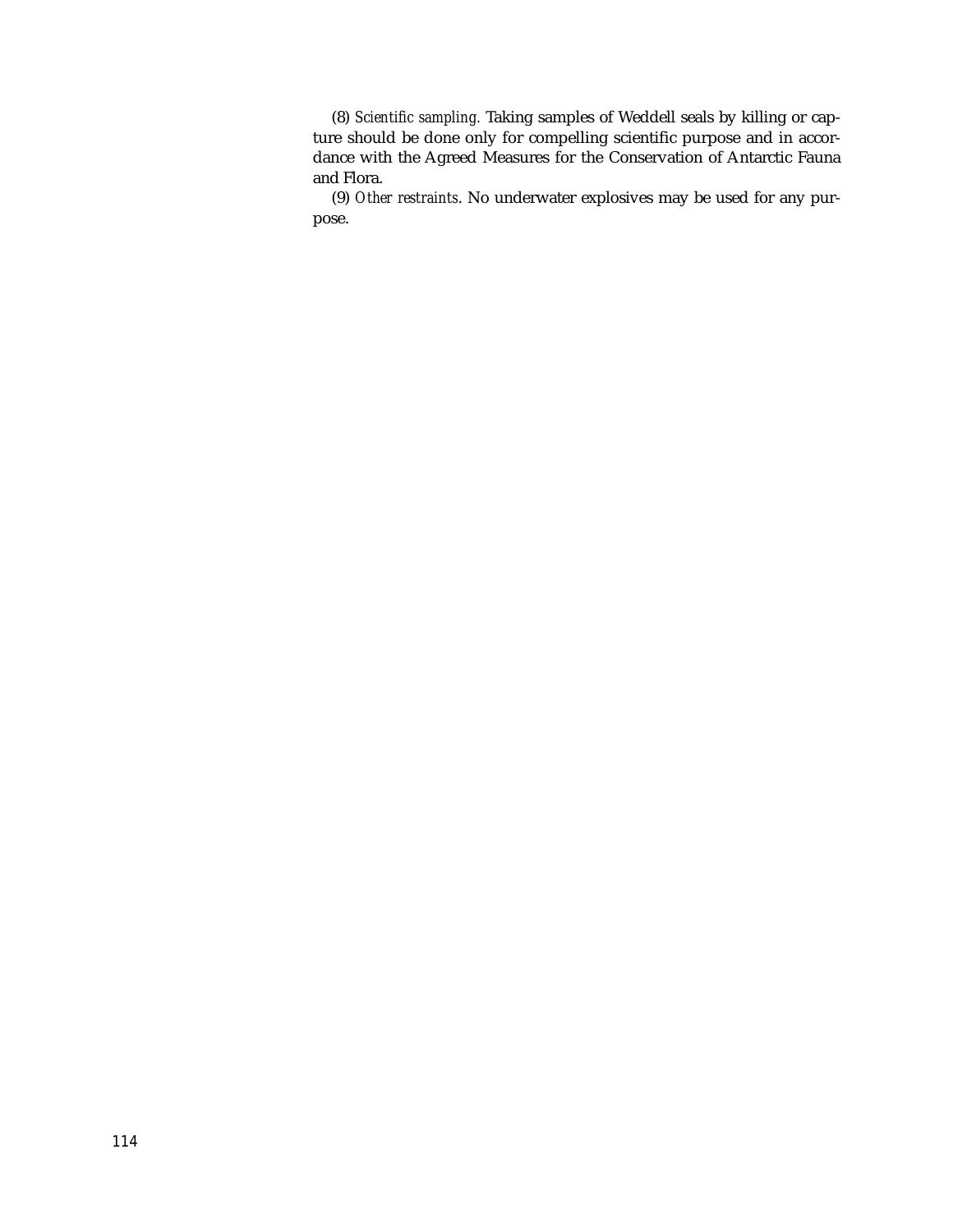(8) *Scientific sampling.* Taking samples of Weddell seals by killing or capture should be done only for compelling scientific purpose and in accordance with the Agreed Measures for the Conservation of Antarctic Fauna and Flora.

(9) *Other restraints*. No underwater explosives may be used for any purpose.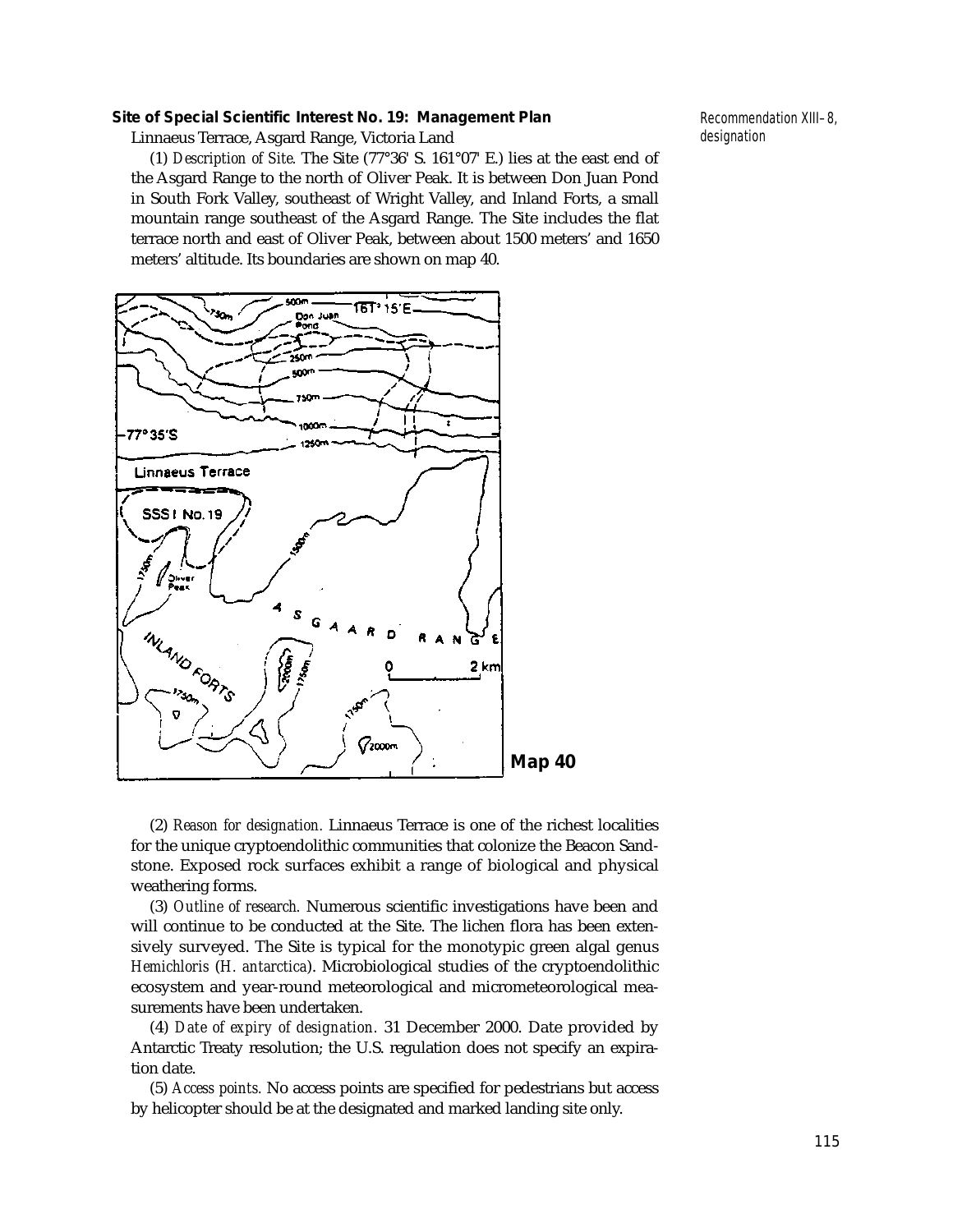#### **Site of Special Scientific Interest No. 19: Management Plan**

Linnaeus Terrace, Asgard Range, Victoria Land

(1) *Description of Site.* The Site (77°36' S. 161°07' E.) lies at the east end of the Asgard Range to the north of Oliver Peak. It is between Don Juan Pond in South Fork Valley, southeast of Wright Valley, and Inland Forts, a small mountain range southeast of the Asgard Range. The Site includes the flat terrace north and east of Oliver Peak, between about 1500 meters' and 1650 meters' altitude. Its boundaries are shown on map 40.



(2) *Reason for designation.* Linnaeus Terrace is one of the richest localities for the unique cryptoendolithic communities that colonize the Beacon Sandstone. Exposed rock surfaces exhibit a range of biological and physical weathering forms.

(3) *Outline of research.* Numerous scientific investigations have been and will continue to be conducted at the Site. The lichen flora has been extensively surveyed. The Site is typical for the monotypic green algal genus *Hemichloris* (*H. antarctica*). Microbiological studies of the cryptoendolithic ecosystem and year-round meteorological and micrometeorological measurements have been undertaken.

(4) *Date of expiry of designation.* 31 December 2000. Date provided by Antarctic Treaty resolution; the U.S. regulation does not specify an expiration date.

(5) *Access points.* No access points are specified for pedestrians but access by helicopter should be at the designated and marked landing site only.

Recommendation XIII–8, designation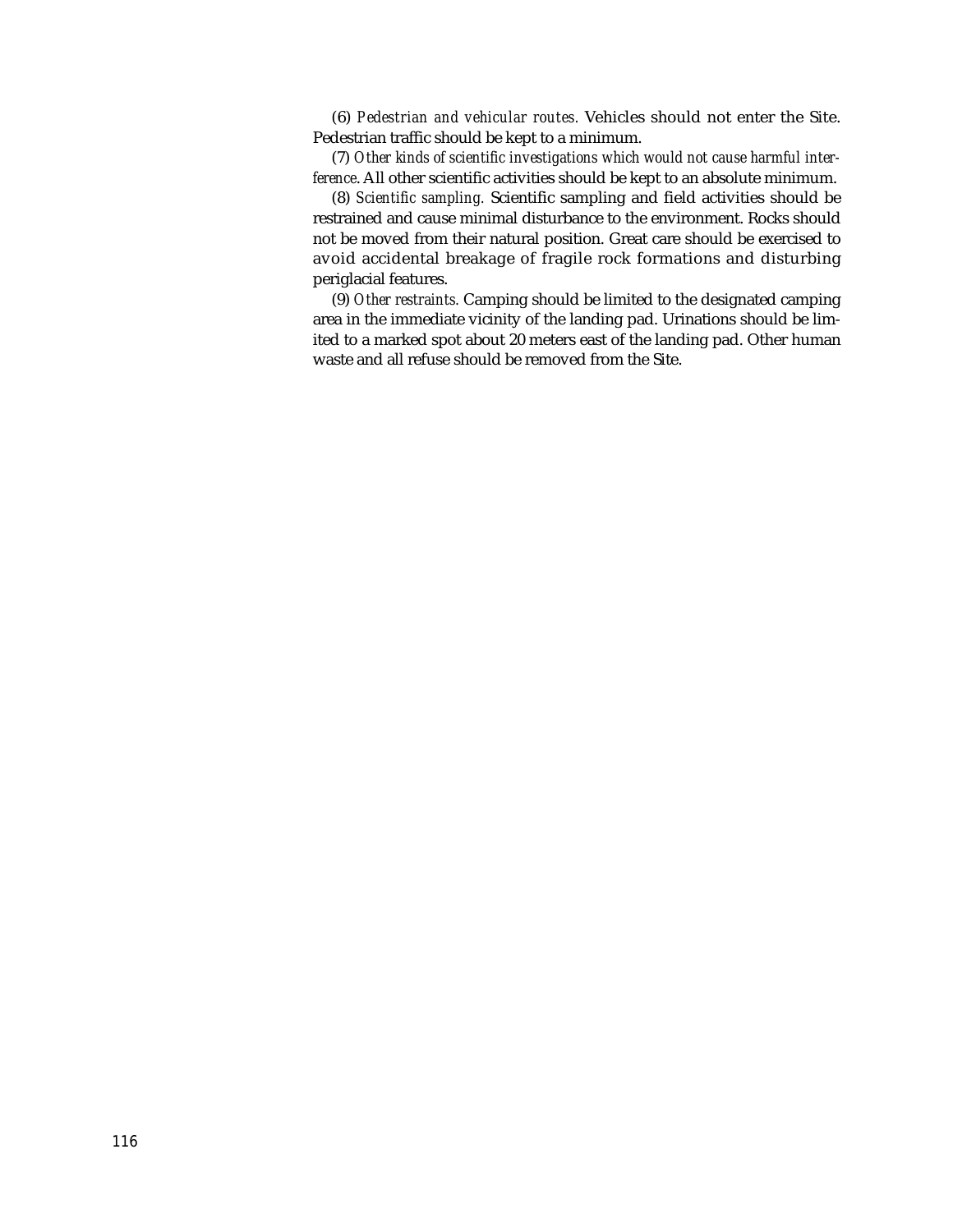(6) *Pedestrian and vehicular routes.* Vehicles should not enter the Site. Pedestrian traffic should be kept to a minimum.

(7) *Other kinds of scientific investigations which would not cause harmful interference*. All other scientific activities should be kept to an absolute minimum.

(8) *Scientific sampling.* Scientific sampling and field activities should be restrained and cause minimal disturbance to the environment. Rocks should not be moved from their natural position. Great care should be exercised to avoid accidental breakage of fragile rock formations and disturbing periglacial features.

(9) *Other restraints.* Camping should be limited to the designated camping area in the immediate vicinity of the landing pad. Urinations should be limited to a marked spot about 20 meters east of the landing pad. Other human waste and all refuse should be removed from the Site.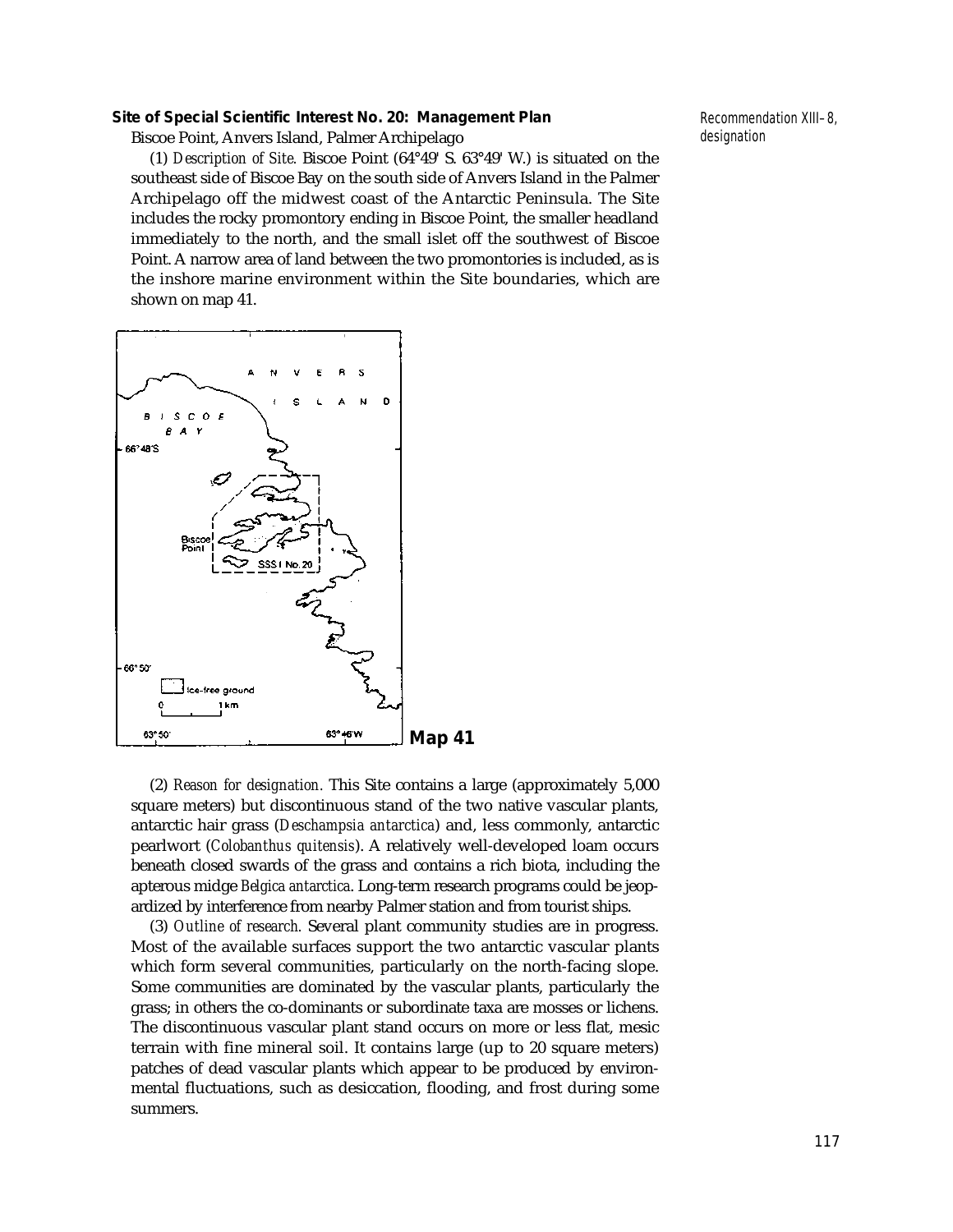## **Site of Special Scientific Interest No. 20: Management Plan**

Biscoe Point, Anvers Island, Palmer Archipelago

(1) *Description of Site.* Biscoe Point (64°49' S. 63°49' W.) is situated on the southeast side of Biscoe Bay on the south side of Anvers Island in the Palmer Archipelago off the midwest coast of the Antarctic Peninsula. The Site includes the rocky promontory ending in Biscoe Point, the smaller headland immediately to the north, and the small islet off the southwest of Biscoe Point. A narrow area of land between the two promontories is included, as is the inshore marine environment within the Site boundaries, which are shown on map 41.



(2) *Reason for designation.* This Site contains a large (approximately 5,000 square meters) but discontinuous stand of the two native vascular plants, antarctic hair grass (*Deschampsia antarctica*) and, less commonly, antarctic pearlwort (*Colobanthus quitensis*). A relatively well-developed loam occurs beneath closed swards of the grass and contains a rich biota, including the apterous midge *Belgica antarctica*. Long-term research programs could be jeopardized by interference from nearby Palmer station and from tourist ships.

(3) *Outline of research.* Several plant community studies are in progress. Most of the available surfaces support the two antarctic vascular plants which form several communities, particularly on the north-facing slope. Some communities are dominated by the vascular plants, particularly the grass; in others the co-dominants or subordinate taxa are mosses or lichens. The discontinuous vascular plant stand occurs on more or less flat, mesic terrain with fine mineral soil. It contains large (up to 20 square meters) patches of dead vascular plants which appear to be produced by environmental fluctuations, such as desiccation, flooding, and frost during some summers.

Recommendation XIII–8, designation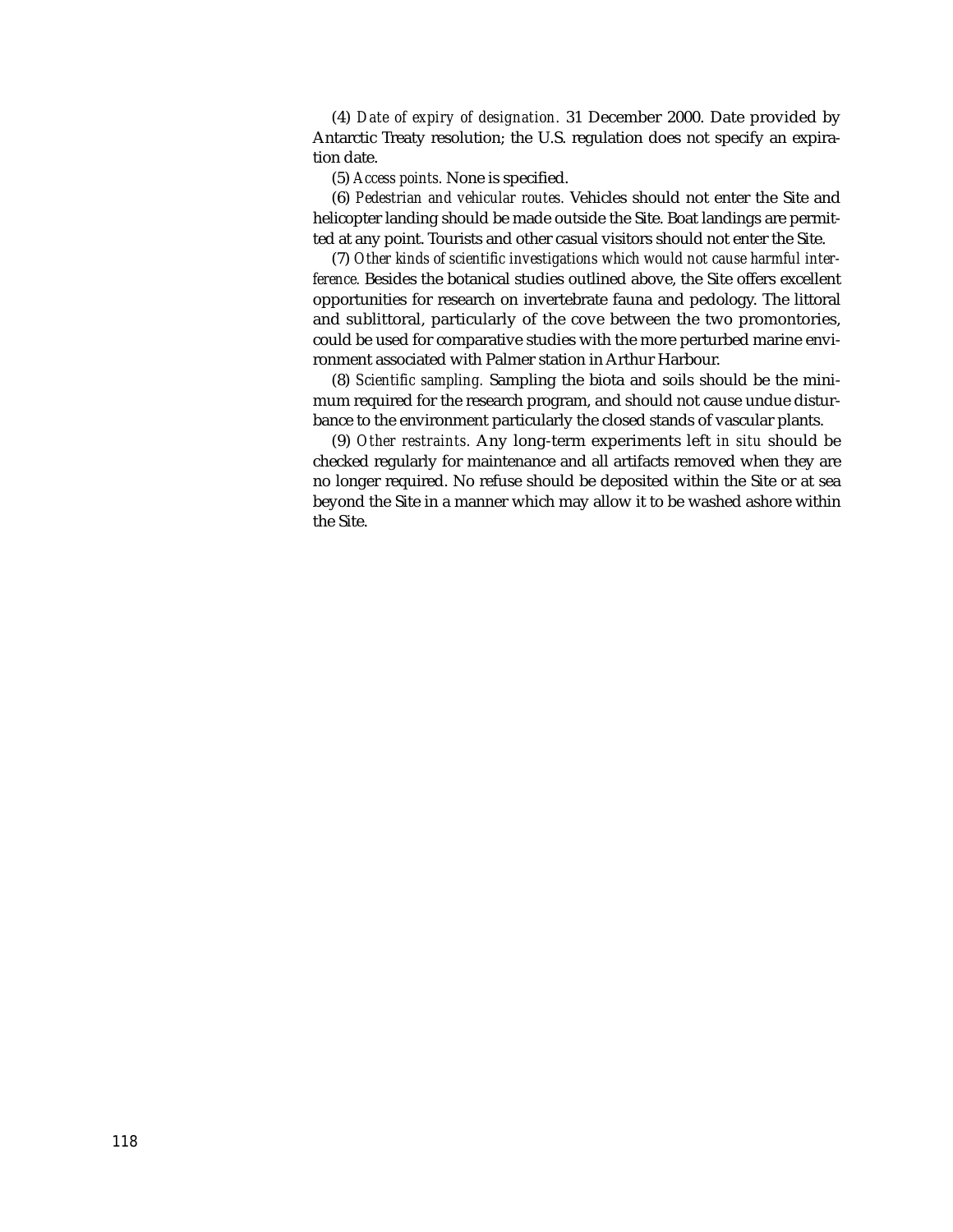(4) *Date of expiry of designation.* 31 December 2000. Date provided by Antarctic Treaty resolution; the U.S. regulation does not specify an expiration date.

(5) *Access points.* None is specified.

(6) *Pedestrian and vehicular routes.* Vehicles should not enter the Site and helicopter landing should be made outside the Site. Boat landings are permitted at any point. Tourists and other casual visitors should not enter the Site.

(7) *Other kinds of scientific investigations which would not cause harmful interference.* Besides the botanical studies outlined above, the Site offers excellent opportunities for research on invertebrate fauna and pedology. The littoral and sublittoral, particularly of the cove between the two promontories, could be used for comparative studies with the more perturbed marine environment associated with Palmer station in Arthur Harbour.

(8) *Scientific sampling.* Sampling the biota and soils should be the minimum required for the research program, and should not cause undue disturbance to the environment particularly the closed stands of vascular plants.

(9) *Other restraints.* Any long-term experiments left *in situ* should be checked regularly for maintenance and all artifacts removed when they are no longer required. No refuse should be deposited within the Site or at sea beyond the Site in a manner which may allow it to be washed ashore within the Site.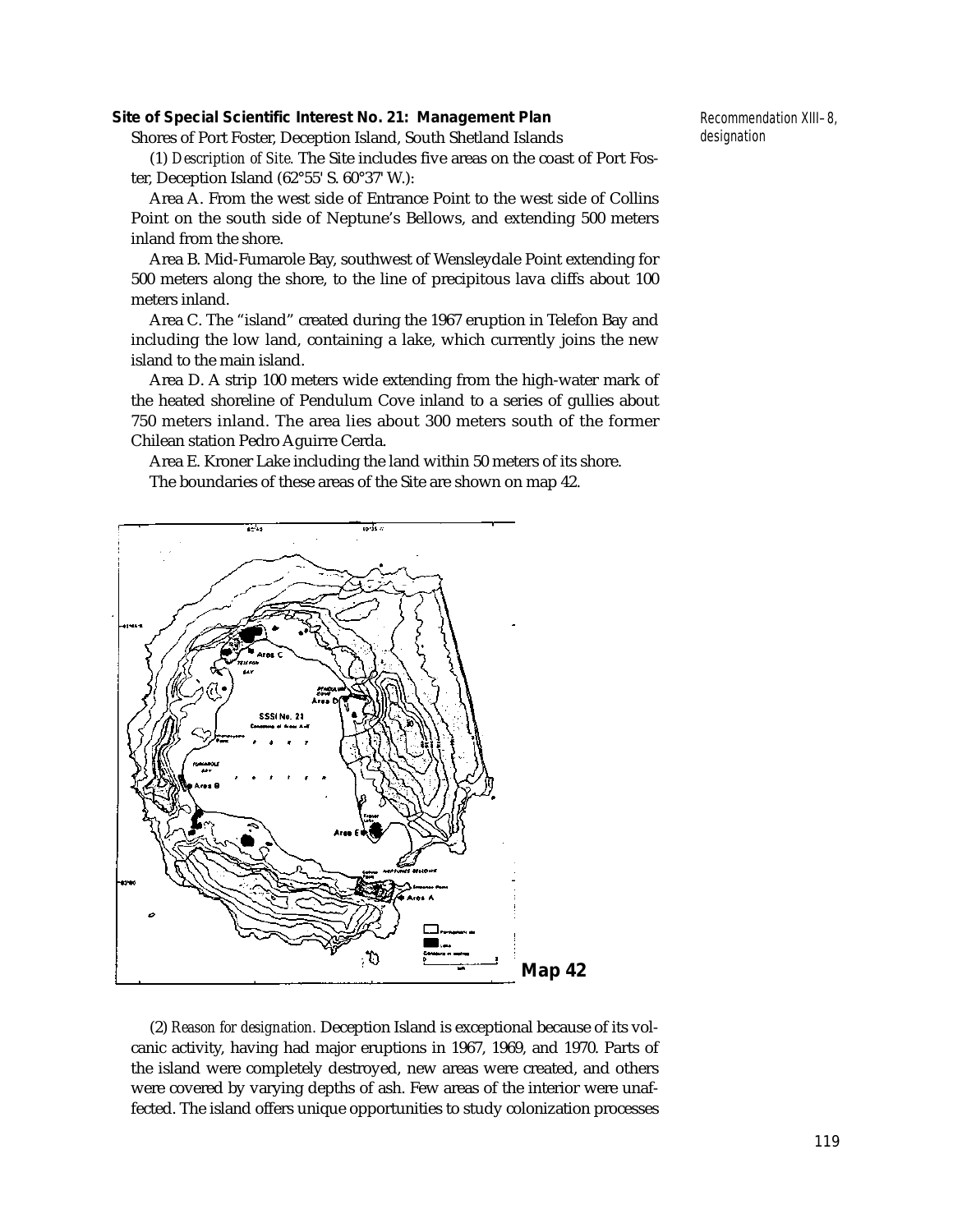## **Site of Special Scientific Interest No. 21: Management Plan**

Shores of Port Foster, Deception Island, South Shetland Islands

(1) *Description of Site.* The Site includes five areas on the coast of Port Foster, Deception Island (62°55' S. 60°37' W.):

Area A. From the west side of Entrance Point to the west side of Collins Point on the south side of Neptune's Bellows, and extending 500 meters inland from the shore.

Area B. Mid-Fumarole Bay, southwest of Wensleydale Point extending for 500 meters along the shore, to the line of precipitous lava cliffs about 100 meters inland.

Area C. The "island" created during the 1967 eruption in Telefon Bay and including the low land, containing a lake, which currently joins the new island to the main island.

Area D. A strip 100 meters wide extending from the high-water mark of the heated shoreline of Pendulum Cove inland to a series of gullies about 750 meters inland. The area lies about 300 meters south of the former Chilean station Pedro Aguirre Cerda.

Area E. Kroner Lake including the land within 50 meters of its shore. The boundaries of these areas of the Site are shown on map 42.



(2) *Reason for designation.* Deception Island is exceptional because of its volcanic activity, having had major eruptions in 1967, 1969, and 1970. Parts of the island were completely destroyed, new areas were created, and others were covered by varying depths of ash. Few areas of the interior were unaffected. The island offers unique opportunities to study colonization processes

Recommendation XIII–8, designation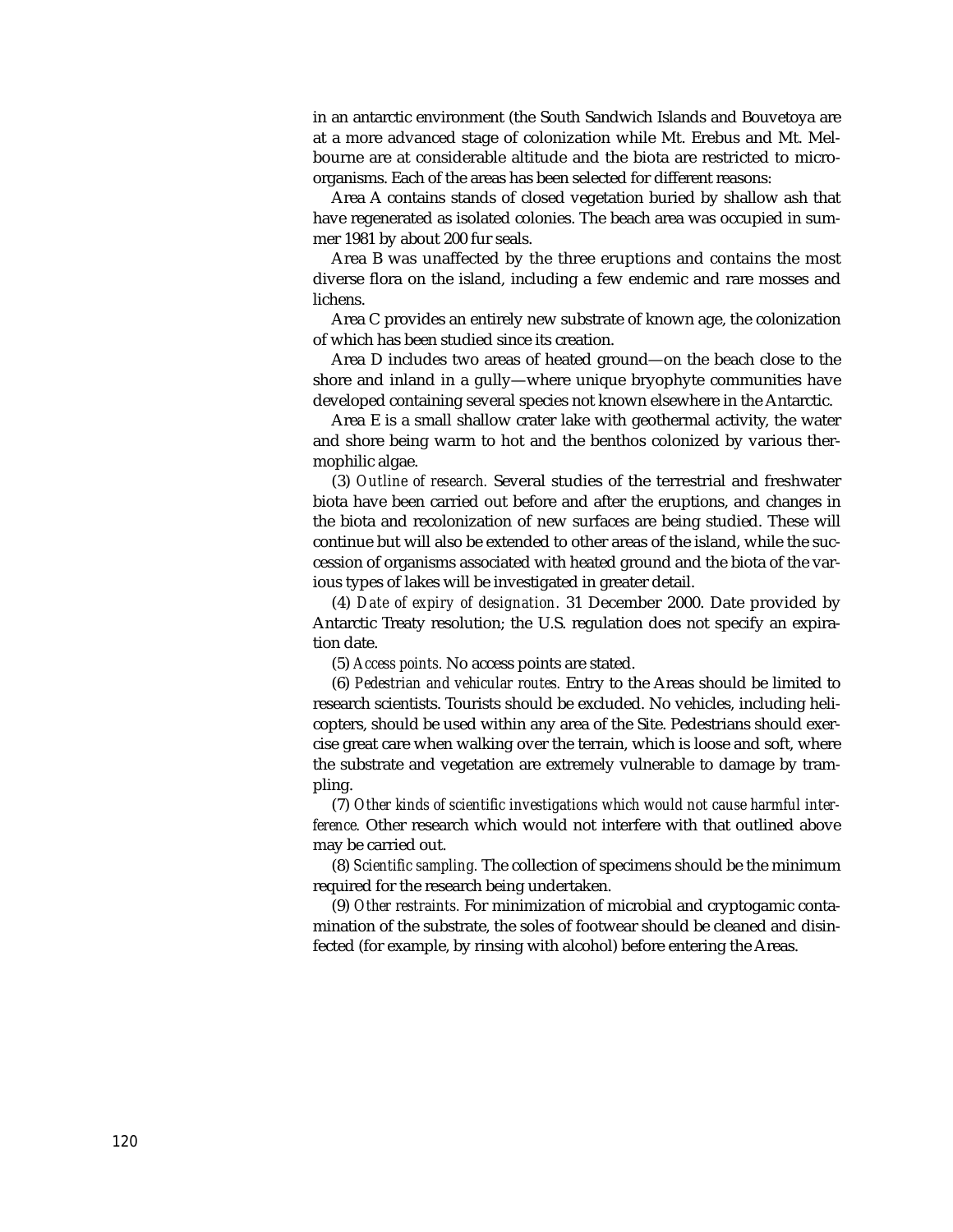in an antarctic environment (the South Sandwich Islands and Bouvetoya are at a more advanced stage of colonization while Mt. Erebus and Mt. Melbourne are at considerable altitude and the biota are restricted to microorganisms. Each of the areas has been selected for different reasons:

Area A contains stands of closed vegetation buried by shallow ash that have regenerated as isolated colonies. The beach area was occupied in summer 1981 by about 200 fur seals.

Area B was unaffected by the three eruptions and contains the most diverse flora on the island, including a few endemic and rare mosses and lichens.

Area C provides an entirely new substrate of known age, the colonization of which has been studied since its creation.

Area D includes two areas of heated ground—on the beach close to the shore and inland in a gully—where unique bryophyte communities have developed containing several species not known elsewhere in the Antarctic.

Area E is a small shallow crater lake with geothermal activity, the water and shore being warm to hot and the benthos colonized by various thermophilic algae.

(3) *Outline of research.* Several studies of the terrestrial and freshwater biota have been carried out before and after the eruptions, and changes in the biota and recolonization of new surfaces are being studied. These will continue but will also be extended to other areas of the island, while the succession of organisms associated with heated ground and the biota of the various types of lakes will be investigated in greater detail.

(4) *Date of expiry of designation.* 31 December 2000. Date provided by Antarctic Treaty resolution; the U.S. regulation does not specify an expiration date.

(5) *Access points.* No access points are stated.

(6) *Pedestrian and vehicular routes.* Entry to the Areas should be limited to research scientists. Tourists should be excluded. No vehicles, including helicopters, should be used within any area of the Site. Pedestrians should exercise great care when walking over the terrain, which is loose and soft, where the substrate and vegetation are extremely vulnerable to damage by trampling.

(7) *Other kinds of scientific investigations which would not cause harmful interference.* Other research which would not interfere with that outlined above may be carried out.

(8) *Scientific sampling.* The collection of specimens should be the minimum required for the research being undertaken.

(9) *Other restraints.* For minimization of microbial and cryptogamic contamination of the substrate, the soles of footwear should be cleaned and disinfected (for example, by rinsing with alcohol) before entering the Areas.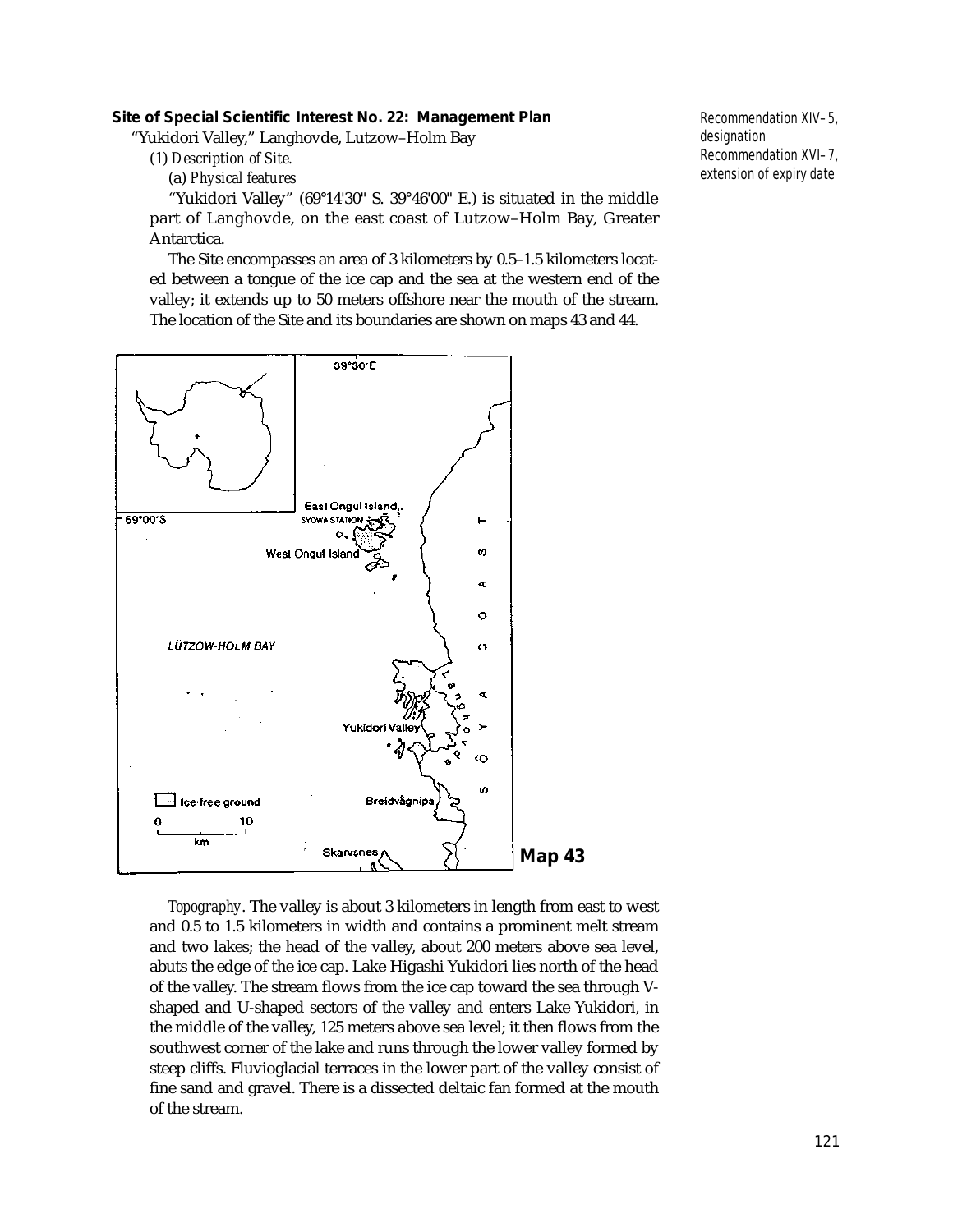#### **Site of Special Scientific Interest No. 22: Management Plan**

"Yukidori Valley," Langhovde, Lutzow–Holm Bay

(1) *Description of Site.*

(a) *Physical features*

"Yukidori Valley" (69°14'30" S. 39°46'00" E.) is situated in the middle part of Langhovde, on the east coast of Lutzow–Holm Bay, Greater Antarctica.

The Site encompasses an area of 3 kilometers by 0.5–1.5 kilometers located between a tongue of the ice cap and the sea at the western end of the valley; it extends up to 50 meters offshore near the mouth of the stream. The location of the Site and its boundaries are shown on maps 43 and 44.



*Topography*. The valley is about 3 kilometers in length from east to west and 0.5 to 1.5 kilometers in width and contains a prominent melt stream and two lakes; the head of the valley, about 200 meters above sea level, abuts the edge of the ice cap. Lake Higashi Yukidori lies north of the head of the valley. The stream flows from the ice cap toward the sea through Vshaped and U-shaped sectors of the valley and enters Lake Yukidori, in the middle of the valley, 125 meters above sea level; it then flows from the southwest corner of the lake and runs through the lower valley formed by steep cliffs. Fluvioglacial terraces in the lower part of the valley consist of fine sand and gravel. There is a dissected deltaic fan formed at the mouth of the stream.

Recommendation XIV–5, designation Recommendation XVI–7, extension of expiry date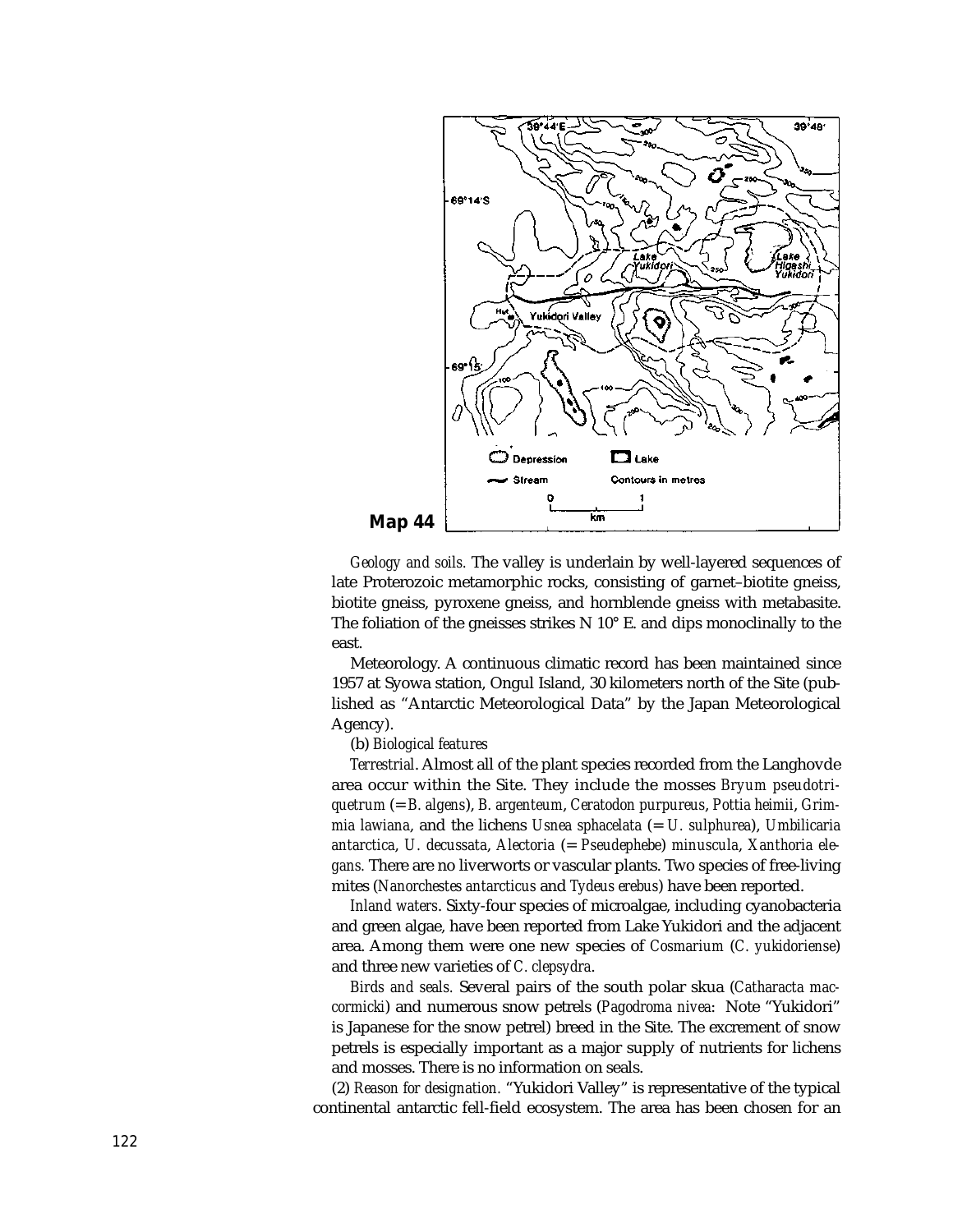

*Geology and soils.* The valley is underlain by well-layered sequences of late Proterozoic metamorphic rocks, consisting of garnet–biotite gneiss, biotite gneiss, pyroxene gneiss, and hornblende gneiss with metabasite. The foliation of the gneisses strikes N 10° E. and dips monoclinally to the east.

Meteorology. A continuous climatic record has been maintained since 1957 at Syowa station, Ongul Island, 30 kilometers north of the Site (published as "Antarctic Meteorological Data" by the Japan Meteorological Agency).

(b) *Biological features*

*Terrestrial*. Almost all of the plant species recorded from the Langhovde area occur within the Site. They include the mosses *Bryum pseudotriquetrum* (= *B. algens*), *B. argenteum*, *Ceratodon purpureus*, *Pottia heimii*, *Grimmia lawiana*, and the lichens *Usnea sphacelata* (= *U. sulphurea*), *Umbilicaria antarctica*, *U. decussata*, *Alectoria* (= *Pseudephebe*) *minuscula*, *Xanthoria elegans.* There are no liverworts or vascular plants. Two species of free-living mites (*Nanorchestes antarcticus* and *Tydeus erebus*) have been reported.

*Inland waters*. Sixty-four species of microalgae, including cyanobacteria and green algae, have been reported from Lake Yukidori and the adjacent area. Among them were one new species of *Cosmarium* (*C. yukidoriense*) and three new varieties of *C. clepsydra*.

*Birds and seals.* Several pairs of the south polar skua (*Catharacta maccormicki*) and numerous snow petrels (*Pagodroma nivea*: Note "Yukidori" is Japanese for the snow petrel) breed in the Site. The excrement of snow petrels is especially important as a major supply of nutrients for lichens and mosses. There is no information on seals.

(2) *Reason for designation.* "Yukidori Valley" is representative of the typical continental antarctic fell-field ecosystem. The area has been chosen for an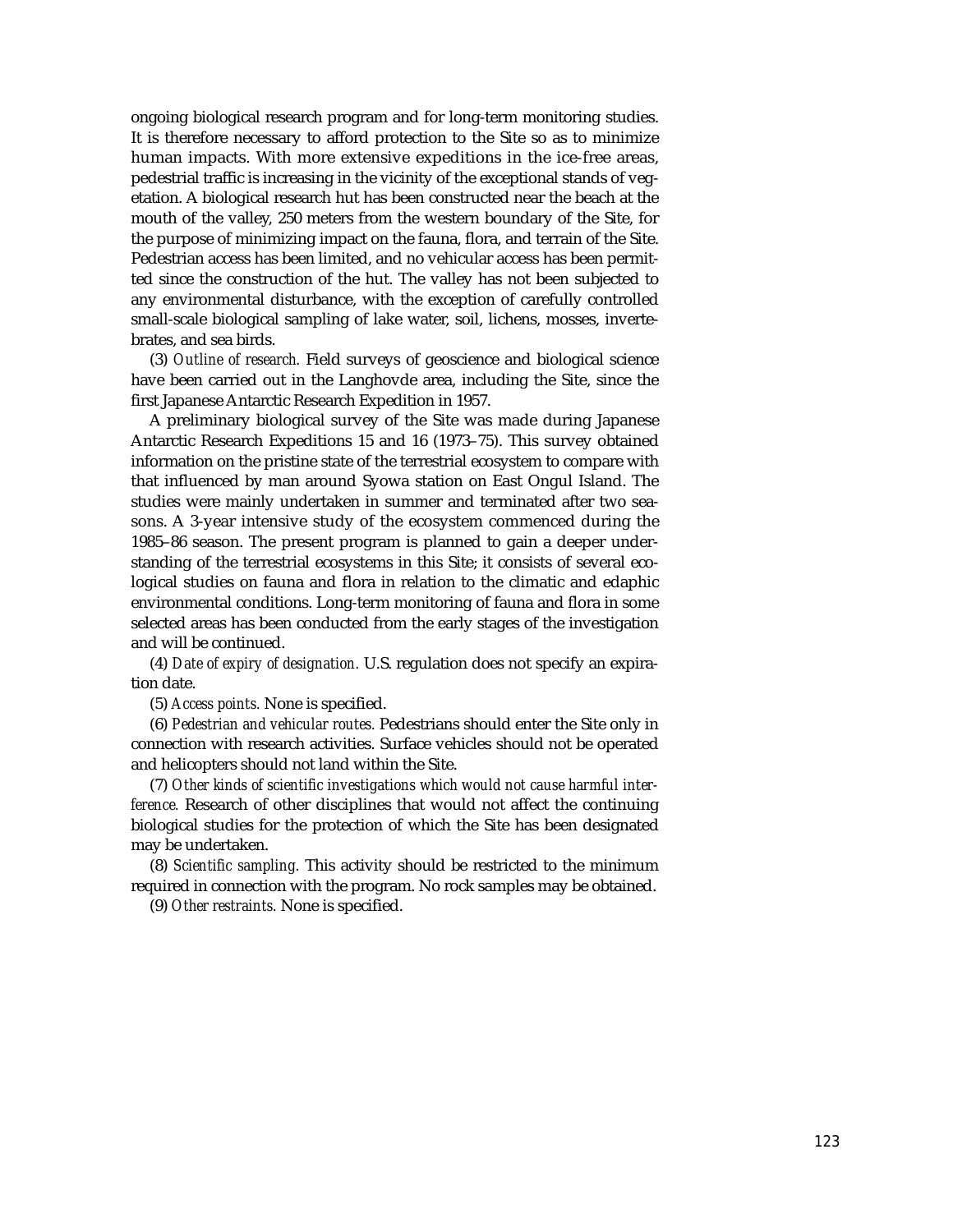ongoing biological research program and for long-term monitoring studies. It is therefore necessary to afford protection to the Site so as to minimize human impacts. With more extensive expeditions in the ice-free areas, pedestrial traffic is increasing in the vicinity of the exceptional stands of vegetation. A biological research hut has been constructed near the beach at the mouth of the valley, 250 meters from the western boundary of the Site, for the purpose of minimizing impact on the fauna, flora, and terrain of the Site. Pedestrian access has been limited, and no vehicular access has been permitted since the construction of the hut. The valley has not been subjected to any environmental disturbance, with the exception of carefully controlled small-scale biological sampling of lake water, soil, lichens, mosses, invertebrates, and sea birds.

(3) *Outline of research.* Field surveys of geoscience and biological science have been carried out in the Langhovde area, including the Site, since the first Japanese Antarctic Research Expedition in 1957.

A preliminary biological survey of the Site was made during Japanese Antarctic Research Expeditions 15 and 16 (1973–75). This survey obtained information on the pristine state of the terrestrial ecosystem to compare with that influenced by man around Syowa station on East Ongul Island. The studies were mainly undertaken in summer and terminated after two seasons. A 3-year intensive study of the ecosystem commenced during the 1985–86 season. The present program is planned to gain a deeper understanding of the terrestrial ecosystems in this Site; it consists of several ecological studies on fauna and flora in relation to the climatic and edaphic environmental conditions. Long-term monitoring of fauna and flora in some selected areas has been conducted from the early stages of the investigation and will be continued.

(4) *Date of expiry of designation.* U.S. regulation does not specify an expiration date.

(5) *Access points.* None is specified.

(6) *Pedestrian and vehicular routes.* Pedestrians should enter the Site only in connection with research activities. Surface vehicles should not be operated and helicopters should not land within the Site.

(7) *Other kinds of scientific investigations which would not cause harmful interference.* Research of other disciplines that would not affect the continuing biological studies for the protection of which the Site has been designated may be undertaken.

(8) *Scientific sampling.* This activity should be restricted to the minimum required in connection with the program. No rock samples may be obtained.

(9) *Other restraints.* None is specified.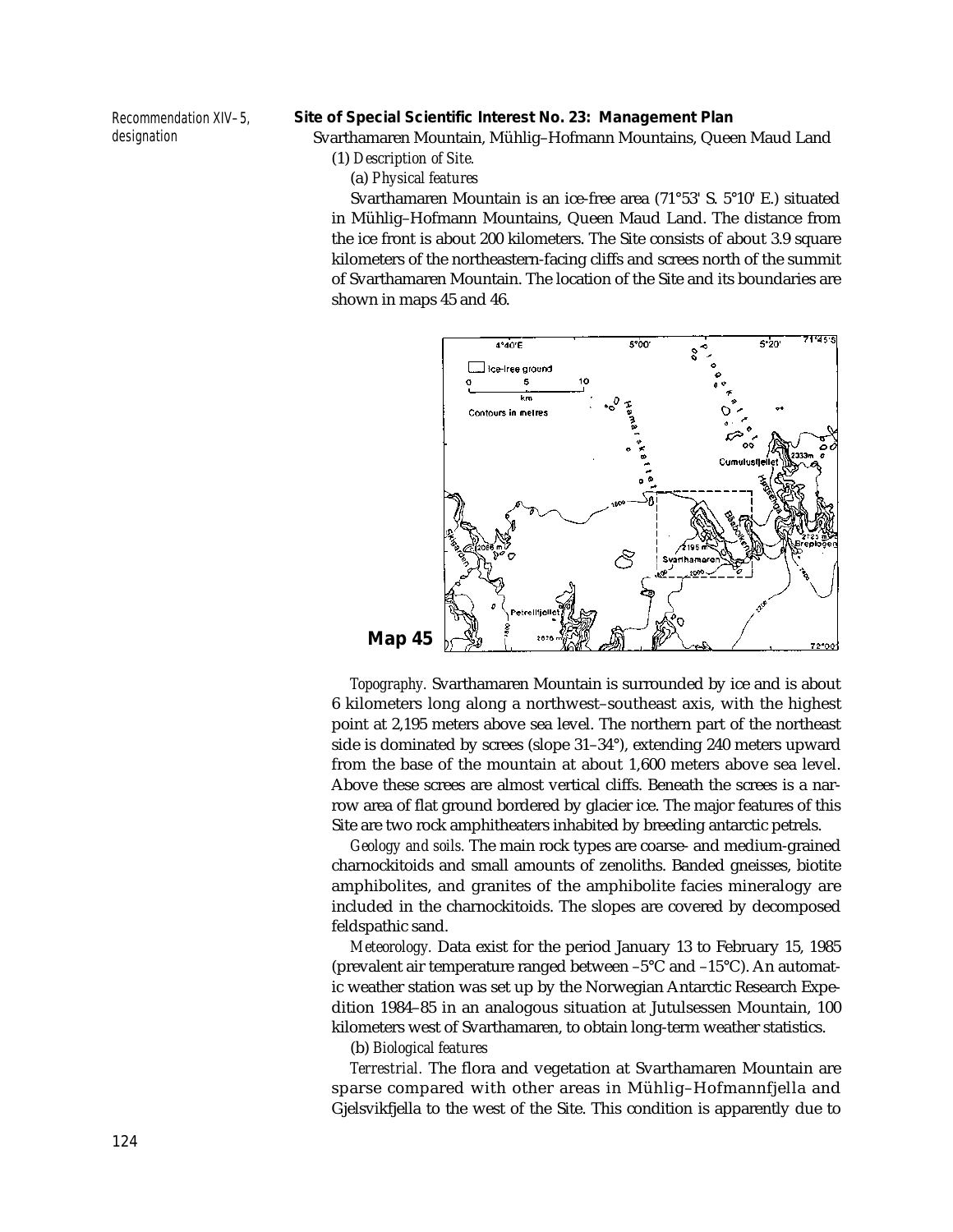Recommendation XIV–5, designation

### **Site of Special Scientific Interest No. 23: Management Plan**

Svarthamaren Mountain, Mühlig–Hofmann Mountains, Queen Maud Land (1) *Description of Site.*

(a) *Physical features*

Svarthamaren Mountain is an ice-free area (71°53' S. 5°10' E.) situated in Mühlig–Hofmann Mountains, Queen Maud Land. The distance from the ice front is about 200 kilometers. The Site consists of about 3.9 square kilometers of the northeastern-facing cliffs and screes north of the summit of Svarthamaren Mountain. The location of the Site and its boundaries are shown in maps 45 and 46.



*Topography.* Svarthamaren Mountain is surrounded by ice and is about 6 kilometers long along a northwest–southeast axis, with the highest point at 2,195 meters above sea level. The northern part of the northeast side is dominated by screes (slope 31–34°), extending 240 meters upward from the base of the mountain at about 1,600 meters above sea level. Above these screes are almost vertical cliffs. Beneath the screes is a narrow area of flat ground bordered by glacier ice. The major features of this Site are two rock amphitheaters inhabited by breeding antarctic petrels.

*Geology and soils.* The main rock types are coarse- and medium-grained charnockitoids and small amounts of zenoliths. Banded gneisses, biotite amphibolites, and granites of the amphibolite facies mineralogy are included in the charnockitoids. The slopes are covered by decomposed feldspathic sand.

*Meteorology.* Data exist for the period January 13 to February 15, 1985 (prevalent air temperature ranged between –5°C and –15°C). An automatic weather station was set up by the Norwegian Antarctic Research Expedition 1984–85 in an analogous situation at Jutulsessen Mountain, 100 kilometers west of Svarthamaren, to obtain long-term weather statistics.

(b) *Biological features*

*Terrestrial.* The flora and vegetation at Svarthamaren Mountain are sparse compared with other areas in Mühlig–Hofmannfjella and Gjelsvikfjella to the west of the Site. This condition is apparently due to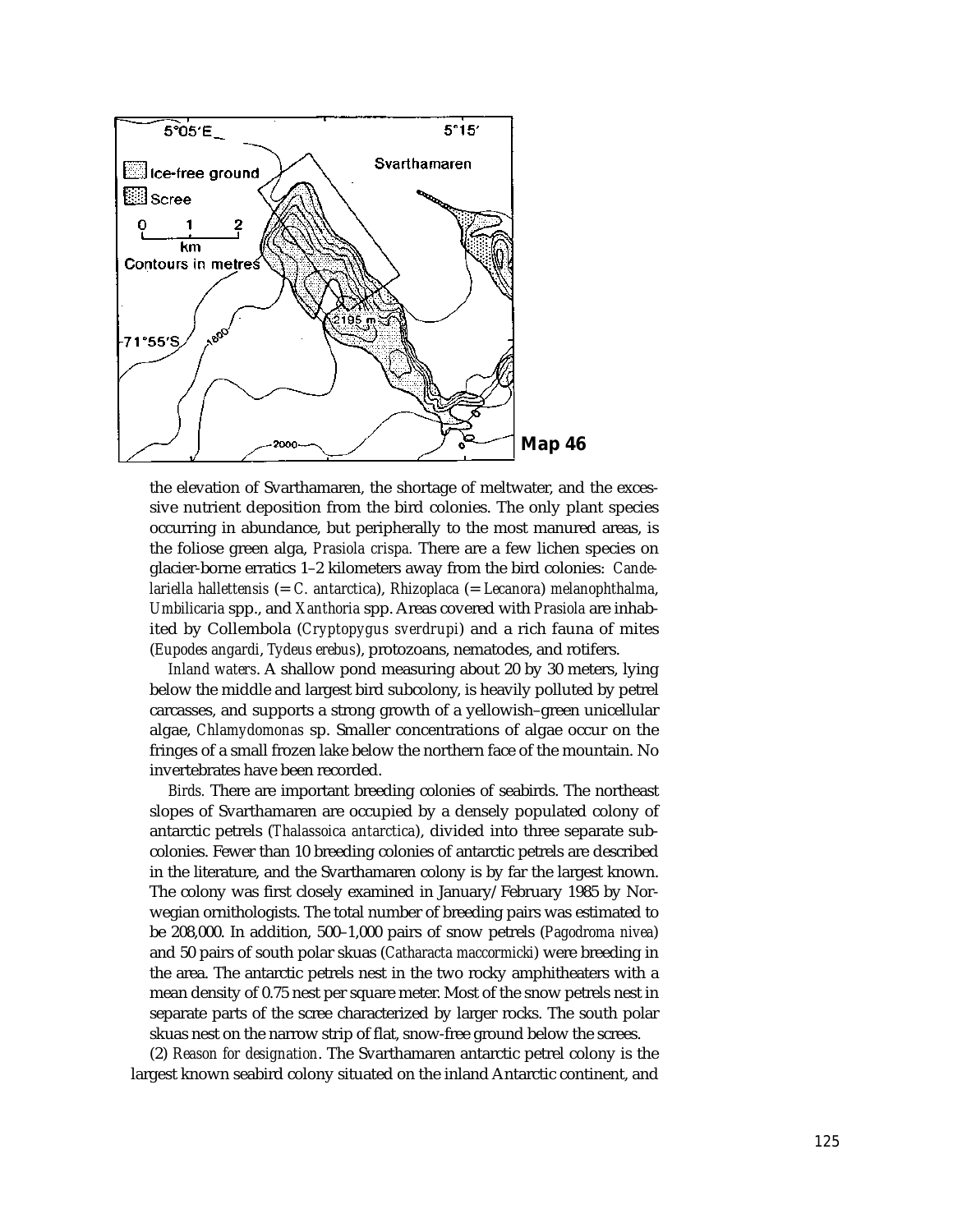

the elevation of Svarthamaren, the shortage of meltwater, and the excessive nutrient deposition from the bird colonies. The only plant species occurring in abundance, but peripherally to the most manured areas, is the foliose green alga, *Prasiola crispa.* There are a few lichen species on glacier-borne erratics 1–2 kilometers away from the bird colonies: *Candelariella hallettensis* (= *C. antarctica*), *Rhizoplaca* (= *Lecanora*) *melanophthalma*, *Umbilicaria* spp., and *Xanthoria* spp. Areas covered with *Prasiola* are inhabited by Collembola (*Cryptopygus sverdrupi*) and a rich fauna of mites (*Eupodes angardi*, *Tydeus erebus*), protozoans, nematodes, and rotifers.

*Inland waters*. A shallow pond measuring about 20 by 30 meters, lying below the middle and largest bird subcolony, is heavily polluted by petrel carcasses, and supports a strong growth of a yellowish–green unicellular algae, *Chlamydomonas* sp. Smaller concentrations of algae occur on the fringes of a small frozen lake below the northern face of the mountain. No invertebrates have been recorded.

*Birds.* There are important breeding colonies of seabirds. The northeast slopes of Svarthamaren are occupied by a densely populated colony of antarctic petrels (*Thalassoica antarctica*), divided into three separate subcolonies. Fewer than 10 breeding colonies of antarctic petrels are described in the literature, and the Svarthamaren colony is by far the largest known. The colony was first closely examined in January/February 1985 by Norwegian ornithologists. The total number of breeding pairs was estimated to be 208,000. In addition, 500–1,000 pairs of snow petrels (*Pagodroma nivea*) and 50 pairs of south polar skuas (*Catharacta maccormicki*) were breeding in the area. The antarctic petrels nest in the two rocky amphitheaters with a mean density of 0.75 nest per square meter. Most of the snow petrels nest in separate parts of the scree characterized by larger rocks. The south polar skuas nest on the narrow strip of flat, snow-free ground below the screes.

(2) *Reason for designation*. The Svarthamaren antarctic petrel colony is the largest known seabird colony situated on the inland Antarctic continent, and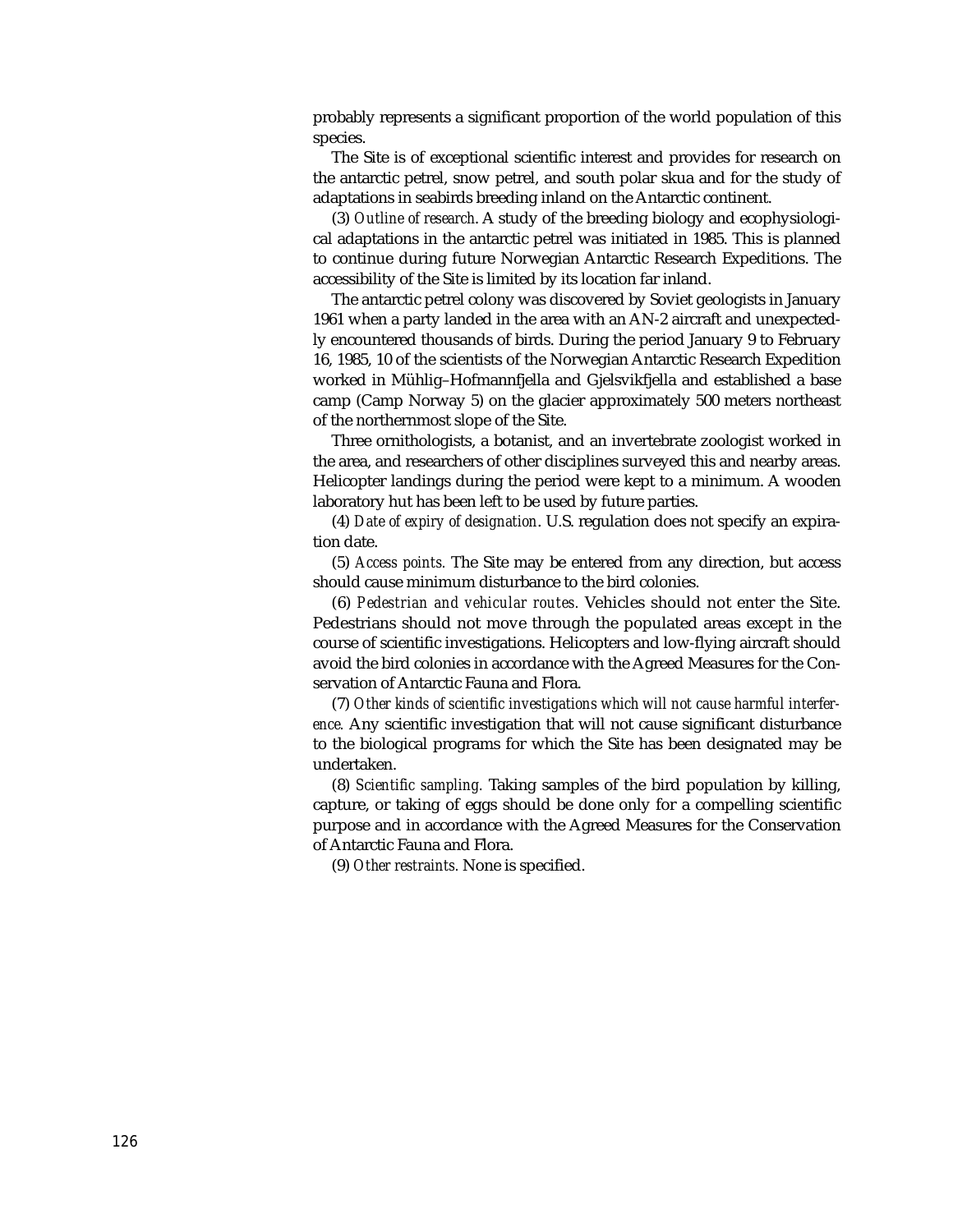probably represents a significant proportion of the world population of this species.

The Site is of exceptional scientific interest and provides for research on the antarctic petrel, snow petrel, and south polar skua and for the study of adaptations in seabirds breeding inland on the Antarctic continent.

(3) *Outline of research*. A study of the breeding biology and ecophysiological adaptations in the antarctic petrel was initiated in 1985. This is planned to continue during future Norwegian Antarctic Research Expeditions. The accessibility of the Site is limited by its location far inland.

The antarctic petrel colony was discovered by Soviet geologists in January 1961 when a party landed in the area with an AN-2 aircraft and unexpectedly encountered thousands of birds. During the period January 9 to February 16, 1985, 10 of the scientists of the Norwegian Antarctic Research Expedition worked in Mühlig–Hofmannfjella and Gjelsvikfjella and established a base camp (Camp Norway 5) on the glacier approximately 500 meters northeast of the northernmost slope of the Site.

Three ornithologists, a botanist, and an invertebrate zoologist worked in the area, and researchers of other disciplines surveyed this and nearby areas. Helicopter landings during the period were kept to a minimum. A wooden laboratory hut has been left to be used by future parties.

(4) *Date of expiry of designation*. U.S. regulation does not specify an expiration date.

(5) *Access points.* The Site may be entered from any direction, but access should cause minimum disturbance to the bird colonies.

(6) *Pedestrian and vehicular routes.* Vehicles should not enter the Site. Pedestrians should not move through the populated areas except in the course of scientific investigations. Helicopters and low-flying aircraft should avoid the bird colonies in accordance with the Agreed Measures for the Conservation of Antarctic Fauna and Flora.

(7) *Other kinds of scientific investigations which will not cause harmful interference.* Any scientific investigation that will not cause significant disturbance to the biological programs for which the Site has been designated may be undertaken.

(8) *Scientific sampling.* Taking samples of the bird population by killing, capture, or taking of eggs should be done only for a compelling scientific purpose and in accordance with the Agreed Measures for the Conservation of Antarctic Fauna and Flora.

(9) *Other restraints.* None is specified.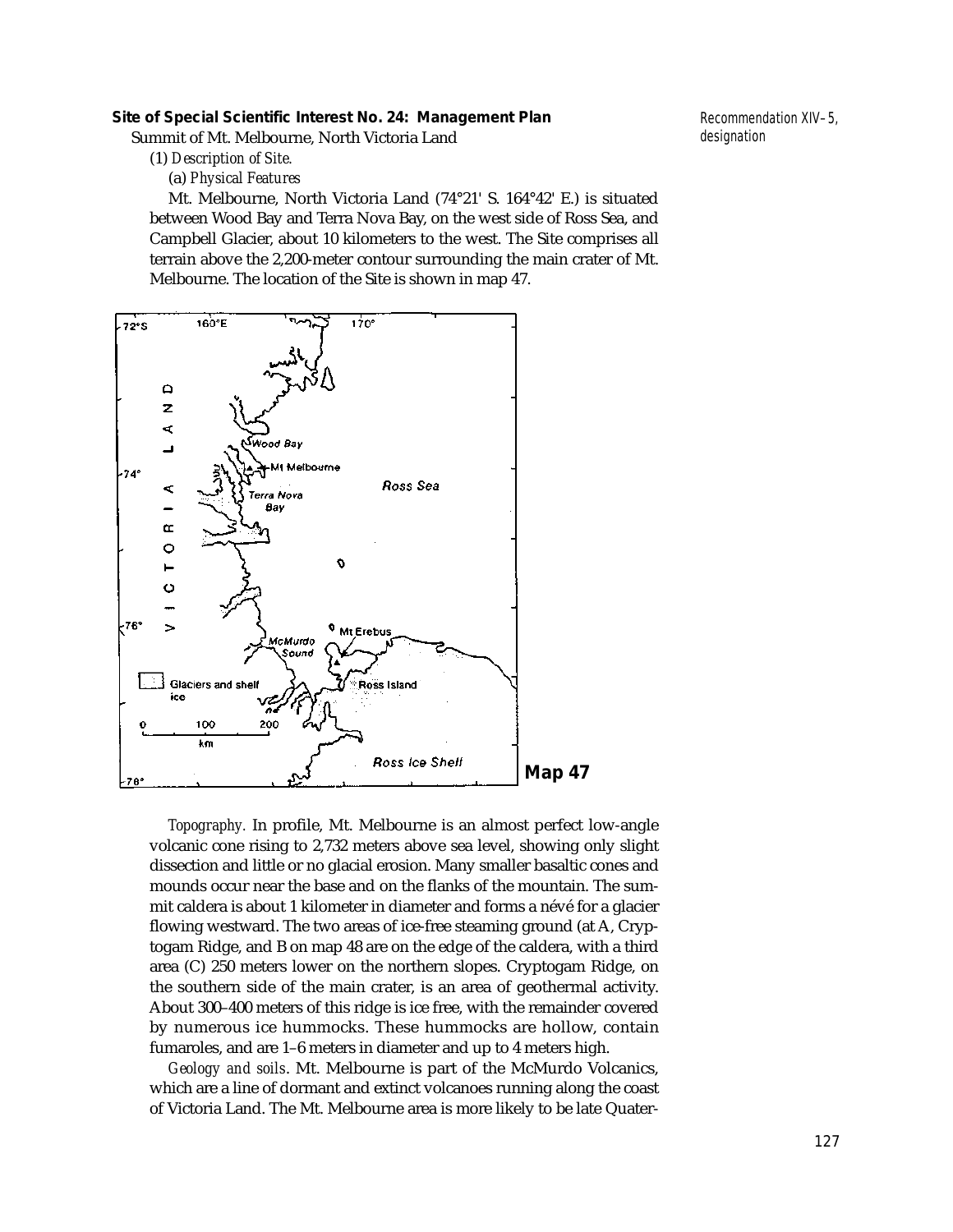#### **Site of Special Scientific Interest No. 24: Management Plan**

Summit of Mt. Melbourne, North Victoria Land

(1) *Description of Site.*

(a) *Physical Features*

Mt. Melbourne, North Victoria Land (74°21' S. 164°42' E.) is situated between Wood Bay and Terra Nova Bay, on the west side of Ross Sea, and Campbell Glacier, about 10 kilometers to the west. The Site comprises all terrain above the 2,200-meter contour surrounding the main crater of Mt. Melbourne. The location of the Site is shown in map 47.



*Topography.* In profile, Mt. Melbourne is an almost perfect low-angle volcanic cone rising to 2,732 meters above sea level, showing only slight dissection and little or no glacial erosion. Many smaller basaltic cones and mounds occur near the base and on the flanks of the mountain. The summit caldera is about 1 kilometer in diameter and forms a névé for a glacier flowing westward. The two areas of ice-free steaming ground (at A, Cryptogam Ridge, and B on map 48 are on the edge of the caldera, with a third area (C) 250 meters lower on the northern slopes. Cryptogam Ridge, on the southern side of the main crater, is an area of geothermal activity. About 300–400 meters of this ridge is ice free, with the remainder covered by numerous ice hummocks. These hummocks are hollow, contain fumaroles, and are 1–6 meters in diameter and up to 4 meters high.

*Geology and soils*. Mt. Melbourne is part of the McMurdo Volcanics, which are a line of dormant and extinct volcanoes running along the coast of Victoria Land. The Mt. Melbourne area is more likely to be late Quater-

Recommendation XIV–5, designation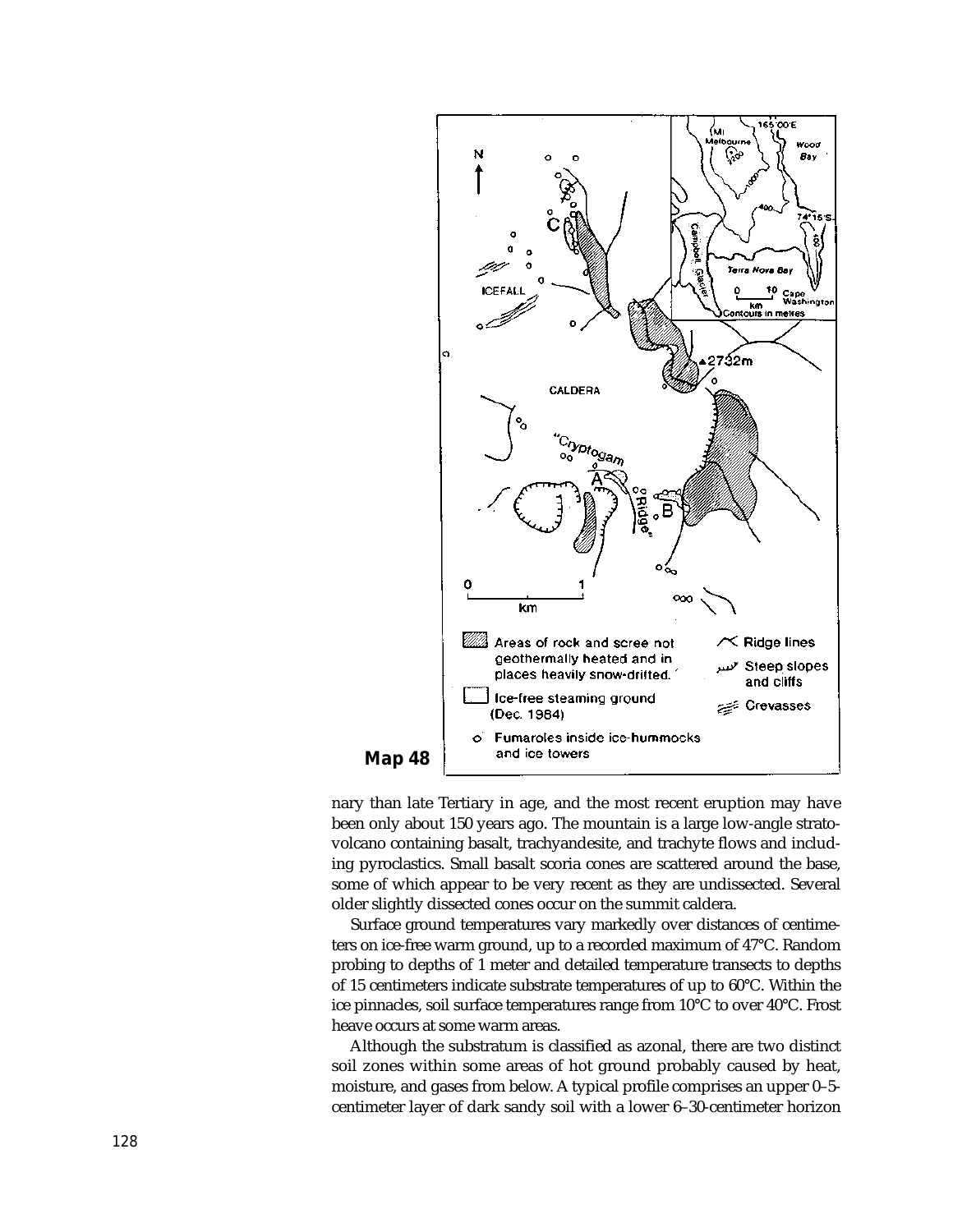

nary than late Tertiary in age, and the most recent eruption may have been only about 150 years ago. The mountain is a large low-angle stratovolcano containing basalt, trachyandesite, and trachyte flows and including pyroclastics. Small basalt scoria cones are scattered around the base, some of which appear to be very recent as they are undissected. Several older slightly dissected cones occur on the summit caldera.

Surface ground temperatures vary markedly over distances of centimeters on ice-free warm ground, up to a recorded maximum of 47°C. Random probing to depths of 1 meter and detailed temperature transects to depths of 15 centimeters indicate substrate temperatures of up to 60°C. Within the ice pinnacles, soil surface temperatures range from 10°C to over 40°C. Frost heave occurs at some warm areas.

Although the substratum is classified as azonal, there are two distinct soil zones within some areas of hot ground probably caused by heat, moisture, and gases from below. A typical profile comprises an upper 0–5 centimeter layer of dark sandy soil with a lower 6–30-centimeter horizon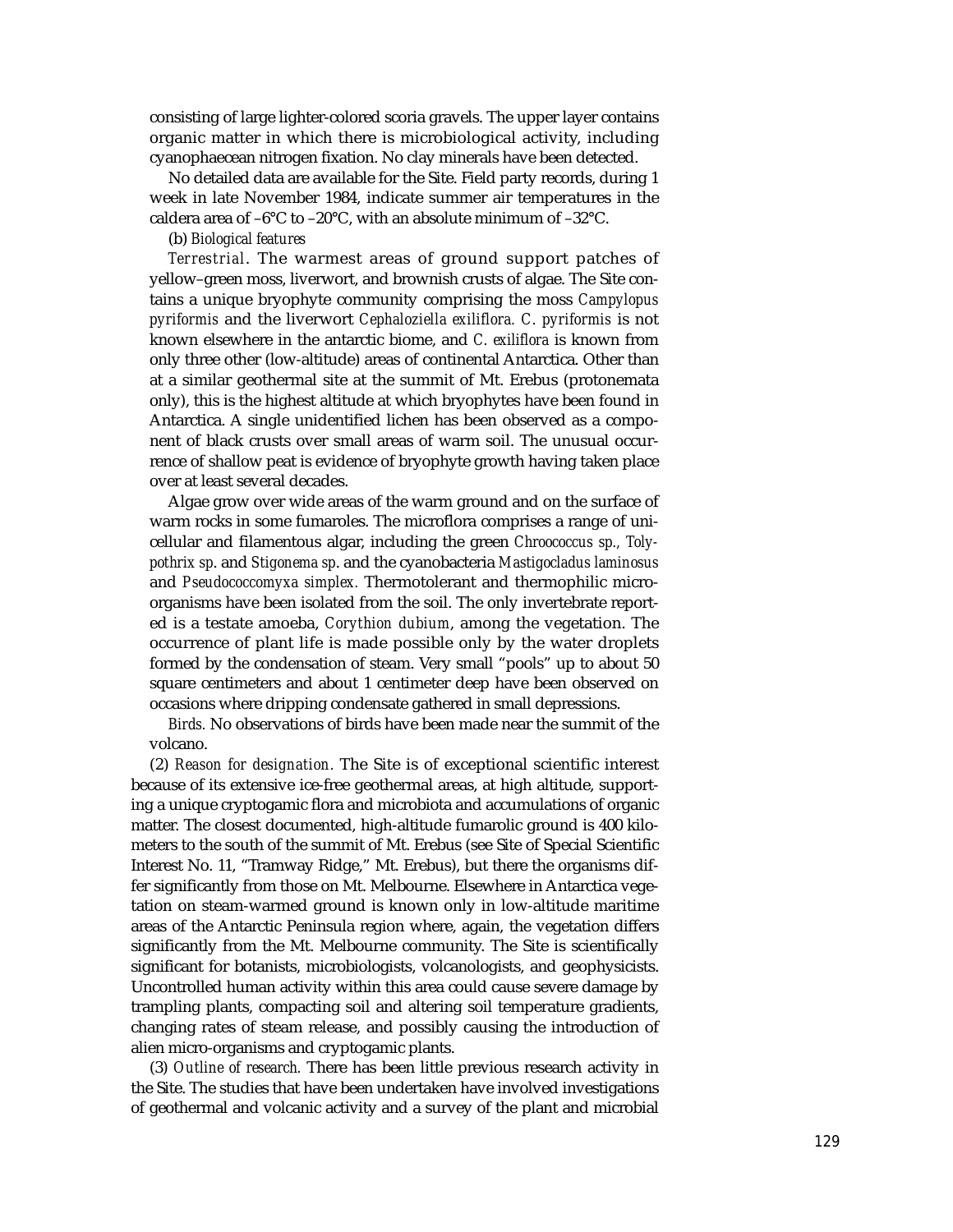consisting of large lighter-colored scoria gravels. The upper layer contains organic matter in which there is microbiological activity, including cyanophaecean nitrogen fixation. No clay minerals have been detected.

No detailed data are available for the Site. Field party records, during 1 week in late November 1984, indicate summer air temperatures in the caldera area of –6°C to –20°C, with an absolute minimum of –32°C.

## (b) *Biological features*

*Terrestrial*. The warmest areas of ground support patches of yellow–green moss, liverwort, and brownish crusts of algae. The Site contains a unique bryophyte community comprising the moss *Campylopus pyriformis* and the liverwort *Cephaloziella exiliflora. C. pyriformis* is not known elsewhere in the antarctic biome, and *C. exiliflora* is known from only three other (low-altitude) areas of continental Antarctica. Other than at a similar geothermal site at the summit of Mt. Erebus (protonemata only), this is the highest altitude at which bryophytes have been found in Antarctica. A single unidentified lichen has been observed as a component of black crusts over small areas of warm soil. The unusual occurrence of shallow peat is evidence of bryophyte growth having taken place over at least several decades.

Algae grow over wide areas of the warm ground and on the surface of warm rocks in some fumaroles. The microflora comprises a range of unicellular and filamentous algar, including the green *Chroococcus sp., Tolypothrix sp*. and *Stigonema sp*. and the cyanobacteria *Mastigocladus laminosus* and *Pseudococcomyxa simplex.* Thermotolerant and thermophilic microorganisms have been isolated from the soil. The only invertebrate reported is a testate amoeba, *Corythion dubium*, among the vegetation. The occurrence of plant life is made possible only by the water droplets formed by the condensation of steam. Very small "pools" up to about 50 square centimeters and about 1 centimeter deep have been observed on occasions where dripping condensate gathered in small depressions.

*Birds.* No observations of birds have been made near the summit of the volcano.

(2) *Reason for designation.* The Site is of exceptional scientific interest because of its extensive ice-free geothermal areas, at high altitude, supporting a unique cryptogamic flora and microbiota and accumulations of organic matter. The closest documented, high-altitude fumarolic ground is 400 kilometers to the south of the summit of Mt. Erebus (see Site of Special Scientific Interest No. 11, "Tramway Ridge," Mt. Erebus), but there the organisms differ significantly from those on Mt. Melbourne. Elsewhere in Antarctica vegetation on steam-warmed ground is known only in low-altitude maritime areas of the Antarctic Peninsula region where, again, the vegetation differs significantly from the Mt. Melbourne community. The Site is scientifically significant for botanists, microbiologists, volcanologists, and geophysicists. Uncontrolled human activity within this area could cause severe damage by trampling plants, compacting soil and altering soil temperature gradients, changing rates of steam release, and possibly causing the introduction of alien micro-organisms and cryptogamic plants.

(3) *Outline of research.* There has been little previous research activity in the Site. The studies that have been undertaken have involved investigations of geothermal and volcanic activity and a survey of the plant and microbial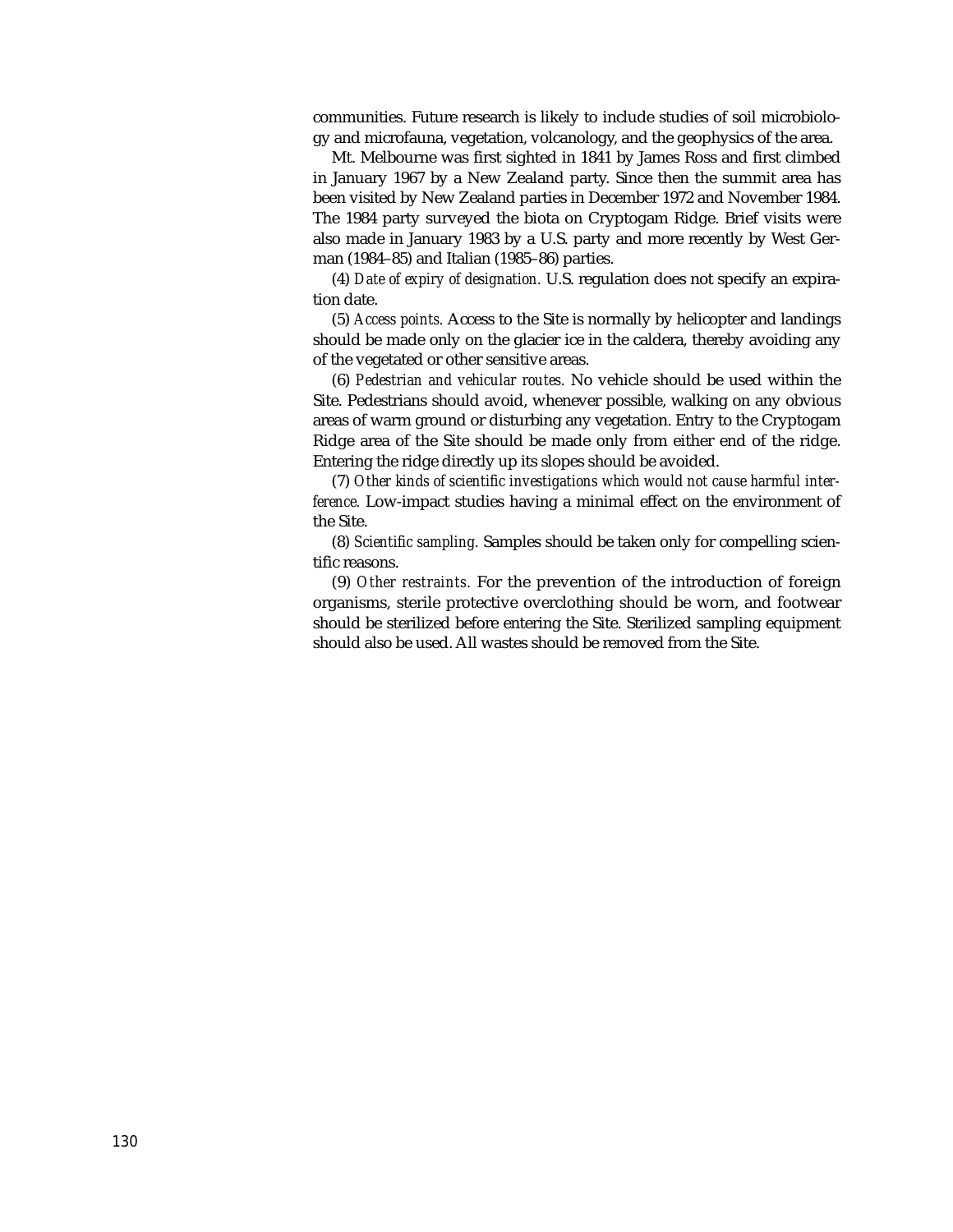communities. Future research is likely to include studies of soil microbiology and microfauna, vegetation, volcanology, and the geophysics of the area.

Mt. Melbourne was first sighted in 1841 by James Ross and first climbed in January 1967 by a New Zealand party. Since then the summit area has been visited by New Zealand parties in December 1972 and November 1984. The 1984 party surveyed the biota on Cryptogam Ridge. Brief visits were also made in January 1983 by a U.S. party and more recently by West German (1984–85) and Italian (1985–86) parties.

(4) *Date of expiry of designation.* U.S. regulation does not specify an expiration date.

(5) *Access points.* Access to the Site is normally by helicopter and landings should be made only on the glacier ice in the caldera, thereby avoiding any of the vegetated or other sensitive areas.

(6) *Pedestrian and vehicular routes.* No vehicle should be used within the Site. Pedestrians should avoid, whenever possible, walking on any obvious areas of warm ground or disturbing any vegetation. Entry to the Cryptogam Ridge area of the Site should be made only from either end of the ridge. Entering the ridge directly up its slopes should be avoided.

(7) *Other kinds of scientific investigations which would not cause harmful interference.* Low-impact studies having a minimal effect on the environment of the Site.

(8) *Scientific sampling.* Samples should be taken only for compelling scientific reasons.

(9) *Other restraints.* For the prevention of the introduction of foreign organisms, sterile protective overclothing should be worn, and footwear should be sterilized before entering the Site. Sterilized sampling equipment should also be used. All wastes should be removed from the Site.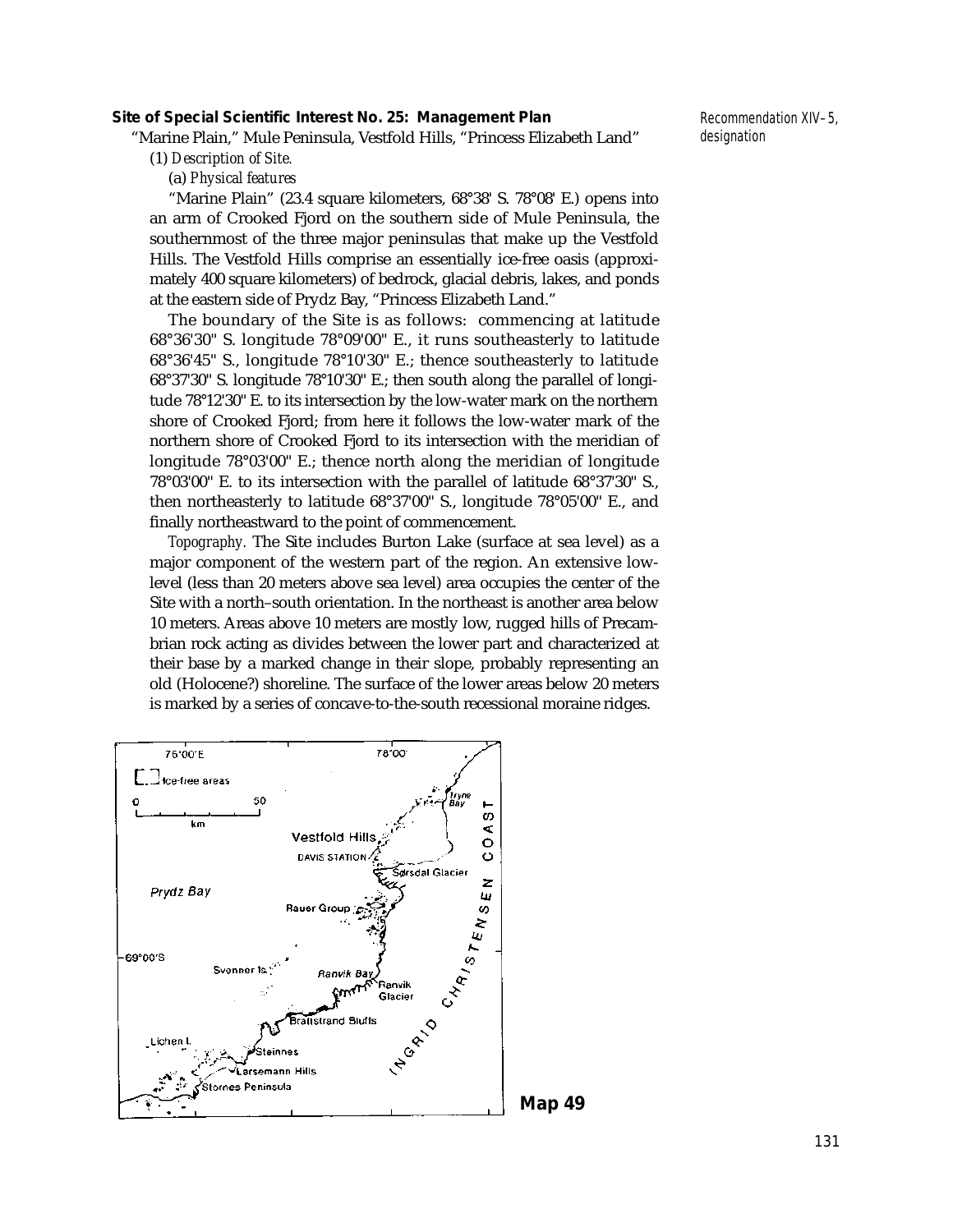### **Site of Special Scientific Interest No. 25: Management Plan**

"Marine Plain," Mule Peninsula, Vestfold Hills, "Princess Elizabeth Land"

(1) *Description of Site.* 

(a) *Physical features* 

"Marine Plain" (23.4 square kilometers, 68°38' S. 78°08' E.) opens into an arm of Crooked Fjord on the southern side of Mule Peninsula, the southernmost of the three major peninsulas that make up the Vestfold Hills. The Vestfold Hills comprise an essentially ice-free oasis (approximately 400 square kilometers) of bedrock, glacial debris, lakes, and ponds at the eastern side of Prydz Bay, "Princess Elizabeth Land."

The boundary of the Site is as follows: commencing at latitude 68°36'30" S. longitude 78°09'00" E., it runs southeasterly to latitude 68°36'45" S., longitude 78°10'30" E.; thence southeasterly to latitude 68°37'30" S. longitude 78°10'30" E.; then south along the parallel of longitude 78°12'30" E. to its intersection by the low-water mark on the northern shore of Crooked Fjord; from here it follows the low-water mark of the northern shore of Crooked Fjord to its intersection with the meridian of longitude 78°03'00" E.; thence north along the meridian of longitude 78°03'00" E. to its intersection with the parallel of latitude 68°37'30" S., then northeasterly to latitude 68°37'00" S., longitude 78°05'00" E., and finally northeastward to the point of commencement.

*Topography.* The Site includes Burton Lake (surface at sea level) as a major component of the western part of the region. An extensive lowlevel (less than 20 meters above sea level) area occupies the center of the Site with a north–south orientation. In the northeast is another area below 10 meters. Areas above 10 meters are mostly low, rugged hills of Precambrian rock acting as divides between the lower part and characterized at their base by a marked change in their slope, probably representing an old (Holocene?) shoreline. The surface of the lower areas below 20 meters is marked by a series of concave-to-the-south recessional moraine ridges.



Recommendation XIV–5, designation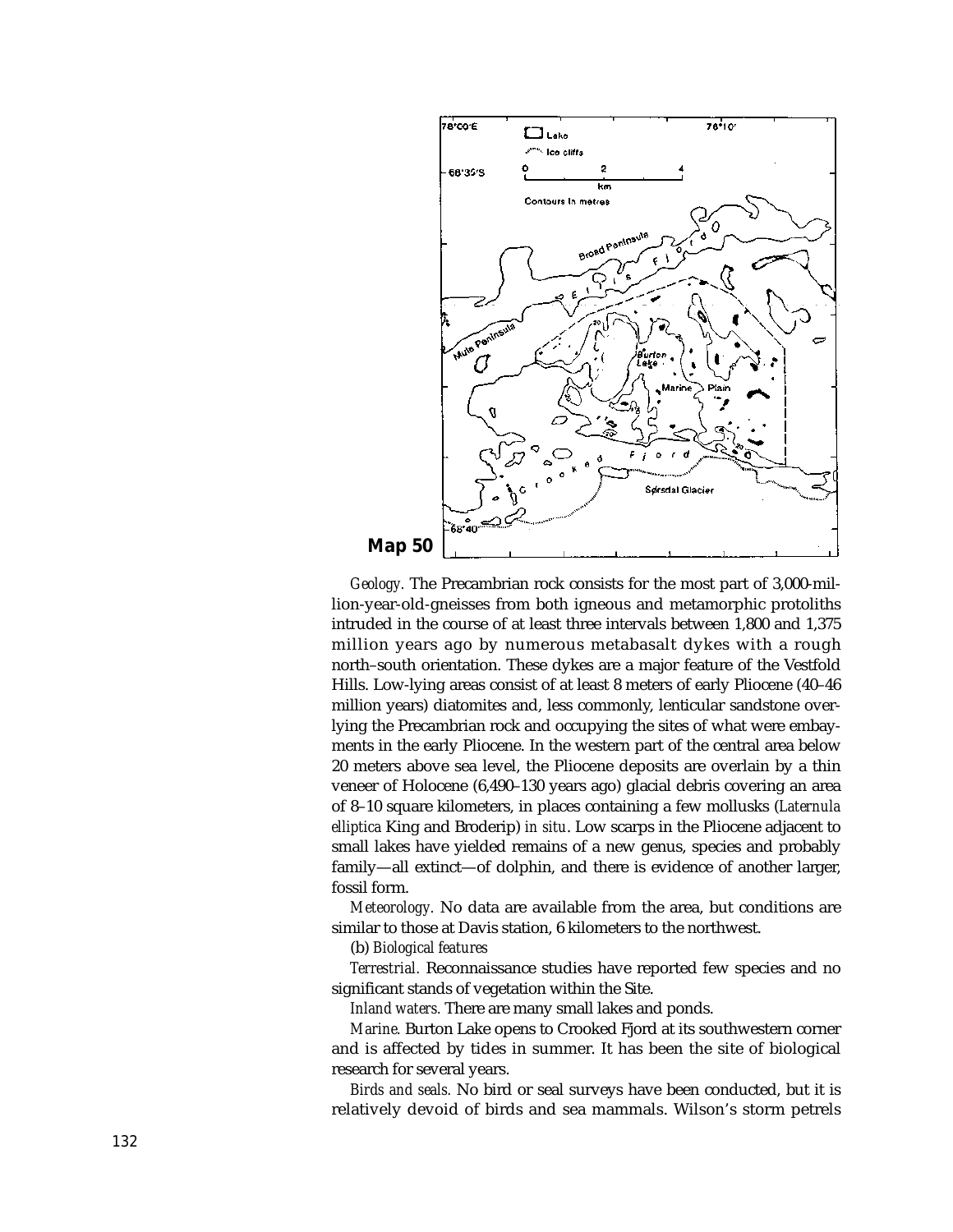

*Geology.* The Precambrian rock consists for the most part of 3,000-million-year-old-gneisses from both igneous and metamorphic protoliths intruded in the course of at least three intervals between 1,800 and 1,375 million years ago by numerous metabasalt dykes with a rough north–south orientation. These dykes are a major feature of the Vestfold Hills. Low-lying areas consist of at least 8 meters of early Pliocene (40–46 million years) diatomites and, less commonly, lenticular sandstone overlying the Precambrian rock and occupying the sites of what were embayments in the early Pliocene. In the western part of the central area below 20 meters above sea level, the Pliocene deposits are overlain by a thin veneer of Holocene (6,490–130 years ago) glacial debris covering an area of 8–10 square kilometers, in places containing a few mollusks (*Laternula elliptica* King and Broderip) *in situ*. Low scarps in the Pliocene adjacent to small lakes have yielded remains of a new genus, species and probably family—all extinct—of dolphin, and there is evidence of another larger, fossil form.

*Meteorology.* No data are available from the area, but conditions are similar to those at Davis station, 6 kilometers to the northwest.

(b) *Biological features*

*Terrestrial.* Reconnaissance studies have reported few species and no significant stands of vegetation within the Site.

*Inland waters.* There are many small lakes and ponds.

*Marine.* Burton Lake opens to Crooked Fjord at its southwestern corner and is affected by tides in summer. It has been the site of biological research for several years.

*Birds and seals.* No bird or seal surveys have been conducted, but it is relatively devoid of birds and sea mammals. Wilson's storm petrels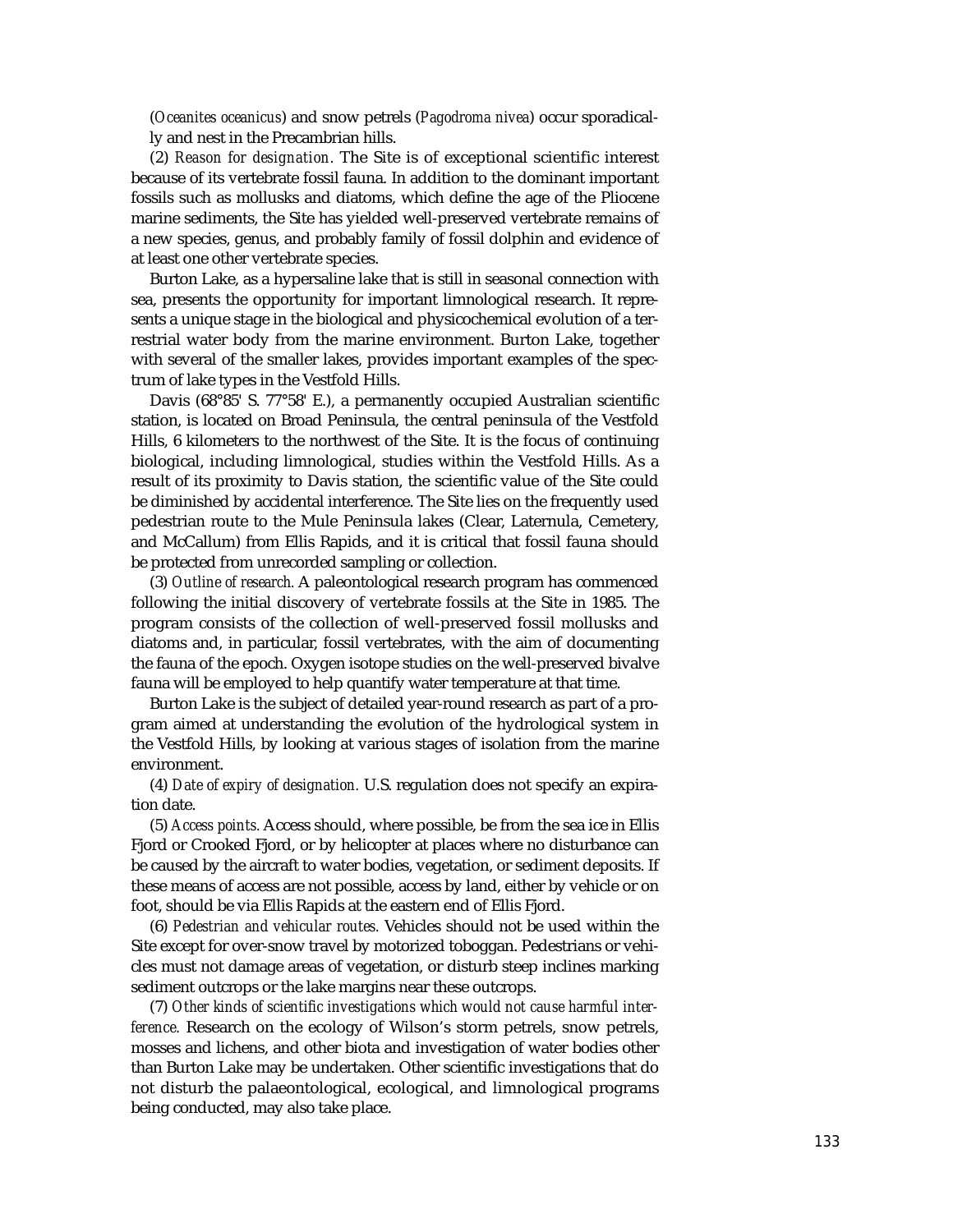(*Oceanites oceanicus*) and snow petrels (*Pagodroma nivea*) occur sporadically and nest in the Precambrian hills.

(2) *Reason for designation.* The Site is of exceptional scientific interest because of its vertebrate fossil fauna. In addition to the dominant important fossils such as mollusks and diatoms, which define the age of the Pliocene marine sediments, the Site has yielded well-preserved vertebrate remains of a new species, genus, and probably family of fossil dolphin and evidence of at least one other vertebrate species.

Burton Lake, as a hypersaline lake that is still in seasonal connection with sea, presents the opportunity for important limnological research. It represents a unique stage in the biological and physicochemical evolution of a terrestrial water body from the marine environment. Burton Lake, together with several of the smaller lakes, provides important examples of the spectrum of lake types in the Vestfold Hills.

Davis (68°85' S. 77°58' E.), a permanently occupied Australian scientific station, is located on Broad Peninsula, the central peninsula of the Vestfold Hills, 6 kilometers to the northwest of the Site. It is the focus of continuing biological, including limnological, studies within the Vestfold Hills. As a result of its proximity to Davis station, the scientific value of the Site could be diminished by accidental interference. The Site lies on the frequently used pedestrian route to the Mule Peninsula lakes (Clear, Laternula, Cemetery, and McCallum) from Ellis Rapids, and it is critical that fossil fauna should be protected from unrecorded sampling or collection.

(3) *Outline of research.* A paleontological research program has commenced following the initial discovery of vertebrate fossils at the Site in 1985. The program consists of the collection of well-preserved fossil mollusks and diatoms and, in particular, fossil vertebrates, with the aim of documenting the fauna of the epoch. Oxygen isotope studies on the well-preserved bivalve fauna will be employed to help quantify water temperature at that time.

Burton Lake is the subject of detailed year-round research as part of a program aimed at understanding the evolution of the hydrological system in the Vestfold Hills, by looking at various stages of isolation from the marine environment.

(4) *Date of expiry of designation.* U.S. regulation does not specify an expiration date.

(5) *Access points.* Access should, where possible, be from the sea ice in Ellis Fjord or Crooked Fjord, or by helicopter at places where no disturbance can be caused by the aircraft to water bodies, vegetation, or sediment deposits. If these means of access are not possible, access by land, either by vehicle or on foot, should be via Ellis Rapids at the eastern end of Ellis Fjord.

(6) *Pedestrian and vehicular routes.* Vehicles should not be used within the Site except for over-snow travel by motorized toboggan. Pedestrians or vehicles must not damage areas of vegetation, or disturb steep inclines marking sediment outcrops or the lake margins near these outcrops.

(7) *Other kinds of scientific investigations which would not cause harmful interference.* Research on the ecology of Wilson's storm petrels, snow petrels, mosses and lichens, and other biota and investigation of water bodies other than Burton Lake may be undertaken. Other scientific investigations that do not disturb the palaeontological, ecological, and limnological programs being conducted, may also take place.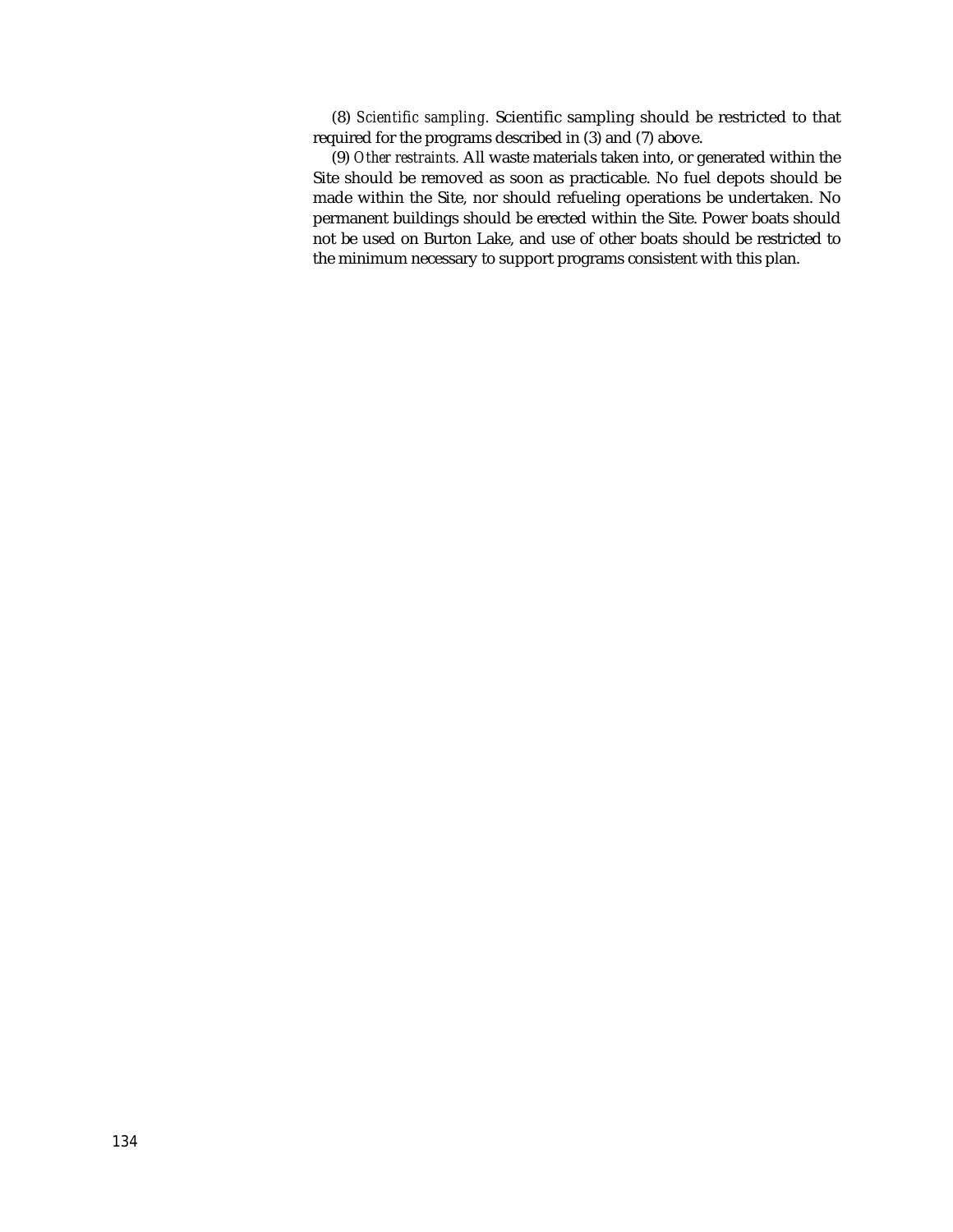(8) *Scientific sampling.* Scientific sampling should be restricted to that required for the programs described in (3) and (7) above.

(9) *Other restraints.* All waste materials taken into, or generated within the Site should be removed as soon as practicable. No fuel depots should be made within the Site, nor should refueling operations be undertaken. No permanent buildings should be erected within the Site. Power boats should not be used on Burton Lake, and use of other boats should be restricted to the minimum necessary to support programs consistent with this plan.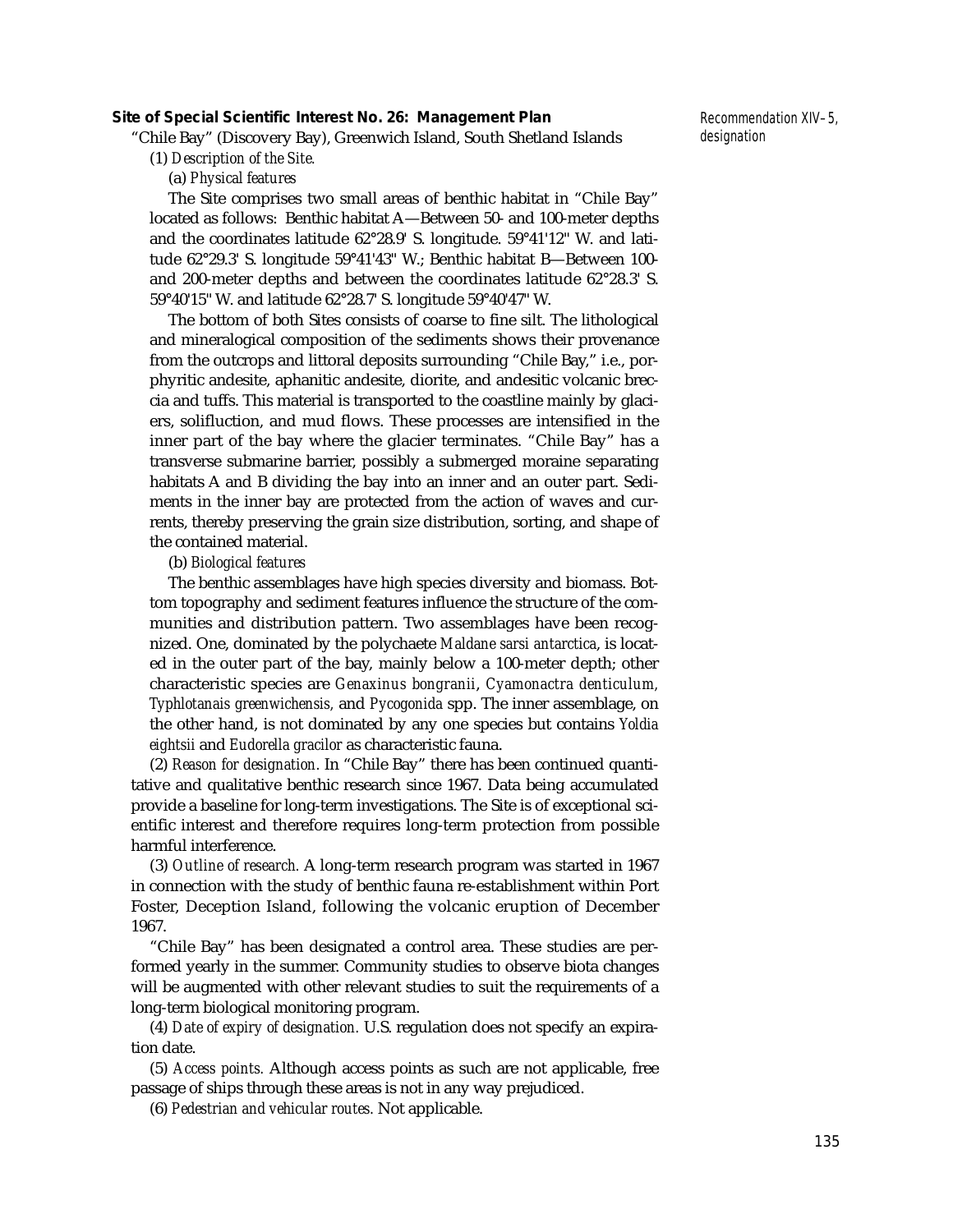#### **Site of Special Scientific Interest No. 26: Management Plan**

"Chile Bay" (Discovery Bay), Greenwich Island, South Shetland Islands

(1) *Description of the Site.* 

(a) *Physical features*

The Site comprises two small areas of benthic habitat in "Chile Bay" located as follows: Benthic habitat A—Between 50- and 100-meter depths and the coordinates latitude 62°28.9' S. longitude. 59°41'12" W. and latitude 62°29.3' S. longitude 59°41'43" W.; Benthic habitat B—Between 100 and 200-meter depths and between the coordinates latitude 62°28.3' S. 59°40'15" W. and latitude 62°28.7' S. longitude 59°40'47" W.

The bottom of both Sites consists of coarse to fine silt. The lithological and mineralogical composition of the sediments shows their provenance from the outcrops and littoral deposits surrounding "Chile Bay," i.e., porphyritic andesite, aphanitic andesite, diorite, and andesitic volcanic breccia and tuffs. This material is transported to the coastline mainly by glaciers, solifluction, and mud flows. These processes are intensified in the inner part of the bay where the glacier terminates. "Chile Bay" has a transverse submarine barrier, possibly a submerged moraine separating habitats A and B dividing the bay into an inner and an outer part. Sediments in the inner bay are protected from the action of waves and currents, thereby preserving the grain size distribution, sorting, and shape of the contained material.

(b) *Biological features*

The benthic assemblages have high species diversity and biomass. Bottom topography and sediment features influence the structure of the communities and distribution pattern. Two assemblages have been recognized. One, dominated by the polychaete *Maldane sarsi antarctica*, is located in the outer part of the bay, mainly below a 100-meter depth; other characteristic species are *Genaxinus bongranii*, *Cyamonactra denticulum, Typhlotanais greenwichensis,* and *Pycogonida* spp. The inner assemblage, on the other hand, is not dominated by any one species but contains *Yoldia eightsii* and *Eudorella gracilor* as characteristic fauna.

(2) *Reason for designation.* In "Chile Bay" there has been continued quantitative and qualitative benthic research since 1967. Data being accumulated provide a baseline for long-term investigations. The Site is of exceptional scientific interest and therefore requires long-term protection from possible harmful interference.

(3) *Outline of research.* A long-term research program was started in 1967 in connection with the study of benthic fauna re-establishment within Port Foster, Deception Island, following the volcanic eruption of December 1967.

"Chile Bay" has been designated a control area. These studies are performed yearly in the summer. Community studies to observe biota changes will be augmented with other relevant studies to suit the requirements of a long-term biological monitoring program.

(4) *Date of expiry of designation.* U.S. regulation does not specify an expiration date.

(5) *Access points.* Although access points as such are not applicable, free passage of ships through these areas is not in any way prejudiced.

(6) *Pedestrian and vehicular routes.* Not applicable.

Recommendation XIV–5, designation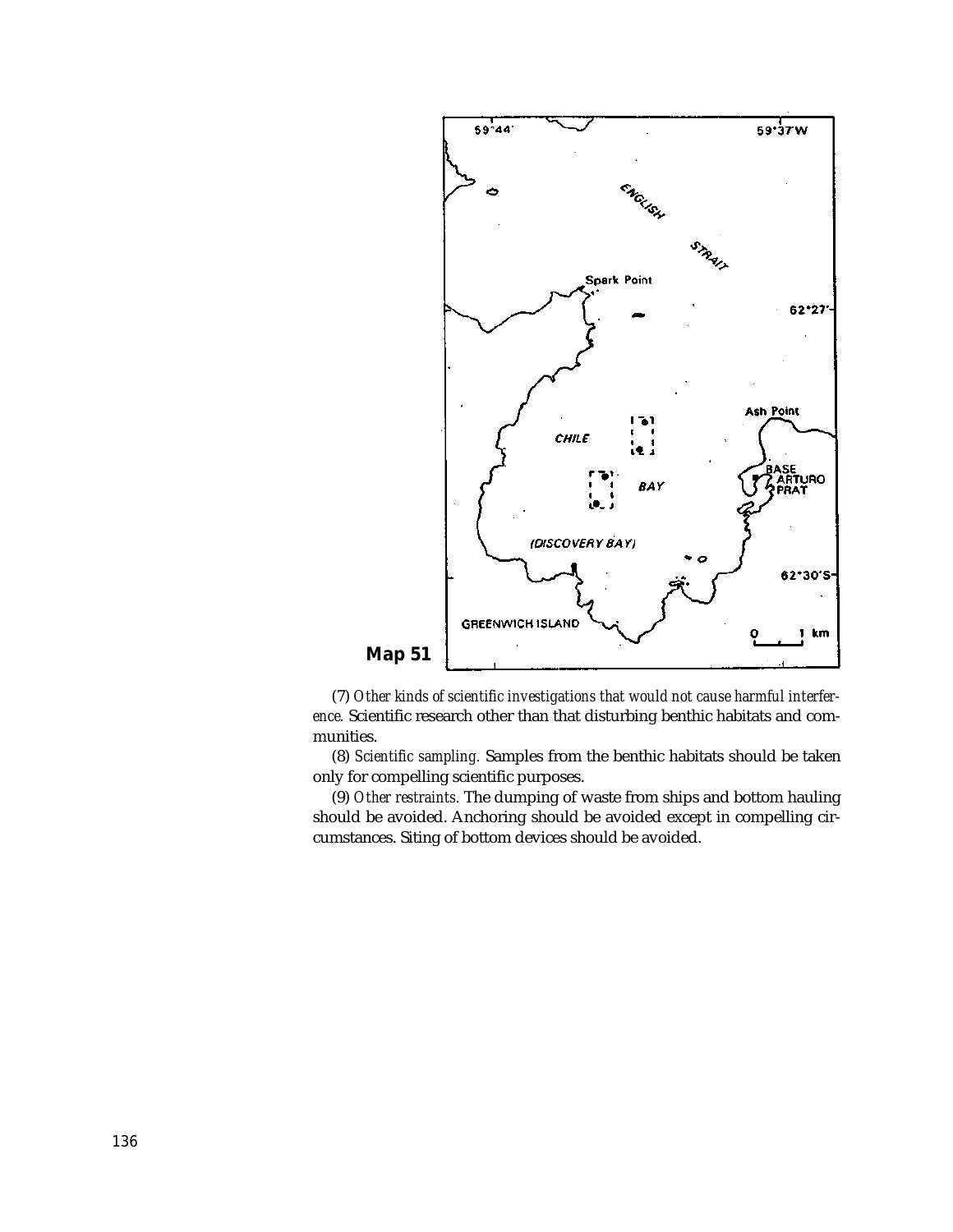

(7) *Other kinds of scientific investigations that would not cause harmful interference.* Scientific research other than that disturbing benthic habitats and communities.

(8) *Scientific sampling.* Samples from the benthic habitats should be taken only for compelling scientific purposes.

(9) *Other restraints.* The dumping of waste from ships and bottom hauling should be avoided. Anchoring should be avoided except in compelling circumstances. Siting of bottom devices should be avoided.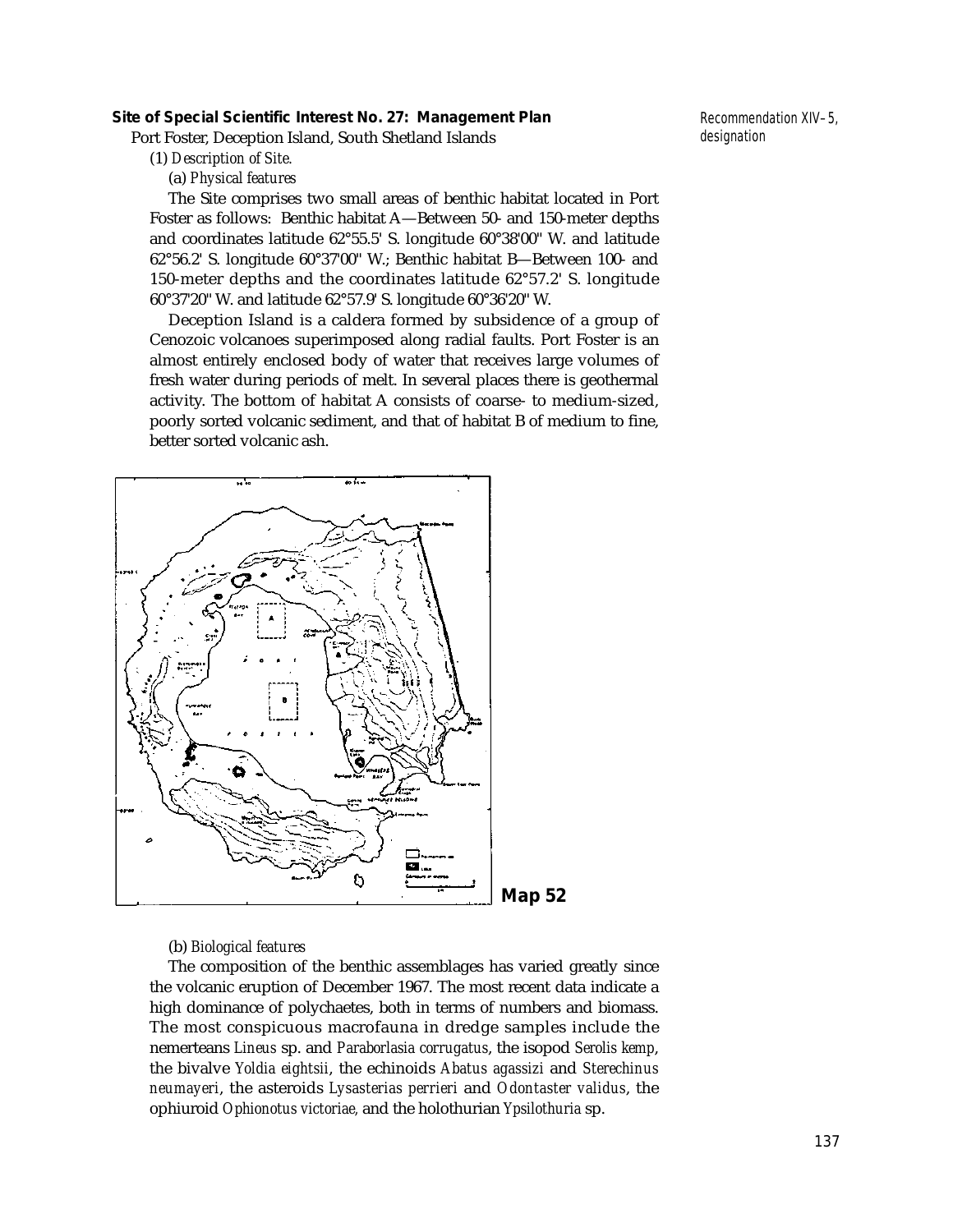#### **Site of Special Scientific Interest No. 27: Management Plan**

Port Foster, Deception Island, South Shetland Islands

(1) *Description of Site.* 

(a) *Physical features*

The Site comprises two small areas of benthic habitat located in Port Foster as follows: Benthic habitat A—Between 50- and 150-meter depths and coordinates latitude 62°55.5' S. longitude 60°38'00" W. and latitude 62°56.2' S. longitude 60°37'00" W.; Benthic habitat B—Between 100- and 150-meter depths and the coordinates latitude 62°57.2' S. longitude 60°37'20" W. and latitude 62°57.9' S. longitude 60°36'20" W.

Deception Island is a caldera formed by subsidence of a group of Cenozoic volcanoes superimposed along radial faults. Port Foster is an almost entirely enclosed body of water that receives large volumes of fresh water during periods of melt. In several places there is geothermal activity. The bottom of habitat A consists of coarse- to medium-sized, poorly sorted volcanic sediment, and that of habitat B of medium to fine, better sorted volcanic ash.



#### (b) *Biological features*

The composition of the benthic assemblages has varied greatly since the volcanic eruption of December 1967. The most recent data indicate a high dominance of polychaetes, both in terms of numbers and biomass. The most conspicuous macrofauna in dredge samples include the nemerteans *Lineus* sp. and *Paraborlasia corrugatus*, the isopod *Serolis kemp*, the bivalve *Yoldia eightsii*, the echinoids *Abatus agassizi* and *Sterechinus neumayeri*, the asteroids *Lysasterias perrieri* and *Odontaster validus*, the ophiuroid *Ophionotus victoriae,* and the holothurian *Ypsilothuria* sp.

Recommendation XIV–5, designation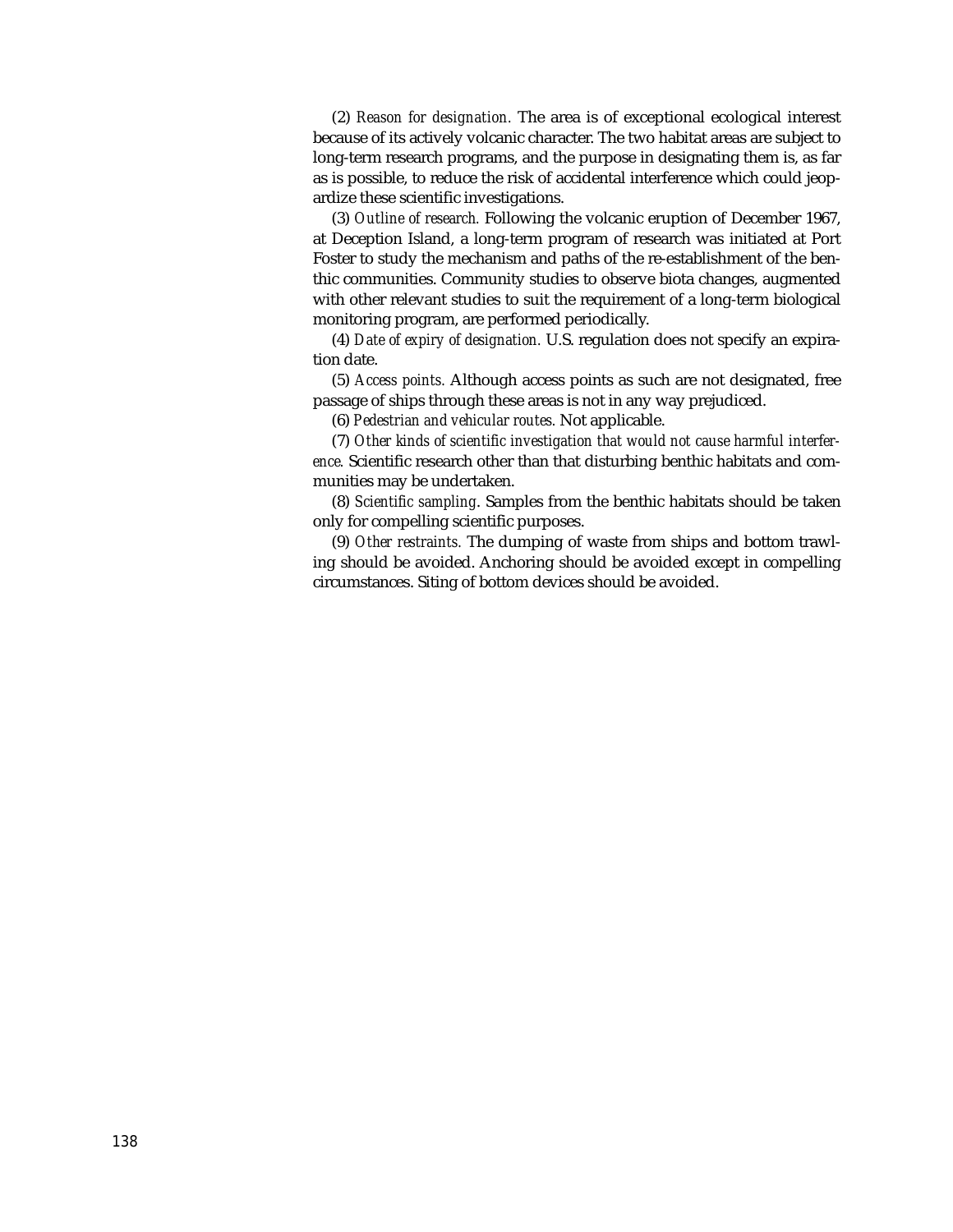(2) *Reason for designation.* The area is of exceptional ecological interest because of its actively volcanic character. The two habitat areas are subject to long-term research programs, and the purpose in designating them is, as far as is possible, to reduce the risk of accidental interference which could jeopardize these scientific investigations.

(3) *Outline of research.* Following the volcanic eruption of December 1967, at Deception Island, a long-term program of research was initiated at Port Foster to study the mechanism and paths of the re-establishment of the benthic communities. Community studies to observe biota changes, augmented with other relevant studies to suit the requirement of a long-term biological monitoring program, are performed periodically.

(4) *Date of expiry of designation.* U.S. regulation does not specify an expiration date.

(5) *Access points.* Although access points as such are not designated, free passage of ships through these areas is not in any way prejudiced.

(6) *Pedestrian and vehicular routes.* Not applicable.

(7) *Other kinds of scientific investigation that would not cause harmful interference.* Scientific research other than that disturbing benthic habitats and communities may be undertaken.

(8) *Scientific sampling*. Samples from the benthic habitats should be taken only for compelling scientific purposes.

(9) *Other restraints.* The dumping of waste from ships and bottom trawling should be avoided. Anchoring should be avoided except in compelling circumstances. Siting of bottom devices should be avoided.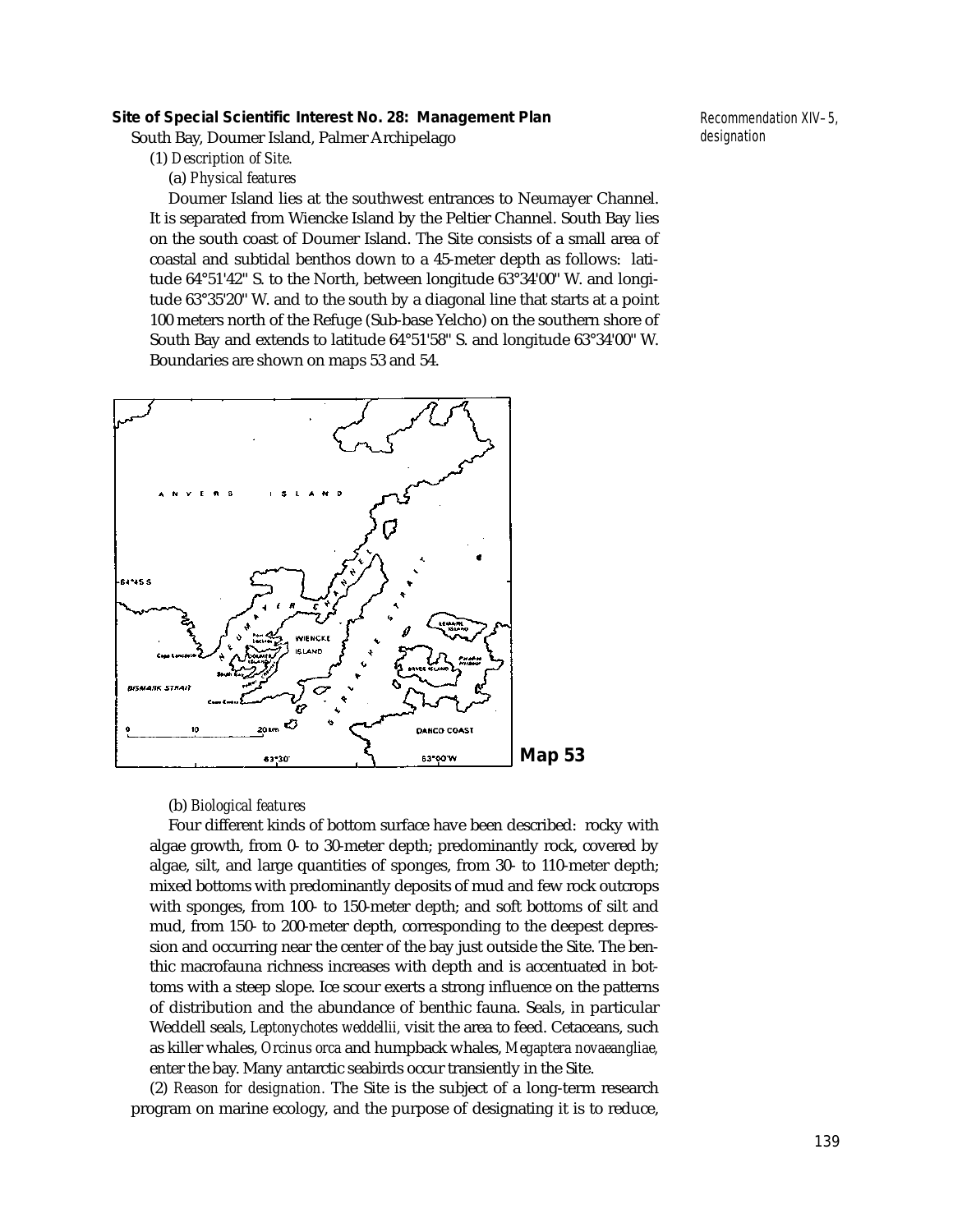#### **Site of Special Scientific Interest No. 28: Management Plan**

South Bay, Doumer Island, Palmer Archipelago

(1) *Description of Site.* 

(a) *Physical features*

Doumer Island lies at the southwest entrances to Neumayer Channel. It is separated from Wiencke Island by the Peltier Channel. South Bay lies on the south coast of Doumer Island. The Site consists of a small area of coastal and subtidal benthos down to a 45-meter depth as follows: latitude 64°51'42" S. to the North, between longitude 63°34'00" W. and longitude 63°35'20" W. and to the south by a diagonal line that starts at a point 100 meters north of the Refuge (Sub-base Yelcho) on the southern shore of South Bay and extends to latitude 64°51'58" S. and longitude 63°34'00" W. Boundaries are shown on maps 53 and 54.



#### Recommendation XIV–5, designation

#### (b) *Biological features*

Four different kinds of bottom surface have been described: rocky with algae growth, from 0- to 30-meter depth; predominantly rock, covered by algae, silt, and large quantities of sponges, from 30- to 110-meter depth; mixed bottoms with predominantly deposits of mud and few rock outcrops with sponges, from 100- to 150-meter depth; and soft bottoms of silt and mud, from 150- to 200-meter depth, corresponding to the deepest depression and occurring near the center of the bay just outside the Site. The benthic macrofauna richness increases with depth and is accentuated in bottoms with a steep slope. Ice scour exerts a strong influence on the patterns of distribution and the abundance of benthic fauna. Seals, in particular Weddell seals, *Leptonychotes weddellii,* visit the area to feed. Cetaceans, such as killer whales, *Orcinus orca* and humpback whales, *Megaptera novaeangliae,* enter the bay. Many antarctic seabirds occur transiently in the Site.

(2) *Reason for designation.* The Site is the subject of a long-term research program on marine ecology, and the purpose of designating it is to reduce,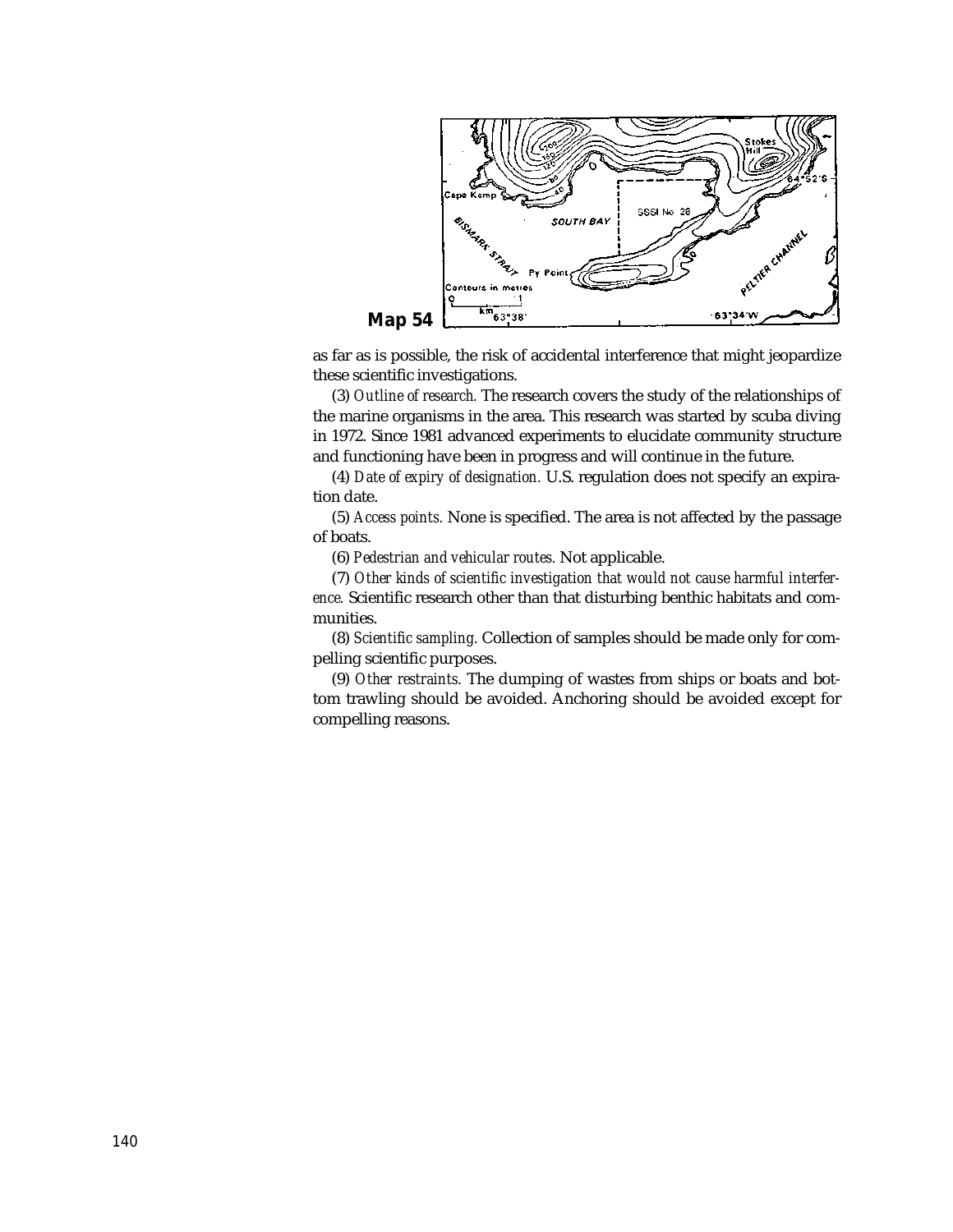

as far as is possible, the risk of accidental interference that might jeopardize these scientific investigations.

(3) *Outline of research.* The research covers the study of the relationships of the marine organisms in the area. This research was started by scuba diving in 1972. Since 1981 advanced experiments to elucidate community structure and functioning have been in progress and will continue in the future.

(4) *Date of expiry of designation.* U.S. regulation does not specify an expiration date.

(5) *Access points.* None is specified. The area is not affected by the passage of boats.

(6) *Pedestrian and vehicular routes.* Not applicable.

(7) *Other kinds of scientific investigation that would not cause harmful interference.* Scientific research other than that disturbing benthic habitats and communities.

(8) *Scientific sampling.* Collection of samples should be made only for compelling scientific purposes.

(9) *Other restraints.* The dumping of wastes from ships or boats and bottom trawling should be avoided. Anchoring should be avoided except for compelling reasons.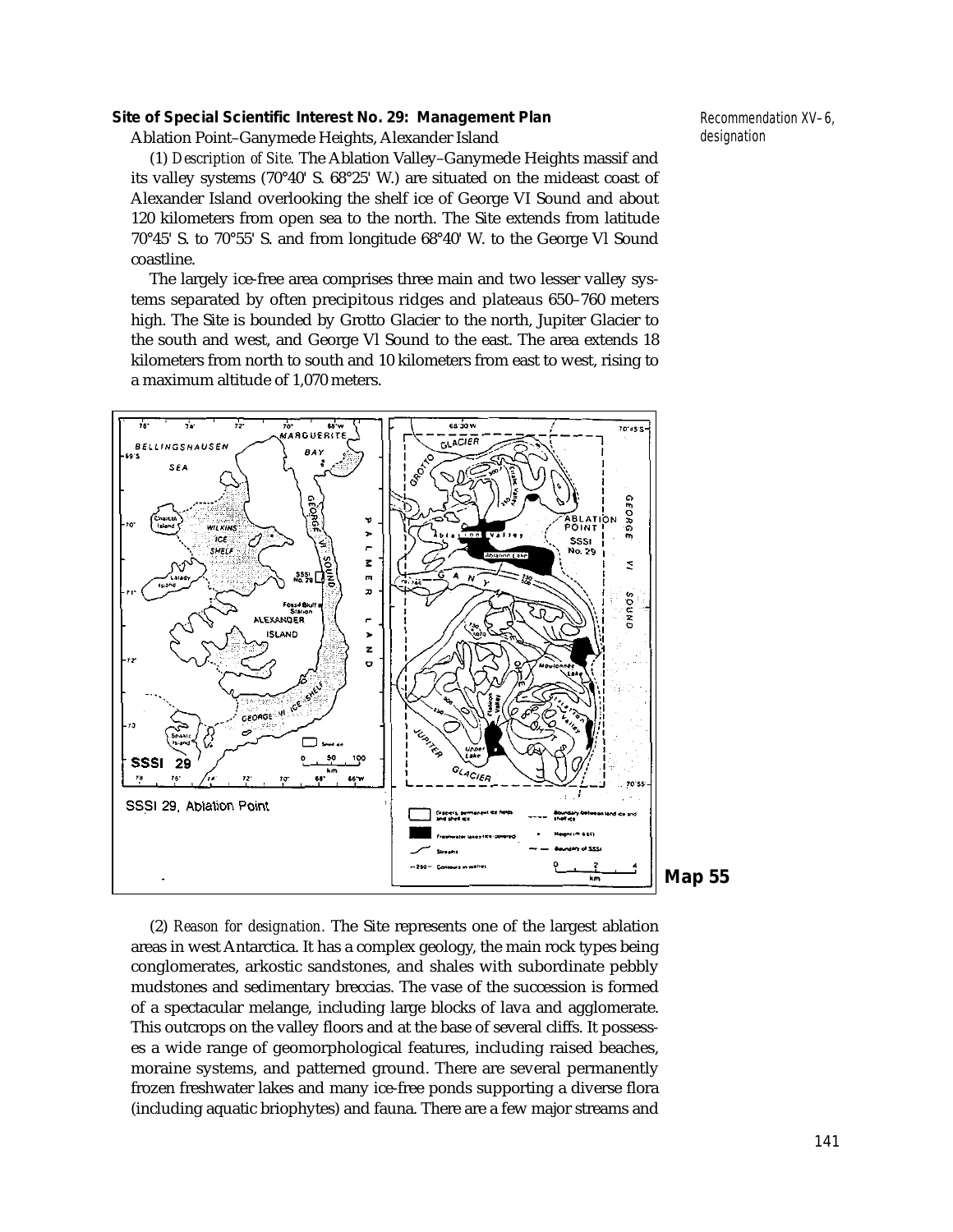#### **Site of Special Scientific Interest No. 29: Management Plan**

Ablation Point–Ganymede Heights, Alexander Island

Recommendation XV–6, designation

(1) *Description of Site.* The Ablation Valley–Ganymede Heights massif and its valley systems (70°40' S. 68°25' W.) are situated on the mideast coast of Alexander Island overlooking the shelf ice of George VI Sound and about 120 kilometers from open sea to the north. The Site extends from latitude 70°45' S. to 70°55' S. and from longitude 68°40' W. to the George Vl Sound coastline.

The largely ice-free area comprises three main and two lesser valley systems separated by often precipitous ridges and plateaus 650–760 meters high. The Site is bounded by Grotto Glacier to the north, Jupiter Glacier to the south and west, and George Vl Sound to the east. The area extends 18 kilometers from north to south and 10 kilometers from east to west, rising to a maximum altitude of 1,070 meters.



(2) *Reason for designation.* The Site represents one of the largest ablation areas in west Antarctica. It has a complex geology, the main rock types being conglomerates, arkostic sandstones, and shales with subordinate pebbly mudstones and sedimentary breccias. The vase of the succession is formed of a spectacular melange, including large blocks of lava and agglomerate. This outcrops on the valley floors and at the base of several cliffs. It possesses a wide range of geomorphological features, including raised beaches, moraine systems, and patterned ground. There are several permanently frozen freshwater lakes and many ice-free ponds supporting a diverse flora (including aquatic briophytes) and fauna. There are a few major streams and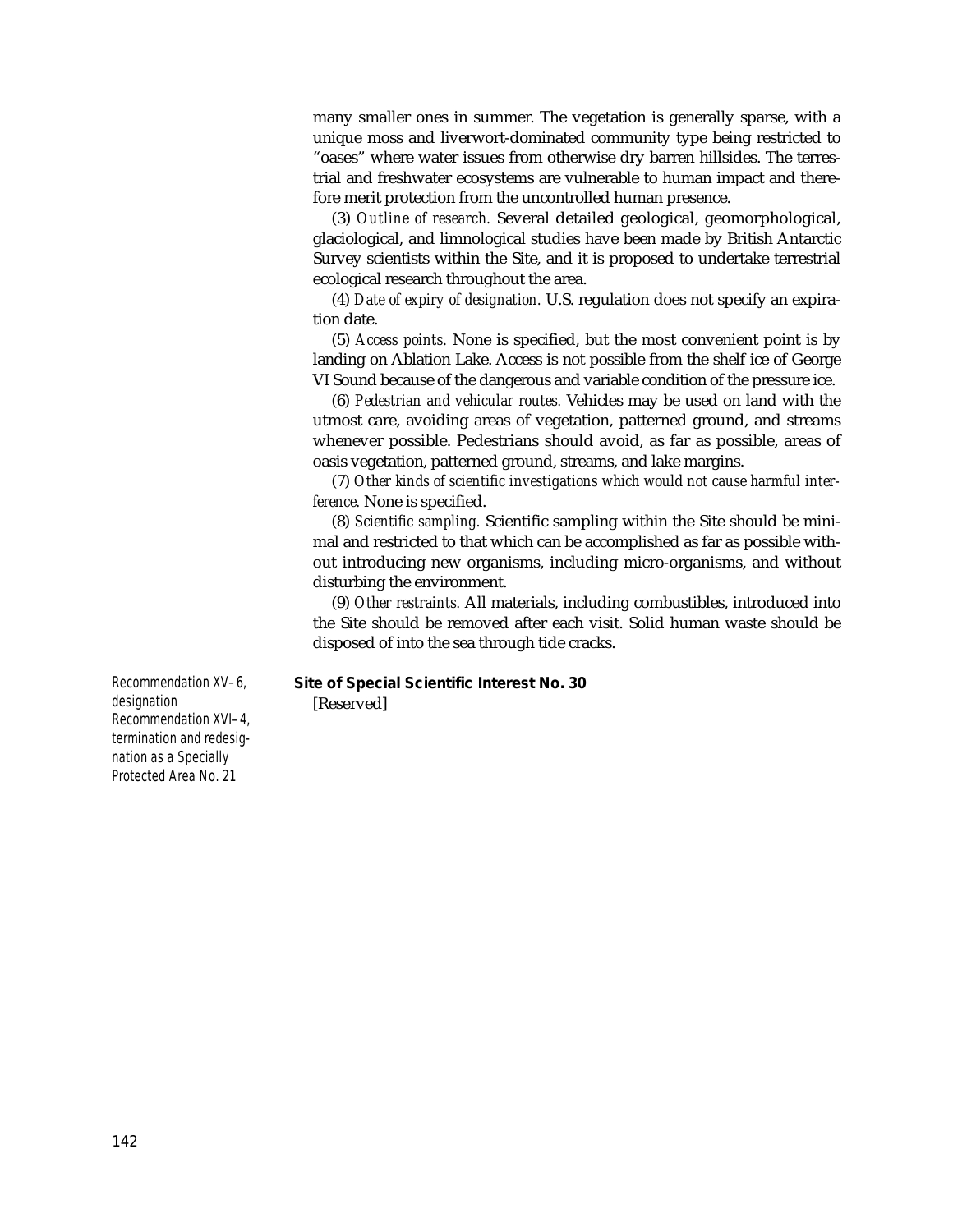many smaller ones in summer. The vegetation is generally sparse, with a unique moss and liverwort-dominated community type being restricted to "oases" where water issues from otherwise dry barren hillsides. The terrestrial and freshwater ecosystems are vulnerable to human impact and therefore merit protection from the uncontrolled human presence.

(3) *Outline of research.* Several detailed geological, geomorphological, glaciological, and limnological studies have been made by British Antarctic Survey scientists within the Site, and it is proposed to undertake terrestrial ecological research throughout the area.

(4) *Date of expiry of designation.* U.S. regulation does not specify an expiration date.

(5) *Access points.* None is specified, but the most convenient point is by landing on Ablation Lake. Access is not possible from the shelf ice of George VI Sound because of the dangerous and variable condition of the pressure ice.

(6) *Pedestrian and vehicular routes.* Vehicles may be used on land with the utmost care, avoiding areas of vegetation, patterned ground, and streams whenever possible. Pedestrians should avoid, as far as possible, areas of oasis vegetation, patterned ground, streams, and lake margins.

(7) *Other kinds of scientific investigations which would not cause harmful interference.* None is specified.

(8) *Scientific sampling.* Scientific sampling within the Site should be minimal and restricted to that which can be accomplished as far as possible without introducing new organisms, including micro-organisms, and without disturbing the environment.

(9) *Other restraints.* All materials, including combustibles, introduced into the Site should be removed after each visit. Solid human waste should be disposed of into the sea through tide cracks.

**Site of Special Scientific Interest No. 30** [Reserved]

Recommendation XV–6, designation Recommendation XVI–4, termination and redesignation as a Specially Protected Area No. 21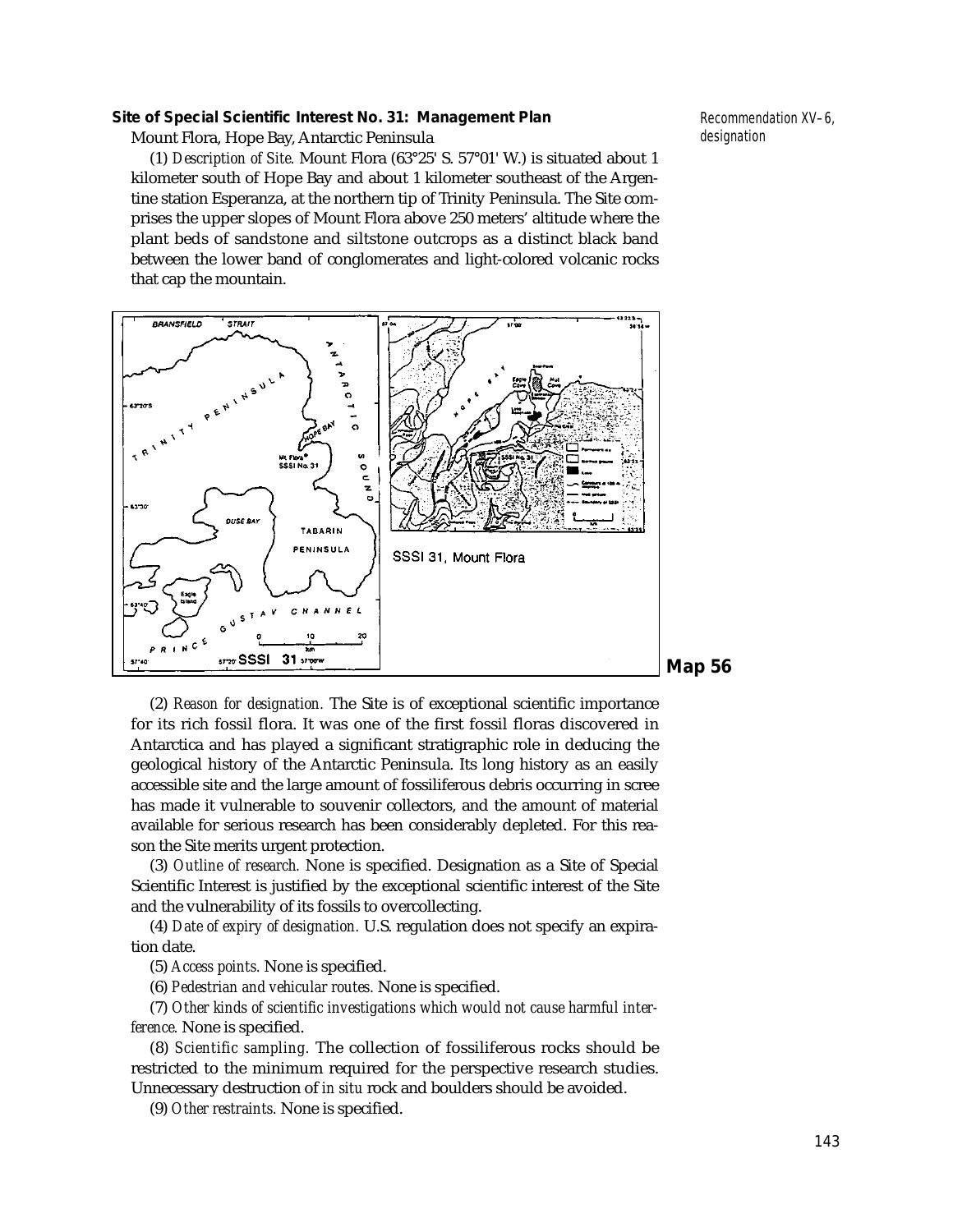#### **Site of Special Scientific Interest No. 31: Management Plan**

Mount Flora, Hope Bay, Antarctic Peninsula

(1) *Description of Site.* Mount Flora (63°25' S. 57°01' W.) is situated about 1 kilometer south of Hope Bay and about 1 kilometer southeast of the Argentine station Esperanza, at the northern tip of Trinity Peninsula. The Site comprises the upper slopes of Mount Flora above 250 meters' altitude where the plant beds of sandstone and siltstone outcrops as a distinct black band between the lower band of conglomerates and light-colored volcanic rocks that cap the mountain.

Recommendation XV–6, designation



(2) *Reason for designation.* The Site is of exceptional scientific importance for its rich fossil flora. It was one of the first fossil floras discovered in Antarctica and has played a significant stratigraphic role in deducing the geological history of the Antarctic Peninsula. Its long history as an easily accessible site and the large amount of fossiliferous debris occurring in scree has made it vulnerable to souvenir collectors, and the amount of material available for serious research has been considerably depleted. For this reason the Site merits urgent protection.

(3) *Outline of research.* None is specified. Designation as a Site of Special Scientific Interest is justified by the exceptional scientific interest of the Site and the vulnerability of its fossils to overcollecting.

(4) *Date of expiry of designation.* U.S. regulation does not specify an expiration date.

(5) *Access points.* None is specified.

(6) *Pedestrian and vehicular routes.* None is specified.

(7) *Other kinds of scientific investigations which would not cause harmful interference.* None is specified.

(8) *Scientific sampling.* The collection of fossiliferous rocks should be restricted to the minimum required for the perspective research studies. Unnecessary destruction of *in situ* rock and boulders should be avoided.

(9) *Other restraints.* None is specified.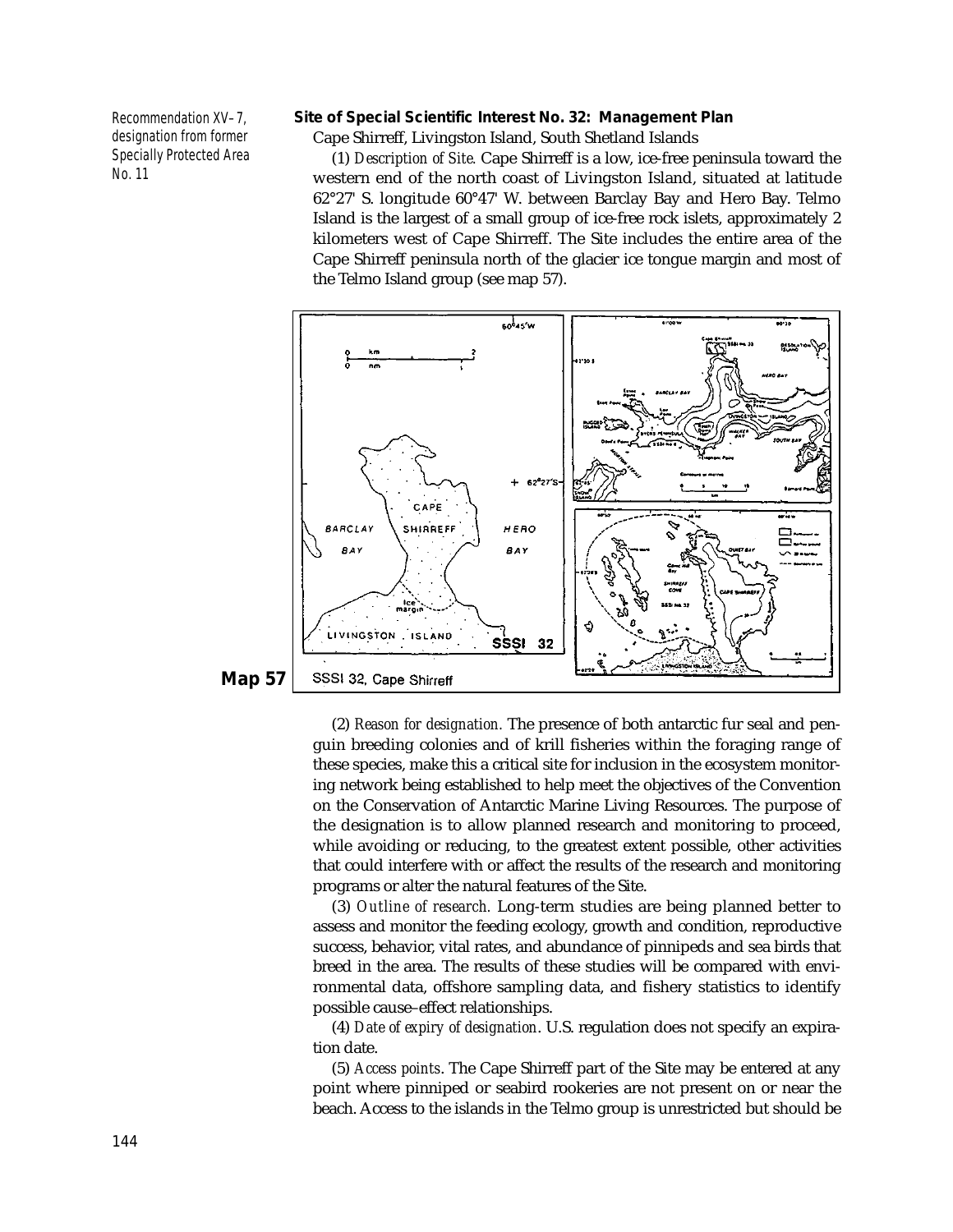Recommendation XV–7, designation from former Specially Protected Area No. 11

## **Site of Special Scientific Interest No. 32: Management Plan**

Cape Shirreff, Livingston Island, South Shetland Islands

(1) *Description of Site.* Cape Shirreff is a low, ice-free peninsula toward the western end of the north coast of Livingston Island, situated at latitude 62°27' S. longitude 60°47' W. between Barclay Bay and Hero Bay. Telmo Island is the largest of a small group of ice-free rock islets, approximately 2 kilometers west of Cape Shirreff. The Site includes the entire area of the Cape Shirreff peninsula north of the glacier ice tongue margin and most of the Telmo Island group (see map 57).



(2) *Reason for designation.* The presence of both antarctic fur seal and penguin breeding colonies and of krill fisheries within the foraging range of these species, make this a critical site for inclusion in the ecosystem monitoring network being established to help meet the objectives of the Convention on the Conservation of Antarctic Marine Living Resources. The purpose of the designation is to allow planned research and monitoring to proceed, while avoiding or reducing, to the greatest extent possible, other activities that could interfere with or affect the results of the research and monitoring programs or alter the natural features of the Site.

(3) *Outline of research.* Long-term studies are being planned better to assess and monitor the feeding ecology, growth and condition, reproductive success, behavior, vital rates, and abundance of pinnipeds and sea birds that breed in the area. The results of these studies will be compared with environmental data, offshore sampling data, and fishery statistics to identify possible cause–effect relationships.

(4) *Date of expiry of designation*. U.S. regulation does not specify an expiration date.

(5) *Access points*. The Cape Shirreff part of the Site may be entered at any point where pinniped or seabird rookeries are not present on or near the beach. Access to the islands in the Telmo group is unrestricted but should be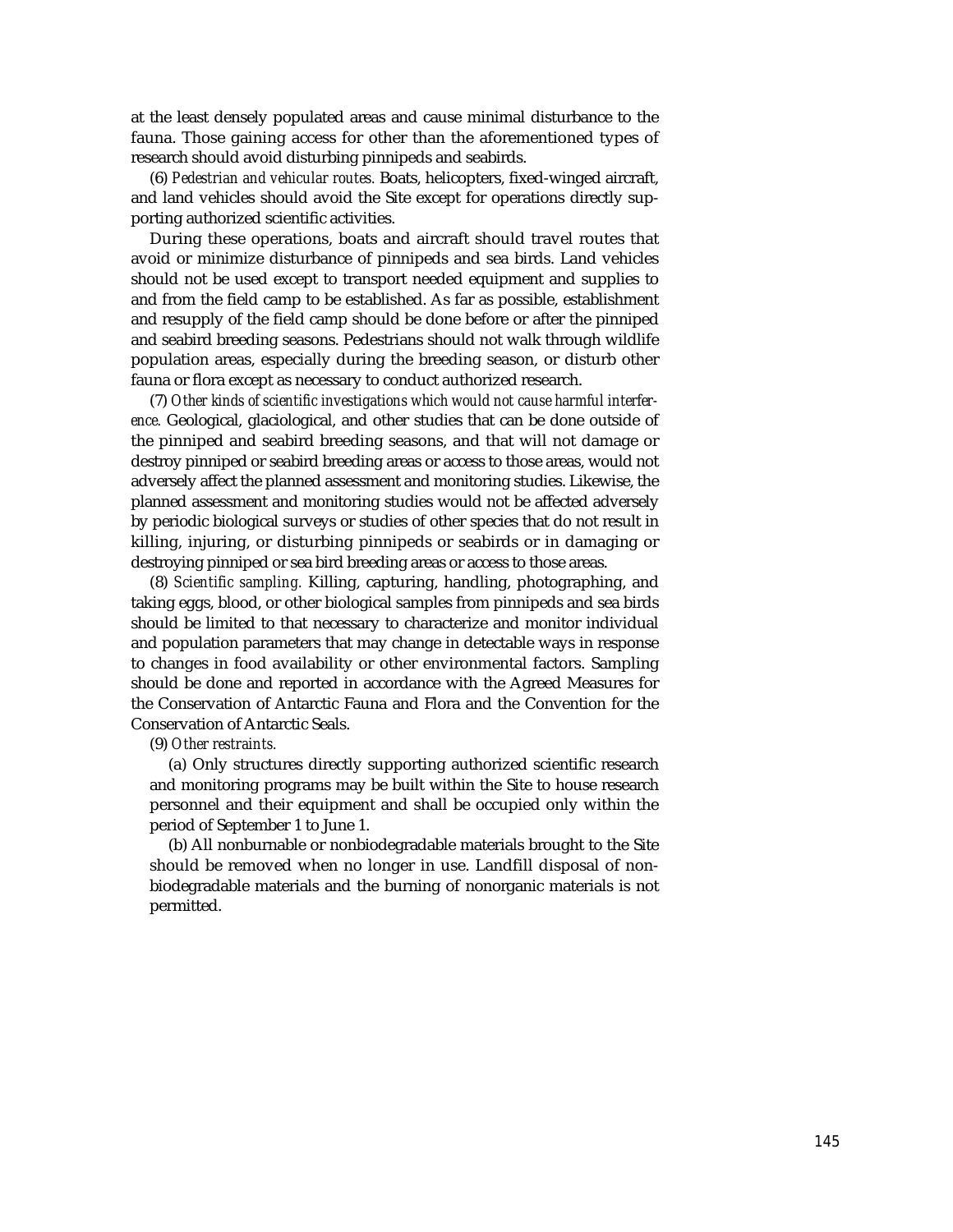at the least densely populated areas and cause minimal disturbance to the fauna. Those gaining access for other than the aforementioned types of research should avoid disturbing pinnipeds and seabirds.

(6) *Pedestrian and vehicular routes.* Boats, helicopters, fixed-winged aircraft, and land vehicles should avoid the Site except for operations directly supporting authorized scientific activities.

During these operations, boats and aircraft should travel routes that avoid or minimize disturbance of pinnipeds and sea birds. Land vehicles should not be used except to transport needed equipment and supplies to and from the field camp to be established. As far as possible, establishment and resupply of the field camp should be done before or after the pinniped and seabird breeding seasons. Pedestrians should not walk through wildlife population areas, especially during the breeding season, or disturb other fauna or flora except as necessary to conduct authorized research.

(7) *Other kinds of scientific investigations which would not cause harmful interference.* Geological, glaciological, and other studies that can be done outside of the pinniped and seabird breeding seasons, and that will not damage or destroy pinniped or seabird breeding areas or access to those areas, would not adversely affect the planned assessment and monitoring studies. Likewise, the planned assessment and monitoring studies would not be affected adversely by periodic biological surveys or studies of other species that do not result in killing, injuring, or disturbing pinnipeds or seabirds or in damaging or destroying pinniped or sea bird breeding areas or access to those areas.

(8) *Scientific sampling.* Killing, capturing, handling, photographing, and taking eggs, blood, or other biological samples from pinnipeds and sea birds should be limited to that necessary to characterize and monitor individual and population parameters that may change in detectable ways in response to changes in food availability or other environmental factors. Sampling should be done and reported in accordance with the Agreed Measures for the Conservation of Antarctic Fauna and Flora and the Convention for the Conservation of Antarctic Seals.

#### (9) *Other restraints.*

(a) Only structures directly supporting authorized scientific research and monitoring programs may be built within the Site to house research personnel and their equipment and shall be occupied only within the period of September 1 to June 1.

(b) All nonburnable or nonbiodegradable materials brought to the Site should be removed when no longer in use. Landfill disposal of nonbiodegradable materials and the burning of nonorganic materials is not permitted.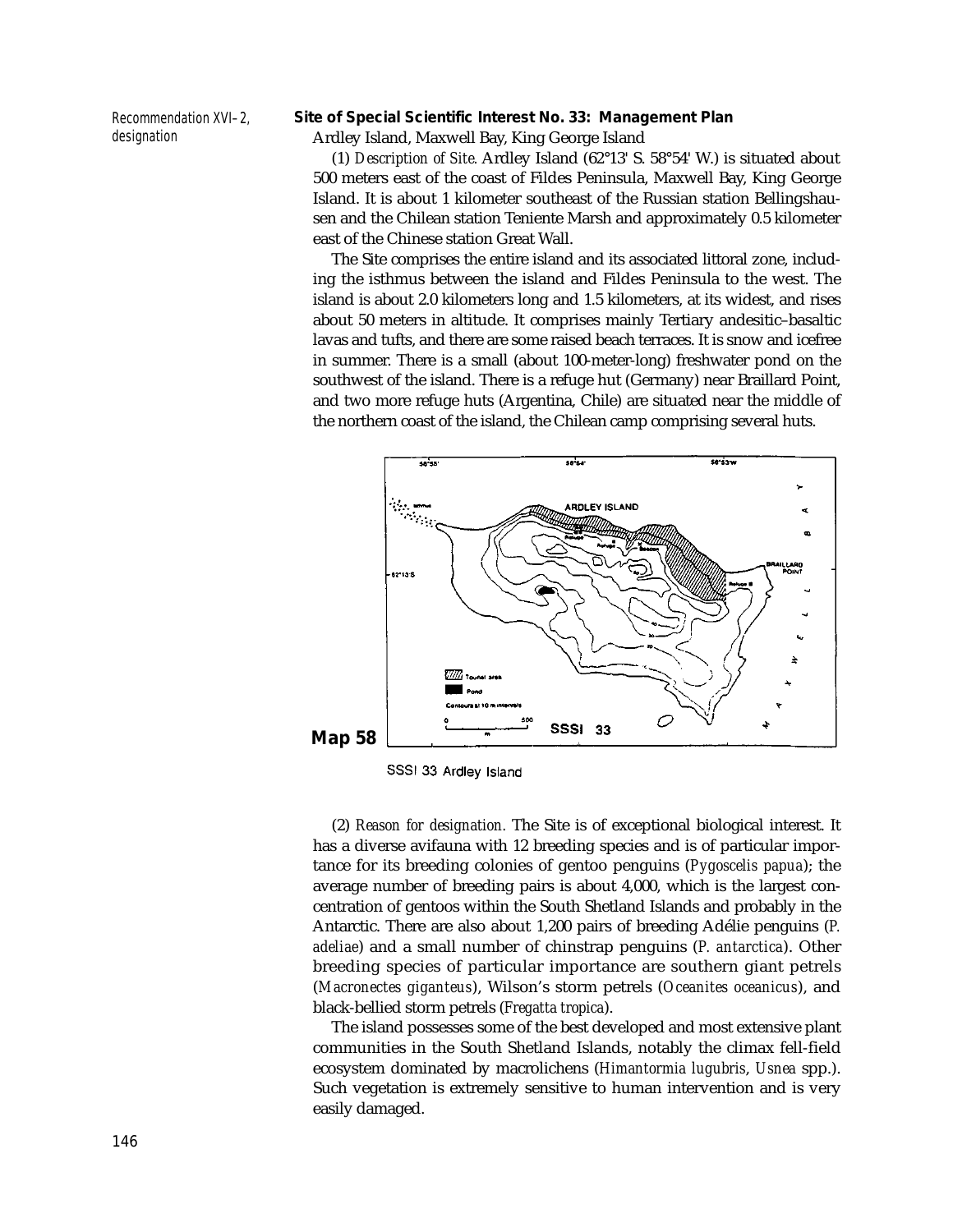Recommendation XVI–2, designation

## **Site of Special Scientific Interest No. 33: Management Plan**

Ardley Island, Maxwell Bay, King George Island

(1) *Description of Site.* Ardley Island (62°13' S. 58°54' W.) is situated about 500 meters east of the coast of Fildes Peninsula, Maxwell Bay, King George Island. It is about 1 kilometer southeast of the Russian station Bellingshausen and the Chilean station Teniente Marsh and approximately 0.5 kilometer east of the Chinese station Great Wall.

The Site comprises the entire island and its associated littoral zone, including the isthmus between the island and Fildes Peninsula to the west. The island is about 2.0 kilometers long and 1.5 kilometers, at its widest, and rises about 50 meters in altitude. It comprises mainly Tertiary andesitic–basaltic lavas and tufts, and there are some raised beach terraces. It is snow and icefree in summer. There is a small (about 100-meter-long) freshwater pond on the southwest of the island. There is a refuge hut (Germany) near Braillard Point, and two more refuge huts (Argentina, Chile) are situated near the middle of the northern coast of the island, the Chilean camp comprising several huts.



SSSI 33 Ardley Island

(2) *Reason for designation.* The Site is of exceptional biological interest. It has a diverse avifauna with 12 breeding species and is of particular importance for its breeding colonies of gentoo penguins (*Pygoscelis papua*); the average number of breeding pairs is about 4,000, which is the largest concentration of gentoos within the South Shetland Islands and probably in the Antarctic. There are also about 1,200 pairs of breeding Adélie penguins (*P. adeliae*) and a small number of chinstrap penguins (*P. antarctica*). Other breeding species of particular importance are southern giant petrels (*Macronectes giganteus*), Wilson's storm petrels (*Oceanites oceanicus*), and black-bellied storm petrels (*Fregatta tropica*).

The island possesses some of the best developed and most extensive plant communities in the South Shetland Islands, notably the climax fell-field ecosystem dominated by macrolichens (*Himantormia lugubris*, *Usnea* spp.). Such vegetation is extremely sensitive to human intervention and is very easily damaged.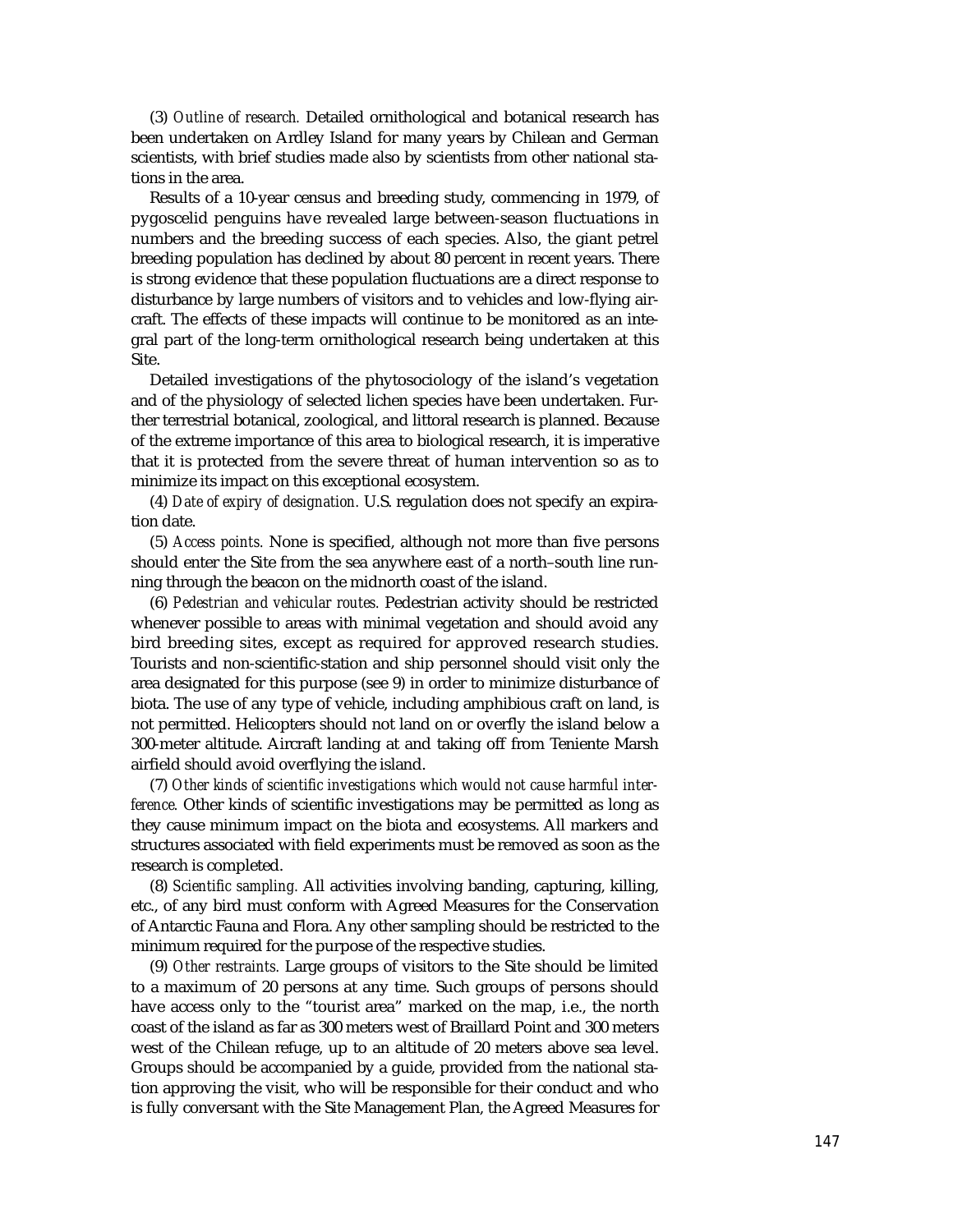(3) *Outline of research.* Detailed ornithological and botanical research has been undertaken on Ardley Island for many years by Chilean and German scientists, with brief studies made also by scientists from other national stations in the area.

Results of a 10-year census and breeding study, commencing in 1979, of pygoscelid penguins have revealed large between-season fluctuations in numbers and the breeding success of each species. Also, the giant petrel breeding population has declined by about 80 percent in recent years. There is strong evidence that these population fluctuations are a direct response to disturbance by large numbers of visitors and to vehicles and low-flying aircraft. The effects of these impacts will continue to be monitored as an integral part of the long-term ornithological research being undertaken at this Site.

Detailed investigations of the phytosociology of the island's vegetation and of the physiology of selected lichen species have been undertaken. Further terrestrial botanical, zoological, and littoral research is planned. Because of the extreme importance of this area to biological research, it is imperative that it is protected from the severe threat of human intervention so as to minimize its impact on this exceptional ecosystem.

(4) *Date of expiry of designation.* U.S. regulation does not specify an expiration date.

(5) *Access points.* None is specified, although not more than five persons should enter the Site from the sea anywhere east of a north–south line running through the beacon on the midnorth coast of the island.

(6) *Pedestrian and vehicular routes.* Pedestrian activity should be restricted whenever possible to areas with minimal vegetation and should avoid any bird breeding sites, except as required for approved research studies. Tourists and non-scientific-station and ship personnel should visit only the area designated for this purpose (see 9) in order to minimize disturbance of biota. The use of any type of vehicle, including amphibious craft on land, is not permitted. Helicopters should not land on or overfly the island below a 300-meter altitude. Aircraft landing at and taking off from Teniente Marsh airfield should avoid overflying the island.

(7) *Other kinds of scientific investigations which would not cause harmful interference.* Other kinds of scientific investigations may be permitted as long as they cause minimum impact on the biota and ecosystems. All markers and structures associated with field experiments must be removed as soon as the research is completed.

(8) *Scientific sampling.* All activities involving banding, capturing, killing, etc., of any bird must conform with Agreed Measures for the Conservation of Antarctic Fauna and Flora. Any other sampling should be restricted to the minimum required for the purpose of the respective studies.

(9) *Other restraints.* Large groups of visitors to the Site should be limited to a maximum of 20 persons at any time. Such groups of persons should have access only to the "tourist area" marked on the map, i.e., the north coast of the island as far as 300 meters west of Braillard Point and 300 meters west of the Chilean refuge, up to an altitude of 20 meters above sea level. Groups should be accompanied by a guide, provided from the national station approving the visit, who will be responsible for their conduct and who is fully conversant with the Site Management Plan, the Agreed Measures for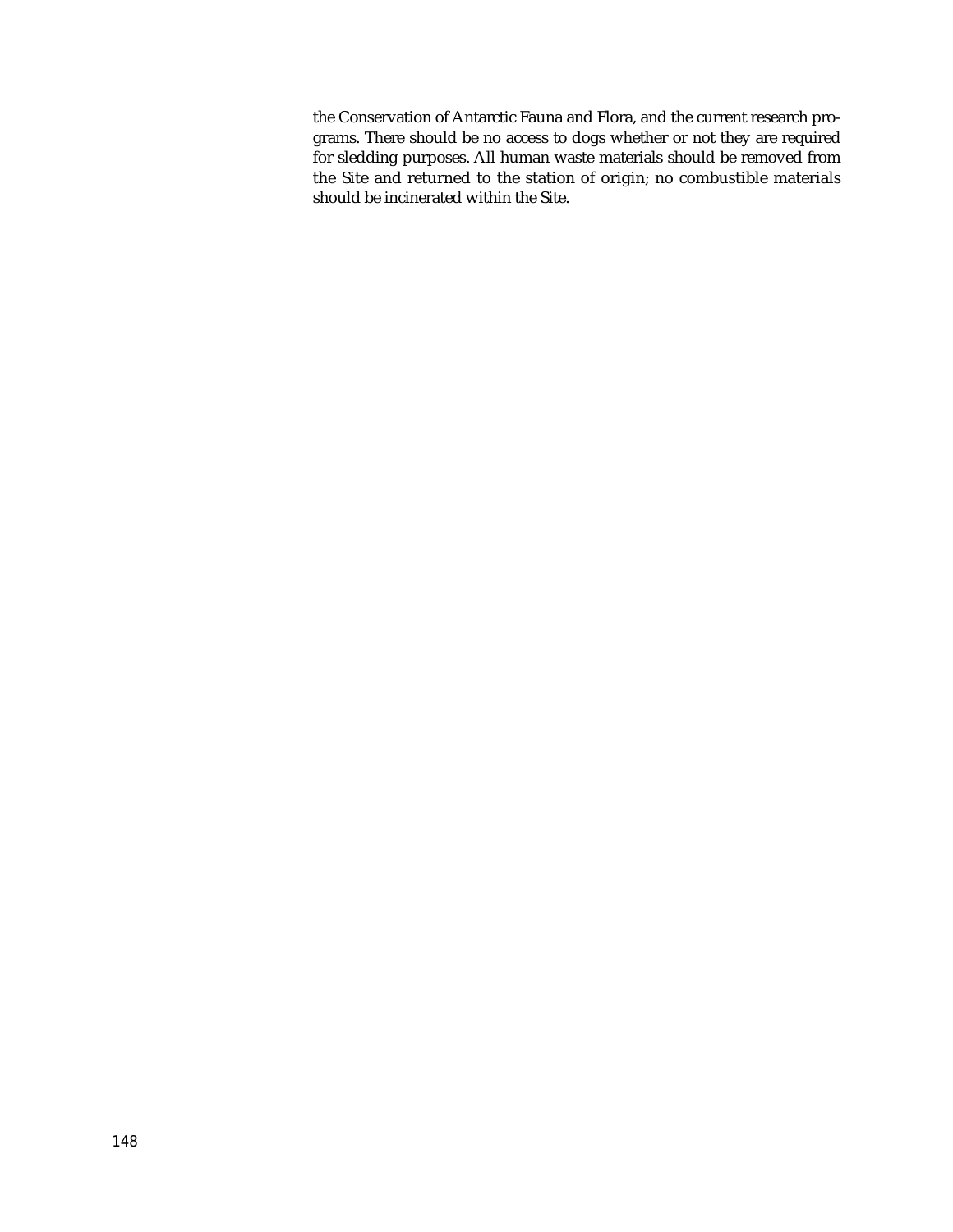the Conservation of Antarctic Fauna and Flora, and the current research programs. There should be no access to dogs whether or not they are required for sledding purposes. All human waste materials should be removed from the Site and returned to the station of origin; no combustible materials should be incinerated within the Site.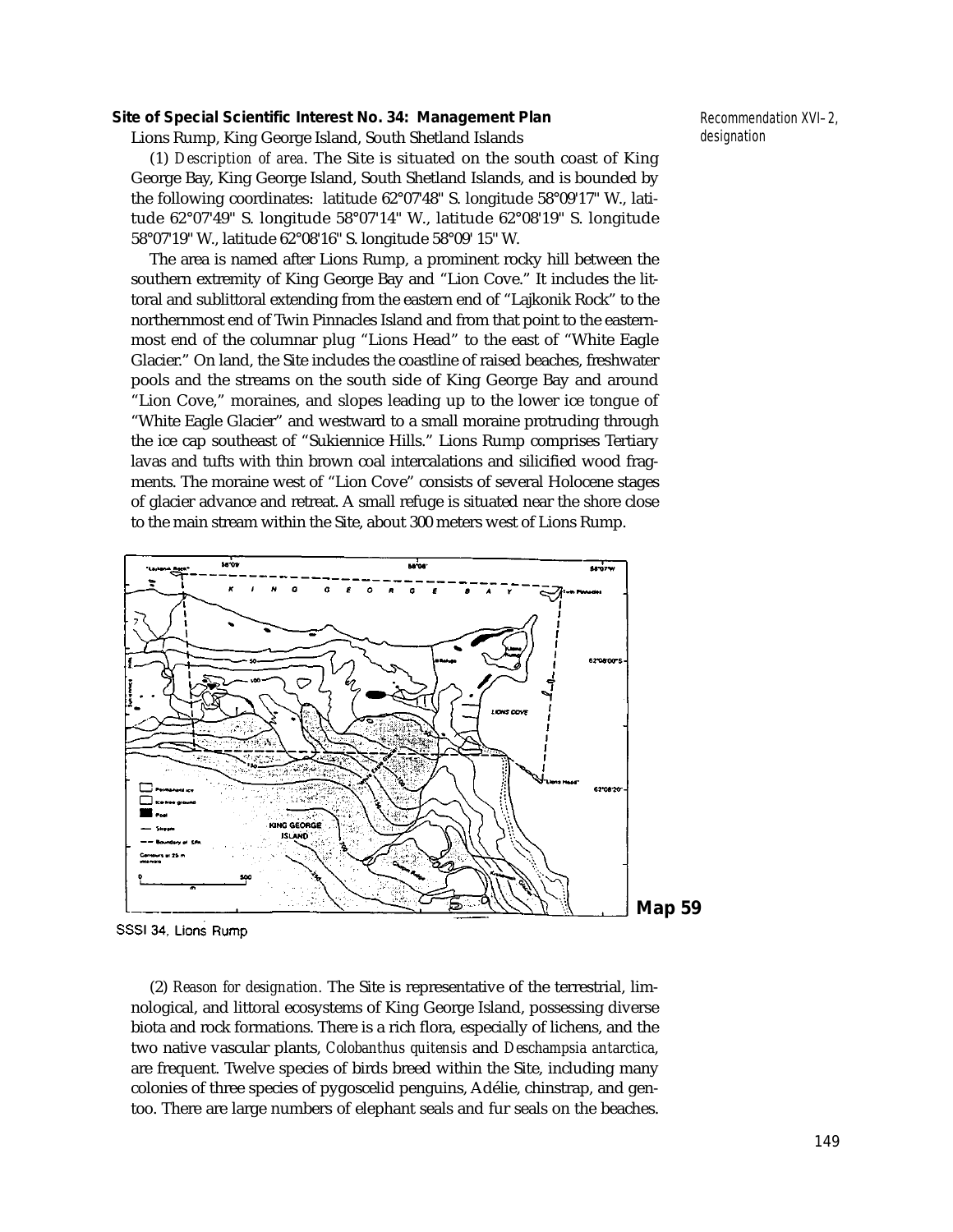#### **Site of Special Scientific Interest No. 34: Management Plan**

Lions Rump, King George Island, South Shetland Islands

Recommendation XVI–2, designation

(1) *Description of area*. The Site is situated on the south coast of King George Bay, King George Island, South Shetland Islands, and is bounded by the following coordinates: latitude 62°07'48" S. longitude 58°09'17" W., latitude 62°07'49" S. longitude 58°07'14" W., latitude 62°08'19" S. longitude 58°07'19" W., latitude 62°08'16" S. longitude 58°09' 15" W.

The area is named after Lions Rump, a prominent rocky hill between the southern extremity of King George Bay and "Lion Cove." It includes the littoral and sublittoral extending from the eastern end of "Lajkonik Rock" to the northernmost end of Twin Pinnacles Island and from that point to the easternmost end of the columnar plug "Lions Head" to the east of "White Eagle Glacier." On land, the Site includes the coastline of raised beaches, freshwater pools and the streams on the south side of King George Bay and around "Lion Cove," moraines, and slopes leading up to the lower ice tongue of "White Eagle Glacier" and westward to a small moraine protruding through the ice cap southeast of "Sukiennice Hills." Lions Rump comprises Tertiary lavas and tufts with thin brown coal intercalations and silicified wood fragments. The moraine west of "Lion Cove" consists of several Holocene stages of glacier advance and retreat. A small refuge is situated near the shore close to the main stream within the Site, about 300 meters west of Lions Rump.



SSSI 34, Lions Rump

(2) *Reason for designation.* The Site is representative of the terrestrial, limnological, and littoral ecosystems of King George Island, possessing diverse biota and rock formations. There is a rich flora, especially of lichens, and the two native vascular plants, *Colobanthus quitensis* and *Deschampsia antarctica*, are frequent. Twelve species of birds breed within the Site, including many colonies of three species of pygoscelid penguins, Adélie, chinstrap, and gentoo. There are large numbers of elephant seals and fur seals on the beaches.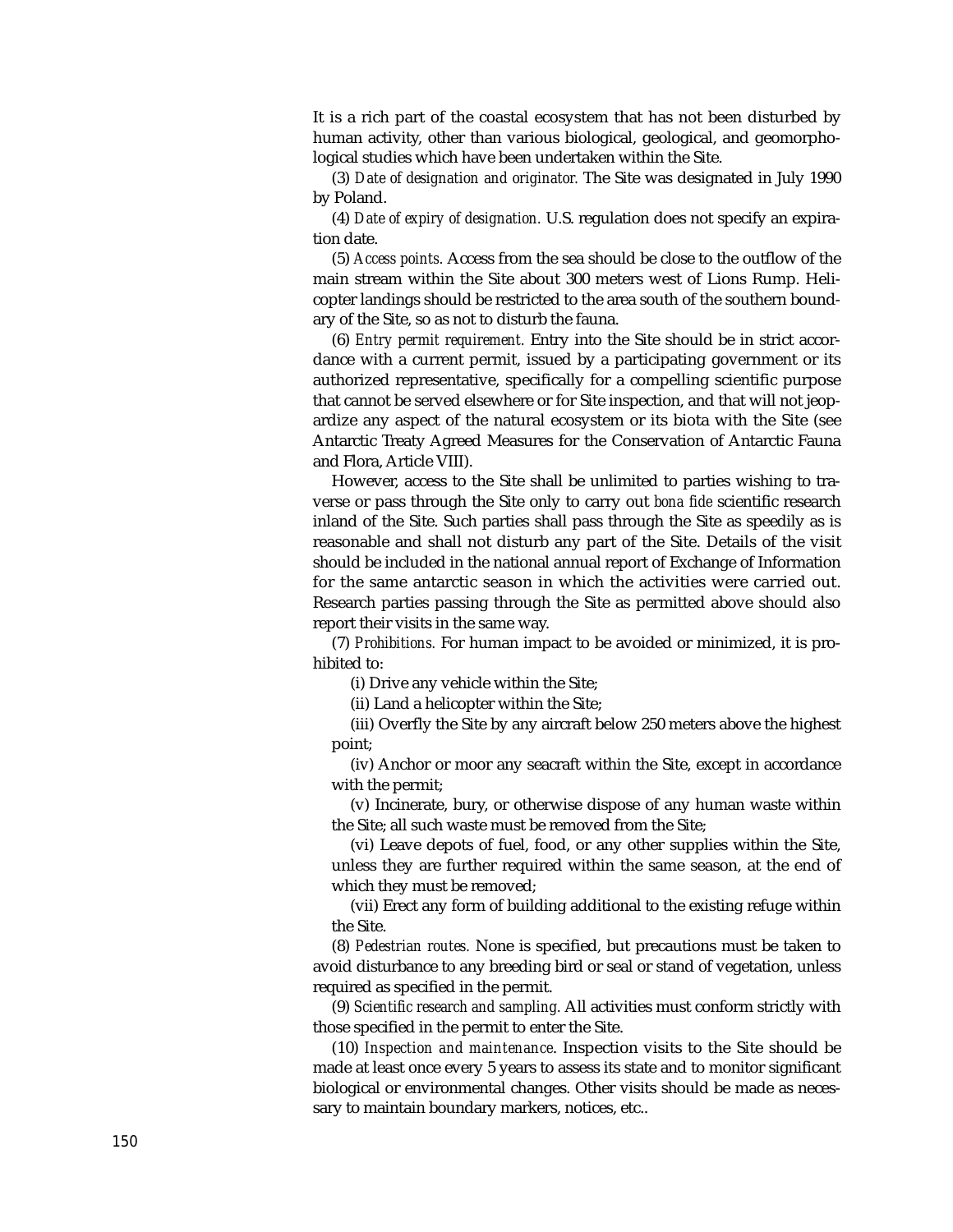It is a rich part of the coastal ecosystem that has not been disturbed by human activity, other than various biological, geological, and geomorphological studies which have been undertaken within the Site.

(3) *Date of designation and originator.* The Site was designated in July 1990 by Poland.

(4) *Date of expiry of designation.* U.S. regulation does not specify an expiration date.

(5) *Access points.* Access from the sea should be close to the outflow of the main stream within the Site about 300 meters west of Lions Rump. Helicopter landings should be restricted to the area south of the southern boundary of the Site, so as not to disturb the fauna.

(6) *Entry permit requirement.* Entry into the Site should be in strict accordance with a current permit, issued by a participating government or its authorized representative, specifically for a compelling scientific purpose that cannot be served elsewhere or for Site inspection, and that will not jeopardize any aspect of the natural ecosystem or its biota with the Site (see Antarctic Treaty Agreed Measures for the Conservation of Antarctic Fauna and Flora, Article VIII).

However, access to the Site shall be unlimited to parties wishing to traverse or pass through the Site only to carry out *bona fide* scientific research inland of the Site. Such parties shall pass through the Site as speedily as is reasonable and shall not disturb any part of the Site. Details of the visit should be included in the national annual report of Exchange of Information for the same antarctic season in which the activities were carried out. Research parties passing through the Site as permitted above should also report their visits in the same way.

(7) *Prohibitions.* For human impact to be avoided or minimized, it is prohibited to:

(i) Drive any vehicle within the Site;

(ii) Land a helicopter within the Site;

(iii) Overfly the Site by any aircraft below 250 meters above the highest point;

(iv) Anchor or moor any seacraft within the Site, except in accordance with the permit;

(v) Incinerate, bury, or otherwise dispose of any human waste within the Site; all such waste must be removed from the Site;

(vi) Leave depots of fuel, food, or any other supplies within the Site, unless they are further required within the same season, at the end of which they must be removed;

(vii) Erect any form of building additional to the existing refuge within the Site.

(8) *Pedestrian routes.* None is specified, but precautions must be taken to avoid disturbance to any breeding bird or seal or stand of vegetation, unless required as specified in the permit.

(9) *Scientific research and sampling.* All activities must conform strictly with those specified in the permit to enter the Site.

(10) *Inspection and maintenance*. Inspection visits to the Site should be made at least once every 5 years to assess its state and to monitor significant biological or environmental changes. Other visits should be made as necessary to maintain boundary markers, notices, etc..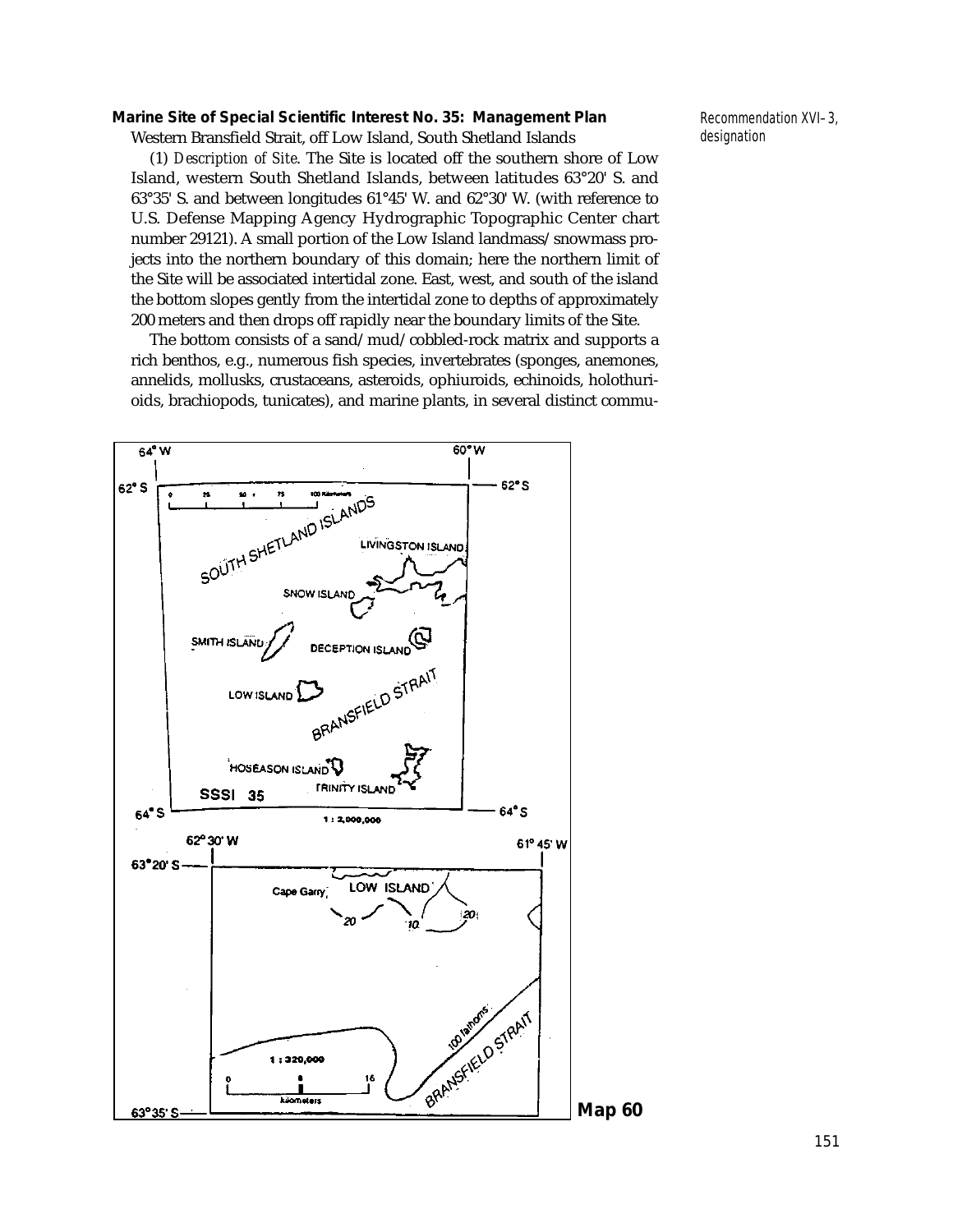#### **Marine Site of Special Scientific Interest No. 35: Management Plan**

Western Bransfield Strait, off Low Island, South Shetland Islands

(1) *Description of Site*. The Site is located off the southern shore of Low Island, western South Shetland Islands, between latitudes 63°20' S. and 63°35' S. and between longitudes 61°45' W. and 62°30' W. (with reference to U.S. Defense Mapping Agency Hydrographic Topographic Center chart number 29121). A small portion of the Low Island landmass/snowmass projects into the northern boundary of this domain; here the northern limit of the Site will be associated intertidal zone. East, west, and south of the island the bottom slopes gently from the intertidal zone to depths of approximately 200 meters and then drops off rapidly near the boundary limits of the Site.

The bottom consists of a sand/mud/cobbled-rock matrix and supports a rich benthos, e.g., numerous fish species, invertebrates (sponges, anemones, annelids, mollusks, crustaceans, asteroids, ophiuroids, echinoids, holothurioids, brachiopods, tunicates), and marine plants, in several distinct commu-



Recommendation XVI–3, designation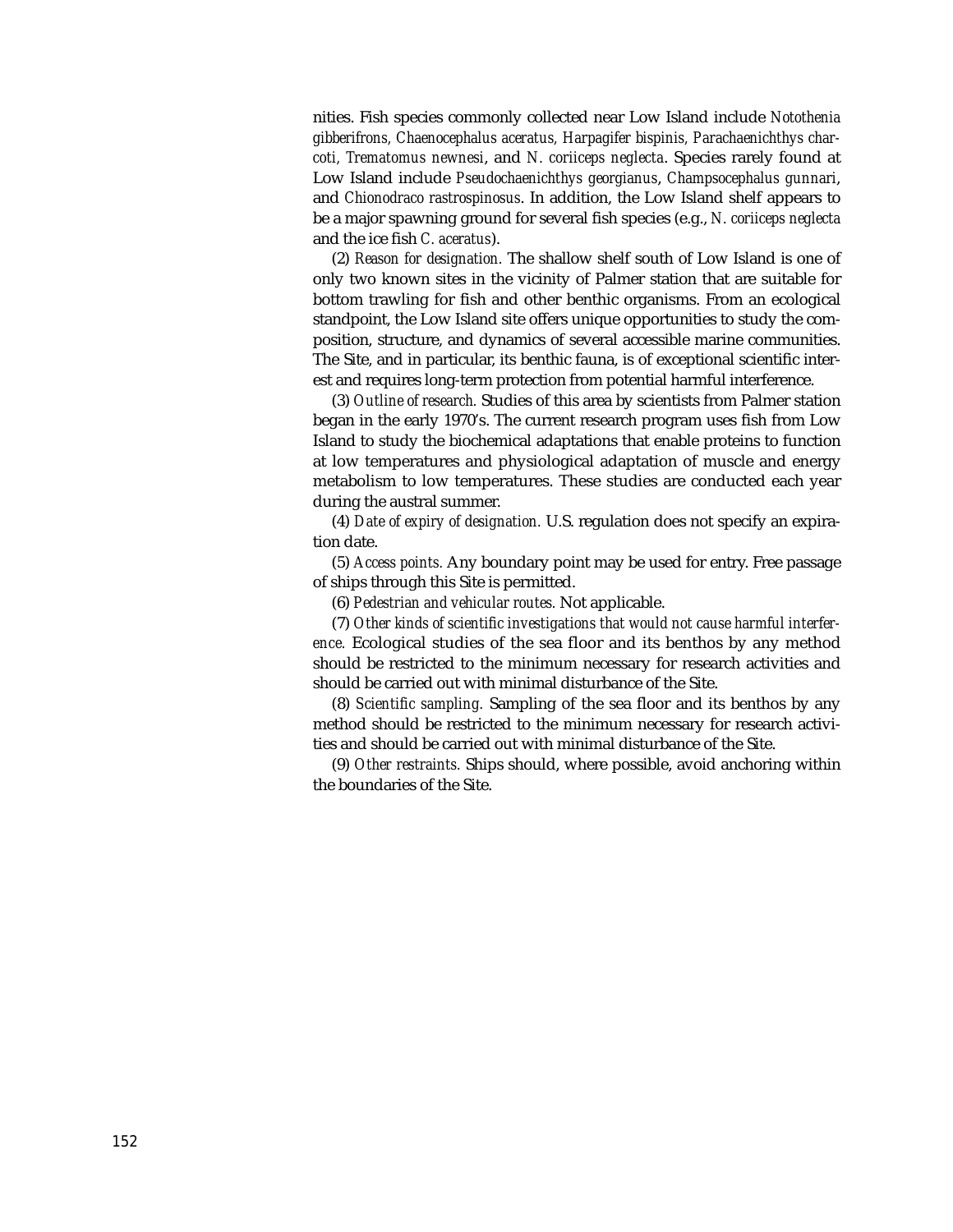nities. Fish species commonly collected near Low Island include *Notothenia gibberifrons, Chaenocephalus aceratus, Harpagifer bispinis, Parachaenichthys charcoti, Trematomus newnesi*, and *N. coriiceps neglecta*. Species rarely found at Low Island include *Pseudochaenichthys georgianus*, *Champsocephalus gunnari*, and *Chionodraco rastrospinosus*. In addition, the Low Island shelf appears to be a major spawning ground for several fish species (e.g., *N. coriiceps neglecta* and the ice fish *C. aceratus*).

(2) *Reason for designation.* The shallow shelf south of Low Island is one of only two known sites in the vicinity of Palmer station that are suitable for bottom trawling for fish and other benthic organisms. From an ecological standpoint, the Low Island site offers unique opportunities to study the composition, structure, and dynamics of several accessible marine communities. The Site, and in particular, its benthic fauna, is of exceptional scientific interest and requires long-term protection from potential harmful interference.

(3) *Outline of research.* Studies of this area by scientists from Palmer station began in the early 1970's. The current research program uses fish from Low Island to study the biochemical adaptations that enable proteins to function at low temperatures and physiological adaptation of muscle and energy metabolism to low temperatures. These studies are conducted each year during the austral summer.

(4) *Date of expiry of designation.* U.S. regulation does not specify an expiration date.

(5) *Access points.* Any boundary point may be used for entry. Free passage of ships through this Site is permitted.

(6) *Pedestrian and vehicular routes.* Not applicable.

(7) *Other kinds of scientific investigations that would not cause harmful interference.* Ecological studies of the sea floor and its benthos by any method should be restricted to the minimum necessary for research activities and should be carried out with minimal disturbance of the Site.

(8) *Scientific sampling.* Sampling of the sea floor and its benthos by any method should be restricted to the minimum necessary for research activities and should be carried out with minimal disturbance of the Site.

(9) *Other restraints.* Ships should, where possible, avoid anchoring within the boundaries of the Site.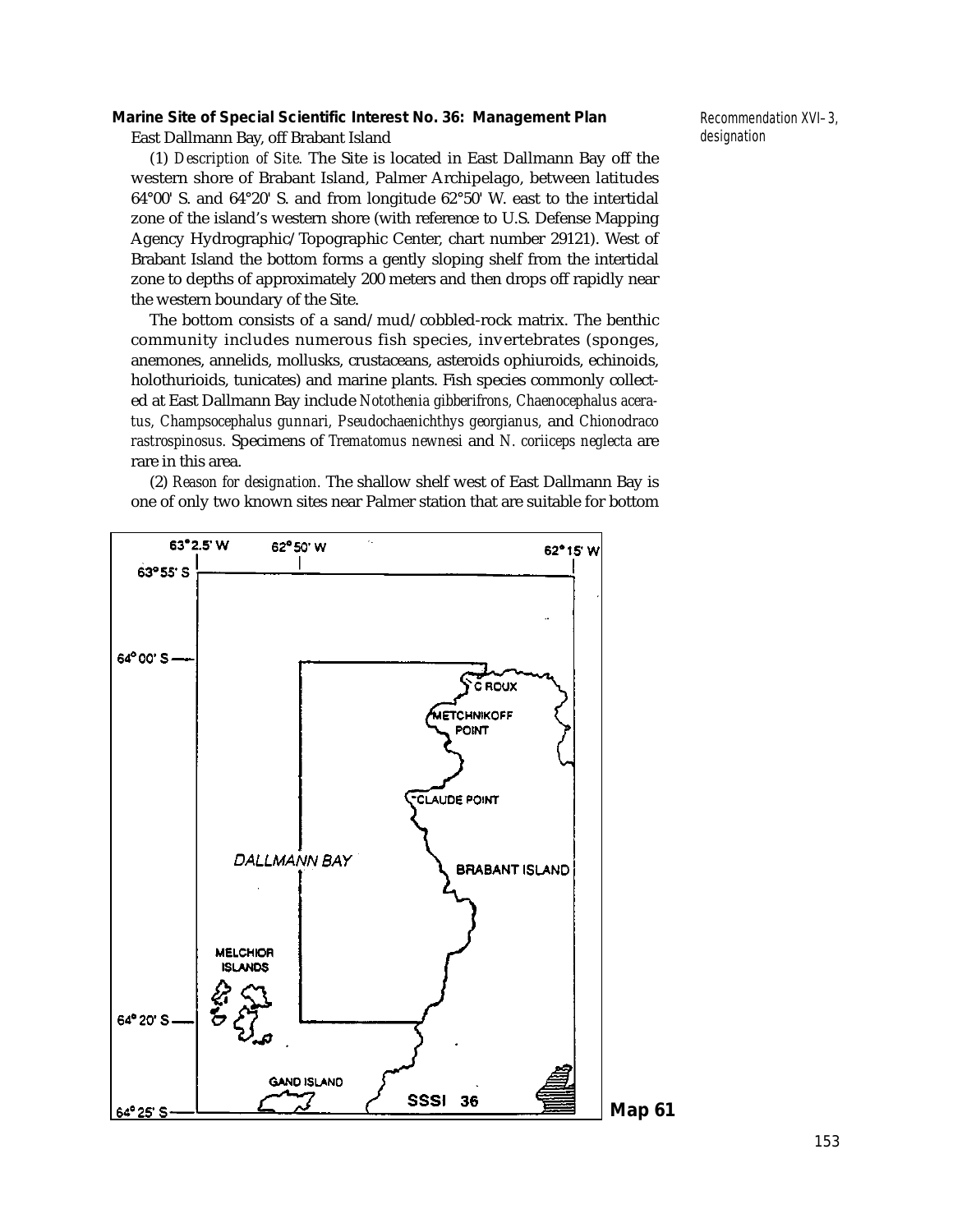## **Marine Site of Special Scientific Interest No. 36: Management Plan**

East Dallmann Bay, off Brabant Island

(1) *Description of Site.* The Site is located in East Dallmann Bay off the western shore of Brabant Island, Palmer Archipelago, between latitudes 64°00' S. and 64°20' S. and from longitude 62°50' W. east to the intertidal zone of the island's western shore (with reference to U.S. Defense Mapping Agency Hydrographic/Topographic Center, chart number 29121). West of Brabant Island the bottom forms a gently sloping shelf from the intertidal zone to depths of approximately 200 meters and then drops off rapidly near the western boundary of the Site.

The bottom consists of a sand/mud/cobbled-rock matrix. The benthic community includes numerous fish species, invertebrates (sponges, anemones, annelids, mollusks, crustaceans, asteroids ophiuroids, echinoids, holothurioids, tunicates) and marine plants. Fish species commonly collected at East Dallmann Bay include *Notothenia gibberifrons, Chaenocephalus aceratus, Champsocephalus gunnari, Pseudochaenichthys georgianus,* and *Chionodraco rastrospinosus.* Specimens of *Trematomus newnesi* and *N. coriiceps neglecta* are rare in this area.

(2) *Reason for designation.* The shallow shelf west of East Dallmann Bay is one of only two known sites near Palmer station that are suitable for bottom



Recommendation XVI–3, designation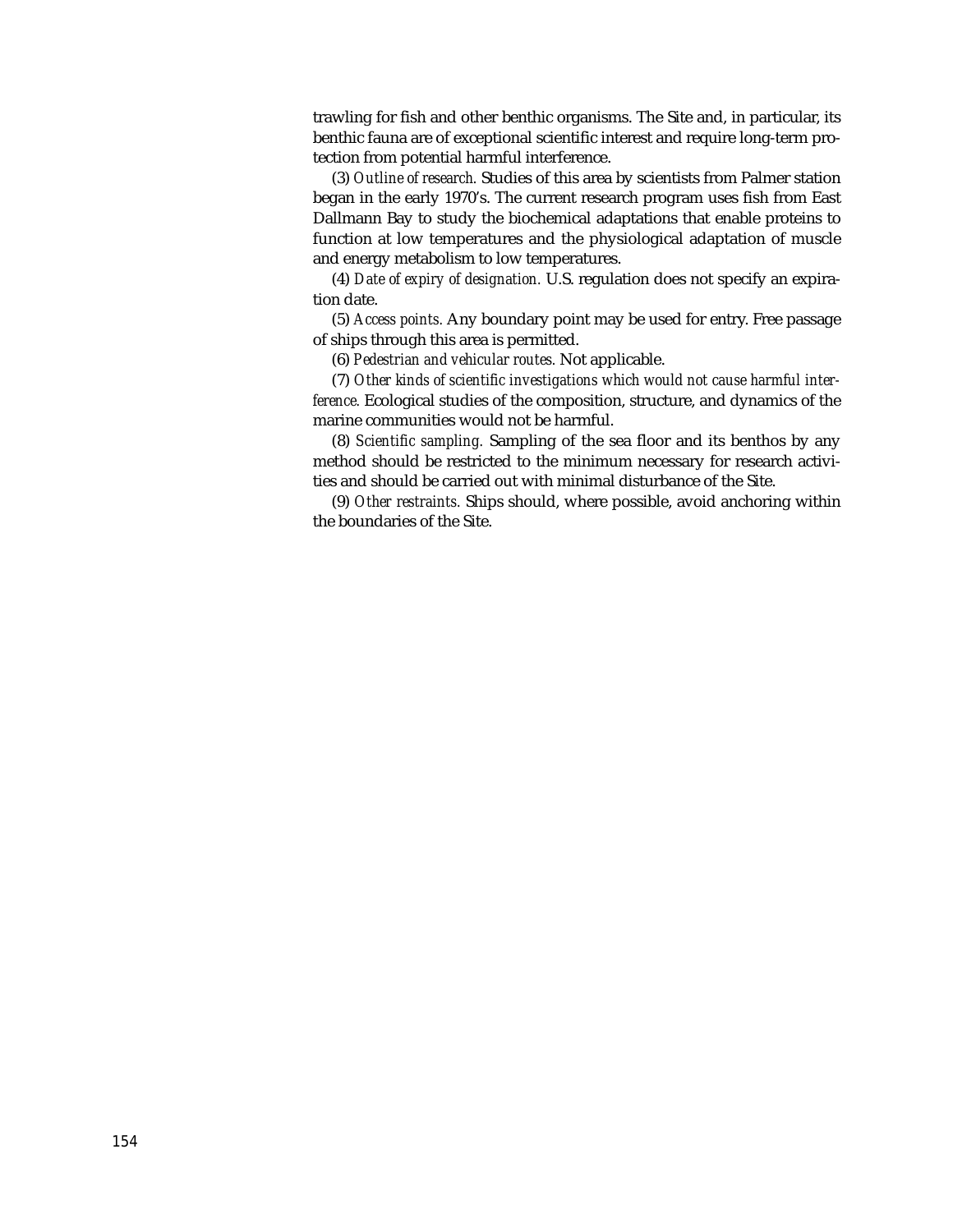trawling for fish and other benthic organisms. The Site and, in particular, its benthic fauna are of exceptional scientific interest and require long-term protection from potential harmful interference.

(3) *Outline of research.* Studies of this area by scientists from Palmer station began in the early 1970's. The current research program uses fish from East Dallmann Bay to study the biochemical adaptations that enable proteins to function at low temperatures and the physiological adaptation of muscle and energy metabolism to low temperatures.

(4) *Date of expiry of designation.* U.S. regulation does not specify an expiration date.

(5) *Access points.* Any boundary point may be used for entry. Free passage of ships through this area is permitted.

(6) *Pedestrian and vehicular routes.* Not applicable.

(7) *Other kinds of scientific investigations which would not cause harmful interference.* Ecological studies of the composition, structure, and dynamics of the marine communities would not be harmful.

(8) *Scientific sampling.* Sampling of the sea floor and its benthos by any method should be restricted to the minimum necessary for research activities and should be carried out with minimal disturbance of the Site.

(9) *Other restraints.* Ships should, where possible, avoid anchoring within the boundaries of the Site.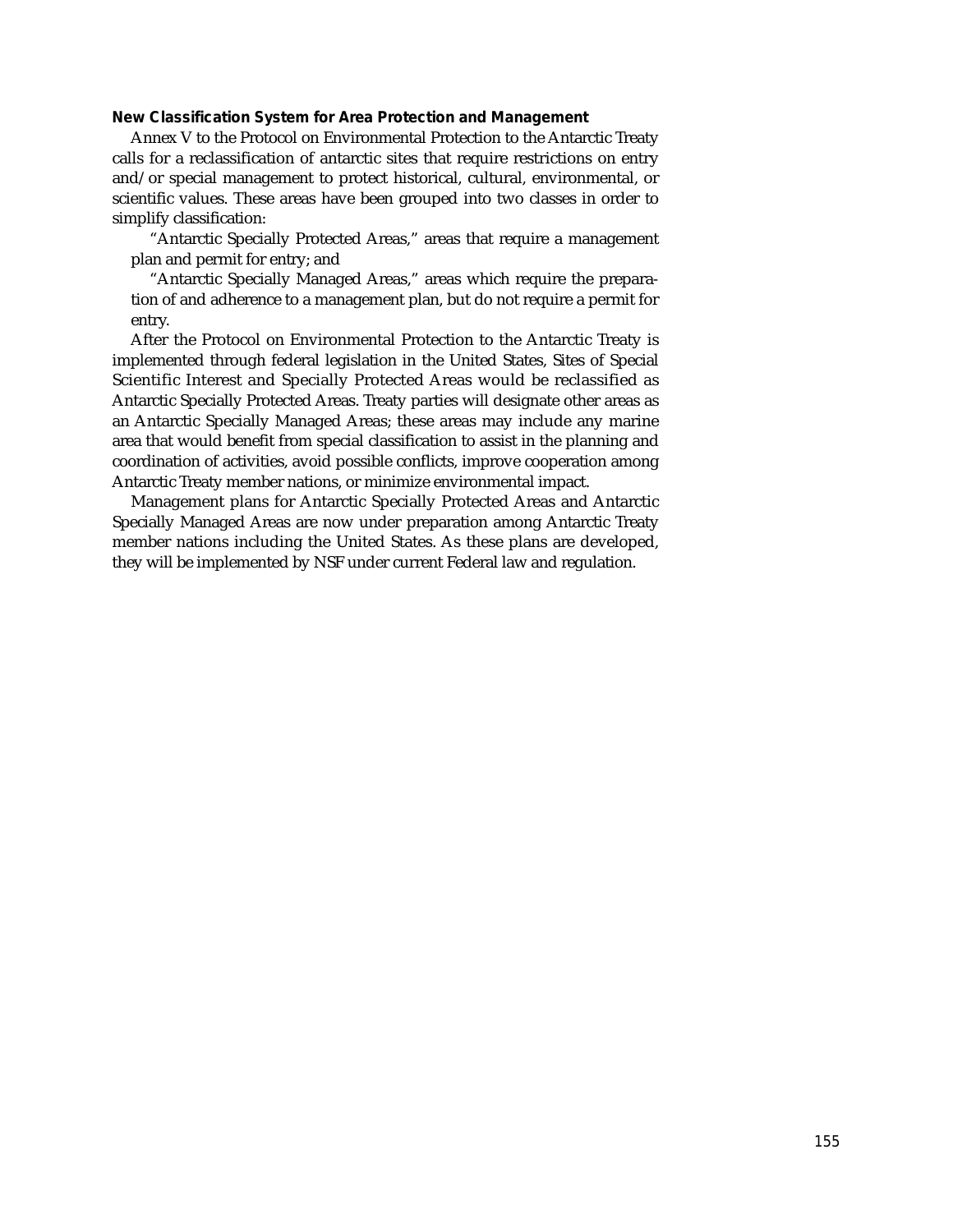#### **New Classification System for Area Protection and Management**

Annex V to the Protocol on Environmental Protection to the Antarctic Treaty calls for a reclassification of antarctic sites that require restrictions on entry and/or special management to protect historical, cultural, environmental, or scientific values. These areas have been grouped into two classes in order to simplify classification:

"Antarctic Specially Protected Areas," areas that require a management plan and permit for entry; and

"Antarctic Specially Managed Areas," areas which require the preparation of and adherence to a management plan, but do not require a permit for entry.

After the Protocol on Environmental Protection to the Antarctic Treaty is implemented through federal legislation in the United States, Sites of Special Scientific Interest and Specially Protected Areas would be reclassified as Antarctic Specially Protected Areas. Treaty parties will designate other areas as an Antarctic Specially Managed Areas; these areas may include any marine area that would benefit from special classification to assist in the planning and coordination of activities, avoid possible conflicts, improve cooperation among Antarctic Treaty member nations, or minimize environmental impact.

Management plans for Antarctic Specially Protected Areas and Antarctic Specially Managed Areas are now under preparation among Antarctic Treaty member nations including the United States. As these plans are developed, they will be implemented by NSF under current Federal law and regulation.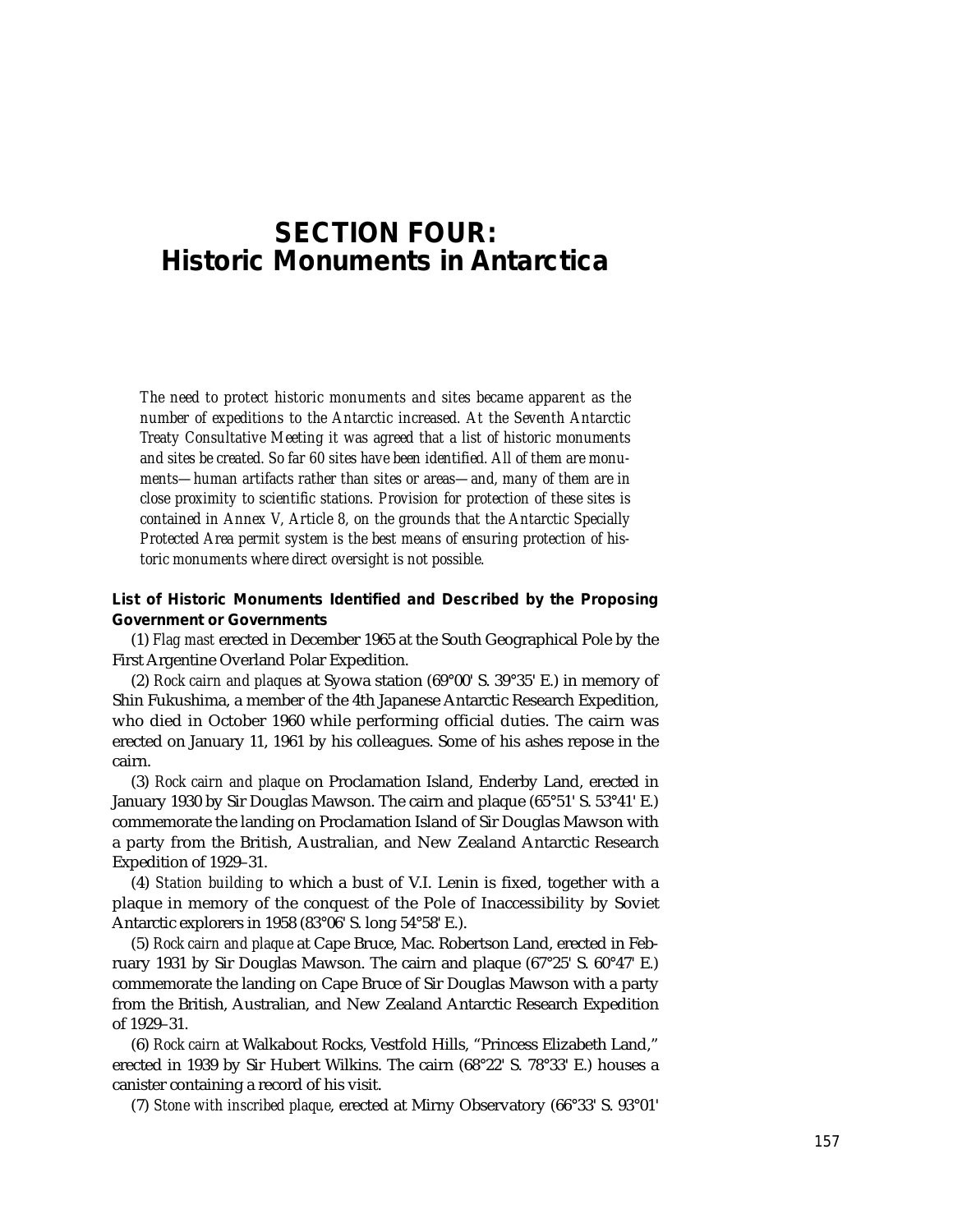# **SECTION FOUR: Historic Monuments in Antarctica**

*The need to protect historic monuments and sites became apparent as the number of expeditions to the Antarctic increased. At the Seventh Antarctic Treaty Consultative Meeting it was agreed that a list of historic monuments and sites be created. So far 60 sites have been identified. All of them are monuments—human artifacts rather than sites or areas—and, many of them are in close proximity to scientific stations. Provision for protection of these sites is contained in Annex V, Article 8, on the grounds that the Antarctic Specially Protected Area permit system is the best means of ensuring protection of historic monuments where direct oversight is not possible.* 

# **List of Historic Monuments Identified and Described by the Proposing Government or Governments**

(1) *Flag mast* erected in December 1965 at the South Geographical Pole by the First Argentine Overland Polar Expedition.

(2) *Rock cairn and plaques* at Syowa station (69°00' S. 39°35' E.) in memory of Shin Fukushima, a member of the 4th Japanese Antarctic Research Expedition, who died in October 1960 while performing official duties. The cairn was erected on January 11, 1961 by his colleagues. Some of his ashes repose in the cairn.

(3) *Rock cairn and plaque* on Proclamation Island, Enderby Land, erected in January 1930 by Sir Douglas Mawson. The cairn and plaque (65°51' S. 53°41' E.) commemorate the landing on Proclamation Island of Sir Douglas Mawson with a party from the British, Australian, and New Zealand Antarctic Research Expedition of 1929–31.

(4) *Station building* to which a bust of V.I. Lenin is fixed, together with a plaque in memory of the conquest of the Pole of Inaccessibility by Soviet Antarctic explorers in 1958 (83°06' S. long 54°58' E.).

(5) *Rock cairn and plaque* at Cape Bruce, Mac. Robertson Land, erected in February 1931 by Sir Douglas Mawson. The cairn and plaque (67°25' S. 60°47' E.) commemorate the landing on Cape Bruce of Sir Douglas Mawson with a party from the British, Australian, and New Zealand Antarctic Research Expedition of 1929–31.

(6) *Rock cairn* at Walkabout Rocks, Vestfold Hills, "Princess Elizabeth Land," erected in 1939 by Sir Hubert Wilkins. The cairn (68°22' S. 78°33' E.) houses a canister containing a record of his visit.

(7) *Stone with inscribed plaque*, erected at Mirny Observatory (66°33' S. 93°01'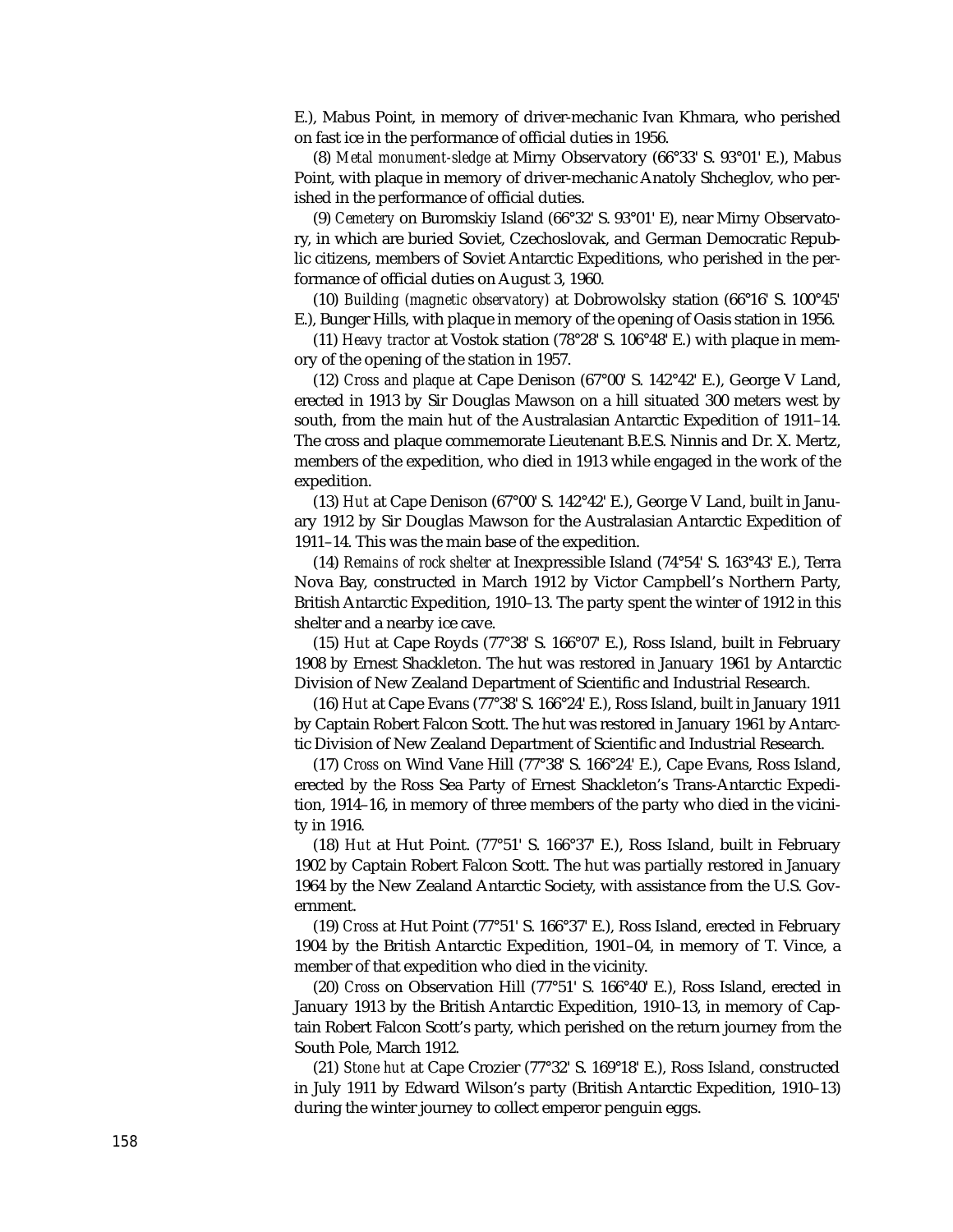E.), Mabus Point, in memory of driver-mechanic Ivan Khmara, who perished on fast ice in the performance of official duties in 1956.

(8) *Metal monument-sledge* at Mirny Observatory (66°33' S. 93°01' E.), Mabus Point, with plaque in memory of driver-mechanic Anatoly Shcheglov, who perished in the performance of official duties.

(9) *Cemetery* on Buromskiy Island (66°32' S. 93°01' E), near Mirny Observatory, in which are buried Soviet, Czechoslovak, and German Democratic Republic citizens, members of Soviet Antarctic Expeditions, who perished in the performance of official duties on August 3, 1960.

(10) *Building (magnetic observatory)* at Dobrowolsky station (66°16' S. 100°45' E.), Bunger Hills, with plaque in memory of the opening of Oasis station in 1956.

(11) *Heavy tractor* at Vostok station (78°28' S. 106°48' E.) with plaque in memory of the opening of the station in 1957.

(12) *Cross and plaque* at Cape Denison (67°00' S. 142°42' E.), George V Land, erected in 1913 by Sir Douglas Mawson on a hill situated 300 meters west by south, from the main hut of the Australasian Antarctic Expedition of 1911–14. The cross and plaque commemorate Lieutenant B.E.S. Ninnis and Dr. X. Mertz, members of the expedition, who died in 1913 while engaged in the work of the expedition.

(13) *Hut* at Cape Denison (67°00' S. 142°42' E.), George V Land, built in January 1912 by Sir Douglas Mawson for the Australasian Antarctic Expedition of 1911–14. This was the main base of the expedition.

(14) *Remains of rock shelter* at Inexpressible Island (74°54' S. 163°43' E.), Terra Nova Bay, constructed in March 1912 by Victor Campbell's Northern Party, British Antarctic Expedition, 1910–13. The party spent the winter of 1912 in this shelter and a nearby ice cave.

(15) *Hut* at Cape Royds (77°38' S. 166°07' E.), Ross Island, built in February 1908 by Ernest Shackleton. The hut was restored in January 1961 by Antarctic Division of New Zealand Department of Scientific and Industrial Research.

(16) *Hut* at Cape Evans (77°38' S. 166°24' E.), Ross Island, built in January 1911 by Captain Robert Falcon Scott. The hut was restored in January 1961 by Antarctic Division of New Zealand Department of Scientific and Industrial Research.

(17) *Cross* on Wind Vane Hill (77°38' S. 166°24' E.), Cape Evans, Ross Island, erected by the Ross Sea Party of Ernest Shackleton's Trans-Antarctic Expedition, 1914–16, in memory of three members of the party who died in the vicinity in 1916.

(18) *Hut* at Hut Point. (77°51' S. 166°37' E.), Ross Island, built in February 1902 by Captain Robert Falcon Scott. The hut was partially restored in January 1964 by the New Zealand Antarctic Society, with assistance from the U.S. Government.

(19) *Cross* at Hut Point (77°51' S. 166°37' E.), Ross Island, erected in February 1904 by the British Antarctic Expedition, 1901–04, in memory of T. Vince, a member of that expedition who died in the vicinity.

(20) *Cross* on Observation Hill (77°51' S. 166°40' E.), Ross Island, erected in January 1913 by the British Antarctic Expedition, 1910–13, in memory of Captain Robert Falcon Scott's party, which perished on the return journey from the South Pole, March 1912.

(21) *Stone hut* at Cape Crozier (77°32' S. 169°18' E.), Ross Island, constructed in July 1911 by Edward Wilson's party (British Antarctic Expedition, 1910–13) during the winter journey to collect emperor penguin eggs.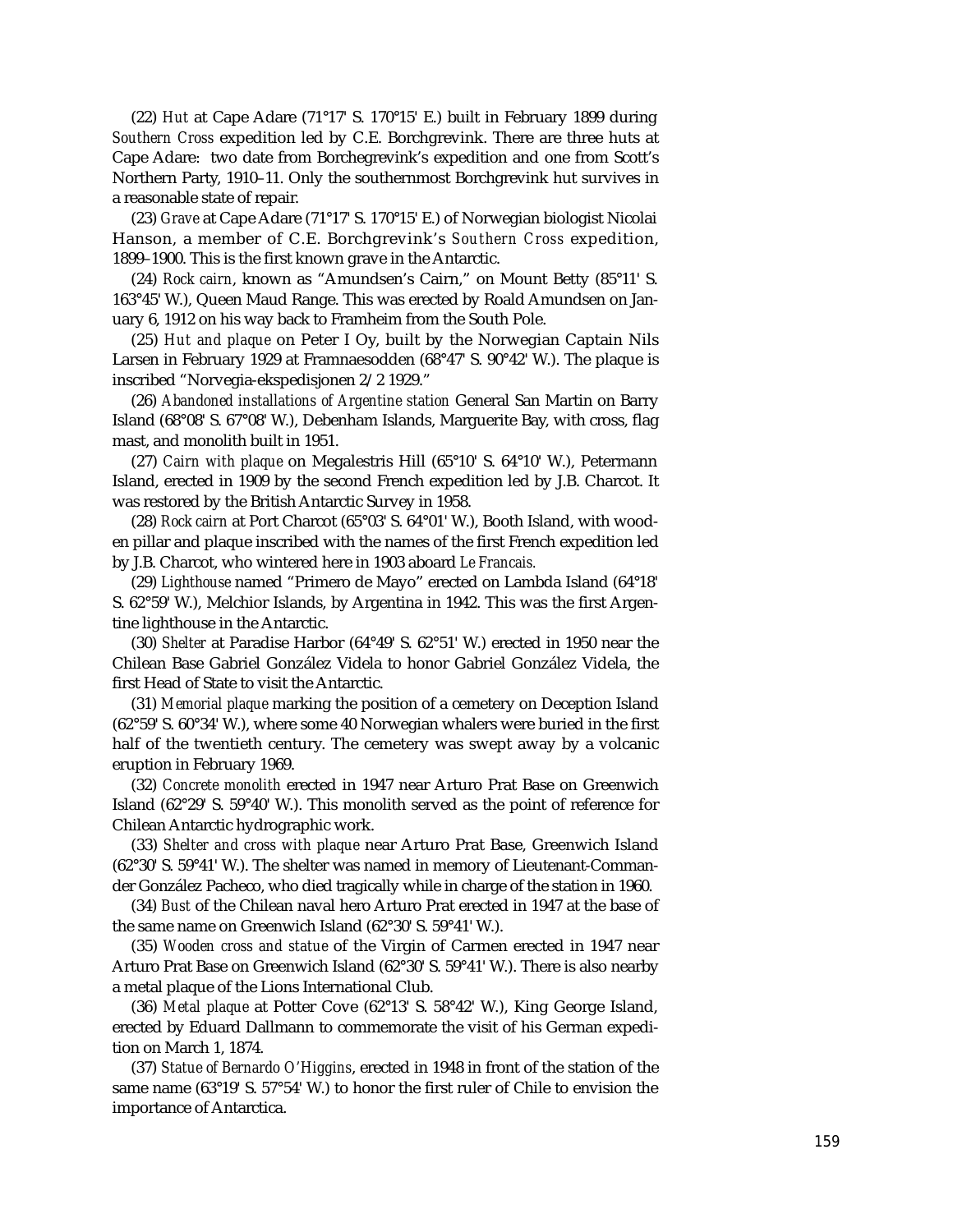(22) *Hut* at Cape Adare (71°17' S. 170°15' E.) built in February 1899 during *Southern Cross* expedition led by C.E. Borchgrevink. There are three huts at Cape Adare: two date from Borchegrevink's expedition and one from Scott's Northern Party, 1910–11. Only the southernmost Borchgrevink hut survives in a reasonable state of repair.

(23) *Grave* at Cape Adare (71°17' S. 170°15' E.) of Norwegian biologist Nicolai Hanson, a member of C.E. Borchgrevink's *Southern Cross* expedition, 1899–1900. This is the first known grave in the Antarctic.

(24) *Rock cairn*, known as "Amundsen's Cairn," on Mount Betty (85°11' S. 163°45' W.), Queen Maud Range. This was erected by Roald Amundsen on January 6, 1912 on his way back to Framheim from the South Pole.

(25) *Hut and plaque* on Peter I Oy, built by the Norwegian Captain Nils Larsen in February 1929 at Framnaesodden (68°47' S. 90°42' W.). The plaque is inscribed "Norvegia-ekspedisjonen 2/2 1929."

(26) *Abandoned installations of Argentine station* General San Martin on Barry Island (68°08' S. 67°08' W.), Debenham Islands, Marguerite Bay, with cross, flag mast, and monolith built in 1951.

(27) *Cairn with plaque* on Megalestris Hill (65°10' S. 64°10' W.), Petermann Island, erected in 1909 by the second French expedition led by J.B. Charcot. It was restored by the British Antarctic Survey in 1958.

(28) *Rock cairn* at Port Charcot (65°03' S. 64°01' W.), Booth Island, with wooden pillar and plaque inscribed with the names of the first French expedition led by J.B. Charcot, who wintered here in 1903 aboard *Le Francais.*

(29) *Lighthouse* named "Primero de Mayo" erected on Lambda Island (64°18' S. 62°59' W.), Melchior Islands, by Argentina in 1942. This was the first Argentine lighthouse in the Antarctic.

(30) *Shelter* at Paradise Harbor (64°49' S. 62°51' W.) erected in 1950 near the Chilean Base Gabriel González Videla to honor Gabriel González Videla, the first Head of State to visit the Antarctic.

(31) *Memorial plaque* marking the position of a cemetery on Deception Island (62°59' S. 60°34' W.), where some 40 Norwegian whalers were buried in the first half of the twentieth century. The cemetery was swept away by a volcanic eruption in February 1969.

(32) *Concrete monolith* erected in 1947 near Arturo Prat Base on Greenwich Island (62°29' S. 59°40' W.). This monolith served as the point of reference for Chilean Antarctic hydrographic work.

(33) *Shelter and cross with plaque* near Arturo Prat Base, Greenwich Island (62°30' S. 59°41' W.). The shelter was named in memory of Lieutenant-Commander González Pacheco, who died tragically while in charge of the station in 1960.

(34) *Bust* of the Chilean naval hero Arturo Prat erected in 1947 at the base of the same name on Greenwich Island (62°30' S. 59°41' W.).

(35) *Wooden cross and statue* of the Virgin of Carmen erected in 1947 near Arturo Prat Base on Greenwich Island (62°30' S. 59°41' W.). There is also nearby a metal plaque of the Lions International Club.

(36) *Metal plaque* at Potter Cove (62°13' S. 58°42' W.), King George Island, erected by Eduard Dallmann to commemorate the visit of his German expedition on March 1, 1874.

(37) *Statue of Bernardo O'Higgins*, erected in 1948 in front of the station of the same name (63°19' S. 57°54' W.) to honor the first ruler of Chile to envision the importance of Antarctica.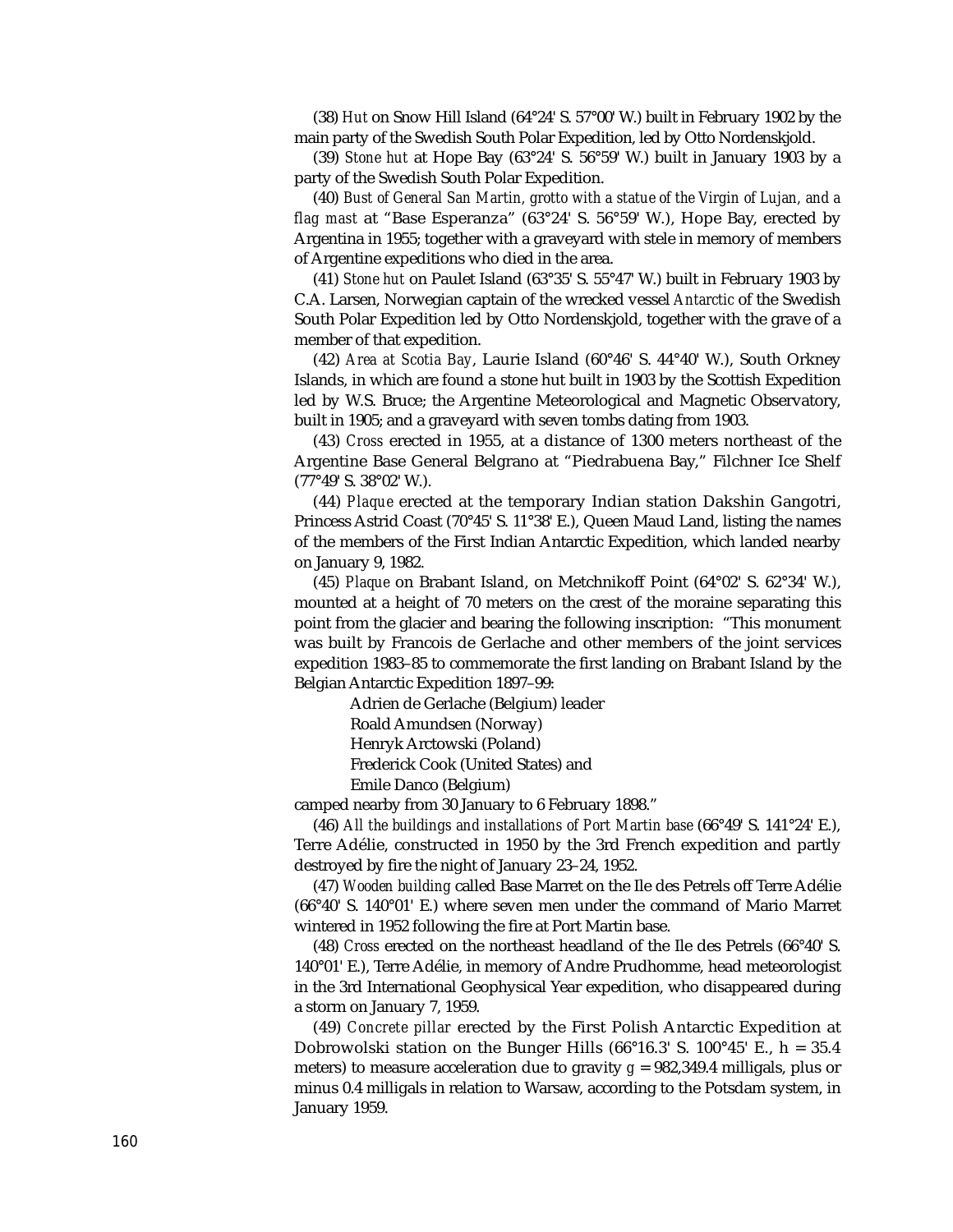(38) *Hut* on Snow Hill Island (64°24' S. 57°00' W.) built in February 1902 by the main party of the Swedish South Polar Expedition, led by Otto Nordenskjold.

(39) *Stone hut* at Hope Bay (63°24' S. 56°59' W.) built in January 1903 by a party of the Swedish South Polar Expedition.

(40) *Bust of General San Martin, grotto with a statue of the Virgin of Lujan, and a flag mast* at "Base Esperanza" (63°24' S. 56°59' W.), Hope Bay, erected by Argentina in 1955; together with a graveyard with stele in memory of members of Argentine expeditions who died in the area.

(41) *Stone hut* on Paulet Island (63°35' S. 55°47' W.) built in February 1903 by C.A. Larsen, Norwegian captain of the wrecked vessel *Antarctic* of the Swedish South Polar Expedition led by Otto Nordenskjold, together with the grave of a member of that expedition.

(42) *Area at Scotia Bay*, Laurie Island (60°46' S. 44°40' W.), South Orkney Islands, in which are found a stone hut built in 1903 by the Scottish Expedition led by W.S. Bruce; the Argentine Meteorological and Magnetic Observatory, built in 1905; and a graveyard with seven tombs dating from 1903.

(43) *Cross* erected in 1955, at a distance of 1300 meters northeast of the Argentine Base General Belgrano at "Piedrabuena Bay," Filchner Ice Shelf (77°49' S. 38°02' W.).

(44) *Plaque* erected at the temporary Indian station Dakshin Gangotri, Princess Astrid Coast (70°45' S. 11°38' E.), Queen Maud Land, listing the names of the members of the First Indian Antarctic Expedition, which landed nearby on January 9, 1982.

(45) *Plaque* on Brabant Island, on Metchnikoff Point (64°02' S. 62°34' W.), mounted at a height of 70 meters on the crest of the moraine separating this point from the glacier and bearing the following inscription: "This monument was built by Francois de Gerlache and other members of the joint services expedition 1983–85 to commemorate the first landing on Brabant Island by the Belgian Antarctic Expedition 1897–99:

Adrien de Gerlache (Belgium) leader Roald Amundsen (Norway)

Henryk Arctowski (Poland)

Frederick Cook (United States) and

Emile Danco (Belgium)

camped nearby from 30 January to 6 February 1898."

(46) *All the buildings and installations of Port Martin base* (66°49' S. 141°24' E.), Terre Adélie, constructed in 1950 by the 3rd French expedition and partly destroyed by fire the night of January 23–24, 1952.

(47) *Wooden building* called Base Marret on the Ile des Petrels off Terre Adélie (66°40' S. 140°01' E.) where seven men under the command of Mario Marret wintered in 1952 following the fire at Port Martin base.

(48) *Cross* erected on the northeast headland of the Ile des Petrels (66°40' S. 140°01' E.), Terre Adélie, in memory of Andre Prudhomme, head meteorologist in the 3rd International Geophysical Year expedition, who disappeared during a storm on January 7, 1959.

(49) *Concrete pillar* erected by the First Polish Antarctic Expedition at Dobrowolski station on the Bunger Hills  $(66^{\circ}16.3^{\circ} S. 100^{\circ}45^{\circ} E., h = 35.4$ meters) to measure acceleration due to gravity  $g = 982,349.4$  milligals, plus or minus 0.4 milligals in relation to Warsaw, according to the Potsdam system, in January 1959.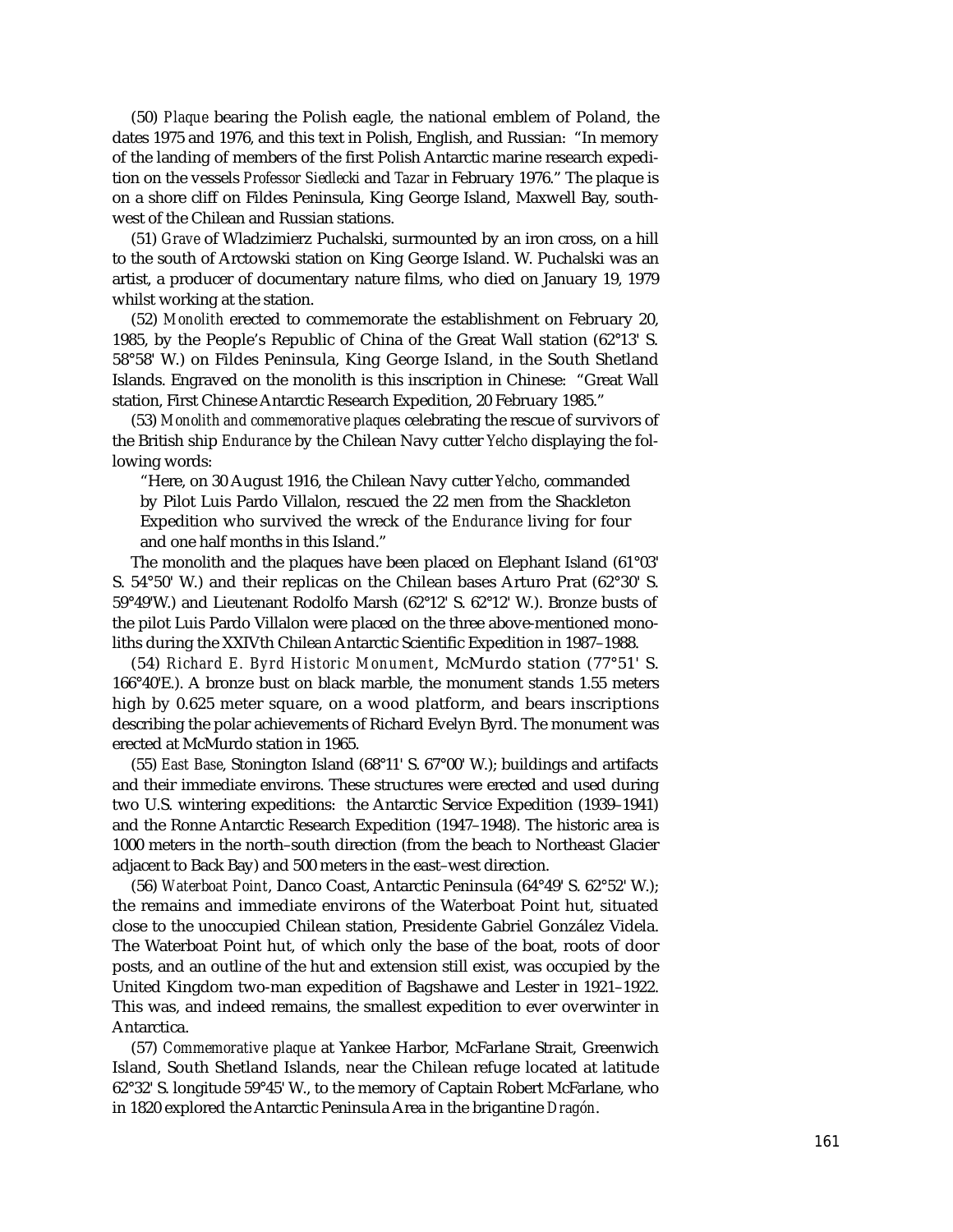(50) *Plaque* bearing the Polish eagle, the national emblem of Poland, the dates 1975 and 1976, and this text in Polish, English, and Russian: "In memory of the landing of members of the first Polish Antarctic marine research expedition on the vessels *Professor Siedlecki* and *Tazar* in February 1976." The plaque is on a shore cliff on Fildes Peninsula, King George Island, Maxwell Bay, southwest of the Chilean and Russian stations.

(51) *Grave* of Wladzimierz Puchalski, surmounted by an iron cross, on a hill to the south of Arctowski station on King George Island. W. Puchalski was an artist, a producer of documentary nature films, who died on January 19, 1979 whilst working at the station.

(52) *Monolith* erected to commemorate the establishment on February 20, 1985, by the People's Republic of China of the Great Wall station (62°13' S. 58°58' W.) on Fildes Peninsula, King George Island, in the South Shetland Islands. Engraved on the monolith is this inscription in Chinese: "Great Wall station, First Chinese Antarctic Research Expedition, 20 February 1985."

(53) *Monolith and commemorative plaques* celebrating the rescue of survivors of the British ship *Endurance* by the Chilean Navy cutter *Yelcho* displaying the following words:

"Here, on 30 August 1916, the Chilean Navy cutter *Yelcho*, commanded by Pilot Luis Pardo Villalon, rescued the 22 men from the Shackleton Expedition who survived the wreck of the *Endurance* living for four and one half months in this Island."

The monolith and the plaques have been placed on Elephant Island (61°03' S. 54°50' W.) and their replicas on the Chilean bases Arturo Prat (62°30' S. 59°49'W.) and Lieutenant Rodolfo Marsh (62°12' S. 62°12' W.). Bronze busts of the pilot Luis Pardo Villalon were placed on the three above-mentioned monoliths during the XXIVth Chilean Antarctic Scientific Expedition in 1987–1988.

(54) *Richard E. Byrd Historic Monument*, McMurdo station (77°51' S. 166°40'E.). A bronze bust on black marble, the monument stands 1.55 meters high by 0.625 meter square, on a wood platform, and bears inscriptions describing the polar achievements of Richard Evelyn Byrd. The monument was erected at McMurdo station in 1965.

(55) *East Base*, Stonington Island (68°11' S. 67°00' W.); buildings and artifacts and their immediate environs. These structures were erected and used during two U.S. wintering expeditions: the Antarctic Service Expedition (1939–1941) and the Ronne Antarctic Research Expedition (1947–1948). The historic area is 1000 meters in the north–south direction (from the beach to Northeast Glacier adjacent to Back Bay) and 500 meters in the east–west direction.

(56) *Waterboat Point*, Danco Coast, Antarctic Peninsula (64°49' S. 62°52' W.); the remains and immediate environs of the Waterboat Point hut, situated close to the unoccupied Chilean station, Presidente Gabriel González Videla. The Waterboat Point hut, of which only the base of the boat, roots of door posts, and an outline of the hut and extension still exist, was occupied by the United Kingdom two-man expedition of Bagshawe and Lester in 1921–1922. This was, and indeed remains, the smallest expedition to ever overwinter in Antarctica.

(57) *Commemorative plaque* at Yankee Harbor, McFarlane Strait, Greenwich Island, South Shetland Islands, near the Chilean refuge located at latitude 62°32' S. longitude 59°45' W., to the memory of Captain Robert McFarlane, who in 1820 explored the Antarctic Peninsula Area in the brigantine *Dragón*.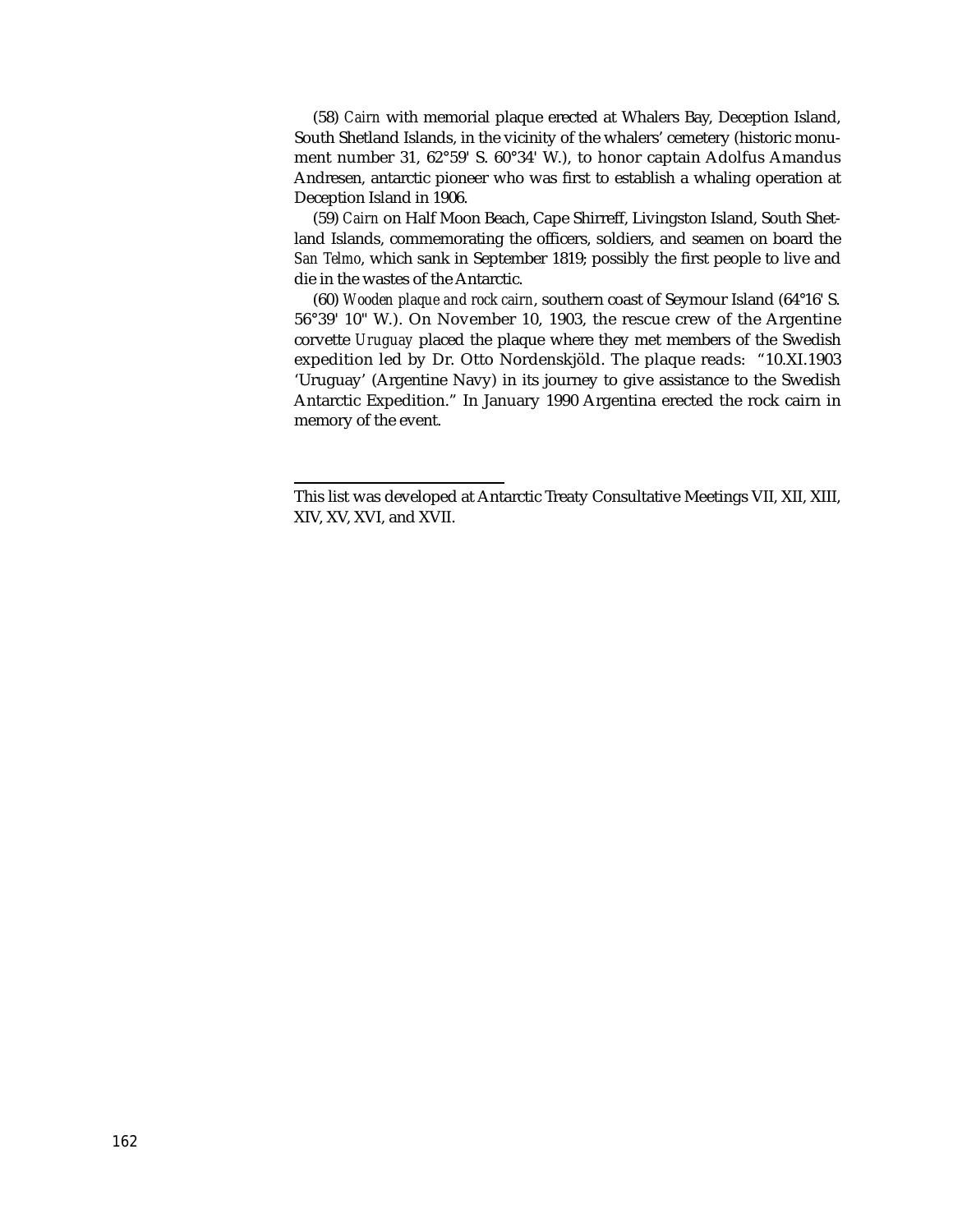(58) *Cairn* with memorial plaque erected at Whalers Bay, Deception Island, South Shetland Islands, in the vicinity of the whalers' cemetery (historic monument number 31, 62°59' S. 60°34' W.), to honor captain Adolfus Amandus Andresen, antarctic pioneer who was first to establish a whaling operation at Deception Island in 1906.

(59) *Cairn* on Half Moon Beach, Cape Shirreff, Livingston Island, South Shetland Islands, commemorating the officers, soldiers, and seamen on board the *San Telmo*, which sank in September 1819; possibly the first people to live and die in the wastes of the Antarctic.

(60) *Wooden plaque and rock cairn*, southern coast of Seymour Island (64°16' S. 56°39' 10" W.). On November 10, 1903, the rescue crew of the Argentine corvette *Uruguay* placed the plaque where they met members of the Swedish expedition led by Dr. Otto Nordenskjöld. The plaque reads: "10.XI.1903 'Uruguay' (Argentine Navy) in its journey to give assistance to the Swedish Antarctic Expedition." In January 1990 Argentina erected the rock cairn in memory of the event.

This list was developed at Antarctic Treaty Consultative Meetings VII, XII, XIII, XIV, XV, XVI, and XVII.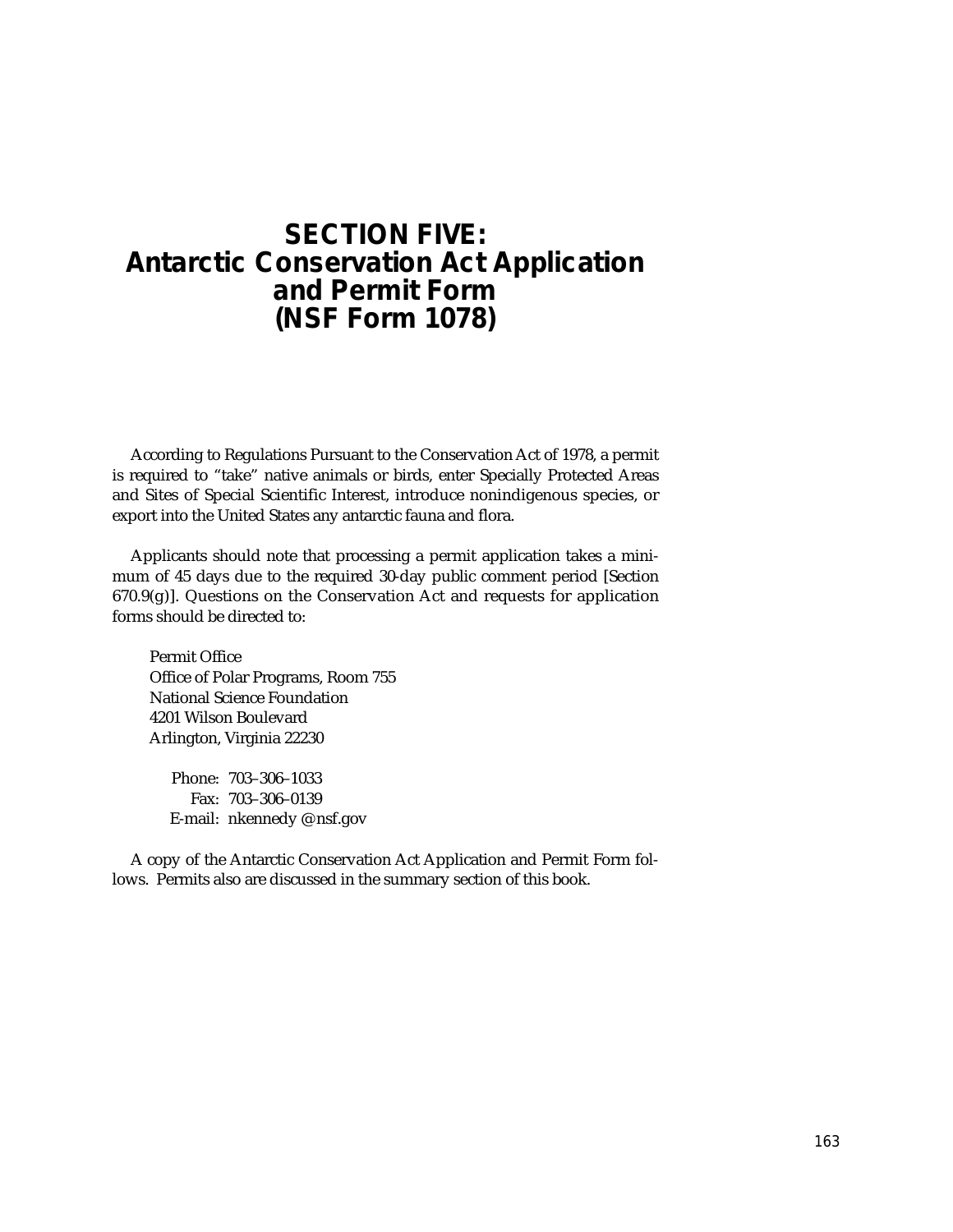# **SECTION FIVE: Antarctic Conservation Act Application and Permit Form (NSF Form 1078)**

According to Regulations Pursuant to the Conservation Act of 1978, a permit is required to "take" native animals or birds, enter Specially Protected Areas and Sites of Special Scientific Interest, introduce nonindigenous species, or export into the United States any antarctic fauna and flora.

Applicants should note that processing a permit application takes a minimum of 45 days due to the required 30-day public comment period [Section  $670.9(g)$ ]. Questions on the Conservation Act and requests for application forms should be directed to:

Permit Office Office of Polar Programs, Room 755 National Science Foundation 4201 Wilson Boulevard Arlington, Virginia 22230

Phone: 703–306–1033 Fax: 703–306–0139 E-mail: nkennedy @ nsf.gov

A copy of the Antarctic Conservation Act Application and Permit Form follows. Permits also are discussed in the summary section of this book.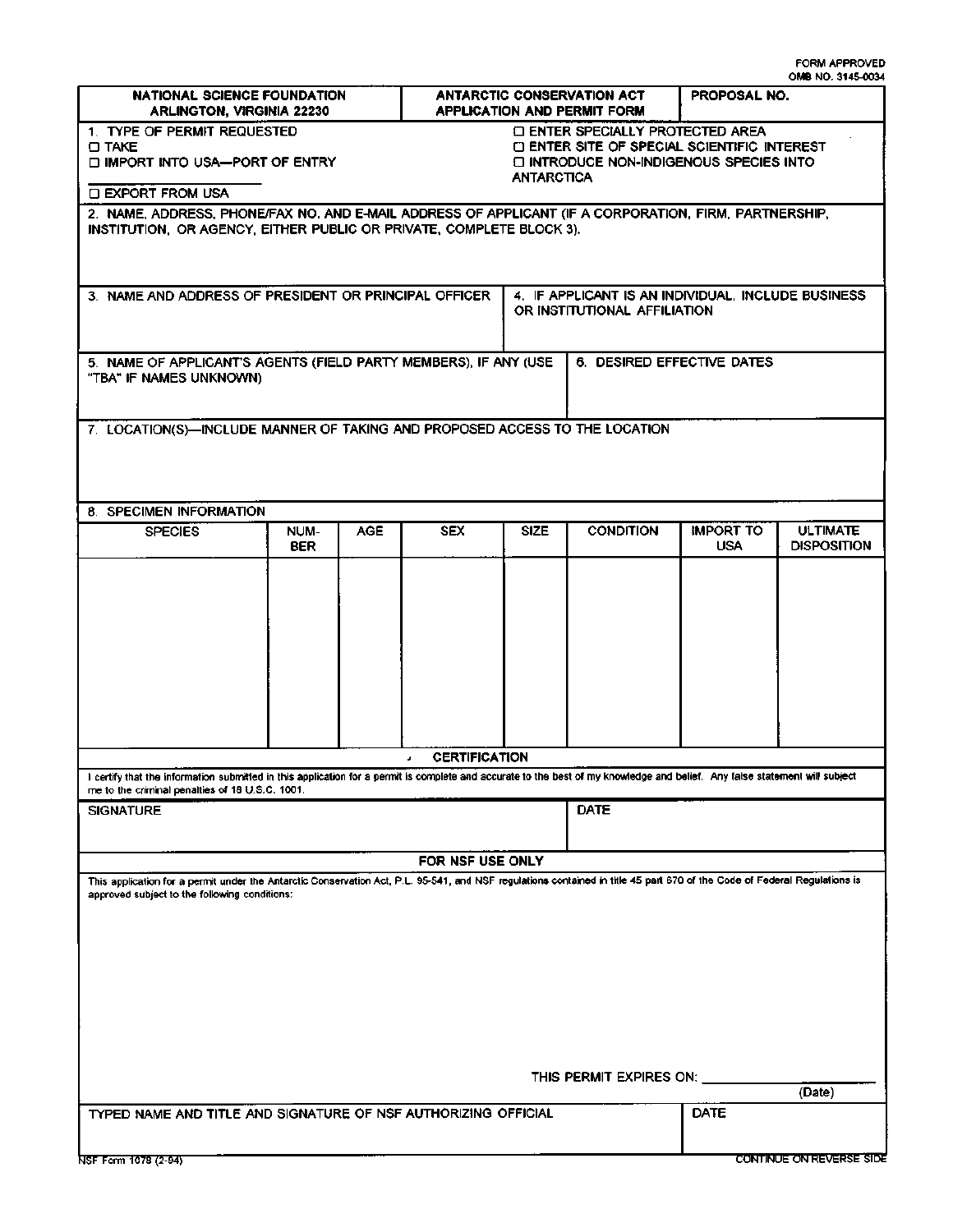| <b>NATIONAL SCIENCE FOUNDATION</b><br><b>ARLINGTON, VIRGINIA 22230</b>                                                                                                                                                    |                    |      | <b>ANTARCTIC CONSERVATION ACT</b><br><b>APPLICATION AND PERMIT FORM</b>                                                                                            |                                                                                     |                            | PROPOSAL NO.                   |                                       |  |
|---------------------------------------------------------------------------------------------------------------------------------------------------------------------------------------------------------------------------|--------------------|------|--------------------------------------------------------------------------------------------------------------------------------------------------------------------|-------------------------------------------------------------------------------------|----------------------------|--------------------------------|---------------------------------------|--|
| 1. TYPE OF PERMIT REQUESTED<br><b>O TAKE</b><br><b>DIMPORT INTO USA-PORT OF ENTRY</b><br>$\Box$ EXPORT FROM USA                                                                                                           |                    |      | <b>ENTER SPECIALLY PROTECTED AREA</b><br><b>C ENTER SITE OF SPECIAL SCIENTIFIC INTEREST</b><br><b>E INTRODUCE NON-INDIGENOUS SPECIES INTO</b><br><b>ANTARCTICA</b> |                                                                                     |                            |                                |                                       |  |
| 2. NAME, ADDRESS, PHONE/FAX NO. AND E-MAIL ADDRESS OF APPLICANT (IF A CORPORATION, FIRM, PARTNERSHIP,<br>INSTITUTION, OR AGENCY, EITHER PUBLIC OR PRIVATE, COMPLETE BLOCK 3).                                             |                    |      |                                                                                                                                                                    |                                                                                     |                            |                                |                                       |  |
| 3. NAME AND ADDRESS OF PRESIDENT OR PRINCIPAL OFFICER                                                                                                                                                                     |                    |      |                                                                                                                                                                    | 4. IF APPLICANT IS AN INDIVIDUAL, INCLUDE BUSINESS.<br>OR INSTITUTIONAL AFFILIATION |                            |                                |                                       |  |
| 5. NAME OF APPLICANT'S AGENTS (FIELD PARTY MEMBERS), IF ANY (USE<br>"TBA" IF NAMES UNKNOWN)                                                                                                                               |                    |      |                                                                                                                                                                    |                                                                                     | 6. DESIRED EFFECTIVE DATES |                                |                                       |  |
| 7. LOCATION(S)—INCLUDE MANNER OF TAKING AND PROPOSED ACCESS TO THE LOCATION                                                                                                                                               |                    |      |                                                                                                                                                                    |                                                                                     |                            |                                |                                       |  |
| 8. SPECIMEN INFORMATION                                                                                                                                                                                                   |                    |      |                                                                                                                                                                    |                                                                                     |                            |                                |                                       |  |
| <b>SPECIES</b>                                                                                                                                                                                                            | NUM-<br><b>BER</b> | AGE. | SEX.                                                                                                                                                               | <b>SIZE</b>                                                                         | <b>CONDITION</b>           | <b>IMPORT TO</b><br><b>USA</b> | <b>ULTIMATE</b><br><b>DISPOSITION</b> |  |
|                                                                                                                                                                                                                           |                    |      |                                                                                                                                                                    |                                                                                     |                            |                                |                                       |  |
| <b>CERTIFICATION</b><br>$\mathbf{r}$                                                                                                                                                                                      |                    |      |                                                                                                                                                                    |                                                                                     |                            |                                |                                       |  |
| I certify that the information submitted in this application for a permit is complete and accurate to the best of my knowledge and belief. Any false statement will subject                                               |                    |      |                                                                                                                                                                    |                                                                                     |                            |                                |                                       |  |
| me to the criminal penalties of 18 U.S.C. 1001.<br>DATE<br><b>SIGNATURE</b>                                                                                                                                               |                    |      |                                                                                                                                                                    |                                                                                     |                            |                                |                                       |  |
|                                                                                                                                                                                                                           |                    |      | FOR NSF USE ONLY                                                                                                                                                   |                                                                                     |                            |                                |                                       |  |
| This application for a permit under the Antarctic Conservation Act, P.L. 95-541, and NSF regulations contained in thie 45 part 670 of the Code of Federal Regulations is<br>approved subject to the following conditions: |                    |      |                                                                                                                                                                    |                                                                                     |                            |                                |                                       |  |
| THIS PERMIT EXPIRES ON: _<br>(Date)                                                                                                                                                                                       |                    |      |                                                                                                                                                                    |                                                                                     |                            |                                |                                       |  |
| TYPED NAME AND TITLE AND SIGNATURE OF NSF AUTHORIZING OFFICIAL                                                                                                                                                            |                    |      |                                                                                                                                                                    |                                                                                     |                            | <b>DATE</b>                    |                                       |  |
| NSF Form 1078 (2-94)                                                                                                                                                                                                      |                    |      |                                                                                                                                                                    |                                                                                     |                            |                                | <b>CONTINUE ON REVERSE SIDE</b>       |  |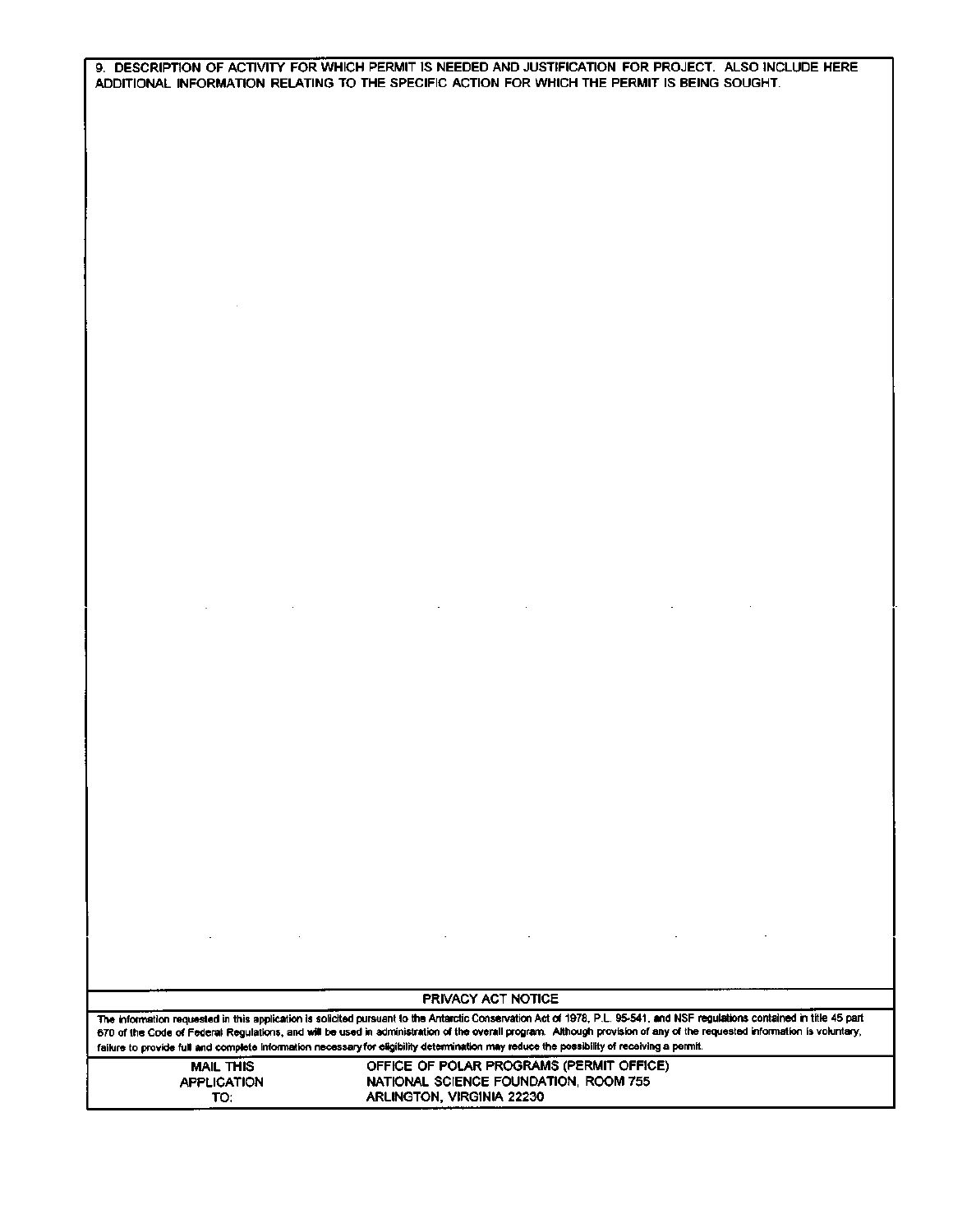9. DESCRIPTION OF ACTIVITY FOR WHICH PERMIT IS NEEDED AND JUSTIFICATION FOR PROJECT. ALSO INCLUDE HERE ADDITIONAL INFORMATION RELATING TO THE SPECIFIC ACTION FOR WHICH THE PERMIT IS BEING SOUGHT.

 $\bar{z}$ 

 $\Delta \phi$  and  $\phi$  is a set of  $\phi$  . The set of  $\phi$ 

 $\Delta \phi$  and  $\phi$  is a set of  $\phi$  . The  $\phi$ 

 $\mathcal{L}(\mathcal{A})$  and  $\mathcal{L}(\mathcal{A})$  and  $\mathcal{L}(\mathcal{A})$  and

 $\mathcal{L}(\mathbf{X})$  and  $\mathcal{L}(\mathbf{X})$  are  $\mathcal{L}(\mathbf{X})$  . Then

 $\mathcal{L}(\mathbf{z})$  and  $\mathcal{L}(\mathbf{z})$  .

 $\Delta \phi = 0.01$  and  $\Delta \phi = 0.01$ 

 $\sim 10$ 

The information requested in this application is solicited pursuant to the Antarctic Conservation Act of 1978, P.L. 95-541, and NSF regulations contained in title 45 part 670 of the Code of Federal Regulations, and will be used in administration of the overall program. Although provision of any of the requested information is voluntary, failure to provide full and complete information necessary for eligibility determination may reduce the possibility of receiving a permit.

| <b>MAIL THIS</b>   | OFFICE OF POLAR PROGRAMS (PERMIT OFFICE) |  |
|--------------------|------------------------------------------|--|
| <b>APPLICATION</b> | NATIONAL SCIENCE FOUNDATION, ROOM 755    |  |
| TO:                | ARLINGTON, VIRGINIA 22230                |  |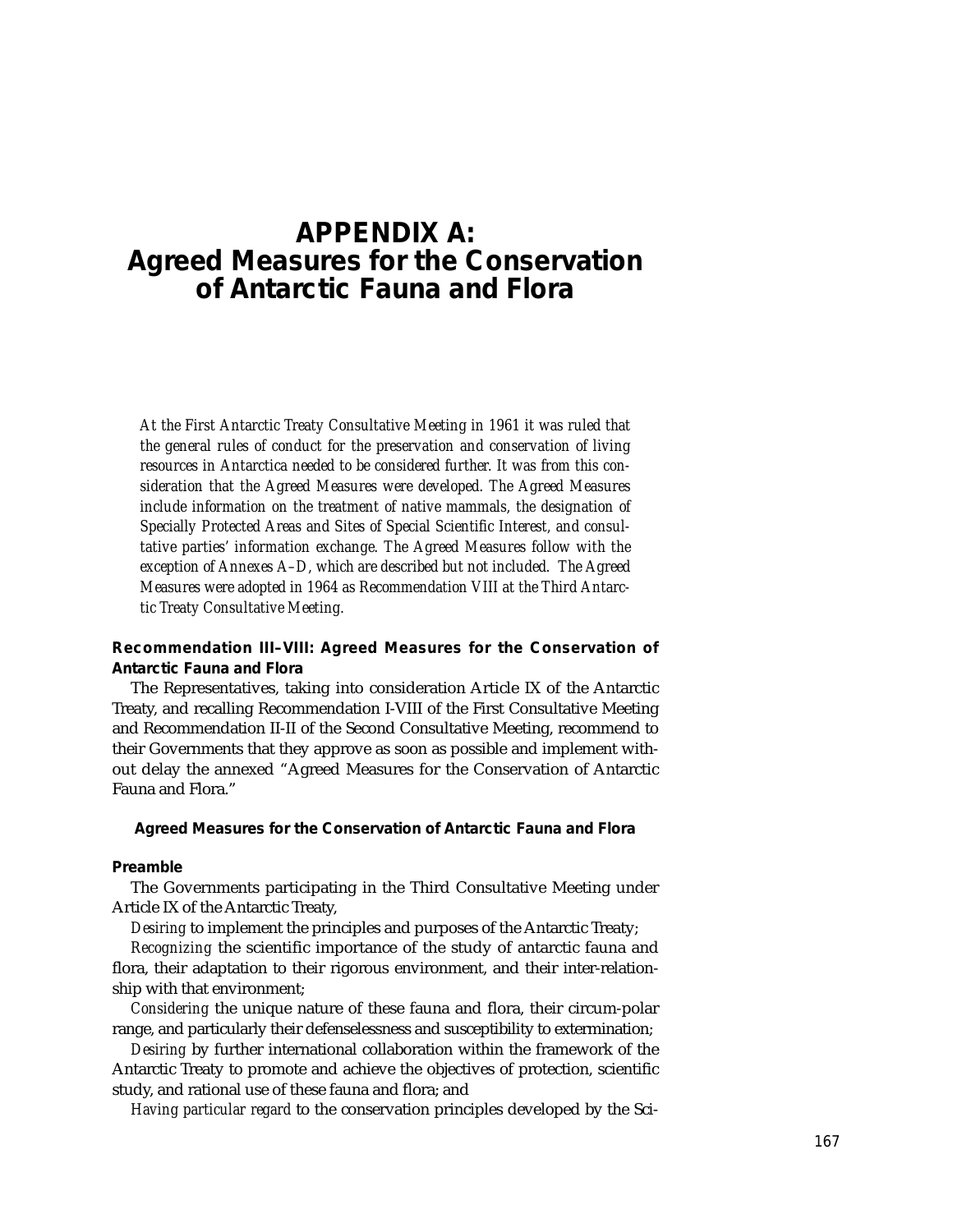# **APPENDIX A: Agreed Measures for the Conservation of Antarctic Fauna and Flora**

*At the First Antarctic Treaty Consultative Meeting in 1961 it was ruled that the general rules of conduct for the preservation and conservation of living resources in Antarctica needed to be considered further. It was from this consideration that the Agreed Measures were developed. The Agreed Measures include information on the treatment of native mammals, the designation of Specially Protected Areas and Sites of Special Scientific Interest, and consultative parties' information exchange. The Agreed Measures follow with the exception of Annexes A–D, which are described but not included. The Agreed Measures were adopted in 1964 as Recommendation VIII at the Third Antarctic Treaty Consultative Meeting.*

# **Recommendation III–VIII: Agreed Measures for the Conservation of Antarctic Fauna and Flora**

The Representatives, taking into consideration Article IX of the Antarctic Treaty, and recalling Recommendation I-VIII of the First Consultative Meeting and Recommendation II-II of the Second Consultative Meeting, recommend to their Governments that they approve as soon as possible and implement without delay the annexed "Agreed Measures for the Conservation of Antarctic Fauna and Flora."

### **Agreed Measures for the Conservation of Antarctic Fauna and Flora**

#### **Preamble**

The Governments participating in the Third Consultative Meeting under Article IX of the Antarctic Treaty,

*Desiring* to implement the principles and purposes of the Antarctic Treaty;

*Recognizing* the scientific importance of the study of antarctic fauna and flora, their adaptation to their rigorous environment, and their inter-relationship with that environment;

*Considering* the unique nature of these fauna and flora, their circum-polar range, and particularly their defenselessness and susceptibility to extermination;

*Desiring* by further international collaboration within the framework of the Antarctic Treaty to promote and achieve the objectives of protection, scientific study, and rational use of these fauna and flora; and

*Having particular regard* to the conservation principles developed by the Sci-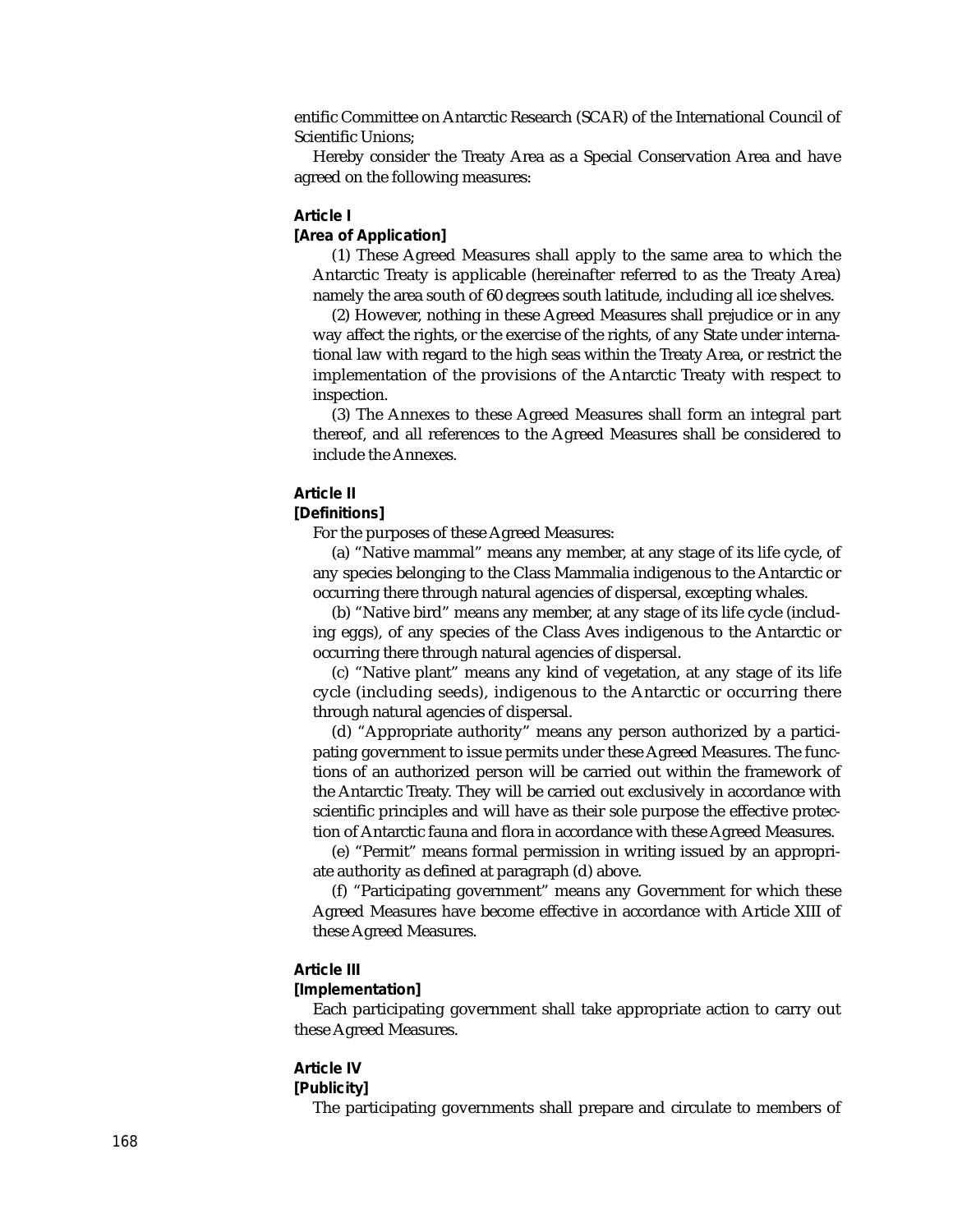entific Committee on Antarctic Research (SCAR) of the International Council of Scientific Unions;

Hereby consider the Treaty Area as a Special Conservation Area and have agreed on the following measures:

## **Article I**

#### **[Area of Application]**

(1) These Agreed Measures shall apply to the same area to which the Antarctic Treaty is applicable (hereinafter referred to as the Treaty Area) namely the area south of 60 degrees south latitude, including all ice shelves.

(2) However, nothing in these Agreed Measures shall prejudice or in any way affect the rights, or the exercise of the rights, of any State under international law with regard to the high seas within the Treaty Area, or restrict the implementation of the provisions of the Antarctic Treaty with respect to inspection.

(3) The Annexes to these Agreed Measures shall form an integral part thereof, and all references to the Agreed Measures shall be considered to include the Annexes.

#### **Article II**

#### **[Definitions]**

For the purposes of these Agreed Measures:

(a) "Native mammal" means any member, at any stage of its life cycle, of any species belonging to the Class Mammalia indigenous to the Antarctic or occurring there through natural agencies of dispersal, excepting whales.

(b) "Native bird" means any member, at any stage of its life cycle (including eggs), of any species of the Class Aves indigenous to the Antarctic or occurring there through natural agencies of dispersal.

(c) "Native plant" means any kind of vegetation, at any stage of its life cycle (including seeds), indigenous to the Antarctic or occurring there through natural agencies of dispersal.

(d) "Appropriate authority" means any person authorized by a participating government to issue permits under these Agreed Measures. The functions of an authorized person will be carried out within the framework of the Antarctic Treaty. They will be carried out exclusively in accordance with scientific principles and will have as their sole purpose the effective protection of Antarctic fauna and flora in accordance with these Agreed Measures.

(e) "Permit" means formal permission in writing issued by an appropriate authority as defined at paragraph (d) above.

(f) "Participating government" means any Government for which these Agreed Measures have become effective in accordance with Article XIII of these Agreed Measures.

# **Article III**

#### **[Implementation]**

Each participating government shall take appropriate action to carry out these Agreed Measures.

#### **Article IV**

#### **[Publicity]**

The participating governments shall prepare and circulate to members of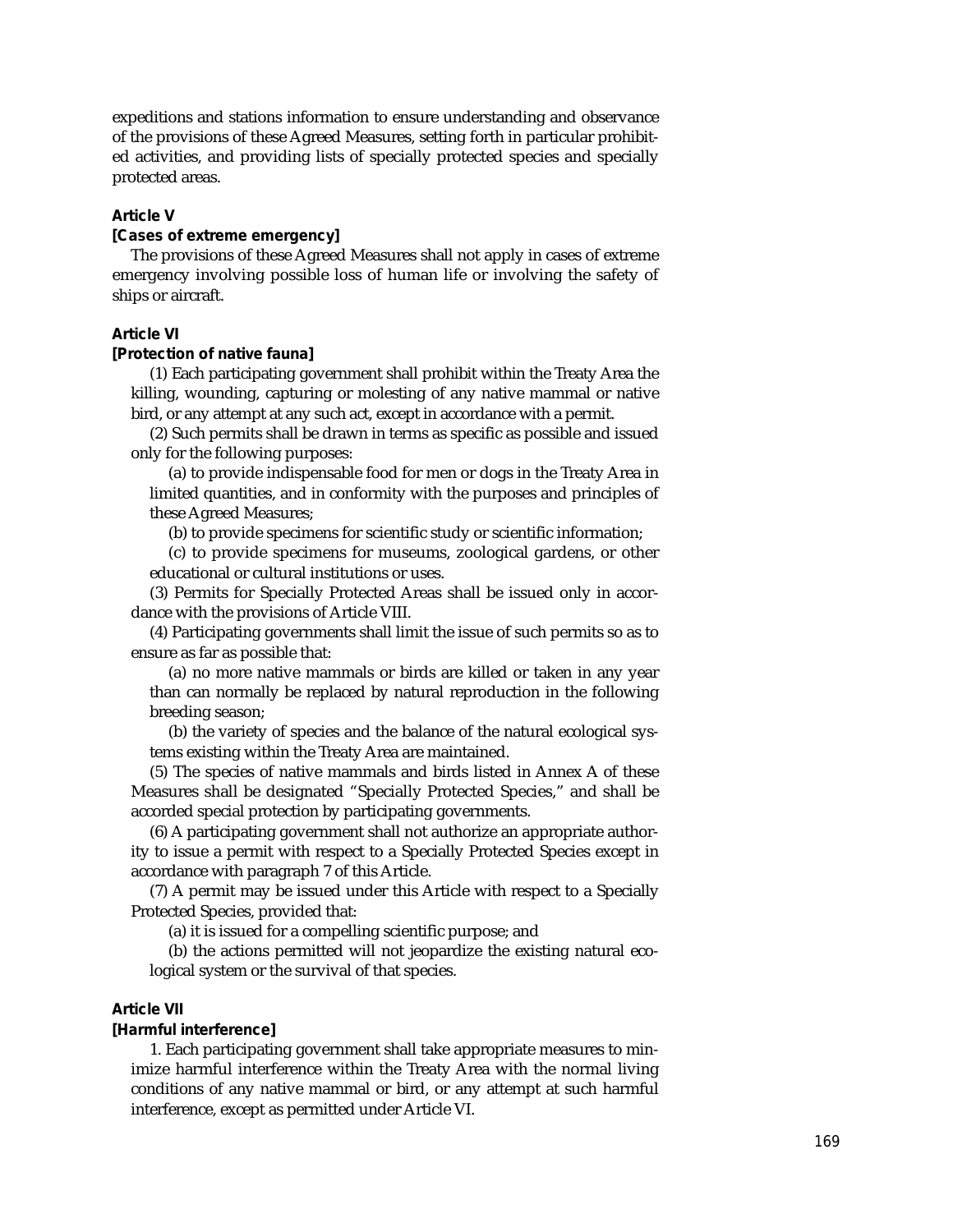expeditions and stations information to ensure understanding and observance of the provisions of these Agreed Measures, setting forth in particular prohibited activities, and providing lists of specially protected species and specially protected areas.

# **Article V**

#### **[Cases of extreme emergency]**

The provisions of these Agreed Measures shall not apply in cases of extreme emergency involving possible loss of human life or involving the safety of ships or aircraft.

## **Article VI**

## **[Protection of native fauna]**

(1) Each participating government shall prohibit within the Treaty Area the killing, wounding, capturing or molesting of any native mammal or native bird, or any attempt at any such act, except in accordance with a permit.

(2) Such permits shall be drawn in terms as specific as possible and issued only for the following purposes:

(a) to provide indispensable food for men or dogs in the Treaty Area in limited quantities, and in conformity with the purposes and principles of these Agreed Measures;

(b) to provide specimens for scientific study or scientific information;

(c) to provide specimens for museums, zoological gardens, or other educational or cultural institutions or uses.

(3) Permits for Specially Protected Areas shall be issued only in accordance with the provisions of Article VIII.

(4) Participating governments shall limit the issue of such permits so as to ensure as far as possible that:

(a) no more native mammals or birds are killed or taken in any year than can normally be replaced by natural reproduction in the following breeding season;

(b) the variety of species and the balance of the natural ecological systems existing within the Treaty Area are maintained.

(5) The species of native mammals and birds listed in Annex A of these Measures shall be designated "Specially Protected Species," and shall be accorded special protection by participating governments.

(6) A participating government shall not authorize an appropriate authority to issue a permit with respect to a Specially Protected Species except in accordance with paragraph 7 of this Article.

(7) A permit may be issued under this Article with respect to a Specially Protected Species, provided that:

(a) it is issued for a compelling scientific purpose; and

(b) the actions permitted will not jeopardize the existing natural ecological system or the survival of that species.

#### **Article VII**

#### **[Harmful interference]**

1. Each participating government shall take appropriate measures to minimize harmful interference within the Treaty Area with the normal living conditions of any native mammal or bird, or any attempt at such harmful interference, except as permitted under Article VI.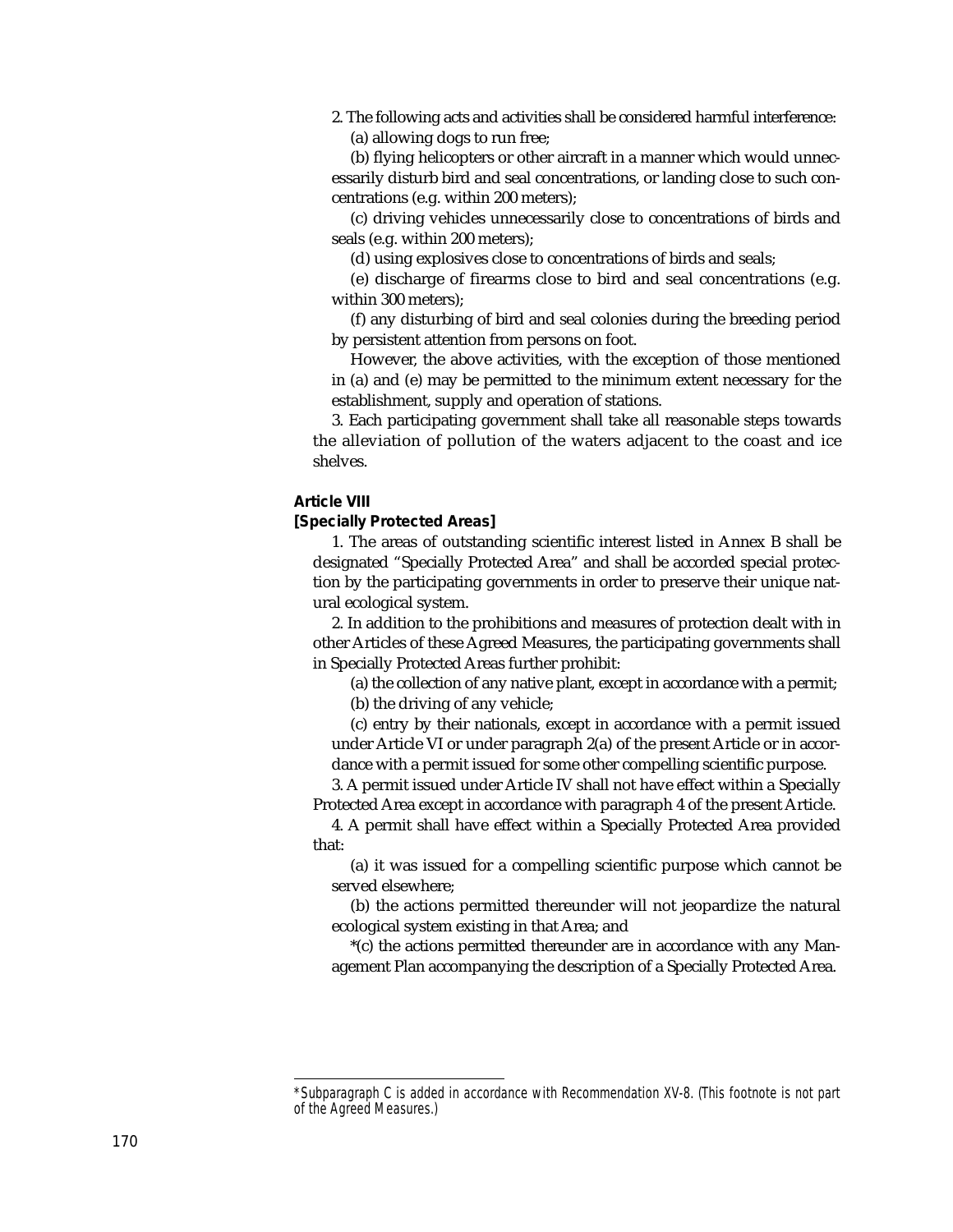2. The following acts and activities shall be considered harmful interference:

(a) allowing dogs to run free;

(b) flying helicopters or other aircraft in a manner which would unnecessarily disturb bird and seal concentrations, or landing close to such concentrations (e.g. within 200 meters);

(c) driving vehicles unnecessarily close to concentrations of birds and seals (e.g. within 200 meters);

(d) using explosives close to concentrations of birds and seals;

(e) discharge of firearms close to bird and seal concentrations (e.g. within 300 meters);

(f) any disturbing of bird and seal colonies during the breeding period by persistent attention from persons on foot.

However, the above activities, with the exception of those mentioned in (a) and (e) may be permitted to the minimum extent necessary for the establishment, supply and operation of stations.

3. Each participating government shall take all reasonable steps towards the alleviation of pollution of the waters adjacent to the coast and ice shelves.

#### **Article VIII**

**[Specially Protected Areas]**

1. The areas of outstanding scientific interest listed in Annex B shall be designated "Specially Protected Area" and shall be accorded special protection by the participating governments in order to preserve their unique natural ecological system.

2. In addition to the prohibitions and measures of protection dealt with in other Articles of these Agreed Measures, the participating governments shall in Specially Protected Areas further prohibit:

(a) the collection of any native plant, except in accordance with a permit; (b) the driving of any vehicle;

(c) entry by their nationals, except in accordance with a permit issued under Article VI or under paragraph 2(a) of the present Article or in accordance with a permit issued for some other compelling scientific purpose.

3. A permit issued under Article IV shall not have effect within a Specially Protected Area except in accordance with paragraph 4 of the present Article.

4. A permit shall have effect within a Specially Protected Area provided that:

(a) it was issued for a compelling scientific purpose which cannot be served elsewhere;

(b) the actions permitted thereunder will not jeopardize the natural ecological system existing in that Area; and

\*(c) the actions permitted thereunder are in accordance with any Management Plan accompanying the description of a Specially Protected Area.

<sup>\*</sup>Subparagraph C is added in accordance with Recommendation XV-8. (This footnote is not part of the Agreed Measures.)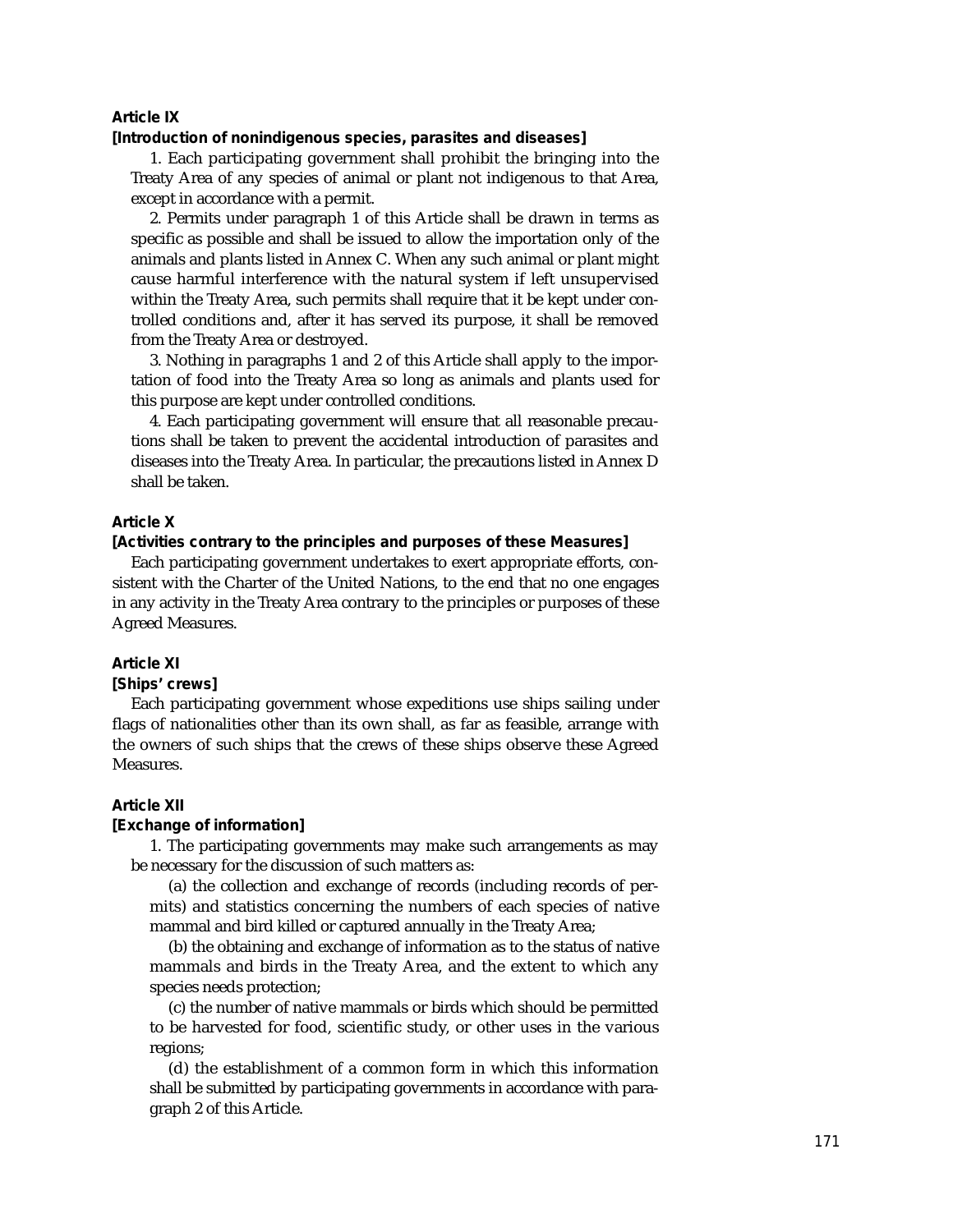## **Article IX**

#### **[Introduction of nonindigenous species, parasites and diseases]**

1. Each participating government shall prohibit the bringing into the Treaty Area of any species of animal or plant not indigenous to that Area, except in accordance with a permit.

2. Permits under paragraph 1 of this Article shall be drawn in terms as specific as possible and shall be issued to allow the importation only of the animals and plants listed in Annex C. When any such animal or plant might cause harmful interference with the natural system if left unsupervised within the Treaty Area, such permits shall require that it be kept under controlled conditions and, after it has served its purpose, it shall be removed from the Treaty Area or destroyed.

3. Nothing in paragraphs 1 and 2 of this Article shall apply to the importation of food into the Treaty Area so long as animals and plants used for this purpose are kept under controlled conditions.

4. Each participating government will ensure that all reasonable precautions shall be taken to prevent the accidental introduction of parasites and diseases into the Treaty Area. In particular, the precautions listed in Annex D shall be taken.

## **Article X**

## **[Activities contrary to the principles and purposes of these Measures]**

Each participating government undertakes to exert appropriate efforts, consistent with the Charter of the United Nations, to the end that no one engages in any activity in the Treaty Area contrary to the principles or purposes of these Agreed Measures.

#### **Article XI**

# **[Ships' crews]**

Each participating government whose expeditions use ships sailing under flags of nationalities other than its own shall, as far as feasible, arrange with the owners of such ships that the crews of these ships observe these Agreed Measures.

#### **Article XII**

#### **[Exchange of information]**

1. The participating governments may make such arrangements as may be necessary for the discussion of such matters as:

(a) the collection and exchange of records (including records of permits) and statistics concerning the numbers of each species of native mammal and bird killed or captured annually in the Treaty Area;

(b) the obtaining and exchange of information as to the status of native mammals and birds in the Treaty Area, and the extent to which any species needs protection;

(c) the number of native mammals or birds which should be permitted to be harvested for food, scientific study, or other uses in the various regions;

(d) the establishment of a common form in which this information shall be submitted by participating governments in accordance with paragraph 2 of this Article.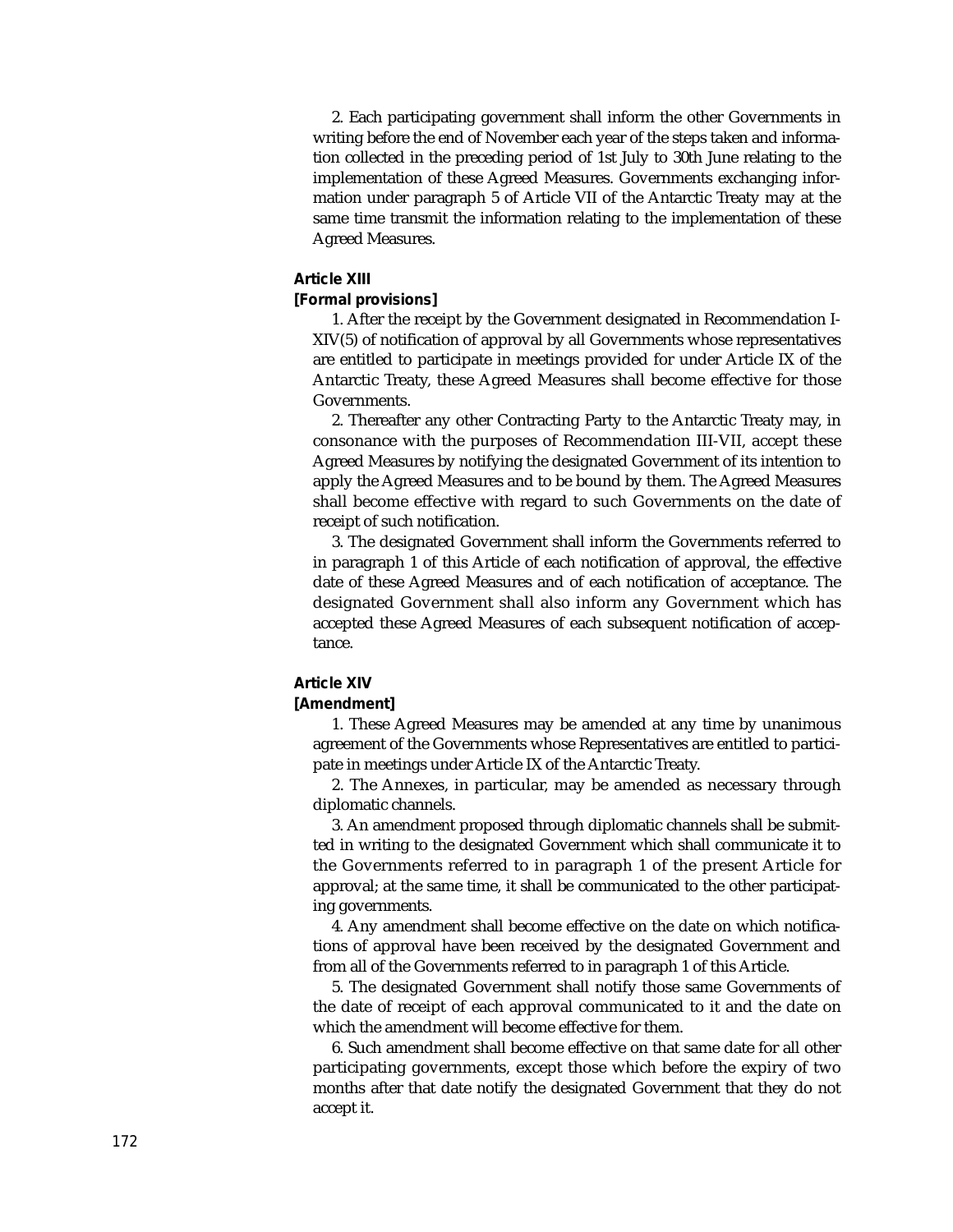2. Each participating government shall inform the other Governments in writing before the end of November each year of the steps taken and information collected in the preceding period of 1st July to 30th June relating to the implementation of these Agreed Measures. Governments exchanging information under paragraph 5 of Article VII of the Antarctic Treaty may at the same time transmit the information relating to the implementation of these Agreed Measures.

# **Article XIII**

#### **[Formal provisions]**

1. After the receipt by the Government designated in Recommendation I-XIV(5) of notification of approval by all Governments whose representatives are entitled to participate in meetings provided for under Article IX of the Antarctic Treaty, these Agreed Measures shall become effective for those Governments.

2. Thereafter any other Contracting Party to the Antarctic Treaty may, in consonance with the purposes of Recommendation III-VII, accept these Agreed Measures by notifying the designated Government of its intention to apply the Agreed Measures and to be bound by them. The Agreed Measures shall become effective with regard to such Governments on the date of receipt of such notification.

3. The designated Government shall inform the Governments referred to in paragraph 1 of this Article of each notification of approval, the effective date of these Agreed Measures and of each notification of acceptance. The designated Government shall also inform any Government which has accepted these Agreed Measures of each subsequent notification of acceptance.

# **Article XIV**

# **[Amendment]**

1. These Agreed Measures may be amended at any time by unanimous agreement of the Governments whose Representatives are entitled to participate in meetings under Article IX of the Antarctic Treaty.

2. The Annexes, in particular, may be amended as necessary through diplomatic channels.

3. An amendment proposed through diplomatic channels shall be submitted in writing to the designated Government which shall communicate it to the Governments referred to in paragraph 1 of the present Article for approval; at the same time, it shall be communicated to the other participating governments.

4. Any amendment shall become effective on the date on which notifications of approval have been received by the designated Government and from all of the Governments referred to in paragraph 1 of this Article.

5. The designated Government shall notify those same Governments of the date of receipt of each approval communicated to it and the date on which the amendment will become effective for them.

6. Such amendment shall become effective on that same date for all other participating governments, except those which before the expiry of two months after that date notify the designated Government that they do not accept it.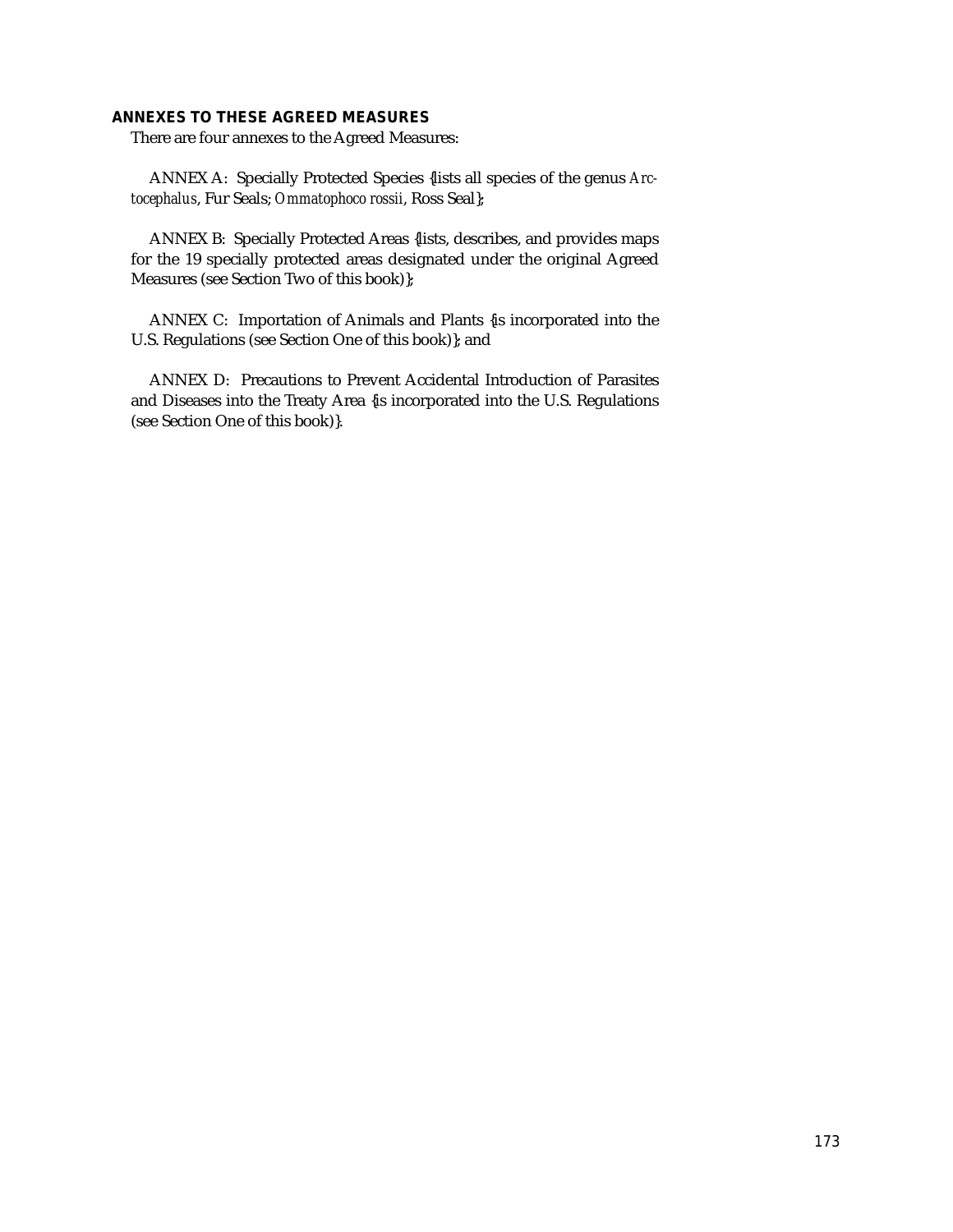## **ANNEXES TO THESE AGREED MEASURES**

There are four annexes to the Agreed Measures:

ANNEX A: Specially Protected Species {lists all species of the genus *Arctocephalus*, Fur Seals; *Ommatophoco rossii*, Ross Seal};

ANNEX B: Specially Protected Areas {lists, describes, and provides maps for the 19 specially protected areas designated under the original Agreed Measures (see Section Two of this book)};

ANNEX C: Importation of Animals and Plants {is incorporated into the U.S. Regulations (see Section One of this book)}; and

ANNEX D: Precautions to Prevent Accidental Introduction of Parasites and Diseases into the Treaty Area {is incorporated into the U.S. Regulations (see Section One of this book)}.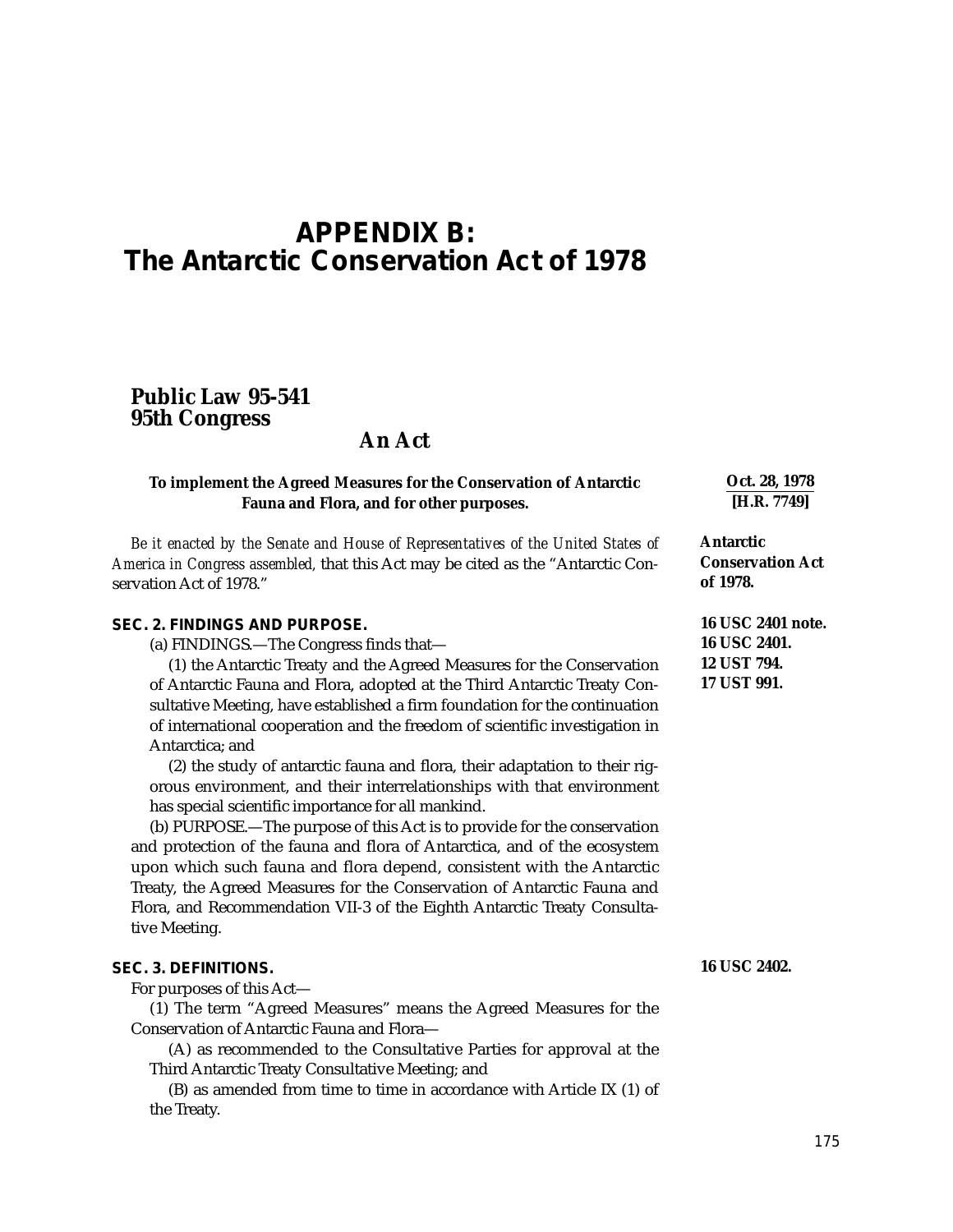# **APPENDIX B: The Antarctic Conservation Act of 1978**

# **Public Law 95-541 95th Congress**

# **An Act**

## **To implement the Agreed Measures for the Conservation of Antarctic Fauna and Flora, and for other purposes.**

*Be it enacted by the Senate and House of Representatives of the United States of America in Congress assembled,* that this Act may be cited as the "Antarctic Conservation Act of 1978."

### **SEC. 2. FINDINGS AND PURPOSE.**

(a) FINDINGS.—The Congress finds that—

(1) the Antarctic Treaty and the Agreed Measures for the Conservation of Antarctic Fauna and Flora, adopted at the Third Antarctic Treaty Consultative Meeting, have established a firm foundation for the continuation of international cooperation and the freedom of scientific investigation in Antarctica; and

(2) the study of antarctic fauna and flora, their adaptation to their rigorous environment, and their interrelationships with that environment has special scientific importance for all mankind.

(b) PURPOSE.—The purpose of this Act is to provide for the conservation and protection of the fauna and flora of Antarctica, and of the ecosystem upon which such fauna and flora depend, consistent with the Antarctic Treaty, the Agreed Measures for the Conservation of Antarctic Fauna and Flora, and Recommendation VII-3 of the Eighth Antarctic Treaty Consultative Meeting.

#### **SEC. 3. DEFINITIONS.**

For purposes of this Act—

(1) The term "Agreed Measures" means the Agreed Measures for the Conservation of Antarctic Fauna and Flora—

(A) as recommended to the Consultative Parties for approval at the Third Antarctic Treaty Consultative Meeting; and

(B) as amended from time to time in accordance with Article IX (1) of the Treaty.

**Oct. 28, 1978 [H.R. 7749]**

**Antarctic Conservation Act of 1978.**

**16 USC 2401 note. 16 USC 2401. 12 UST 794. 17 UST 991.**

**16 USC 2402.**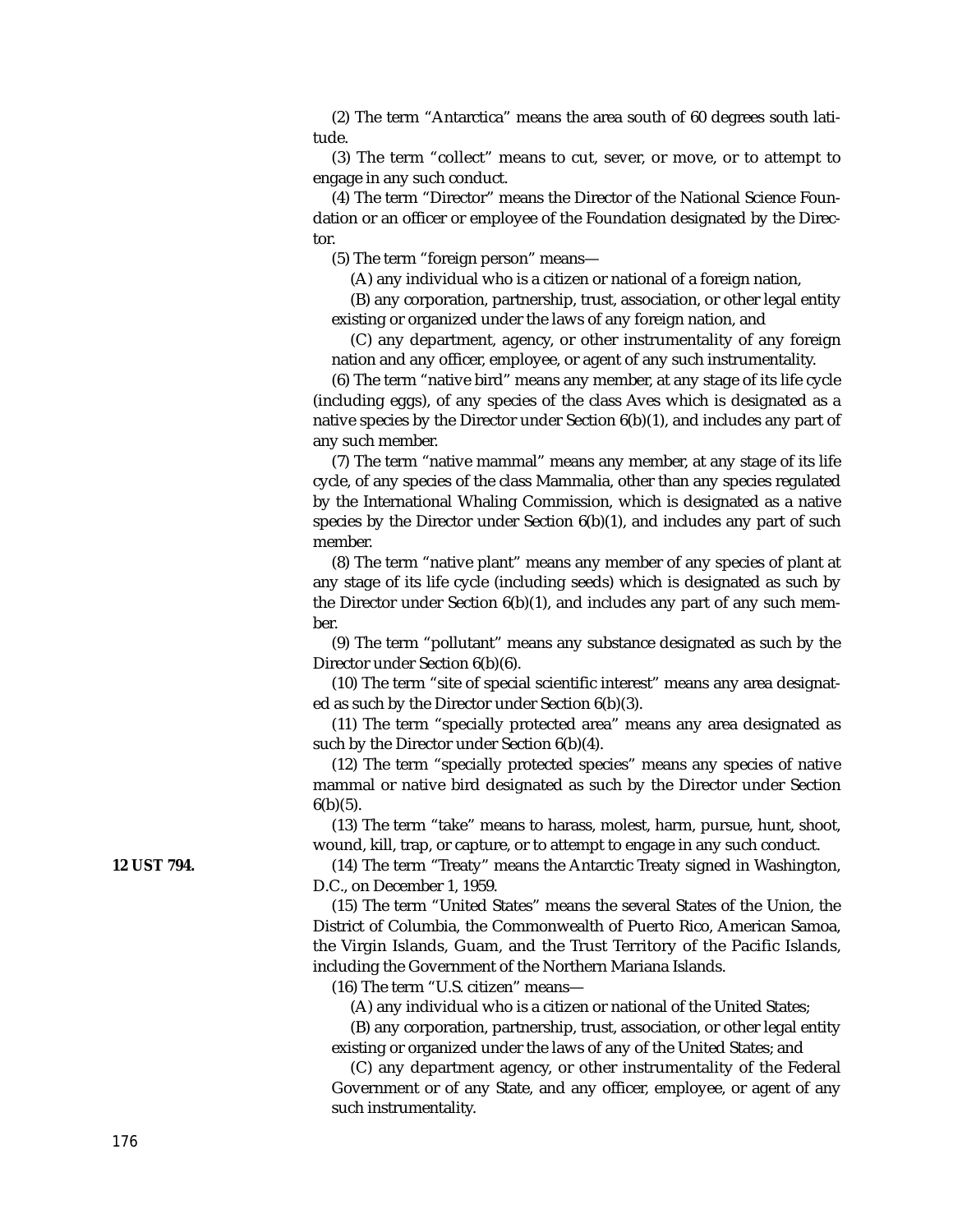(2) The term "Antarctica" means the area south of 60 degrees south latitude.

(3) The term "collect" means to cut, sever, or move, or to attempt to engage in any such conduct.

(4) The term "Director" means the Director of the National Science Foundation or an officer or employee of the Foundation designated by the Director.

(5) The term "foreign person" means—

(A) any individual who is a citizen or national of a foreign nation,

(B) any corporation, partnership, trust, association, or other legal entity existing or organized under the laws of any foreign nation, and

(C) any department, agency, or other instrumentality of any foreign nation and any officer, employee, or agent of any such instrumentality.

(6) The term "native bird" means any member, at any stage of its life cycle (including eggs), of any species of the class Aves which is designated as a native species by the Director under Section 6(b)(1), and includes any part of any such member.

(7) The term "native mammal" means any member, at any stage of its life cycle, of any species of the class Mammalia, other than any species regulated by the International Whaling Commission, which is designated as a native species by the Director under Section 6(b)(1), and includes any part of such member.

(8) The term "native plant" means any member of any species of plant at any stage of its life cycle (including seeds) which is designated as such by the Director under Section 6(b)(1), and includes any part of any such member.

(9) The term "pollutant" means any substance designated as such by the Director under Section 6(b)(6).

(10) The term "site of special scientific interest" means any area designated as such by the Director under Section 6(b)(3).

(11) The term "specially protected area" means any area designated as such by the Director under Section 6(b)(4).

(12) The term "specially protected species" means any species of native mammal or native bird designated as such by the Director under Section  $6(b)(5)$ .

(13) The term "take" means to harass, molest, harm, pursue, hunt, shoot, wound, kill, trap, or capture, or to attempt to engage in any such conduct.

(14) The term "Treaty" means the Antarctic Treaty signed in Washington, D.C., on December 1, 1959.

(15) The term "United States" means the several States of the Union, the District of Columbia, the Commonwealth of Puerto Rico, American Samoa, the Virgin Islands, Guam, and the Trust Territory of the Pacific Islands, including the Government of the Northern Mariana Islands.

(16) The term "U.S. citizen" means—

(A) any individual who is a citizen or national of the United States;

(B) any corporation, partnership, trust, association, or other legal entity existing or organized under the laws of any of the United States; and

(C) any department agency, or other instrumentality of the Federal Government or of any State, and any officer, employee, or agent of any such instrumentality.

**12 UST 794.**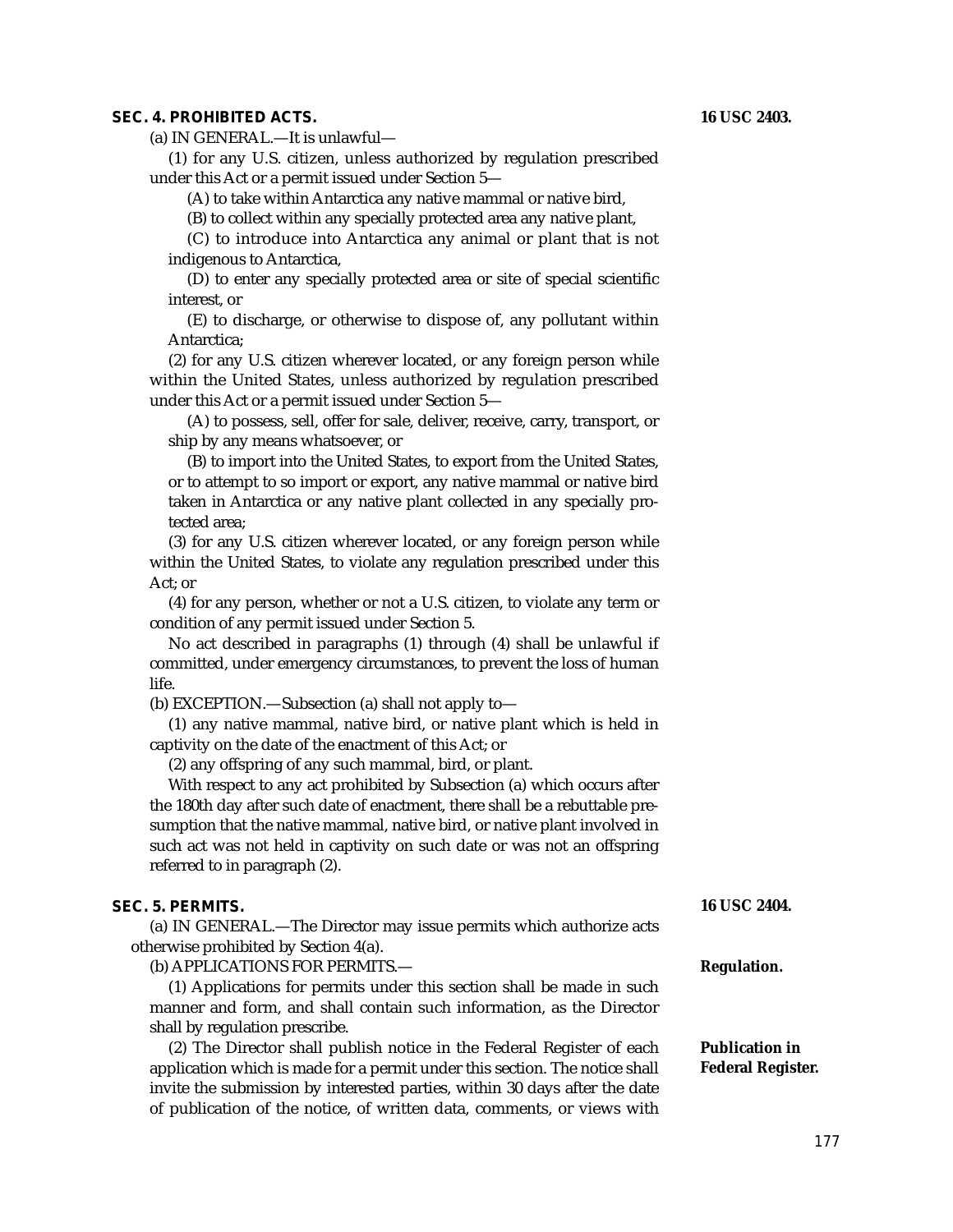#### **SEC. 4. PROHIBITED ACTS.**

(a) IN GENERAL.—It is unlawful—

(1) for any U.S. citizen, unless authorized by regulation prescribed under this Act or a permit issued under Section 5—

(A) to take within Antarctica any native mammal or native bird,

(B) to collect within any specially protected area any native plant,

(C) to introduce into Antarctica any animal or plant that is not indigenous to Antarctica,

(D) to enter any specially protected area or site of special scientific interest, or

(E) to discharge, or otherwise to dispose of, any pollutant within Antarctica;

(2) for any U.S. citizen wherever located, or any foreign person while within the United States, unless authorized by regulation prescribed under this Act or a permit issued under Section 5—

(A) to possess, sell, offer for sale, deliver, receive, carry, transport, or ship by any means whatsoever, or

(B) to import into the United States, to export from the United States, or to attempt to so import or export, any native mammal or native bird taken in Antarctica or any native plant collected in any specially protected area;

(3) for any U.S. citizen wherever located, or any foreign person while within the United States, to violate any regulation prescribed under this Act; or

(4) for any person, whether or not a U.S. citizen, to violate any term or condition of any permit issued under Section 5.

No act described in paragraphs (1) through (4) shall be unlawful if committed, under emergency circumstances, to prevent the loss of human life.

(b) EXCEPTION.—Subsection (a) shall not apply to—

(1) any native mammal, native bird, or native plant which is held in captivity on the date of the enactment of this Act; or

(2) any offspring of any such mammal, bird, or plant.

With respect to any act prohibited by Subsection (a) which occurs after the 180th day after such date of enactment, there shall be a rebuttable presumption that the native mammal, native bird, or native plant involved in such act was not held in captivity on such date or was not an offspring referred to in paragraph (2).

#### **SEC. 5. PERMITS.**

(a) IN GENERAL.—The Director may issue permits which authorize acts otherwise prohibited by Section 4(a).

(b) APPLICATIONS FOR PERMITS.—

(1) Applications for permits under this section shall be made in such manner and form, and shall contain such information, as the Director shall by regulation prescribe.

(2) The Director shall publish notice in the Federal Register of each application which is made for a permit under this section. The notice shall invite the submission by interested parties, within 30 days after the date of publication of the notice, of written data, comments, or views with **16 USC 2404.**

**Regulation.**

**Publication in Federal Register.**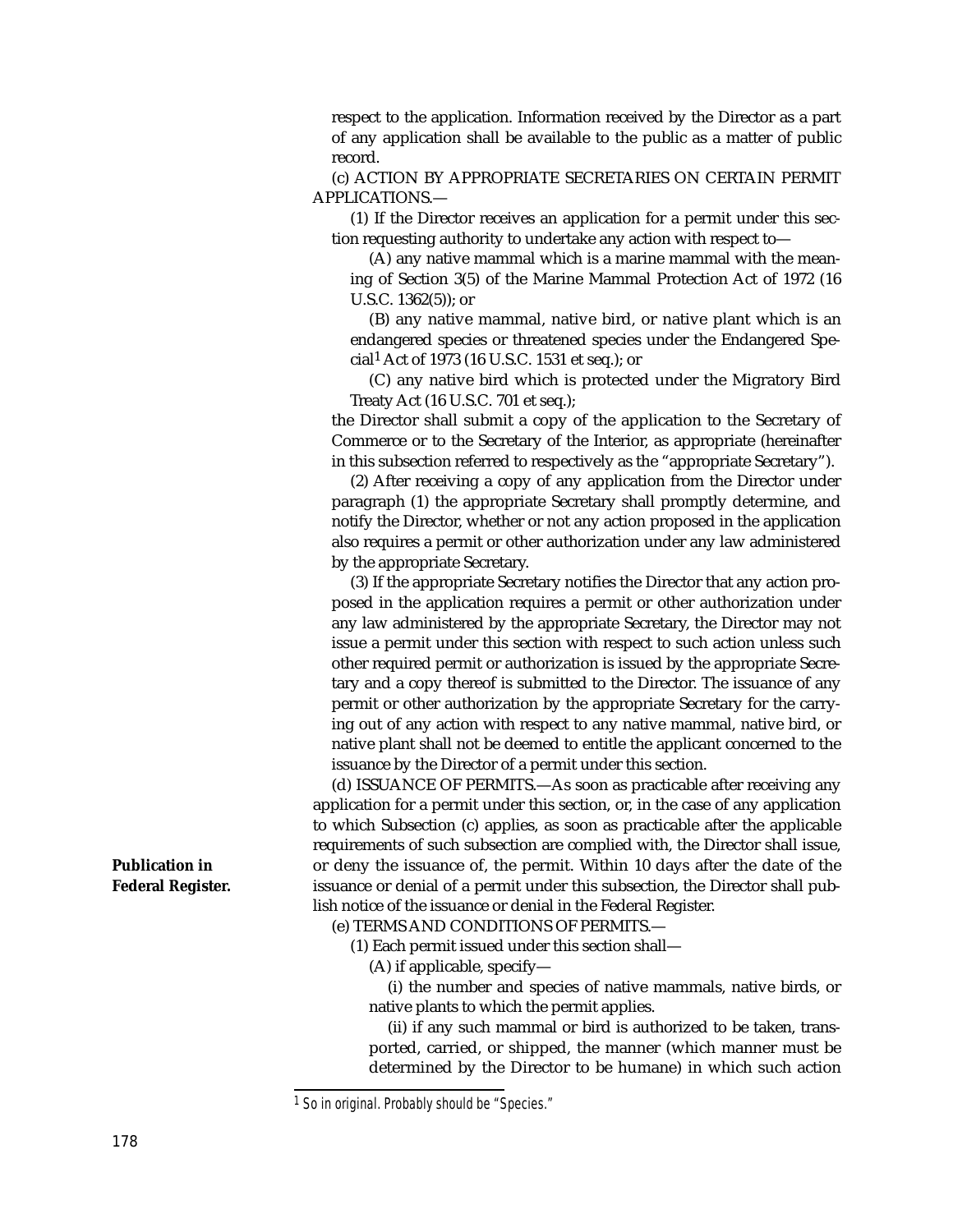respect to the application. Information received by the Director as a part of any application shall be available to the public as a matter of public record.

(c) ACTION BY APPROPRIATE SECRETARIES ON CERTAIN PERMIT APPLICATIONS.—

(1) If the Director receives an application for a permit under this section requesting authority to undertake any action with respect to—

(A) any native mammal which is a marine mammal with the meaning of Section 3(5) of the Marine Mammal Protection Act of 1972 (16 U.S.C. 1362(5)); or

(B) any native mammal, native bird, or native plant which is an endangered species or threatened species under the Endangered Special<sup>1</sup> Act of 1973 (16 U.S.C. 1531 et seq.); or

(C) any native bird which is protected under the Migratory Bird Treaty Act (16 U.S.C. 701 et seq.);

the Director shall submit a copy of the application to the Secretary of Commerce or to the Secretary of the Interior, as appropriate (hereinafter in this subsection referred to respectively as the "appropriate Secretary").

(2) After receiving a copy of any application from the Director under paragraph (1) the appropriate Secretary shall promptly determine, and notify the Director, whether or not any action proposed in the application also requires a permit or other authorization under any law administered by the appropriate Secretary.

(3) If the appropriate Secretary notifies the Director that any action proposed in the application requires a permit or other authorization under any law administered by the appropriate Secretary, the Director may not issue a permit under this section with respect to such action unless such other required permit or authorization is issued by the appropriate Secretary and a copy thereof is submitted to the Director. The issuance of any permit or other authorization by the appropriate Secretary for the carrying out of any action with respect to any native mammal, native bird, or native plant shall not be deemed to entitle the applicant concerned to the issuance by the Director of a permit under this section.

(d) ISSUANCE OF PERMITS.—As soon as practicable after receiving any application for a permit under this section, or, in the case of any application to which Subsection (c) applies, as soon as practicable after the applicable requirements of such subsection are complied with, the Director shall issue, or deny the issuance of, the permit. Within 10 days after the date of the issuance or denial of a permit under this subsection, the Director shall publish notice of the issuance or denial in the Federal Register.

(e) TERMS AND CONDITIONS OF PERMITS.—

(1) Each permit issued under this section shall—

(A) if applicable, specify—

(i) the number and species of native mammals, native birds, or native plants to which the permit applies.

(ii) if any such mammal or bird is authorized to be taken, transported, carried, or shipped, the manner (which manner must be determined by the Director to be humane) in which such action

**Publication in Federal Register.**

<sup>1</sup> So in original. Probably should be "Species."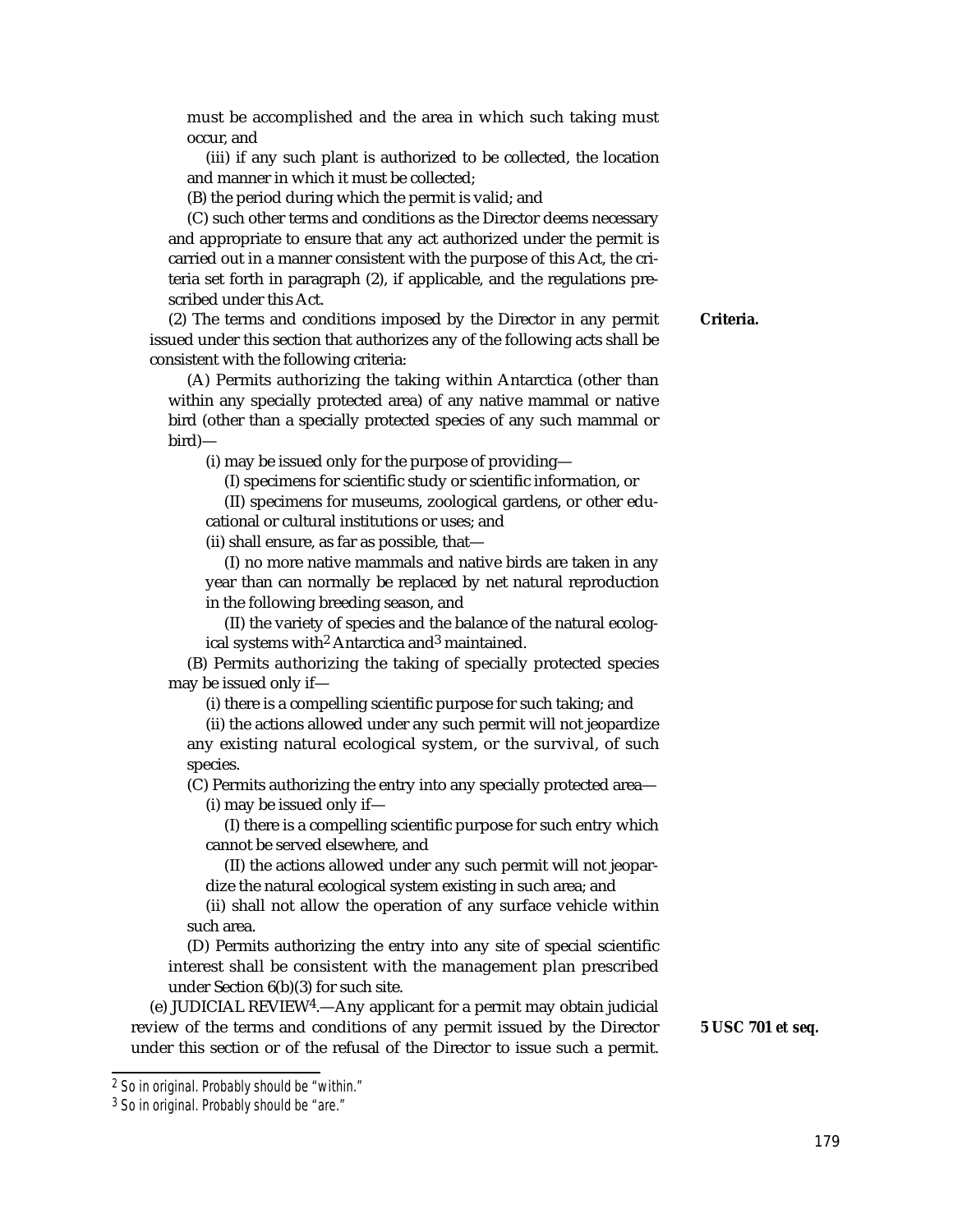must be accomplished and the area in which such taking must occur, and

(iii) if any such plant is authorized to be collected, the location and manner in which it must be collected;

(B) the period during which the permit is valid; and

(C) such other terms and conditions as the Director deems necessary and appropriate to ensure that any act authorized under the permit is carried out in a manner consistent with the purpose of this Act, the criteria set forth in paragraph (2), if applicable, and the regulations prescribed under this Act.

(2) The terms and conditions imposed by the Director in any permit issued under this section that authorizes any of the following acts shall be consistent with the following criteria:

(A) Permits authorizing the taking within Antarctica (other than within any specially protected area) of any native mammal or native bird (other than a specially protected species of any such mammal or bird)—

(i) may be issued only for the purpose of providing—

(I) specimens for scientific study or scientific information, or

(II) specimens for museums, zoological gardens, or other educational or cultural institutions or uses; and

(ii) shall ensure, as far as possible, that—

(I) no more native mammals and native birds are taken in any year than can normally be replaced by net natural reproduction in the following breeding season, and

(II) the variety of species and the balance of the natural ecological systems with2 Antarctica and3 maintained.

(B) Permits authorizing the taking of specially protected species may be issued only if—

(i) there is a compelling scientific purpose for such taking; and

(ii) the actions allowed under any such permit will not jeopardize any existing natural ecological system, or the survival, of such species.

(C) Permits authorizing the entry into any specially protected area— (i) may be issued only if—

(I) there is a compelling scientific purpose for such entry which cannot be served elsewhere, and

(II) the actions allowed under any such permit will not jeopardize the natural ecological system existing in such area; and

(ii) shall not allow the operation of any surface vehicle within such area.

(D) Permits authorizing the entry into any site of special scientific interest shall be consistent with the management plan prescribed under Section 6(b)(3) for such site.

(e) JUDICIAL REVIEW4.—Any applicant for a permit may obtain judicial review of the terms and conditions of any permit issued by the Director under this section or of the refusal of the Director to issue such a permit.

**5 USC 701** *et seq.*

**Criteria.**

<sup>2</sup> So in original. Probably should be "within."

<sup>3</sup> So in original. Probably should be "are."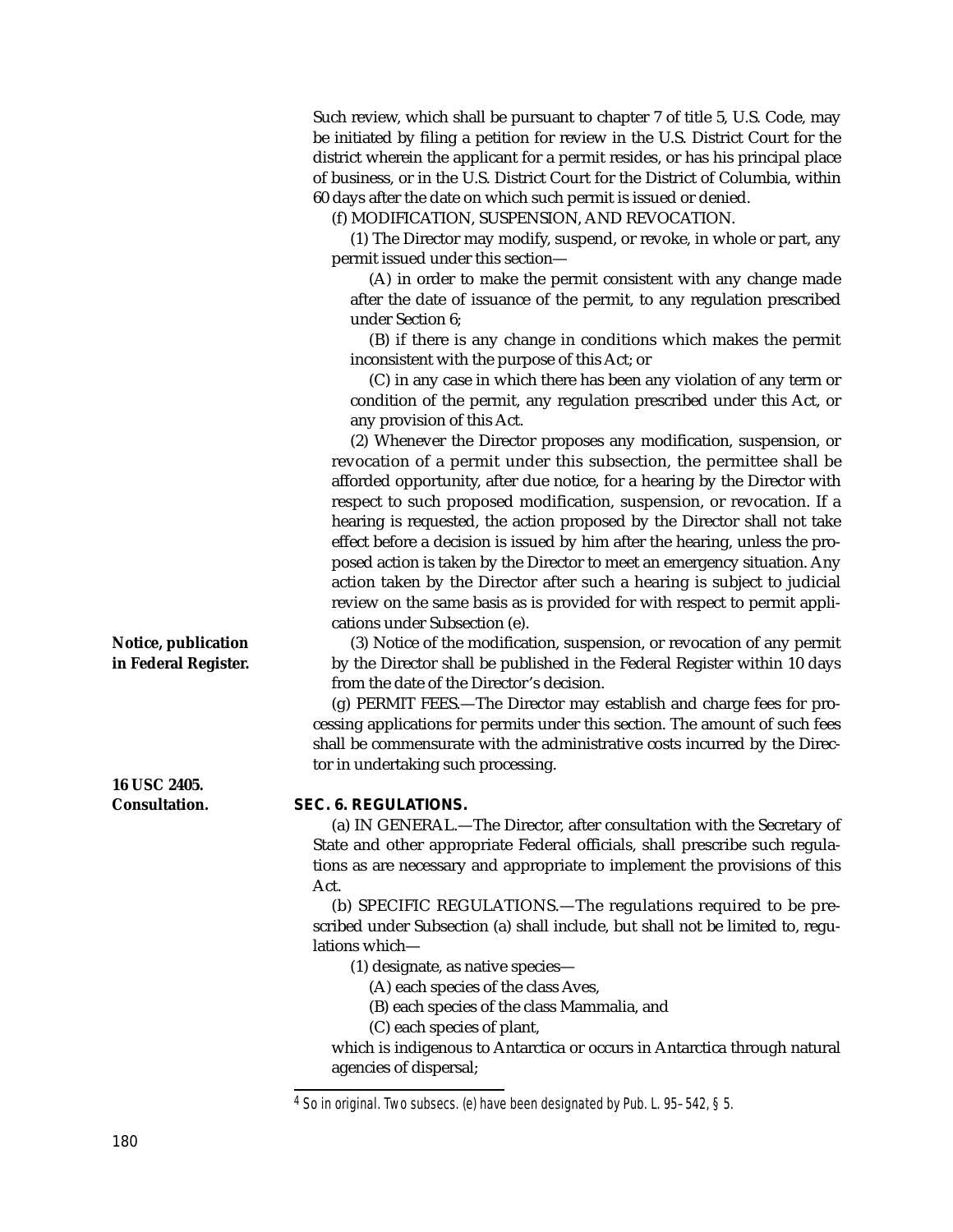Such review, which shall be pursuant to chapter 7 of title 5, U.S. Code, may be initiated by filing a petition for review in the U.S. District Court for the district wherein the applicant for a permit resides, or has his principal place of business, or in the U.S. District Court for the District of Columbia, within 60 days after the date on which such permit is issued or denied.

(f) MODIFICATION, SUSPENSION, AND REVOCATION.

(1) The Director may modify, suspend, or revoke, in whole or part, any permit issued under this section—

(A) in order to make the permit consistent with any change made after the date of issuance of the permit, to any regulation prescribed under Section 6;

(B) if there is any change in conditions which makes the permit inconsistent with the purpose of this Act; or

(C) in any case in which there has been any violation of any term or condition of the permit, any regulation prescribed under this Act, or any provision of this Act.

(2) Whenever the Director proposes any modification, suspension, or revocation of a permit under this subsection, the permittee shall be afforded opportunity, after due notice, for a hearing by the Director with respect to such proposed modification, suspension, or revocation. If a hearing is requested, the action proposed by the Director shall not take effect before a decision is issued by him after the hearing, unless the proposed action is taken by the Director to meet an emergency situation. Any action taken by the Director after such a hearing is subject to judicial review on the same basis as is provided for with respect to permit applications under Subsection (e).

(3) Notice of the modification, suspension, or revocation of any permit by the Director shall be published in the Federal Register within 10 days from the date of the Director's decision.

(g) PERMIT FEES.—The Director may establish and charge fees for processing applications for permits under this section. The amount of such fees shall be commensurate with the administrative costs incurred by the Director in undertaking such processing.

#### **SEC. 6. REGULATIONS.**

(a) IN GENERAL.—The Director, after consultation with the Secretary of State and other appropriate Federal officials, shall prescribe such regulations as are necessary and appropriate to implement the provisions of this Act.

(b) SPECIFIC REGULATIONS.—The regulations required to be prescribed under Subsection (a) shall include, but shall not be limited to, regulations which—

- (1) designate, as native species—
	- (A) each species of the class Aves,
	- (B) each species of the class Mammalia, and
	- (C) each species of plant,

which is indigenous to Antarctica or occurs in Antarctica through natural agencies of dispersal;

**Notice, publication in Federal Register.**

**16 USC 2405. Consultation.**

<sup>4</sup> So in original. Two subsecs. (e) have been designated by Pub. L. 95–542, § 5.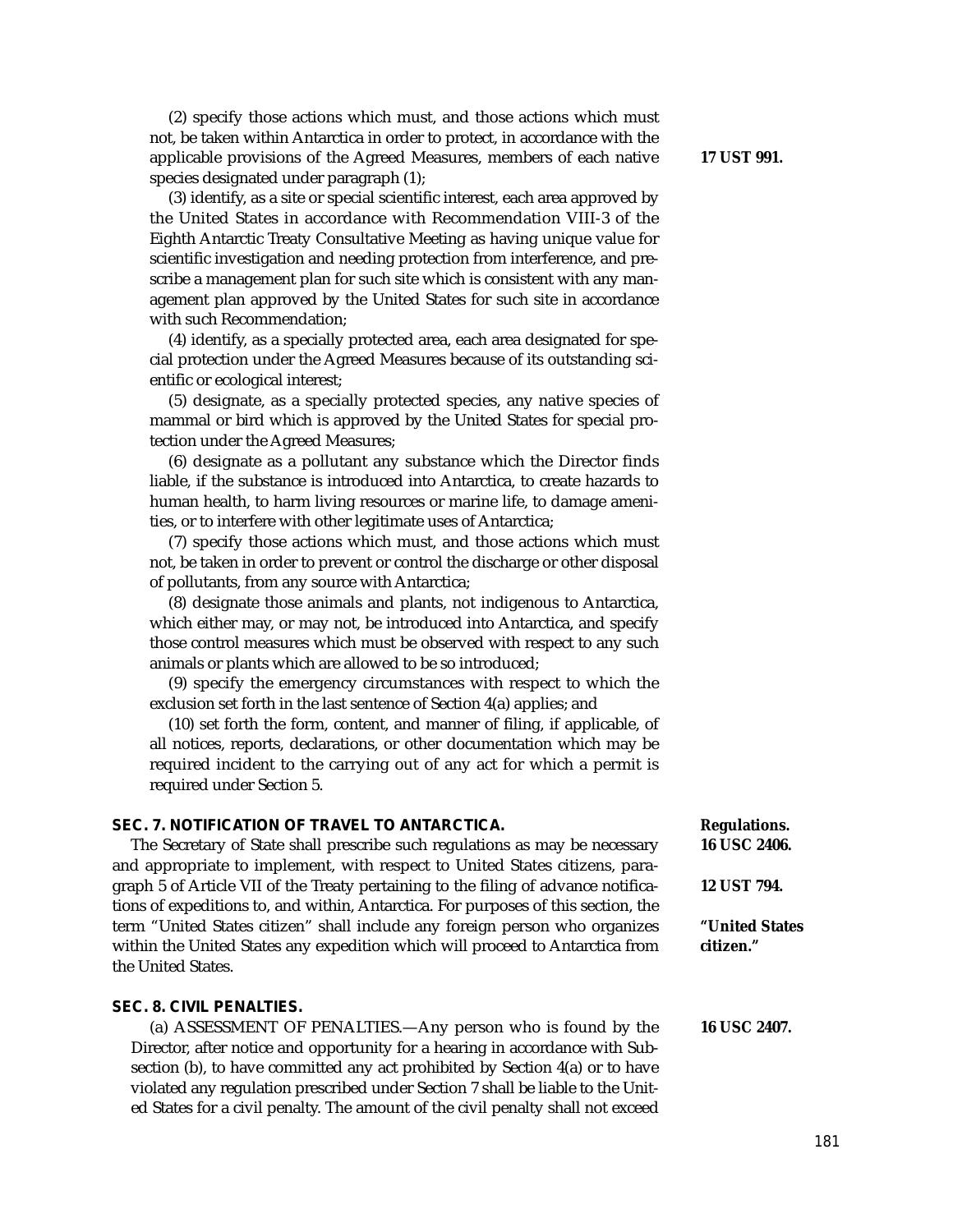(2) specify those actions which must, and those actions which must not, be taken within Antarctica in order to protect, in accordance with the applicable provisions of the Agreed Measures, members of each native species designated under paragraph (1);

(3) identify, as a site or special scientific interest, each area approved by the United States in accordance with Recommendation VIII-3 of the Eighth Antarctic Treaty Consultative Meeting as having unique value for scientific investigation and needing protection from interference, and prescribe a management plan for such site which is consistent with any management plan approved by the United States for such site in accordance with such Recommendation;

(4) identify, as a specially protected area, each area designated for special protection under the Agreed Measures because of its outstanding scientific or ecological interest;

(5) designate, as a specially protected species, any native species of mammal or bird which is approved by the United States for special protection under the Agreed Measures;

(6) designate as a pollutant any substance which the Director finds liable, if the substance is introduced into Antarctica, to create hazards to human health, to harm living resources or marine life, to damage amenities, or to interfere with other legitimate uses of Antarctica;

(7) specify those actions which must, and those actions which must not, be taken in order to prevent or control the discharge or other disposal of pollutants, from any source with Antarctica;

(8) designate those animals and plants, not indigenous to Antarctica, which either may, or may not, be introduced into Antarctica, and specify those control measures which must be observed with respect to any such animals or plants which are allowed to be so introduced;

(9) specify the emergency circumstances with respect to which the exclusion set forth in the last sentence of Section 4(a) applies; and

(10) set forth the form, content, and manner of filing, if applicable, of all notices, reports, declarations, or other documentation which may be required incident to the carrying out of any act for which a permit is required under Section 5.

#### **SEC. 7. NOTIFICATION OF TRAVEL TO ANTARCTICA.**

The Secretary of State shall prescribe such regulations as may be necessary and appropriate to implement, with respect to United States citizens, paragraph 5 of Article VII of the Treaty pertaining to the filing of advance notifications of expeditions to, and within, Antarctica. For purposes of this section, the term "United States citizen" shall include any foreign person who organizes within the United States any expedition which will proceed to Antarctica from the United States.

#### **SEC. 8. CIVIL PENALTIES.**

(a) ASSESSMENT OF PENALTIES.—Any person who is found by the Director, after notice and opportunity for a hearing in accordance with Subsection (b), to have committed any act prohibited by Section 4(a) or to have violated any regulation prescribed under Section 7 shall be liable to the United States for a civil penalty. The amount of the civil penalty shall not exceed

**Regulations. 16 USC 2406.** 

**12 UST 794.** 

**"United States citizen."**

**16 USC 2407.**

#### **17 UST 991.**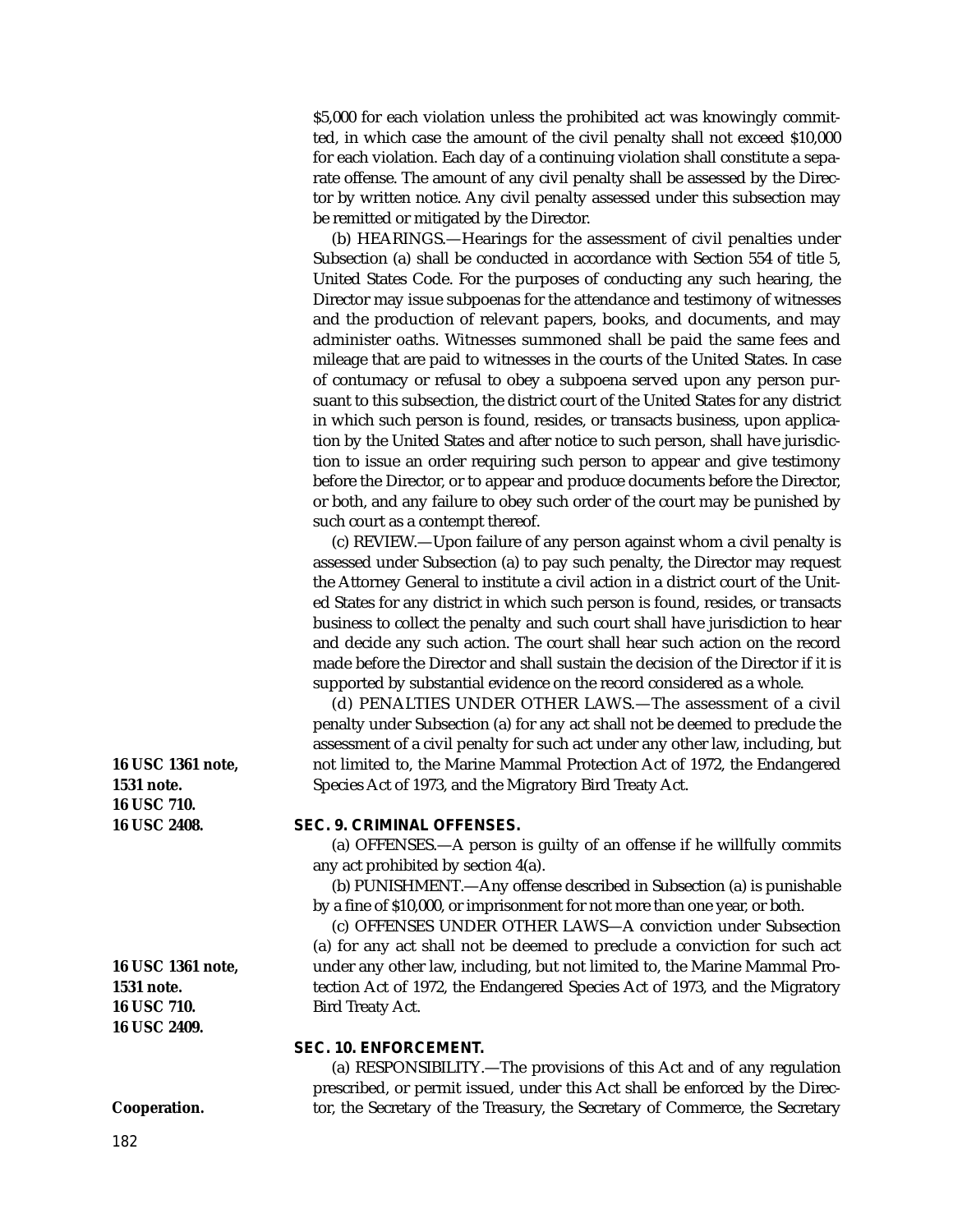\$5,000 for each violation unless the prohibited act was knowingly committed, in which case the amount of the civil penalty shall not exceed \$10,000 for each violation. Each day of a continuing violation shall constitute a separate offense. The amount of any civil penalty shall be assessed by the Director by written notice. Any civil penalty assessed under this subsection may be remitted or mitigated by the Director.

(b) HEARINGS.—Hearings for the assessment of civil penalties under Subsection (a) shall be conducted in accordance with Section 554 of title 5, United States Code. For the purposes of conducting any such hearing, the Director may issue subpoenas for the attendance and testimony of witnesses and the production of relevant papers, books, and documents, and may administer oaths. Witnesses summoned shall be paid the same fees and mileage that are paid to witnesses in the courts of the United States. In case of contumacy or refusal to obey a subpoena served upon any person pursuant to this subsection, the district court of the United States for any district in which such person is found, resides, or transacts business, upon application by the United States and after notice to such person, shall have jurisdiction to issue an order requiring such person to appear and give testimony before the Director, or to appear and produce documents before the Director, or both, and any failure to obey such order of the court may be punished by such court as a contempt thereof.

(c) REVIEW.—Upon failure of any person against whom a civil penalty is assessed under Subsection (a) to pay such penalty, the Director may request the Attorney General to institute a civil action in a district court of the United States for any district in which such person is found, resides, or transacts business to collect the penalty and such court shall have jurisdiction to hear and decide any such action. The court shall hear such action on the record made before the Director and shall sustain the decision of the Director if it is supported by substantial evidence on the record considered as a whole.

(d) PENALTIES UNDER OTHER LAWS.—The assessment of a civil penalty under Subsection (a) for any act shall not be deemed to preclude the assessment of a civil penalty for such act under any other law, including, but not limited to, the Marine Mammal Protection Act of 1972, the Endangered Species Act of 1973, and the Migratory Bird Treaty Act.

**16 USC 1361 note, 1531 note. 16 USC 710. 16 USC 2408.**

**16 USC 1361 note, 1531 note. 16 USC 710. 16 USC 2409.**

**Cooperation.**

## **SEC. 9. CRIMINAL OFFENSES.**

(a) OFFENSES.—A person is guilty of an offense if he willfully commits any act prohibited by section 4(a).

(b) PUNISHMENT.—Any offense described in Subsection (a) is punishable by a fine of \$10,000, or imprisonment for not more than one year, or both.

(c) OFFENSES UNDER OTHER LAWS—A conviction under Subsection (a) for any act shall not be deemed to preclude a conviction for such act under any other law, including, but not limited to, the Marine Mammal Protection Act of 1972, the Endangered Species Act of 1973, and the Migratory Bird Treaty Act.

## **SEC. 10. ENFORCEMENT.**

(a) RESPONSIBILITY.—The provisions of this Act and of any regulation prescribed, or permit issued, under this Act shall be enforced by the Director, the Secretary of the Treasury, the Secretary of Commerce, the Secretary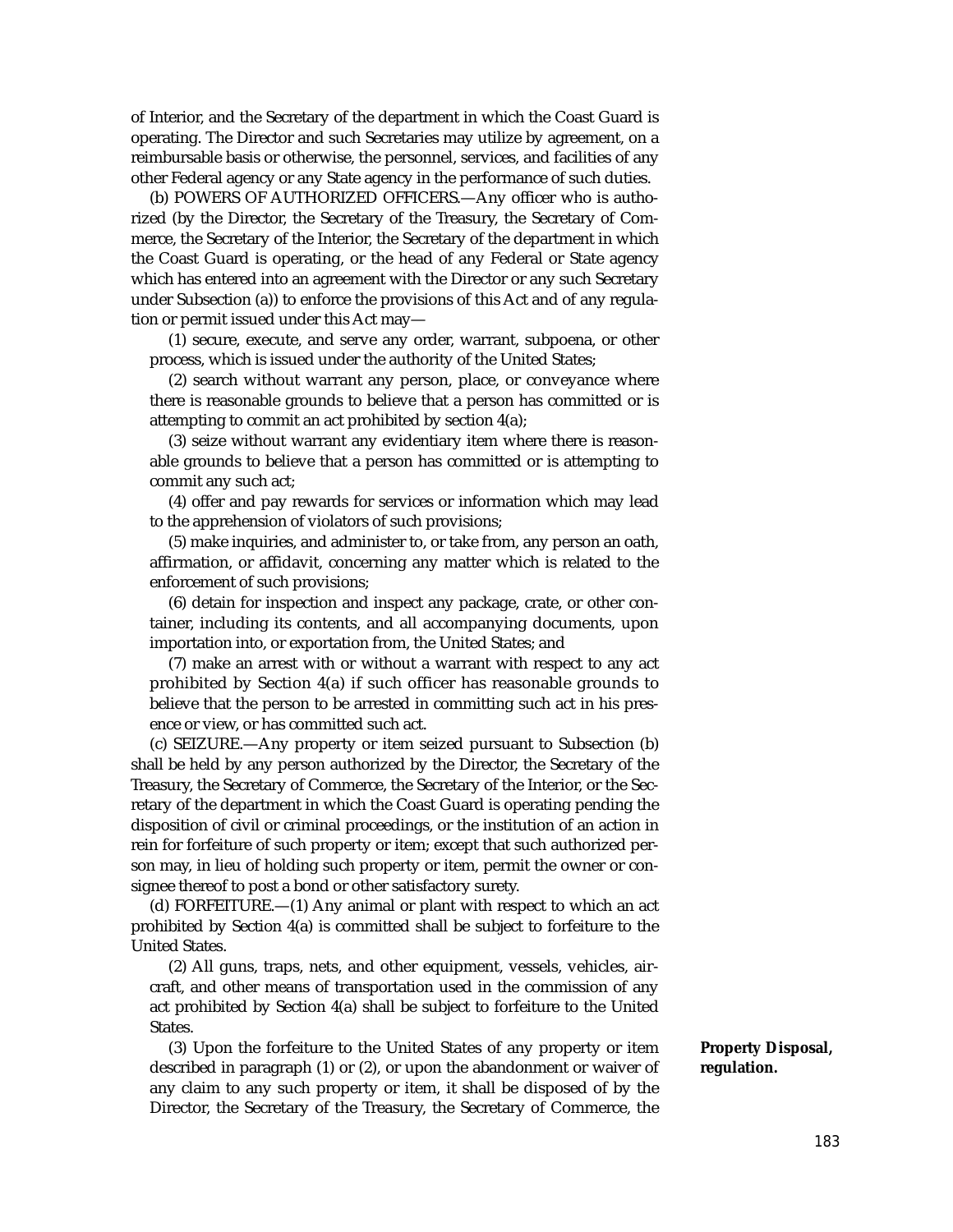of Interior, and the Secretary of the department in which the Coast Guard is operating. The Director and such Secretaries may utilize by agreement, on a reimbursable basis or otherwise, the personnel, services, and facilities of any other Federal agency or any State agency in the performance of such duties.

(b) POWERS OF AUTHORIZED OFFICERS.—Any officer who is authorized (by the Director, the Secretary of the Treasury, the Secretary of Commerce, the Secretary of the Interior, the Secretary of the department in which the Coast Guard is operating, or the head of any Federal or State agency which has entered into an agreement with the Director or any such Secretary under Subsection (a)) to enforce the provisions of this Act and of any regulation or permit issued under this Act may—

(1) secure, execute, and serve any order, warrant, subpoena, or other process, which is issued under the authority of the United States;

(2) search without warrant any person, place, or conveyance where there is reasonable grounds to believe that a person has committed or is attempting to commit an act prohibited by section 4(a);

(3) seize without warrant any evidentiary item where there is reasonable grounds to believe that a person has committed or is attempting to commit any such act;

(4) offer and pay rewards for services or information which may lead to the apprehension of violators of such provisions;

(5) make inquiries, and administer to, or take from, any person an oath, affirmation, or affidavit, concerning any matter which is related to the enforcement of such provisions;

(6) detain for inspection and inspect any package, crate, or other container, including its contents, and all accompanying documents, upon importation into, or exportation from, the United States; and

(7) make an arrest with or without a warrant with respect to any act prohibited by Section 4(a) if such officer has reasonable grounds to believe that the person to be arrested in committing such act in his presence or view, or has committed such act.

(c) SEIZURE.—Any property or item seized pursuant to Subsection (b) shall be held by any person authorized by the Director, the Secretary of the Treasury, the Secretary of Commerce, the Secretary of the Interior, or the Secretary of the department in which the Coast Guard is operating pending the disposition of civil or criminal proceedings, or the institution of an action in rein for forfeiture of such property or item; except that such authorized person may, in lieu of holding such property or item, permit the owner or consignee thereof to post a bond or other satisfactory surety.

(d) FORFEITURE.—(1) Any animal or plant with respect to which an act prohibited by Section 4(a) is committed shall be subject to forfeiture to the United States.

(2) All guns, traps, nets, and other equipment, vessels, vehicles, aircraft, and other means of transportation used in the commission of any act prohibited by Section 4(a) shall be subject to forfeiture to the United States.

(3) Upon the forfeiture to the United States of any property or item described in paragraph (1) or (2), or upon the abandonment or waiver of any claim to any such property or item, it shall be disposed of by the Director, the Secretary of the Treasury, the Secretary of Commerce, the

**Property Disposal, regulation.**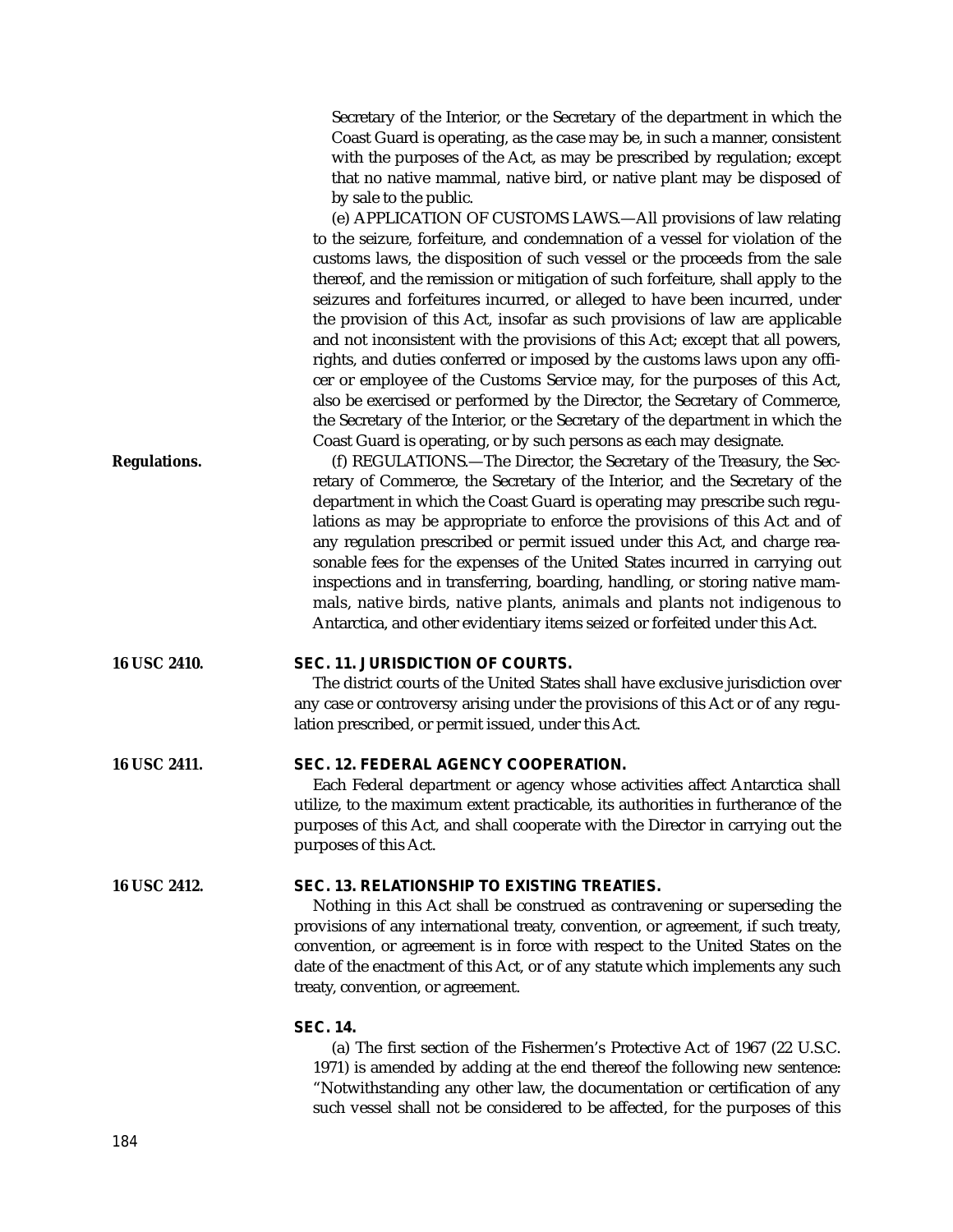Secretary of the Interior, or the Secretary of the department in which the Coast Guard is operating, as the case may be, in such a manner, consistent with the purposes of the Act, as may be prescribed by regulation; except that no native mammal, native bird, or native plant may be disposed of by sale to the public.

(e) APPLICATION OF CUSTOMS LAWS.—All provisions of law relating to the seizure, forfeiture, and condemnation of a vessel for violation of the customs laws, the disposition of such vessel or the proceeds from the sale thereof, and the remission or mitigation of such forfeiture, shall apply to the seizures and forfeitures incurred, or alleged to have been incurred, under the provision of this Act, insofar as such provisions of law are applicable and not inconsistent with the provisions of this Act; except that all powers, rights, and duties conferred or imposed by the customs laws upon any officer or employee of the Customs Service may, for the purposes of this Act, also be exercised or performed by the Director, the Secretary of Commerce, the Secretary of the Interior, or the Secretary of the department in which the Coast Guard is operating, or by such persons as each may designate.

(f) REGULATIONS.—The Director, the Secretary of the Treasury, the Secretary of Commerce, the Secretary of the Interior, and the Secretary of the department in which the Coast Guard is operating may prescribe such regulations as may be appropriate to enforce the provisions of this Act and of any regulation prescribed or permit issued under this Act, and charge reasonable fees for the expenses of the United States incurred in carrying out inspections and in transferring, boarding, handling, or storing native mammals, native birds, native plants, animals and plants not indigenous to Antarctica, and other evidentiary items seized or forfeited under this Act. **Regulations.**

#### **SEC. 11. JURISDICTION OF COURTS. 16 USC 2410.**

The district courts of the United States shall have exclusive jurisdiction over any case or controversy arising under the provisions of this Act or of any regulation prescribed, or permit issued, under this Act.

#### **SEC. 12. FEDERAL AGENCY COOPERATION. 16 USC 2411.**

Each Federal department or agency whose activities affect Antarctica shall utilize, to the maximum extent practicable, its authorities in furtherance of the purposes of this Act, and shall cooperate with the Director in carrying out the purposes of this Act.

#### **SEC. 13. RELATIONSHIP TO EXISTING TREATIES. 16 USC 2412.**

Nothing in this Act shall be construed as contravening or superseding the provisions of any international treaty, convention, or agreement, if such treaty, convention, or agreement is in force with respect to the United States on the date of the enactment of this Act, or of any statute which implements any such treaty, convention, or agreement.

# **SEC. 14.**

(a) The first section of the Fishermen's Protective Act of 1967 (22 U.S.C. 1971) is amended by adding at the end thereof the following new sentence: "Notwithstanding any other law, the documentation or certification of any such vessel shall not be considered to be affected, for the purposes of this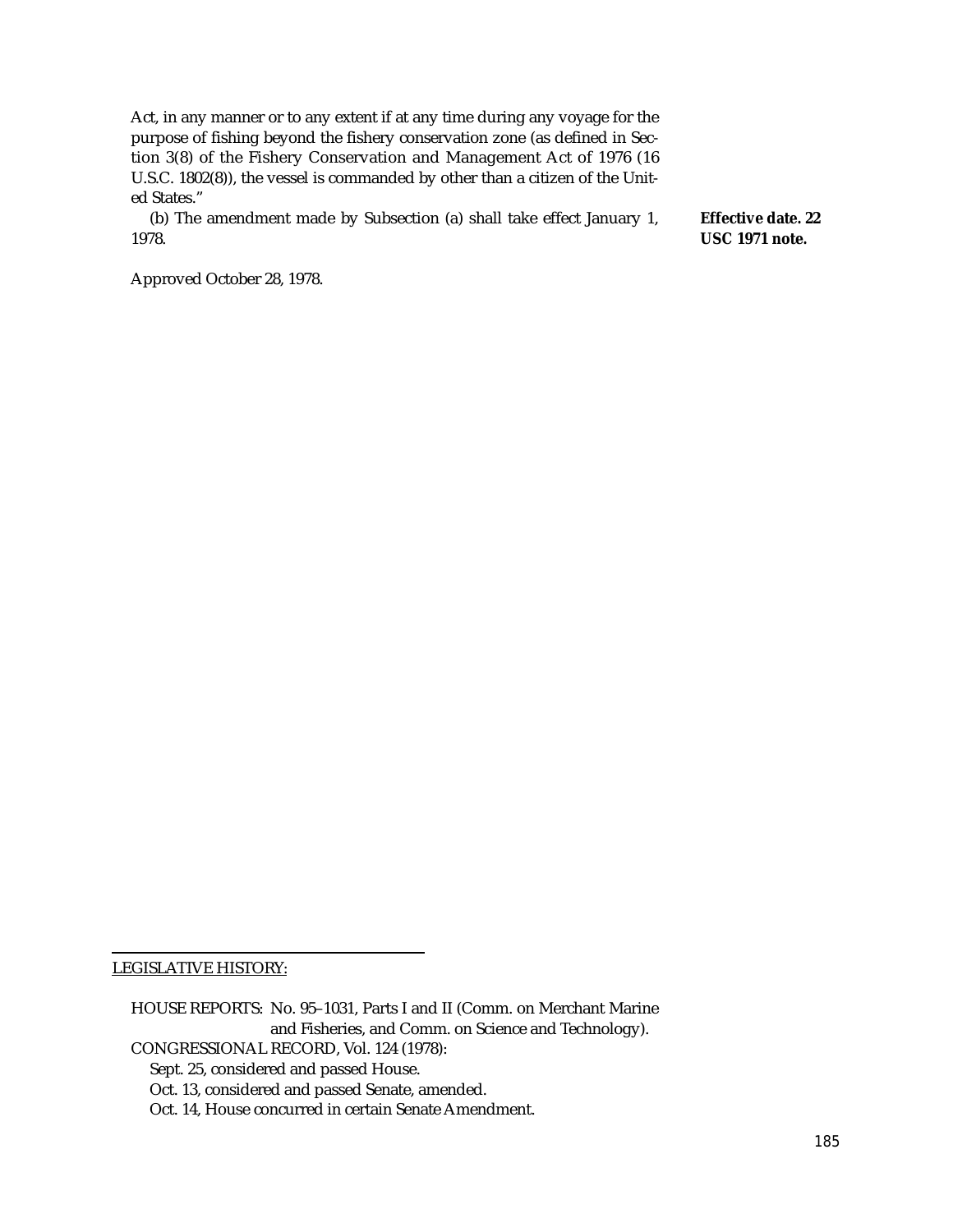Act, in any manner or to any extent if at any time during any voyage for the purpose of fishing beyond the fishery conservation zone (as defined in Section 3(8) of the Fishery Conservation and Management Act of 1976 (16 U.S.C. 1802(8)), the vessel is commanded by other than a citizen of the United States."

(b) The amendment made by Subsection (a) shall take effect January 1, 1978. **Effective date. 22 USC 1971 note.**

Approved October 28, 1978.

LEGISLATIVE HISTORY:

HOUSE REPORTS: No. 95–1031, Parts I and II (Comm. on Merchant Marine and Fisheries, and Comm. on Science and Technology). CONGRESSIONAL RECORD, Vol. 124 (1978): Sept. 25, considered and passed House. Oct. 13, considered and passed Senate, amended. Oct. 14, House concurred in certain Senate Amendment.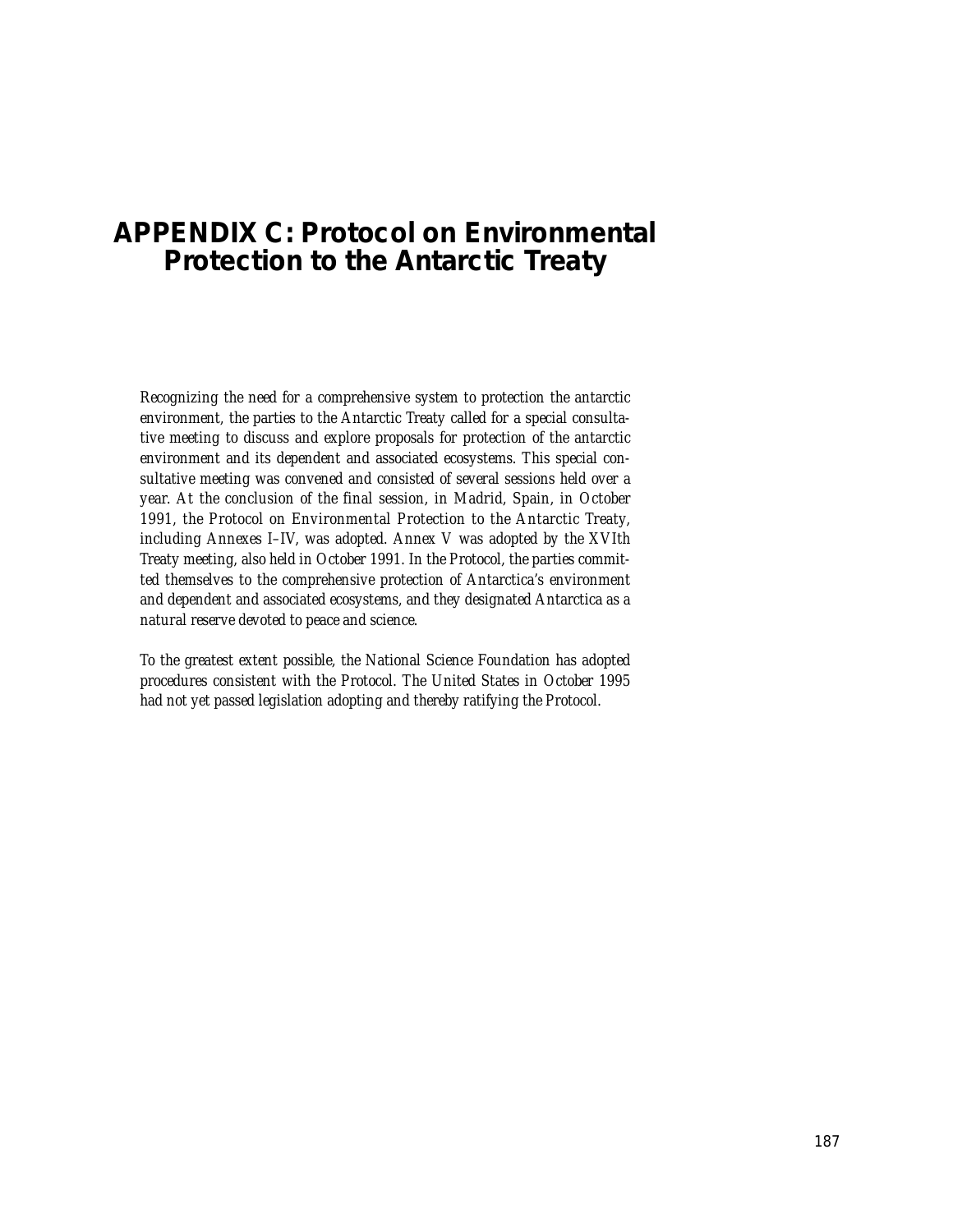# **APPENDIX C: Protocol on Environmental Protection to the Antarctic Treaty**

*Recognizing the need for a comprehensive system to protection the antarctic environment, the parties to the Antarctic Treaty called for a special consultative meeting to discuss and explore proposals for protection of the antarctic environment and its dependent and associated ecosystems. This special consultative meeting was convened and consisted of several sessions held over a year. At the conclusion of the final session, in Madrid, Spain, in October 1991, the Protocol on Environmental Protection to the Antarctic Treaty, including Annexes I–IV, was adopted. Annex V was adopted by the XVIth Treaty meeting, also held in October 1991. In the Protocol, the parties committed themselves to the comprehensive protection of Antarctica's environment and dependent and associated ecosystems, and they designated Antarctica as a natural reserve devoted to peace and science.*

*To the greatest extent possible, the National Science Foundation has adopted procedures consistent with the Protocol. The United States in October 1995 had not yet passed legislation adopting and thereby ratifying the Protocol.*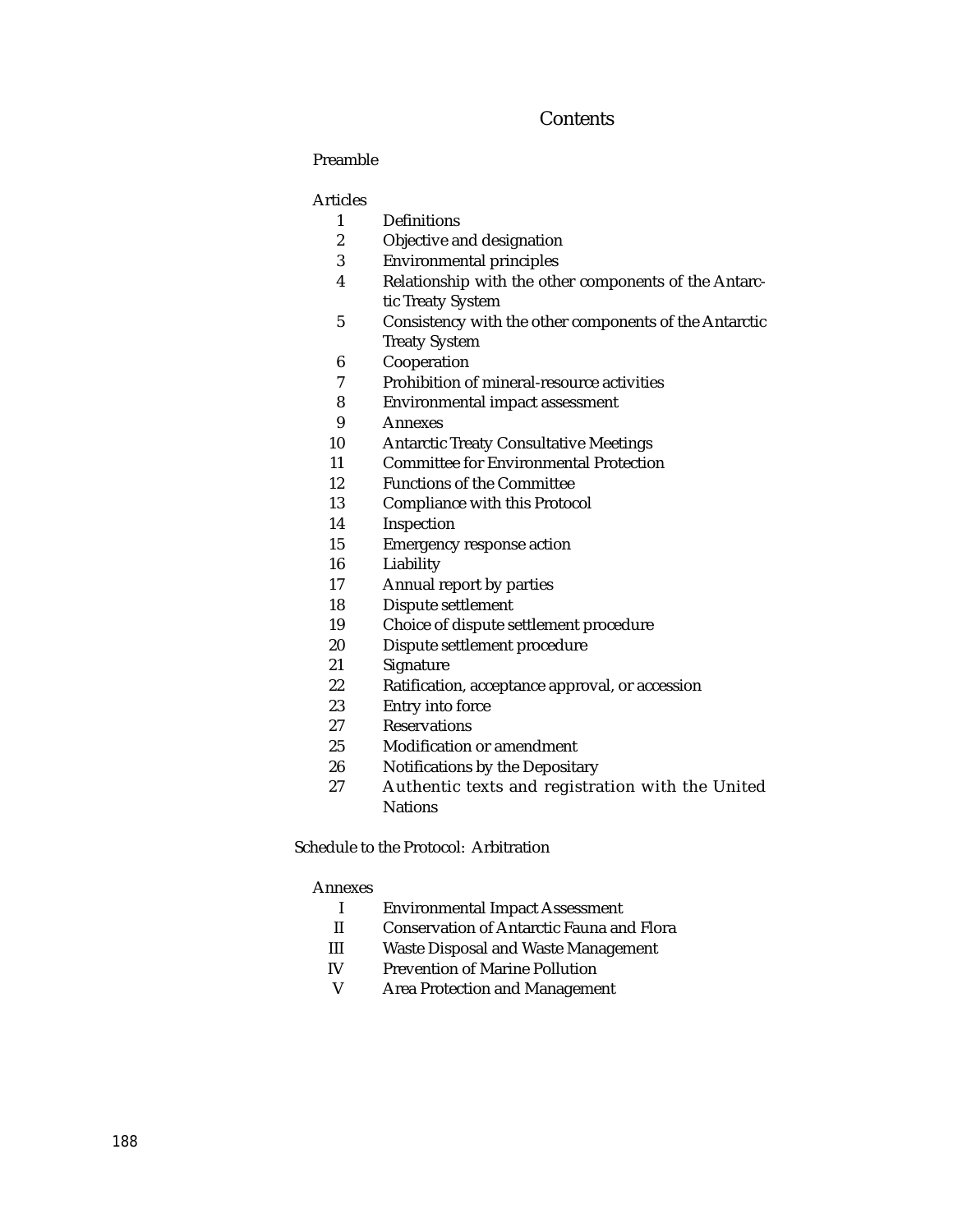# **Contents**

#### Preamble

# Articles

- 1 Definitions
- 2 Objective and designation
- 3 Environmental principles
- 4 Relationship with the other components of the Antarctic Treaty System
- 5 Consistency with the other components of the Antarctic Treaty System
- 6 Cooperation
- 7 Prohibition of mineral-resource activities
- 8 Environmental impact assessment
- 9 Annexes
- 10 Antarctic Treaty Consultative Meetings
- 11 Committee for Environmental Protection
- 12 Functions of the Committee
- 13 Compliance with this Protocol
- 14 Inspection
- 15 Emergency response action
- 16 Liability
- 17 Annual report by parties
- 18 Dispute settlement
- 19 Choice of dispute settlement procedure
- 20 Dispute settlement procedure
- 21 Signature
- 22 Ratification, acceptance approval, or accession
- 23 Entry into force
- 27 Reservations
- 25 Modification or amendment
- 26 Notifications by the Depositary
- 27 Authentic texts and registration with the United **Nations**

Schedule to the Protocol: Arbitration

#### Annexes

- I Environmental Impact Assessment
- II Conservation of Antarctic Fauna and Flora
- III Waste Disposal and Waste Management
- IV Prevention of Marine Pollution
- V Area Protection and Management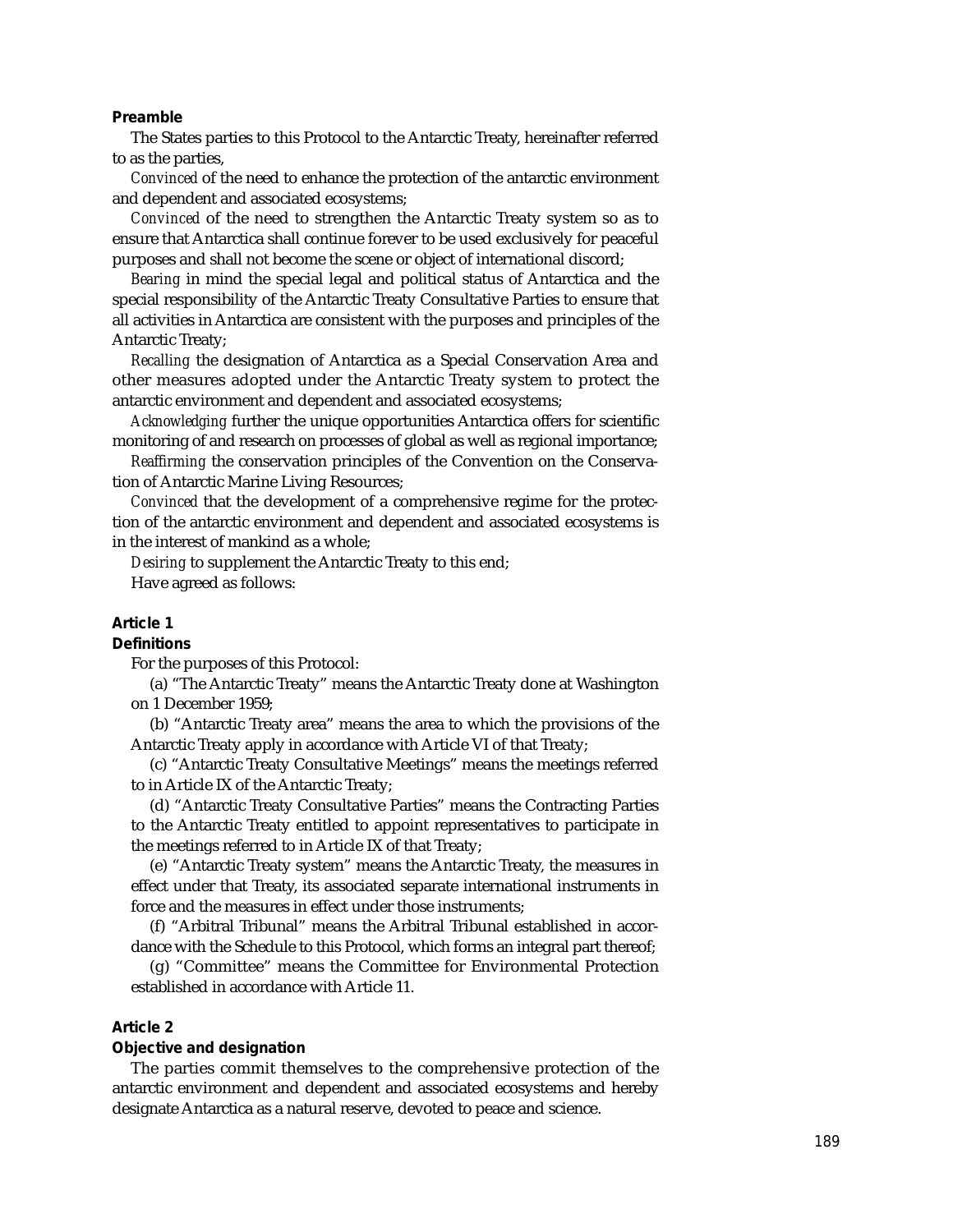#### **Preamble**

The States parties to this Protocol to the Antarctic Treaty, hereinafter referred to as the parties,

*Convinced* of the need to enhance the protection of the antarctic environment and dependent and associated ecosystems;

*Convinced* of the need to strengthen the Antarctic Treaty system so as to ensure that Antarctica shall continue forever to be used exclusively for peaceful purposes and shall not become the scene or object of international discord;

*Bearing* in mind the special legal and political status of Antarctica and the special responsibility of the Antarctic Treaty Consultative Parties to ensure that all activities in Antarctica are consistent with the purposes and principles of the Antarctic Treaty;

*Recalling* the designation of Antarctica as a Special Conservation Area and other measures adopted under the Antarctic Treaty system to protect the antarctic environment and dependent and associated ecosystems;

*Acknowledging* further the unique opportunities Antarctica offers for scientific monitoring of and research on processes of global as well as regional importance;

*Reaffirming* the conservation principles of the Convention on the Conservation of Antarctic Marine Living Resources;

*Convinced* that the development of a comprehensive regime for the protection of the antarctic environment and dependent and associated ecosystems is in the interest of mankind as a whole;

*Desiring* to supplement the Antarctic Treaty to this end; Have agreed as follows:

### **Article 1**

## **Definitions**

For the purposes of this Protocol:

(a) "The Antarctic Treaty" means the Antarctic Treaty done at Washington on 1 December 1959;

(b) "Antarctic Treaty area" means the area to which the provisions of the Antarctic Treaty apply in accordance with Article VI of that Treaty;

(c) "Antarctic Treaty Consultative Meetings" means the meetings referred to in Article IX of the Antarctic Treaty;

(d) "Antarctic Treaty Consultative Parties" means the Contracting Parties to the Antarctic Treaty entitled to appoint representatives to participate in the meetings referred to in Article IX of that Treaty;

(e) "Antarctic Treaty system" means the Antarctic Treaty, the measures in effect under that Treaty, its associated separate international instruments in force and the measures in effect under those instruments;

(f) "Arbitral Tribunal" means the Arbitral Tribunal established in accordance with the Schedule to this Protocol, which forms an integral part thereof;

(g) "Committee" means the Committee for Environmental Protection established in accordance with Article 11.

## **Article 2**

## **Objective and designation**

The parties commit themselves to the comprehensive protection of the antarctic environment and dependent and associated ecosystems and hereby designate Antarctica as a natural reserve, devoted to peace and science.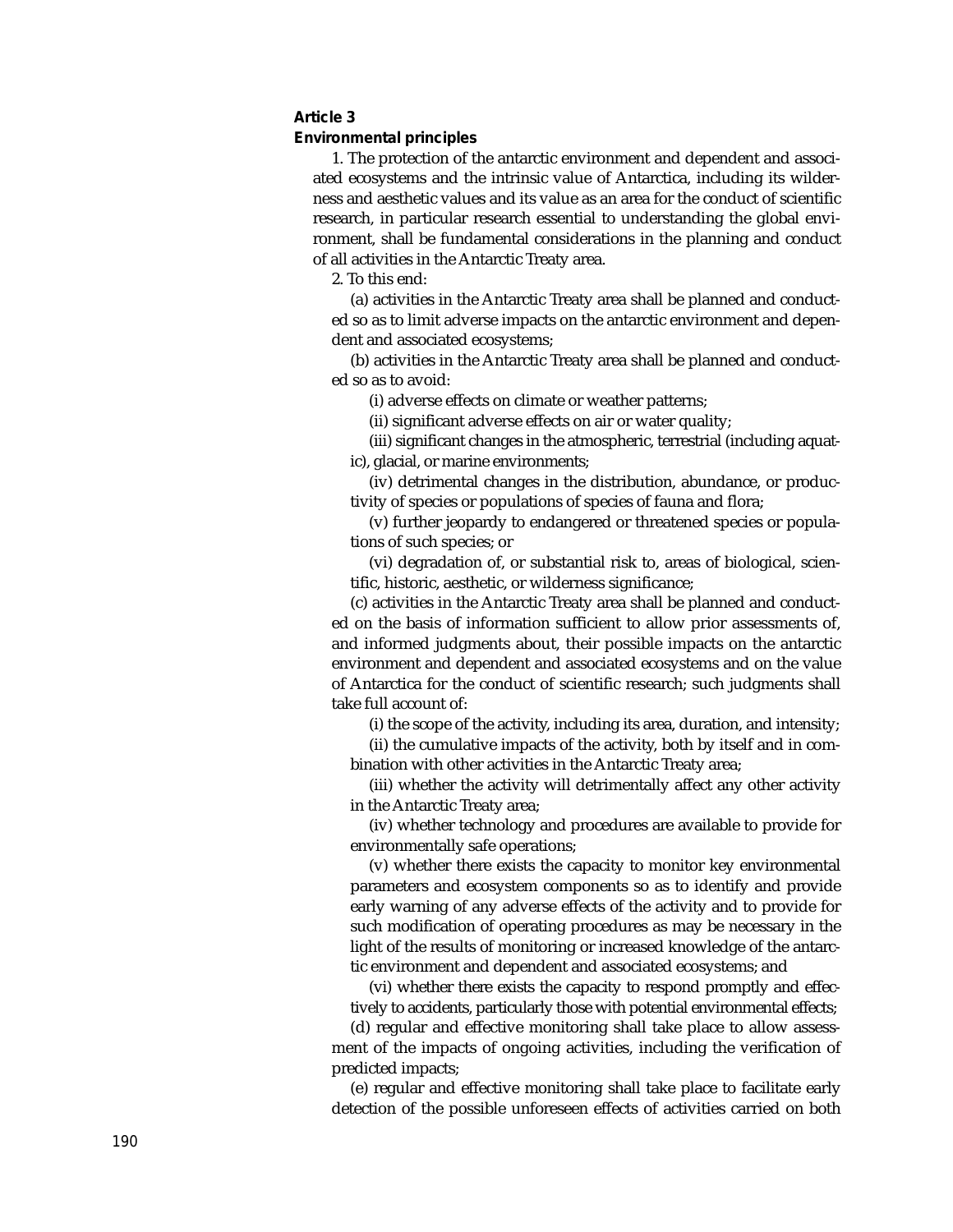**Environmental principles**

1. The protection of the antarctic environment and dependent and associated ecosystems and the intrinsic value of Antarctica, including its wilderness and aesthetic values and its value as an area for the conduct of scientific research, in particular research essential to understanding the global environment, shall be fundamental considerations in the planning and conduct of all activities in the Antarctic Treaty area.

2. To this end:

(a) activities in the Antarctic Treaty area shall be planned and conducted so as to limit adverse impacts on the antarctic environment and dependent and associated ecosystems;

(b) activities in the Antarctic Treaty area shall be planned and conducted so as to avoid:

(i) adverse effects on climate or weather patterns;

(ii) significant adverse effects on air or water quality;

(iii) significant changes in the atmospheric, terrestrial (including aquatic), glacial, or marine environments;

(iv) detrimental changes in the distribution, abundance, or productivity of species or populations of species of fauna and flora;

(v) further jeopardy to endangered or threatened species or populations of such species; or

(vi) degradation of, or substantial risk to, areas of biological, scientific, historic, aesthetic, or wilderness significance;

(c) activities in the Antarctic Treaty area shall be planned and conducted on the basis of information sufficient to allow prior assessments of, and informed judgments about, their possible impacts on the antarctic environment and dependent and associated ecosystems and on the value of Antarctica for the conduct of scientific research; such judgments shall take full account of:

(i) the scope of the activity, including its area, duration, and intensity;

(ii) the cumulative impacts of the activity, both by itself and in combination with other activities in the Antarctic Treaty area;

(iii) whether the activity will detrimentally affect any other activity in the Antarctic Treaty area;

(iv) whether technology and procedures are available to provide for environmentally safe operations;

(v) whether there exists the capacity to monitor key environmental parameters and ecosystem components so as to identify and provide early warning of any adverse effects of the activity and to provide for such modification of operating procedures as may be necessary in the light of the results of monitoring or increased knowledge of the antarctic environment and dependent and associated ecosystems; and

(vi) whether there exists the capacity to respond promptly and effectively to accidents, particularly those with potential environmental effects;

(d) regular and effective monitoring shall take place to allow assessment of the impacts of ongoing activities, including the verification of predicted impacts;

(e) regular and effective monitoring shall take place to facilitate early detection of the possible unforeseen effects of activities carried on both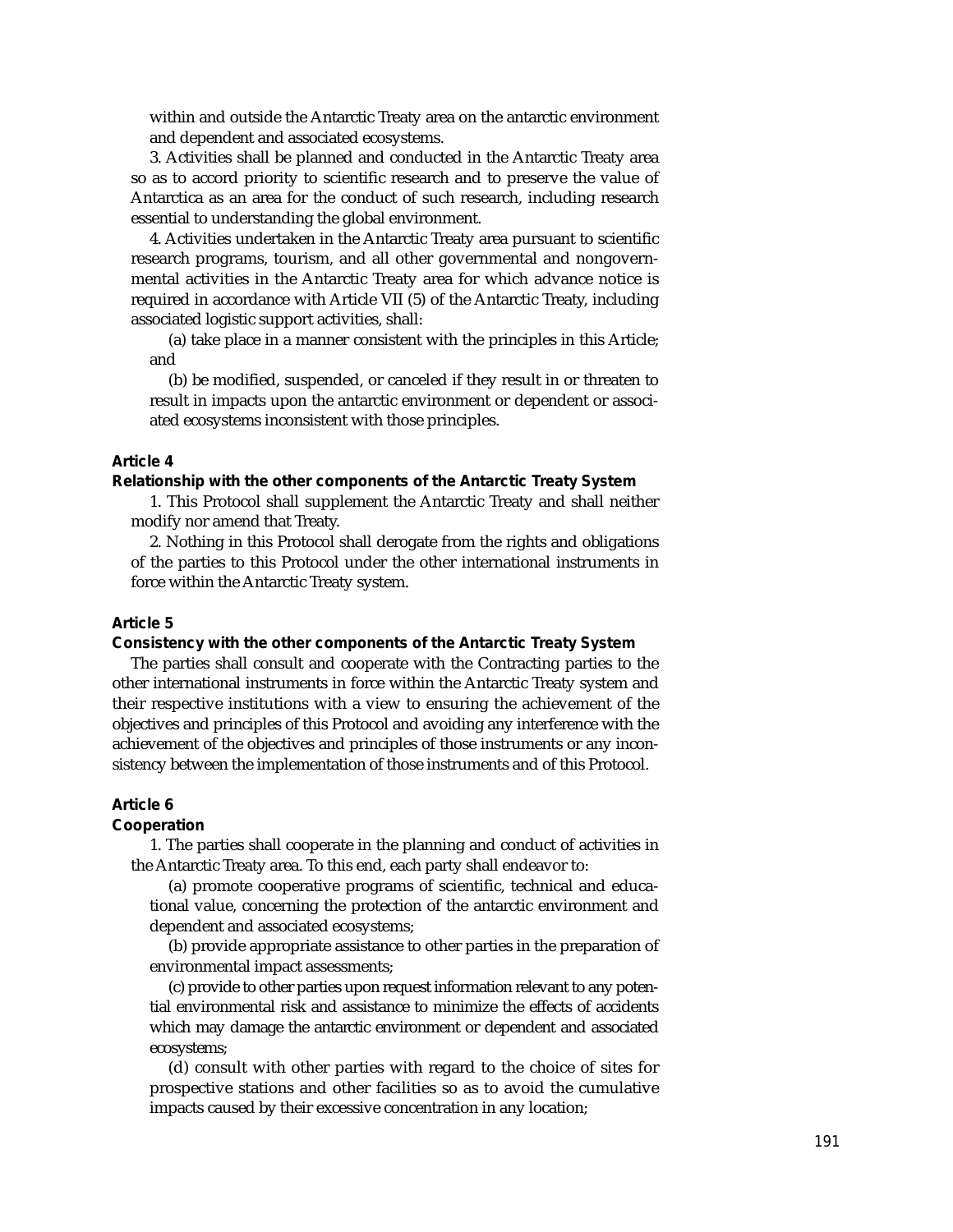within and outside the Antarctic Treaty area on the antarctic environment and dependent and associated ecosystems.

3. Activities shall be planned and conducted in the Antarctic Treaty area so as to accord priority to scientific research and to preserve the value of Antarctica as an area for the conduct of such research, including research essential to understanding the global environment.

4. Activities undertaken in the Antarctic Treaty area pursuant to scientific research programs, tourism, and all other governmental and nongovernmental activities in the Antarctic Treaty area for which advance notice is required in accordance with Article VII (5) of the Antarctic Treaty, including associated logistic support activities, shall:

(a) take place in a manner consistent with the principles in this Article; and

(b) be modified, suspended, or canceled if they result in or threaten to result in impacts upon the antarctic environment or dependent or associated ecosystems inconsistent with those principles.

# **Article 4**

#### **Relationship with the other components of the Antarctic Treaty System**

1. This Protocol shall supplement the Antarctic Treaty and shall neither modify nor amend that Treaty.

2. Nothing in this Protocol shall derogate from the rights and obligations of the parties to this Protocol under the other international instruments in force within the Antarctic Treaty system.

#### **Article 5**

## **Consistency with the other components of the Antarctic Treaty System**

The parties shall consult and cooperate with the Contracting parties to the other international instruments in force within the Antarctic Treaty system and their respective institutions with a view to ensuring the achievement of the objectives and principles of this Protocol and avoiding any interference with the achievement of the objectives and principles of those instruments or any inconsistency between the implementation of those instruments and of this Protocol.

#### **Article 6**

#### **Cooperation**

1. The parties shall cooperate in the planning and conduct of activities in the Antarctic Treaty area. To this end, each party shall endeavor to:

(a) promote cooperative programs of scientific, technical and educational value, concerning the protection of the antarctic environment and dependent and associated ecosystems;

(b) provide appropriate assistance to other parties in the preparation of environmental impact assessments;

(c) provide to other parties upon request information relevant to any potential environmental risk and assistance to minimize the effects of accidents which may damage the antarctic environment or dependent and associated ecosystems;

(d) consult with other parties with regard to the choice of sites for prospective stations and other facilities so as to avoid the cumulative impacts caused by their excessive concentration in any location;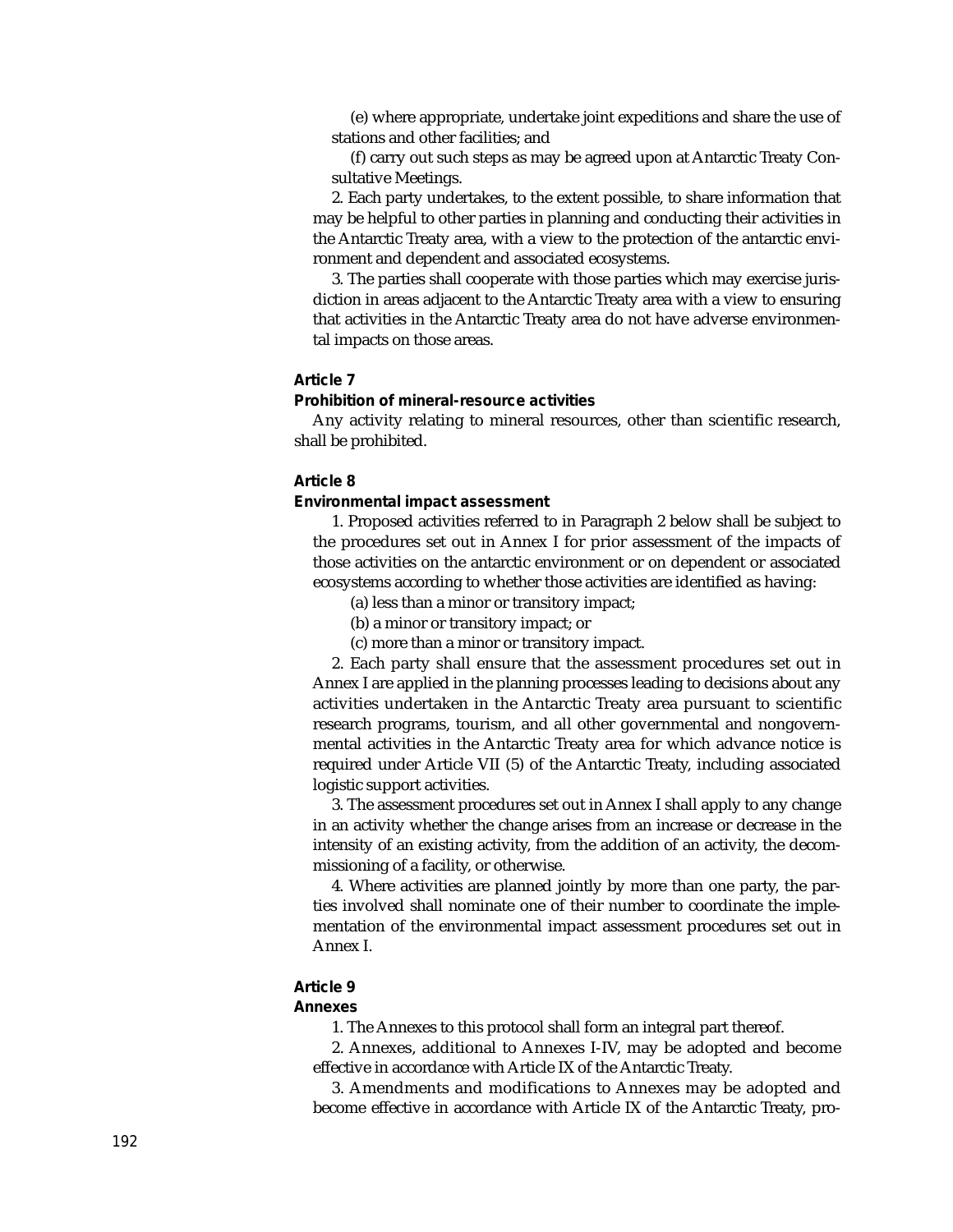(e) where appropriate, undertake joint expeditions and share the use of stations and other facilities; and

(f) carry out such steps as may be agreed upon at Antarctic Treaty Consultative Meetings.

2. Each party undertakes, to the extent possible, to share information that may be helpful to other parties in planning and conducting their activities in the Antarctic Treaty area, with a view to the protection of the antarctic environment and dependent and associated ecosystems.

3. The parties shall cooperate with those parties which may exercise jurisdiction in areas adjacent to the Antarctic Treaty area with a view to ensuring that activities in the Antarctic Treaty area do not have adverse environmental impacts on those areas.

#### **Article 7**

#### **Prohibition of mineral-resource activities**

Any activity relating to mineral resources, other than scientific research, shall be prohibited.

#### **Article 8**

#### **Environmental impact assessment**

1. Proposed activities referred to in Paragraph 2 below shall be subject to the procedures set out in Annex I for prior assessment of the impacts of those activities on the antarctic environment or on dependent or associated ecosystems according to whether those activities are identified as having:

- (a) less than a minor or transitory impact;
- (b) a minor or transitory impact; or
- (c) more than a minor or transitory impact.

2. Each party shall ensure that the assessment procedures set out in Annex I are applied in the planning processes leading to decisions about any activities undertaken in the Antarctic Treaty area pursuant to scientific research programs, tourism, and all other governmental and nongovernmental activities in the Antarctic Treaty area for which advance notice is required under Article VII (5) of the Antarctic Treaty, including associated logistic support activities.

3. The assessment procedures set out in Annex I shall apply to any change in an activity whether the change arises from an increase or decrease in the intensity of an existing activity, from the addition of an activity, the decommissioning of a facility, or otherwise.

4. Where activities are planned jointly by more than one party, the parties involved shall nominate one of their number to coordinate the implementation of the environmental impact assessment procedures set out in Annex I.

#### **Article 9**

#### **Annexes**

1. The Annexes to this protocol shall form an integral part thereof.

2. Annexes, additional to Annexes I-IV, may be adopted and become effective in accordance with Article IX of the Antarctic Treaty.

3. Amendments and modifications to Annexes may be adopted and become effective in accordance with Article IX of the Antarctic Treaty, pro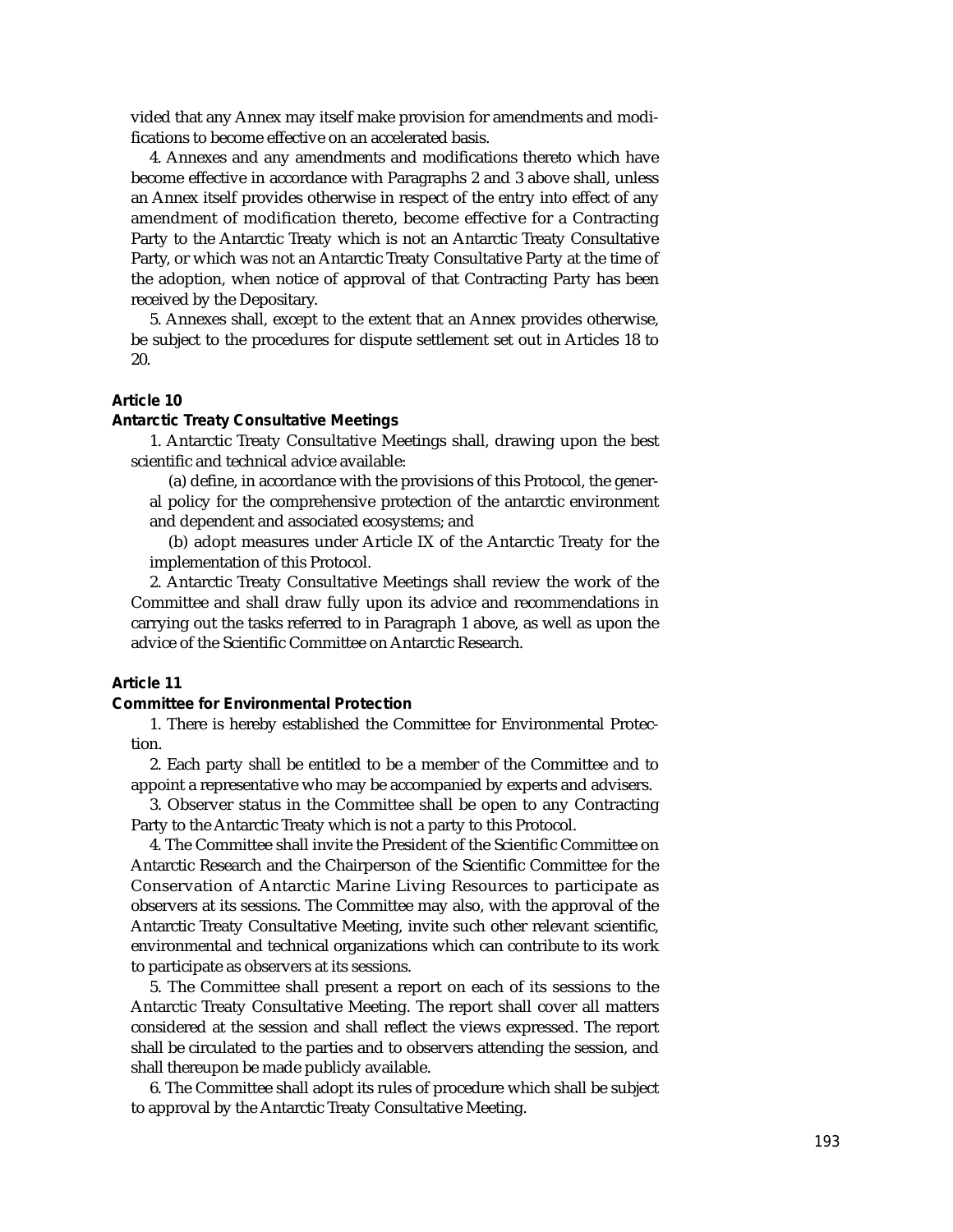vided that any Annex may itself make provision for amendments and modifications to become effective on an accelerated basis.

4. Annexes and any amendments and modifications thereto which have become effective in accordance with Paragraphs 2 and 3 above shall, unless an Annex itself provides otherwise in respect of the entry into effect of any amendment of modification thereto, become effective for a Contracting Party to the Antarctic Treaty which is not an Antarctic Treaty Consultative Party, or which was not an Antarctic Treaty Consultative Party at the time of the adoption, when notice of approval of that Contracting Party has been received by the Depositary.

5. Annexes shall, except to the extent that an Annex provides otherwise, be subject to the procedures for dispute settlement set out in Articles 18 to 20.

#### **Article 10**

#### **Antarctic Treaty Consultative Meetings**

1. Antarctic Treaty Consultative Meetings shall, drawing upon the best scientific and technical advice available:

(a) define, in accordance with the provisions of this Protocol, the general policy for the comprehensive protection of the antarctic environment and dependent and associated ecosystems; and

(b) adopt measures under Article IX of the Antarctic Treaty for the implementation of this Protocol.

2. Antarctic Treaty Consultative Meetings shall review the work of the Committee and shall draw fully upon its advice and recommendations in carrying out the tasks referred to in Paragraph 1 above, as well as upon the advice of the Scientific Committee on Antarctic Research.

# **Article 11**

#### **Committee for Environmental Protection**

1. There is hereby established the Committee for Environmental Protection.

2. Each party shall be entitled to be a member of the Committee and to appoint a representative who may be accompanied by experts and advisers.

3. Observer status in the Committee shall be open to any Contracting Party to the Antarctic Treaty which is not a party to this Protocol.

4. The Committee shall invite the President of the Scientific Committee on Antarctic Research and the Chairperson of the Scientific Committee for the Conservation of Antarctic Marine Living Resources to participate as observers at its sessions. The Committee may also, with the approval of the Antarctic Treaty Consultative Meeting, invite such other relevant scientific, environmental and technical organizations which can contribute to its work to participate as observers at its sessions.

5. The Committee shall present a report on each of its sessions to the Antarctic Treaty Consultative Meeting. The report shall cover all matters considered at the session and shall reflect the views expressed. The report shall be circulated to the parties and to observers attending the session, and shall thereupon be made publicly available.

6. The Committee shall adopt its rules of procedure which shall be subject to approval by the Antarctic Treaty Consultative Meeting.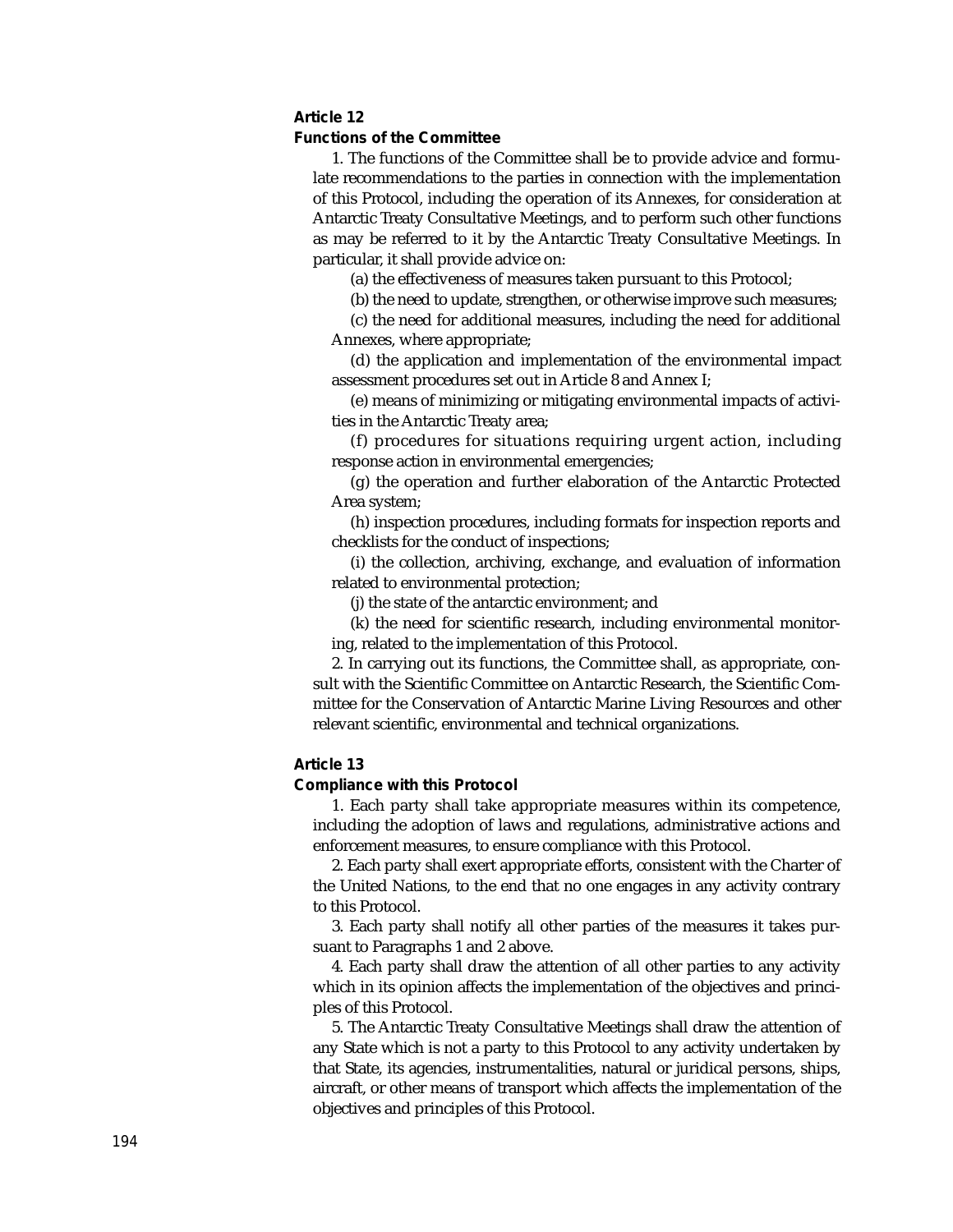#### **Functions of the Committee**

1. The functions of the Committee shall be to provide advice and formulate recommendations to the parties in connection with the implementation of this Protocol, including the operation of its Annexes, for consideration at Antarctic Treaty Consultative Meetings, and to perform such other functions as may be referred to it by the Antarctic Treaty Consultative Meetings. In particular, it shall provide advice on:

(a) the effectiveness of measures taken pursuant to this Protocol;

(b) the need to update, strengthen, or otherwise improve such measures;

(c) the need for additional measures, including the need for additional Annexes, where appropriate;

(d) the application and implementation of the environmental impact assessment procedures set out in Article 8 and Annex I;

(e) means of minimizing or mitigating environmental impacts of activities in the Antarctic Treaty area;

(f) procedures for situations requiring urgent action, including response action in environmental emergencies;

(g) the operation and further elaboration of the Antarctic Protected Area system;

(h) inspection procedures, including formats for inspection reports and checklists for the conduct of inspections;

(i) the collection, archiving, exchange, and evaluation of information related to environmental protection;

(j) the state of the antarctic environment; and

(k) the need for scientific research, including environmental monitoring, related to the implementation of this Protocol.

2. In carrying out its functions, the Committee shall, as appropriate, consult with the Scientific Committee on Antarctic Research, the Scientific Committee for the Conservation of Antarctic Marine Living Resources and other relevant scientific, environmental and technical organizations.

#### **Article 13**

#### **Compliance with this Protocol**

1. Each party shall take appropriate measures within its competence, including the adoption of laws and regulations, administrative actions and enforcement measures, to ensure compliance with this Protocol.

2. Each party shall exert appropriate efforts, consistent with the Charter of the United Nations, to the end that no one engages in any activity contrary to this Protocol.

3. Each party shall notify all other parties of the measures it takes pursuant to Paragraphs 1 and 2 above.

4. Each party shall draw the attention of all other parties to any activity which in its opinion affects the implementation of the objectives and principles of this Protocol.

5. The Antarctic Treaty Consultative Meetings shall draw the attention of any State which is not a party to this Protocol to any activity undertaken by that State, its agencies, instrumentalities, natural or juridical persons, ships, aircraft, or other means of transport which affects the implementation of the objectives and principles of this Protocol.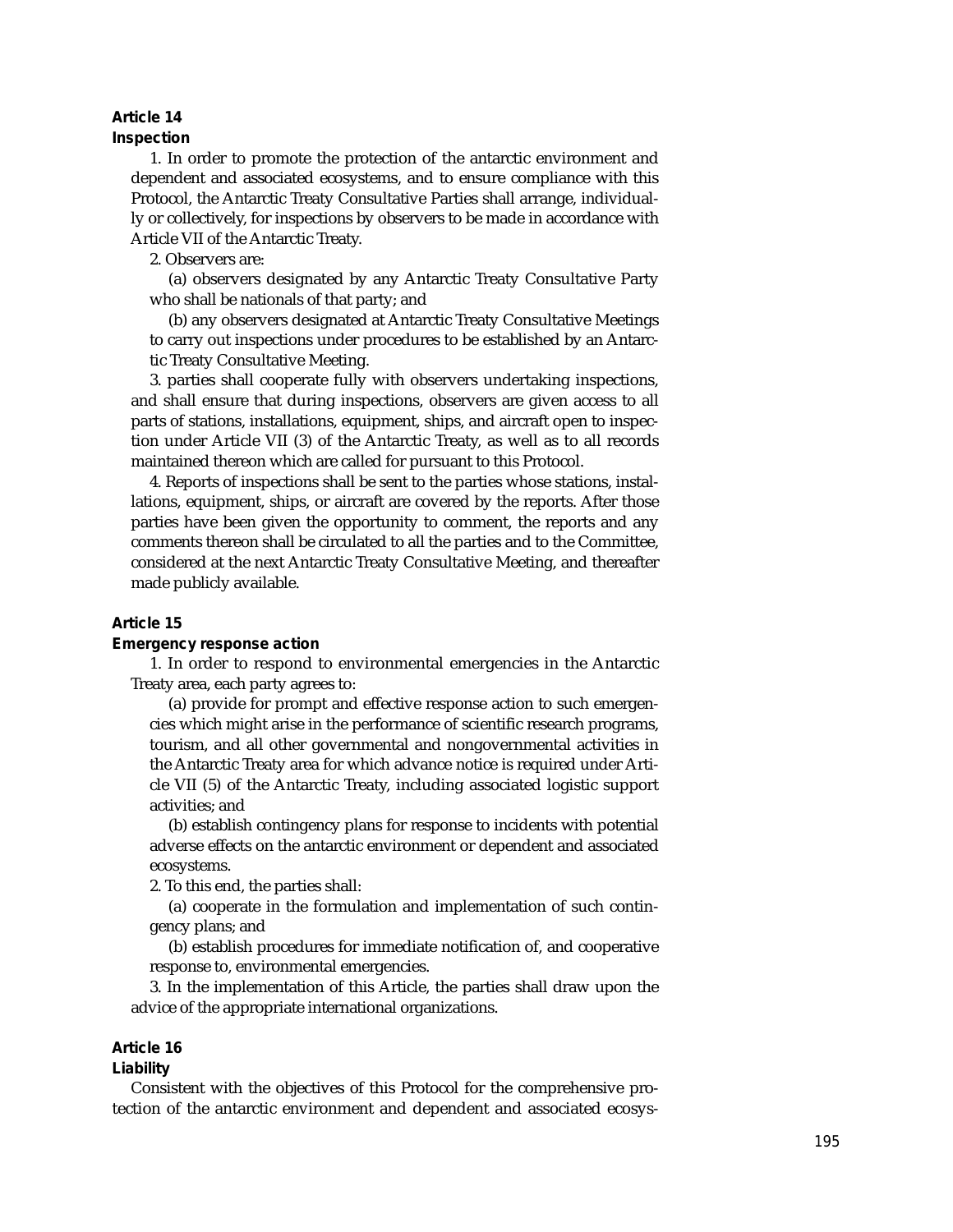#### **Article 14 Inspection**

1. In order to promote the protection of the antarctic environment and dependent and associated ecosystems, and to ensure compliance with this Protocol, the Antarctic Treaty Consultative Parties shall arrange, individually or collectively, for inspections by observers to be made in accordance with Article VII of the Antarctic Treaty.

2. Observers are:

(a) observers designated by any Antarctic Treaty Consultative Party who shall be nationals of that party; and

(b) any observers designated at Antarctic Treaty Consultative Meetings to carry out inspections under procedures to be established by an Antarctic Treaty Consultative Meeting.

3. parties shall cooperate fully with observers undertaking inspections, and shall ensure that during inspections, observers are given access to all parts of stations, installations, equipment, ships, and aircraft open to inspection under Article VII (3) of the Antarctic Treaty, as well as to all records maintained thereon which are called for pursuant to this Protocol.

4. Reports of inspections shall be sent to the parties whose stations, installations, equipment, ships, or aircraft are covered by the reports. After those parties have been given the opportunity to comment, the reports and any comments thereon shall be circulated to all the parties and to the Committee, considered at the next Antarctic Treaty Consultative Meeting, and thereafter made publicly available.

# **Article 15**

#### **Emergency response action**

1. In order to respond to environmental emergencies in the Antarctic Treaty area, each party agrees to:

(a) provide for prompt and effective response action to such emergencies which might arise in the performance of scientific research programs, tourism, and all other governmental and nongovernmental activities in the Antarctic Treaty area for which advance notice is required under Article VII (5) of the Antarctic Treaty, including associated logistic support activities; and

(b) establish contingency plans for response to incidents with potential adverse effects on the antarctic environment or dependent and associated ecosystems.

2. To this end, the parties shall:

(a) cooperate in the formulation and implementation of such contingency plans; and

(b) establish procedures for immediate notification of, and cooperative response to, environmental emergencies.

3. In the implementation of this Article, the parties shall draw upon the advice of the appropriate international organizations.

## **Article 16**

# **Liability**

Consistent with the objectives of this Protocol for the comprehensive protection of the antarctic environment and dependent and associated ecosys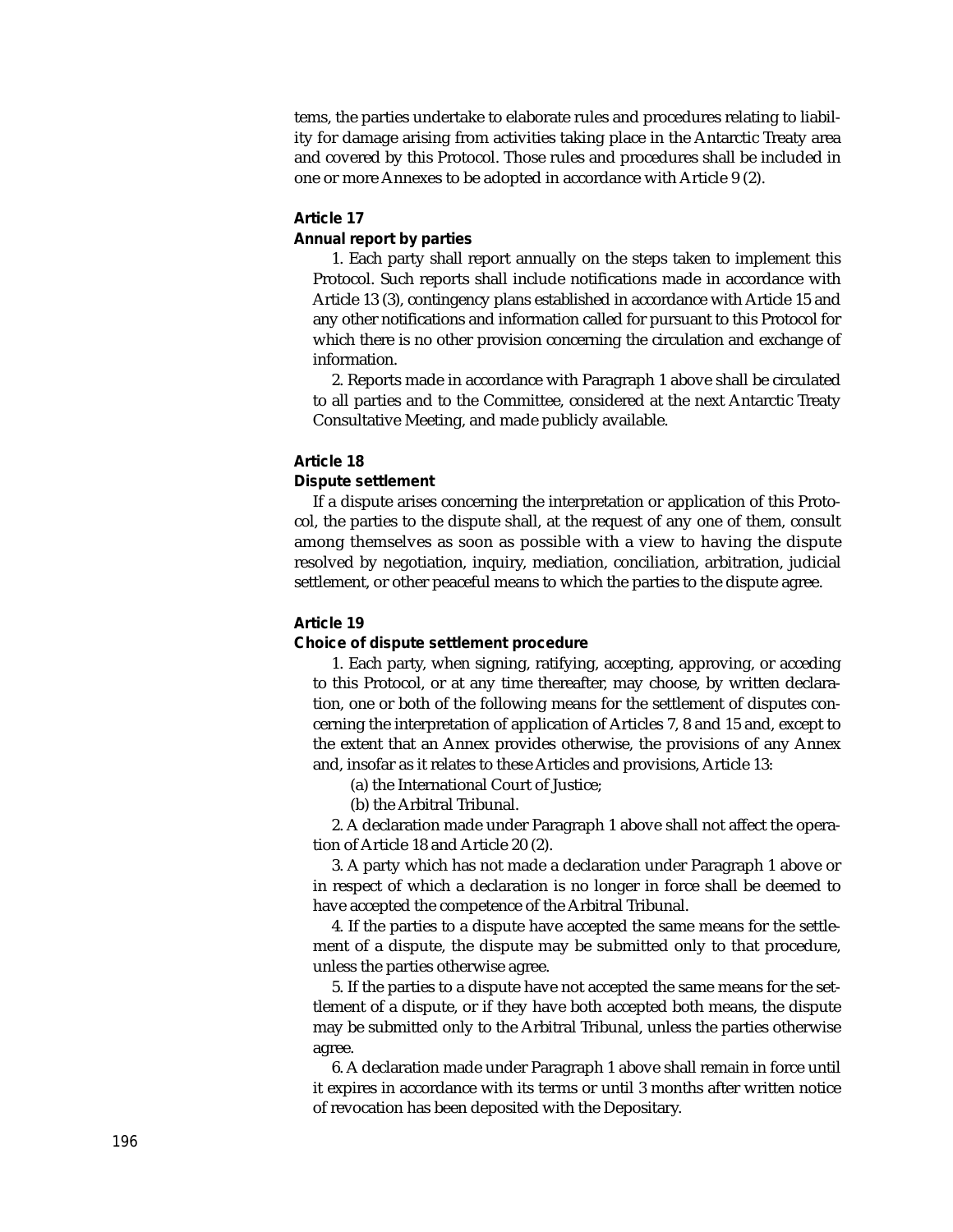tems, the parties undertake to elaborate rules and procedures relating to liability for damage arising from activities taking place in the Antarctic Treaty area and covered by this Protocol. Those rules and procedures shall be included in one or more Annexes to be adopted in accordance with Article 9 (2).

# **Article 17 Annual report by parties**

1. Each party shall report annually on the steps taken to implement this Protocol. Such reports shall include notifications made in accordance with Article 13 (3), contingency plans established in accordance with Article 15 and any other notifications and information called for pursuant to this Protocol for which there is no other provision concerning the circulation and exchange of information.

2. Reports made in accordance with Paragraph 1 above shall be circulated to all parties and to the Committee, considered at the next Antarctic Treaty Consultative Meeting, and made publicly available.

# **Article 18**

# **Dispute settlement**

If a dispute arises concerning the interpretation or application of this Protocol, the parties to the dispute shall, at the request of any one of them, consult among themselves as soon as possible with a view to having the dispute resolved by negotiation, inquiry, mediation, conciliation, arbitration, judicial settlement, or other peaceful means to which the parties to the dispute agree.

# **Article 19**

## **Choice of dispute settlement procedure**

1. Each party, when signing, ratifying, accepting, approving, or acceding to this Protocol, or at any time thereafter, may choose, by written declaration, one or both of the following means for the settlement of disputes concerning the interpretation of application of Articles 7, 8 and 15 and, except to the extent that an Annex provides otherwise, the provisions of any Annex and, insofar as it relates to these Articles and provisions, Article 13:

(a) the International Court of Justice;

(b) the Arbitral Tribunal.

2. A declaration made under Paragraph 1 above shall not affect the operation of Article 18 and Article 20 (2).

3. A party which has not made a declaration under Paragraph 1 above or in respect of which a declaration is no longer in force shall be deemed to have accepted the competence of the Arbitral Tribunal.

4. If the parties to a dispute have accepted the same means for the settlement of a dispute, the dispute may be submitted only to that procedure, unless the parties otherwise agree.

5. If the parties to a dispute have not accepted the same means for the settlement of a dispute, or if they have both accepted both means, the dispute may be submitted only to the Arbitral Tribunal, unless the parties otherwise agree.

6. A declaration made under Paragraph 1 above shall remain in force until it expires in accordance with its terms or until 3 months after written notice of revocation has been deposited with the Depositary.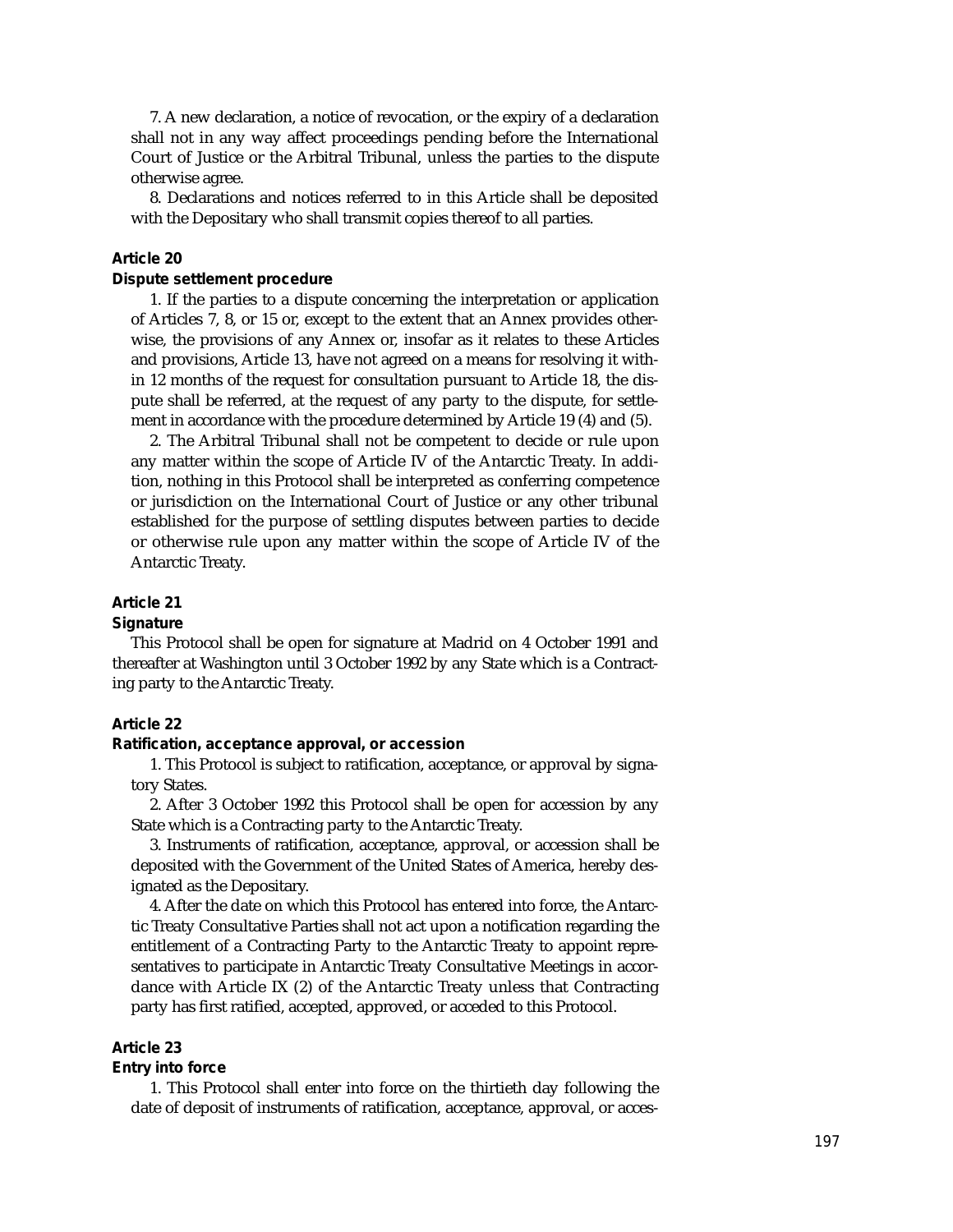7. A new declaration, a notice of revocation, or the expiry of a declaration shall not in any way affect proceedings pending before the International Court of Justice or the Arbitral Tribunal, unless the parties to the dispute otherwise agree.

8. Declarations and notices referred to in this Article shall be deposited with the Depositary who shall transmit copies thereof to all parties.

# **Article 20**

#### **Dispute settlement procedure**

1. If the parties to a dispute concerning the interpretation or application of Articles 7, 8, or 15 or, except to the extent that an Annex provides otherwise, the provisions of any Annex or, insofar as it relates to these Articles and provisions, Article 13, have not agreed on a means for resolving it within 12 months of the request for consultation pursuant to Article 18, the dispute shall be referred, at the request of any party to the dispute, for settlement in accordance with the procedure determined by Article 19 (4) and (5).

2. The Arbitral Tribunal shall not be competent to decide or rule upon any matter within the scope of Article IV of the Antarctic Treaty. In addition, nothing in this Protocol shall be interpreted as conferring competence or jurisdiction on the International Court of Justice or any other tribunal established for the purpose of settling disputes between parties to decide or otherwise rule upon any matter within the scope of Article IV of the Antarctic Treaty.

#### **Article 21**

#### **Signature**

This Protocol shall be open for signature at Madrid on 4 October 1991 and thereafter at Washington until 3 October 1992 by any State which is a Contracting party to the Antarctic Treaty.

## **Article 22**

# **Ratification, acceptance approval, or accession**

1. This Protocol is subject to ratification, acceptance, or approval by signatory States.

2. After 3 October 1992 this Protocol shall be open for accession by any State which is a Contracting party to the Antarctic Treaty.

3. Instruments of ratification, acceptance, approval, or accession shall be deposited with the Government of the United States of America, hereby designated as the Depositary.

4. After the date on which this Protocol has entered into force, the Antarctic Treaty Consultative Parties shall not act upon a notification regarding the entitlement of a Contracting Party to the Antarctic Treaty to appoint representatives to participate in Antarctic Treaty Consultative Meetings in accordance with Article IX (2) of the Antarctic Treaty unless that Contracting party has first ratified, accepted, approved, or acceded to this Protocol.

## **Article 23**

#### **Entry into force**

1. This Protocol shall enter into force on the thirtieth day following the date of deposit of instruments of ratification, acceptance, approval, or acces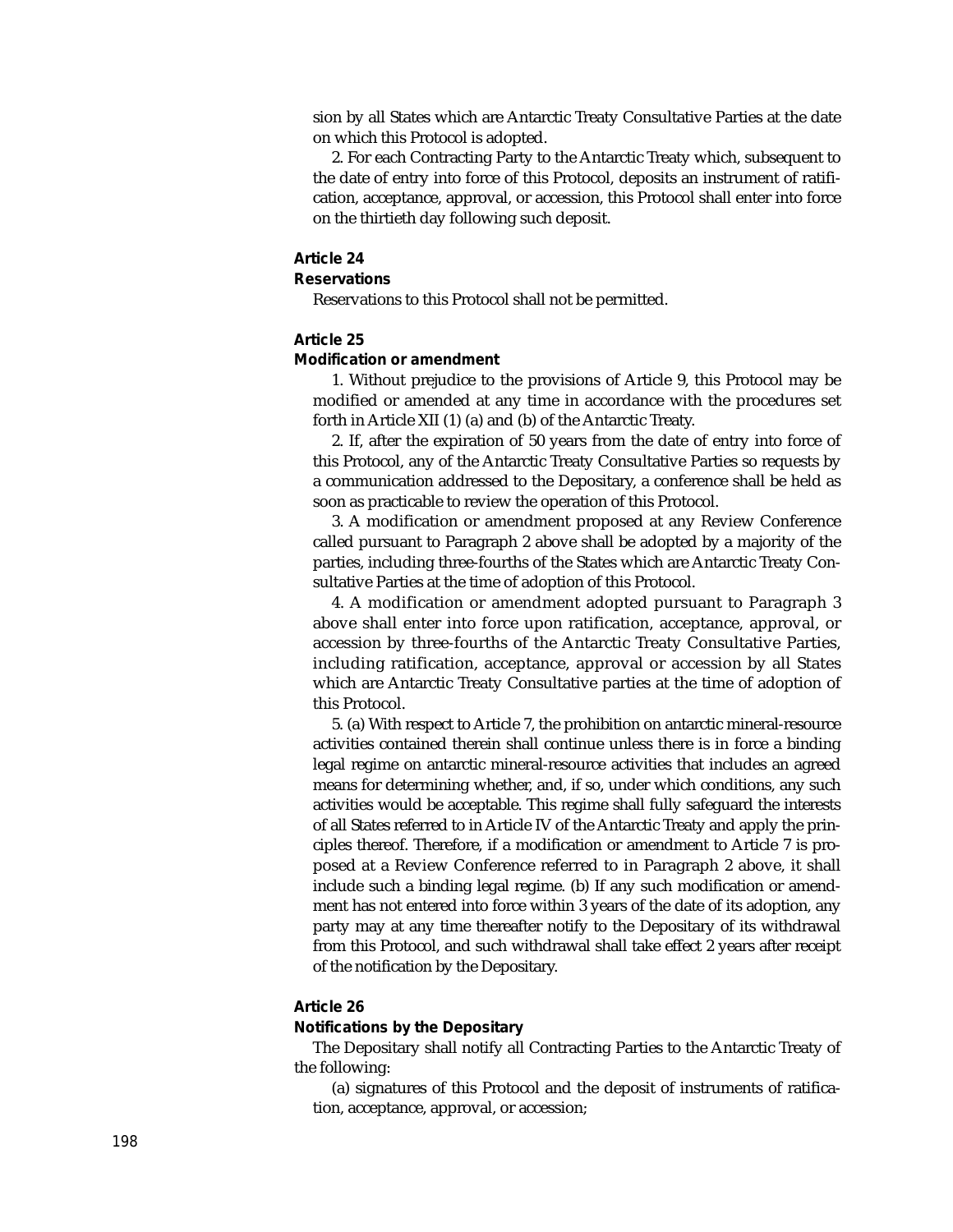sion by all States which are Antarctic Treaty Consultative Parties at the date on which this Protocol is adopted.

2. For each Contracting Party to the Antarctic Treaty which, subsequent to the date of entry into force of this Protocol, deposits an instrument of ratification, acceptance, approval, or accession, this Protocol shall enter into force on the thirtieth day following such deposit.

#### **Article 24**

#### **Reservations**

Reservations to this Protocol shall not be permitted.

#### **Article 25**

#### **Modification or amendment**

1. Without prejudice to the provisions of Article 9, this Protocol may be modified or amended at any time in accordance with the procedures set forth in Article XII (1) (a) and (b) of the Antarctic Treaty.

2. If, after the expiration of 50 years from the date of entry into force of this Protocol, any of the Antarctic Treaty Consultative Parties so requests by a communication addressed to the Depositary, a conference shall be held as soon as practicable to review the operation of this Protocol.

3. A modification or amendment proposed at any Review Conference called pursuant to Paragraph 2 above shall be adopted by a majority of the parties, including three-fourths of the States which are Antarctic Treaty Consultative Parties at the time of adoption of this Protocol.

4. A modification or amendment adopted pursuant to Paragraph 3 above shall enter into force upon ratification, acceptance, approval, or accession by three-fourths of the Antarctic Treaty Consultative Parties, including ratification, acceptance, approval or accession by all States which are Antarctic Treaty Consultative parties at the time of adoption of this Protocol.

5. (a) With respect to Article 7, the prohibition on antarctic mineral-resource activities contained therein shall continue unless there is in force a binding legal regime on antarctic mineral-resource activities that includes an agreed means for determining whether, and, if so, under which conditions, any such activities would be acceptable. This regime shall fully safeguard the interests of all States referred to in Article IV of the Antarctic Treaty and apply the principles thereof. Therefore, if a modification or amendment to Article 7 is proposed at a Review Conference referred to in Paragraph 2 above, it shall include such a binding legal regime. (b) If any such modification or amendment has not entered into force within 3 years of the date of its adoption, any party may at any time thereafter notify to the Depositary of its withdrawal from this Protocol, and such withdrawal shall take effect 2 years after receipt of the notification by the Depositary.

#### **Article 26**

#### **Notifications by the Depositary**

The Depositary shall notify all Contracting Parties to the Antarctic Treaty of the following:

(a) signatures of this Protocol and the deposit of instruments of ratification, acceptance, approval, or accession;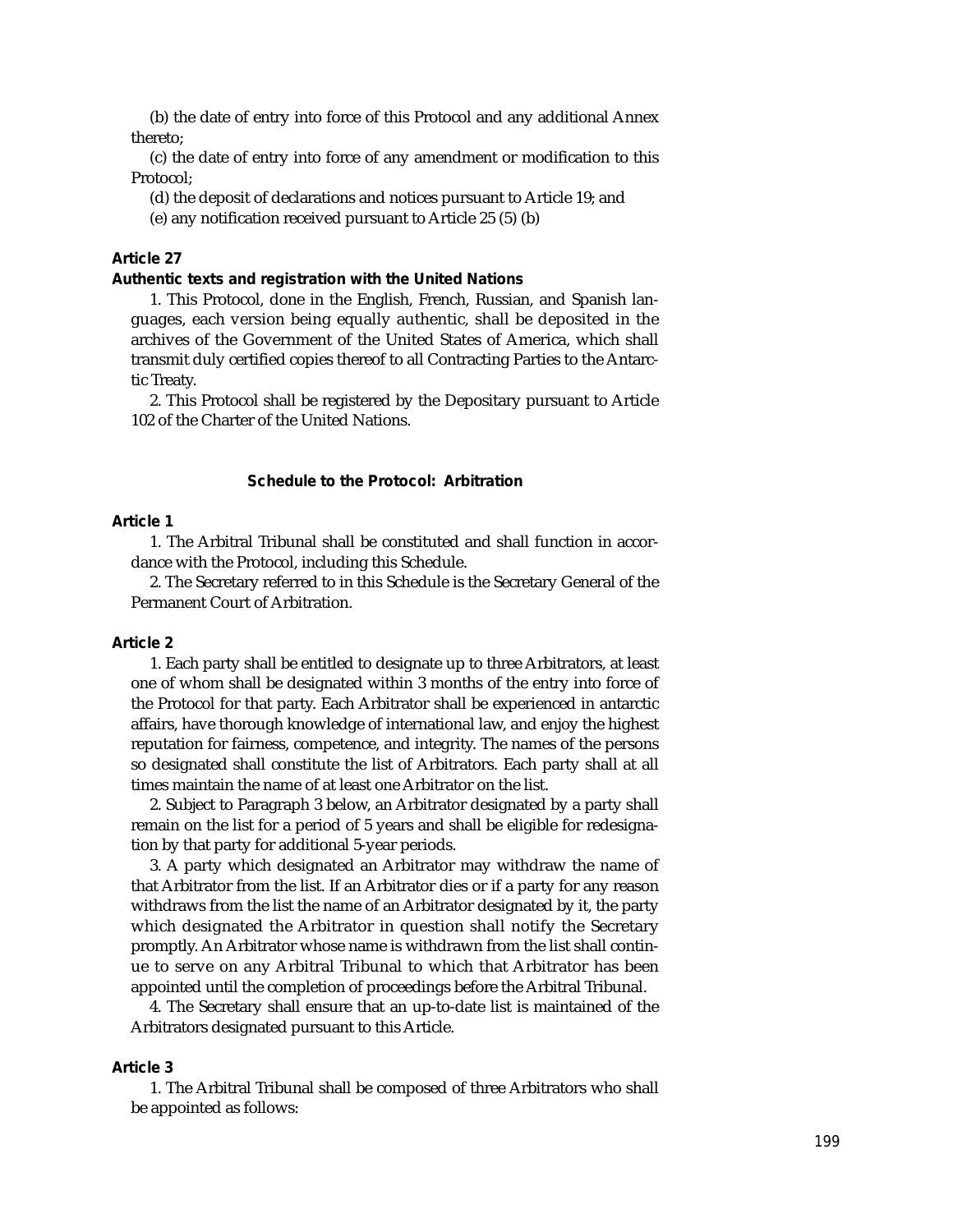(b) the date of entry into force of this Protocol and any additional Annex thereto;

(c) the date of entry into force of any amendment or modification to this Protocol;

(d) the deposit of declarations and notices pursuant to Article 19; and

(e) any notification received pursuant to Article 25 (5) (b)

# **Article 27**

#### **Authentic texts and registration with the United Nations**

1. This Protocol, done in the English, French, Russian, and Spanish languages, each version being equally authentic, shall be deposited in the archives of the Government of the United States of America, which shall transmit duly certified copies thereof to all Contracting Parties to the Antarctic Treaty.

2. This Protocol shall be registered by the Depositary pursuant to Article 102 of the Charter of the United Nations.

#### **Schedule to the Protocol: Arbitration**

#### **Article 1**

1. The Arbitral Tribunal shall be constituted and shall function in accordance with the Protocol, including this Schedule.

2. The Secretary referred to in this Schedule is the Secretary General of the Permanent Court of Arbitration.

# **Article 2**

1. Each party shall be entitled to designate up to three Arbitrators, at least one of whom shall be designated within 3 months of the entry into force of the Protocol for that party. Each Arbitrator shall be experienced in antarctic affairs, have thorough knowledge of international law, and enjoy the highest reputation for fairness, competence, and integrity. The names of the persons so designated shall constitute the list of Arbitrators. Each party shall at all times maintain the name of at least one Arbitrator on the list.

2. Subject to Paragraph 3 below, an Arbitrator designated by a party shall remain on the list for a period of 5 years and shall be eligible for redesignation by that party for additional 5-year periods.

3. A party which designated an Arbitrator may withdraw the name of that Arbitrator from the list. If an Arbitrator dies or if a party for any reason withdraws from the list the name of an Arbitrator designated by it, the party which designated the Arbitrator in question shall notify the Secretary promptly. An Arbitrator whose name is withdrawn from the list shall continue to serve on any Arbitral Tribunal to which that Arbitrator has been appointed until the completion of proceedings before the Arbitral Tribunal.

4. The Secretary shall ensure that an up-to-date list is maintained of the Arbitrators designated pursuant to this Article.

#### **Article 3**

1. The Arbitral Tribunal shall be composed of three Arbitrators who shall be appointed as follows: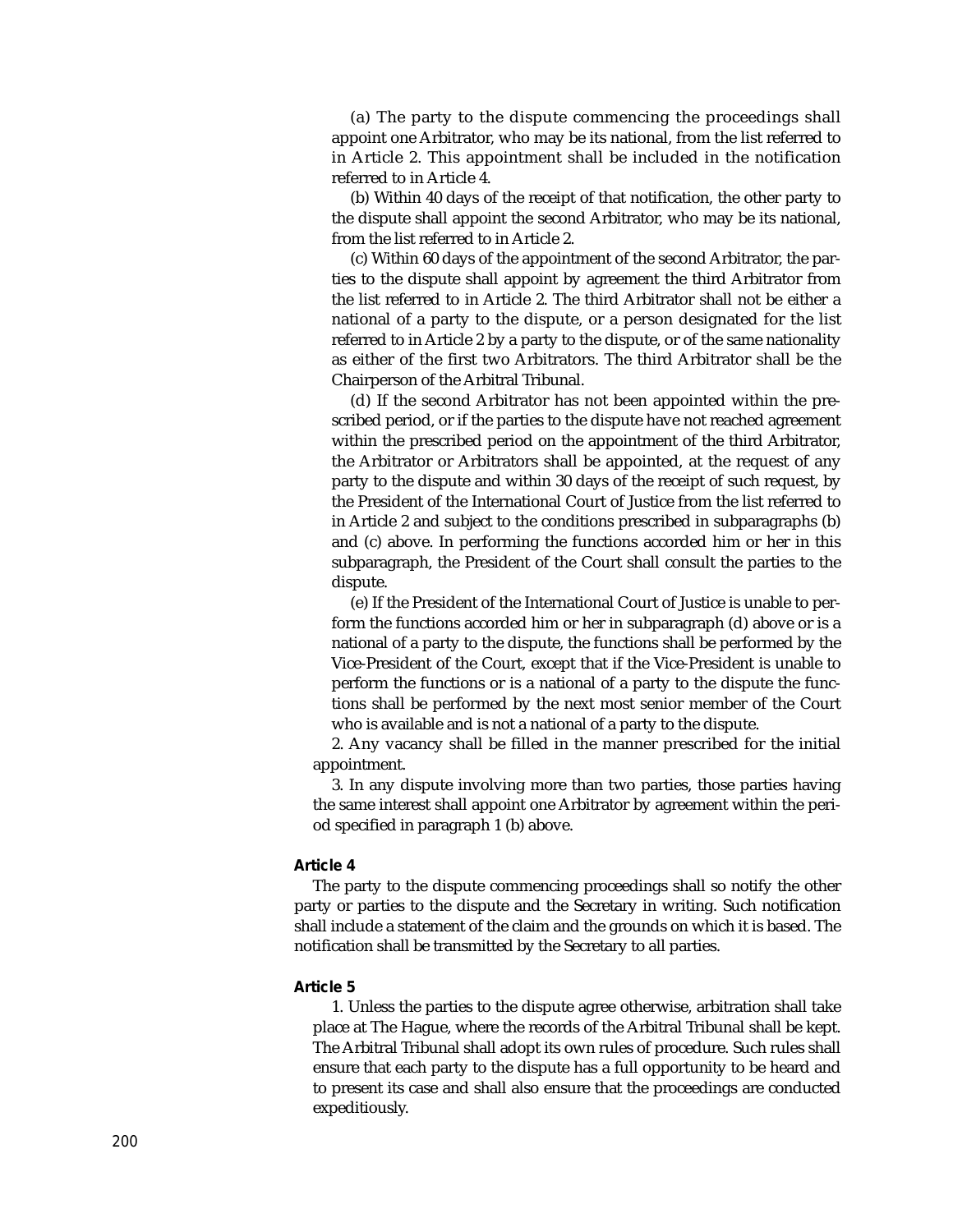(a) The party to the dispute commencing the proceedings shall appoint one Arbitrator, who may be its national, from the list referred to in Article 2. This appointment shall be included in the notification referred to in Article 4.

(b) Within 40 days of the receipt of that notification, the other party to the dispute shall appoint the second Arbitrator, who may be its national, from the list referred to in Article 2.

(c) Within 60 days of the appointment of the second Arbitrator, the parties to the dispute shall appoint by agreement the third Arbitrator from the list referred to in Article 2. The third Arbitrator shall not be either a national of a party to the dispute, or a person designated for the list referred to in Article 2 by a party to the dispute, or of the same nationality as either of the first two Arbitrators. The third Arbitrator shall be the Chairperson of the Arbitral Tribunal.

(d) If the second Arbitrator has not been appointed within the prescribed period, or if the parties to the dispute have not reached agreement within the prescribed period on the appointment of the third Arbitrator, the Arbitrator or Arbitrators shall be appointed, at the request of any party to the dispute and within 30 days of the receipt of such request, by the President of the International Court of Justice from the list referred to in Article 2 and subject to the conditions prescribed in subparagraphs (b) and (c) above. In performing the functions accorded him or her in this subparagraph, the President of the Court shall consult the parties to the dispute.

(e) If the President of the International Court of Justice is unable to perform the functions accorded him or her in subparagraph (d) above or is a national of a party to the dispute, the functions shall be performed by the Vice-President of the Court, except that if the Vice-President is unable to perform the functions or is a national of a party to the dispute the functions shall be performed by the next most senior member of the Court who is available and is not a national of a party to the dispute.

2. Any vacancy shall be filled in the manner prescribed for the initial appointment.

3. In any dispute involving more than two parties, those parties having the same interest shall appoint one Arbitrator by agreement within the period specified in paragraph 1 (b) above.

#### **Article 4**

The party to the dispute commencing proceedings shall so notify the other party or parties to the dispute and the Secretary in writing. Such notification shall include a statement of the claim and the grounds on which it is based. The notification shall be transmitted by the Secretary to all parties.

#### **Article 5**

1. Unless the parties to the dispute agree otherwise, arbitration shall take place at The Hague, where the records of the Arbitral Tribunal shall be kept. The Arbitral Tribunal shall adopt its own rules of procedure. Such rules shall ensure that each party to the dispute has a full opportunity to be heard and to present its case and shall also ensure that the proceedings are conducted expeditiously.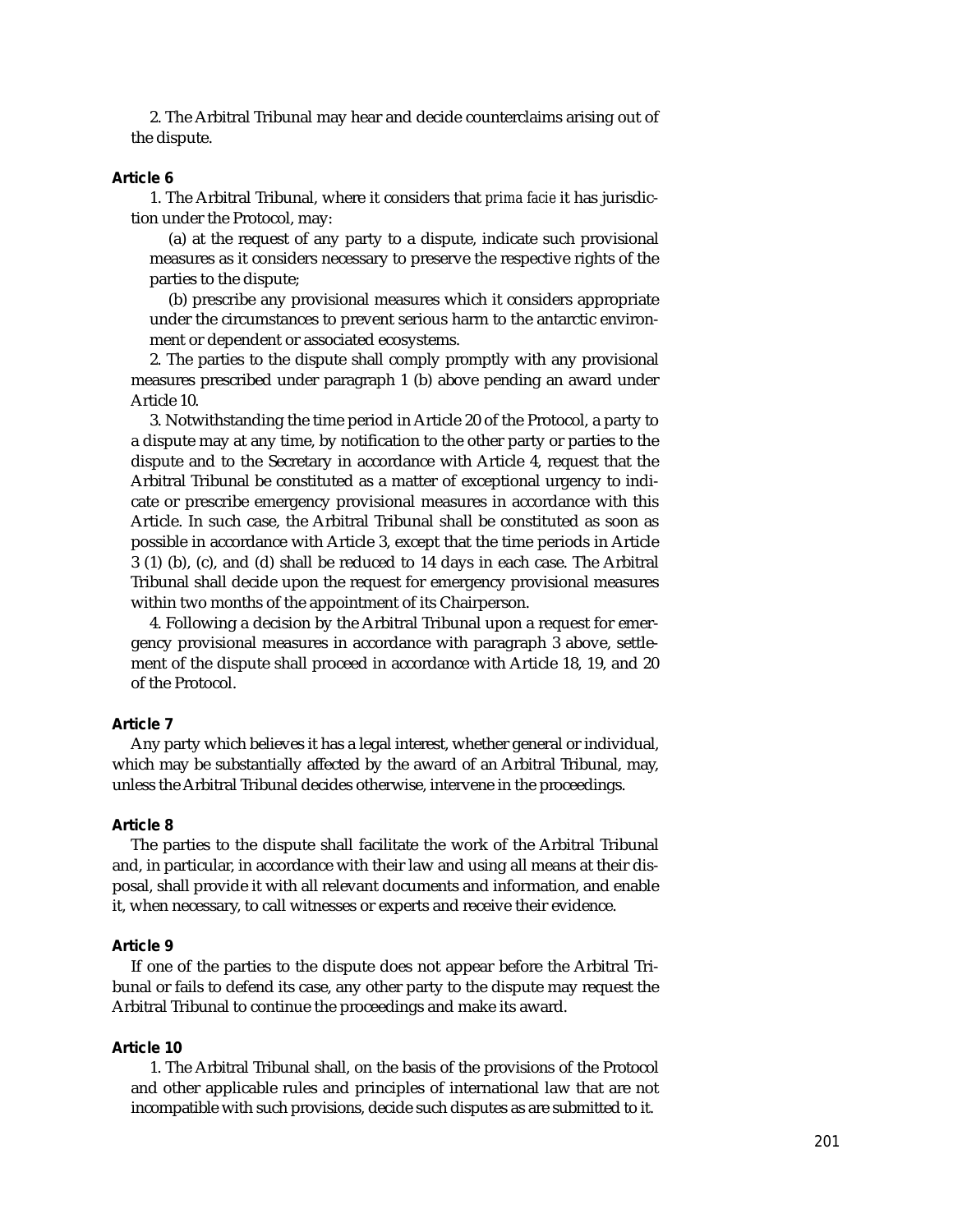2. The Arbitral Tribunal may hear and decide counterclaims arising out of the dispute.

#### **Article 6**

1. The Arbitral Tribunal, where it considers that *prima facie* it has jurisdiction under the Protocol, may:

(a) at the request of any party to a dispute, indicate such provisional measures as it considers necessary to preserve the respective rights of the parties to the dispute;

(b) prescribe any provisional measures which it considers appropriate under the circumstances to prevent serious harm to the antarctic environment or dependent or associated ecosystems.

2. The parties to the dispute shall comply promptly with any provisional measures prescribed under paragraph 1 (b) above pending an award under Article 10.

3. Notwithstanding the time period in Article 20 of the Protocol, a party to a dispute may at any time, by notification to the other party or parties to the dispute and to the Secretary in accordance with Article 4, request that the Arbitral Tribunal be constituted as a matter of exceptional urgency to indicate or prescribe emergency provisional measures in accordance with this Article. In such case, the Arbitral Tribunal shall be constituted as soon as possible in accordance with Article 3, except that the time periods in Article 3 (1) (b), (c), and (d) shall be reduced to 14 days in each case. The Arbitral Tribunal shall decide upon the request for emergency provisional measures within two months of the appointment of its Chairperson.

4. Following a decision by the Arbitral Tribunal upon a request for emergency provisional measures in accordance with paragraph 3 above, settlement of the dispute shall proceed in accordance with Article 18, 19, and 20 of the Protocol.

#### **Article 7**

Any party which believes it has a legal interest, whether general or individual, which may be substantially affected by the award of an Arbitral Tribunal, may, unless the Arbitral Tribunal decides otherwise, intervene in the proceedings.

#### **Article 8**

The parties to the dispute shall facilitate the work of the Arbitral Tribunal and, in particular, in accordance with their law and using all means at their disposal, shall provide it with all relevant documents and information, and enable it, when necessary, to call witnesses or experts and receive their evidence.

#### **Article 9**

If one of the parties to the dispute does not appear before the Arbitral Tribunal or fails to defend its case, any other party to the dispute may request the Arbitral Tribunal to continue the proceedings and make its award.

#### **Article 10**

1. The Arbitral Tribunal shall, on the basis of the provisions of the Protocol and other applicable rules and principles of international law that are not incompatible with such provisions, decide such disputes as are submitted to it.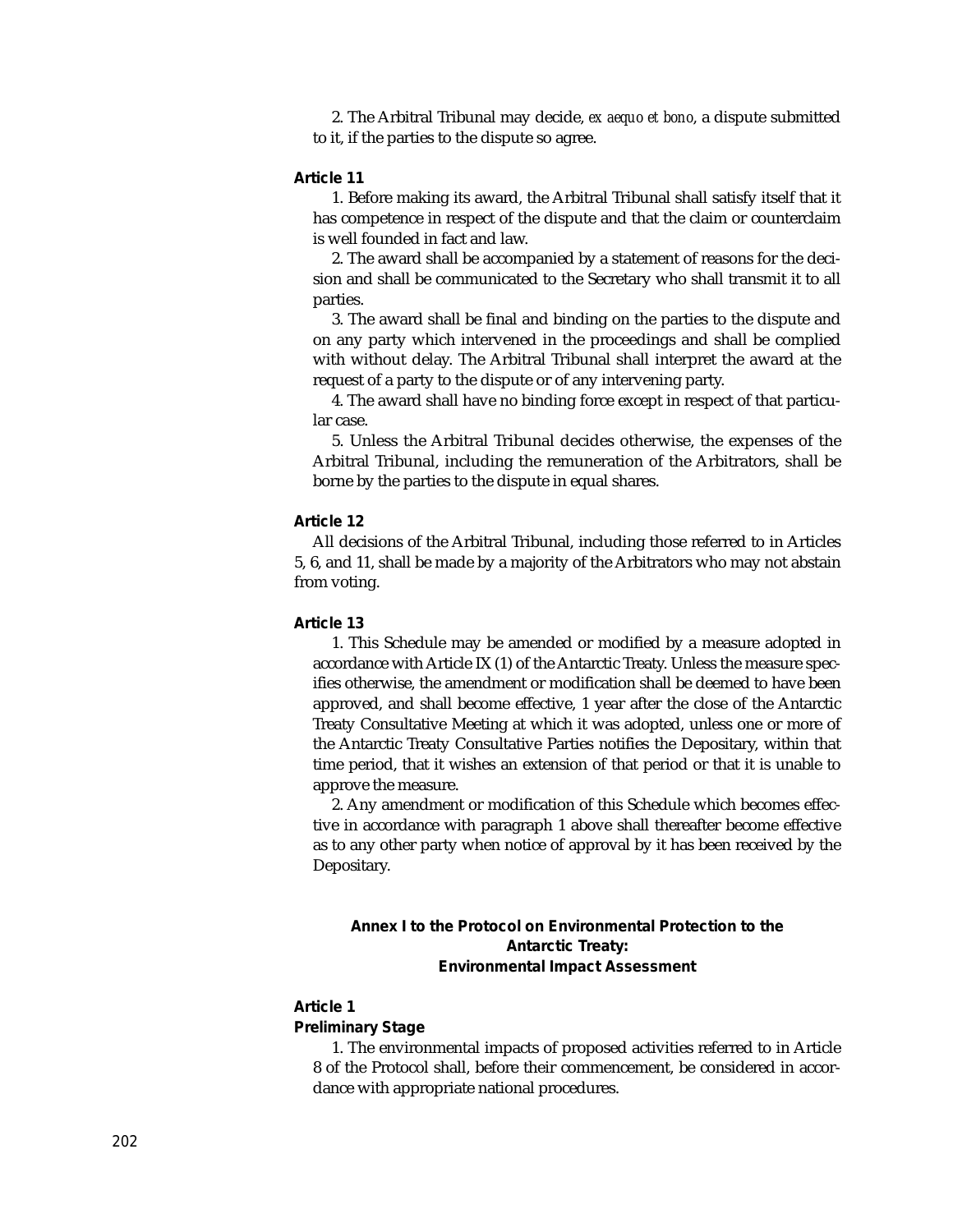2. The Arbitral Tribunal may decide, *ex aequo et bono*, a dispute submitted to it, if the parties to the dispute so agree.

#### **Article 11**

1. Before making its award, the Arbitral Tribunal shall satisfy itself that it has competence in respect of the dispute and that the claim or counterclaim is well founded in fact and law.

2. The award shall be accompanied by a statement of reasons for the decision and shall be communicated to the Secretary who shall transmit it to all parties.

3. The award shall be final and binding on the parties to the dispute and on any party which intervened in the proceedings and shall be complied with without delay. The Arbitral Tribunal shall interpret the award at the request of a party to the dispute or of any intervening party.

4. The award shall have no binding force except in respect of that particular case.

5. Unless the Arbitral Tribunal decides otherwise, the expenses of the Arbitral Tribunal, including the remuneration of the Arbitrators, shall be borne by the parties to the dispute in equal shares.

#### **Article 12**

All decisions of the Arbitral Tribunal, including those referred to in Articles 5, 6, and 11, shall be made by a majority of the Arbitrators who may not abstain from voting.

#### **Article 13**

1. This Schedule may be amended or modified by a measure adopted in accordance with Article IX (1) of the Antarctic Treaty. Unless the measure specifies otherwise, the amendment or modification shall be deemed to have been approved, and shall become effective, 1 year after the close of the Antarctic Treaty Consultative Meeting at which it was adopted, unless one or more of the Antarctic Treaty Consultative Parties notifies the Depositary, within that time period, that it wishes an extension of that period or that it is unable to approve the measure.

2. Any amendment or modification of this Schedule which becomes effective in accordance with paragraph 1 above shall thereafter become effective as to any other party when notice of approval by it has been received by the Depositary.

# **Annex I to the Protocol on Environmental Protection to the Antarctic Treaty: Environmental Impact Assessment**

#### **Article 1 Preliminary Stage**

1. The environmental impacts of proposed activities referred to in Article 8 of the Protocol shall, before their commencement, be considered in accordance with appropriate national procedures.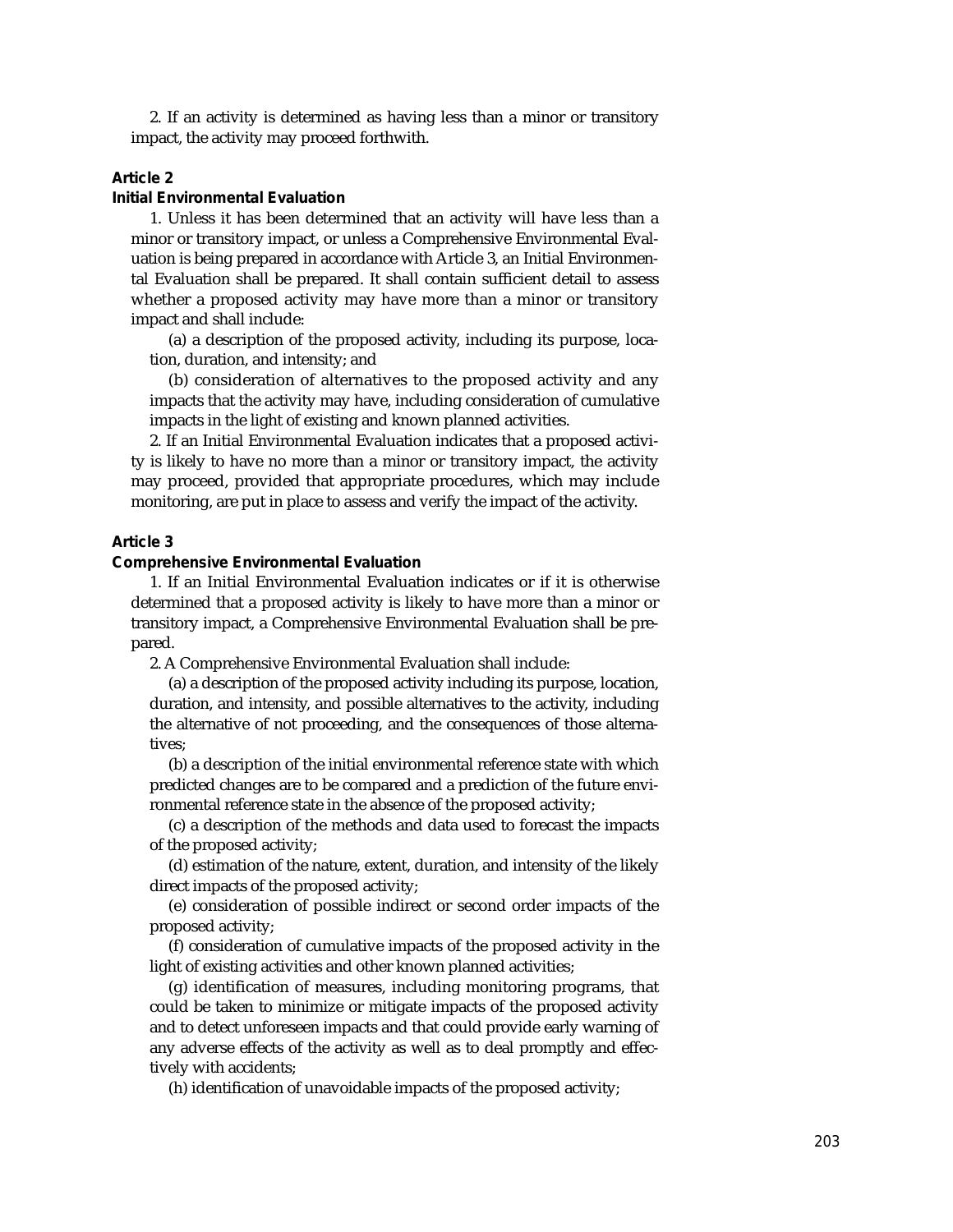2. If an activity is determined as having less than a minor or transitory impact, the activity may proceed forthwith.

# **Article 2**

#### **Initial Environmental Evaluation**

1. Unless it has been determined that an activity will have less than a minor or transitory impact, or unless a Comprehensive Environmental Evaluation is being prepared in accordance with Article 3, an Initial Environmental Evaluation shall be prepared. It shall contain sufficient detail to assess whether a proposed activity may have more than a minor or transitory impact and shall include:

(a) a description of the proposed activity, including its purpose, location, duration, and intensity; and

(b) consideration of alternatives to the proposed activity and any impacts that the activity may have, including consideration of cumulative impacts in the light of existing and known planned activities.

2. If an Initial Environmental Evaluation indicates that a proposed activity is likely to have no more than a minor or transitory impact, the activity may proceed, provided that appropriate procedures, which may include monitoring, are put in place to assess and verify the impact of the activity.

## **Article 3**

#### **Comprehensive Environmental Evaluation**

1. If an Initial Environmental Evaluation indicates or if it is otherwise determined that a proposed activity is likely to have more than a minor or transitory impact, a Comprehensive Environmental Evaluation shall be prepared.

2. A Comprehensive Environmental Evaluation shall include:

(a) a description of the proposed activity including its purpose, location, duration, and intensity, and possible alternatives to the activity, including the alternative of not proceeding, and the consequences of those alternatives;

(b) a description of the initial environmental reference state with which predicted changes are to be compared and a prediction of the future environmental reference state in the absence of the proposed activity;

(c) a description of the methods and data used to forecast the impacts of the proposed activity;

(d) estimation of the nature, extent, duration, and intensity of the likely direct impacts of the proposed activity;

(e) consideration of possible indirect or second order impacts of the proposed activity;

(f) consideration of cumulative impacts of the proposed activity in the light of existing activities and other known planned activities;

(g) identification of measures, including monitoring programs, that could be taken to minimize or mitigate impacts of the proposed activity and to detect unforeseen impacts and that could provide early warning of any adverse effects of the activity as well as to deal promptly and effectively with accidents;

(h) identification of unavoidable impacts of the proposed activity;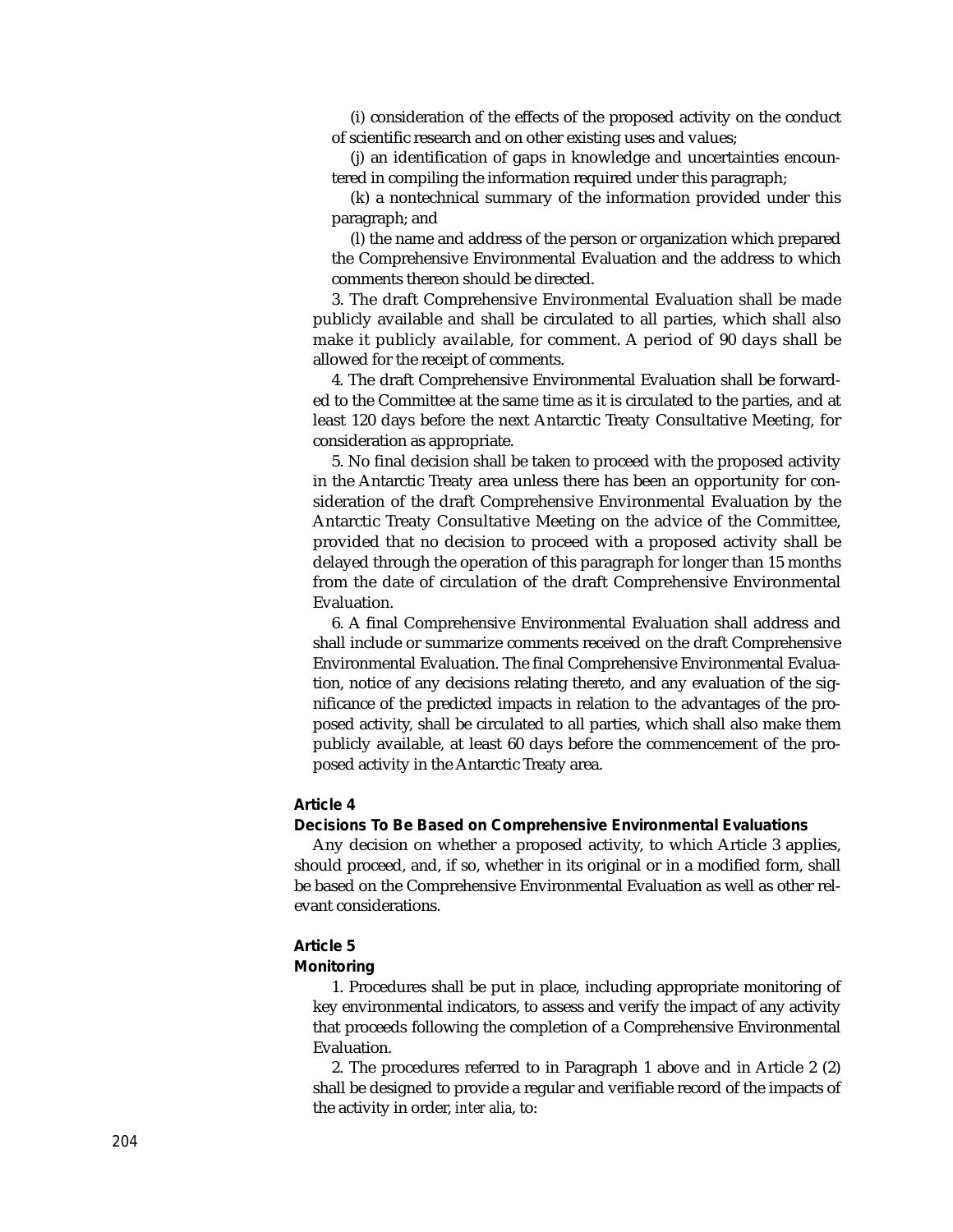(i) consideration of the effects of the proposed activity on the conduct of scientific research and on other existing uses and values;

(j) an identification of gaps in knowledge and uncertainties encountered in compiling the information required under this paragraph;

(k) a nontechnical summary of the information provided under this paragraph; and

(l) the name and address of the person or organization which prepared the Comprehensive Environmental Evaluation and the address to which comments thereon should be directed.

3. The draft Comprehensive Environmental Evaluation shall be made publicly available and shall be circulated to all parties, which shall also make it publicly available, for comment. A period of 90 days shall be allowed for the receipt of comments.

4. The draft Comprehensive Environmental Evaluation shall be forwarded to the Committee at the same time as it is circulated to the parties, and at least 120 days before the next Antarctic Treaty Consultative Meeting, for consideration as appropriate.

5. No final decision shall be taken to proceed with the proposed activity in the Antarctic Treaty area unless there has been an opportunity for consideration of the draft Comprehensive Environmental Evaluation by the Antarctic Treaty Consultative Meeting on the advice of the Committee, provided that no decision to proceed with a proposed activity shall be delayed through the operation of this paragraph for longer than 15 months from the date of circulation of the draft Comprehensive Environmental Evaluation.

6. A final Comprehensive Environmental Evaluation shall address and shall include or summarize comments received on the draft Comprehensive Environmental Evaluation. The final Comprehensive Environmental Evaluation, notice of any decisions relating thereto, and any evaluation of the significance of the predicted impacts in relation to the advantages of the proposed activity, shall be circulated to all parties, which shall also make them publicly available, at least 60 days before the commencement of the proposed activity in the Antarctic Treaty area.

# **Article 4**

#### **Decisions To Be Based on Comprehensive Environmental Evaluations**

Any decision on whether a proposed activity, to which Article 3 applies, should proceed, and, if so, whether in its original or in a modified form, shall be based on the Comprehensive Environmental Evaluation as well as other relevant considerations.

#### **Article 5**

#### **Monitoring**

1. Procedures shall be put in place, including appropriate monitoring of key environmental indicators, to assess and verify the impact of any activity that proceeds following the completion of a Comprehensive Environmental Evaluation.

2. The procedures referred to in Paragraph 1 above and in Article 2 (2) shall be designed to provide a regular and verifiable record of the impacts of the activity in order, *inter alia*, to: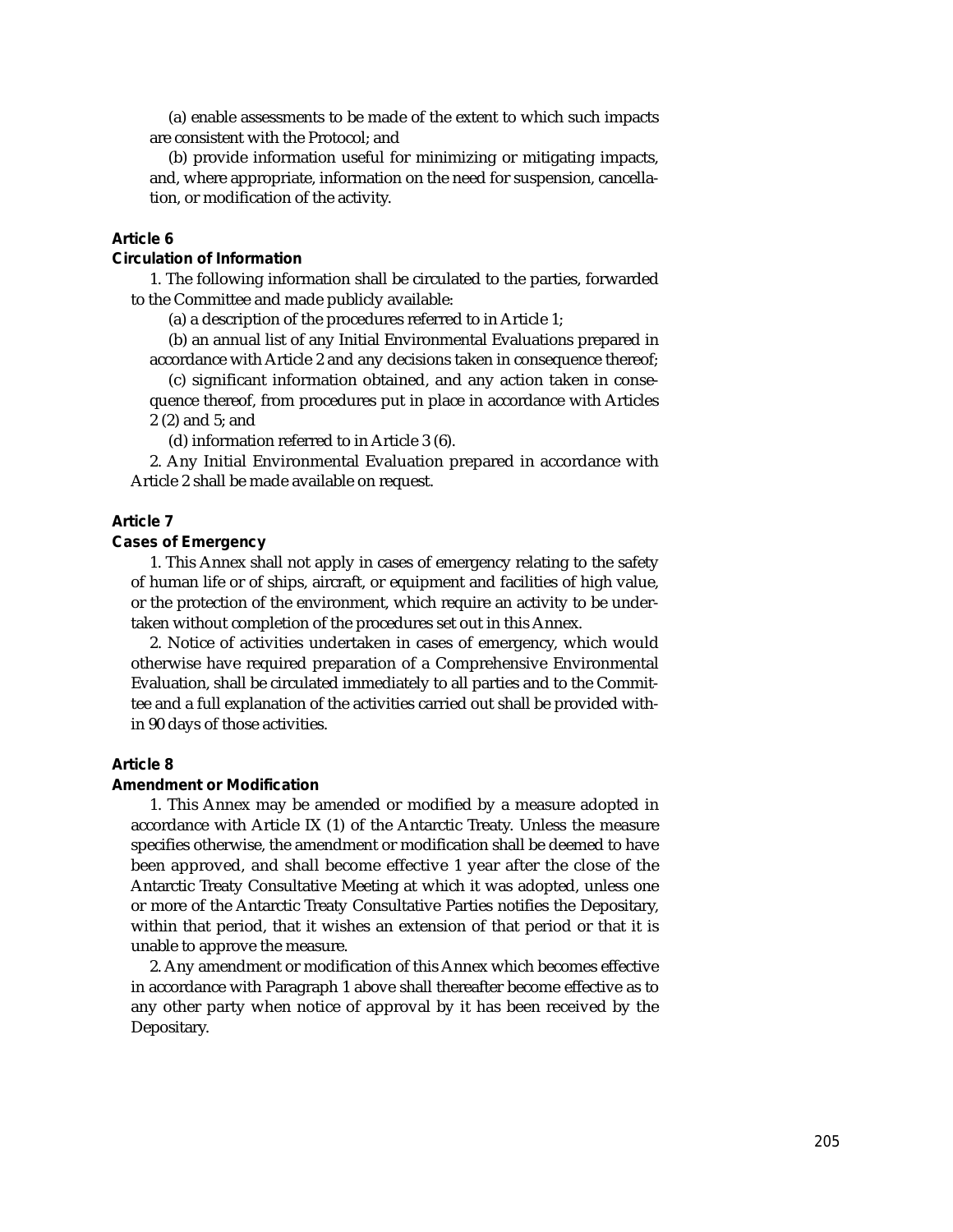(a) enable assessments to be made of the extent to which such impacts are consistent with the Protocol; and

(b) provide information useful for minimizing or mitigating impacts, and, where appropriate, information on the need for suspension, cancellation, or modification of the activity.

#### **Article 6**

#### **Circulation of Information**

1. The following information shall be circulated to the parties, forwarded to the Committee and made publicly available:

(a) a description of the procedures referred to in Article 1;

(b) an annual list of any Initial Environmental Evaluations prepared in accordance with Article 2 and any decisions taken in consequence thereof;

(c) significant information obtained, and any action taken in consequence thereof, from procedures put in place in accordance with Articles

2 (2) and 5; and

(d) information referred to in Article 3 (6).

2. Any Initial Environmental Evaluation prepared in accordance with Article 2 shall be made available on request.

# **Article 7**

#### **Cases of Emergency**

1. This Annex shall not apply in cases of emergency relating to the safety of human life or of ships, aircraft, or equipment and facilities of high value, or the protection of the environment, which require an activity to be undertaken without completion of the procedures set out in this Annex.

2. Notice of activities undertaken in cases of emergency, which would otherwise have required preparation of a Comprehensive Environmental Evaluation, shall be circulated immediately to all parties and to the Committee and a full explanation of the activities carried out shall be provided within 90 days of those activities.

#### **Article 8**

#### **Amendment or Modification**

1. This Annex may be amended or modified by a measure adopted in accordance with Article IX (1) of the Antarctic Treaty. Unless the measure specifies otherwise, the amendment or modification shall be deemed to have been approved, and shall become effective 1 year after the close of the Antarctic Treaty Consultative Meeting at which it was adopted, unless one or more of the Antarctic Treaty Consultative Parties notifies the Depositary, within that period, that it wishes an extension of that period or that it is unable to approve the measure.

2. Any amendment or modification of this Annex which becomes effective in accordance with Paragraph 1 above shall thereafter become effective as to any other party when notice of approval by it has been received by the Depositary.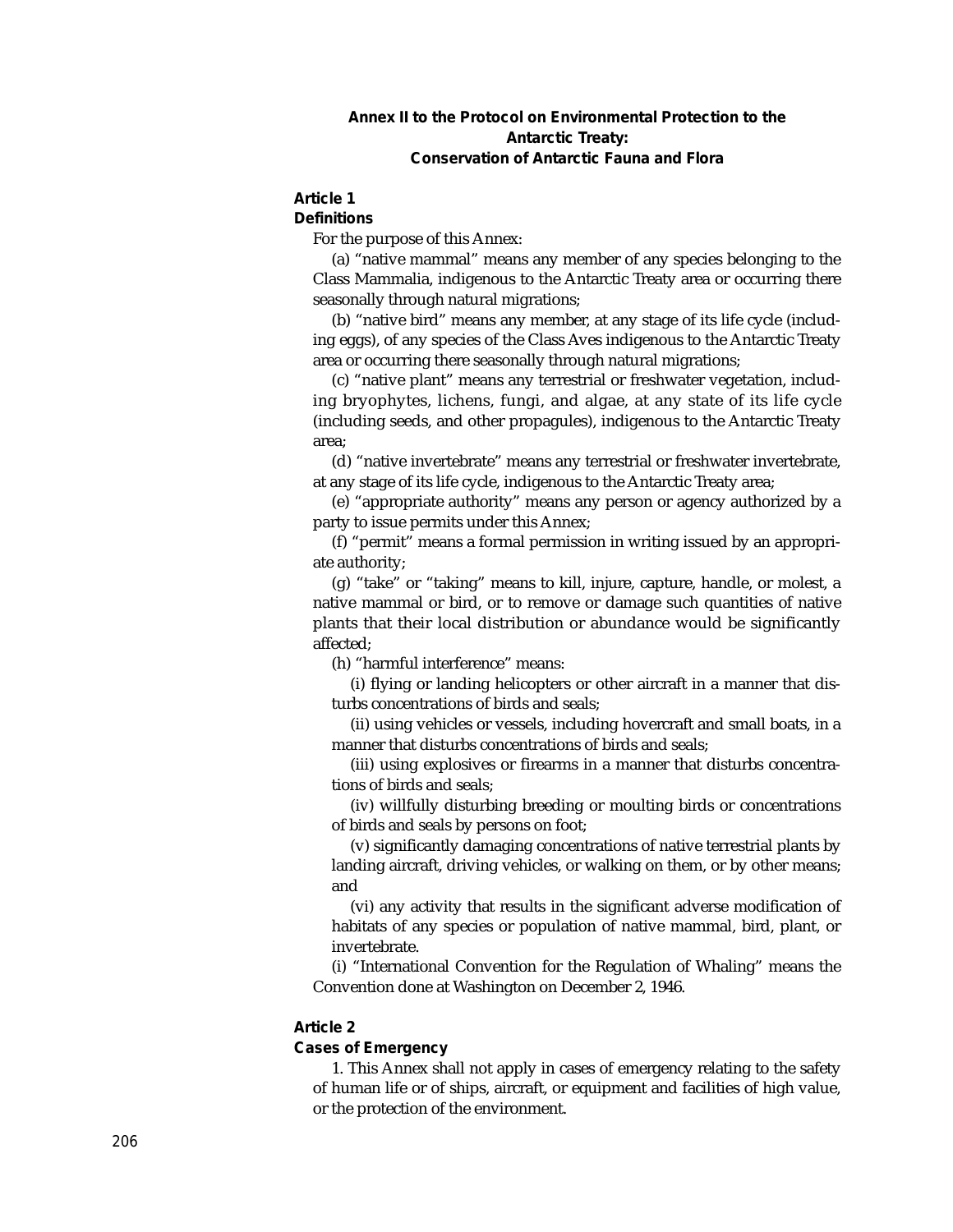# **Annex II to the Protocol on Environmental Protection to the Antarctic Treaty: Conservation of Antarctic Fauna and Flora**

#### **Article 1 Definitions**

For the purpose of this Annex:

(a) "native mammal" means any member of any species belonging to the Class Mammalia, indigenous to the Antarctic Treaty area or occurring there seasonally through natural migrations;

(b) "native bird" means any member, at any stage of its life cycle (including eggs), of any species of the Class Aves indigenous to the Antarctic Treaty area or occurring there seasonally through natural migrations;

(c) "native plant" means any terrestrial or freshwater vegetation, including bryophytes, lichens, fungi, and algae, at any state of its life cycle (including seeds, and other propagules), indigenous to the Antarctic Treaty area;

(d) "native invertebrate" means any terrestrial or freshwater invertebrate, at any stage of its life cycle, indigenous to the Antarctic Treaty area;

(e) "appropriate authority" means any person or agency authorized by a party to issue permits under this Annex;

(f) "permit" means a formal permission in writing issued by an appropriate authority;

(g) "take" or "taking" means to kill, injure, capture, handle, or molest, a native mammal or bird, or to remove or damage such quantities of native plants that their local distribution or abundance would be significantly affected;

(h) "harmful interference" means:

(i) flying or landing helicopters or other aircraft in a manner that disturbs concentrations of birds and seals;

(ii) using vehicles or vessels, including hovercraft and small boats, in a manner that disturbs concentrations of birds and seals;

(iii) using explosives or firearms in a manner that disturbs concentrations of birds and seals;

(iv) willfully disturbing breeding or moulting birds or concentrations of birds and seals by persons on foot;

(v) significantly damaging concentrations of native terrestrial plants by landing aircraft, driving vehicles, or walking on them, or by other means; and

(vi) any activity that results in the significant adverse modification of habitats of any species or population of native mammal, bird, plant, or invertebrate.

(i) "International Convention for the Regulation of Whaling" means the Convention done at Washington on December 2, 1946.

## **Article 2**

## **Cases of Emergency**

1. This Annex shall not apply in cases of emergency relating to the safety of human life or of ships, aircraft, or equipment and facilities of high value, or the protection of the environment.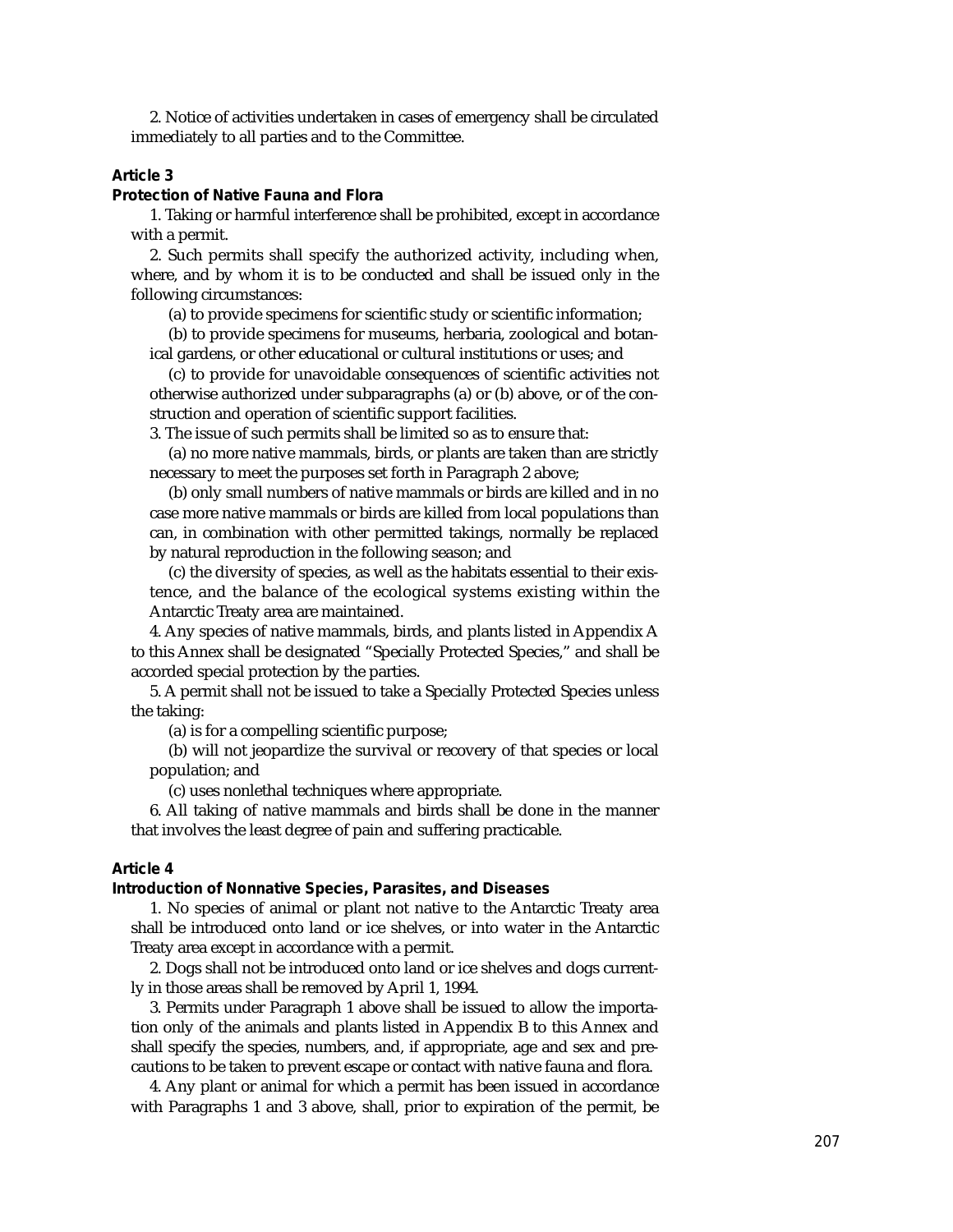2. Notice of activities undertaken in cases of emergency shall be circulated immediately to all parties and to the Committee.

## **Article 3**

# **Protection of Native Fauna and Flora**

1. Taking or harmful interference shall be prohibited, except in accordance with a permit.

2. Such permits shall specify the authorized activity, including when, where, and by whom it is to be conducted and shall be issued only in the following circumstances:

(a) to provide specimens for scientific study or scientific information;

(b) to provide specimens for museums, herbaria, zoological and botanical gardens, or other educational or cultural institutions or uses; and

(c) to provide for unavoidable consequences of scientific activities not otherwise authorized under subparagraphs (a) or (b) above, or of the construction and operation of scientific support facilities.

3. The issue of such permits shall be limited so as to ensure that:

(a) no more native mammals, birds, or plants are taken than are strictly necessary to meet the purposes set forth in Paragraph 2 above;

(b) only small numbers of native mammals or birds are killed and in no case more native mammals or birds are killed from local populations than can, in combination with other permitted takings, normally be replaced by natural reproduction in the following season; and

(c) the diversity of species, as well as the habitats essential to their existence, and the balance of the ecological systems existing within the Antarctic Treaty area are maintained.

4. Any species of native mammals, birds, and plants listed in Appendix A to this Annex shall be designated "Specially Protected Species," and shall be accorded special protection by the parties.

5. A permit shall not be issued to take a Specially Protected Species unless the taking:

(a) is for a compelling scientific purpose;

(b) will not jeopardize the survival or recovery of that species or local population; and

(c) uses nonlethal techniques where appropriate.

6. All taking of native mammals and birds shall be done in the manner that involves the least degree of pain and suffering practicable.

#### **Article 4**

#### **Introduction of Nonnative Species, Parasites, and Diseases**

1. No species of animal or plant not native to the Antarctic Treaty area shall be introduced onto land or ice shelves, or into water in the Antarctic Treaty area except in accordance with a permit.

2. Dogs shall not be introduced onto land or ice shelves and dogs currently in those areas shall be removed by April 1, 1994.

3. Permits under Paragraph 1 above shall be issued to allow the importation only of the animals and plants listed in Appendix B to this Annex and shall specify the species, numbers, and, if appropriate, age and sex and precautions to be taken to prevent escape or contact with native fauna and flora.

4. Any plant or animal for which a permit has been issued in accordance with Paragraphs 1 and 3 above, shall, prior to expiration of the permit, be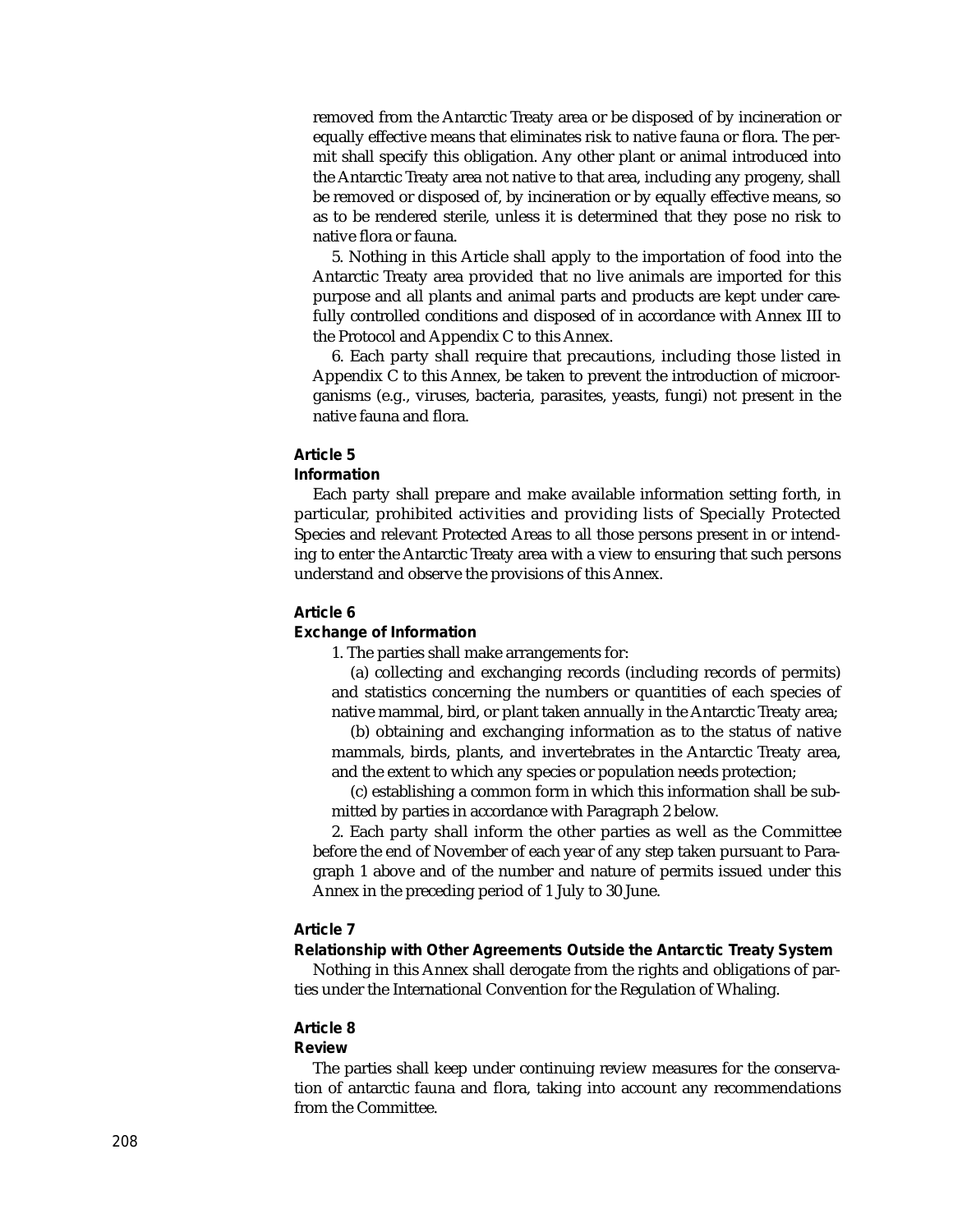removed from the Antarctic Treaty area or be disposed of by incineration or equally effective means that eliminates risk to native fauna or flora. The permit shall specify this obligation. Any other plant or animal introduced into the Antarctic Treaty area not native to that area, including any progeny, shall be removed or disposed of, by incineration or by equally effective means, so as to be rendered sterile, unless it is determined that they pose no risk to native flora or fauna.

5. Nothing in this Article shall apply to the importation of food into the Antarctic Treaty area provided that no live animals are imported for this purpose and all plants and animal parts and products are kept under carefully controlled conditions and disposed of in accordance with Annex III to the Protocol and Appendix C to this Annex.

6. Each party shall require that precautions, including those listed in Appendix C to this Annex, be taken to prevent the introduction of microorganisms (e.g., viruses, bacteria, parasites, yeasts, fungi) not present in the native fauna and flora.

# **Article 5**

#### **Information**

Each party shall prepare and make available information setting forth, in particular, prohibited activities and providing lists of Specially Protected Species and relevant Protected Areas to all those persons present in or intending to enter the Antarctic Treaty area with a view to ensuring that such persons understand and observe the provisions of this Annex.

#### **Article 6**

#### **Exchange of Information**

1. The parties shall make arrangements for:

(a) collecting and exchanging records (including records of permits) and statistics concerning the numbers or quantities of each species of native mammal, bird, or plant taken annually in the Antarctic Treaty area;

(b) obtaining and exchanging information as to the status of native mammals, birds, plants, and invertebrates in the Antarctic Treaty area, and the extent to which any species or population needs protection;

(c) establishing a common form in which this information shall be submitted by parties in accordance with Paragraph 2 below.

2. Each party shall inform the other parties as well as the Committee before the end of November of each year of any step taken pursuant to Paragraph 1 above and of the number and nature of permits issued under this Annex in the preceding period of 1 July to 30 June.

#### **Article 7**

**Relationship with Other Agreements Outside the Antarctic Treaty System** Nothing in this Annex shall derogate from the rights and obligations of parties under the International Convention for the Regulation of Whaling.

#### **Article 8**

### **Review**

The parties shall keep under continuing review measures for the conservation of antarctic fauna and flora, taking into account any recommendations from the Committee.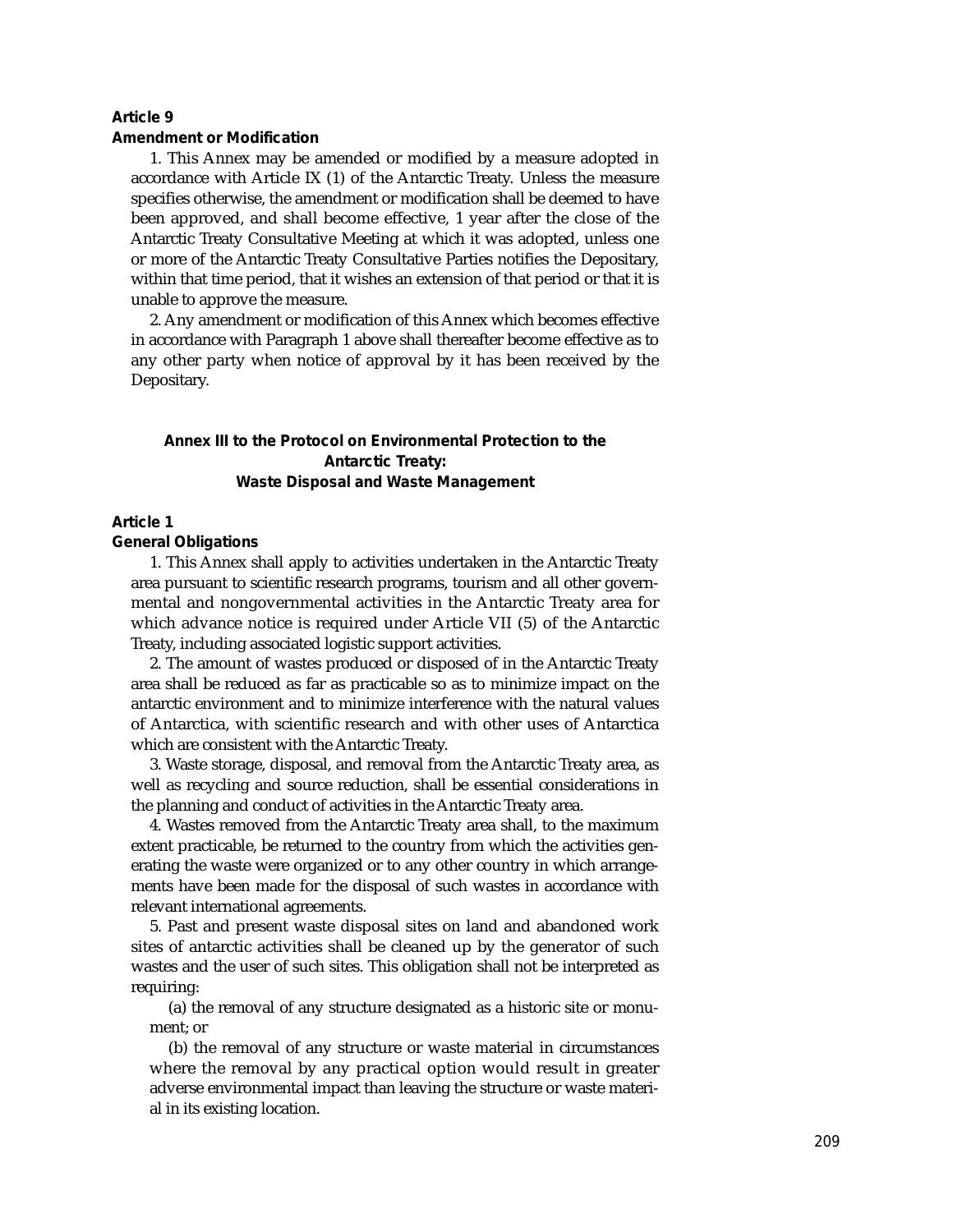#### **Amendment or Modification**

1. This Annex may be amended or modified by a measure adopted in accordance with Article IX (1) of the Antarctic Treaty. Unless the measure specifies otherwise, the amendment or modification shall be deemed to have been approved, and shall become effective, 1 year after the close of the Antarctic Treaty Consultative Meeting at which it was adopted, unless one or more of the Antarctic Treaty Consultative Parties notifies the Depositary, within that time period, that it wishes an extension of that period or that it is unable to approve the measure.

2. Any amendment or modification of this Annex which becomes effective in accordance with Paragraph 1 above shall thereafter become effective as to any other party when notice of approval by it has been received by the Depositary.

# **Annex III to the Protocol on Environmental Protection to the Antarctic Treaty: Waste Disposal and Waste Management**

#### **Article 1**

#### **General Obligations**

1. This Annex shall apply to activities undertaken in the Antarctic Treaty area pursuant to scientific research programs, tourism and all other governmental and nongovernmental activities in the Antarctic Treaty area for which advance notice is required under Article VII (5) of the Antarctic Treaty, including associated logistic support activities.

2. The amount of wastes produced or disposed of in the Antarctic Treaty area shall be reduced as far as practicable so as to minimize impact on the antarctic environment and to minimize interference with the natural values of Antarctica, with scientific research and with other uses of Antarctica which are consistent with the Antarctic Treaty.

3. Waste storage, disposal, and removal from the Antarctic Treaty area, as well as recycling and source reduction, shall be essential considerations in the planning and conduct of activities in the Antarctic Treaty area.

4. Wastes removed from the Antarctic Treaty area shall, to the maximum extent practicable, be returned to the country from which the activities generating the waste were organized or to any other country in which arrangements have been made for the disposal of such wastes in accordance with relevant international agreements.

5. Past and present waste disposal sites on land and abandoned work sites of antarctic activities shall be cleaned up by the generator of such wastes and the user of such sites. This obligation shall not be interpreted as requiring:

(a) the removal of any structure designated as a historic site or monument; or

(b) the removal of any structure or waste material in circumstances where the removal by any practical option would result in greater adverse environmental impact than leaving the structure or waste material in its existing location.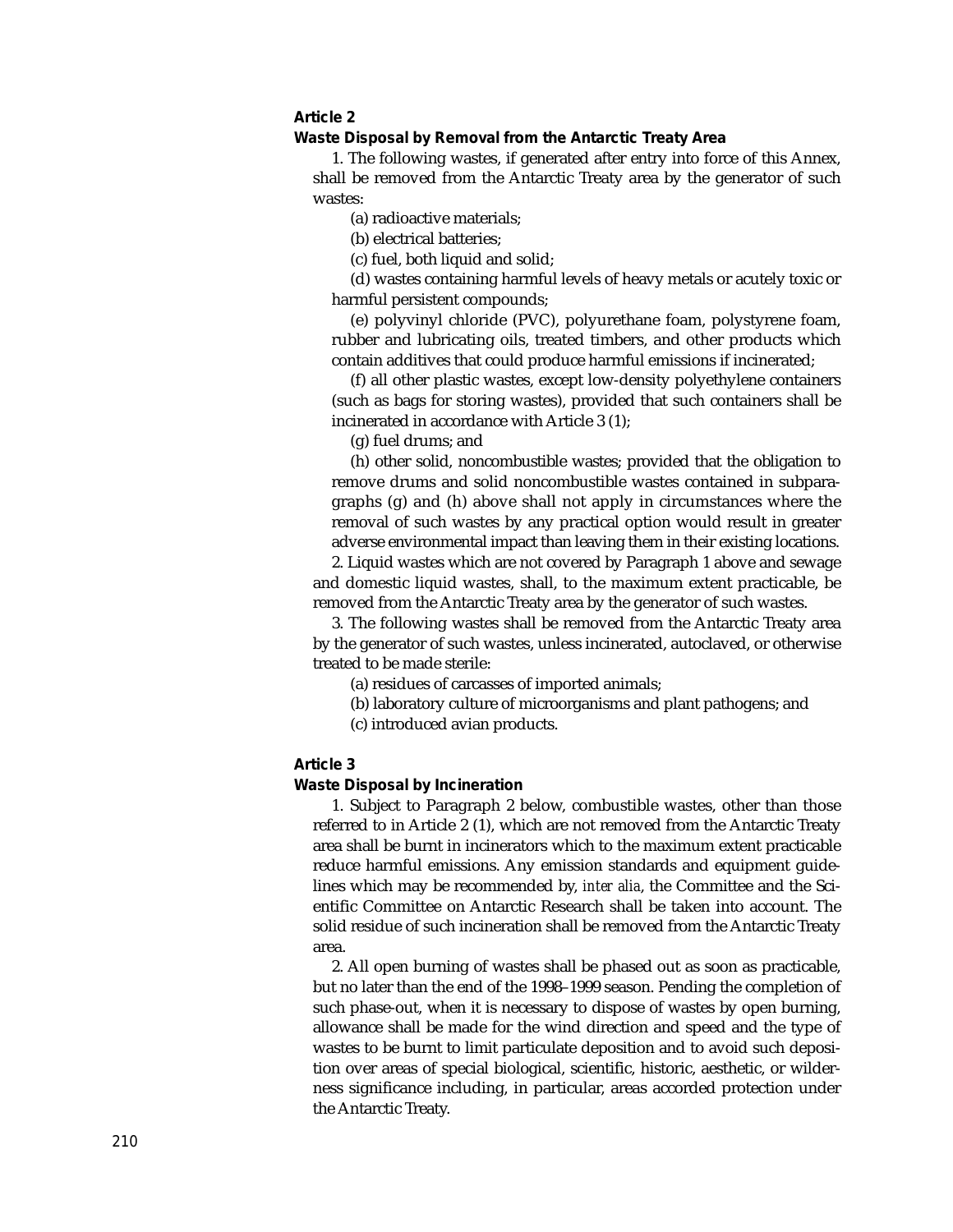#### **Waste Disposal by Removal from the Antarctic Treaty Area**

1. The following wastes, if generated after entry into force of this Annex, shall be removed from the Antarctic Treaty area by the generator of such wastes:

(a) radioactive materials;

(b) electrical batteries;

(c) fuel, both liquid and solid;

(d) wastes containing harmful levels of heavy metals or acutely toxic or harmful persistent compounds;

(e) polyvinyl chloride (PVC), polyurethane foam, polystyrene foam, rubber and lubricating oils, treated timbers, and other products which contain additives that could produce harmful emissions if incinerated;

(f) all other plastic wastes, except low-density polyethylene containers (such as bags for storing wastes), provided that such containers shall be incinerated in accordance with Article 3 (1);

(g) fuel drums; and

(h) other solid, noncombustible wastes; provided that the obligation to remove drums and solid noncombustible wastes contained in subparagraphs (g) and (h) above shall not apply in circumstances where the removal of such wastes by any practical option would result in greater adverse environmental impact than leaving them in their existing locations.

2. Liquid wastes which are not covered by Paragraph 1 above and sewage and domestic liquid wastes, shall, to the maximum extent practicable, be removed from the Antarctic Treaty area by the generator of such wastes.

3. The following wastes shall be removed from the Antarctic Treaty area by the generator of such wastes, unless incinerated, autoclaved, or otherwise treated to be made sterile:

(a) residues of carcasses of imported animals;

(b) laboratory culture of microorganisms and plant pathogens; and

(c) introduced avian products.

#### **Article 3**

#### **Waste Disposal by Incineration**

1. Subject to Paragraph 2 below, combustible wastes, other than those referred to in Article 2 (1), which are not removed from the Antarctic Treaty area shall be burnt in incinerators which to the maximum extent practicable reduce harmful emissions. Any emission standards and equipment guidelines which may be recommended by, *inter alia*, the Committee and the Scientific Committee on Antarctic Research shall be taken into account. The solid residue of such incineration shall be removed from the Antarctic Treaty area.

2. All open burning of wastes shall be phased out as soon as practicable, but no later than the end of the 1998–1999 season. Pending the completion of such phase-out, when it is necessary to dispose of wastes by open burning, allowance shall be made for the wind direction and speed and the type of wastes to be burnt to limit particulate deposition and to avoid such deposition over areas of special biological, scientific, historic, aesthetic, or wilderness significance including, in particular, areas accorded protection under the Antarctic Treaty.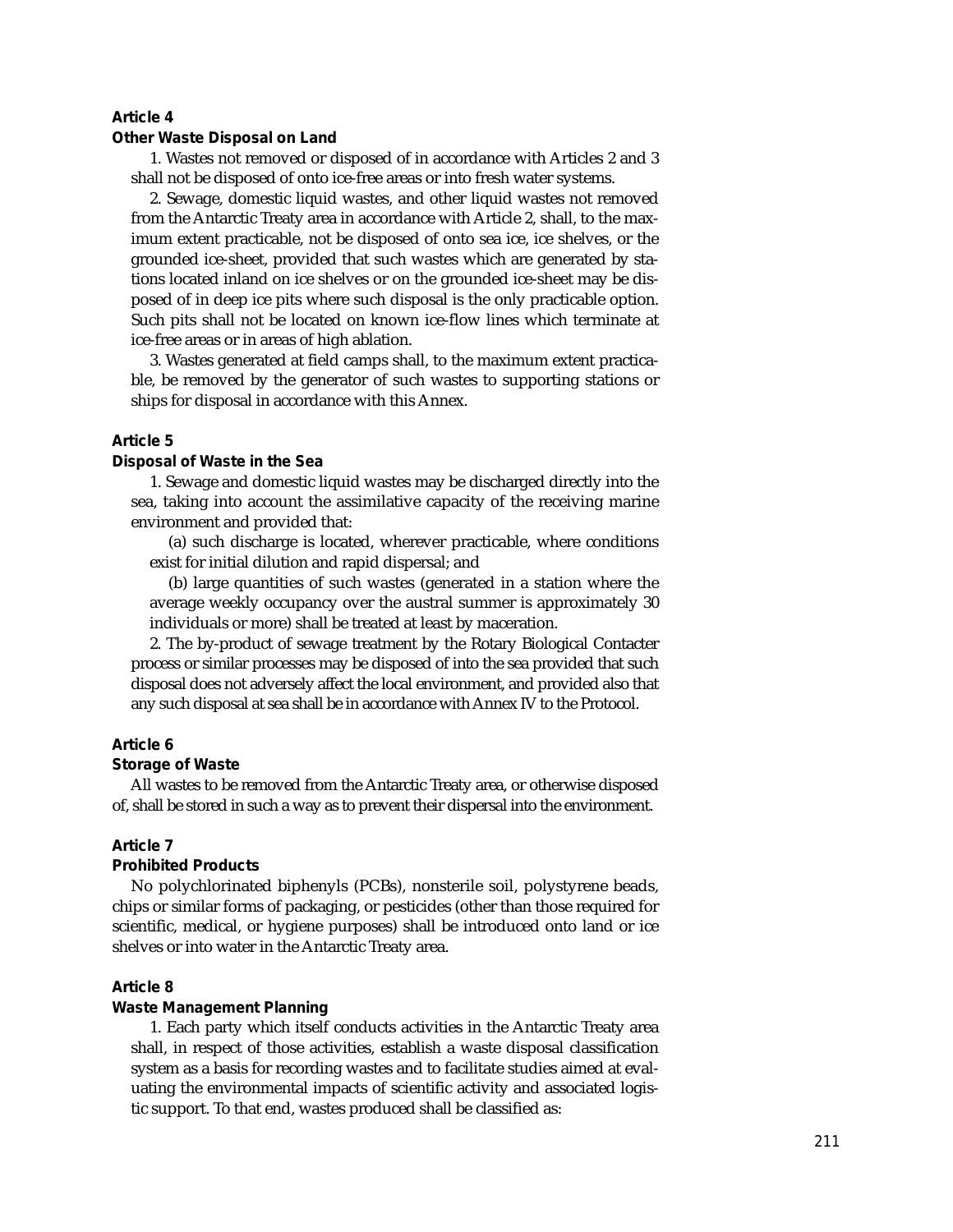# **Other Waste Disposal on Land**

1. Wastes not removed or disposed of in accordance with Articles 2 and 3 shall not be disposed of onto ice-free areas or into fresh water systems.

2. Sewage, domestic liquid wastes, and other liquid wastes not removed from the Antarctic Treaty area in accordance with Article 2, shall, to the maximum extent practicable, not be disposed of onto sea ice, ice shelves, or the grounded ice-sheet, provided that such wastes which are generated by stations located inland on ice shelves or on the grounded ice-sheet may be disposed of in deep ice pits where such disposal is the only practicable option. Such pits shall not be located on known ice-flow lines which terminate at ice-free areas or in areas of high ablation.

3. Wastes generated at field camps shall, to the maximum extent practicable, be removed by the generator of such wastes to supporting stations or ships for disposal in accordance with this Annex.

#### **Article 5**

## **Disposal of Waste in the Sea**

1. Sewage and domestic liquid wastes may be discharged directly into the sea, taking into account the assimilative capacity of the receiving marine environment and provided that:

(a) such discharge is located, wherever practicable, where conditions exist for initial dilution and rapid dispersal; and

(b) large quantities of such wastes (generated in a station where the average weekly occupancy over the austral summer is approximately 30 individuals or more) shall be treated at least by maceration.

2. The by-product of sewage treatment by the Rotary Biological Contacter process or similar processes may be disposed of into the sea provided that such disposal does not adversely affect the local environment, and provided also that any such disposal at sea shall be in accordance with Annex IV to the Protocol.

#### **Article 6**

#### **Storage of Waste**

All wastes to be removed from the Antarctic Treaty area, or otherwise disposed of, shall be stored in such a way as to prevent their dispersal into the environment.

#### **Article 7**

# **Prohibited Products**

No polychlorinated biphenyls (PCBs), nonsterile soil, polystyrene beads, chips or similar forms of packaging, or pesticides (other than those required for scientific, medical, or hygiene purposes) shall be introduced onto land or ice shelves or into water in the Antarctic Treaty area.

#### **Article 8**

#### **Waste Management Planning**

1. Each party which itself conducts activities in the Antarctic Treaty area shall, in respect of those activities, establish a waste disposal classification system as a basis for recording wastes and to facilitate studies aimed at evaluating the environmental impacts of scientific activity and associated logistic support. To that end, wastes produced shall be classified as: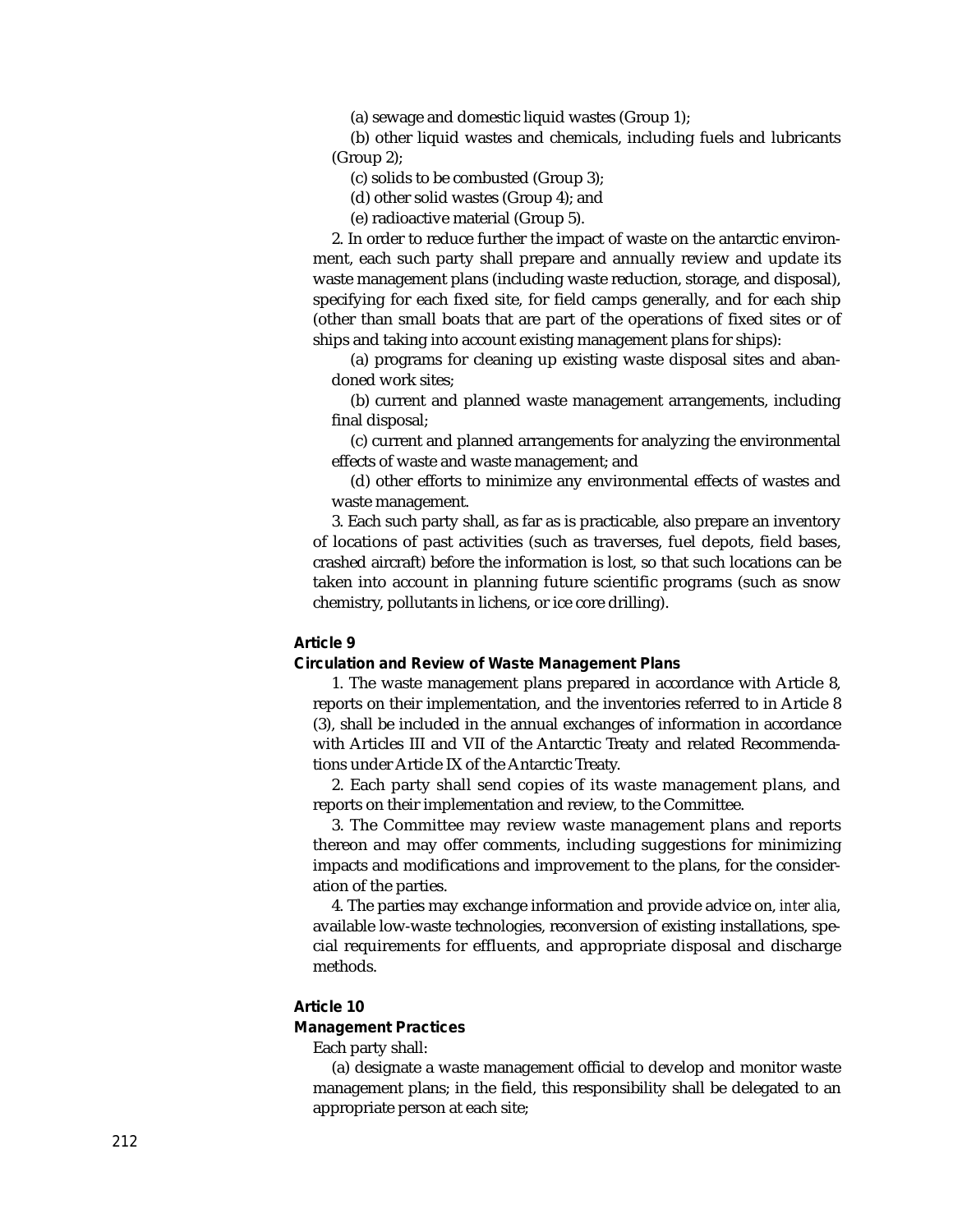(a) sewage and domestic liquid wastes (Group 1);

(b) other liquid wastes and chemicals, including fuels and lubricants (Group 2);

(c) solids to be combusted (Group 3);

(d) other solid wastes (Group 4); and

(e) radioactive material (Group 5).

2. In order to reduce further the impact of waste on the antarctic environment, each such party shall prepare and annually review and update its waste management plans (including waste reduction, storage, and disposal), specifying for each fixed site, for field camps generally, and for each ship (other than small boats that are part of the operations of fixed sites or of ships and taking into account existing management plans for ships):

(a) programs for cleaning up existing waste disposal sites and abandoned work sites;

(b) current and planned waste management arrangements, including final disposal;

(c) current and planned arrangements for analyzing the environmental effects of waste and waste management; and

(d) other efforts to minimize any environmental effects of wastes and waste management.

3. Each such party shall, as far as is practicable, also prepare an inventory of locations of past activities (such as traverses, fuel depots, field bases, crashed aircraft) before the information is lost, so that such locations can be taken into account in planning future scientific programs (such as snow chemistry, pollutants in lichens, or ice core drilling).

# **Article 9**

#### **Circulation and Review of Waste Management Plans**

1. The waste management plans prepared in accordance with Article 8, reports on their implementation, and the inventories referred to in Article 8 (3), shall be included in the annual exchanges of information in accordance with Articles III and VII of the Antarctic Treaty and related Recommendations under Article IX of the Antarctic Treaty.

2. Each party shall send copies of its waste management plans, and reports on their implementation and review, to the Committee.

3. The Committee may review waste management plans and reports thereon and may offer comments, including suggestions for minimizing impacts and modifications and improvement to the plans, for the consideration of the parties.

4. The parties may exchange information and provide advice on, *inter alia*, available low-waste technologies, reconversion of existing installations, special requirements for effluents, and appropriate disposal and discharge methods.

#### **Article 10**

# **Management Practices**

Each party shall:

(a) designate a waste management official to develop and monitor waste management plans; in the field, this responsibility shall be delegated to an appropriate person at each site;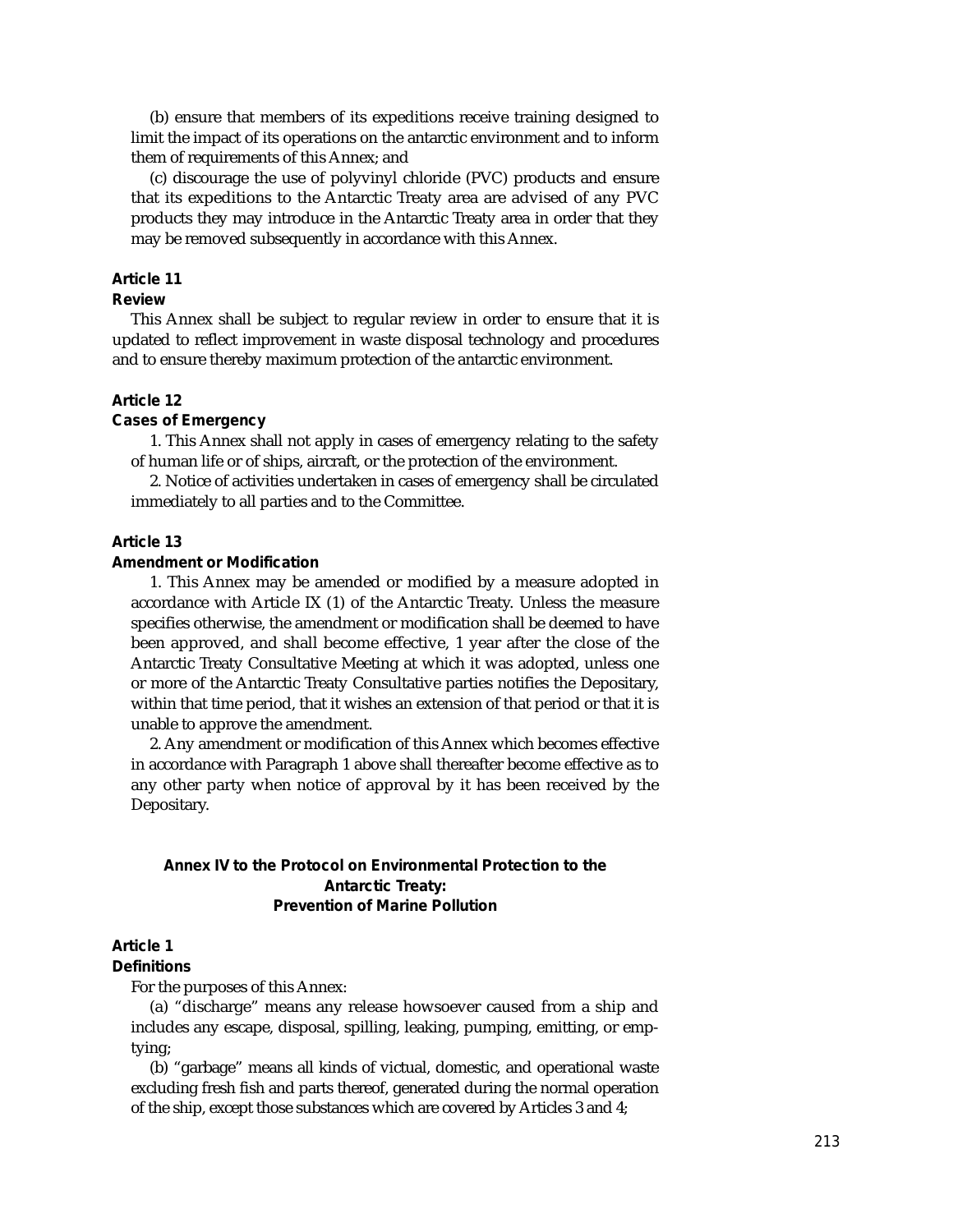(b) ensure that members of its expeditions receive training designed to limit the impact of its operations on the antarctic environment and to inform them of requirements of this Annex; and

(c) discourage the use of polyvinyl chloride (PVC) products and ensure that its expeditions to the Antarctic Treaty area are advised of any PVC products they may introduce in the Antarctic Treaty area in order that they may be removed subsequently in accordance with this Annex.

#### **Article 11**

### **Review**

This Annex shall be subject to regular review in order to ensure that it is updated to reflect improvement in waste disposal technology and procedures and to ensure thereby maximum protection of the antarctic environment.

# **Article 12**

# **Cases of Emergency**

1. This Annex shall not apply in cases of emergency relating to the safety of human life or of ships, aircraft, or the protection of the environment.

2. Notice of activities undertaken in cases of emergency shall be circulated immediately to all parties and to the Committee.

# **Article 13**

### **Amendment or Modification**

1. This Annex may be amended or modified by a measure adopted in accordance with Article IX (1) of the Antarctic Treaty. Unless the measure specifies otherwise, the amendment or modification shall be deemed to have been approved, and shall become effective, 1 year after the close of the Antarctic Treaty Consultative Meeting at which it was adopted, unless one or more of the Antarctic Treaty Consultative parties notifies the Depositary, within that time period, that it wishes an extension of that period or that it is unable to approve the amendment.

2. Any amendment or modification of this Annex which becomes effective in accordance with Paragraph 1 above shall thereafter become effective as to any other party when notice of approval by it has been received by the Depositary.

# **Annex IV to the Protocol on Environmental Protection to the Antarctic Treaty: Prevention of Marine Pollution**

# **Article 1**

# **Definitions**

For the purposes of this Annex:

(a) "discharge" means any release howsoever caused from a ship and includes any escape, disposal, spilling, leaking, pumping, emitting, or emptying;

(b) "garbage" means all kinds of victual, domestic, and operational waste excluding fresh fish and parts thereof, generated during the normal operation of the ship, except those substances which are covered by Articles 3 and 4;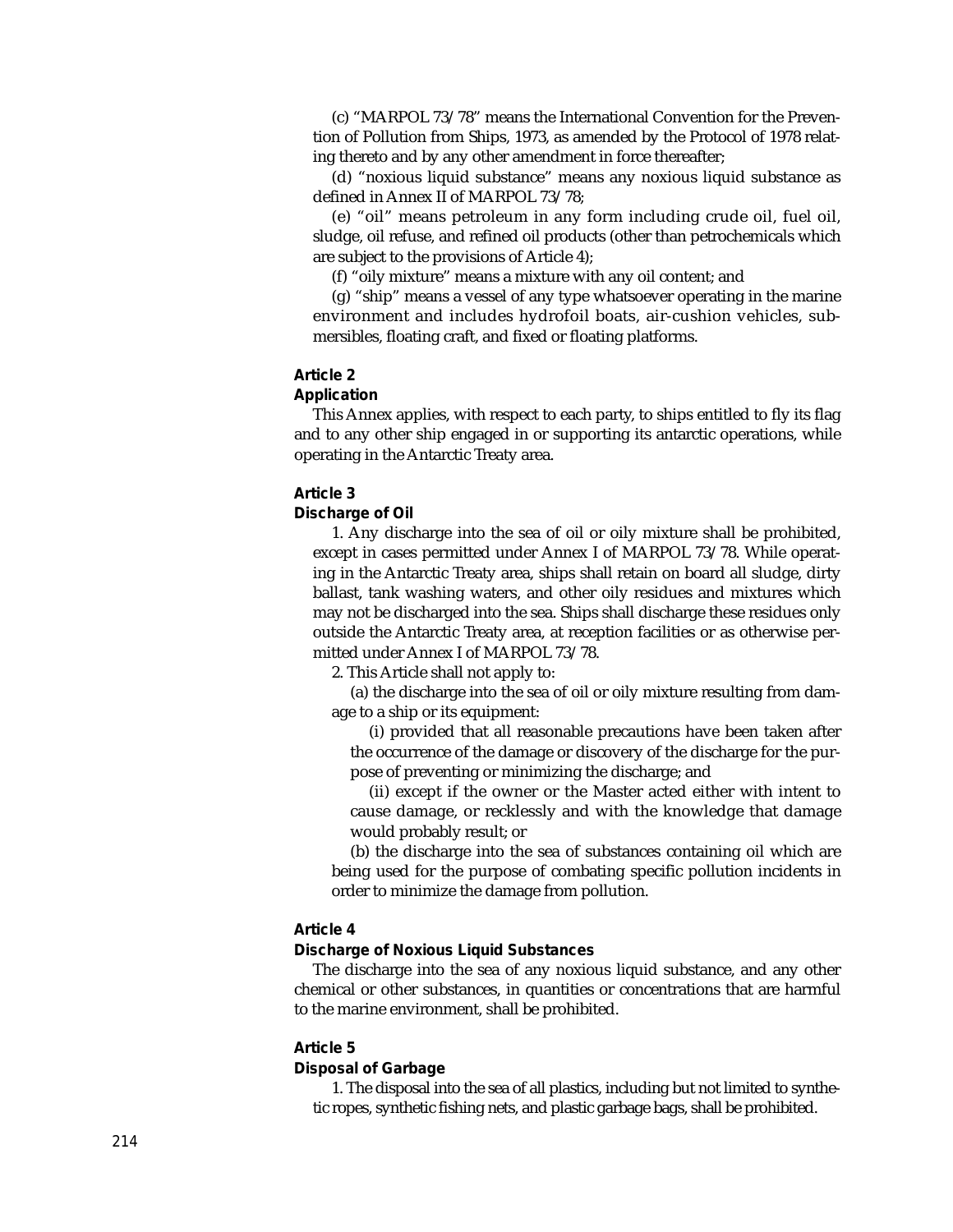(c) "MARPOL 73/78" means the International Convention for the Prevention of Pollution from Ships, 1973, as amended by the Protocol of 1978 relating thereto and by any other amendment in force thereafter;

(d) "noxious liquid substance" means any noxious liquid substance as defined in Annex II of MARPOL 73/78;

(e) "oil" means petroleum in any form including crude oil, fuel oil, sludge, oil refuse, and refined oil products (other than petrochemicals which are subject to the provisions of Article 4);

(f) "oily mixture" means a mixture with any oil content; and

(g) "ship" means a vessel of any type whatsoever operating in the marine environment and includes hydrofoil boats, air-cushion vehicles, submersibles, floating craft, and fixed or floating platforms.

# **Article 2**

# **Application**

This Annex applies, with respect to each party, to ships entitled to fly its flag and to any other ship engaged in or supporting its antarctic operations, while operating in the Antarctic Treaty area.

#### **Article 3**

#### **Discharge of Oil**

1. Any discharge into the sea of oil or oily mixture shall be prohibited, except in cases permitted under Annex I of MARPOL 73/78. While operating in the Antarctic Treaty area, ships shall retain on board all sludge, dirty ballast, tank washing waters, and other oily residues and mixtures which may not be discharged into the sea. Ships shall discharge these residues only outside the Antarctic Treaty area, at reception facilities or as otherwise permitted under Annex I of MARPOL 73/78.

2. This Article shall not apply to:

(a) the discharge into the sea of oil or oily mixture resulting from damage to a ship or its equipment:

(i) provided that all reasonable precautions have been taken after the occurrence of the damage or discovery of the discharge for the purpose of preventing or minimizing the discharge; and

(ii) except if the owner or the Master acted either with intent to cause damage, or recklessly and with the knowledge that damage would probably result; or

(b) the discharge into the sea of substances containing oil which are being used for the purpose of combating specific pollution incidents in order to minimize the damage from pollution.

# **Article 4**

### **Discharge of Noxious Liquid Substances**

The discharge into the sea of any noxious liquid substance, and any other chemical or other substances, in quantities or concentrations that are harmful to the marine environment, shall be prohibited.

#### **Article 5**

### **Disposal of Garbage**

1. The disposal into the sea of all plastics, including but not limited to synthetic ropes, synthetic fishing nets, and plastic garbage bags, shall be prohibited.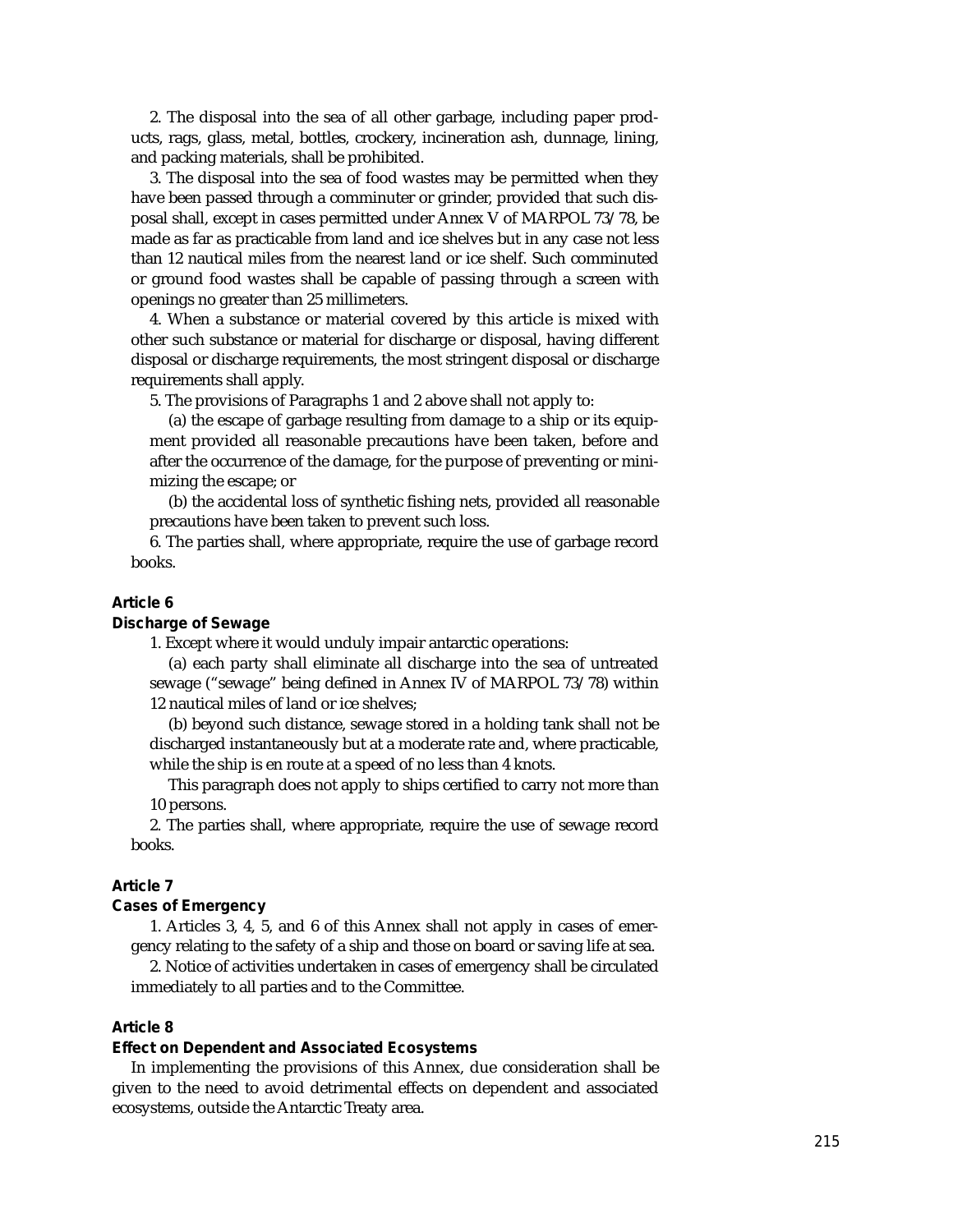2. The disposal into the sea of all other garbage, including paper products, rags, glass, metal, bottles, crockery, incineration ash, dunnage, lining, and packing materials, shall be prohibited.

3. The disposal into the sea of food wastes may be permitted when they have been passed through a comminuter or grinder, provided that such disposal shall, except in cases permitted under Annex V of MARPOL 73/78, be made as far as practicable from land and ice shelves but in any case not less than 12 nautical miles from the nearest land or ice shelf. Such comminuted or ground food wastes shall be capable of passing through a screen with openings no greater than 25 millimeters.

4. When a substance or material covered by this article is mixed with other such substance or material for discharge or disposal, having different disposal or discharge requirements, the most stringent disposal or discharge requirements shall apply.

5. The provisions of Paragraphs 1 and 2 above shall not apply to:

(a) the escape of garbage resulting from damage to a ship or its equipment provided all reasonable precautions have been taken, before and after the occurrence of the damage, for the purpose of preventing or minimizing the escape; or

(b) the accidental loss of synthetic fishing nets, provided all reasonable precautions have been taken to prevent such loss.

6. The parties shall, where appropriate, require the use of garbage record books.

### **Article 6**

# **Discharge of Sewage**

1. Except where it would unduly impair antarctic operations:

(a) each party shall eliminate all discharge into the sea of untreated sewage ("sewage" being defined in Annex IV of MARPOL 73/78) within 12 nautical miles of land or ice shelves;

(b) beyond such distance, sewage stored in a holding tank shall not be discharged instantaneously but at a moderate rate and, where practicable, while the ship is en route at a speed of no less than 4 knots.

This paragraph does not apply to ships certified to carry not more than 10 persons.

2. The parties shall, where appropriate, require the use of sewage record books.

# **Article 7**

# **Cases of Emergency**

1. Articles 3, 4, 5, and 6 of this Annex shall not apply in cases of emergency relating to the safety of a ship and those on board or saving life at sea.

2. Notice of activities undertaken in cases of emergency shall be circulated immediately to all parties and to the Committee.

# **Article 8**

### **Effect on Dependent and Associated Ecosystems**

In implementing the provisions of this Annex, due consideration shall be given to the need to avoid detrimental effects on dependent and associated ecosystems, outside the Antarctic Treaty area.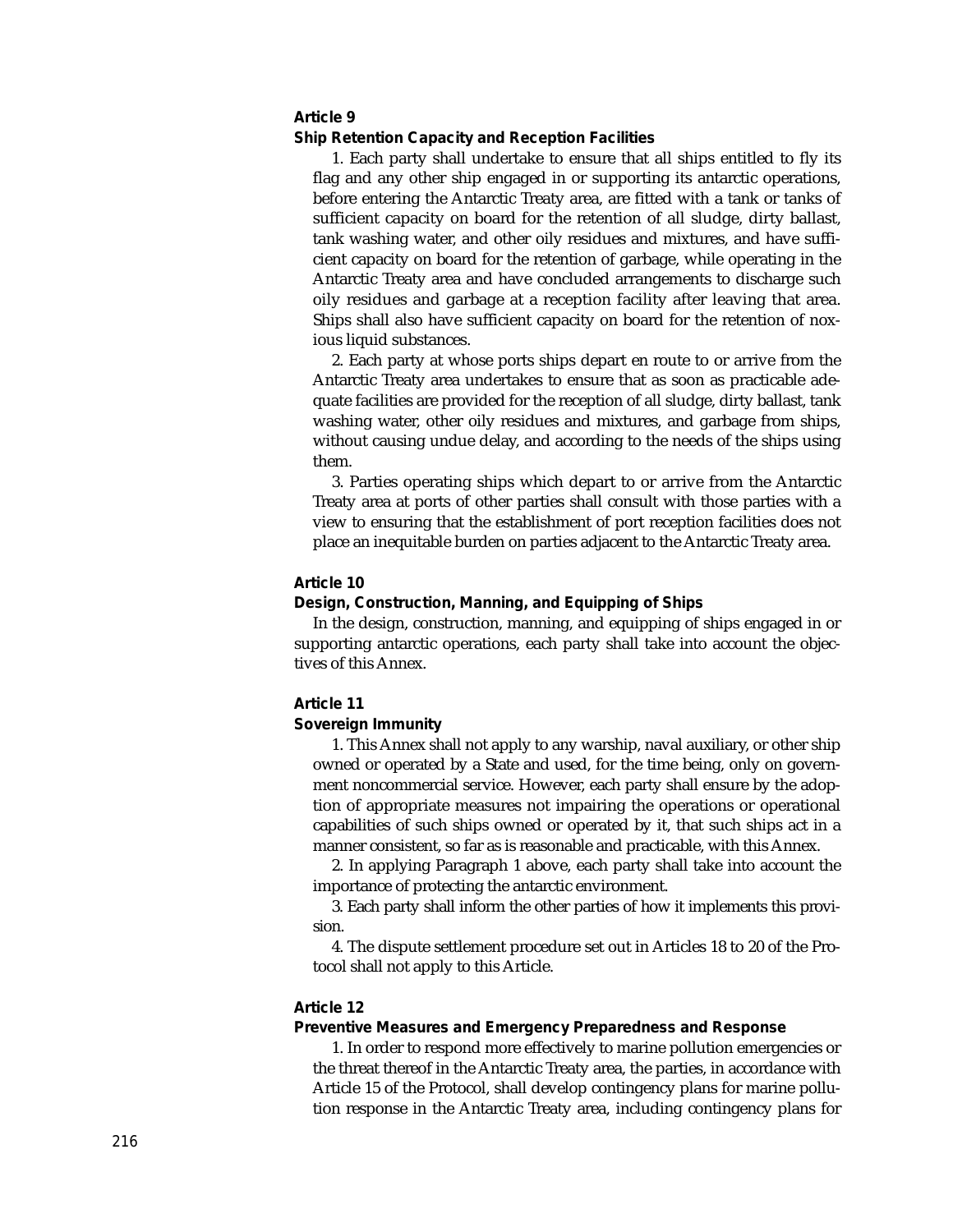### **Article 9**

#### **Ship Retention Capacity and Reception Facilities**

1. Each party shall undertake to ensure that all ships entitled to fly its flag and any other ship engaged in or supporting its antarctic operations, before entering the Antarctic Treaty area, are fitted with a tank or tanks of sufficient capacity on board for the retention of all sludge, dirty ballast, tank washing water, and other oily residues and mixtures, and have sufficient capacity on board for the retention of garbage, while operating in the Antarctic Treaty area and have concluded arrangements to discharge such oily residues and garbage at a reception facility after leaving that area. Ships shall also have sufficient capacity on board for the retention of noxious liquid substances.

2. Each party at whose ports ships depart en route to or arrive from the Antarctic Treaty area undertakes to ensure that as soon as practicable adequate facilities are provided for the reception of all sludge, dirty ballast, tank washing water, other oily residues and mixtures, and garbage from ships, without causing undue delay, and according to the needs of the ships using them.

3. Parties operating ships which depart to or arrive from the Antarctic Treaty area at ports of other parties shall consult with those parties with a view to ensuring that the establishment of port reception facilities does not place an inequitable burden on parties adjacent to the Antarctic Treaty area.

### **Article 10**

#### **Design, Construction, Manning, and Equipping of Ships**

In the design, construction, manning, and equipping of ships engaged in or supporting antarctic operations, each party shall take into account the objectives of this Annex.

### **Article 11**

#### **Sovereign Immunity**

1. This Annex shall not apply to any warship, naval auxiliary, or other ship owned or operated by a State and used, for the time being, only on government noncommercial service. However, each party shall ensure by the adoption of appropriate measures not impairing the operations or operational capabilities of such ships owned or operated by it, that such ships act in a manner consistent, so far as is reasonable and practicable, with this Annex.

2. In applying Paragraph 1 above, each party shall take into account the importance of protecting the antarctic environment.

3. Each party shall inform the other parties of how it implements this provision.

4. The dispute settlement procedure set out in Articles 18 to 20 of the Protocol shall not apply to this Article.

#### **Article 12**

#### **Preventive Measures and Emergency Preparedness and Response**

1. In order to respond more effectively to marine pollution emergencies or the threat thereof in the Antarctic Treaty area, the parties, in accordance with Article 15 of the Protocol, shall develop contingency plans for marine pollution response in the Antarctic Treaty area, including contingency plans for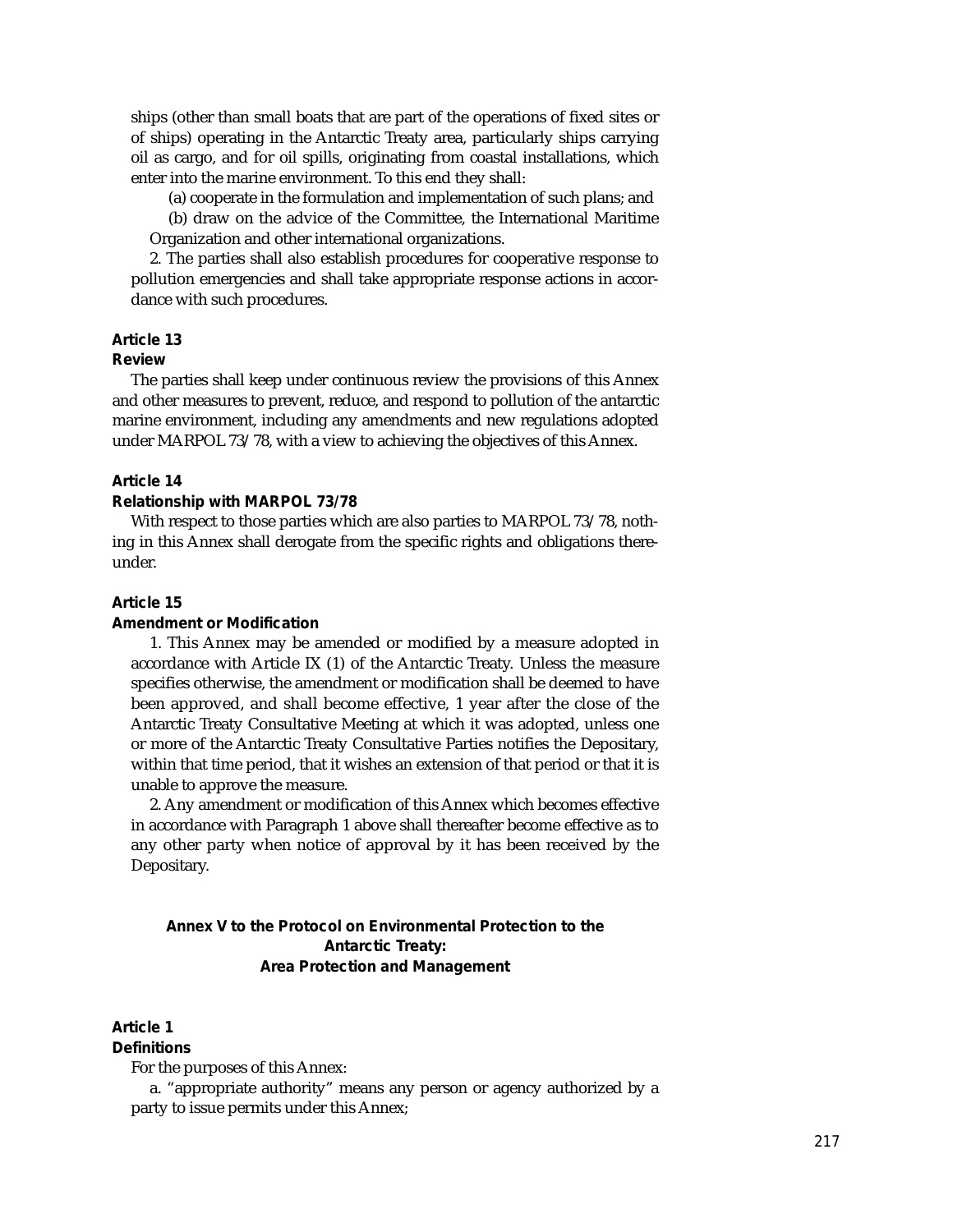ships (other than small boats that are part of the operations of fixed sites or of ships) operating in the Antarctic Treaty area, particularly ships carrying oil as cargo, and for oil spills, originating from coastal installations, which enter into the marine environment. To this end they shall:

(a) cooperate in the formulation and implementation of such plans; and (b) draw on the advice of the Committee, the International Maritime Organization and other international organizations.

2. The parties shall also establish procedures for cooperative response to pollution emergencies and shall take appropriate response actions in accordance with such procedures.

## **Article 13**

# **Review**

The parties shall keep under continuous review the provisions of this Annex and other measures to prevent, reduce, and respond to pollution of the antarctic marine environment, including any amendments and new regulations adopted under MARPOL 73/78, with a view to achieving the objectives of this Annex.

# **Article 14**

### **Relationship with MARPOL 73/78**

With respect to those parties which are also parties to MARPOL 73/78, nothing in this Annex shall derogate from the specific rights and obligations thereunder.

### **Article 15**

### **Amendment or Modification**

1. This Annex may be amended or modified by a measure adopted in accordance with Article IX (1) of the Antarctic Treaty. Unless the measure specifies otherwise, the amendment or modification shall be deemed to have been approved, and shall become effective, 1 year after the close of the Antarctic Treaty Consultative Meeting at which it was adopted, unless one or more of the Antarctic Treaty Consultative Parties notifies the Depositary, within that time period, that it wishes an extension of that period or that it is unable to approve the measure.

2. Any amendment or modification of this Annex which becomes effective in accordance with Paragraph 1 above shall thereafter become effective as to any other party when notice of approval by it has been received by the Depositary.

# **Annex V to the Protocol on Environmental Protection to the Antarctic Treaty: Area Protection and Management**

# **Article 1**

# **Definitions**

For the purposes of this Annex:

a. "appropriate authority" means any person or agency authorized by a party to issue permits under this Annex;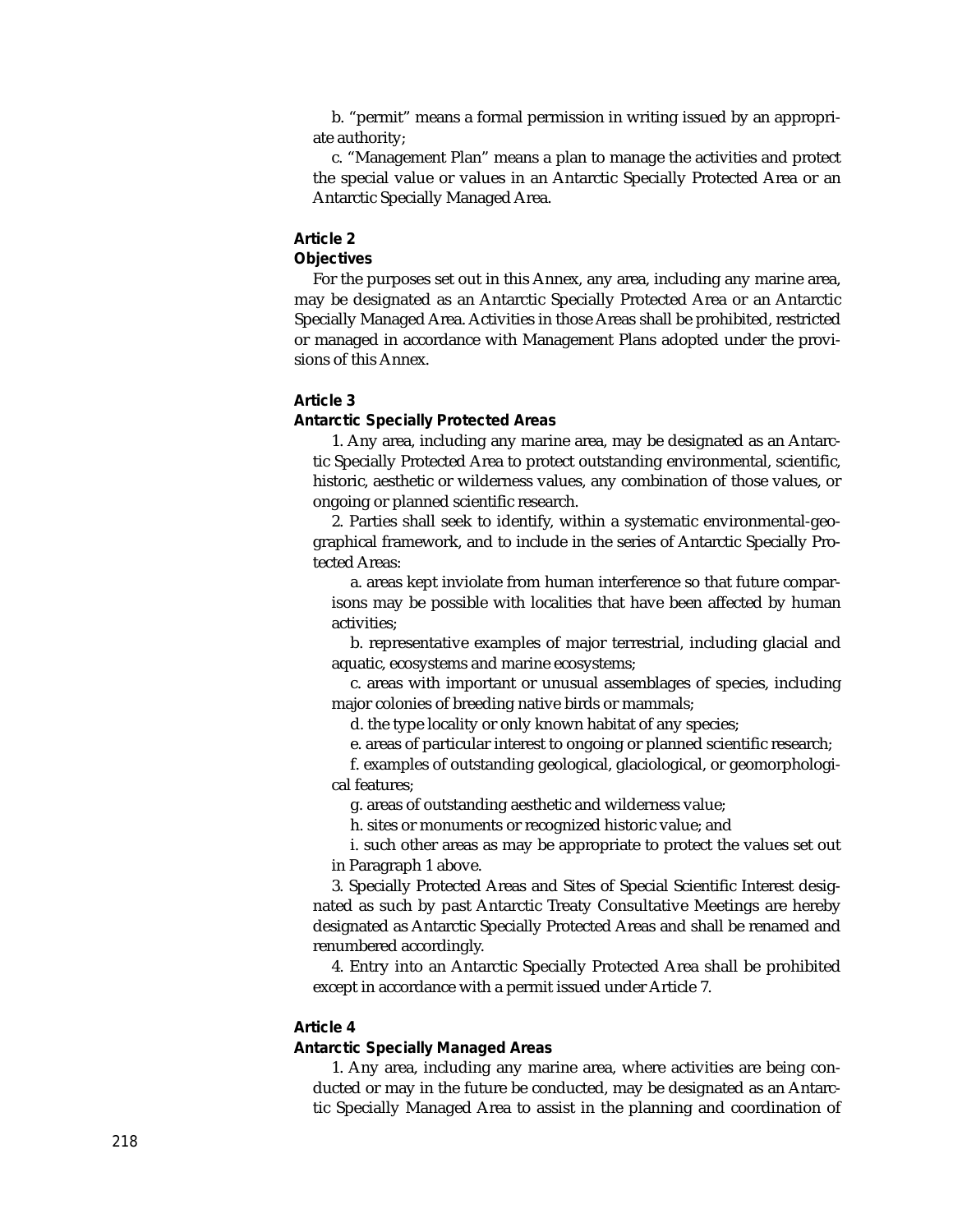b. "permit" means a formal permission in writing issued by an appropriate authority;

c. "Management Plan" means a plan to manage the activities and protect the special value or values in an Antarctic Specially Protected Area or an Antarctic Specially Managed Area.

# **Article 2**

### **Objectives**

For the purposes set out in this Annex, any area, including any marine area, may be designated as an Antarctic Specially Protected Area or an Antarctic Specially Managed Area. Activities in those Areas shall be prohibited, restricted or managed in accordance with Management Plans adopted under the provisions of this Annex.

### **Article 3**

#### **Antarctic Specially Protected Areas**

1. Any area, including any marine area, may be designated as an Antarctic Specially Protected Area to protect outstanding environmental, scientific, historic, aesthetic or wilderness values, any combination of those values, or ongoing or planned scientific research.

2. Parties shall seek to identify, within a systematic environmental-geographical framework, and to include in the series of Antarctic Specially Protected Areas:

a. areas kept inviolate from human interference so that future comparisons may be possible with localities that have been affected by human activities;

b. representative examples of major terrestrial, including glacial and aquatic, ecosystems and marine ecosystems;

c. areas with important or unusual assemblages of species, including major colonies of breeding native birds or mammals;

d. the type locality or only known habitat of any species;

e. areas of particular interest to ongoing or planned scientific research;

f. examples of outstanding geological, glaciological, or geomorphological features;

g. areas of outstanding aesthetic and wilderness value;

h. sites or monuments or recognized historic value; and

i. such other areas as may be appropriate to protect the values set out in Paragraph 1 above.

3. Specially Protected Areas and Sites of Special Scientific Interest designated as such by past Antarctic Treaty Consultative Meetings are hereby designated as Antarctic Specially Protected Areas and shall be renamed and renumbered accordingly.

4. Entry into an Antarctic Specially Protected Area shall be prohibited except in accordance with a permit issued under Article 7.

# **Article 4**

#### **Antarctic Specially Managed Areas**

1. Any area, including any marine area, where activities are being conducted or may in the future be conducted, may be designated as an Antarctic Specially Managed Area to assist in the planning and coordination of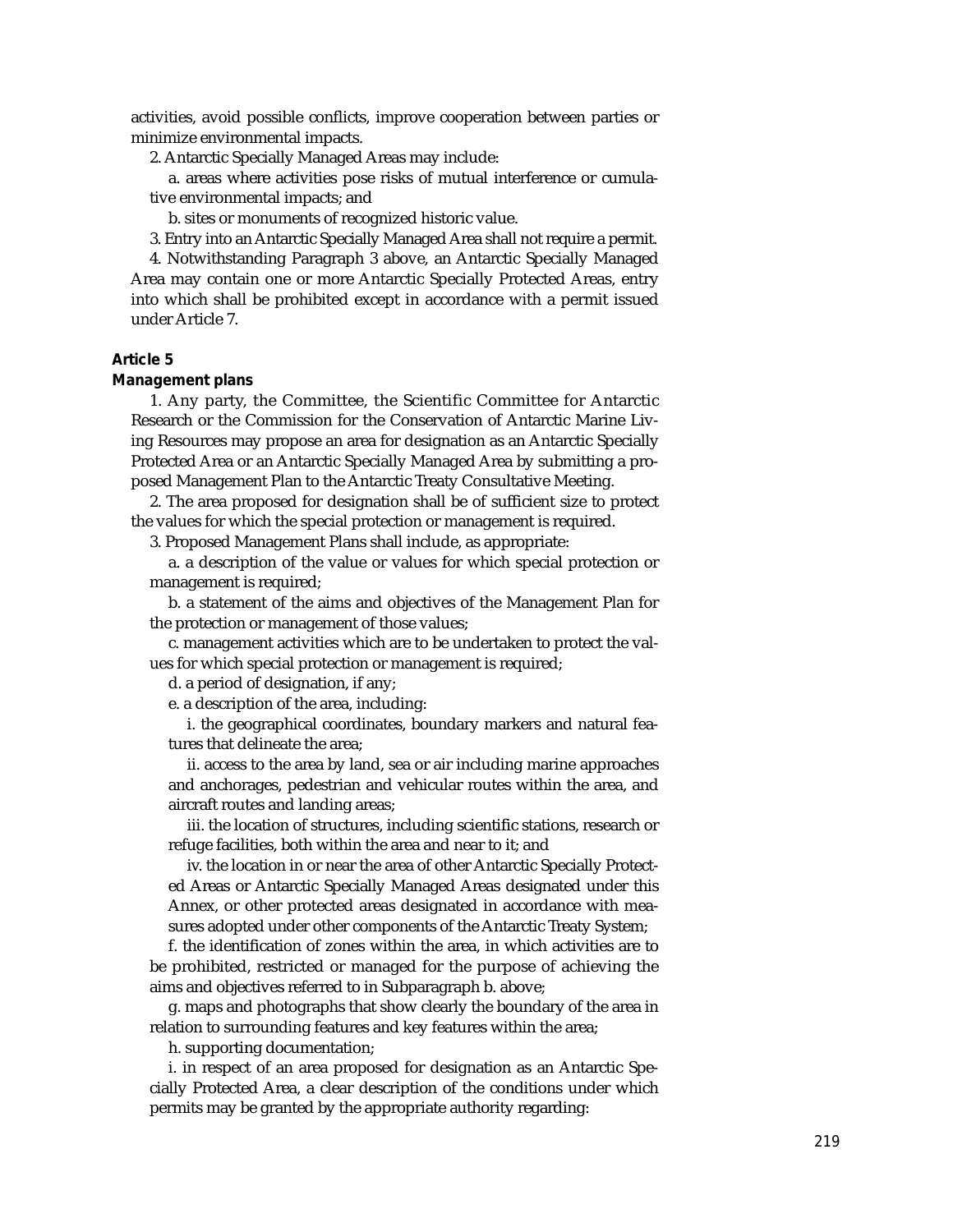activities, avoid possible conflicts, improve cooperation between parties or minimize environmental impacts.

2. Antarctic Specially Managed Areas may include:

a. areas where activities pose risks of mutual interference or cumulative environmental impacts; and

b. sites or monuments of recognized historic value.

3. Entry into an Antarctic Specially Managed Area shall not require a permit.

4. Notwithstanding Paragraph 3 above, an Antarctic Specially Managed Area may contain one or more Antarctic Specially Protected Areas, entry into which shall be prohibited except in accordance with a permit issued under Article 7.

# **Article 5**

#### **Management plans**

1. Any party, the Committee, the Scientific Committee for Antarctic Research or the Commission for the Conservation of Antarctic Marine Living Resources may propose an area for designation as an Antarctic Specially Protected Area or an Antarctic Specially Managed Area by submitting a proposed Management Plan to the Antarctic Treaty Consultative Meeting.

2. The area proposed for designation shall be of sufficient size to protect the values for which the special protection or management is required.

3. Proposed Management Plans shall include, as appropriate:

a. a description of the value or values for which special protection or management is required;

b. a statement of the aims and objectives of the Management Plan for the protection or management of those values;

c. management activities which are to be undertaken to protect the values for which special protection or management is required;

d. a period of designation, if any;

e. a description of the area, including:

i. the geographical coordinates, boundary markers and natural features that delineate the area;

ii. access to the area by land, sea or air including marine approaches and anchorages, pedestrian and vehicular routes within the area, and aircraft routes and landing areas;

iii. the location of structures, including scientific stations, research or refuge facilities, both within the area and near to it; and

iv. the location in or near the area of other Antarctic Specially Protected Areas or Antarctic Specially Managed Areas designated under this Annex, or other protected areas designated in accordance with measures adopted under other components of the Antarctic Treaty System;

f. the identification of zones within the area, in which activities are to be prohibited, restricted or managed for the purpose of achieving the aims and objectives referred to in Subparagraph b. above;

g. maps and photographs that show clearly the boundary of the area in relation to surrounding features and key features within the area;

h. supporting documentation;

i. in respect of an area proposed for designation as an Antarctic Specially Protected Area, a clear description of the conditions under which permits may be granted by the appropriate authority regarding: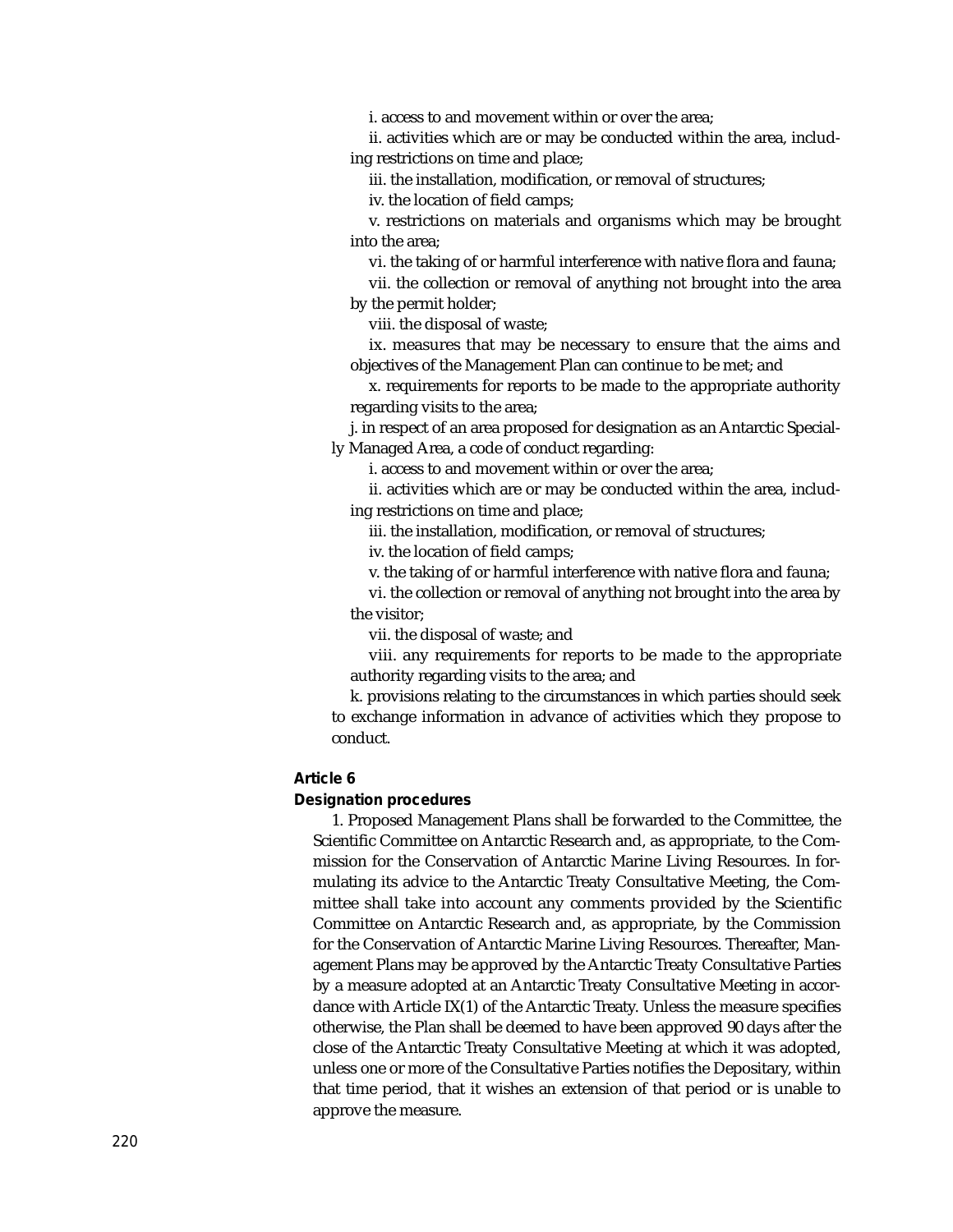i. access to and movement within or over the area;

ii. activities which are or may be conducted within the area, including restrictions on time and place;

iii. the installation, modification, or removal of structures;

iv. the location of field camps;

v. restrictions on materials and organisms which may be brought into the area;

vi. the taking of or harmful interference with native flora and fauna;

vii. the collection or removal of anything not brought into the area by the permit holder;

viii. the disposal of waste;

ix. measures that may be necessary to ensure that the aims and objectives of the Management Plan can continue to be met; and

x. requirements for reports to be made to the appropriate authority regarding visits to the area;

j. in respect of an area proposed for designation as an Antarctic Special-

ly Managed Area, a code of conduct regarding:

i. access to and movement within or over the area;

ii. activities which are or may be conducted within the area, including restrictions on time and place;

iii. the installation, modification, or removal of structures;

iv. the location of field camps;

v. the taking of or harmful interference with native flora and fauna;

vi. the collection or removal of anything not brought into the area by the visitor;

vii. the disposal of waste; and

viii. any requirements for reports to be made to the appropriate authority regarding visits to the area; and

k. provisions relating to the circumstances in which parties should seek to exchange information in advance of activities which they propose to conduct.

# **Article 6**

#### **Designation procedures**

1. Proposed Management Plans shall be forwarded to the Committee, the Scientific Committee on Antarctic Research and, as appropriate, to the Commission for the Conservation of Antarctic Marine Living Resources. In formulating its advice to the Antarctic Treaty Consultative Meeting, the Committee shall take into account any comments provided by the Scientific Committee on Antarctic Research and, as appropriate, by the Commission for the Conservation of Antarctic Marine Living Resources. Thereafter, Management Plans may be approved by the Antarctic Treaty Consultative Parties by a measure adopted at an Antarctic Treaty Consultative Meeting in accordance with Article IX(1) of the Antarctic Treaty. Unless the measure specifies otherwise, the Plan shall be deemed to have been approved 90 days after the close of the Antarctic Treaty Consultative Meeting at which it was adopted, unless one or more of the Consultative Parties notifies the Depositary, within that time period, that it wishes an extension of that period or is unable to approve the measure.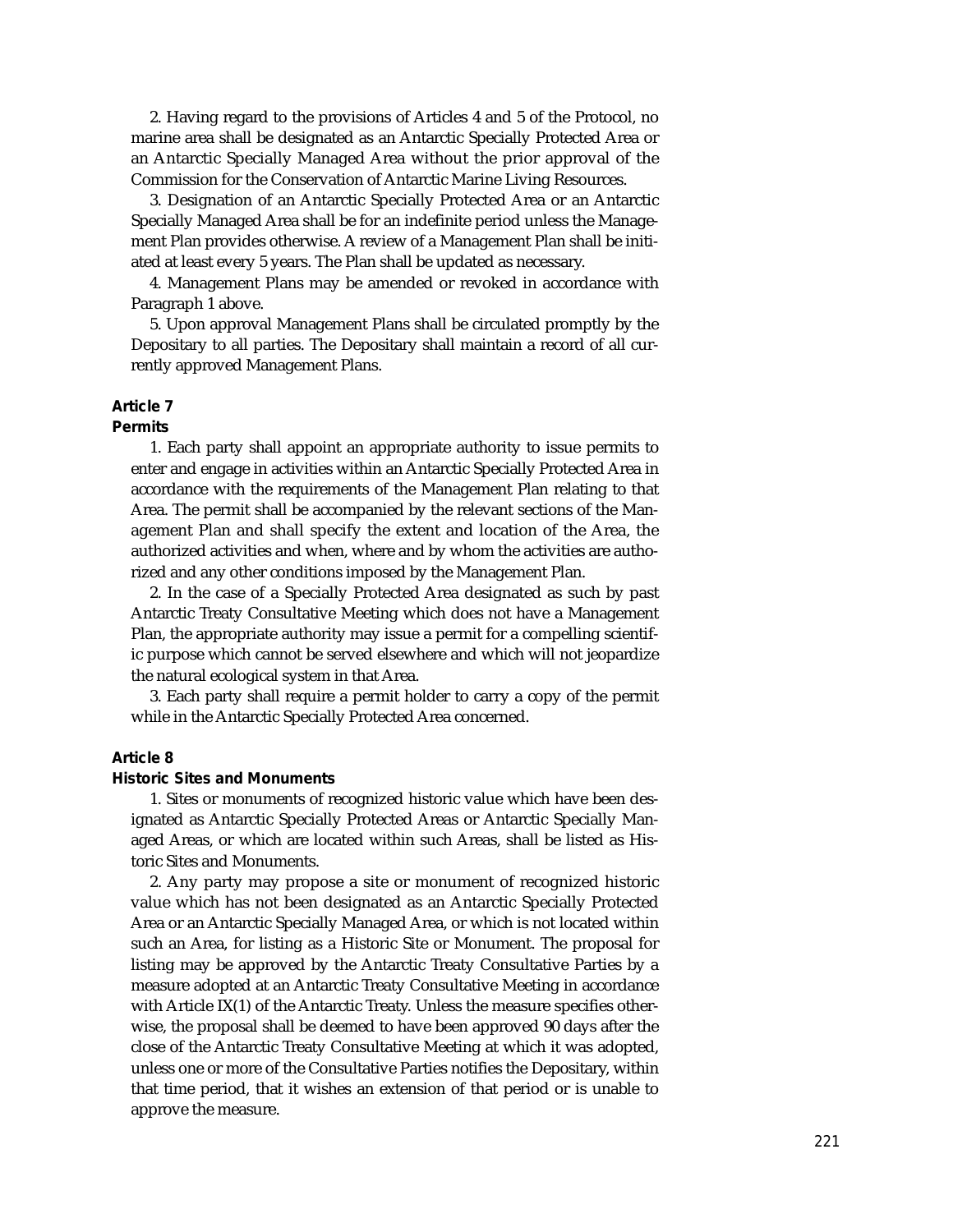2. Having regard to the provisions of Articles 4 and 5 of the Protocol, no marine area shall be designated as an Antarctic Specially Protected Area or an Antarctic Specially Managed Area without the prior approval of the Commission for the Conservation of Antarctic Marine Living Resources.

3. Designation of an Antarctic Specially Protected Area or an Antarctic Specially Managed Area shall be for an indefinite period unless the Management Plan provides otherwise. A review of a Management Plan shall be initiated at least every 5 years. The Plan shall be updated as necessary.

4. Management Plans may be amended or revoked in accordance with Paragraph 1 above.

5. Upon approval Management Plans shall be circulated promptly by the Depositary to all parties. The Depositary shall maintain a record of all currently approved Management Plans.

# **Article 7**

### **Permits**

1. Each party shall appoint an appropriate authority to issue permits to enter and engage in activities within an Antarctic Specially Protected Area in accordance with the requirements of the Management Plan relating to that Area. The permit shall be accompanied by the relevant sections of the Management Plan and shall specify the extent and location of the Area, the authorized activities and when, where and by whom the activities are authorized and any other conditions imposed by the Management Plan.

2. In the case of a Specially Protected Area designated as such by past Antarctic Treaty Consultative Meeting which does not have a Management Plan, the appropriate authority may issue a permit for a compelling scientific purpose which cannot be served elsewhere and which will not jeopardize the natural ecological system in that Area.

3. Each party shall require a permit holder to carry a copy of the permit while in the Antarctic Specially Protected Area concerned.

# **Article 8**

# **Historic Sites and Monuments**

1. Sites or monuments of recognized historic value which have been designated as Antarctic Specially Protected Areas or Antarctic Specially Managed Areas, or which are located within such Areas, shall be listed as Historic Sites and Monuments.

2. Any party may propose a site or monument of recognized historic value which has not been designated as an Antarctic Specially Protected Area or an Antarctic Specially Managed Area, or which is not located within such an Area, for listing as a Historic Site or Monument. The proposal for listing may be approved by the Antarctic Treaty Consultative Parties by a measure adopted at an Antarctic Treaty Consultative Meeting in accordance with Article IX(1) of the Antarctic Treaty. Unless the measure specifies otherwise, the proposal shall be deemed to have been approved 90 days after the close of the Antarctic Treaty Consultative Meeting at which it was adopted, unless one or more of the Consultative Parties notifies the Depositary, within that time period, that it wishes an extension of that period or is unable to approve the measure.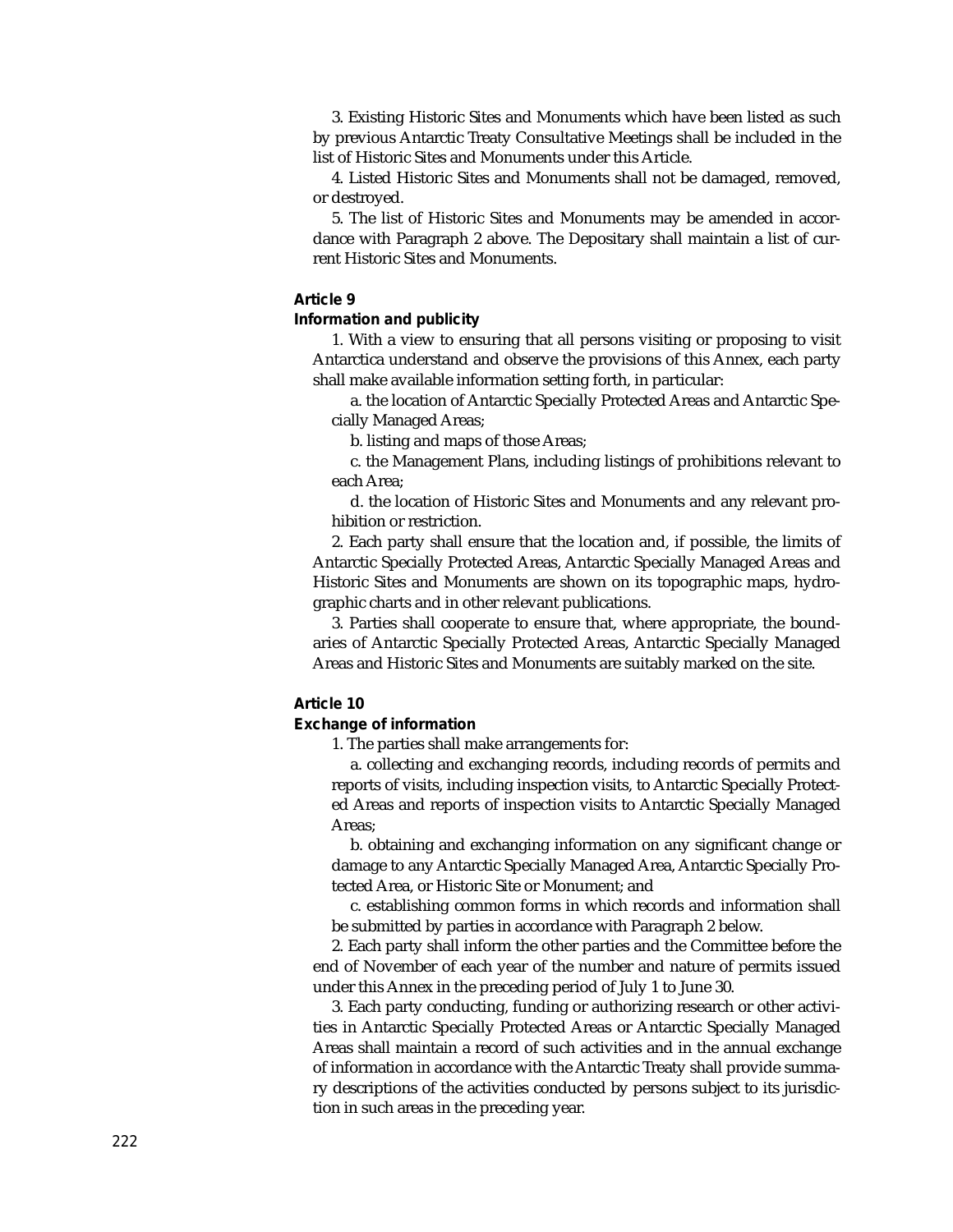3. Existing Historic Sites and Monuments which have been listed as such by previous Antarctic Treaty Consultative Meetings shall be included in the list of Historic Sites and Monuments under this Article.

4. Listed Historic Sites and Monuments shall not be damaged, removed, or destroyed.

5. The list of Historic Sites and Monuments may be amended in accordance with Paragraph 2 above. The Depositary shall maintain a list of current Historic Sites and Monuments.

# **Article 9**

#### **Information and publicity**

1. With a view to ensuring that all persons visiting or proposing to visit Antarctica understand and observe the provisions of this Annex, each party shall make available information setting forth, in particular:

a. the location of Antarctic Specially Protected Areas and Antarctic Specially Managed Areas;

b. listing and maps of those Areas;

c. the Management Plans, including listings of prohibitions relevant to each Area;

d. the location of Historic Sites and Monuments and any relevant prohibition or restriction.

2. Each party shall ensure that the location and, if possible, the limits of Antarctic Specially Protected Areas, Antarctic Specially Managed Areas and Historic Sites and Monuments are shown on its topographic maps, hydrographic charts and in other relevant publications.

3. Parties shall cooperate to ensure that, where appropriate, the boundaries of Antarctic Specially Protected Areas, Antarctic Specially Managed Areas and Historic Sites and Monuments are suitably marked on the site.

### **Article 10**

#### **Exchange of information**

1. The parties shall make arrangements for:

a. collecting and exchanging records, including records of permits and reports of visits, including inspection visits, to Antarctic Specially Protected Areas and reports of inspection visits to Antarctic Specially Managed Areas;

b. obtaining and exchanging information on any significant change or damage to any Antarctic Specially Managed Area, Antarctic Specially Protected Area, or Historic Site or Monument; and

c. establishing common forms in which records and information shall be submitted by parties in accordance with Paragraph 2 below.

2. Each party shall inform the other parties and the Committee before the end of November of each year of the number and nature of permits issued under this Annex in the preceding period of July 1 to June 30.

3. Each party conducting, funding or authorizing research or other activities in Antarctic Specially Protected Areas or Antarctic Specially Managed Areas shall maintain a record of such activities and in the annual exchange of information in accordance with the Antarctic Treaty shall provide summary descriptions of the activities conducted by persons subject to its jurisdiction in such areas in the preceding year.